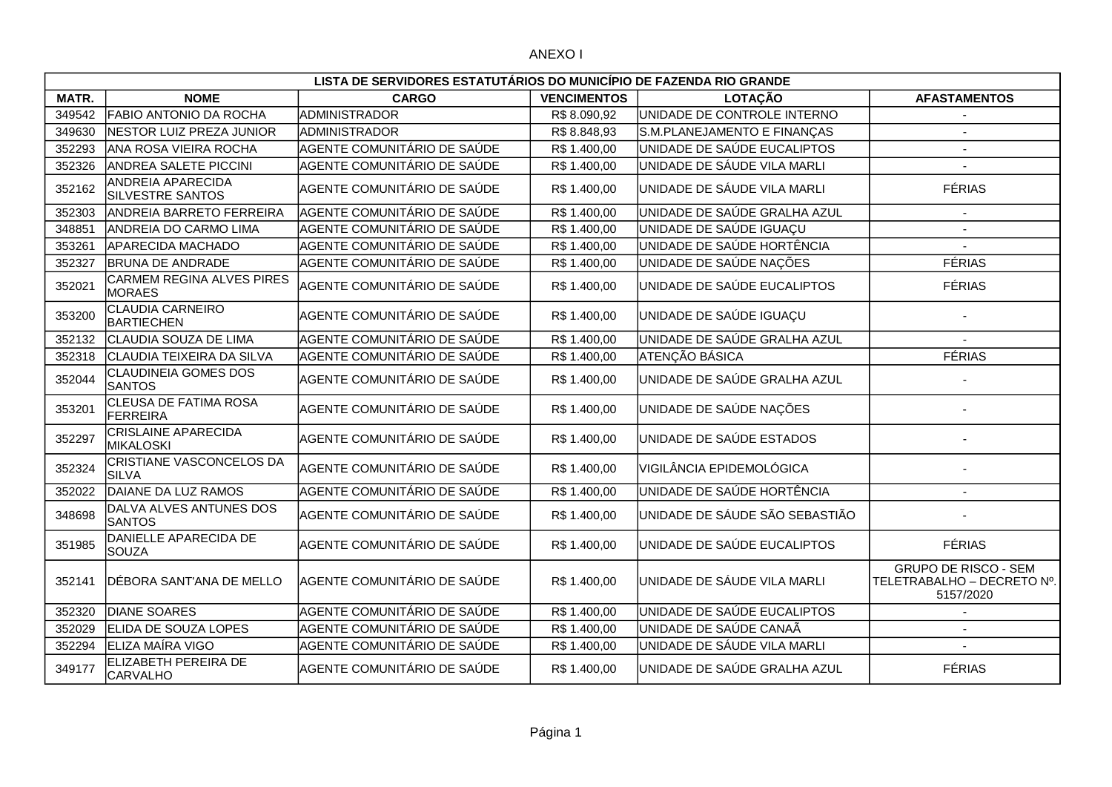|        | LISTA DE SERVIDORES ESTATUTÁRIOS DO MUNICÍPIO DE FAZENDA RIO GRANDE |                             |                    |                                |                                                                        |  |  |
|--------|---------------------------------------------------------------------|-----------------------------|--------------------|--------------------------------|------------------------------------------------------------------------|--|--|
| MATR.  | <b>NOME</b>                                                         | <b>CARGO</b>                | <b>VENCIMENTOS</b> | <b>LOTAÇÃO</b>                 | <b>AFASTAMENTOS</b>                                                    |  |  |
| 349542 | FABIO ANTONIO DA ROCHA                                              | ADMINISTRADOR               | R\$8.090,92        | UNIDADE DE CONTROLE INTERNO    |                                                                        |  |  |
| 349630 | NESTOR LUIZ PREZA JUNIOR                                            | ADMINISTRADOR               | R\$8.848,93        | S.M.PLANEJAMENTO E FINANÇAS    |                                                                        |  |  |
| 352293 | ANA ROSA VIEIRA ROCHA                                               | AGENTE COMUNITÁRIO DE SAÚDE | R\$ 1.400,00       | UNIDADE DE SAÚDE EUCALIPTOS    | $\overline{\phantom{a}}$                                               |  |  |
| 352326 | <b>ANDREA SALETE PICCINI</b>                                        | AGENTE COMUNITÁRIO DE SAÚDE | R\$ 1.400,00       | UNIDADE DE SÁUDE VILA MARLI    |                                                                        |  |  |
| 352162 | ANDREIA APARECIDA<br><b>SILVESTRE SANTOS</b>                        | AGENTE COMUNITÁRIO DE SAÚDE | R\$ 1.400,00       | UNIDADE DE SÁUDE VILA MARLI    | <b>FÉRIAS</b>                                                          |  |  |
| 352303 | <b>ANDREIA BARRETO FERREIRA</b>                                     | AGENTE COMUNITÁRIO DE SAÚDE | R\$ 1.400,00       | UNIDADE DE SAÚDE GRALHA AZUL   |                                                                        |  |  |
| 348851 | <b>ANDREIA DO CARMO LIMA</b>                                        | AGENTE COMUNITÁRIO DE SAÚDE | R\$1.400,00        | UNIDADE DE SAÚDE IGUAÇU        |                                                                        |  |  |
| 353261 | <b>APARECIDA MACHADO</b>                                            | AGENTE COMUNITÁRIO DE SAÚDE | R\$ 1.400,00       | UNIDADE DE SAÚDE HORTÊNCIA     |                                                                        |  |  |
| 352327 | <b>BRUNA DE ANDRADE</b>                                             | AGENTE COMUNITÁRIO DE SAÚDE | R\$ 1.400,00       | UNIDADE DE SAÚDE NAÇÕES        | <b>FÉRIAS</b>                                                          |  |  |
| 352021 | CARMEM REGINA ALVES PIRES<br><b>MORAES</b>                          | AGENTE COMUNITÁRIO DE SAÚDE | R\$ 1.400,00       | UNIDADE DE SAÚDE EUCALIPTOS    | <b>FÉRIAS</b>                                                          |  |  |
| 353200 | <b>CLAUDIA CARNEIRO</b><br><b>BARTIECHEN</b>                        | AGENTE COMUNITÁRIO DE SAÚDE | R\$ 1.400,00       | UNIDADE DE SAÚDE IGUAÇU        |                                                                        |  |  |
| 352132 | CLAUDIA SOUZA DE LIMA                                               | AGENTE COMUNITÁRIO DE SAÚDE | R\$ 1.400,00       | UNIDADE DE SAÚDE GRALHA AZUL   |                                                                        |  |  |
| 352318 | CLAUDIA TEIXEIRA DA SILVA                                           | AGENTE COMUNITÁRIO DE SAÚDE | R\$ 1.400,00       | ATENÇÃO BÁSICA                 | <b>FÉRIAS</b>                                                          |  |  |
| 352044 | <b>CLAUDINEIA GOMES DOS</b><br><b>SANTOS</b>                        | AGENTE COMUNITÁRIO DE SAÚDE | R\$ 1.400,00       | UNIDADE DE SAÚDE GRALHA AZUL   |                                                                        |  |  |
| 353201 | CLEUSA DE FATIMA ROSA<br><b>FERREIRA</b>                            | AGENTE COMUNITÁRIO DE SAÚDE | R\$ 1.400,00       | UNIDADE DE SAÚDE NAÇÕES        |                                                                        |  |  |
| 352297 | CRISLAINE APARECIDA<br><b>MIKALOSKI</b>                             | AGENTE COMUNITÁRIO DE SAÚDE | R\$ 1.400,00       | UNIDADE DE SAÚDE ESTADOS       |                                                                        |  |  |
| 352324 | CRISTIANE VASCONCELOS DA<br><b>SILVA</b>                            | AGENTE COMUNITÁRIO DE SAÚDE | R\$ 1.400,00       | VIGILÂNCIA EPIDEMOLÓGICA       |                                                                        |  |  |
| 352022 | DAIANE DA LUZ RAMOS                                                 | AGENTE COMUNITÁRIO DE SAÚDE | R\$ 1.400,00       | UNIDADE DE SAÚDE HORTÊNCIA     | $\sim$                                                                 |  |  |
| 348698 | DALVA ALVES ANTUNES DOS<br><b>SANTOS</b>                            | AGENTE COMUNITÁRIO DE SAÚDE | R\$ 1.400,00       | UNIDADE DE SÁUDE SÃO SEBASTIÃO |                                                                        |  |  |
| 351985 | DANIELLE APARECIDA DE<br><b>SOUZA</b>                               | AGENTE COMUNITÁRIO DE SAÚDE | R\$ 1.400,00       | UNIDADE DE SAÚDE EUCALIPTOS    | <b>FÉRIAS</b>                                                          |  |  |
| 352141 | DÉBORA SANT'ANA DE MELLO                                            | AGENTE COMUNITÁRIO DE SAÚDE | R\$ 1.400,00       | UNIDADE DE SÁUDE VILA MARLI    | <b>GRUPO DE RISCO - SEM</b><br>TELETRABALHO - DECRETO Nº.<br>5157/2020 |  |  |
| 352320 | <b>DIANE SOARES</b>                                                 | AGENTE COMUNITÁRIO DE SAÚDE | R\$ 1.400,00       | UNIDADE DE SAÚDE EUCALIPTOS    |                                                                        |  |  |
| 352029 | <b>ELIDA DE SOUZA LOPES</b>                                         | AGENTE COMUNITÁRIO DE SAÚDE | R\$ 1.400,00       | UNIDADE DE SAÚDE CANAÃ         |                                                                        |  |  |
| 352294 | ELIZA MAÍRA VIGO                                                    | AGENTE COMUNITÁRIO DE SAÚDE | R\$ 1.400,00       | UNIDADE DE SÁUDE VILA MARLI    |                                                                        |  |  |
| 349177 | ELIZABETH PEREIRA DE<br><b>CARVALHO</b>                             | AGENTE COMUNITÁRIO DE SAÚDE | R\$ 1.400,00       | UNIDADE DE SAÚDE GRALHA AZUL   | <b>FÉRIAS</b>                                                          |  |  |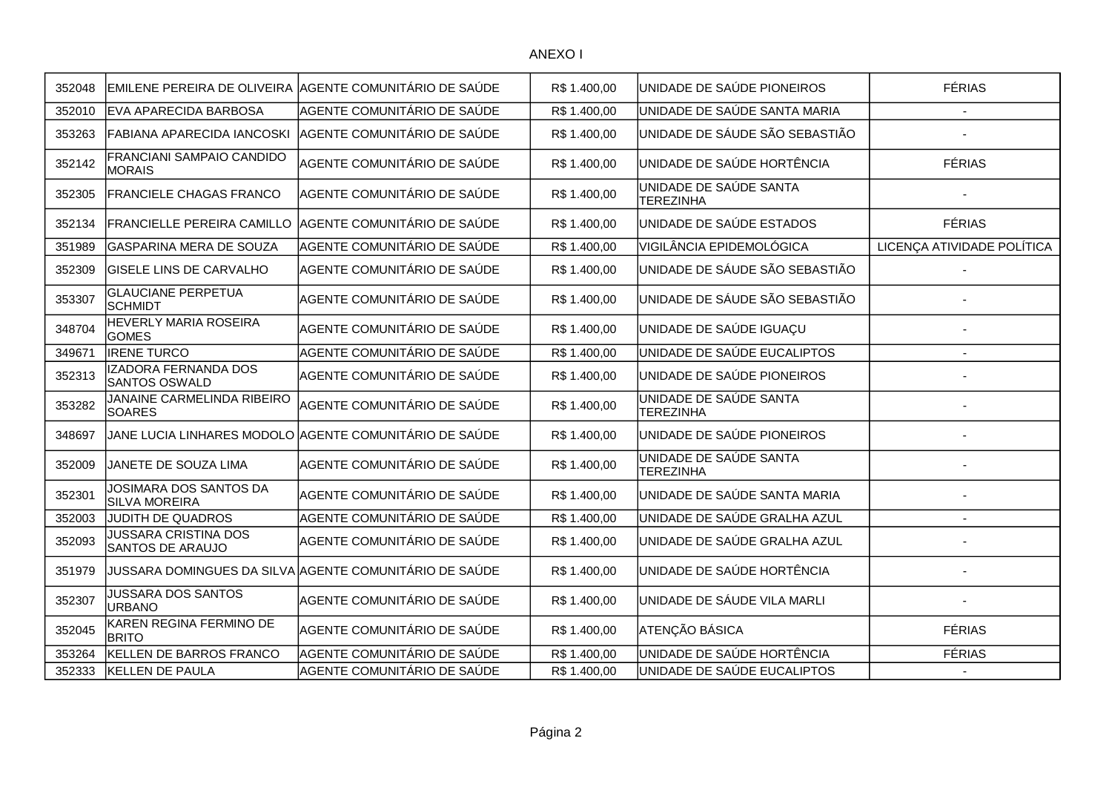| 352048 |                                                        | EMILENE PEREIRA DE OLIVEIRA AGENTE COMUNITÁRIO DE SAÚDE | R\$ 1.400,00 | UNIDADE DE SAÚDE PIONEIROS                 | <b>FÉRIAS</b>              |
|--------|--------------------------------------------------------|---------------------------------------------------------|--------------|--------------------------------------------|----------------------------|
| 352010 | EVA APARECIDA BARBOSA                                  | AGENTE COMUNITÁRIO DE SAÚDE                             | R\$ 1.400,00 | UNIDADE DE SAÚDE SANTA MARIA               |                            |
| 353263 | FABIANA APARECIDA IANCOSKI                             | AGENTE COMUNITÁRIO DE SAÚDE                             | R\$ 1.400,00 | UNIDADE DE SÁUDE SÃO SEBASTIÃO             |                            |
| 352142 | FRANCIANI SAMPAIO CANDIDO<br><b>MORAIS</b>             | AGENTE COMUNITÁRIO DE SAÚDE                             | R\$ 1.400,00 | UNIDADE DE SAÚDE HORTÊNCIA                 | <b>FÉRIAS</b>              |
| 352305 | FRANCIELE CHAGAS FRANCO                                | AGENTE COMUNITÁRIO DE SAÚDE                             | R\$1.400,00  | UNIDADE DE SAÚDE SANTA<br><b>TEREZINHA</b> |                            |
| 352134 | <b>FRANCIELLE PEREIRA CAMILLO</b>                      | AGENTE COMUNITÁRIO DE SAÚDE                             | R\$ 1.400,00 | UNIDADE DE SAÚDE ESTADOS                   | <b>FÉRIAS</b>              |
| 351989 | <b>GASPARINA MERA DE SOUZA</b>                         | AGENTE COMUNITÁRIO DE SAÚDE                             | R\$ 1.400,00 | VIGILÂNCIA EPIDEMOLÓGICA                   | LICENÇA ATIVIDADE POLÍTICA |
| 352309 | <b>GISELE LINS DE CARVALHO</b>                         | AGENTE COMUNITÁRIO DE SAÚDE                             | R\$ 1.400,00 | UNIDADE DE SÁUDE SÃO SEBASTIÃO             |                            |
| 353307 | <b>GLAUCIANE PERPETUA</b><br><b>SCHMIDT</b>            | AGENTE COMUNITÁRIO DE SAÚDE                             | R\$ 1.400,00 | UNIDADE DE SÁUDE SÃO SEBASTIÃO             |                            |
| 348704 | HEVERLY MARIA ROSEIRA<br><b>GOMES</b>                  | AGENTE COMUNITÁRIO DE SAÚDE                             | R\$ 1.400,00 | UNIDADE DE SAÚDE IGUAÇU                    |                            |
| 349671 | <b>IRENE TURCO</b>                                     | AGENTE COMUNITÁRIO DE SAÚDE                             | R\$1.400,00  | UNIDADE DE SAÚDE EUCALIPTOS                |                            |
| 352313 | <b>IZADORA FERNANDA DOS</b><br><b>SANTOS OSWALD</b>    | AGENTE COMUNITÁRIO DE SAÚDE                             | R\$ 1.400,00 | UNIDADE DE SAÚDE PIONEIROS                 |                            |
| 353282 | JANAINE CARMELINDA RIBEIRO<br><b>SOARES</b>            | AGENTE COMUNITÁRIO DE SAÚDE                             | R\$ 1.400,00 | UNIDADE DE SAÚDE SANTA<br><b>TEREZINHA</b> |                            |
| 348697 |                                                        | JANE LUCIA LINHARES MODOLO AGENTE COMUNITÁRIO DE SAÚDE  | R\$ 1.400,00 | UNIDADE DE SAÚDE PIONEIROS                 |                            |
| 352009 | JANETE DE SOUZA LIMA                                   | AGENTE COMUNITÁRIO DE SAÚDE                             | R\$ 1.400,00 | UNIDADE DE SAÚDE SANTA<br><b>TEREZINHA</b> |                            |
| 352301 | JOSIMARA DOS SANTOS DA<br><b>SILVA MOREIRA</b>         | AGENTE COMUNITÁRIO DE SAÚDE                             | R\$ 1.400,00 | UNIDADE DE SAÚDE SANTA MARIA               |                            |
| 352003 | JUDITH DE QUADROS                                      | AGENTE COMUNITÁRIO DE SAÚDE                             | R\$1.400,00  | UNIDADE DE SAÚDE GRALHA AZUL               | $\overline{a}$             |
| 352093 | <b>JUSSARA CRISTINA DOS</b><br><b>SANTOS DE ARAUJO</b> | AGENTE COMUNITÁRIO DE SAÚDE                             | R\$ 1.400,00 | UNIDADE DE SAÚDE GRALHA AZUL               |                            |
| 351979 |                                                        | JUSSARA DOMINGUES DA SILVA AGENTE COMUNITÁRIO DE SAÚDE  | R\$ 1.400,00 | UNIDADE DE SAÚDE HORTÊNCIA                 |                            |
| 352307 | JUSSARA DOS SANTOS<br><b>URBANO</b>                    | AGENTE COMUNITÁRIO DE SAÚDE                             | R\$ 1.400,00 | UNIDADE DE SÁUDE VILA MARLI                |                            |
| 352045 | KAREN REGINA FERMINO DE<br><b>BRITO</b>                | AGENTE COMUNITÁRIO DE SAÚDE                             | R\$ 1.400,00 | <b>ATENÇÃO BÁSICA</b>                      | <b>FÉRIAS</b>              |
| 353264 | KELLEN DE BARROS FRANCO                                | AGENTE COMUNITÁRIO DE SAÚDE                             | R\$ 1.400,00 | UNIDADE DE SAÚDE HORTÊNCIA                 | <b>FÉRIAS</b>              |
| 352333 | <b>KELLEN DE PAULA</b>                                 | AGENTE COMUNITÁRIO DE SAÚDE                             | R\$ 1.400,00 | UNIDADE DE SAÚDE EUCALIPTOS                |                            |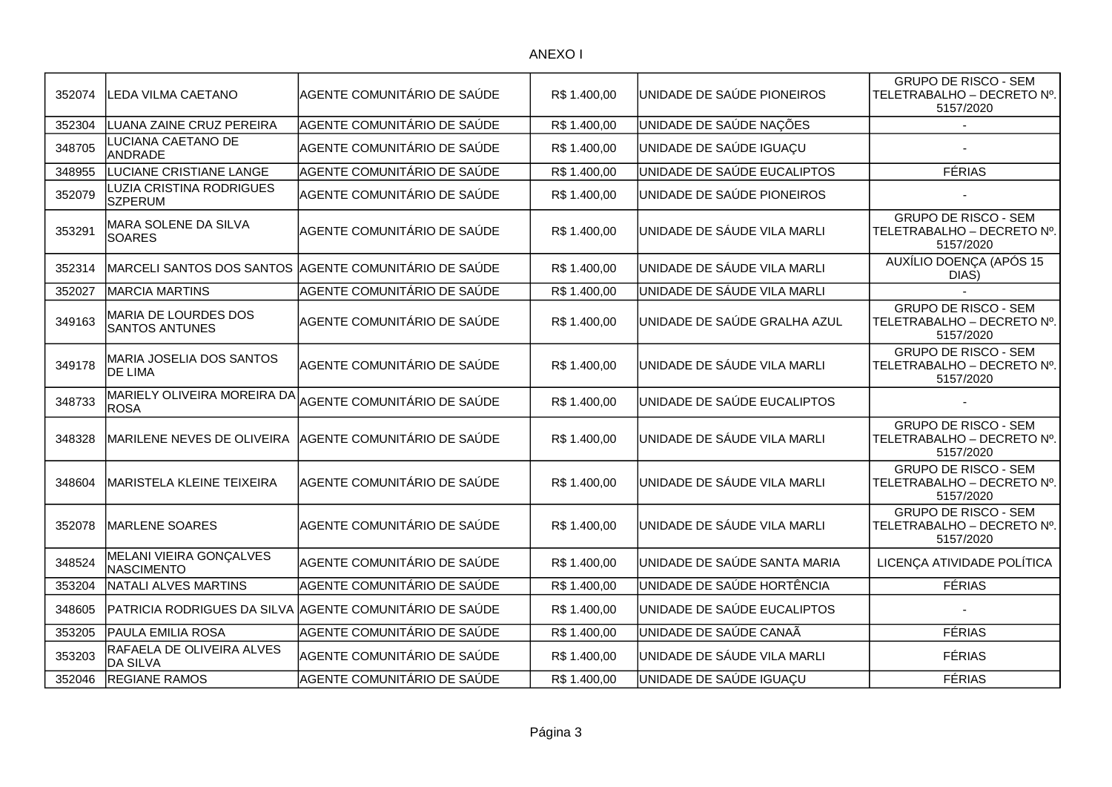| 352074 | LEDA VILMA CAETANO                                   | AGENTE COMUNITÁRIO DE SAÚDE                             | R\$ 1.400,00 | UNIDADE DE SAÚDE PIONEIROS   | <b>GRUPO DE RISCO - SEM</b><br>TELETRABALHO – DECRETO Nº.  <br>5157/2020 |
|--------|------------------------------------------------------|---------------------------------------------------------|--------------|------------------------------|--------------------------------------------------------------------------|
| 352304 | LUANA ZAINE CRUZ PEREIRA                             | AGENTE COMUNITÁRIO DE SAÚDE                             | R\$ 1.400,00 | UNIDADE DE SAÚDE NAÇÕES      |                                                                          |
| 348705 | LUCIANA CAETANO DE<br><b>ANDRADE</b>                 | AGENTE COMUNITÁRIO DE SAÚDE                             | R\$ 1.400,00 | UNIDADE DE SAÚDE IGUAÇU      |                                                                          |
| 348955 | LUCIANE CRISTIANE LANGE                              | AGENTE COMUNITÁRIO DE SAÚDE                             | R\$ 1.400,00 | UNIDADE DE SAÚDE EUCALIPTOS  | <b>FÉRIAS</b>                                                            |
| 352079 | LUZIA CRISTINA RODRIGUES<br><b>SZPERUM</b>           | AGENTE COMUNITÁRIO DE SAÚDE                             | R\$ 1.400,00 | UNIDADE DE SAÚDE PIONEIROS   |                                                                          |
| 353291 | MARA SOLENE DA SILVA<br><b>SOARES</b>                | AGENTE COMUNITÁRIO DE SAÚDE                             | R\$ 1.400,00 | UNIDADE DE SÁUDE VILA MARLI  | <b>GRUPO DE RISCO - SEM</b><br>TELETRABALHO - DECRETO Nº.<br>5157/2020   |
| 352314 |                                                      | MARCELI SANTOS DOS SANTOS AGENTE COMUNITÁRIO DE SAÚDE   | R\$ 1.400,00 | UNIDADE DE SÁUDE VILA MARLI  | AUXÍLIO DOENÇA (APÓS 15<br>DIAS)                                         |
| 352027 | <b>MARCIA MARTINS</b>                                | AGENTE COMUNITÁRIO DE SAÚDE                             | R\$ 1.400,00 | UNIDADE DE SÁUDE VILA MARLI  |                                                                          |
| 349163 | <b>MARIA DE LOURDES DOS</b><br><b>SANTOS ANTUNES</b> | AGENTE COMUNITÁRIO DE SAÚDE                             | R\$ 1.400,00 | UNIDADE DE SAÚDE GRALHA AZUL | <b>GRUPO DE RISCO - SEM</b><br>TELETRABALHO - DECRETO Nº.<br>5157/2020   |
| 349178 | MARIA JOSELIA DOS SANTOS<br><b>DE LIMA</b>           | AGENTE COMUNITÁRIO DE SAÚDE                             | R\$ 1.400,00 | UNIDADE DE SÁUDE VILA MARLI  | <b>GRUPO DE RISCO - SEM</b><br>TELETRABALHO – DECRETO Nº.  <br>5157/2020 |
| 348733 | MARIELY OLIVEIRA MOREIRA DA<br><b>ROSA</b>           | AGENTE COMUNITÁRIO DE SAÚDE                             | R\$ 1.400,00 | UNIDADE DE SAÚDE EUCALIPTOS  |                                                                          |
| 348328 | MARILENE NEVES DE OLIVEIRA                           | AGENTE COMUNITÁRIO DE SAÚDE                             | R\$1.400,00  | UNIDADE DE SÁUDE VILA MARLI  | <b>GRUPO DE RISCO - SEM</b><br>TELETRABALHO – DECRETO Nº.  <br>5157/2020 |
| 348604 | MARISTELA KLEINE TEIXEIRA                            | AGENTE COMUNITÁRIO DE SAÚDE                             | R\$ 1.400,00 | UNIDADE DE SÁUDE VILA MARLI  | <b>GRUPO DE RISCO - SEM</b><br>TELETRABALHO - DECRETO Nº.<br>5157/2020   |
| 352078 | <b>MARLENE SOARES</b>                                | AGENTE COMUNITÁRIO DE SAÚDE                             | R\$ 1.400,00 | UNIDADE DE SÁUDE VILA MARLI  | <b>GRUPO DE RISCO - SEM</b><br>TELETRABALHO – DECRETO №.  <br>5157/2020  |
| 348524 | MELANI VIEIRA GONÇALVES<br><b>NASCIMENTO</b>         | AGENTE COMUNITÁRIO DE SAÚDE                             | R\$ 1.400,00 | UNIDADE DE SAÚDE SANTA MARIA | LICENÇA ATIVIDADE POLÍTICA                                               |
| 353204 | <b>NATALI ALVES MARTINS</b>                          | AGENTE COMUNITÁRIO DE SAÚDE                             | R\$ 1.400,00 | UNIDADE DE SAÚDE HORTÊNCIA   | <b>FÉRIAS</b>                                                            |
| 348605 |                                                      | PATRICIA RODRIGUES DA SILVA AGENTE COMUNITÁRIO DE SAÚDE | R\$ 1.400,00 | UNIDADE DE SAÚDE EUCALIPTOS  |                                                                          |
| 353205 | PAULA EMILIA ROSA                                    | AGENTE COMUNITÁRIO DE SAÚDE                             | R\$ 1.400,00 | UNIDADE DE SAÚDE CANAÃ       | <b>FÉRIAS</b>                                                            |
| 353203 | RAFAELA DE OLIVEIRA ALVES<br><b>DA SILVA</b>         | AGENTE COMUNITÁRIO DE SAÚDE                             | R\$ 1.400,00 | UNIDADE DE SÁUDE VILA MARLI  | <b>FÉRIAS</b>                                                            |
| 352046 | <b>REGIANE RAMOS</b>                                 | AGENTE COMUNITÁRIO DE SAÚDE                             | R\$ 1.400,00 | UNIDADE DE SAÚDE IGUAÇU      | <b>FÉRIAS</b>                                                            |
|        |                                                      |                                                         |              |                              |                                                                          |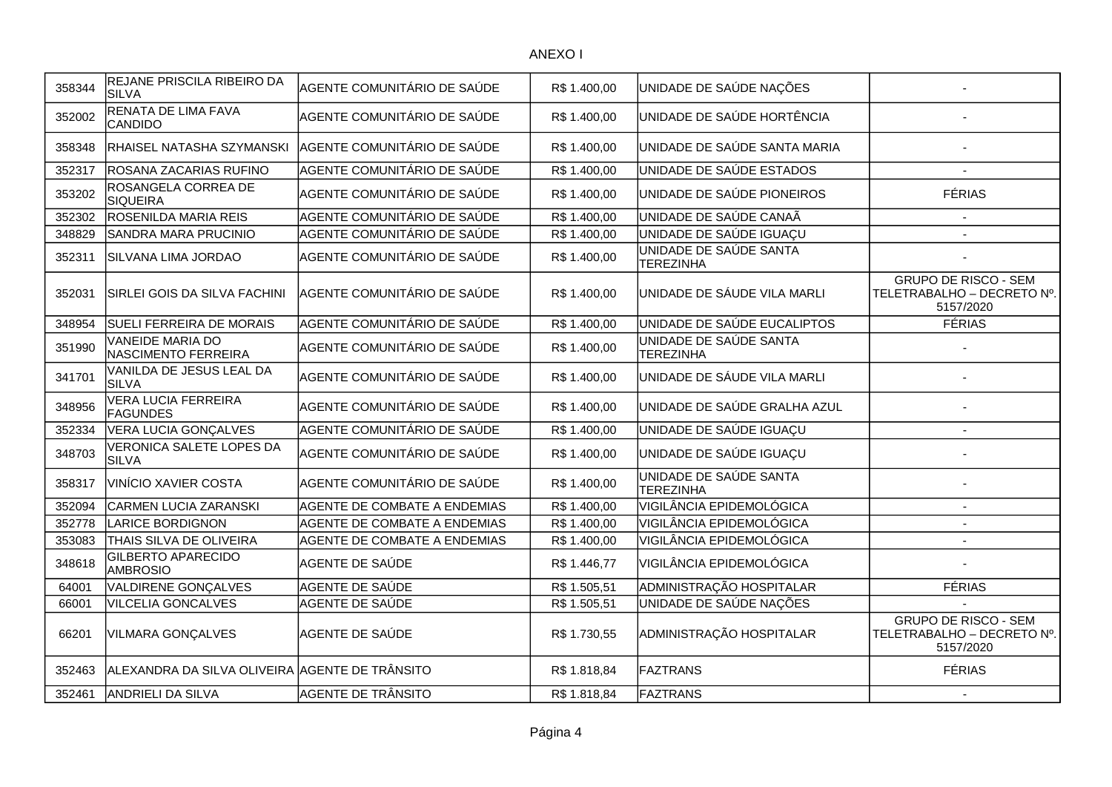| 358344 | REJANE PRISCILA RIBEIRO DA                     | AGENTE COMUNITÁRIO DE SAÚDE  | R\$ 1.400,00 | UNIDADE DE SAÚDE NAÇÕES                    |                                                                        |
|--------|------------------------------------------------|------------------------------|--------------|--------------------------------------------|------------------------------------------------------------------------|
| 352002 | <b>SILVA</b><br>RENATA DE LIMA FAVA            | AGENTE COMUNITÁRIO DE SAÚDE  | R\$ 1.400,00 | UNIDADE DE SAÚDE HORTÊNCIA                 |                                                                        |
|        | CANDIDO                                        |                              |              |                                            |                                                                        |
| 358348 | RHAISEL NATASHA SZYMANSKI                      | AGENTE COMUNITÁRIO DE SAÚDE  | R\$ 1.400,00 | UNIDADE DE SAÚDE SANTA MARIA               |                                                                        |
| 352317 | ROSANA ZACARIAS RUFINO                         | AGENTE COMUNITÁRIO DE SAÚDE  | R\$ 1.400,00 | UNIDADE DE SAÚDE ESTADOS                   |                                                                        |
| 353202 | ROSANGELA CORREA DE<br><b>SIQUEIRA</b>         | AGENTE COMUNITÁRIO DE SAÚDE  | R\$ 1.400,00 | UNIDADE DE SAÚDE PIONEIROS                 | <b>FÉRIAS</b>                                                          |
| 352302 | ROSENILDA MARIA REIS                           | AGENTE COMUNITÁRIO DE SAÚDE  | R\$ 1.400,00 | UNIDADE DE SAÚDE CANAÃ                     | $\overline{\phantom{a}}$                                               |
| 348829 | SANDRA MARA PRUCINIO                           | AGENTE COMUNITÁRIO DE SAÚDE  | R\$ 1.400,00 | UNIDADE DE SAÚDE IGUAÇU                    |                                                                        |
| 352311 | SILVANA LIMA JORDAO                            | AGENTE COMUNITÁRIO DE SAÚDE  | R\$ 1.400,00 | UNIDADE DE SAÚDE SANTA<br><b>TEREZINHA</b> |                                                                        |
| 352031 | SIRLEI GOIS DA SILVA FACHINI                   | AGENTE COMUNITÁRIO DE SAÚDE  | R\$ 1.400,00 | UNIDADE DE SÁUDE VILA MARLI                | <b>GRUPO DE RISCO - SEM</b><br>TELETRABALHO - DECRETO Nº.<br>5157/2020 |
| 348954 | <b>SUELI FERREIRA DE MORAIS</b>                | AGENTE COMUNITÁRIO DE SAÚDE  | R\$ 1.400,00 | UNIDADE DE SAÚDE EUCALIPTOS                | <b>FÉRIAS</b>                                                          |
| 351990 | <b>VANEIDE MARIA DO</b><br>NASCIMENTO FERREIRA | AGENTE COMUNITÁRIO DE SAÚDE  | R\$ 1.400,00 | UNIDADE DE SAÚDE SANTA<br><b>TEREZINHA</b> |                                                                        |
| 341701 | VANILDA DE JESUS LEAL DA<br><b>SILVA</b>       | AGENTE COMUNITÁRIO DE SAÚDE  | R\$ 1.400,00 | UNIDADE DE SÁUDE VILA MARLI                |                                                                        |
| 348956 | VERA LUCIA FERREIRA<br><b>FAGUNDES</b>         | AGENTE COMUNITÁRIO DE SAÚDE  | R\$ 1.400,00 | UNIDADE DE SAÚDE GRALHA AZUL               |                                                                        |
| 352334 | <b>VERA LUCIA GONÇALVES</b>                    | AGENTE COMUNITÁRIO DE SAÚDE  | R\$ 1.400,00 | UNIDADE DE SAÚDE IGUAÇU                    | $\overline{\phantom{a}}$                                               |
| 348703 | VERONICA SALETE LOPES DA<br><b>SILVA</b>       | AGENTE COMUNITÁRIO DE SAÚDE  | R\$ 1.400,00 | UNIDADE DE SAÚDE IGUAÇU                    |                                                                        |
| 358317 | <b>VINÍCIO XAVIER COSTA</b>                    | AGENTE COMUNITÁRIO DE SAÚDE  | R\$ 1.400,00 | UNIDADE DE SAÚDE SANTA<br><b>TEREZINHA</b> |                                                                        |
| 352094 | <b>CARMEN LUCIA ZARANSKI</b>                   | AGENTE DE COMBATE A ENDEMIAS | R\$ 1.400,00 | VIGILÂNCIA EPIDEMOLÓGICA                   | $\overline{\phantom{a}}$                                               |
| 352778 | <b>LARICE BORDIGNON</b>                        | AGENTE DE COMBATE A ENDEMIAS | R\$ 1.400,00 | VIGILÂNCIA EPIDEMOLÓGICA                   | $\blacksquare$                                                         |
| 353083 | THAIS SILVA DE OLIVEIRA                        | AGENTE DE COMBATE A ENDEMIAS | R\$ 1.400,00 | VIGILÂNCIA EPIDEMOLÓGICA                   | $\overline{\phantom{a}}$                                               |
| 348618 | <b>GILBERTO APARECIDO</b><br><b>AMBROSIO</b>   | AGENTE DE SAÚDE              | R\$ 1.446,77 | VIGILÂNCIA EPIDEMOLÓGICA                   |                                                                        |
| 64001  | VALDIRENE GONÇALVES                            | AGENTE DE SAÚDE              | R\$ 1.505,51 | ADMINISTRAÇÃO HOSPITALAR                   | <b>FÉRIAS</b>                                                          |
| 66001  | <b>VILCELIA GONCALVES</b>                      | AGENTE DE SAÚDE              | R\$ 1.505,51 | UNIDADE DE SAÚDE NAÇÕES                    |                                                                        |
| 66201  | VILMARA GONÇALVES                              | AGENTE DE SAÚDE              | R\$ 1.730,55 | ADMINISTRAÇÃO HOSPITALAR                   | <b>GRUPO DE RISCO - SEM</b><br>TELETRABALHO - DECRETO Nº.<br>5157/2020 |
| 352463 | ALEXANDRA DA SILVA OLIVEIRA AGENTE DE TRÂNSITO |                              | R\$ 1.818,84 | FAZTRANS                                   | <b>FÉRIAS</b>                                                          |
| 352461 | ANDRIELI DA SILVA                              | AGENTE DE TRÂNSITO           | R\$1.818,84  | FAZTRANS                                   |                                                                        |
|        |                                                |                              |              |                                            |                                                                        |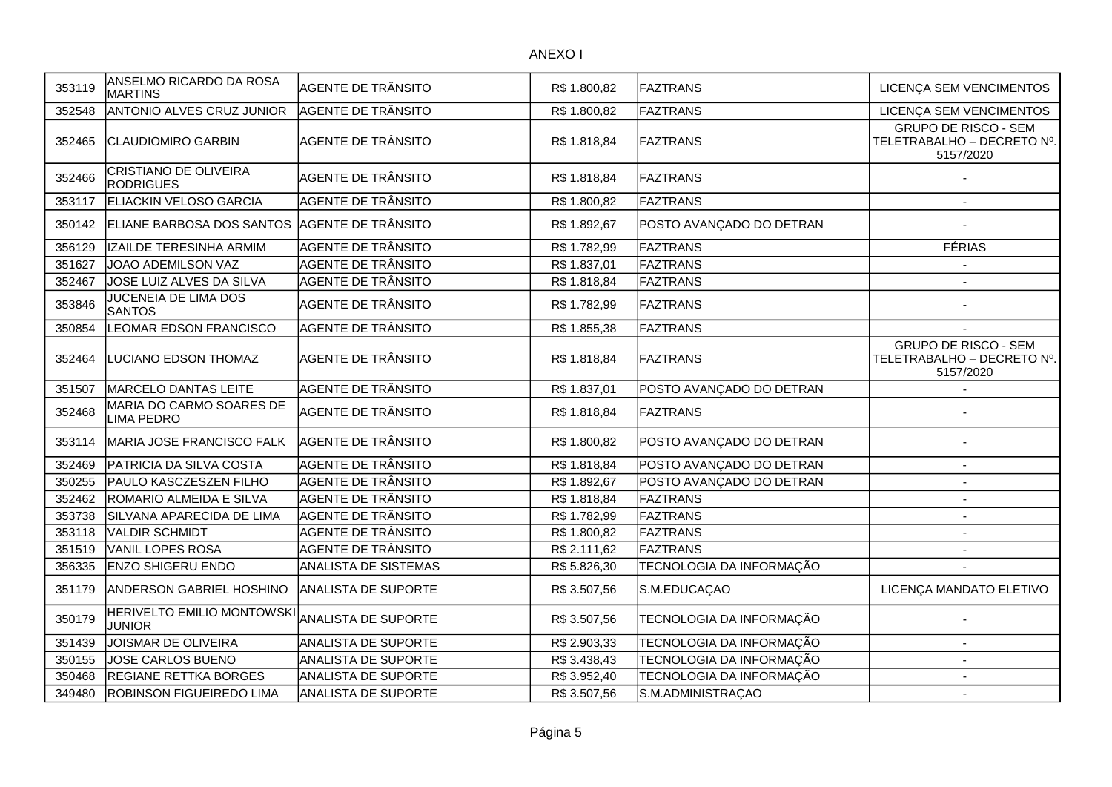| 353119 | ANSELMO RICARDO DA ROSA<br><b>MARTINS</b>          | <b>AGENTE DE TRÂNSITO</b>   | R\$ 1.800,82 | FAZTRANS                 | LICENÇA SEM VENCIMENTOS                                                |
|--------|----------------------------------------------------|-----------------------------|--------------|--------------------------|------------------------------------------------------------------------|
| 352548 | ANTONIO ALVES CRUZ JUNIOR                          | <b>AGENTE DE TRÂNSITO</b>   | R\$ 1.800,82 | FAZTRANS                 | LICENÇA SEM VENCIMENTOS                                                |
| 352465 | <b>CLAUDIOMIRO GARBIN</b>                          | AGENTE DE TRÂNSITO          | R\$ 1.818,84 | FAZTRANS                 | <b>GRUPO DE RISCO - SEM</b><br>TELETRABALHO - DECRETO Nº.<br>5157/2020 |
| 352466 | <b>CRISTIANO DE OLIVEIRA</b><br><b>RODRIGUES</b>   | AGENTE DE TRÂNSITO          | R\$1.818,84  | FAZTRANS                 |                                                                        |
| 353117 | ELIACKIN VELOSO GARCIA                             | AGENTE DE TRÂNSITO          | R\$ 1.800,82 | FAZTRANS                 |                                                                        |
| 350142 | ELIANE BARBOSA DOS SANTOS                          | AGENTE DE TRÂNSITO          | R\$ 1.892,67 | POSTO AVANÇADO DO DETRAN |                                                                        |
| 356129 | IZAILDE TERESINHA ARMIM                            | AGENTE DE TRÂNSITO          | R\$ 1.782,99 | FAZTRANS                 | <b>FÉRIAS</b>                                                          |
| 351627 | JOAO ADEMILSON VAZ                                 | AGENTE DE TRÂNSITO          | R\$ 1.837,01 | FAZTRANS                 |                                                                        |
| 352467 | JOSE LUIZ ALVES DA SILVA                           | AGENTE DE TRÂNSITO          | R\$ 1.818,84 | FAZTRANS                 |                                                                        |
| 353846 | JUCENEIA DE LIMA DOS<br><b>SANTOS</b>              | AGENTE DE TRÂNSITO          | R\$ 1.782,99 | FAZTRANS                 |                                                                        |
| 350854 | LEOMAR EDSON FRANCISCO                             | AGENTE DE TRÂNSITO          | R\$ 1.855,38 | <b>FAZTRANS</b>          |                                                                        |
| 352464 | LUCIANO EDSON THOMAZ                               | AGENTE DE TRÂNSITO          | R\$ 1.818,84 | FAZTRANS                 | <b>GRUPO DE RISCO - SEM</b><br>TELETRABALHO - DECRETO Nº.<br>5157/2020 |
| 351507 | MARCELO DANTAS LEITE                               | <b>AGENTE DE TRÂNSITO</b>   | R\$ 1.837,01 | POSTO AVANÇADO DO DETRAN |                                                                        |
| 352468 | MARIA DO CARMO SOARES DE<br><b>LIMA PEDRO</b>      | <b>AGENTE DE TRÂNSITO</b>   | R\$1.818,84  | <b>FAZTRANS</b>          |                                                                        |
| 353114 | MARIA JOSE FRANCISCO FALK                          | AGENTE DE TRÂNSITO          | R\$ 1.800,82 | POSTO AVANÇADO DO DETRAN |                                                                        |
| 352469 | PATRICIA DA SILVA COSTA                            | <b>AGENTE DE TRÂNSITO</b>   | R\$ 1.818,84 | POSTO AVANÇADO DO DETRAN | $\overline{a}$                                                         |
| 350255 | PAULO KASCZESZEN FILHO                             | <b>AGENTE DE TRÂNSITO</b>   | R\$ 1.892,67 | POSTO AVANÇADO DO DETRAN | $\overline{\phantom{a}}$                                               |
| 352462 | ROMARIO ALMEIDA E SILVA                            | AGENTE DE TRÂNSITO          | R\$ 1.818,84 | FAZTRANS                 | $\overline{\phantom{a}}$                                               |
| 353738 | SILVANA APARECIDA DE LIMA                          | AGENTE DE TRÂNSITO          | R\$ 1.782,99 | FAZTRANS                 | $\blacksquare$                                                         |
| 353118 | <b>VALDIR SCHMIDT</b>                              | AGENTE DE TRÂNSITO          | R\$ 1.800,82 | FAZTRANS                 | $\overline{a}$                                                         |
| 351519 | <b>VANIL LOPES ROSA</b>                            | <b>AGENTE DE TRÂNSITO</b>   | R\$ 2.111,62 | FAZTRANS                 | $\sim$                                                                 |
| 356335 | <b>ENZO SHIGERU ENDO</b>                           | <b>ANALISTA DE SISTEMAS</b> | R\$ 5.826,30 | TECNOLOGIA DA INFORMAÇÃO |                                                                        |
| 351179 | ANDERSON GABRIEL HOSHINO                           | <b>ANALISTA DE SUPORTE</b>  | R\$ 3.507,56 | S.M.EDUCAÇAO             | LICENÇA MANDATO ELETIVO                                                |
| 350179 | <b>HERIVELTO EMILIO MONTOWSKI</b><br><b>JUNIOR</b> | <b>ANALISTA DE SUPORTE</b>  | R\$ 3.507,56 | TECNOLOGIA DA INFORMAÇÃO |                                                                        |
| 351439 | JOISMAR DE OLIVEIRA                                | ANALISTA DE SUPORTE         | R\$ 2.903,33 | TECNOLOGIA DA INFORMAÇÃO |                                                                        |
| 350155 | JOSE CARLOS BUENO                                  | ANALISTA DE SUPORTE         | R\$ 3.438,43 | TECNOLOGIA DA INFORMAÇÃO |                                                                        |
| 350468 | <b>REGIANE RETTKA BORGES</b>                       | <b>ANALISTA DE SUPORTE</b>  | R\$ 3.952,40 | TECNOLOGIA DA INFORMAÇÃO |                                                                        |
| 349480 | <b>ROBINSON FIGUEIREDO LIMA</b>                    | <b>ANALISTA DE SUPORTE</b>  | R\$ 3.507,56 | S.M.ADMINISTRAÇAO        | $\overline{\phantom{a}}$                                               |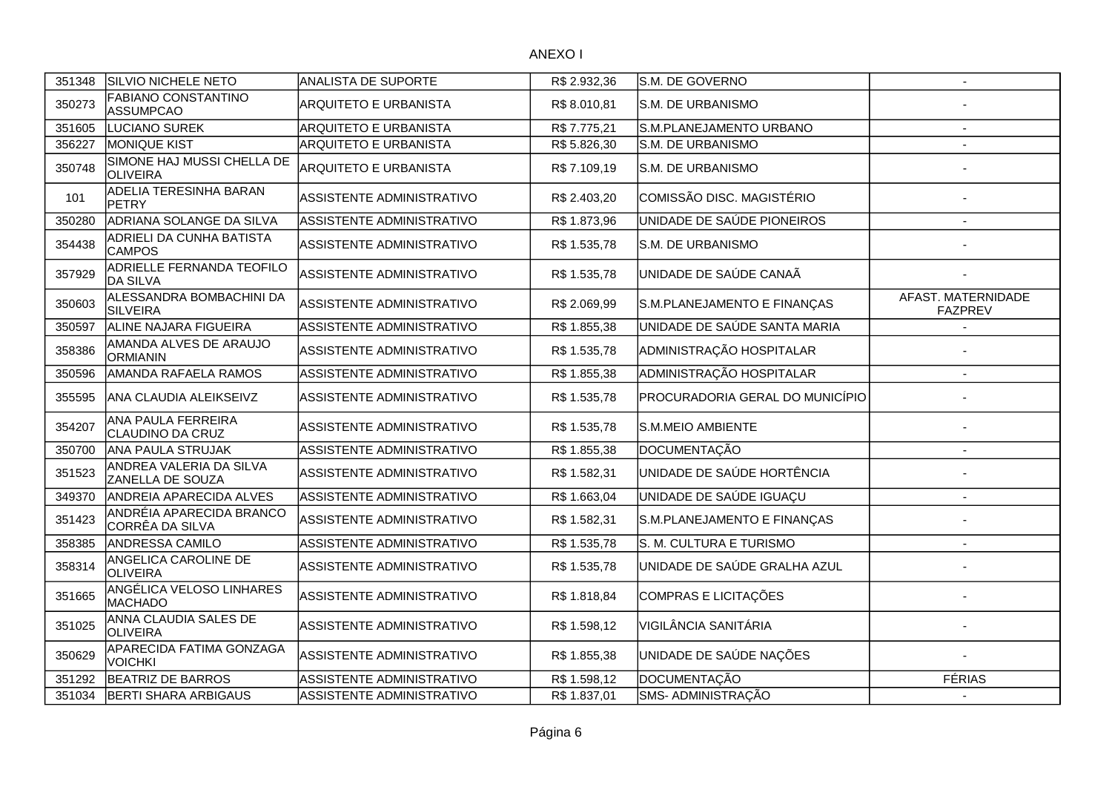| 351348 | SILVIO NICHELE NETO                           | ANALISTA DE SUPORTE          | R\$ 2.932,36 | S.M. DE GOVERNO                 | $\overline{\phantom{a}}$             |
|--------|-----------------------------------------------|------------------------------|--------------|---------------------------------|--------------------------------------|
| 350273 | <b>FABIANO CONSTANTINO</b><br>ASSUMPCAO       | <b>ARQUITETO E URBANISTA</b> | R\$8.010,81  | S.M. DE URBANISMO               |                                      |
| 351605 | LUCIANO SUREK                                 | <b>ARQUITETO E URBANISTA</b> | R\$ 7.775,21 | S.M.PLANEJAMENTO URBANO         |                                      |
| 356227 | MONIQUE KIST                                  | <b>ARQUITETO E URBANISTA</b> | R\$ 5.826,30 | S.M. DE URBANISMO               |                                      |
| 350748 | SIMONE HAJ MUSSI CHELLA DE<br><b>OLIVEIRA</b> | <b>ARQUITETO E URBANISTA</b> | R\$7.109,19  | S.M. DE URBANISMO               |                                      |
| 101    | <b>ADELIA TERESINHA BARAN</b><br>PETRY        | ASSISTENTE ADMINISTRATIVO    | R\$ 2.403,20 | COMISSÃO DISC. MAGISTÉRIO       |                                      |
| 350280 | ADRIANA SOLANGE DA SILVA                      | ASSISTENTE ADMINISTRATIVO    | R\$1.873,96  | UNIDADE DE SAÚDE PIONEIROS      |                                      |
| 354438 | ADRIELI DA CUNHA BATISTA<br><b>CAMPOS</b>     | ASSISTENTE ADMINISTRATIVO    | R\$ 1.535,78 | S.M. DE URBANISMO               |                                      |
| 357929 | ADRIELLE FERNANDA TEOFILO<br><b>DA SILVA</b>  | ASSISTENTE ADMINISTRATIVO    | R\$ 1.535,78 | UNIDADE DE SAÚDE CANAÃ          |                                      |
| 350603 | ALESSANDRA BOMBACHINI DA<br><b>SILVEIRA</b>   | ASSISTENTE ADMINISTRATIVO    | R\$ 2.069,99 | S.M.PLANEJAMENTO E FINANÇAS     | AFAST. MATERNIDADE<br><b>FAZPREV</b> |
| 350597 | ALINE NAJARA FIGUEIRA                         | ASSISTENTE ADMINISTRATIVO    | R\$ 1.855,38 | UNIDADE DE SAÚDE SANTA MARIA    |                                      |
| 358386 | AMANDA ALVES DE ARAUJO<br><b>ORMIANIN</b>     | ASSISTENTE ADMINISTRATIVO    | R\$ 1.535,78 | ADMINISTRAÇÃO HOSPITALAR        |                                      |
| 350596 | AMANDA RAFAELA RAMOS                          | ASSISTENTE ADMINISTRATIVO    | R\$1.855,38  | ADMINISTRAÇÃO HOSPITALAR        | $\overline{a}$                       |
| 355595 | <b>ANA CLAUDIA ALEIKSEIVZ</b>                 | ASSISTENTE ADMINISTRATIVO    | R\$ 1.535,78 | PROCURADORIA GERAL DO MUNICÍPIO |                                      |
| 354207 | ANA PAULA FERREIRA<br>CLAUDINO DA CRUZ        | ASSISTENTE ADMINISTRATIVO    | R\$ 1.535,78 | S.M.MEIO AMBIENTE               |                                      |
| 350700 | ANA PAULA STRUJAK                             | ASSISTENTE ADMINISTRATIVO    | R\$ 1.855,38 | DOCUMENTAÇÃO                    | $\overline{\phantom{a}}$             |
| 351523 | ANDREA VALERIA DA SILVA<br>ZANELLA DE SOUZA   | ASSISTENTE ADMINISTRATIVO    | R\$ 1.582,31 | UNIDADE DE SAÚDE HORTÊNCIA      |                                      |
| 349370 | ANDREIA APARECIDA ALVES                       | ASSISTENTE ADMINISTRATIVO    | R\$ 1.663,04 | UNIDADE DE SAÚDE IGUAÇU         | $\sim$                               |
| 351423 | ANDRÉIA APARECIDA BRANCO<br>CORRÊA DA SILVA   | ASSISTENTE ADMINISTRATIVO    | R\$ 1.582,31 | S.M.PLANEJAMENTO E FINANÇAS     |                                      |
| 358385 | ANDRESSA CAMILO                               | ASSISTENTE ADMINISTRATIVO    | R\$ 1.535,78 | S. M. CULTURA E TURISMO         |                                      |
| 358314 | ANGELICA CAROLINE DE<br><b>OLIVEIRA</b>       | ASSISTENTE ADMINISTRATIVO    | R\$ 1.535,78 | UNIDADE DE SAÚDE GRALHA AZUL    |                                      |
| 351665 | ANGÉLICA VELOSO LINHARES<br>MACHADO           | ASSISTENTE ADMINISTRATIVO    | R\$ 1.818,84 | COMPRAS E LICITAÇÕES            |                                      |
| 351025 | ANNA CLAUDIA SALES DE<br><b>OLIVEIRA</b>      | ASSISTENTE ADMINISTRATIVO    | R\$ 1.598,12 | VIGILÂNCIA SANITÁRIA            |                                      |
| 350629 | APARECIDA FATIMA GONZAGA<br><b>VOICHKI</b>    | ASSISTENTE ADMINISTRATIVO    | R\$ 1.855,38 | UNIDADE DE SAÚDE NAÇÕES         |                                      |
| 351292 | <b>BEATRIZ DE BARROS</b>                      | ASSISTENTE ADMINISTRATIVO    | R\$ 1.598,12 | DOCUMENTAÇÃO                    | <b>FÉRIAS</b>                        |
| 351034 | <b>BERTI SHARA ARBIGAUS</b>                   | ASSISTENTE ADMINISTRATIVO    | R\$ 1.837,01 | SMS- ADMINISTRAÇÃO              |                                      |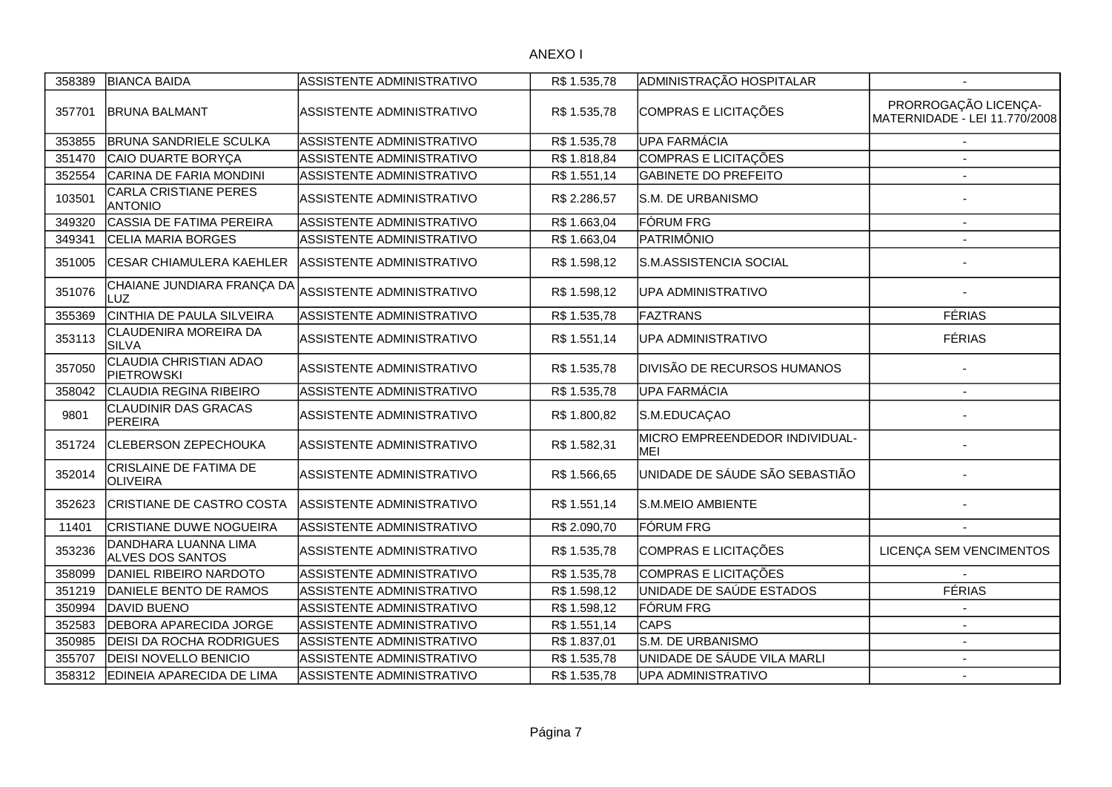| 358389 | <b>BIANCA BAIDA</b>                             | ASSISTENTE ADMINISTRATIVO        | R\$ 1.535,78 | ADMINISTRAÇÃO HOSPITALAR                     |                                                       |
|--------|-------------------------------------------------|----------------------------------|--------------|----------------------------------------------|-------------------------------------------------------|
| 357701 | <b>IBRUNA BALMANT</b>                           | ASSISTENTE ADMINISTRATIVO        | R\$ 1.535,78 | COMPRAS E LICITAÇÕES                         | PRORROGAÇÃO LICENÇA-<br>MATERNIDADE - LEI 11.770/2008 |
| 353855 | <b>BRUNA SANDRIELE SCULKA</b>                   | ASSISTENTE ADMINISTRATIVO        | R\$ 1.535,78 | UPA FARMÁCIA                                 |                                                       |
| 351470 | CAIO DUARTE BORYCA                              | ASSISTENTE ADMINISTRATIVO        | R\$1.818,84  | COMPRAS E LICITAÇÕES                         |                                                       |
| 352554 | CARINA DE FARIA MONDINI                         | ASSISTENTE ADMINISTRATIVO        | R\$ 1.551,14 | <b>GABINETE DO PREFEITO</b>                  |                                                       |
| 103501 | <b>CARLA CRISTIANE PERES</b><br><b>ANTONIO</b>  | ASSISTENTE ADMINISTRATIVO        | R\$ 2.286,57 | <b>S.M. DE URBANISMO</b>                     |                                                       |
| 349320 | CASSIA DE FATIMA PEREIRA                        | ASSISTENTE ADMINISTRATIVO        | R\$1.663,04  | <b>FÓRUM FRG</b>                             | $\overline{a}$                                        |
| 349341 | <b>CELIA MARIA BORGES</b>                       | ASSISTENTE ADMINISTRATIVO        | R\$ 1.663,04 | PATRIMÔNIO                                   |                                                       |
| 351005 | <b>CESAR CHIAMULERA KAEHLER</b>                 | ASSISTENTE ADMINISTRATIVO        | R\$ 1.598,12 | S.M.ASSISTENCIA SOCIAL                       |                                                       |
| 351076 | CHAIANE JUNDIARA FRANÇA DA<br>LUZ               | ASSISTENTE ADMINISTRATIVO        | R\$ 1.598,12 | UPA ADMINISTRATIVO                           |                                                       |
| 355369 | CINTHIA DE PAULA SILVEIRA                       | ASSISTENTE ADMINISTRATIVO        | R\$ 1.535,78 | FAZTRANS                                     | <b>FÉRIAS</b>                                         |
| 353113 | <b>CLAUDENIRA MOREIRA DA</b><br><b>SILVA</b>    | ASSISTENTE ADMINISTRATIVO        | R\$ 1.551,14 | <b>UPA ADMINISTRATIVO</b>                    | <b>FÉRIAS</b>                                         |
| 357050 | <b>CLAUDIA CHRISTIAN ADAO</b><br>PIETROWSKI     | ASSISTENTE ADMINISTRATIVO        | R\$ 1.535,78 | <b>DIVISÃO DE RECURSOS HUMANOS</b>           |                                                       |
| 358042 | CLAUDIA REGINA RIBEIRO                          | ASSISTENTE ADMINISTRATIVO        | R\$ 1.535,78 | <b>UPA FARMÁCIA</b>                          |                                                       |
| 9801   | <b>CLAUDINIR DAS GRACAS</b><br>PEREIRA          | ASSISTENTE ADMINISTRATIVO        | R\$ 1.800,82 | S.M.EDUCAÇAO                                 |                                                       |
| 351724 | <b>CLEBERSON ZEPECHOUKA</b>                     | ASSISTENTE ADMINISTRATIVO        | R\$ 1.582,31 | MICRO EMPREENDEDOR INDIVIDUAL-<br><b>MEI</b> |                                                       |
| 352014 | CRISLAINE DE FATIMA DE<br><b>OLIVEIRA</b>       | ASSISTENTE ADMINISTRATIVO        | R\$ 1.566,65 | UNIDADE DE SÁUDE SÃO SEBASTIÃO               |                                                       |
| 352623 | <b>ICRISTIANE DE CASTRO COSTA</b>               | <b>ASSISTENTE ADMINISTRATIVO</b> | R\$ 1.551,14 | <b>S.M.MEIO AMBIENTE</b>                     |                                                       |
| 11401  | <b>CRISTIANE DUWE NOGUEIRA</b>                  | ASSISTENTE ADMINISTRATIVO        | R\$ 2.090,70 | <b>FÓRUM FRG</b>                             |                                                       |
| 353236 | DANDHARA LUANNA LIMA<br><b>ALVES DOS SANTOS</b> | ASSISTENTE ADMINISTRATIVO        | R\$ 1.535,78 | COMPRAS E LICITAÇÕES                         | LICENÇA SEM VENCIMENTOS                               |
| 358099 | DANIEL RIBEIRO NARDOTO                          | ASSISTENTE ADMINISTRATIVO        | R\$ 1.535,78 | COMPRAS E LICITAÇÕES                         |                                                       |
| 351219 | DANIELE BENTO DE RAMOS                          | ASSISTENTE ADMINISTRATIVO        | R\$1.598,12  | UNIDADE DE SAÚDE ESTADOS                     | <b>FÉRIAS</b>                                         |
| 350994 | DAVID BUENO                                     | ASSISTENTE ADMINISTRATIVO        | R\$1.598,12  | <b>FÓRUM FRG</b>                             |                                                       |
| 352583 | <b>DEBORA APARECIDA JORGE</b>                   | ASSISTENTE ADMINISTRATIVO        | R\$ 1.551,14 | <b>CAPS</b>                                  | $\sim$                                                |
| 350985 | <b>DEISI DA ROCHA RODRIGUES</b>                 | ASSISTENTE ADMINISTRATIVO        | R\$ 1.837,01 | S.M. DE URBANISMO                            | $\blacksquare$                                        |
| 355707 | <b>DEISI NOVELLO BENICIO</b>                    | ASSISTENTE ADMINISTRATIVO        | R\$ 1.535,78 | UNIDADE DE SÁUDE VILA MARLI                  |                                                       |
| 358312 | EDINEIA APARECIDA DE LIMA                       | ASSISTENTE ADMINISTRATIVO        | R\$ 1.535,78 | UPA ADMINISTRATIVO                           | $\blacksquare$                                        |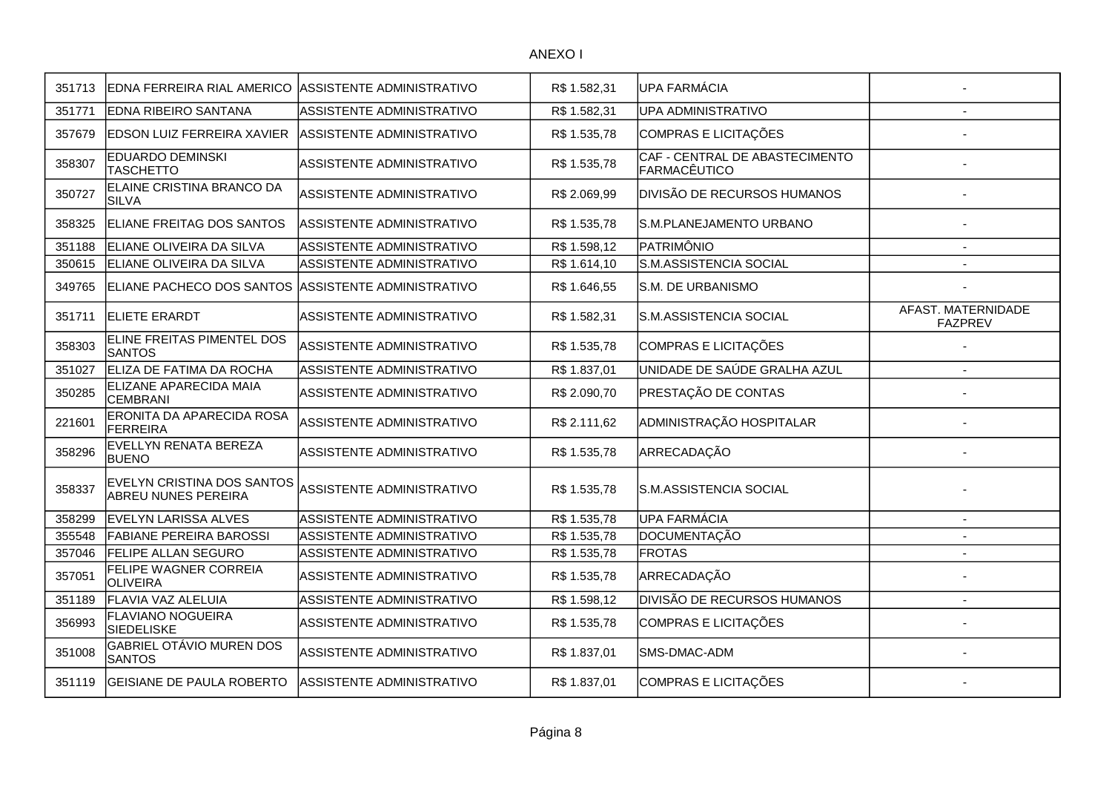| 351713 | EDNA FERREIRA RIAL AMERICO ASSISTENTE ADMINISTRATIVO     |                                  | R\$1.582,31  | <b>UPA FARMÁCIA</b>                            |                                      |
|--------|----------------------------------------------------------|----------------------------------|--------------|------------------------------------------------|--------------------------------------|
| 351771 | EDNA RIBEIRO SANTANA                                     | ASSISTENTE ADMINISTRATIVO        | R\$ 1.582,31 | UPA ADMINISTRATIVO                             |                                      |
| 357679 | <b>EDSON LUIZ FERREIRA XAVIER</b>                        | ASSISTENTE ADMINISTRATIVO        | R\$ 1.535,78 | COMPRAS E LICITAÇÕES                           |                                      |
| 358307 | EDUARDO DEMINSKI<br><b>TASCHETTO</b>                     | ASSISTENTE ADMINISTRATIVO        | R\$ 1.535,78 | CAF - CENTRAL DE ABASTECIMENTO<br>FARMACÊUTICO |                                      |
| 350727 | ELAINE CRISTINA BRANCO DA<br><b>SILVA</b>                | ASSISTENTE ADMINISTRATIVO        | R\$ 2.069,99 | <b>DIVISÃO DE RECURSOS HUMANOS</b>             |                                      |
| 358325 | ELIANE FREITAG DOS SANTOS                                | ASSISTENTE ADMINISTRATIVO        | R\$ 1.535,78 | S.M.PLANEJAMENTO URBANO                        |                                      |
| 351188 | ELIANE OLIVEIRA DA SILVA                                 | ASSISTENTE ADMINISTRATIVO        | R\$ 1.598,12 | PATRIMÔNIO                                     | $\overline{\phantom{a}}$             |
| 350615 | ELIANE OLIVEIRA DA SILVA                                 | ASSISTENTE ADMINISTRATIVO        | R\$ 1.614,10 | S.M.ASSISTENCIA SOCIAL                         |                                      |
| 349765 | ELIANE PACHECO DOS SANTOS ASSISTENTE ADMINISTRATIVO      |                                  | R\$ 1.646,55 | S.M. DE URBANISMO                              |                                      |
| 351711 | <b>ELIETE ERARDT</b>                                     | ASSISTENTE ADMINISTRATIVO        | R\$1.582,31  | S.M.ASSISTENCIA SOCIAL                         | AFAST. MATERNIDADE<br><b>FAZPREV</b> |
| 358303 | ELINE FREITAS PIMENTEL DOS<br><b>SANTOS</b>              | ASSISTENTE ADMINISTRATIVO        | R\$ 1.535,78 | COMPRAS E LICITAÇÕES                           |                                      |
| 351027 | ELIZA DE FATIMA DA ROCHA                                 | ASSISTENTE ADMINISTRATIVO        | R\$ 1.837,01 | UNIDADE DE SAÚDE GRALHA AZUL                   |                                      |
| 350285 | ELIZANE APARECIDA MAIA<br><b>CEMBRANI</b>                | ASSISTENTE ADMINISTRATIVO        | R\$ 2.090,70 | PRESTAÇÃO DE CONTAS                            |                                      |
| 221601 | ERONITA DA APARECIDA ROSA<br><b>FERREIRA</b>             | ASSISTENTE ADMINISTRATIVO        | R\$ 2.111,62 | ADMINISTRAÇÃO HOSPITALAR                       |                                      |
| 358296 | EVELLYN RENATA BEREZA<br><b>BUENO</b>                    | ASSISTENTE ADMINISTRATIVO        | R\$ 1.535,78 | ARRECADAÇÃO                                    |                                      |
| 358337 | EVELYN CRISTINA DOS SANTOS<br><b>ABREU NUNES PEREIRA</b> | ASSISTENTE ADMINISTRATIVO        | R\$ 1.535,78 | S.M.ASSISTENCIA SOCIAL                         |                                      |
| 358299 | EVELYN LARISSA ALVES                                     | ASSISTENTE ADMINISTRATIVO        | R\$ 1.535,78 | UPA FARMÁCIA                                   | $\overline{\phantom{a}}$             |
| 355548 | <b>FABIANE PEREIRA BAROSSI</b>                           | ASSISTENTE ADMINISTRATIVO        | R\$ 1.535,78 | DOCUMENTAÇÃO                                   |                                      |
| 357046 | <b>FELIPE ALLAN SEGURO</b>                               | <b>ASSISTENTE ADMINISTRATIVO</b> | R\$ 1.535,78 | <b>FROTAS</b>                                  | $\blacksquare$                       |
| 357051 | FELIPE WAGNER CORREIA<br><b>OLIVEIRA</b>                 | ASSISTENTE ADMINISTRATIVO        | R\$ 1.535,78 | ARRECADAÇÃO                                    |                                      |
| 351189 | FLAVIA VAZ ALELUIA                                       | ASSISTENTE ADMINISTRATIVO        | R\$ 1.598,12 | <b>DIVISÃO DE RECURSOS HUMANOS</b>             | $\overline{a}$                       |
| 356993 | FLAVIANO NOGUEIRA<br><b>SIEDELISKE</b>                   | ASSISTENTE ADMINISTRATIVO        | R\$ 1.535,78 | COMPRAS E LICITAÇÕES                           |                                      |
| 351008 | GABRIEL OTÁVIO MUREN DOS<br><b>SANTOS</b>                | ASSISTENTE ADMINISTRATIVO        | R\$ 1.837,01 | SMS-DMAC-ADM                                   |                                      |
| 351119 | GEISIANE DE PAULA ROBERTO                                | ASSISTENTE ADMINISTRATIVO        | R\$ 1.837,01 | COMPRAS E LICITAÇÕES                           |                                      |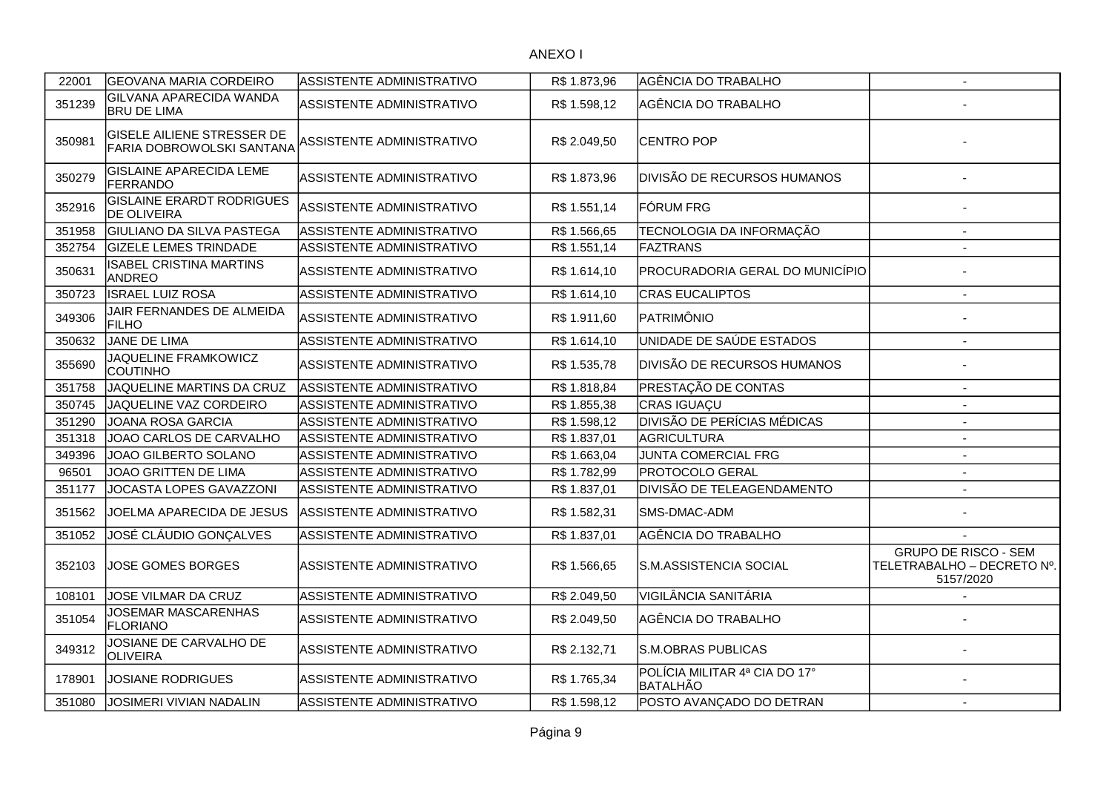| 22001  | <b>GEOVANA MARIA CORDEIRO</b>                                  | ASSISTENTE ADMINISTRATIVO        | R\$ 1.873,96 | AGÊNCIA DO TRABALHO                              | $\mathbf{r}$                                                           |
|--------|----------------------------------------------------------------|----------------------------------|--------------|--------------------------------------------------|------------------------------------------------------------------------|
| 351239 | <b>GILVANA APARECIDA WANDA</b><br><b>BRU DE LIMA</b>           | ASSISTENTE ADMINISTRATIVO        | R\$ 1.598,12 | AGÊNCIA DO TRABALHO                              |                                                                        |
| 350981 | <b>GISELE AILIENE STRESSER DE</b><br>FARIA DOBROWOLSKI SANTANA | ASSISTENTE ADMINISTRATIVO        | R\$ 2.049,50 | <b>CENTRO POP</b>                                |                                                                        |
| 350279 | <b>GISLAINE APARECIDA LEME</b><br>FERRANDO                     | ASSISTENTE ADMINISTRATIVO        | R\$ 1.873,96 | DIVISÃO DE RECURSOS HUMANOS                      |                                                                        |
| 352916 | <b>GISLAINE ERARDT RODRIGUES</b><br><b>DE OLIVEIRA</b>         | ASSISTENTE ADMINISTRATIVO        | R\$ 1.551,14 | FÓRUM FRG                                        |                                                                        |
| 351958 | GIULIANO DA SILVA PASTEGA                                      | ASSISTENTE ADMINISTRATIVO        | R\$1.566,65  | TECNOLOGIA DA INFORMAÇÃO                         | $\sim$                                                                 |
| 352754 | <b>GIZELE LEMES TRINDADE</b>                                   | ASSISTENTE ADMINISTRATIVO        | R\$ 1.551,14 | <b>FAZTRANS</b>                                  | $\blacksquare$                                                         |
| 350631 | <b>ISABEL CRISTINA MARTINS</b><br>ANDREO                       | ASSISTENTE ADMINISTRATIVO        | R\$ 1.614,10 | PROCURADORIA GERAL DO MUNICÍPIO                  |                                                                        |
| 350723 | <b>ISRAEL LUIZ ROSA</b>                                        | ASSISTENTE ADMINISTRATIVO        | R\$1.614,10  | <b>CRAS EUCALIPTOS</b>                           | $\blacksquare$                                                         |
| 349306 | JAIR FERNANDES DE ALMEIDA<br><b>FILHO</b>                      | ASSISTENTE ADMINISTRATIVO        | R\$ 1.911,60 | PATRIMÔNIO                                       |                                                                        |
| 350632 | JANE DE LIMA                                                   | ASSISTENTE ADMINISTRATIVO        | R\$ 1.614,10 | UNIDADE DE SAÚDE ESTADOS                         | $\overline{\phantom{a}}$                                               |
| 355690 | JAQUELINE FRAMKOWICZ<br><b>COUTINHO</b>                        | ASSISTENTE ADMINISTRATIVO        | R\$ 1.535,78 | DIVISÃO DE RECURSOS HUMANOS                      |                                                                        |
| 351758 | JAQUELINE MARTINS DA CRUZ                                      | ASSISTENTE ADMINISTRATIVO        | R\$1.818,84  | PRESTAÇÃO DE CONTAS                              | $\blacksquare$                                                         |
| 350745 | JAQUELINE VAZ CORDEIRO                                         | ASSISTENTE ADMINISTRATIVO        | R\$1.855,38  | CRAS IGUAÇU                                      |                                                                        |
| 351290 | JOANA ROSA GARCIA                                              | ASSISTENTE ADMINISTRATIVO        | R\$ 1.598,12 | <b>DIVISÃO DE PERÍCIAS MÉDICAS</b>               |                                                                        |
| 351318 | JOAO CARLOS DE CARVALHO                                        | <b>ASSISTENTE ADMINISTRATIVO</b> | R\$1.837,01  | AGRICULTURA                                      | $\blacksquare$                                                         |
| 349396 | JOAO GILBERTO SOLANO                                           | ASSISTENTE ADMINISTRATIVO        | R\$ 1.663,04 | JUNTA COMERCIAL FRG                              |                                                                        |
| 96501  | JOAO GRITTEN DE LIMA                                           | <b>ASSISTENTE ADMINISTRATIVO</b> | R\$ 1.782,99 | <b>PROTOCOLO GERAL</b>                           | $\sim$                                                                 |
| 351177 | JOCASTA LOPES GAVAZZONI                                        | ASSISTENTE ADMINISTRATIVO        | R\$1.837,01  | DIVISÃO DE TELEAGENDAMENTO                       | $\mathbf{r}$                                                           |
| 351562 | JOELMA APARECIDA DE JESUS                                      | ASSISTENTE ADMINISTRATIVO        | R\$ 1.582,31 | SMS-DMAC-ADM                                     |                                                                        |
| 351052 | JOSÉ CLÁUDIO GONÇALVES                                         | ASSISTENTE ADMINISTRATIVO        | R\$1.837,01  | AGÊNCIA DO TRABALHO                              |                                                                        |
| 352103 | JOSE GOMES BORGES                                              | ASSISTENTE ADMINISTRATIVO        | R\$ 1.566,65 | S.M.ASSISTENCIA SOCIAL                           | <b>GRUPO DE RISCO - SEM</b><br>TELETRABALHO - DECRETO Nº.<br>5157/2020 |
| 108101 | JOSE VILMAR DA CRUZ                                            | ASSISTENTE ADMINISTRATIVO        | R\$ 2.049,50 | VIGILÂNCIA SANITÁRIA                             |                                                                        |
| 351054 | JOSEMAR MASCARENHAS<br>FLORIANO                                | ASSISTENTE ADMINISTRATIVO        | R\$ 2.049,50 | AGÊNCIA DO TRABALHO                              |                                                                        |
| 349312 | JOSIANE DE CARVALHO DE<br>OLIVEIRA                             | ASSISTENTE ADMINISTRATIVO        | R\$ 2.132,71 | <b>S.M.OBRAS PUBLICAS</b>                        |                                                                        |
| 178901 | <b>JOSIANE RODRIGUES</b>                                       | ASSISTENTE ADMINISTRATIVO        | R\$1.765,34  | POLÍCIA MILITAR 4ª CIA DO 17°<br><b>BATALHÃO</b> |                                                                        |
| 351080 | <b>JOSIMERI VIVIAN NADALIN</b>                                 | ASSISTENTE ADMINISTRATIVO        | R\$ 1.598,12 | POSTO AVANÇADO DO DETRAN                         | $\blacksquare$                                                         |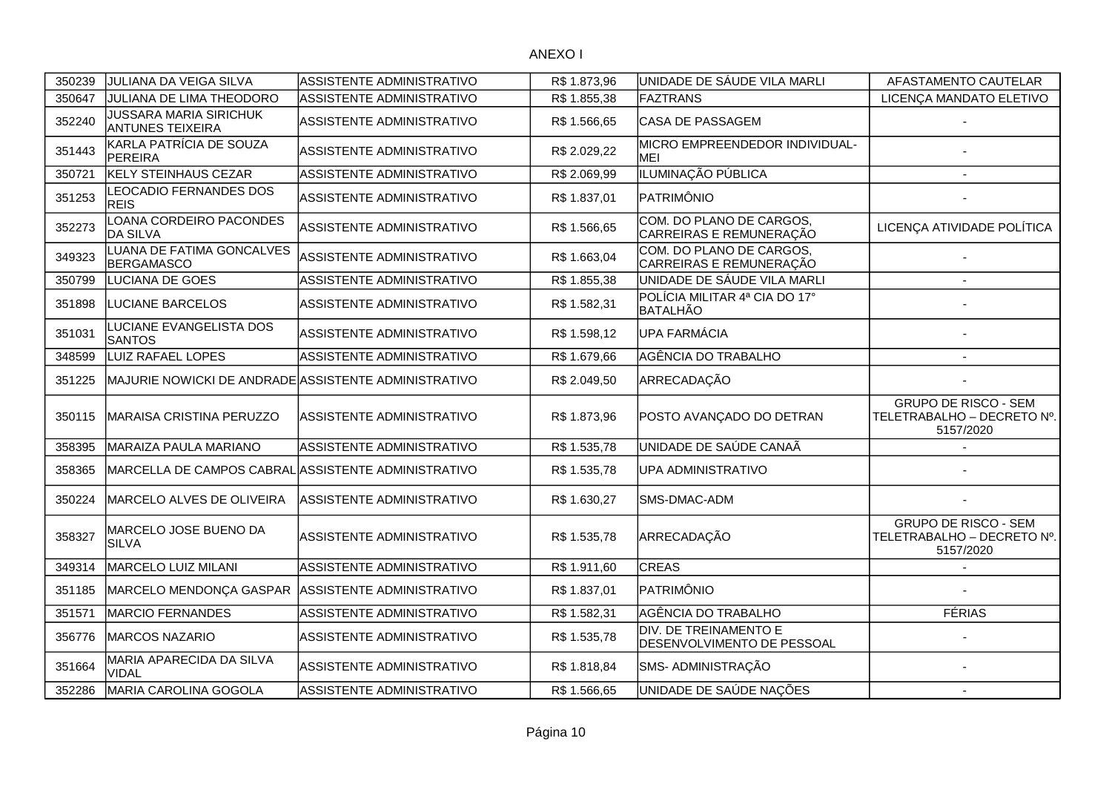| 350239 | JULIANA DA VEIGA SILVA                                   | <b>ASSISTENTE ADMINISTRATIVO</b> | R\$ 1.873,96 | UNIDADE DE SÁUDE VILA MARLI                         | AFASTAMENTO CAUTELAR                                                   |
|--------|----------------------------------------------------------|----------------------------------|--------------|-----------------------------------------------------|------------------------------------------------------------------------|
| 350647 | JULIANA DE LIMA THEODORO                                 | ASSISTENTE ADMINISTRATIVO        | R\$ 1.855,38 | <b>FAZTRANS</b>                                     | LICENÇA MANDATO ELETIVO                                                |
| 352240 | <b>JUSSARA MARIA SIRICHUK</b><br><b>ANTUNES TEIXEIRA</b> | ASSISTENTE ADMINISTRATIVO        | R\$ 1.566,65 | <b>CASA DE PASSAGEM</b>                             |                                                                        |
| 351443 | KARLA PATRÍCIA DE SOUZA<br><b>PEREIRA</b>                | ASSISTENTE ADMINISTRATIVO        | R\$ 2.029,22 | MICRO EMPREENDEDOR INDIVIDUAL-<br><b>MEI</b>        |                                                                        |
| 350721 | <b>KELY STEINHAUS CEZAR</b>                              | ASSISTENTE ADMINISTRATIVO        | R\$ 2.069,99 | ILUMINAÇÃO PÚBLICA                                  | $\blacksquare$                                                         |
| 351253 | LEOCADIO FERNANDES DOS<br><b>REIS</b>                    | ASSISTENTE ADMINISTRATIVO        | R\$ 1.837,01 | PATRIMÔNIO                                          |                                                                        |
| 352273 | LOANA CORDEIRO PACONDES<br><b>DA SILVA</b>               | ASSISTENTE ADMINISTRATIVO        | R\$ 1.566,65 | COM. DO PLANO DE CARGOS,<br>CARREIRAS E REMUNERAÇÃO | LICENÇA ATIVIDADE POLÍTICA                                             |
| 349323 | LUANA DE FATIMA GONCALVES<br><b>BERGAMASCO</b>           | ASSISTENTE ADMINISTRATIVO        | R\$ 1.663,04 | COM. DO PLANO DE CARGOS,<br>CARREIRAS E REMUNERAÇÃO |                                                                        |
| 350799 | LUCIANA DE GOES                                          | <b>ASSISTENTE ADMINISTRATIVO</b> | R\$ 1.855,38 | UNIDADE DE SÁUDE VILA MARLI                         |                                                                        |
| 351898 | LUCIANE BARCELOS                                         | ASSISTENTE ADMINISTRATIVO        | R\$1.582,31  | POLÍCIA MILITAR 4ª CIA DO 17°<br><b>BATALHÃO</b>    |                                                                        |
| 351031 | LUCIANE EVANGELISTA DOS<br><b>SANTOS</b>                 | ASSISTENTE ADMINISTRATIVO        | R\$ 1.598,12 | UPA FARMÁCIA                                        |                                                                        |
| 348599 | LUIZ RAFAEL LOPES                                        | ASSISTENTE ADMINISTRATIVO        | R\$1.679,66  | AGÊNCIA DO TRABALHO                                 |                                                                        |
| 351225 | MAJURIE NOWICKI DE ANDRADE ASSISTENTE ADMINISTRATIVO     |                                  | R\$ 2.049,50 | ARRECADAÇÃO                                         |                                                                        |
| 350115 | <b>MARAISA CRISTINA PERUZZO</b>                          | IASSISTENTE ADMINISTRATIVO       | R\$ 1.873,96 | POSTO AVANÇADO DO DETRAN                            | <b>GRUPO DE RISCO - SEM</b><br>TELETRABALHO - DECRETO Nº.<br>5157/2020 |
| 358395 | MARAIZA PAULA MARIANO                                    | ASSISTENTE ADMINISTRATIVO        | R\$ 1.535,78 | UNIDADE DE SAÚDE CANAÃ                              |                                                                        |
| 358365 | MARCELLA DE CAMPOS CABRAL ASSISTENTE ADMINISTRATIVO      |                                  | R\$ 1.535,78 | UPA ADMINISTRATIVO                                  |                                                                        |
| 350224 | MARCELO ALVES DE OLIVEIRA                                | ASSISTENTE ADMINISTRATIVO        | R\$ 1.630,27 | SMS-DMAC-ADM                                        |                                                                        |
| 358327 | MARCELO JOSE BUENO DA<br><b>SILVA</b>                    | ASSISTENTE ADMINISTRATIVO        | R\$ 1.535,78 | ARRECADAÇÃO                                         | <b>GRUPO DE RISCO - SEM</b><br>TELETRABALHO - DECRETO Nº.<br>5157/2020 |
| 349314 | MARCELO LUIZ MILANI                                      | ASSISTENTE ADMINISTRATIVO        | R\$ 1.911,60 | <b>CREAS</b>                                        |                                                                        |
| 351185 | MARCELO MENDONÇA GASPAR                                  | ASSISTENTE ADMINISTRATIVO        | R\$ 1.837,01 | PATRIMÔNIO                                          |                                                                        |
| 351571 | <b>MARCIO FERNANDES</b>                                  | ASSISTENTE ADMINISTRATIVO        | R\$ 1.582,31 | AGÊNCIA DO TRABALHO                                 | <b>FÉRIAS</b>                                                          |
| 356776 | <b>MARCOS NAZARIO</b>                                    | ASSISTENTE ADMINISTRATIVO        | R\$ 1.535,78 | DIV. DE TREINAMENTO E<br>DESENVOLVIMENTO DE PESSOAL |                                                                        |
| 351664 | MARIA APARECIDA DA SILVA<br><b>VIDAL</b>                 | ASSISTENTE ADMINISTRATIVO        | R\$1.818,84  | SMS- ADMINISTRAÇÃO                                  |                                                                        |
| 352286 | MARIA CAROLINA GOGOLA                                    | ASSISTENTE ADMINISTRATIVO        | R\$ 1.566,65 | UNIDADE DE SAÚDE NAÇÕES                             |                                                                        |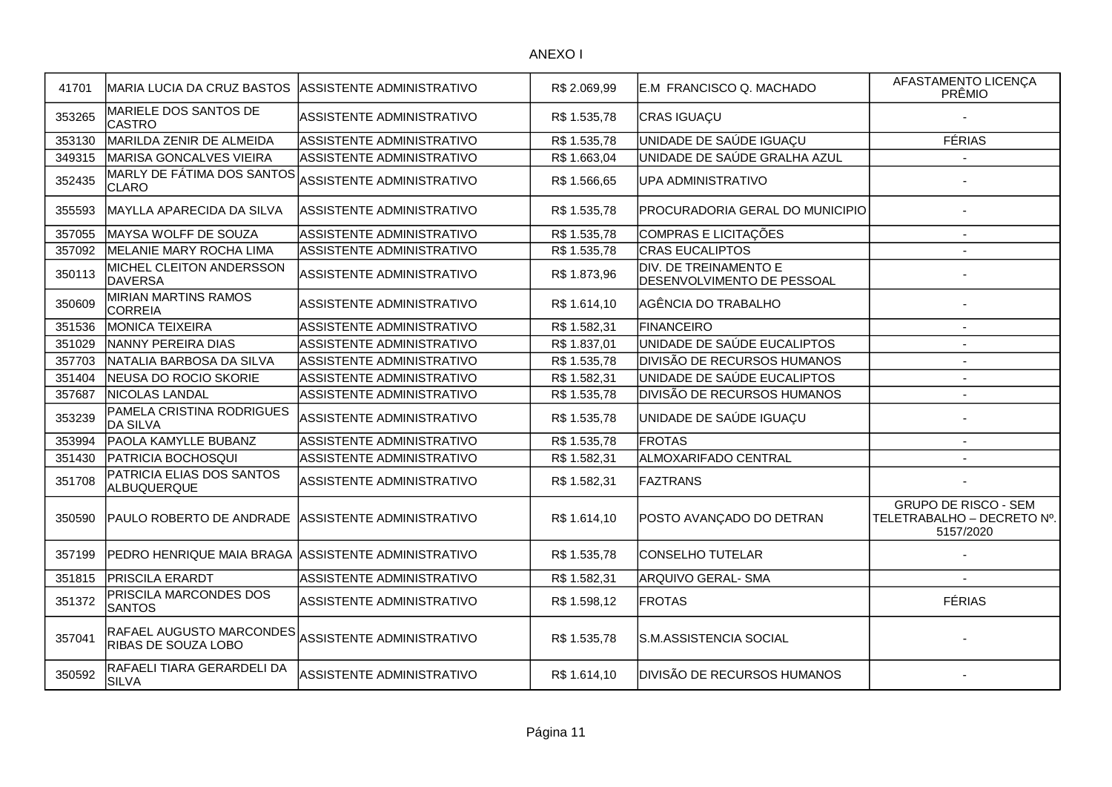| 41701  | <b>MARIA LUCIA DA CRUZ BASTOS</b>                                         | ASSISTENTE ADMINISTRATIVO        | R\$ 2.069,99 | E.M FRANCISCO Q. MACHADO                            | AFASTAMENTO LICENÇA<br>PRÊMIO                                          |
|--------|---------------------------------------------------------------------------|----------------------------------|--------------|-----------------------------------------------------|------------------------------------------------------------------------|
| 353265 | MARIELE DOS SANTOS DE<br><b>CASTRO</b>                                    | ASSISTENTE ADMINISTRATIVO        | R\$ 1.535,78 | CRAS IGUAÇU                                         |                                                                        |
| 353130 | MARILDA ZENIR DE ALMEIDA                                                  | ASSISTENTE ADMINISTRATIVO        | R\$ 1.535,78 | UNIDADE DE SAÚDE IGUAÇU                             | <b>FÉRIAS</b>                                                          |
| 349315 | <b>MARISA GONCALVES VIEIRA</b>                                            | <b>ASSISTENTE ADMINISTRATIVO</b> | R\$1.663,04  | UNIDADE DE SAÚDE GRALHA AZUL                        |                                                                        |
| 352435 | MARLY DE FÁTIMA DOS SANTOS<br><b>CLARO</b>                                | ASSISTENTE ADMINISTRATIVO        | R\$ 1.566,65 | <b>UPA ADMINISTRATIVO</b>                           |                                                                        |
| 355593 | MAYLLA APARECIDA DA SILVA                                                 | ASSISTENTE ADMINISTRATIVO        | R\$ 1.535,78 | PROCURADORIA GERAL DO MUNICIPIO                     |                                                                        |
| 357055 | MAYSA WOLFF DE SOUZA                                                      | ASSISTENTE ADMINISTRATIVO        | R\$ 1.535,78 | COMPRAS E LICITAÇÕES                                |                                                                        |
| 357092 | MELANIE MARY ROCHA LIMA                                                   | ASSISTENTE ADMINISTRATIVO        | R\$ 1.535,78 | <b>CRAS EUCALIPTOS</b>                              |                                                                        |
| 350113 | MICHEL CLEITON ANDERSSON<br><b>DAVERSA</b>                                | ASSISTENTE ADMINISTRATIVO        | R\$ 1.873,96 | DIV. DE TREINAMENTO E<br>DESENVOLVIMENTO DE PESSOAL |                                                                        |
| 350609 | MIRIAN MARTINS RAMOS<br><b>CORREIA</b>                                    | ASSISTENTE ADMINISTRATIVO        | R\$ 1.614,10 | AGÊNCIA DO TRABALHO                                 |                                                                        |
| 351536 | <b>MONICA TEIXEIRA</b>                                                    | ASSISTENTE ADMINISTRATIVO        | R\$ 1.582,31 | FINANCEIRO                                          |                                                                        |
| 351029 | NANNY PEREIRA DIAS                                                        | ASSISTENTE ADMINISTRATIVO        | R\$ 1.837,01 | UNIDADE DE SAÚDE EUCALIPTOS                         | $\overline{a}$                                                         |
| 357703 | NATALIA BARBOSA DA SILVA                                                  | ASSISTENTE ADMINISTRATIVO        | R\$ 1.535,78 | <b>DIVISÃO DE RECURSOS HUMANOS</b>                  |                                                                        |
| 351404 | NEUSA DO ROCIO SKORIE                                                     | <b>ASSISTENTE ADMINISTRATIVO</b> | R\$ 1.582,31 | UNIDADE DE SAÚDE EUCALIPTOS                         |                                                                        |
| 357687 | NICOLAS LANDAL                                                            | ASSISTENTE ADMINISTRATIVO        | R\$ 1.535,78 | <b>DIVISÃO DE RECURSOS HUMANOS</b>                  |                                                                        |
| 353239 | PAMELA CRISTINA RODRIGUES<br><b>DA SILVA</b>                              | ASSISTENTE ADMINISTRATIVO        | R\$ 1.535,78 | UNIDADE DE SAÚDE IGUAÇU                             |                                                                        |
| 353994 | PAOLA KAMYLLE BUBANZ                                                      | ASSISTENTE ADMINISTRATIVO        | R\$ 1.535,78 | <b>FROTAS</b>                                       |                                                                        |
| 351430 | <b>PATRICIA BOCHOSQUI</b>                                                 | ASSISTENTE ADMINISTRATIVO        | R\$ 1.582,31 | ALMOXARIFADO CENTRAL                                |                                                                        |
| 351708 | PATRICIA ELIAS DOS SANTOS<br>ALBUQUERQUE                                  | ASSISTENTE ADMINISTRATIVO        | R\$ 1.582,31 | FAZTRANS                                            |                                                                        |
| 350590 | PAULO ROBERTO DE ANDRADE ASSISTENTE ADMINISTRATIVO                        |                                  | R\$ 1.614,10 | POSTO AVANÇADO DO DETRAN                            | <b>GRUPO DE RISCO - SEM</b><br>TELETRABALHO - DECRETO Nº.<br>5157/2020 |
| 357199 | PEDRO HENRIQUE MAIA BRAGA ASSISTENTE ADMINISTRATIVO                       |                                  | R\$1.535,78  | <b>CONSELHO TUTELAR</b>                             |                                                                        |
| 351815 | PRISCILA ERARDT                                                           | <b>ASSISTENTE ADMINISTRATIVO</b> | R\$ 1.582,31 | <b>ARQUIVO GERAL- SMA</b>                           |                                                                        |
| 351372 | PRISCILA MARCONDES DOS<br><b>SANTOS</b>                                   | ASSISTENTE ADMINISTRATIVO        | R\$ 1.598,12 | <b>FROTAS</b>                                       | <b>FÉRIAS</b>                                                          |
| 357041 | RAFAEL AUGUSTO MARCONDES ASSISTENTE ADMINISTRATIVO<br>RIBAS DE SOUZA LOBO |                                  | R\$ 1.535,78 | lS.M.ASSISTENCIA SOCIAL                             |                                                                        |
| 350592 | RAFAELI TIARA GERARDELI DA<br><b>SILVA</b>                                | ASSISTENTE ADMINISTRATIVO        | R\$ 1.614,10 | <b>DIVISÃO DE RECURSOS HUMANOS</b>                  |                                                                        |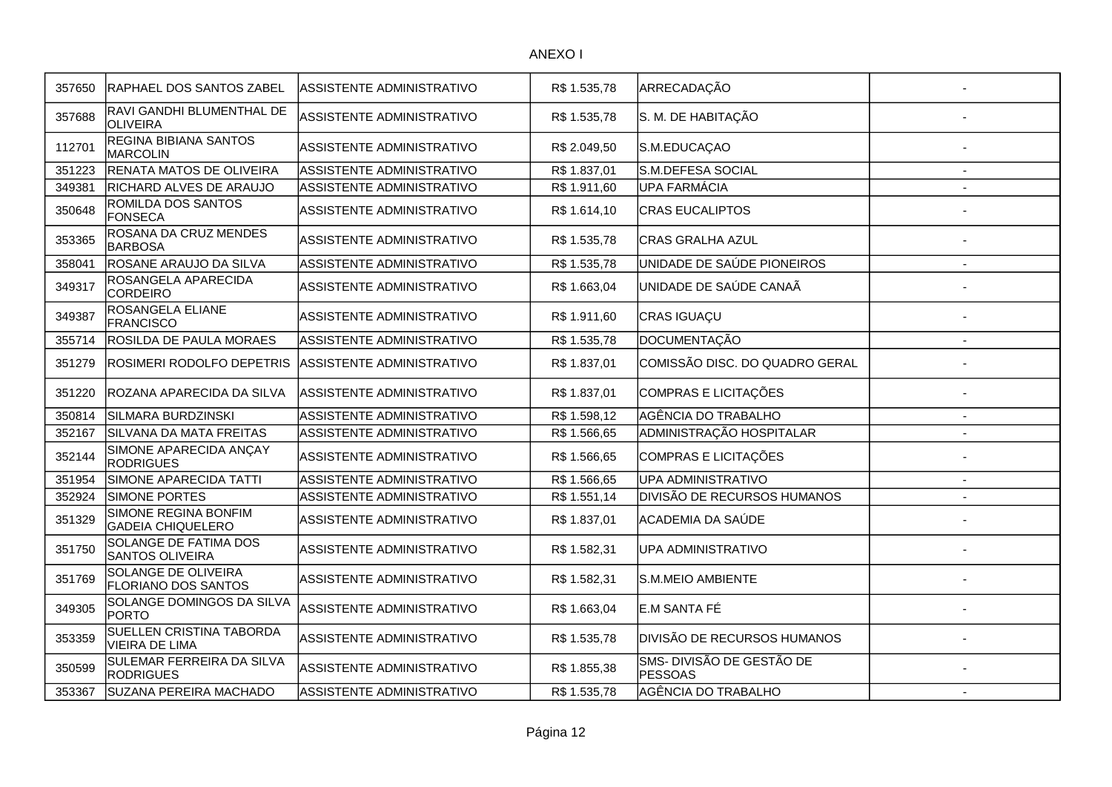| 357650 | RAPHAEL DOS SANTOS ZABEL                                 | ASSISTENTE ADMINISTRATIVO        | R\$ 1.535,78 | ARRECADAÇÃO                                 |                |
|--------|----------------------------------------------------------|----------------------------------|--------------|---------------------------------------------|----------------|
| 357688 | RAVI GANDHI BLUMENTHAL DE<br><b>OLIVEIRA</b>             | ASSISTENTE ADMINISTRATIVO        | R\$ 1.535,78 | S. M. DE HABITAÇÃO                          |                |
| 112701 | REGINA BIBIANA SANTOS<br>MARCOLIN                        | ASSISTENTE ADMINISTRATIVO        | R\$ 2.049,50 | S.M.EDUCAÇAO                                |                |
| 351223 | RENATA MATOS DE OLIVEIRA                                 | ASSISTENTE ADMINISTRATIVO        | R\$ 1.837,01 | S.M.DEFESA SOCIAL                           |                |
| 349381 | RICHARD ALVES DE ARAUJO                                  | ASSISTENTE ADMINISTRATIVO        | R\$ 1.911,60 | <b>UPA FARMÁCIA</b>                         |                |
| 350648 | ROMILDA DOS SANTOS<br>FONSECA                            | ASSISTENTE ADMINISTRATIVO        | R\$ 1.614,10 | <b>CRAS EUCALIPTOS</b>                      |                |
| 353365 | ROSANA DA CRUZ MENDES<br><b>BARBOSA</b>                  | ASSISTENTE ADMINISTRATIVO        | R\$ 1.535,78 | CRAS GRALHA AZUL                            |                |
| 358041 | ROSANE ARAUJO DA SILVA                                   | ASSISTENTE ADMINISTRATIVO        | R\$ 1.535,78 | UNIDADE DE SAÚDE PIONEIROS                  | $\overline{a}$ |
| 349317 | ROSANGELA APARECIDA<br>CORDEIRO                          | ASSISTENTE ADMINISTRATIVO        | R\$ 1.663,04 | UNIDADE DE SAÚDE CANAÃ                      |                |
| 349387 | ROSANGELA ELIANE<br>FRANCISCO                            | ASSISTENTE ADMINISTRATIVO        | R\$ 1.911,60 | CRAS IGUAÇU                                 |                |
| 355714 | <b>ROSILDA DE PAULA MORAES</b>                           | ASSISTENTE ADMINISTRATIVO        | R\$ 1.535,78 | <b>DOCUMENTAÇÃO</b>                         |                |
| 351279 | <b>ROSIMERI RODOLFO DEPETRIS</b>                         | ASSISTENTE ADMINISTRATIVO        | R\$ 1.837,01 | COMISSÃO DISC. DO QUADRO GERAL              |                |
| 351220 | ROZANA APARECIDA DA SILVA                                | <b>ASSISTENTE ADMINISTRATIVO</b> | R\$ 1.837,01 | COMPRAS E LICITAÇÕES                        |                |
| 350814 | <b>SILMARA BURDZINSKI</b>                                | ASSISTENTE ADMINISTRATIVO        | R\$ 1.598,12 | AGÊNCIA DO TRABALHO                         | $\blacksquare$ |
| 352167 | SILVANA DA MATA FREITAS                                  | ASSISTENTE ADMINISTRATIVO        | R\$ 1.566,65 | ADMINISTRAÇÃO HOSPITALAR                    |                |
| 352144 | SIMONE APARECIDA ANÇAY<br><b>RODRIGUES</b>               | ASSISTENTE ADMINISTRATIVO        | R\$ 1.566,65 | COMPRAS E LICITAÇÕES                        |                |
| 351954 | SIMONE APARECIDA TATTI                                   | ASSISTENTE ADMINISTRATIVO        | R\$1.566,65  | <b>UPA ADMINISTRATIVO</b>                   | $\blacksquare$ |
| 352924 | <b>SIMONE PORTES</b>                                     | ASSISTENTE ADMINISTRATIVO        | R\$ 1.551,14 | DIVISÃO DE RECURSOS HUMANOS                 | $\overline{a}$ |
| 351329 | SIMONE REGINA BONFIM<br><b>GADEIA CHIQUELERO</b>         | ASSISTENTE ADMINISTRATIVO        | R\$ 1.837,01 | ACADEMIA DA SAÚDE                           |                |
| 351750 | <b>SOLANGE DE FATIMA DOS</b><br><b>SANTOS OLIVEIRA</b>   | ASSISTENTE ADMINISTRATIVO        | R\$ 1.582,31 | <b>UPA ADMINISTRATIVO</b>                   |                |
| 351769 | <b>SOLANGE DE OLIVEIRA</b><br><b>FLORIANO DOS SANTOS</b> | ASSISTENTE ADMINISTRATIVO        | R\$ 1.582,31 | S.M.MEIO AMBIENTE                           |                |
| 349305 | SOLANGE DOMINGOS DA SILVA<br>PORTO                       | ASSISTENTE ADMINISTRATIVO        | R\$ 1.663,04 | E.M SANTA FÉ                                |                |
| 353359 | SUELLEN CRISTINA TABORDA<br>VIEIRA DE LIMA               | ASSISTENTE ADMINISTRATIVO        | R\$ 1.535,78 | DIVISÃO DE RECURSOS HUMANOS                 |                |
| 350599 | SULEMAR FERREIRA DA SILVA<br><b>RODRIGUES</b>            | ASSISTENTE ADMINISTRATIVO        | R\$ 1.855,38 | SMS- DIVISÃO DE GESTÃO DE<br><b>PESSOAS</b> |                |
| 353367 | SUZANA PEREIRA MACHADO                                   | ASSISTENTE ADMINISTRATIVO        | R\$1.535,78  | AGÊNCIA DO TRABALHO                         |                |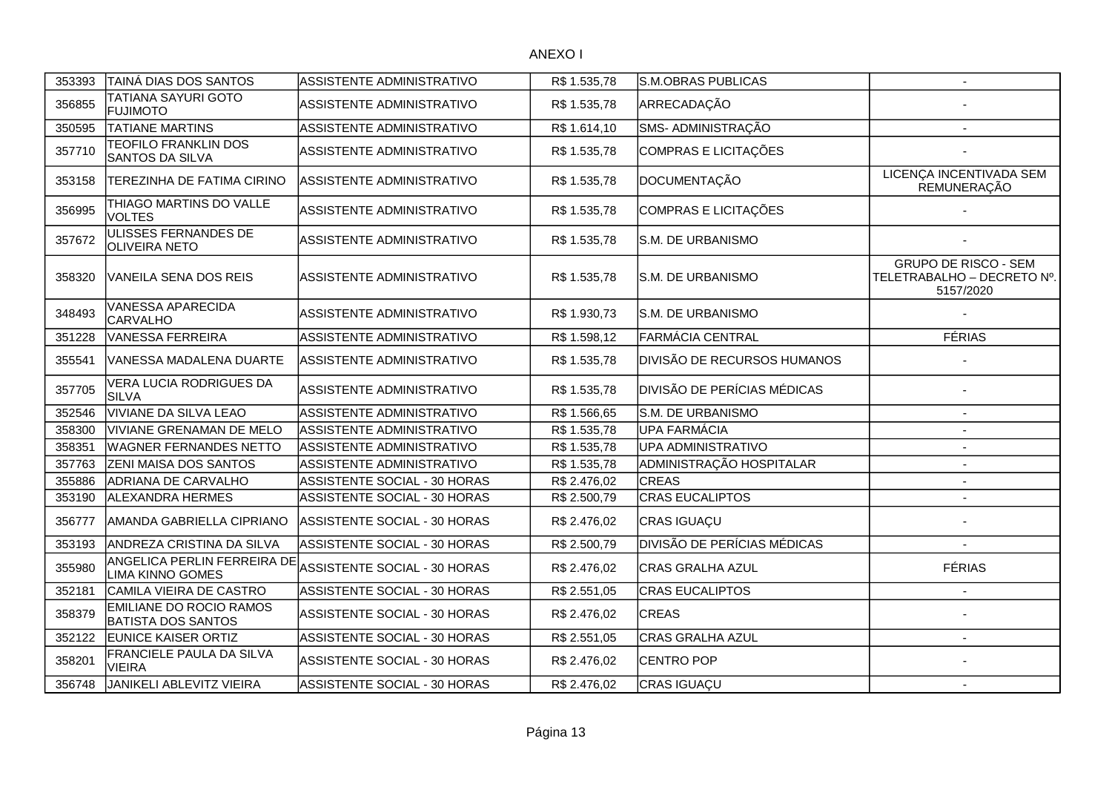| 353393 | TAINÁ DIAS DOS SANTOS                                       | ASSISTENTE ADMINISTRATIVO           | R\$ 1.535,78 | S.M.OBRAS PUBLICAS                 | $\blacksquare$                                                         |
|--------|-------------------------------------------------------------|-------------------------------------|--------------|------------------------------------|------------------------------------------------------------------------|
| 356855 | TATIANA SAYURI GOTO<br><b>FUJIMOTO</b>                      | ASSISTENTE ADMINISTRATIVO           | R\$ 1.535,78 | ARRECADAÇÃO                        |                                                                        |
| 350595 | <b>TATIANE MARTINS</b>                                      | ASSISTENTE ADMINISTRATIVO           | R\$1.614,10  | SMS- ADMINISTRAÇÃO                 |                                                                        |
| 357710 | <b>TEOFILO FRANKLIN DOS</b><br><b>SANTOS DA SILVA</b>       | <b>ASSISTENTE ADMINISTRATIVO</b>    | R\$ 1.535,78 | COMPRAS E LICITAÇÕES               |                                                                        |
| 353158 | TEREZINHA DE FATIMA CIRINO                                  | ASSISTENTE ADMINISTRATIVO           | R\$ 1.535,78 | DOCUMENTAÇÃO                       | LICENÇA INCENTIVADA SEM<br>REMUNERAÇÃO                                 |
| 356995 | THIAGO MARTINS DO VALLE<br><b>VOLTES</b>                    | ASSISTENTE ADMINISTRATIVO           | R\$ 1.535,78 | COMPRAS E LICITAÇÕES               |                                                                        |
| 357672 | ULISSES FERNANDES DE<br><b>OLIVEIRA NETO</b>                | ASSISTENTE ADMINISTRATIVO           | R\$ 1.535,78 | S.M. DE URBANISMO                  |                                                                        |
| 358320 | VANEILA SENA DOS REIS                                       | ASSISTENTE ADMINISTRATIVO           | R\$ 1.535,78 | S.M. DE URBANISMO                  | <b>GRUPO DE RISCO - SEM</b><br>TELETRABALHO - DECRETO Nº.<br>5157/2020 |
| 348493 | VANESSA APARECIDA<br><b>CARVALHO</b>                        | ASSISTENTE ADMINISTRATIVO           | R\$ 1.930,73 | S.M. DE URBANISMO                  |                                                                        |
| 351228 | <b>VANESSA FERREIRA</b>                                     | ASSISTENTE ADMINISTRATIVO           | R\$ 1.598,12 | FARMÁCIA CENTRAL                   | <b>FÉRIAS</b>                                                          |
| 355541 | VANESSA MADALENA DUARTE                                     | ASSISTENTE ADMINISTRATIVO           | R\$ 1.535,78 | <b>DIVISÃO DE RECURSOS HUMANOS</b> |                                                                        |
| 357705 | <b>VERA LUCIA RODRIGUES DA</b><br>SILVA                     | ASSISTENTE ADMINISTRATIVO           | R\$ 1.535,78 | <b>DIVISÃO DE PERÍCIAS MÉDICAS</b> |                                                                        |
| 352546 | <b>VIVIANE DA SILVA LEAO</b>                                | ASSISTENTE ADMINISTRATIVO           | R\$ 1.566,65 | S.M. DE URBANISMO                  | $\sim$                                                                 |
| 358300 | <b>VIVIANE GRENAMAN DE MELO</b>                             | ASSISTENTE ADMINISTRATIVO           | R\$ 1.535,78 | UPA FARMÁCIA                       |                                                                        |
| 358351 | <b>WAGNER FERNANDES NETTO</b>                               | ASSISTENTE ADMINISTRATIVO           | R\$ 1.535,78 | UPA ADMINISTRATIVO                 |                                                                        |
| 357763 | ZENI MAISA DOS SANTOS                                       | ASSISTENTE ADMINISTRATIVO           | R\$ 1.535,78 | ADMINISTRAÇÃO HOSPITALAR           | $\overline{\phantom{a}}$                                               |
| 355886 | <b>ADRIANA DE CARVALHO</b>                                  | <b>ASSISTENTE SOCIAL - 30 HORAS</b> | R\$ 2.476,02 | <b>CREAS</b>                       | $\sim$                                                                 |
| 353190 | <b>ALEXANDRA HERMES</b>                                     | ASSISTENTE SOCIAL - 30 HORAS        | R\$ 2.500,79 | <b>CRAS EUCALIPTOS</b>             | $\blacksquare$                                                         |
| 356777 | AMANDA GABRIELLA CIPRIANO                                   | ASSISTENTE SOCIAL - 30 HORAS        | R\$ 2.476,02 | CRAS IGUAÇU                        |                                                                        |
| 353193 | ANDREZA CRISTINA DA SILVA                                   | ASSISTENTE SOCIAL - 30 HORAS        | R\$ 2.500,79 | <b>DIVISÃO DE PERÍCIAS MÉDICAS</b> |                                                                        |
| 355980 | ANGELICA PERLIN FERREIRA DE<br><b>LIMA KINNO GOMES</b>      | ASSISTENTE SOCIAL - 30 HORAS        | R\$ 2.476,02 | CRAS GRALHA AZUL                   | <b>FÉRIAS</b>                                                          |
| 352181 | CAMILA VIEIRA DE CASTRO                                     | ASSISTENTE SOCIAL - 30 HORAS        | R\$ 2.551,05 | <b>CRAS EUCALIPTOS</b>             | $\overline{\phantom{a}}$                                               |
| 358379 | <b>EMILIANE DO ROCIO RAMOS</b><br><b>BATISTA DOS SANTOS</b> | ASSISTENTE SOCIAL - 30 HORAS        | R\$ 2.476,02 | <b>CREAS</b>                       |                                                                        |
| 352122 | <b>EUNICE KAISER ORTIZ</b>                                  | ASSISTENTE SOCIAL - 30 HORAS        | R\$ 2.551,05 | CRAS GRALHA AZUL                   |                                                                        |
| 358201 | FRANCIELE PAULA DA SILVA<br><b>VIEIRA</b>                   | <b>ASSISTENTE SOCIAL - 30 HORAS</b> | R\$ 2.476,02 | <b>CENTRO POP</b>                  |                                                                        |
| 356748 | JANIKELI ABLEVITZ VIEIRA                                    | ASSISTENTE SOCIAL - 30 HORAS        | R\$ 2.476,02 | CRAS IGUAÇU                        |                                                                        |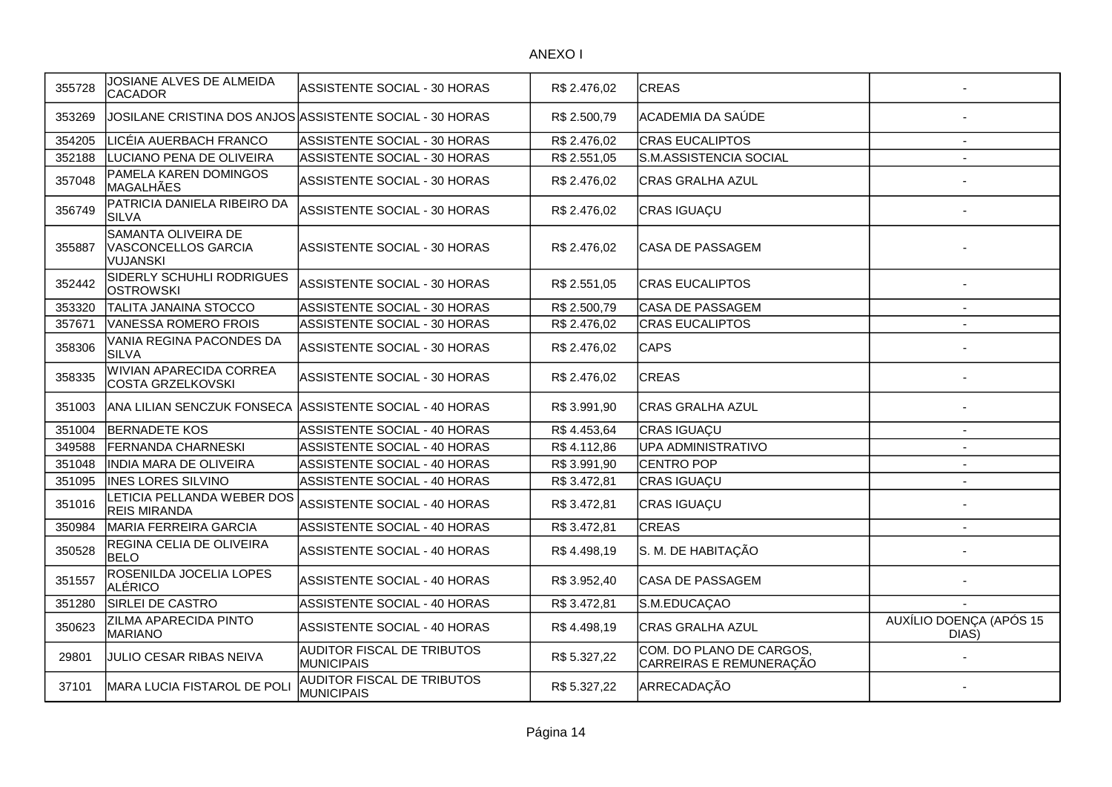| 355728 | JOSIANE ALVES DE ALMEIDA<br><b>CACADOR</b>             | ASSISTENTE SOCIAL - 30 HORAS                             | R\$ 2.476,02 | <b>CREAS</b>                                        |                                  |
|--------|--------------------------------------------------------|----------------------------------------------------------|--------------|-----------------------------------------------------|----------------------------------|
| 353269 |                                                        | JOSILANE CRISTINA DOS ANJOS ASSISTENTE SOCIAL - 30 HORAS | R\$ 2.500,79 | ACADEMIA DA SAÚDE                                   |                                  |
| 354205 | LICÉIA AUERBACH FRANCO                                 | ASSISTENTE SOCIAL - 30 HORAS                             | R\$ 2.476,02 | <b>CRAS EUCALIPTOS</b>                              | $\sim$                           |
| 352188 | LUCIANO PENA DE OLIVEIRA                               | ASSISTENTE SOCIAL - 30 HORAS                             | R\$ 2.551,05 | S.M.ASSISTENCIA SOCIAL                              | $\overline{a}$                   |
| 357048 | PAMELA KAREN DOMINGOS<br><b>MAGALHÃES</b>              | ASSISTENTE SOCIAL - 30 HORAS                             | R\$ 2.476,02 | CRAS GRALHA AZUL                                    |                                  |
| 356749 | PATRICIA DANIELA RIBEIRO DA<br><b>SILVA</b>            | ASSISTENTE SOCIAL - 30 HORAS                             | R\$ 2.476,02 | CRAS IGUAÇU                                         |                                  |
| 355887 | SAMANTA OLIVEIRA DE<br>VASCONCELLOS GARCIA<br>VUJANSKI | ASSISTENTE SOCIAL - 30 HORAS                             | R\$ 2.476,02 | CASA DE PASSAGEM                                    |                                  |
| 352442 | SIDERLY SCHUHLI RODRIGUES<br>OSTROWSKI                 | ASSISTENTE SOCIAL - 30 HORAS                             | R\$ 2.551,05 | <b>CRAS EUCALIPTOS</b>                              |                                  |
| 353320 | TALITA JANAINA STOCCO                                  | ASSISTENTE SOCIAL - 30 HORAS                             | R\$ 2.500,79 | CASA DE PASSAGEM                                    | $\sim$                           |
| 357671 | VANESSA ROMERO FROIS                                   | ASSISTENTE SOCIAL - 30 HORAS                             | R\$ 2.476,02 | <b>CRAS EUCALIPTOS</b>                              |                                  |
| 358306 | VANIA REGINA PACONDES DA<br><b>SILVA</b>               | ASSISTENTE SOCIAL - 30 HORAS                             | R\$ 2.476,02 | <b>CAPS</b>                                         |                                  |
| 358335 | WIVIAN APARECIDA CORREA<br><b>COSTA GRZELKOVSKI</b>    | ASSISTENTE SOCIAL - 30 HORAS                             | R\$ 2.476,02 | <b>CREAS</b>                                        |                                  |
| 351003 |                                                        | ANA LILIAN SENCZUK FONSECA ASSISTENTE SOCIAL - 40 HORAS  | R\$ 3.991,90 | CRAS GRALHA AZUL                                    |                                  |
| 351004 | <b>BERNADETE KOS</b>                                   | ASSISTENTE SOCIAL - 40 HORAS                             | R\$4.453,64  | CRAS IGUAÇU                                         |                                  |
| 349588 | <b>FERNANDA CHARNESKI</b>                              | ASSISTENTE SOCIAL - 40 HORAS                             | R\$4.112,86  | <b>UPA ADMINISTRATIVO</b>                           |                                  |
| 351048 | INDIA MARA DE OLIVEIRA                                 | ASSISTENTE SOCIAL - 40 HORAS                             | R\$ 3.991,90 | <b>CENTRO POP</b>                                   | $\overline{a}$                   |
| 351095 | <b>INES LORES SILVINO</b>                              | ASSISTENTE SOCIAL - 40 HORAS                             | R\$ 3.472,81 | CRAS IGUAÇU                                         |                                  |
| 351016 | LETICIA PELLANDA WEBER DOS<br><b>REIS MIRANDA</b>      | ASSISTENTE SOCIAL - 40 HORAS                             | R\$ 3.472,81 | CRAS IGUAÇU                                         |                                  |
| 350984 | MARIA FERREIRA GARCIA                                  | <b>ASSISTENTE SOCIAL - 40 HORAS</b>                      | R\$3.472,81  | <b>CREAS</b>                                        |                                  |
| 350528 | REGINA CELIA DE OLIVEIRA<br><b>BELO</b>                | ASSISTENTE SOCIAL - 40 HORAS                             | R\$4.498,19  | S. M. DE HABITAÇÃO                                  |                                  |
| 351557 | ROSENILDA JOCELIA LOPES<br>ALÉRICO                     | ASSISTENTE SOCIAL - 40 HORAS                             | R\$ 3.952,40 | CASA DE PASSAGEM                                    |                                  |
| 351280 | SIRLEI DE CASTRO                                       | <b>ASSISTENTE SOCIAL - 40 HORAS</b>                      | R\$3.472,81  | S.M.EDUCAÇAO                                        |                                  |
| 350623 | ZILMA APARECIDA PINTO<br>MARIANO                       | ASSISTENTE SOCIAL - 40 HORAS                             | R\$4.498,19  | <b>CRAS GRALHA AZUL</b>                             | AUXÍLIO DOENÇA (APÓS 15<br>DIAS) |
| 29801  | JULIO CESAR RIBAS NEIVA                                | AUDITOR FISCAL DE TRIBUTOS<br><b>MUNICIPAIS</b>          | R\$ 5.327,22 | COM. DO PLANO DE CARGOS,<br>CARREIRAS E REMUNERAÇÃO |                                  |
| 37101  | MARA LUCIA FISTAROL DE POLI                            | AUDITOR FISCAL DE TRIBUTOS<br><b>MUNICIPAIS</b>          | R\$ 5.327,22 | ARRECADAÇÃO                                         |                                  |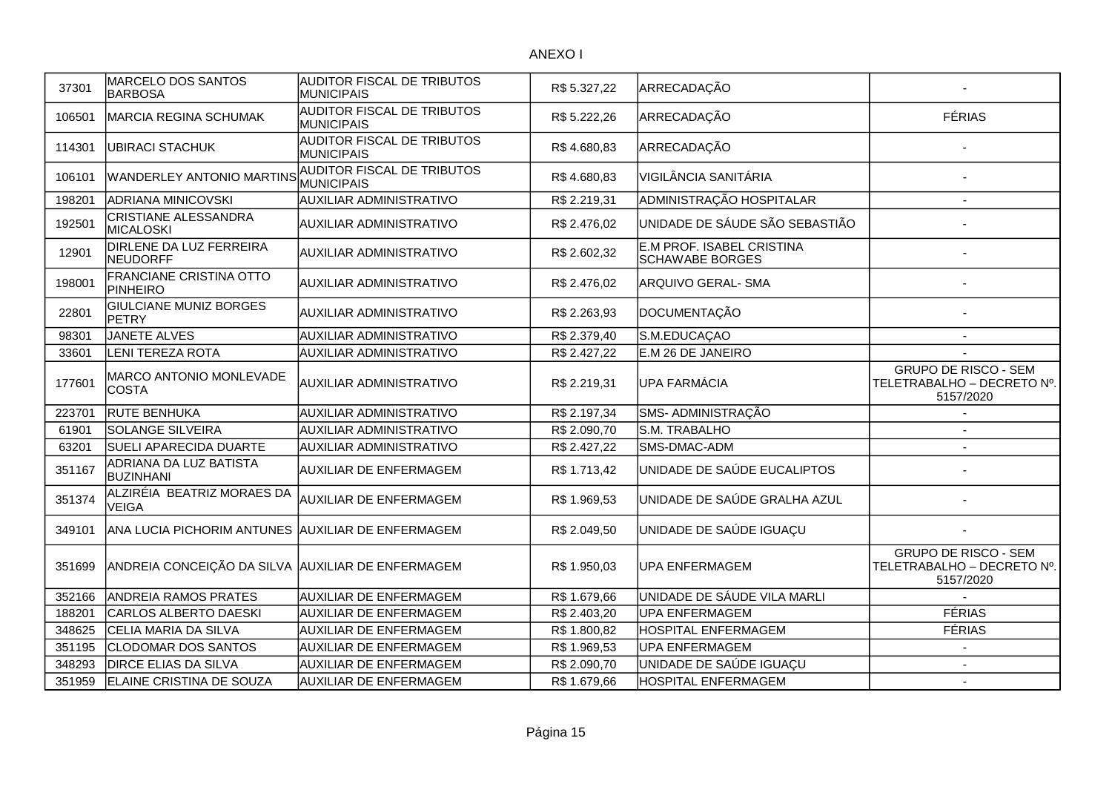| 37301  | MARCELO DOS SANTOS<br><b>BARBOSA</b>              | AUDITOR FISCAL DE TRIBUTOS<br><b>MUNICIPAIS</b>        | R\$ 5.327,22 | ARRECADAÇÃO                                         |                                                                        |
|--------|---------------------------------------------------|--------------------------------------------------------|--------------|-----------------------------------------------------|------------------------------------------------------------------------|
| 106501 | MARCIA REGINA SCHUMAK                             | <b>AUDITOR FISCAL DE TRIBUTOS</b><br>MUNICIPAIS        | R\$ 5.222,26 | ARRECADAÇÃO                                         | <b>FÉRIAS</b>                                                          |
| 114301 | <b>UBIRACI STACHUK</b>                            | <b>AUDITOR FISCAL DE TRIBUTOS</b><br><b>MUNICIPAIS</b> | R\$4.680,83  | ARRECADAÇÃO                                         |                                                                        |
| 106101 | WANDERLEY ANTONIO MARTINS                         | AUDITOR FISCAL DE TRIBUTOS<br>MUNICIPAIS               | R\$4.680,83  | VIGILÂNCIA SANITÁRIA                                |                                                                        |
| 198201 | <b>ADRIANA MINICOVSKI</b>                         | <b>AUXILIAR ADMINISTRATIVO</b>                         | R\$ 2.219,31 | ADMINISTRAÇÃO HOSPITALAR                            |                                                                        |
| 192501 | <b>CRISTIANE ALESSANDRA</b><br><b>MICALOSKI</b>   | <b>AUXILIAR ADMINISTRATIVO</b>                         | R\$ 2.476,02 | UNIDADE DE SÁUDE SÃO SEBASTIÃO                      |                                                                        |
| 12901  | DIRLENE DA LUZ FERREIRA<br><b>NEUDORFF</b>        | <b>AUXILIAR ADMINISTRATIVO</b>                         | R\$ 2.602,32 | E.M PROF. ISABEL CRISTINA<br><b>SCHAWABE BORGES</b> |                                                                        |
| 198001 | FRANCIANE CRISTINA OTTO<br>PINHEIRO               | <b>AUXILIAR ADMINISTRATIVO</b>                         | R\$ 2.476,02 | ARQUIVO GERAL- SMA                                  |                                                                        |
| 22801  | <b>GIULCIANE MUNIZ BORGES</b><br><b>PETRY</b>     | <b>AUXILIAR ADMINISTRATIVO</b>                         | R\$ 2.263,93 | DOCUMENTAÇÃO                                        |                                                                        |
| 98301  | JANETE ALVES                                      | <b>AUXILIAR ADMINISTRATIVO</b>                         | R\$ 2.379,40 | S.M.EDUCAÇAO                                        |                                                                        |
| 33601  | <b>LENI TEREZA ROTA</b>                           | AUXILIAR ADMINISTRATIVO                                | R\$ 2.427,22 | E.M 26 DE JANEIRO                                   |                                                                        |
| 177601 | MARCO ANTONIO MONLEVADE<br><b>COSTA</b>           | <b>AUXILIAR ADMINISTRATIVO</b>                         | R\$ 2.219,31 | UPA FARMÁCIA                                        | <b>GRUPO DE RISCO - SEM</b><br>TELETRABALHO - DECRETO Nº.<br>5157/2020 |
| 223701 | <b>RUTE BENHUKA</b>                               | <b>AUXILIAR ADMINISTRATIVO</b>                         | R\$ 2.197,34 | SMS- ADMINISTRAÇÃO                                  |                                                                        |
| 61901  | SOLANGE SILVEIRA                                  | <b>AUXILIAR ADMINISTRATIVO</b>                         | R\$ 2.090,70 | S.M. TRABALHO                                       | $\overline{\phantom{a}}$                                               |
| 63201  | <b>SUELI APARECIDA DUARTE</b>                     | AUXILIAR ADMINISTRATIVO                                | R\$ 2.427,22 | SMS-DMAC-ADM                                        | $\overline{\phantom{a}}$                                               |
| 351167 | ADRIANA DA LUZ BATISTA<br><b>BUZINHANI</b>        | <b>AUXILIAR DE ENFERMAGEM</b>                          | R\$1.713,42  | UNIDADE DE SAÚDE EUCALIPTOS                         |                                                                        |
| 351374 | ALZIRÉIA BEATRIZ MORAES DA<br><b>VEIGA</b>        | <b>AUXILIAR DE ENFERMAGEM</b>                          | R\$ 1.969,53 | UNIDADE DE SAÚDE GRALHA AZUL                        |                                                                        |
| 349101 | ANA LUCIA PICHORIM ANTUNES AUXILIAR DE ENFERMAGEM |                                                        | R\$ 2.049,50 | UNIDADE DE SAÚDE IGUAÇU                             |                                                                        |
| 351699 | ANDREIA CONCEIÇÃO DA SILVA AUXILIAR DE ENFERMAGEM |                                                        | R\$ 1.950,03 | <b>UPA ENFERMAGEM</b>                               | <b>GRUPO DE RISCO - SEM</b><br>TELETRABALHO - DECRETO Nº.<br>5157/2020 |
| 352166 | <b>ANDREIA RAMOS PRATES</b>                       | <b>AUXILIAR DE ENFERMAGEM</b>                          | R\$ 1.679,66 | UNIDADE DE SÁUDE VILA MARLI                         |                                                                        |
| 188201 | CARLOS ALBERTO DAESKI                             | <b>AUXILIAR DE ENFERMAGEM</b>                          | R\$ 2.403,20 | <b>UPA ENFERMAGEM</b>                               | <b>FÉRIAS</b>                                                          |
| 348625 | CELIA MARIA DA SILVA                              | <b>AUXILIAR DE ENFERMAGEM</b>                          | R\$ 1.800,82 | <b>HOSPITAL ENFERMAGEM</b>                          | <b>FÉRIAS</b>                                                          |
| 351195 | <b>CLODOMAR DOS SANTOS</b>                        | <b>AUXILIAR DE ENFERMAGEM</b>                          | R\$ 1.969,53 | <b>UPA ENFERMAGEM</b>                               | $\overline{\phantom{a}}$                                               |
| 348293 | <b>DIRCE ELIAS DA SILVA</b>                       | <b>AUXILIAR DE ENFERMAGEM</b>                          | R\$ 2.090,70 | UNIDADE DE SAÚDE IGUAÇU                             | $\sim$                                                                 |
| 351959 | ELAINE CRISTINA DE SOUZA                          | <b>AUXILIAR DE ENFERMAGEM</b>                          | R\$ 1.679,66 | <b>HOSPITAL ENFERMAGEM</b>                          | $\blacksquare$                                                         |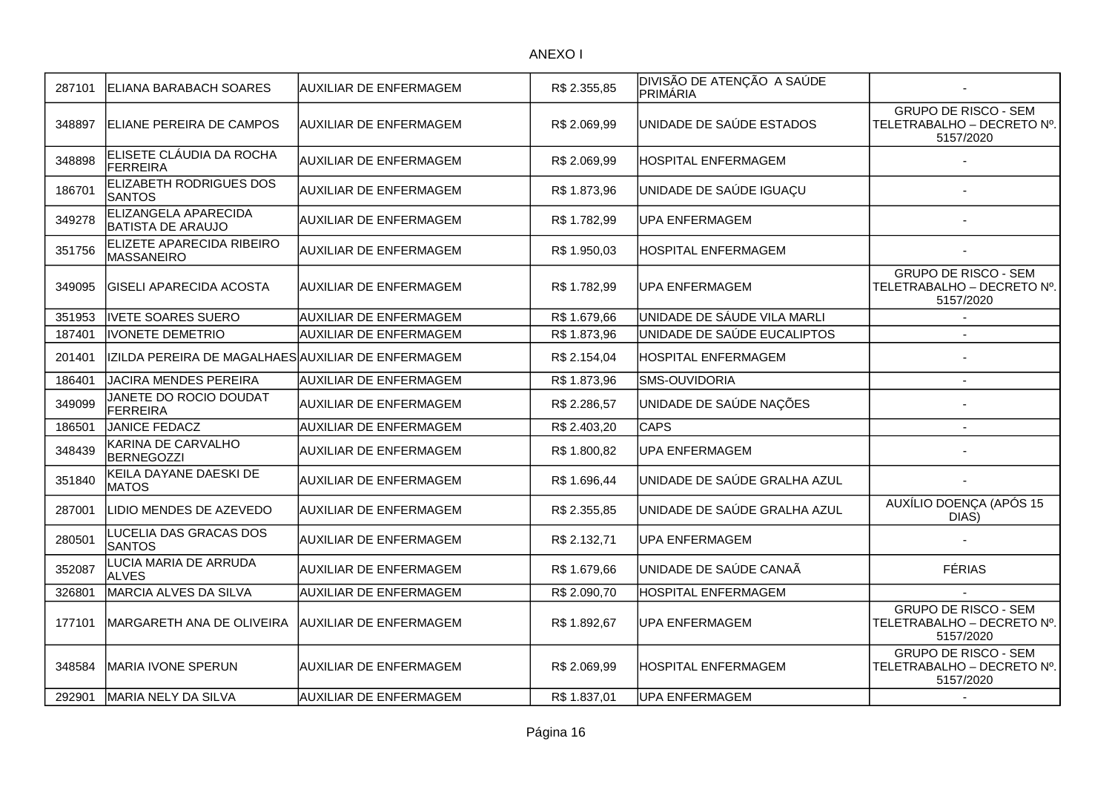| <b>GRUPO DE RISCO - SEM</b><br>UNIDADE DE SAÚDE ESTADOS<br>ELIANE PEREIRA DE CAMPOS<br><b>AUXILIAR DE ENFERMAGEM</b><br>R\$ 2.069,99<br>348897<br>5157/2020<br>ELISETE CLÁUDIA DA ROCHA<br>348898<br>AUXILIAR DE ENFERMAGEM<br>R\$ 2.069,99<br>HOSPITAL ENFERMAGEM<br><b>FERREIRA</b><br>ELIZABETH RODRIGUES DOS<br>186701<br>UNIDADE DE SAÚDE IGUAÇU<br>AUXILIAR DE ENFERMAGEM<br>R\$ 1.873,96<br><b>SANTOS</b><br>ELIZANGELA APARECIDA<br>349278<br><b>AUXILIAR DE ENFERMAGEM</b><br>R\$ 1.782,99<br><b>UPA ENFERMAGEM</b><br><b>BATISTA DE ARAUJO</b><br>ELIZETE APARECIDA RIBEIRO<br>351756<br>AUXILIAR DE ENFERMAGEM<br>HOSPITAL ENFERMAGEM<br>R\$ 1.950,03<br><b>MASSANEIRO</b><br><b>GRUPO DE RISCO - SEM</b><br>349095<br>GISELI APARECIDA ACOSTA<br>AUXILIAR DE ENFERMAGEM<br>R\$ 1.782,99<br>UPA ENFERMAGEM<br>5157/2020<br>UNIDADE DE SÁUDE VILA MARLI<br>351953<br>IVETE SOARES SUERO<br><b>AUXILIAR DE ENFERMAGEM</b><br>R\$1.679,66<br>187401<br><b>IVONETE DEMETRIO</b><br><b>AUXILIAR DE ENFERMAGEM</b><br>R\$1.873,96<br>UNIDADE DE SAÚDE EUCALIPTOS<br>201401<br>IZILDA PEREIRA DE MAGALHAES AUXILIAR DE ENFERMAGEM<br>HOSPITAL ENFERMAGEM<br>R\$ 2.154,04<br>186401<br><b>AUXILIAR DE ENFERMAGEM</b><br><b>SMS-OUVIDORIA</b><br>JACIRA MENDES PEREIRA<br>R\$1.873,96<br>$\overline{\phantom{a}}$<br>JANETE DO ROCIO DOUDAT<br>349099<br>UNIDADE DE SAÚDE NAÇÕES<br>AUXILIAR DE ENFERMAGEM<br>R\$ 2.286,57<br><b>FERREIRA</b><br><b>CAPS</b><br>186501<br>JANICE FEDACZ<br><b>AUXILIAR DE ENFERMAGEM</b><br>R\$ 2.403,20<br>KARINA DE CARVALHO<br>348439<br><b>AUXILIAR DE ENFERMAGEM</b><br>R\$ 1.800,82<br>UPA ENFERMAGEM<br><b>BERNEGOZZI</b><br>KEILA DAYANE DAESKI DE<br>UNIDADE DE SAÚDE GRALHA AZUL<br>351840<br>AUXILIAR DE ENFERMAGEM<br>R\$ 1.696,44<br><b>MATOS</b><br>UNIDADE DE SAÚDE GRALHA AZUL<br>287001<br>LIDIO MENDES DE AZEVEDO<br><b>AUXILIAR DE ENFERMAGEM</b><br>R\$ 2.355,85<br>DIAS)<br>LUCELIA DAS GRACAS DOS<br>280501<br><b>AUXILIAR DE ENFERMAGEM</b><br>R\$ 2.132,71<br>UPA ENFERMAGEM<br><b>SANTOS</b><br>LUCIA MARIA DE ARRUDA<br>UNIDADE DE SAÚDE CANAÃ<br><b>FÉRIAS</b><br>352087<br><b>AUXILIAR DE ENFERMAGEM</b><br>R\$ 1.679,66<br><b>ALVES</b><br>MARCIA ALVES DA SILVA<br>326801<br><b>AUXILIAR DE ENFERMAGEM</b><br>R\$ 2.090,70<br>HOSPITAL ENFERMAGEM<br><b>GRUPO DE RISCO - SEM</b><br>IMARGARETH ANA DE OLIVEIRA<br><b>JAUXILIAR DE ENFERMAGEM</b><br>R\$ 1.892,67<br><b>JPA ENFERMAGEM</b><br>177101<br>5157/2020<br><b>GRUPO DE RISCO - SEM</b><br>348584<br>HOSPITAL ENFERMAGEM<br>IMARIA IVONE SPERUN<br><b>AUXILIAR DE ENFERMAGEM</b><br>R\$ 2.069,99<br>5157/2020<br>292901<br>MARIA NELY DA SILVA<br>AUXILIAR DE ENFERMAGEM<br>R\$ 1.837,01<br><b>UPA ENFERMAGEM</b> | 287101 | ELIANA BARABACH SOARES | AUXILIAR DE ENFERMAGEM | R\$ 2.355,85 | DIVISÃO DE ATENÇÃO A SAÚDE<br>PRIMÁRIA |                            |
|-------------------------------------------------------------------------------------------------------------------------------------------------------------------------------------------------------------------------------------------------------------------------------------------------------------------------------------------------------------------------------------------------------------------------------------------------------------------------------------------------------------------------------------------------------------------------------------------------------------------------------------------------------------------------------------------------------------------------------------------------------------------------------------------------------------------------------------------------------------------------------------------------------------------------------------------------------------------------------------------------------------------------------------------------------------------------------------------------------------------------------------------------------------------------------------------------------------------------------------------------------------------------------------------------------------------------------------------------------------------------------------------------------------------------------------------------------------------------------------------------------------------------------------------------------------------------------------------------------------------------------------------------------------------------------------------------------------------------------------------------------------------------------------------------------------------------------------------------------------------------------------------------------------------------------------------------------------------------------------------------------------------------------------------------------------------------------------------------------------------------------------------------------------------------------------------------------------------------------------------------------------------------------------------------------------------------------------------------------------------------------------------------------------------------------------------------------------------------------------------------------------------------------------------------------------------------------------------------------------------------------------------------------------------------------------------------------------------------------------------|--------|------------------------|------------------------|--------------|----------------------------------------|----------------------------|
|                                                                                                                                                                                                                                                                                                                                                                                                                                                                                                                                                                                                                                                                                                                                                                                                                                                                                                                                                                                                                                                                                                                                                                                                                                                                                                                                                                                                                                                                                                                                                                                                                                                                                                                                                                                                                                                                                                                                                                                                                                                                                                                                                                                                                                                                                                                                                                                                                                                                                                                                                                                                                                                                                                                                           |        |                        |                        |              |                                        | TELETRABALHO - DECRETO Nº. |
|                                                                                                                                                                                                                                                                                                                                                                                                                                                                                                                                                                                                                                                                                                                                                                                                                                                                                                                                                                                                                                                                                                                                                                                                                                                                                                                                                                                                                                                                                                                                                                                                                                                                                                                                                                                                                                                                                                                                                                                                                                                                                                                                                                                                                                                                                                                                                                                                                                                                                                                                                                                                                                                                                                                                           |        |                        |                        |              |                                        |                            |
|                                                                                                                                                                                                                                                                                                                                                                                                                                                                                                                                                                                                                                                                                                                                                                                                                                                                                                                                                                                                                                                                                                                                                                                                                                                                                                                                                                                                                                                                                                                                                                                                                                                                                                                                                                                                                                                                                                                                                                                                                                                                                                                                                                                                                                                                                                                                                                                                                                                                                                                                                                                                                                                                                                                                           |        |                        |                        |              |                                        |                            |
|                                                                                                                                                                                                                                                                                                                                                                                                                                                                                                                                                                                                                                                                                                                                                                                                                                                                                                                                                                                                                                                                                                                                                                                                                                                                                                                                                                                                                                                                                                                                                                                                                                                                                                                                                                                                                                                                                                                                                                                                                                                                                                                                                                                                                                                                                                                                                                                                                                                                                                                                                                                                                                                                                                                                           |        |                        |                        |              |                                        |                            |
|                                                                                                                                                                                                                                                                                                                                                                                                                                                                                                                                                                                                                                                                                                                                                                                                                                                                                                                                                                                                                                                                                                                                                                                                                                                                                                                                                                                                                                                                                                                                                                                                                                                                                                                                                                                                                                                                                                                                                                                                                                                                                                                                                                                                                                                                                                                                                                                                                                                                                                                                                                                                                                                                                                                                           |        |                        |                        |              |                                        |                            |
|                                                                                                                                                                                                                                                                                                                                                                                                                                                                                                                                                                                                                                                                                                                                                                                                                                                                                                                                                                                                                                                                                                                                                                                                                                                                                                                                                                                                                                                                                                                                                                                                                                                                                                                                                                                                                                                                                                                                                                                                                                                                                                                                                                                                                                                                                                                                                                                                                                                                                                                                                                                                                                                                                                                                           |        |                        |                        |              |                                        | TELETRABALHO - DECRETO Nº. |
|                                                                                                                                                                                                                                                                                                                                                                                                                                                                                                                                                                                                                                                                                                                                                                                                                                                                                                                                                                                                                                                                                                                                                                                                                                                                                                                                                                                                                                                                                                                                                                                                                                                                                                                                                                                                                                                                                                                                                                                                                                                                                                                                                                                                                                                                                                                                                                                                                                                                                                                                                                                                                                                                                                                                           |        |                        |                        |              |                                        |                            |
|                                                                                                                                                                                                                                                                                                                                                                                                                                                                                                                                                                                                                                                                                                                                                                                                                                                                                                                                                                                                                                                                                                                                                                                                                                                                                                                                                                                                                                                                                                                                                                                                                                                                                                                                                                                                                                                                                                                                                                                                                                                                                                                                                                                                                                                                                                                                                                                                                                                                                                                                                                                                                                                                                                                                           |        |                        |                        |              |                                        |                            |
|                                                                                                                                                                                                                                                                                                                                                                                                                                                                                                                                                                                                                                                                                                                                                                                                                                                                                                                                                                                                                                                                                                                                                                                                                                                                                                                                                                                                                                                                                                                                                                                                                                                                                                                                                                                                                                                                                                                                                                                                                                                                                                                                                                                                                                                                                                                                                                                                                                                                                                                                                                                                                                                                                                                                           |        |                        |                        |              |                                        |                            |
|                                                                                                                                                                                                                                                                                                                                                                                                                                                                                                                                                                                                                                                                                                                                                                                                                                                                                                                                                                                                                                                                                                                                                                                                                                                                                                                                                                                                                                                                                                                                                                                                                                                                                                                                                                                                                                                                                                                                                                                                                                                                                                                                                                                                                                                                                                                                                                                                                                                                                                                                                                                                                                                                                                                                           |        |                        |                        |              |                                        |                            |
|                                                                                                                                                                                                                                                                                                                                                                                                                                                                                                                                                                                                                                                                                                                                                                                                                                                                                                                                                                                                                                                                                                                                                                                                                                                                                                                                                                                                                                                                                                                                                                                                                                                                                                                                                                                                                                                                                                                                                                                                                                                                                                                                                                                                                                                                                                                                                                                                                                                                                                                                                                                                                                                                                                                                           |        |                        |                        |              |                                        |                            |
|                                                                                                                                                                                                                                                                                                                                                                                                                                                                                                                                                                                                                                                                                                                                                                                                                                                                                                                                                                                                                                                                                                                                                                                                                                                                                                                                                                                                                                                                                                                                                                                                                                                                                                                                                                                                                                                                                                                                                                                                                                                                                                                                                                                                                                                                                                                                                                                                                                                                                                                                                                                                                                                                                                                                           |        |                        |                        |              |                                        |                            |
|                                                                                                                                                                                                                                                                                                                                                                                                                                                                                                                                                                                                                                                                                                                                                                                                                                                                                                                                                                                                                                                                                                                                                                                                                                                                                                                                                                                                                                                                                                                                                                                                                                                                                                                                                                                                                                                                                                                                                                                                                                                                                                                                                                                                                                                                                                                                                                                                                                                                                                                                                                                                                                                                                                                                           |        |                        |                        |              |                                        |                            |
|                                                                                                                                                                                                                                                                                                                                                                                                                                                                                                                                                                                                                                                                                                                                                                                                                                                                                                                                                                                                                                                                                                                                                                                                                                                                                                                                                                                                                                                                                                                                                                                                                                                                                                                                                                                                                                                                                                                                                                                                                                                                                                                                                                                                                                                                                                                                                                                                                                                                                                                                                                                                                                                                                                                                           |        |                        |                        |              |                                        |                            |
|                                                                                                                                                                                                                                                                                                                                                                                                                                                                                                                                                                                                                                                                                                                                                                                                                                                                                                                                                                                                                                                                                                                                                                                                                                                                                                                                                                                                                                                                                                                                                                                                                                                                                                                                                                                                                                                                                                                                                                                                                                                                                                                                                                                                                                                                                                                                                                                                                                                                                                                                                                                                                                                                                                                                           |        |                        |                        |              |                                        | AUXÍLIO DOENÇA (APÓS 15    |
|                                                                                                                                                                                                                                                                                                                                                                                                                                                                                                                                                                                                                                                                                                                                                                                                                                                                                                                                                                                                                                                                                                                                                                                                                                                                                                                                                                                                                                                                                                                                                                                                                                                                                                                                                                                                                                                                                                                                                                                                                                                                                                                                                                                                                                                                                                                                                                                                                                                                                                                                                                                                                                                                                                                                           |        |                        |                        |              |                                        |                            |
|                                                                                                                                                                                                                                                                                                                                                                                                                                                                                                                                                                                                                                                                                                                                                                                                                                                                                                                                                                                                                                                                                                                                                                                                                                                                                                                                                                                                                                                                                                                                                                                                                                                                                                                                                                                                                                                                                                                                                                                                                                                                                                                                                                                                                                                                                                                                                                                                                                                                                                                                                                                                                                                                                                                                           |        |                        |                        |              |                                        |                            |
|                                                                                                                                                                                                                                                                                                                                                                                                                                                                                                                                                                                                                                                                                                                                                                                                                                                                                                                                                                                                                                                                                                                                                                                                                                                                                                                                                                                                                                                                                                                                                                                                                                                                                                                                                                                                                                                                                                                                                                                                                                                                                                                                                                                                                                                                                                                                                                                                                                                                                                                                                                                                                                                                                                                                           |        |                        |                        |              |                                        |                            |
|                                                                                                                                                                                                                                                                                                                                                                                                                                                                                                                                                                                                                                                                                                                                                                                                                                                                                                                                                                                                                                                                                                                                                                                                                                                                                                                                                                                                                                                                                                                                                                                                                                                                                                                                                                                                                                                                                                                                                                                                                                                                                                                                                                                                                                                                                                                                                                                                                                                                                                                                                                                                                                                                                                                                           |        |                        |                        |              |                                        | TELETRABALHO - DECRETO Nº. |
|                                                                                                                                                                                                                                                                                                                                                                                                                                                                                                                                                                                                                                                                                                                                                                                                                                                                                                                                                                                                                                                                                                                                                                                                                                                                                                                                                                                                                                                                                                                                                                                                                                                                                                                                                                                                                                                                                                                                                                                                                                                                                                                                                                                                                                                                                                                                                                                                                                                                                                                                                                                                                                                                                                                                           |        |                        |                        |              |                                        | TELETRABALHO - DECRETO Nº. |
|                                                                                                                                                                                                                                                                                                                                                                                                                                                                                                                                                                                                                                                                                                                                                                                                                                                                                                                                                                                                                                                                                                                                                                                                                                                                                                                                                                                                                                                                                                                                                                                                                                                                                                                                                                                                                                                                                                                                                                                                                                                                                                                                                                                                                                                                                                                                                                                                                                                                                                                                                                                                                                                                                                                                           |        |                        |                        |              |                                        |                            |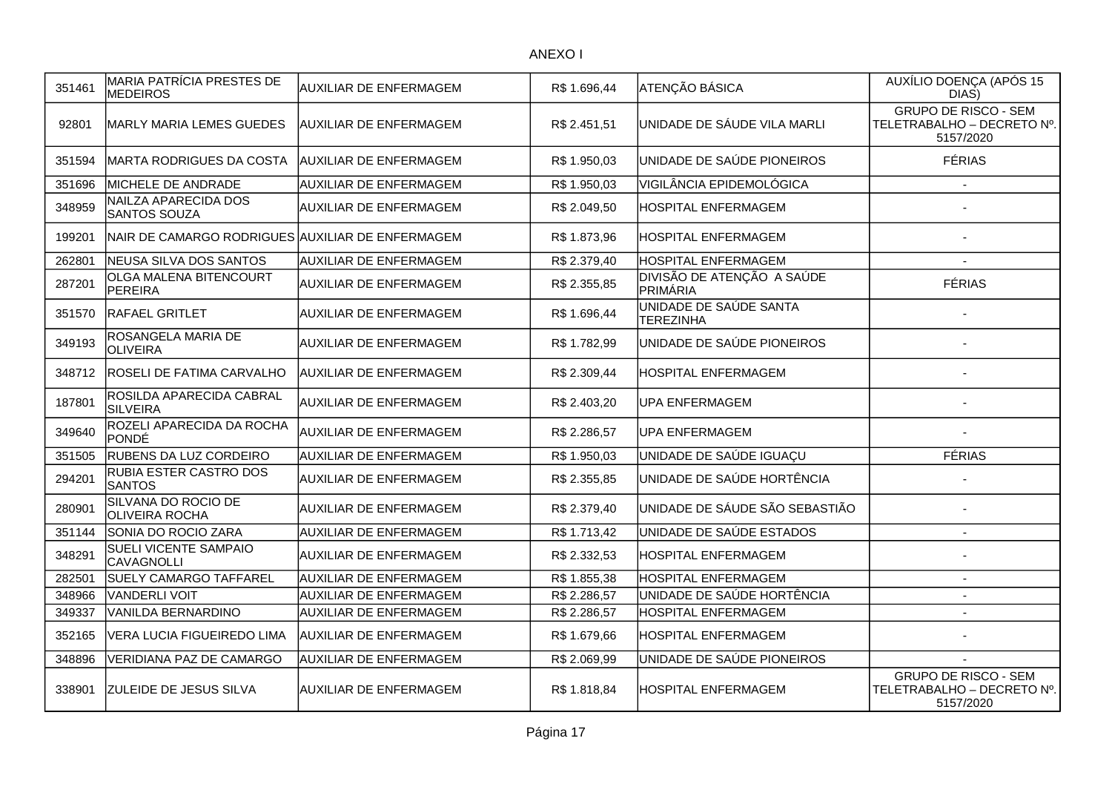| 351461 | MARIA PATRÍCIA PRESTES DE<br><b>MEDEIROS</b>     | <b>AUXILIAR DE ENFERMAGEM</b> | R\$ 1.696,44 | <b>ATENÇÃO BÁSICA</b>                      | AUXÍLIO DOENÇA (APÓS 15<br>DIAS)                                       |
|--------|--------------------------------------------------|-------------------------------|--------------|--------------------------------------------|------------------------------------------------------------------------|
| 92801  | <b>MARLY MARIA LEMES GUEDES</b>                  | <b>AUXILIAR DE ENFERMAGEM</b> | R\$ 2.451,51 | UNIDADE DE SÁUDE VILA MARLI                | <b>GRUPO DE RISCO - SEM</b><br>TELETRABALHO - DECRETO Nº.<br>5157/2020 |
| 351594 | MARTA RODRIGUES DA COSTA                         | <b>AUXILIAR DE ENFERMAGEM</b> | R\$ 1.950,03 | UNIDADE DE SAÚDE PIONEIROS                 | <b>FÉRIAS</b>                                                          |
| 351696 | MICHELE DE ANDRADE                               | <b>AUXILIAR DE ENFERMAGEM</b> | R\$ 1.950,03 | VIGILÂNCIA EPIDEMOLÓGICA                   |                                                                        |
| 348959 | NAILZA APARECIDA DOS<br><b>SANTOS SOUZA</b>      | <b>AUXILIAR DE ENFERMAGEM</b> | R\$ 2.049,50 | HOSPITAL ENFERMAGEM                        |                                                                        |
| 199201 | NAIR DE CAMARGO RODRIGUES AUXILIAR DE ENFERMAGEM |                               | R\$ 1.873,96 | HOSPITAL ENFERMAGEM                        |                                                                        |
| 262801 | NEUSA SILVA DOS SANTOS                           | <b>AUXILIAR DE ENFERMAGEM</b> | R\$ 2.379,40 | HOSPITAL ENFERMAGEM                        |                                                                        |
| 287201 | OLGA MALENA BITENCOURT<br>PEREIRA                | <b>AUXILIAR DE ENFERMAGEM</b> | R\$ 2.355,85 | DIVISÃO DE ATENÇÃO A SAÚDE<br>PRIMÁRIA     | <b>FÉRIAS</b>                                                          |
| 351570 | <b>RAFAEL GRITLET</b>                            | <b>AUXILIAR DE ENFERMAGEM</b> | R\$ 1.696,44 | UNIDADE DE SAÚDE SANTA<br><b>TEREZINHA</b> |                                                                        |
| 349193 | ROSANGELA MARIA DE<br><b>OLIVEIRA</b>            | <b>AUXILIAR DE ENFERMAGEM</b> | R\$ 1.782,99 | UNIDADE DE SAÚDE PIONEIROS                 |                                                                        |
| 348712 | <b>ROSELI DE FATIMA CARVALHO</b>                 | AUXILIAR DE ENFERMAGEM        | R\$ 2.309,44 | HOSPITAL ENFERMAGEM                        |                                                                        |
| 187801 | ROSILDA APARECIDA CABRAL<br><b>SILVEIRA</b>      | <b>AUXILIAR DE ENFERMAGEM</b> | R\$ 2.403,20 | <b>UPA ENFERMAGEM</b>                      |                                                                        |
| 349640 | ROZELI APARECIDA DA ROCHA<br>PONDÉ               | <b>AUXILIAR DE ENFERMAGEM</b> | R\$ 2.286,57 | UPA ENFERMAGEM                             |                                                                        |
| 351505 | <b>RUBENS DA LUZ CORDEIRO</b>                    | <b>AUXILIAR DE ENFERMAGEM</b> | R\$ 1.950,03 | UNIDADE DE SAÚDE IGUAÇU                    | <b>FÉRIAS</b>                                                          |
| 294201 | RUBIA ESTER CASTRO DOS<br><b>SANTOS</b>          | <b>AUXILIAR DE ENFERMAGEM</b> | R\$ 2.355,85 | UNIDADE DE SAÚDE HORTÊNCIA                 |                                                                        |
| 280901 | SILVANA DO ROCIO DE<br>OLIVEIRA ROCHA            | <b>AUXILIAR DE ENFERMAGEM</b> | R\$ 2.379,40 | UNIDADE DE SÁUDE SÃO SEBASTIÃO             |                                                                        |
| 351144 | SONIA DO ROCIO ZARA                              | <b>AUXILIAR DE ENFERMAGEM</b> | R\$ 1.713,42 | UNIDADE DE SAÚDE ESTADOS                   | $\blacksquare$                                                         |
| 348291 | SUELI VICENTE SAMPAIO<br>CAVAGNOLLI              | <b>AUXILIAR DE ENFERMAGEM</b> | R\$ 2.332,53 | HOSPITAL ENFERMAGEM                        | $\overline{\phantom{a}}$                                               |
| 282501 | SUELY CAMARGO TAFFAREL                           | <b>AUXILIAR DE ENFERMAGEM</b> | R\$ 1.855,38 | HOSPITAL ENFERMAGEM                        | $\overline{\phantom{a}}$                                               |
| 348966 | VANDERLI VOIT                                    | <b>AUXILIAR DE ENFERMAGEM</b> | R\$ 2.286,57 | UNIDADE DE SAÚDE HORTÊNCIA                 | $\overline{a}$                                                         |
| 349337 | <b>VANILDA BERNARDINO</b>                        | <b>AUXILIAR DE ENFERMAGEM</b> | R\$ 2.286,57 | <b>HOSPITAL ENFERMAGEM</b>                 | $\sim$                                                                 |
| 352165 | VERA LUCIA FIGUEIREDO LIMA                       | <b>AUXILIAR DE ENFERMAGEM</b> | R\$ 1.679,66 | HOSPITAL ENFERMAGEM                        |                                                                        |
| 348896 | VERIDIANA PAZ DE CAMARGO                         | <b>AUXILIAR DE ENFERMAGEM</b> | R\$ 2.069,99 | UNIDADE DE SAÚDE PIONEIROS                 |                                                                        |
| 338901 | <b>ZULEIDE DE JESUS SILVA</b>                    | <b>AUXILIAR DE ENFERMAGEM</b> | R\$ 1.818,84 | HOSPITAL ENFERMAGEM                        | <b>GRUPO DE RISCO - SEM</b><br>TELETRABALHO - DECRETO Nº.<br>5157/2020 |
|        |                                                  |                               |              |                                            |                                                                        |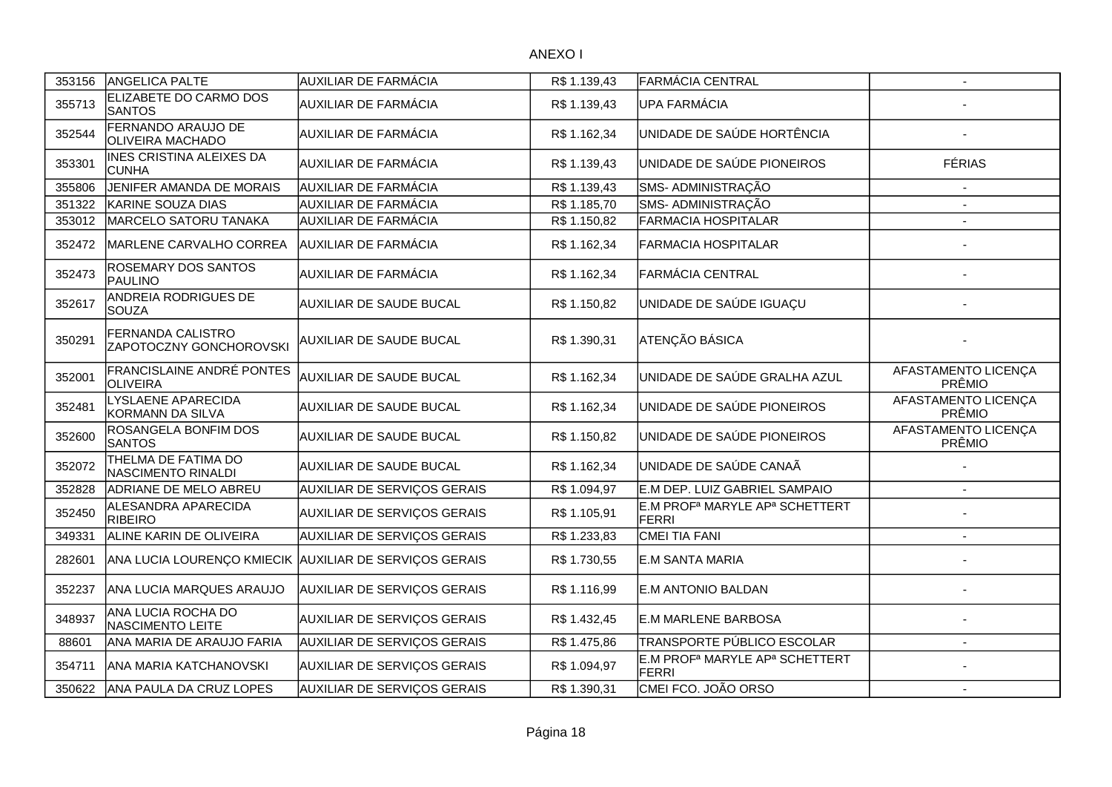| 353156 | ANGELICA PALTE                                      | <b>AUXILIAR DE FARMÁCIA</b>                            | R\$1.139,43  | FARMÁCIA CENTRAL                                                       | $\overline{\phantom{a}}$      |
|--------|-----------------------------------------------------|--------------------------------------------------------|--------------|------------------------------------------------------------------------|-------------------------------|
| 355713 | ELIZABETE DO CARMO DOS<br><b>SANTOS</b>             | <b>AUXILIAR DE FARMÁCIA</b>                            | R\$ 1.139,43 | <b>UPA FARMÁCIA</b>                                                    |                               |
| 352544 | FERNANDO ARAUJO DE<br>OLIVEIRA MACHADO              | <b>AUXILIAR DE FARMÁCIA</b>                            | R\$ 1.162,34 | UNIDADE DE SAÚDE HORTÊNCIA                                             |                               |
| 353301 | <b>INES CRISTINA ALEIXES DA</b><br><b>CUNHA</b>     | <b>AUXILIAR DE FARMÁCIA</b>                            | R\$ 1.139,43 | UNIDADE DE SAÚDE PIONEIROS                                             | <b>FÉRIAS</b>                 |
| 355806 | JENIFER AMANDA DE MORAIS                            | <b>AUXILIAR DE FARMÁCIA</b>                            | R\$ 1.139,43 | SMS- ADMINISTRAÇÃO                                                     |                               |
| 351322 | KARINE SOUZA DIAS                                   | <b>AUXILIAR DE FARMÁCIA</b>                            | R\$ 1.185,70 | SMS- ADMINISTRAÇÃO                                                     |                               |
| 353012 | MARCELO SATORU TANAKA                               | AUXILIAR DE FARMÁCIA                                   | R\$ 1.150,82 | <b>FARMACIA HOSPITALAR</b>                                             |                               |
| 352472 | MARLENE CARVALHO CORREA                             | AUXILIAR DE FARMÁCIA                                   | R\$ 1.162,34 | <b>FARMACIA HOSPITALAR</b>                                             |                               |
| 352473 | ROSEMARY DOS SANTOS<br>PAULINO                      | AUXILIAR DE FARMÁCIA                                   | R\$ 1.162,34 | FARMÁCIA CENTRAL                                                       |                               |
| 352617 | ANDREIA RODRIGUES DE<br><b>SOUZA</b>                | <b>AUXILIAR DE SAUDE BUCAL</b>                         | R\$ 1.150,82 | UNIDADE DE SAÚDE IGUAÇU                                                |                               |
| 350291 | FERNANDA CALISTRO<br>ZAPOTOCZNY GONCHOROVSKI        | <b>AUXILIAR DE SAUDE BUCAL</b>                         | R\$ 1.390,31 | ATENÇÃO BÁSICA                                                         |                               |
| 352001 | <b>FRANCISLAINE ANDRÉ PONTES</b><br><b>OLIVEIRA</b> | AUXILIAR DE SAUDE BUCAL                                | R\$ 1.162,34 | UNIDADE DE SAÚDE GRALHA AZUL                                           | AFASTAMENTO LICENÇA<br>PRÊMIO |
| 352481 | LYSLAENE APARECIDA<br>KORMANN DA SILVA              | <b>AUXILIAR DE SAUDE BUCAL</b>                         | R\$1.162,34  | UNIDADE DE SAÚDE PIONEIROS                                             | AFASTAMENTO LICENÇA<br>PRÊMIO |
| 352600 | ROSANGELA BONFIM DOS<br><b>SANTOS</b>               | <b>AUXILIAR DE SAUDE BUCAL</b>                         | R\$ 1.150,82 | UNIDADE DE SAÚDE PIONEIROS                                             | AFASTAMENTO LICENÇA<br>PRÊMIO |
| 352072 | THELMA DE FATIMA DO<br>NASCIMENTO RINALDI           | AUXILIAR DE SAUDE BUCAL                                | R\$ 1.162,34 | UNIDADE DE SAÚDE CANAÃ                                                 |                               |
| 352828 | <b>ADRIANE DE MELO ABREU</b>                        | AUXILIAR DE SERVIÇOS GERAIS                            | R\$ 1.094,97 | E.M DEP. LUIZ GABRIEL SAMPAIO                                          |                               |
| 352450 | ALESANDRA APARECIDA<br><b>RIBEIRO</b>               | <b>AUXILIAR DE SERVIÇOS GERAIS</b>                     | R\$ 1.105,91 | E.M PROF <sup>a</sup> MARYLE AP <sup>a</sup> SCHETTERT<br><b>FERRI</b> |                               |
| 349331 | ALINE KARIN DE OLIVEIRA                             | AUXILIAR DE SERVIÇOS GERAIS                            | R\$ 1.233,83 | CMEI TIA FANI                                                          | $\overline{\phantom{a}}$      |
| 282601 |                                                     | ANA LUCIA LOURENÇO KMIECIK AUXILIAR DE SERVIÇOS GERAIS | R\$ 1.730,55 | E.M SANTA MARIA                                                        |                               |
| 352237 | ANA LUCIA MARQUES ARAUJO                            | AUXILIAR DE SERVIÇOS GERAIS                            | R\$1.116,99  | E.M ANTONIO BALDAN                                                     |                               |
| 348937 | ANA LUCIA ROCHA DO<br>NASCIMENTO LEITE              | AUXILIAR DE SERVIÇOS GERAIS                            | R\$ 1.432,45 | E.M MARLENE BARBOSA                                                    |                               |
| 88601  | ANA MARIA DE ARAUJO FARIA                           | AUXILIAR DE SERVIÇOS GERAIS                            | R\$ 1.475,86 | TRANSPORTE PÚBLICO ESCOLAR                                             | $\overline{\phantom{a}}$      |
| 354711 | <b>ANA MARIA KATCHANOVSKI</b>                       | <b>AUXILIAR DE SERVIÇOS GERAIS</b>                     | R\$ 1.094,97 | E.M PROF <sup>a</sup> MARYLE AP <sup>a</sup> SCHETTERT<br><b>FERRI</b> |                               |
| 350622 | ANA PAULA DA CRUZ LOPES                             | AUXILIAR DE SERVIÇOS GERAIS                            | R\$ 1.390,31 | CMEI FCO. JOÃO ORSO                                                    | $\overline{\phantom{a}}$      |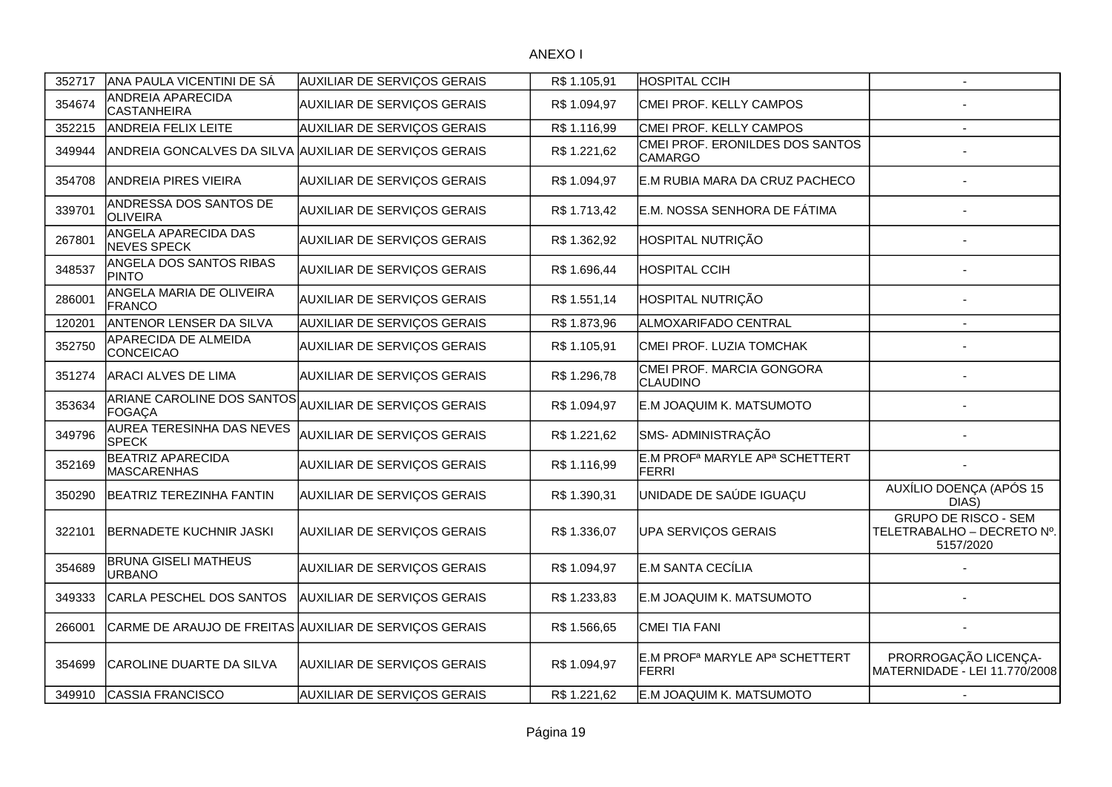| 352717 | ANA PAULA VICENTINI DE SÁ                              | AUXILIAR DE SERVIÇOS GERAIS                            | R\$ 1.105,91 | <b>HOSPITAL CCIH</b>                                                   | $\overline{\phantom{a}}$                                               |
|--------|--------------------------------------------------------|--------------------------------------------------------|--------------|------------------------------------------------------------------------|------------------------------------------------------------------------|
| 354674 | ANDREIA APARECIDA<br>CASTANHEIRA                       | AUXILIAR DE SERVIÇOS GERAIS                            | R\$ 1.094,97 | CMEI PROF. KELLY CAMPOS                                                |                                                                        |
| 352215 | <b>ANDREIA FELIX LEITE</b>                             | AUXILIAR DE SERVIÇOS GERAIS                            | R\$ 1.116,99 | CMEI PROF. KELLY CAMPOS                                                |                                                                        |
| 349944 |                                                        | ANDREIA GONCALVES DA SILVA AUXILIAR DE SERVIÇOS GERAIS | R\$ 1.221,62 | CMEI PROF. ERONILDES DOS SANTOS<br><b>CAMARGO</b>                      |                                                                        |
| 354708 | <b>ANDREIA PIRES VIEIRA</b>                            | AUXILIAR DE SERVIÇOS GERAIS                            | R\$ 1.094,97 | E.M RUBIA MARA DA CRUZ PACHECO                                         |                                                                        |
| 339701 | ANDRESSA DOS SANTOS DE<br>OLIVEIRA                     | AUXILIAR DE SERVIÇOS GERAIS                            | R\$ 1.713,42 | E.M. NOSSA SENHORA DE FÁTIMA                                           |                                                                        |
| 267801 | ANGELA APARECIDA DAS<br>NEVES SPECK                    | AUXILIAR DE SERVIÇOS GERAIS                            | R\$ 1.362,92 | HOSPITAL NUTRIÇÃO                                                      |                                                                        |
| 348537 | ANGELA DOS SANTOS RIBAS<br><b>PINTO</b>                | AUXILIAR DE SERVIÇOS GERAIS                            | R\$ 1.696,44 | <b>HOSPITAL CCIH</b>                                                   |                                                                        |
| 286001 | ANGELA MARIA DE OLIVEIRA<br>FRANCO                     | AUXILIAR DE SERVIÇOS GERAIS                            | R\$ 1.551,14 | HOSPITAL NUTRIÇÃO                                                      |                                                                        |
| 120201 | <b>ANTENOR LENSER DA SILVA</b>                         | AUXILIAR DE SERVIÇOS GERAIS                            | R\$ 1.873,96 | ALMOXARIFADO CENTRAL                                                   |                                                                        |
| 352750 | APARECIDA DE ALMEIDA<br>CONCEICAO                      | AUXILIAR DE SERVIÇOS GERAIS                            | R\$ 1.105,91 | CMEI PROF. LUZIA TOMCHAK                                               |                                                                        |
| 351274 | <b>ARACI ALVES DE LIMA</b>                             | AUXILIAR DE SERVIÇOS GERAIS                            | R\$ 1.296,78 | CMEI PROF. MARCIA GONGORA<br>CLAUDINO                                  |                                                                        |
| 353634 | ARIANE CAROLINE DOS SANTOS<br>FOGACA                   | AUXILIAR DE SERVIÇOS GERAIS                            | R\$ 1.094,97 | E.M JOAQUIM K. MATSUMOTO                                               |                                                                        |
| 349796 | AUREA TERESINHA DAS NEVES<br><b>SPECK</b>              | AUXILIAR DE SERVIÇOS GERAIS                            | R\$ 1.221,62 | SMS- ADMINISTRAÇÃO                                                     |                                                                        |
| 352169 | <b>BEATRIZ APARECIDA</b><br>MASCARENHAS                | AUXILIAR DE SERVIÇOS GERAIS                            | R\$ 1.116,99 | E.M PROF <sup>a</sup> MARYLE AP <sup>a</sup> SCHETTERT<br><b>FERRI</b> |                                                                        |
| 350290 | <b>BEATRIZ TEREZINHA FANTIN</b>                        | AUXILIAR DE SERVIÇOS GERAIS                            | R\$ 1.390,31 | UNIDADE DE SAÚDE IGUAÇU                                                | AUXÍLIO DOENÇA (APÓS 15<br>DIAS)                                       |
| 322101 | <b>BERNADETE KUCHNIR JASKI</b>                         | AUXILIAR DE SERVIÇOS GERAIS                            | R\$ 1.336,07 | UPA SERVIÇOS GERAIS                                                    | <b>GRUPO DE RISCO - SEM</b><br>TELETRABALHO - DECRETO Nº.<br>5157/2020 |
| 354689 | <b>BRUNA GISELI MATHEUS</b><br><b>URBANO</b>           | <b>AUXILIAR DE SERVIÇOS GERAIS</b>                     | R\$ 1.094,97 | E.M SANTA CECÍLIA                                                      |                                                                        |
| 349333 | CARLA PESCHEL DOS SANTOS                               | AUXILIAR DE SERVIÇOS GERAIS                            | R\$ 1.233,83 | E.M JOAQUIM K. MATSUMOTO                                               |                                                                        |
| 266001 | CARME DE ARAUJO DE FREITAS AUXILIAR DE SERVIÇOS GERAIS |                                                        | R\$ 1.566,65 | <b>CMEI TIA FANI</b>                                                   |                                                                        |
| 354699 | CAROLINE DUARTE DA SILVA                               | AUXILIAR DE SERVIÇOS GERAIS                            | R\$ 1.094,97 | E.M PROF <sup>a</sup> MARYLE AP <sup>a</sup> SCHETTERT<br><b>FERRI</b> | PRORROGAÇÃO LICENÇA-<br>MATERNIDADE - LEI 11.770/2008                  |
| 349910 | <b>CASSIA FRANCISCO</b>                                | AUXILIAR DE SERVIÇOS GERAIS                            | R\$ 1.221,62 | E.M JOAQUIM K. MATSUMOTO                                               | $\sim$                                                                 |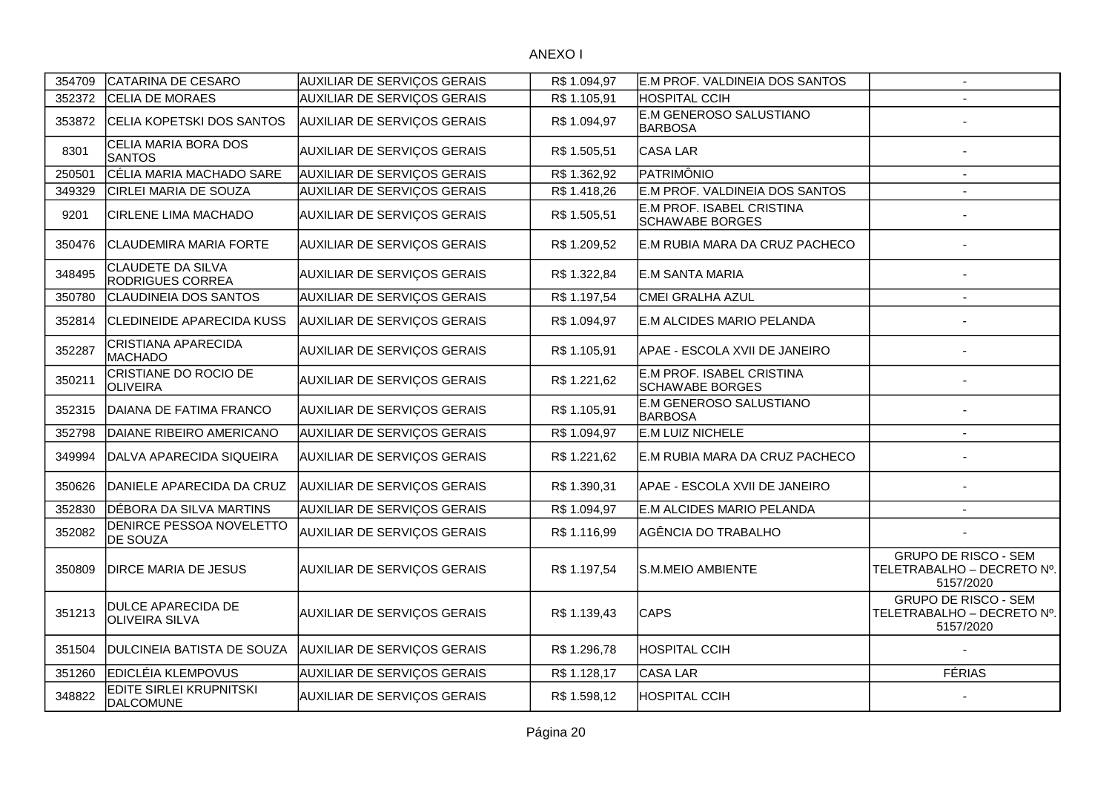| 354709 | CATARINA DE CESARO                                  | <b>AUXILIAR DE SERVIÇOS GERAIS</b> | R\$1.094,97  | E.M PROF. VALDINEIA DOS SANTOS               | $\sim$                                                                 |
|--------|-----------------------------------------------------|------------------------------------|--------------|----------------------------------------------|------------------------------------------------------------------------|
| 352372 | <b>CELIA DE MORAES</b>                              | AUXILIAR DE SERVIÇOS GERAIS        | R\$ 1.105,91 | <b>HOSPITAL CCIH</b>                         |                                                                        |
| 353872 | CELIA KOPETSKI DOS SANTOS                           | <b>AUXILIAR DE SERVIÇOS GERAIS</b> | R\$ 1.094,97 | E.M GENEROSO SALUSTIANO<br><b>BARBOSA</b>    |                                                                        |
| 8301   | CELIA MARIA BORA DOS<br><b>SANTOS</b>               | <b>AUXILIAR DE SERVIÇOS GERAIS</b> | R\$ 1.505,51 | CASA LAR                                     |                                                                        |
| 250501 | CÉLIA MARIA MACHADO SARE                            | <b>AUXILIAR DE SERVIÇOS GERAIS</b> | R\$ 1.362,92 | PATRIMÔNIO                                   |                                                                        |
| 349329 | CIRLEI MARIA DE SOUZA                               | <b>AUXILIAR DE SERVIÇOS GERAIS</b> | R\$ 1.418,26 | E.M PROF. VALDINEIA DOS SANTOS               |                                                                        |
| 9201   | <b>CIRLENE LIMA MACHADO</b>                         | <b>AUXILIAR DE SERVIÇOS GERAIS</b> | R\$ 1.505,51 | E.M PROF. ISABEL CRISTINA<br>SCHAWABE BORGES |                                                                        |
| 350476 | <b>CLAUDEMIRA MARIA FORTE</b>                       | AUXILIAR DE SERVIÇOS GERAIS        | R\$ 1.209,52 | E.M RUBIA MARA DA CRUZ PACHECO               |                                                                        |
| 348495 | <b>CLAUDETE DA SILVA</b><br><b>RODRIGUES CORREA</b> | AUXILIAR DE SERVIÇOS GERAIS        | R\$ 1.322,84 | <b>E.M SANTA MARIA</b>                       |                                                                        |
| 350780 | <b>CLAUDINEIA DOS SANTOS</b>                        | AUXILIAR DE SERVIÇOS GERAIS        | R\$ 1.197,54 | CMEI GRALHA AZUL                             |                                                                        |
| 352814 | <b>CLEDINEIDE APARECIDA KUSS</b>                    | <b>AUXILIAR DE SERVIÇOS GERAIS</b> | R\$ 1.094,97 | E.M ALCIDES MARIO PELANDA                    |                                                                        |
| 352287 | <b>CRISTIANA APARECIDA</b><br><b>MACHADO</b>        | AUXILIAR DE SERVIÇOS GERAIS        | R\$ 1.105,91 | APAE - ESCOLA XVII DE JANEIRO                |                                                                        |
| 350211 | CRISTIANE DO ROCIO DE<br>OLIVEIRA                   | <b>AUXILIAR DE SERVIÇOS GERAIS</b> | R\$ 1.221,62 | E.M PROF. ISABEL CRISTINA<br>SCHAWABE BORGES |                                                                        |
| 352315 | DAIANA DE FATIMA FRANCO                             | AUXILIAR DE SERVIÇOS GERAIS        | R\$ 1.105,91 | E.M GENEROSO SALUSTIANO<br><b>BARBOSA</b>    |                                                                        |
| 352798 | DAIANE RIBEIRO AMERICANO                            | AUXILIAR DE SERVIÇOS GERAIS        | R\$ 1.094,97 | E.M LUIZ NICHELE                             |                                                                        |
| 349994 | DALVA APARECIDA SIQUEIRA                            | <b>AUXILIAR DE SERVIÇOS GERAIS</b> | R\$ 1.221,62 | E.M RUBIA MARA DA CRUZ PACHECO               |                                                                        |
| 350626 | DANIELE APARECIDA DA CRUZ                           | AUXILIAR DE SERVIÇOS GERAIS        | R\$ 1.390,31 | APAE - ESCOLA XVII DE JANEIRO                |                                                                        |
| 352830 | DÉBORA DA SILVA MARTINS                             | AUXILIAR DE SERVIÇOS GERAIS        | R\$ 1.094,97 | E.M ALCIDES MARIO PELANDA                    |                                                                        |
| 352082 | DENIRCE PESSOA NOVELETTO<br><b>DE SOUZA</b>         | <b>AUXILIAR DE SERVIÇOS GERAIS</b> | R\$ 1.116,99 | AGÊNCIA DO TRABALHO                          |                                                                        |
| 350809 | <b>DIRCE MARIA DE JESUS</b>                         | <b>AUXILIAR DE SERVIÇOS GERAIS</b> | R\$ 1.197,54 | S.M.MEIO AMBIENTE                            | <b>GRUPO DE RISCO - SEM</b><br>TELETRABALHO - DECRETO Nº.<br>5157/2020 |
| 351213 | <b>DULCE APARECIDA DE</b><br><b>OLIVEIRA SILVA</b>  | <b>AUXILIAR DE SERVIÇOS GERAIS</b> | R\$ 1.139,43 | <b>CAPS</b>                                  | <b>GRUPO DE RISCO - SEM</b><br>TELETRABALHO - DECRETO Nº.<br>5157/2020 |
| 351504 | DULCINEIA BATISTA DE SOUZA                          | AUXILIAR DE SERVIÇOS GERAIS        | R\$1.296,78  | HOSPITAL CCIH                                |                                                                        |
| 351260 | EDICLÉIA KLEMPOVUS                                  | AUXILIAR DE SERVIÇOS GERAIS        | R\$ 1.128,17 | CASA LAR                                     | <b>FÉRIAS</b>                                                          |
| 348822 | <b>EDITE SIRLEI KRUPNITSKI</b><br><b>DALCOMUNE</b>  | <b>AUXILIAR DE SERVIÇOS GERAIS</b> | R\$ 1.598,12 | <b>HOSPITAL CCIH</b>                         |                                                                        |
|        |                                                     |                                    |              |                                              |                                                                        |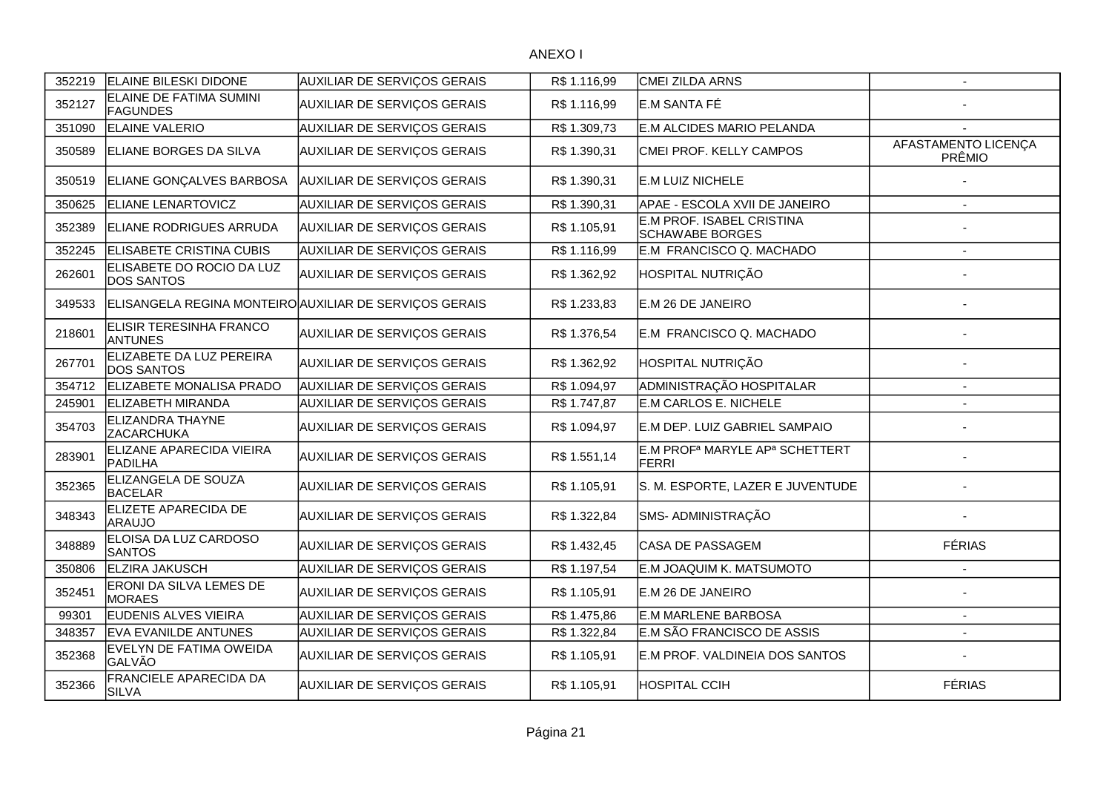| 352219 | <b>ELAINE BILESKI DIDONE</b>                     | <b>AUXILIAR DE SERVIÇOS GERAIS</b>                     | R\$ 1.116,99 | CMEI ZILDA ARNS                                                        |                               |
|--------|--------------------------------------------------|--------------------------------------------------------|--------------|------------------------------------------------------------------------|-------------------------------|
| 352127 | ELAINE DE FATIMA SUMINI<br><b>FAGUNDES</b>       | AUXILIAR DE SERVIÇOS GERAIS                            | R\$ 1.116,99 | E.M SANTA FÉ                                                           |                               |
| 351090 | <b>ELAINE VALERIO</b>                            | <b>AUXILIAR DE SERVIÇOS GERAIS</b>                     | R\$ 1.309,73 | E.M ALCIDES MARIO PELANDA                                              |                               |
| 350589 | <b>ELIANE BORGES DA SILVA</b>                    | AUXILIAR DE SERVIÇOS GERAIS                            | R\$ 1.390,31 | CMEI PROF. KELLY CAMPOS                                                | AFASTAMENTO LICENÇA<br>PRÊMIO |
| 350519 | ELIANE GONÇALVES BARBOSA                         | <b>AUXILIAR DE SERVIÇOS GERAIS</b>                     | R\$ 1.390,31 | E.M LUIZ NICHELE                                                       |                               |
| 350625 | <b>ELIANE LENARTOVICZ</b>                        | AUXILIAR DE SERVIÇOS GERAIS                            | R\$ 1.390,31 | APAE - ESCOLA XVII DE JANEIRO                                          |                               |
| 352389 | <b>ELIANE RODRIGUES ARRUDA</b>                   | <b>AUXILIAR DE SERVIÇOS GERAIS</b>                     | R\$ 1.105,91 | E.M PROF. ISABEL CRISTINA<br>SCHAWABE BORGES                           |                               |
| 352245 | <b>ELISABETE CRISTINA CUBIS</b>                  | <b>AUXILIAR DE SERVIÇOS GERAIS</b>                     | R\$ 1.116,99 | E.M FRANCISCO Q. MACHADO                                               |                               |
| 262601 | ELISABETE DO ROCIO DA LUZ<br>DOS SANTOS          | AUXILIAR DE SERVIÇOS GERAIS                            | R\$ 1.362,92 | <b>HOSPITAL NUTRIÇÃO</b>                                               |                               |
| 349533 |                                                  | ELISANGELA REGINA MONTEIRO AUXILIAR DE SERVIÇOS GERAIS | R\$ 1.233,83 | E.M 26 DE JANEIRO                                                      |                               |
| 218601 | <b>ELISIR TERESINHA FRANCO</b><br><b>ANTUNES</b> | <b>AUXILIAR DE SERVIÇOS GERAIS</b>                     | R\$ 1.376,54 | E.M FRANCISCO Q. MACHADO                                               |                               |
| 267701 | ELIZABETE DA LUZ PEREIRA<br>DOS SANTOS           | <b>AUXILIAR DE SERVIÇOS GERAIS</b>                     | R\$ 1.362,92 | HOSPITAL NUTRIÇÃO                                                      |                               |
| 354712 | ELIZABETE MONALISA PRADO                         | <b>AUXILIAR DE SERVIÇOS GERAIS</b>                     | R\$ 1.094,97 | ADMINISTRAÇÃO HOSPITALAR                                               |                               |
| 245901 | <b>ELIZABETH MIRANDA</b>                         | AUXILIAR DE SERVIÇOS GERAIS                            | R\$ 1.747,87 | E.M CARLOS E. NICHELE                                                  |                               |
| 354703 | <b>ELIZANDRA THAYNE</b><br><b>ZACARCHUKA</b>     | AUXILIAR DE SERVIÇOS GERAIS                            | R\$ 1.094,97 | E.M DEP. LUIZ GABRIEL SAMPAIO                                          |                               |
| 283901 | ELIZANE APARECIDA VIEIRA<br>PADILHA              | <b>AUXILIAR DE SERVIÇOS GERAIS</b>                     | R\$ 1.551,14 | E.M PROF <sup>a</sup> MARYLE AP <sup>a</sup> SCHETTERT<br><b>FERRI</b> |                               |
| 352365 | ELIZANGELA DE SOUZA<br><b>BACELAR</b>            | <b>AUXILIAR DE SERVIÇOS GERAIS</b>                     | R\$ 1.105,91 | S. M. ESPORTE, LAZER E JUVENTUDE                                       |                               |
| 348343 | ELIZETE APARECIDA DE<br><b>ARAUJO</b>            | AUXILIAR DE SERVIÇOS GERAIS                            | R\$ 1.322,84 | SMS- ADMINISTRAÇÃO                                                     |                               |
| 348889 | ELOISA DA LUZ CARDOSO<br><b>SANTOS</b>           | AUXILIAR DE SERVIÇOS GERAIS                            | R\$ 1.432,45 | <b>CASA DE PASSAGEM</b>                                                | <b>FÉRIAS</b>                 |
| 350806 | <b>ELZIRA JAKUSCH</b>                            | AUXILIAR DE SERVIÇOS GERAIS                            | R\$ 1.197,54 | E.M JOAQUIM K. MATSUMOTO                                               |                               |
| 352451 | ERONI DA SILVA LEMES DE<br><b>MORAES</b>         | <b>AUXILIAR DE SERVIÇOS GERAIS</b>                     | R\$ 1.105,91 | E.M 26 DE JANEIRO                                                      |                               |
| 99301  | <b>EUDENIS ALVES VIEIRA</b>                      | AUXILIAR DE SERVIÇOS GERAIS                            | R\$ 1.475,86 | E.M MARLENE BARBOSA                                                    |                               |
| 348357 | <b>EVA EVANILDE ANTUNES</b>                      | AUXILIAR DE SERVIÇOS GERAIS                            | R\$ 1.322,84 | E.M SÃO FRANCISCO DE ASSIS                                             |                               |
| 352368 | EVELYN DE FATIMA OWEIDA<br>GALVÃO                | <b>AUXILIAR DE SERVIÇOS GERAIS</b>                     | R\$ 1.105,91 | E.M PROF. VALDINEIA DOS SANTOS                                         |                               |
| 352366 | FRANCIELE APARECIDA DA<br><b>SILVA</b>           | <b>AUXILIAR DE SERVIÇOS GERAIS</b>                     | R\$ 1.105,91 | <b>HOSPITAL CCIH</b>                                                   | <b>FÉRIAS</b>                 |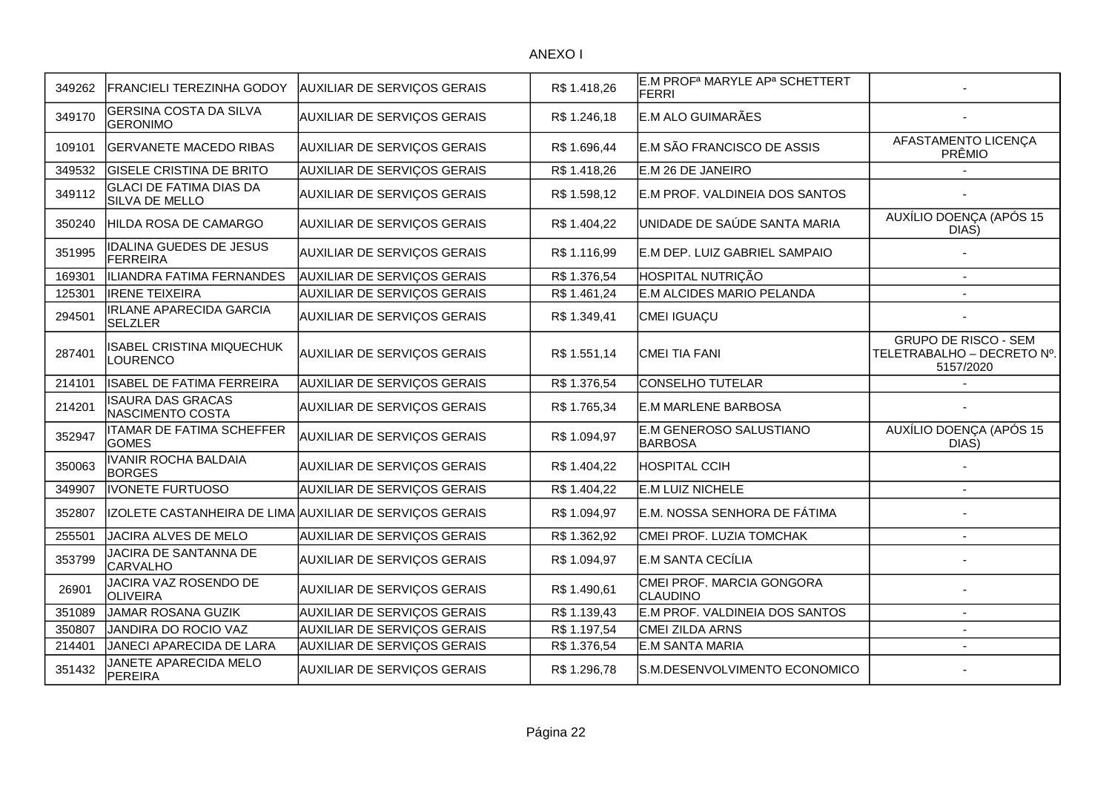| 349262 | <b>FRANCIELI TEREZINHA GODOY</b>                  | <b>AUXILIAR DE SERVIÇOS GERAIS</b>                      | R\$ 1.418,26 | E.M PROF <sup>a</sup> MARYLE AP <sup>a</sup> SCHETTERT<br>FERRI |                                                                        |
|--------|---------------------------------------------------|---------------------------------------------------------|--------------|-----------------------------------------------------------------|------------------------------------------------------------------------|
| 349170 | <b>GERSINA COSTA DA SILVA</b><br><b>GERONIMO</b>  | <b>AUXILIAR DE SERVIÇOS GERAIS</b>                      | R\$ 1.246,18 | E.M ALO GUIMARÃES                                               |                                                                        |
| 109101 | <b>GERVANETE MACEDO RIBAS</b>                     | AUXILIAR DE SERVIÇOS GERAIS                             | R\$ 1.696,44 | E.M SÃO FRANCISCO DE ASSIS                                      | AFASTAMENTO LICENÇA<br>PRÊMIO                                          |
| 349532 | <b>GISELE CRISTINA DE BRITO</b>                   | AUXILIAR DE SERVIÇOS GERAIS                             | R\$ 1.418,26 | E.M 26 DE JANEIRO                                               |                                                                        |
| 349112 | <b>GLACI DE FATIMA DIAS DA</b><br>SILVA DE MELLO  | <b>AUXILIAR DE SERVIÇOS GERAIS</b>                      | R\$ 1.598,12 | E.M PROF. VALDINEIA DOS SANTOS                                  |                                                                        |
| 350240 | HILDA ROSA DE CAMARGO                             | <b>AUXILIAR DE SERVIÇOS GERAIS</b>                      | R\$ 1.404,22 | UNIDADE DE SAÚDE SANTA MARIA                                    | AUXÍLIO DOENÇA (APÓS 15<br>DIAS)                                       |
| 351995 | <b>IDALINA GUEDES DE JESUS</b><br><b>FERREIRA</b> | AUXILIAR DE SERVIÇOS GERAIS                             | R\$ 1.116,99 | E.M DEP. LUIZ GABRIEL SAMPAIO                                   |                                                                        |
| 169301 | ILIANDRA FATIMA FERNANDES                         | <b>AUXILIAR DE SERVIÇOS GERAIS</b>                      | R\$ 1.376,54 | HOSPITAL NUTRIÇÃO                                               |                                                                        |
| 125301 | <b>IRENE TEIXEIRA</b>                             | AUXILIAR DE SERVIÇOS GERAIS                             | R\$ 1.461,24 | E.M ALCIDES MARIO PELANDA                                       |                                                                        |
| 294501 | <b>IRLANE APARECIDA GARCIA</b><br><b>SELZLER</b>  | AUXILIAR DE SERVIÇOS GERAIS                             | R\$ 1.349,41 | CMEI IGUAÇU                                                     |                                                                        |
| 287401 | ISABEL CRISTINA MIQUECHUK<br><b>LOURENCO</b>      | <b>AUXILIAR DE SERVIÇOS GERAIS</b>                      | R\$ 1.551,14 | <b>CMEI TIA FANI</b>                                            | <b>GRUPO DE RISCO - SEM</b><br>TELETRABALHO - DECRETO Nº.<br>5157/2020 |
| 214101 | <b>ISABEL DE FATIMA FERREIRA</b>                  | AUXILIAR DE SERVIÇOS GERAIS                             | R\$ 1.376,54 | CONSELHO TUTELAR                                                |                                                                        |
| 214201 | <b>ISAURA DAS GRACAS</b><br>NASCIMENTO COSTA      | AUXILIAR DE SERVIÇOS GERAIS                             | R\$ 1.765,34 | <b>E.M MARLENE BARBOSA</b>                                      |                                                                        |
| 352947 | <b>ITAMAR DE FATIMA SCHEFFER</b><br><b>GOMES</b>  | <b>AUXILIAR DE SERVIÇOS GERAIS</b>                      | R\$ 1.094,97 | <b>E.M GENEROSO SALUSTIANO</b><br><b>BARBOSA</b>                | AUXÍLIO DOENÇA (APÓS 15<br>DIAS)                                       |
| 350063 | <b>IVANIR ROCHA BALDAIA</b><br><b>BORGES</b>      | <b>AUXILIAR DE SERVIÇOS GERAIS</b>                      | R\$ 1.404,22 | HOSPITAL CCIH                                                   |                                                                        |
| 349907 | <b>IVONETE FURTUOSO</b>                           | <b>AUXILIAR DE SERVIÇOS GERAIS</b>                      | R\$ 1.404,22 | <b>E.M LUIZ NICHELE</b>                                         |                                                                        |
| 352807 |                                                   | IZOLETE CASTANHEIRA DE LIMA AUXILIAR DE SERVIÇOS GERAIS | R\$1.094,97  | E.M. NOSSA SENHORA DE FÁTIMA                                    |                                                                        |
| 255501 | JACIRA ALVES DE MELO                              | AUXILIAR DE SERVIÇOS GERAIS                             | R\$ 1.362,92 | CMEI PROF. LUZIA TOMCHAK                                        | ٠                                                                      |
| 353799 | JACIRA DE SANTANNA DE<br>CARVALHO                 | <b>AUXILIAR DE SERVIÇOS GERAIS</b>                      | R\$ 1.094,97 | E.M SANTA CECÍLIA                                               |                                                                        |
| 26901  | JACIRA VAZ ROSENDO DE<br><b>OLIVEIRA</b>          | AUXILIAR DE SERVIÇOS GERAIS                             | R\$ 1.490,61 | CMEI PROF. MARCIA GONGORA<br><b>CLAUDINO</b>                    |                                                                        |
| 351089 | JAMAR ROSANA GUZIK                                | <b>AUXILIAR DE SERVIÇOS GERAIS</b>                      | R\$ 1.139,43 | E.M PROF. VALDINEIA DOS SANTOS                                  |                                                                        |
| 350807 | JANDIRA DO ROCIO VAZ                              | <b>AUXILIAR DE SERVIÇOS GERAIS</b>                      | R\$ 1.197,54 | <b>CMEI ZILDA ARNS</b>                                          |                                                                        |
| 214401 | JANECI APARECIDA DE LARA                          | AUXILIAR DE SERVIÇOS GERAIS                             | R\$ 1.376,54 | E.M SANTA MARIA                                                 |                                                                        |
| 351432 | JANETE APARECIDA MELO<br><b>PEREIRA</b>           | <b>AUXILIAR DE SERVIÇOS GERAIS</b>                      | R\$ 1.296,78 | S.M.DESENVOLVIMENTO ECONOMICO                                   |                                                                        |
|        |                                                   |                                                         |              |                                                                 |                                                                        |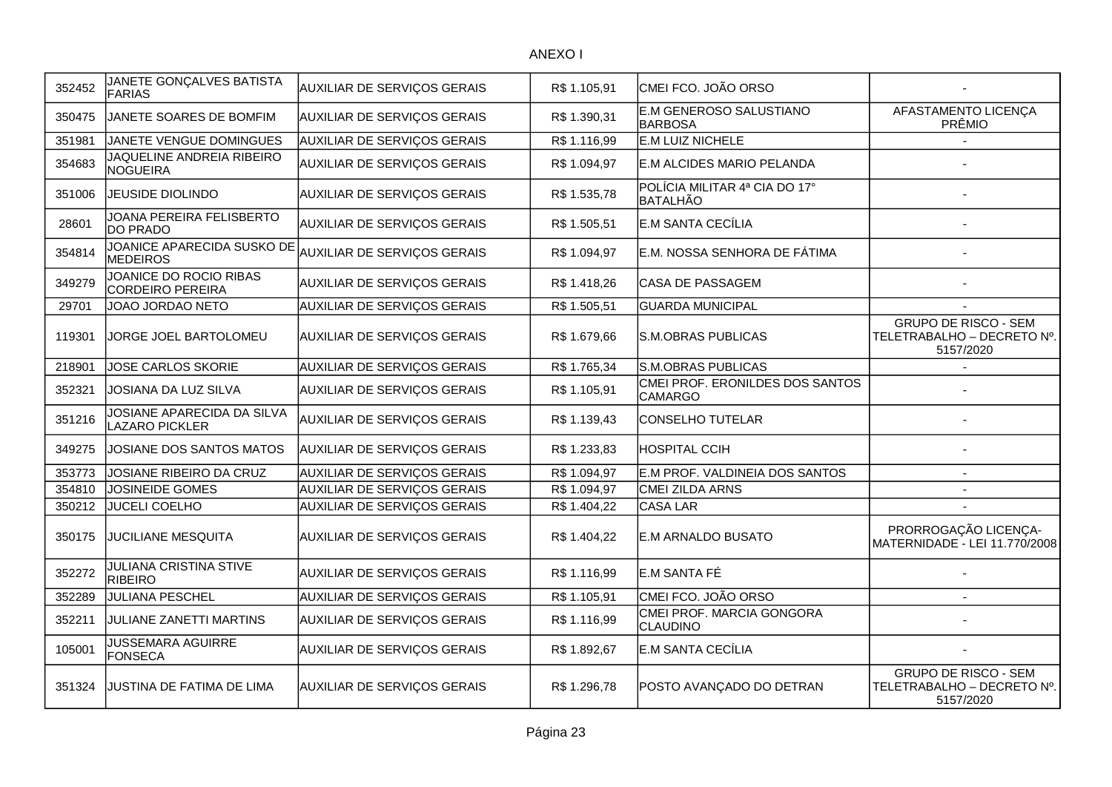| 352452 | JANETE GONÇALVES BATISTA<br><b>FARIAS</b>           | AUXILIAR DE SERVIÇOS GERAIS        | R\$ 1.105,91 | CMEI FCO. JOÃO ORSO                               |                                                                        |
|--------|-----------------------------------------------------|------------------------------------|--------------|---------------------------------------------------|------------------------------------------------------------------------|
| 350475 | JANETE SOARES DE BOMFIM                             | AUXILIAR DE SERVIÇOS GERAIS        | R\$ 1.390,31 | E.M GENEROSO SALUSTIANO<br><b>BARBOSA</b>         | AFASTAMENTO LICENÇA<br>PRÊMIO                                          |
| 351981 | JANETE VENGUE DOMINGUES                             | AUXILIAR DE SERVIÇOS GERAIS        | R\$ 1.116,99 | E.M LUIZ NICHELE                                  |                                                                        |
| 354683 | JAQUELINE ANDREIA RIBEIRO<br>NOGUEIRA               | AUXILIAR DE SERVIÇOS GERAIS        | R\$ 1.094,97 | E.M ALCIDES MARIO PELANDA                         |                                                                        |
| 351006 | <b>JEUSIDE DIOLINDO</b>                             | AUXILIAR DE SERVIÇOS GERAIS        | R\$ 1.535,78 | POLÍCIA MILITAR 4ª CIA DO 17°<br><b>BATALHÃO</b>  |                                                                        |
| 28601  | JOANA PEREIRA FELISBERTO<br>DO PRADO                | AUXILIAR DE SERVIÇOS GERAIS        | R\$ 1.505,51 | E.M SANTA CECÍLIA                                 |                                                                        |
| 354814 | JOANICE APARECIDA SUSKO DE<br><b>MEDEIROS</b>       | AUXILIAR DE SERVIÇOS GERAIS        | R\$ 1.094,97 | E.M. NOSSA SENHORA DE FÁTIMA                      |                                                                        |
| 349279 | JOANICE DO ROCIO RIBAS<br>CORDEIRO PEREIRA          | <b>AUXILIAR DE SERVIÇOS GERAIS</b> | R\$ 1.418,26 | CASA DE PASSAGEM                                  |                                                                        |
| 29701  | JOAO JORDAO NETO                                    | AUXILIAR DE SERVIÇOS GERAIS        | R\$ 1.505,51 | <b>GUARDA MUNICIPAL</b>                           |                                                                        |
| 119301 | JORGE JOEL BARTOLOMEU                               | AUXILIAR DE SERVIÇOS GERAIS        | R\$ 1.679,66 | S.M.OBRAS PUBLICAS                                | <b>GRUPO DE RISCO - SEM</b><br>TELETRABALHO - DECRETO Nº.<br>5157/2020 |
| 218901 | <b>JOSE CARLOS SKORIE</b>                           | AUXILIAR DE SERVIÇOS GERAIS        | R\$ 1.765,34 | S.M.OBRAS PUBLICAS                                |                                                                        |
| 352321 | JOSIANA DA LUZ SILVA                                | AUXILIAR DE SERVIÇOS GERAIS        | R\$ 1.105,91 | CMEI PROF. ERONILDES DOS SANTOS<br><b>CAMARGO</b> |                                                                        |
| 351216 | JOSIANE APARECIDA DA SILVA<br><b>LAZARO PICKLER</b> | AUXILIAR DE SERVIÇOS GERAIS        | R\$ 1.139,43 | <b>CONSELHO TUTELAR</b>                           |                                                                        |
| 349275 | JOSIANE DOS SANTOS MATOS                            | AUXILIAR DE SERVIÇOS GERAIS        | R\$ 1.233,83 | <b>HOSPITAL CCIH</b>                              |                                                                        |
| 353773 | JOSIANE RIBEIRO DA CRUZ                             | AUXILIAR DE SERVIÇOS GERAIS        | R\$ 1.094,97 | E.M PROF. VALDINEIA DOS SANTOS                    |                                                                        |
| 354810 | JOSINEIDE GOMES                                     | AUXILIAR DE SERVIÇOS GERAIS        | R\$ 1.094,97 | <b>CMEI ZILDA ARNS</b>                            |                                                                        |
| 350212 | <b>JUCELI COELHO</b>                                | AUXILIAR DE SERVIÇOS GERAIS        | R\$ 1.404,22 | <b>CASA LAR</b>                                   |                                                                        |
| 350175 | JUCILIANE MESQUITA                                  | AUXILIAR DE SERVIÇOS GERAIS        | R\$ 1.404,22 | E.M ARNALDO BUSATO                                | PRORROGAÇÃO LICENÇA-<br>MATERNIDADE - LEI 11.770/2008                  |
| 352272 | <b>JULIANA CRISTINA STIVE</b><br>RIBEIRO            | <b>AUXILIAR DE SERVIÇOS GERAIS</b> | R\$ 1.116,99 | E.M SANTA FÉ                                      |                                                                        |
| 352289 | <b>JULIANA PESCHEL</b>                              | AUXILIAR DE SERVIÇOS GERAIS        | R\$ 1.105,91 | CMEI FCO. JOÃO ORSO                               |                                                                        |
| 352211 | JULIANE ZANETTI MARTINS                             | AUXILIAR DE SERVIÇOS GERAIS        | R\$ 1.116,99 | CMEI PROF. MARCIA GONGORA<br><b>CLAUDINO</b>      |                                                                        |
| 105001 | <b>JUSSEMARA AGUIRRE</b><br>FONSECA                 | AUXILIAR DE SERVIÇOS GERAIS        | R\$ 1.892,67 | E.M SANTA CECÍLIA                                 |                                                                        |
| 351324 | JUSTINA DE FATIMA DE LIMA                           | AUXILIAR DE SERVIÇOS GERAIS        | R\$ 1.296,78 | POSTO AVANÇADO DO DETRAN                          | <b>GRUPO DE RISCO - SEM</b><br>TELETRABALHO - DECRETO Nº.<br>5157/2020 |
|        |                                                     |                                    |              |                                                   |                                                                        |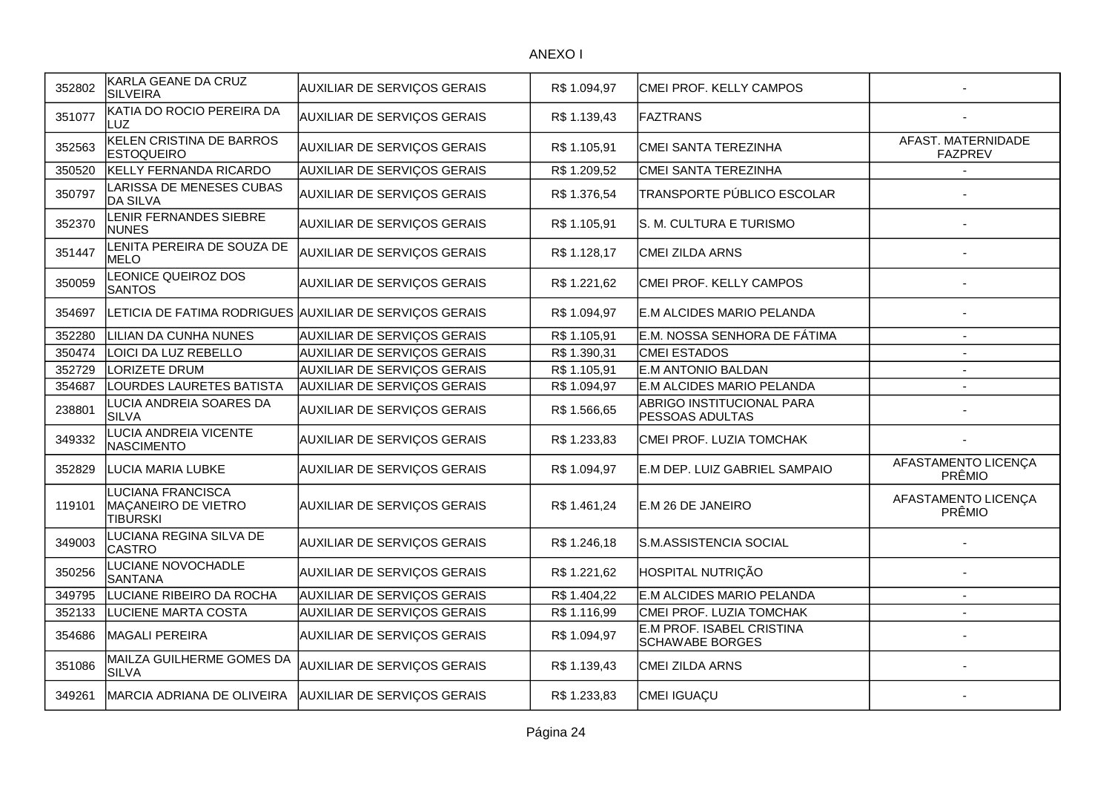| 352802 | KARLA GEANE DA CRUZ<br><b>SILVEIRA</b>                             | <b>AUXILIAR DE SERVIÇOS GERAIS</b>                      | R\$ 1.094,97 | CMEI PROF. KELLY CAMPOS                             |                                      |
|--------|--------------------------------------------------------------------|---------------------------------------------------------|--------------|-----------------------------------------------------|--------------------------------------|
| 351077 | KATIA DO ROCIO PEREIRA DA<br>LUZ                                   | <b>AUXILIAR DE SERVIÇOS GERAIS</b>                      | R\$ 1.139,43 | FAZTRANS                                            |                                      |
| 352563 | KELEN CRISTINA DE BARROS<br><b>ESTOQUEIRO</b>                      | AUXILIAR DE SERVIÇOS GERAIS                             | R\$ 1.105,91 | CMEI SANTA TEREZINHA                                | AFAST. MATERNIDADE<br><b>FAZPREV</b> |
| 350520 | KELLY FERNANDA RICARDO                                             | AUXILIAR DE SERVIÇOS GERAIS                             | R\$ 1.209,52 | CMEI SANTA TEREZINHA                                |                                      |
| 350797 | LARISSA DE MENESES CUBAS<br><b>DA SILVA</b>                        | <b>AUXILIAR DE SERVIÇOS GERAIS</b>                      | R\$ 1.376,54 | TRANSPORTE PÚBLICO ESCOLAR                          |                                      |
| 352370 | LENIR FERNANDES SIEBRE<br><b>NUNES</b>                             | <b>AUXILIAR DE SERVIÇOS GERAIS</b>                      | R\$ 1.105,91 | S. M. CULTURA E TURISMO                             |                                      |
| 351447 | LENITA PEREIRA DE SOUZA DE<br>MELO                                 | AUXILIAR DE SERVIÇOS GERAIS                             | R\$ 1.128,17 | CMEI ZILDA ARNS                                     |                                      |
| 350059 | LEONICE QUEIROZ DOS<br><b>SANTOS</b>                               | AUXILIAR DE SERVIÇOS GERAIS                             | R\$ 1.221,62 | CMEI PROF. KELLY CAMPOS                             |                                      |
| 354697 |                                                                    | LETICIA DE FATIMA RODRIGUES AUXILIAR DE SERVIÇOS GERAIS | R\$ 1.094,97 | E.M ALCIDES MARIO PELANDA                           |                                      |
| 352280 | LILIAN DA CUNHA NUNES                                              | AUXILIAR DE SERVIÇOS GERAIS                             | R\$ 1.105,91 | E.M. NOSSA SENHORA DE FÁTIMA                        |                                      |
| 350474 | LOICI DA LUZ REBELLO                                               | AUXILIAR DE SERVIÇOS GERAIS                             | R\$ 1.390,31 | <b>CMEI ESTADOS</b>                                 |                                      |
| 352729 | LORIZETE DRUM                                                      | <b>AUXILIAR DE SERVIÇOS GERAIS</b>                      | R\$ 1.105,91 | <b>E.M ANTONIO BALDAN</b>                           |                                      |
| 354687 | LOURDES LAURETES BATISTA                                           | <b>AUXILIAR DE SERVIÇOS GERAIS</b>                      | R\$ 1.094,97 | E.M ALCIDES MARIO PELANDA                           |                                      |
| 238801 | LUCIA ANDREIA SOARES DA<br>SILVA                                   | <b>AUXILIAR DE SERVIÇOS GERAIS</b>                      | R\$ 1.566,65 | ABRIGO INSTITUCIONAL PARA<br>PESSOAS ADULTAS        |                                      |
| 349332 | LUCIA ANDREIA VICENTE<br><b>NASCIMENTO</b>                         | AUXILIAR DE SERVIÇOS GERAIS                             | R\$ 1.233,83 | CMEI PROF. LUZIA TOMCHAK                            |                                      |
| 352829 | LUCIA MARIA LUBKE                                                  | AUXILIAR DE SERVIÇOS GERAIS                             | R\$ 1.094,97 | E.M DEP. LUIZ GABRIEL SAMPAIO                       | AFASTAMENTO LICENÇA<br>PRÊMIO        |
| 119101 | <b>LUCIANA FRANCISCA</b><br>MAÇANEIRO DE VIETRO<br><b>TIBURSKI</b> | AUXILIAR DE SERVIÇOS GERAIS                             | R\$ 1.461,24 | E.M 26 DE JANEIRO                                   | AFASTAMENTO LICENÇA<br>PRÊMIO        |
| 349003 | LUCIANA REGINA SILVA DE<br><b>CASTRO</b>                           | <b>AUXILIAR DE SERVIÇOS GERAIS</b>                      | R\$ 1.246,18 | S.M.ASSISTENCIA SOCIAL                              |                                      |
| 350256 | LUCIANE NOVOCHADLE<br><b>SANTANA</b>                               | AUXILIAR DE SERVIÇOS GERAIS                             | R\$ 1.221,62 | HOSPITAL NUTRIÇÃO                                   |                                      |
| 349795 | LUCIANE RIBEIRO DA ROCHA                                           | AUXILIAR DE SERVIÇOS GERAIS                             | R\$ 1.404,22 | E.M ALCIDES MARIO PELANDA                           | $\blacksquare$                       |
| 352133 | LUCIENE MARTA COSTA                                                | <b>AUXILIAR DE SERVIÇOS GERAIS</b>                      | R\$ 1.116,99 | CMEI PROF. LUZIA TOMCHAK                            |                                      |
| 354686 | <b>MAGALI PEREIRA</b>                                              | <b>AUXILIAR DE SERVIÇOS GERAIS</b>                      | R\$ 1.094,97 | E.M PROF. ISABEL CRISTINA<br><b>SCHAWABE BORGES</b> |                                      |
| 351086 | MAILZA GUILHERME GOMES DA<br><b>SILVA</b>                          | <b>AUXILIAR DE SERVIÇOS GERAIS</b>                      | R\$ 1.139,43 | CMEI ZILDA ARNS                                     |                                      |
| 349261 | MARCIA ADRIANA DE OLIVEIRA                                         | <b>AUXILIAR DE SERVIÇOS GERAIS</b>                      | R\$ 1.233,83 | CMEI IGUAÇU                                         |                                      |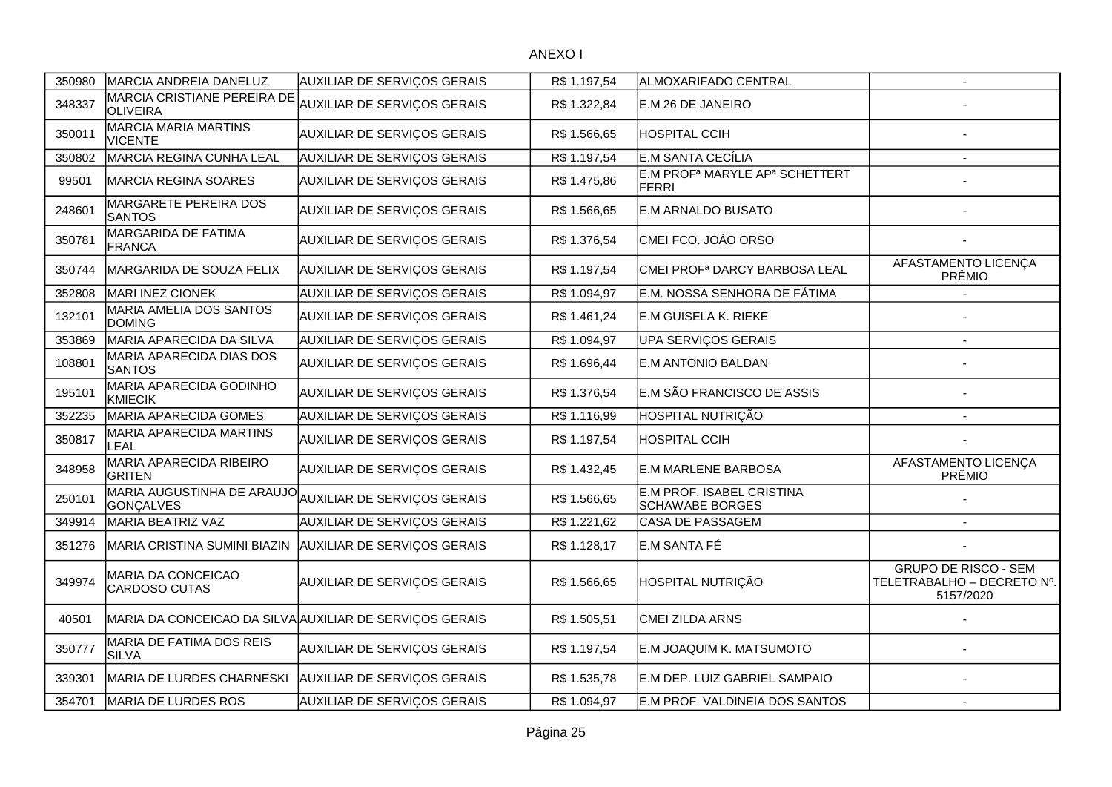| 350980 | MARCIA ANDREIA DANELUZ                                  | <b>AUXILIAR DE SERVIÇOS GERAIS</b> | R\$ 1.197,54 | ALMOXARIFADO CENTRAL                                                   | $\overline{\phantom{a}}$                                               |
|--------|---------------------------------------------------------|------------------------------------|--------------|------------------------------------------------------------------------|------------------------------------------------------------------------|
| 348337 | MARCIA CRISTIANE PEREIRA DE<br>OLIVEIRA                 | AUXILIAR DE SERVIÇOS GERAIS        | R\$ 1.322,84 | E.M 26 DE JANEIRO                                                      |                                                                        |
| 350011 | <b>MARCIA MARIA MARTINS</b><br><b>VICENTE</b>           | AUXILIAR DE SERVIÇOS GERAIS        | R\$ 1.566,65 | <b>HOSPITAL CCIH</b>                                                   |                                                                        |
| 350802 | MARCIA REGINA CUNHA LEAL                                | AUXILIAR DE SERVIÇOS GERAIS        | R\$ 1.197,54 | E.M SANTA CECÍLIA                                                      | $\overline{a}$                                                         |
| 99501  | MARCIA REGINA SOARES                                    | AUXILIAR DE SERVIÇOS GERAIS        | R\$ 1.475,86 | E.M PROF <sup>a</sup> MARYLE AP <sup>a</sup> SCHETTERT<br><b>FERRI</b> |                                                                        |
| 248601 | <b>MARGARETE PEREIRA DOS</b><br><b>SANTOS</b>           | AUXILIAR DE SERVIÇOS GERAIS        | R\$ 1.566,65 | E.M ARNALDO BUSATO                                                     |                                                                        |
| 350781 | MARGARIDA DE FATIMA<br><b>FRANCA</b>                    | AUXILIAR DE SERVIÇOS GERAIS        | R\$ 1.376,54 | CMEI FCO. JOÃO ORSO                                                    |                                                                        |
| 350744 | MARGARIDA DE SOUZA FELIX                                | AUXILIAR DE SERVIÇOS GERAIS        | R\$ 1.197,54 | CMEI PROF <sup>a</sup> DARCY BARBOSA LEAL                              | AFASTAMENTO LICENÇA<br>PRÊMIO                                          |
| 352808 | MARI INEZ CIONEK                                        | AUXILIAR DE SERVIÇOS GERAIS        | R\$ 1.094,97 | E.M. NOSSA SENHORA DE FÁTIMA                                           |                                                                        |
| 132101 | MARIA AMELIA DOS SANTOS<br><b>DOMING</b>                | AUXILIAR DE SERVIÇOS GERAIS        | R\$ 1.461,24 | E.M GUISELA K. RIEKE                                                   |                                                                        |
| 353869 | MARIA APARECIDA DA SILVA                                | AUXILIAR DE SERVIÇOS GERAIS        | R\$ 1.094,97 | <b>UPA SERVIÇOS GERAIS</b>                                             | $\overline{\phantom{a}}$                                               |
| 108801 | MARIA APARECIDA DIAS DOS<br><b>SANTOS</b>               | AUXILIAR DE SERVIÇOS GERAIS        | R\$ 1.696,44 | <b>E.M ANTONIO BALDAN</b>                                              |                                                                        |
| 195101 | MARIA APARECIDA GODINHO<br>KMIECIK                      | AUXILIAR DE SERVIÇOS GERAIS        | R\$ 1.376,54 | E.M SÃO FRANCISCO DE ASSIS                                             |                                                                        |
| 352235 | MARIA APARECIDA GOMES                                   | AUXILIAR DE SERVIÇOS GERAIS        | R\$ 1.116,99 | HOSPITAL NUTRIÇÃO                                                      | $\overline{\phantom{a}}$                                               |
| 350817 | <b>MARIA APARECIDA MARTINS</b><br>LEAL                  | AUXILIAR DE SERVIÇOS GERAIS        | R\$ 1.197,54 | <b>HOSPITAL CCIH</b>                                                   |                                                                        |
| 348958 | MARIA APARECIDA RIBEIRO<br><b>GRITEN</b>                | AUXILIAR DE SERVIÇOS GERAIS        | R\$ 1.432,45 | <b>E.M MARLENE BARBOSA</b>                                             | AFASTAMENTO LICENÇA<br>PRÊMIO                                          |
| 250101 | MARIA AUGUSTINHA DE ARAUJO<br>GONÇALVES                 | AUXILIAR DE SERVIÇOS GERAIS        | R\$ 1.566,65 | E.M PROF. ISABEL CRISTINA<br><b>SCHAWABE BORGES</b>                    |                                                                        |
| 349914 | MARIA BEATRIZ VAZ                                       | AUXILIAR DE SERVIÇOS GERAIS        | R\$ 1.221,62 | CASA DE PASSAGEM                                                       | $\blacksquare$                                                         |
| 351276 | MARIA CRISTINA SUMINI BIAZIN                            | AUXILIAR DE SERVIÇOS GERAIS        | R\$ 1.128,17 | E.M SANTA FÉ                                                           |                                                                        |
| 349974 | <b>MARIA DA CONCEICAO</b><br>CARDOSO CUTAS              | AUXILIAR DE SERVIÇOS GERAIS        | R\$ 1.566,65 | HOSPITAL NUTRIÇÃO                                                      | <b>GRUPO DE RISCO - SEM</b><br>TELETRABALHO - DECRETO Nº.<br>5157/2020 |
| 40501  | MARIA DA CONCEICAO DA SILVA AUXILIAR DE SERVIÇOS GERAIS |                                    | R\$ 1.505,51 | CMEI ZILDA ARNS                                                        |                                                                        |
| 350777 | MARIA DE FATIMA DOS REIS<br><b>SILVA</b>                | AUXILIAR DE SERVIÇOS GERAIS        | R\$ 1.197,54 | E.M JOAQUIM K. MATSUMOTO                                               |                                                                        |
| 339301 | MARIA DE LURDES CHARNESKI                               | <b>AUXILIAR DE SERVIÇOS GERAIS</b> | R\$ 1.535,78 | E.M DEP. LUIZ GABRIEL SAMPAIO                                          |                                                                        |
| 354701 | MARIA DE LURDES ROS                                     | AUXILIAR DE SERVIÇOS GERAIS        | R\$1.094,97  | E.M PROF. VALDINEIA DOS SANTOS                                         | $\sim$                                                                 |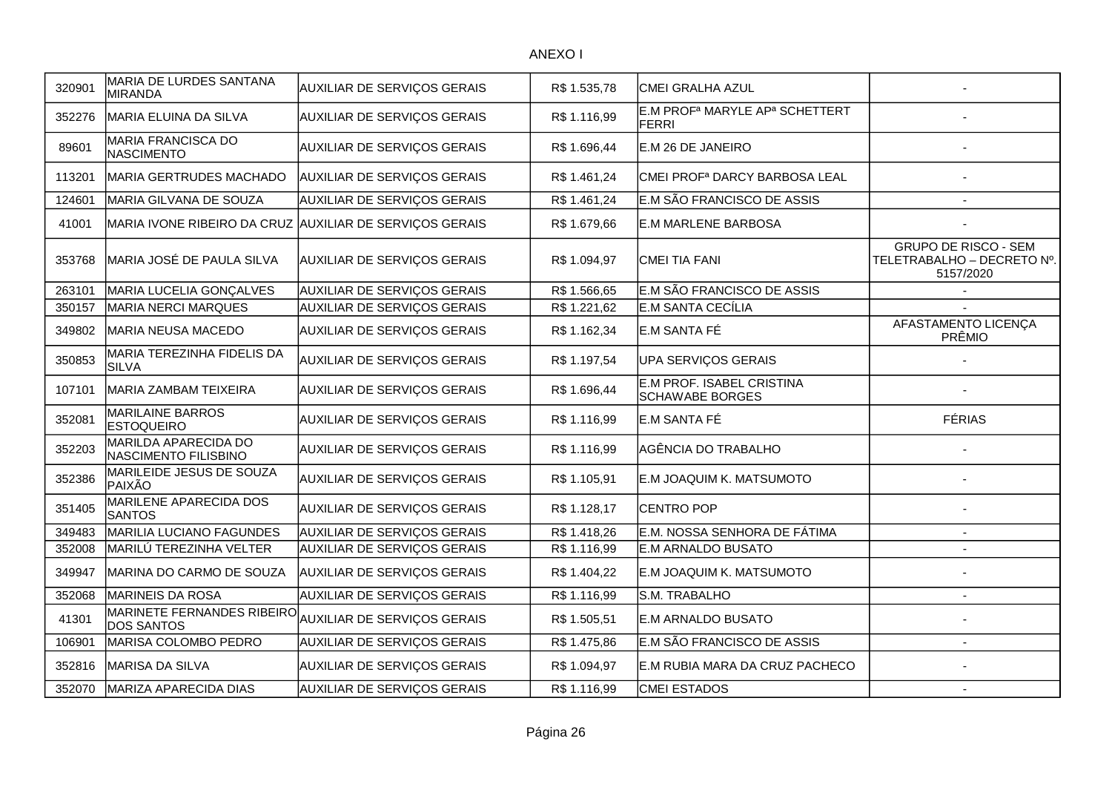| 320901 | MARIA DE LURDES SANTANA<br>MIRANDA           | <b>AUXILIAR DE SERVIÇOS GERAIS</b> | R\$ 1.535,78 | CMEI GRALHA AZUL                                                       |                                                                        |
|--------|----------------------------------------------|------------------------------------|--------------|------------------------------------------------------------------------|------------------------------------------------------------------------|
| 352276 | <b>MARIA ELUINA DA SILVA</b>                 | AUXILIAR DE SERVIÇOS GERAIS        | R\$ 1.116,99 | E.M PROF <sup>a</sup> MARYLE AP <sup>a</sup> SCHETTERT<br><b>FERRI</b> |                                                                        |
| 89601  | <b>MARIA FRANCISCA DO</b><br>NASCIMENTO      | AUXILIAR DE SERVIÇOS GERAIS        | R\$ 1.696,44 | E.M 26 DE JANEIRO                                                      |                                                                        |
| 113201 | MARIA GERTRUDES MACHADO                      | <b>AUXILIAR DE SERVIÇOS GERAIS</b> | R\$ 1.461,24 | CMEI PROF <sup>a</sup> DARCY BARBOSA LEAL                              |                                                                        |
| 124601 | MARIA GILVANA DE SOUZA                       | AUXILIAR DE SERVIÇOS GERAIS        | R\$ 1.461,24 | E.M SÃO FRANCISCO DE ASSIS                                             | $\blacksquare$                                                         |
| 41001  | MARIA IVONE RIBEIRO DA CRUZ                  | <b>AUXILIAR DE SERVIÇOS GERAIS</b> | R\$ 1.679,66 | E.M MARLENE BARBOSA                                                    |                                                                        |
| 353768 | MARIA JOSÉ DE PAULA SILVA                    | <b>AUXILIAR DE SERVIÇOS GERAIS</b> | R\$ 1.094,97 | <b>CMEI TIA FANI</b>                                                   | <b>GRUPO DE RISCO - SEM</b><br>TELETRABALHO - DECRETO Nº.<br>5157/2020 |
| 263101 | MARIA LUCELIA GONÇALVES                      | AUXILIAR DE SERVIÇOS GERAIS        | R\$ 1.566,65 | E.M SÃO FRANCISCO DE ASSIS                                             |                                                                        |
| 350157 | <b>MARIA NERCI MARQUES</b>                   | AUXILIAR DE SERVIÇOS GERAIS        | R\$ 1.221,62 | E.M SANTA CECÍLIA                                                      |                                                                        |
| 349802 | MARIA NEUSA MACEDO                           | AUXILIAR DE SERVIÇOS GERAIS        | R\$ 1.162,34 | E.M SANTA FÉ                                                           | AFASTAMENTO LICENÇA<br>PRÊMIO                                          |
| 350853 | MARIA TEREZINHA FIDELIS DA<br><b>SILVA</b>   | <b>AUXILIAR DE SERVIÇOS GERAIS</b> | R\$ 1.197,54 | UPA SERVIÇOS GERAIS                                                    |                                                                        |
| 107101 | MARIA ZAMBAM TEIXEIRA                        | AUXILIAR DE SERVIÇOS GERAIS        | R\$ 1.696,44 | E.M PROF. ISABEL CRISTINA<br><b>SCHAWABE BORGES</b>                    |                                                                        |
| 352081 | <b>MARILAINE BARROS</b><br><b>ESTOQUEIRO</b> | <b>AUXILIAR DE SERVIÇOS GERAIS</b> | R\$ 1.116,99 | E.M SANTA FÉ                                                           | <b>FÉRIAS</b>                                                          |
| 352203 | MARILDA APARECIDA DO<br>NASCIMENTO FILISBINO | AUXILIAR DE SERVIÇOS GERAIS        | R\$ 1.116,99 | AGÊNCIA DO TRABALHO                                                    |                                                                        |
| 352386 | MARILEIDE JESUS DE SOUZA<br>PAIXÃO           | <b>AUXILIAR DE SERVIÇOS GERAIS</b> | R\$ 1.105,91 | E.M JOAQUIM K. MATSUMOTO                                               |                                                                        |
| 351405 | MARILENE APARECIDA DOS<br><b>SANTOS</b>      | AUXILIAR DE SERVIÇOS GERAIS        | R\$ 1.128,17 | <b>CENTRO POP</b>                                                      |                                                                        |
| 349483 | <b>MARILIA LUCIANO FAGUNDES</b>              | <b>AUXILIAR DE SERVIÇOS GERAIS</b> | R\$ 1.418,26 | E.M. NOSSA SENHORA DE FÁTIMA                                           | $\blacksquare$                                                         |
| 352008 | MARILÚ TEREZINHA VELTER                      | AUXILIAR DE SERVIÇOS GERAIS        | R\$ 1.116,99 | <b>E.M ARNALDO BUSATO</b>                                              |                                                                        |
| 349947 | MARINA DO CARMO DE SOUZA                     | <b>AUXILIAR DE SERVIÇOS GERAIS</b> | R\$ 1.404,22 | E.M JOAQUIM K. MATSUMOTO                                               |                                                                        |
| 352068 | MARINEIS DA ROSA                             | AUXILIAR DE SERVIÇOS GERAIS        | R\$ 1.116,99 | S.M. TRABALHO                                                          | $\blacksquare$                                                         |
| 41301  | MARINETE FERNANDES RIBEIRO<br>DOS SANTOS     | <b>AUXILIAR DE SERVIÇOS GERAIS</b> | R\$ 1.505,51 | E.M ARNALDO BUSATO                                                     |                                                                        |
| 106901 | MARISA COLOMBO PEDRO                         | AUXILIAR DE SERVIÇOS GERAIS        | R\$ 1.475,86 | E.M SÃO FRANCISCO DE ASSIS                                             |                                                                        |
| 352816 | <b>MARISA DA SILVA</b>                       | <b>AUXILIAR DE SERVIÇOS GERAIS</b> | R\$ 1.094,97 | E.M RUBIA MARA DA CRUZ PACHECO                                         |                                                                        |
| 352070 | <b>MARIZA APARECIDA DIAS</b>                 | AUXILIAR DE SERVIÇOS GERAIS        | R\$ 1.116,99 | <b>CMEI ESTADOS</b>                                                    | $\overline{\phantom{a}}$                                               |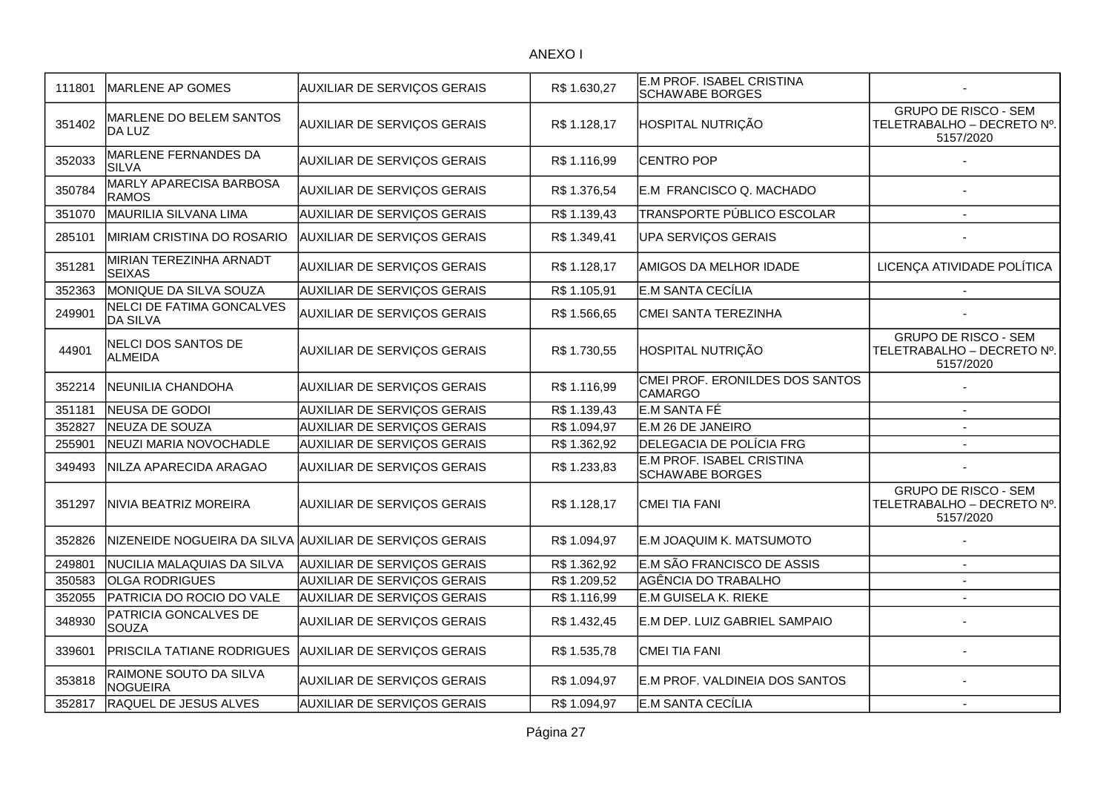| 111801 | MARLENE AP GOMES                                    | <b>AUXILIAR DE SERVIÇOS GERAIS</b>                      | R\$ 1.630,27 | E.M PROF. ISABEL CRISTINA<br><b>SCHAWABE BORGES</b> |                                                                        |
|--------|-----------------------------------------------------|---------------------------------------------------------|--------------|-----------------------------------------------------|------------------------------------------------------------------------|
| 351402 | MARLENE DO BELEM SANTOS<br>DA LUZ                   | <b>AUXILIAR DE SERVIÇOS GERAIS</b>                      | R\$ 1.128,17 | HOSPITAL NUTRIÇÃO                                   | <b>GRUPO DE RISCO - SEM</b><br>TELETRABALHO - DECRETO Nº.<br>5157/2020 |
| 352033 | MARLENE FERNANDES DA<br><b>SILVA</b>                | <b>AUXILIAR DE SERVIÇOS GERAIS</b>                      | R\$ 1.116,99 | <b>CENTRO POP</b>                                   |                                                                        |
| 350784 | MARLY APARECISA BARBOSA<br><b>RAMOS</b>             | AUXILIAR DE SERVIÇOS GERAIS                             | R\$ 1.376,54 | E.M FRANCISCO Q. MACHADO                            |                                                                        |
| 351070 | MAURILIA SILVANA LIMA                               | AUXILIAR DE SERVIÇOS GERAIS                             | R\$ 1.139,43 | TRANSPORTE PÚBLICO ESCOLAR                          | $\overline{a}$                                                         |
| 285101 | MIRIAM CRISTINA DO ROSARIO                          | <b>AUXILIAR DE SERVIÇOS GERAIS</b>                      | R\$ 1.349,41 | UPA SERVIÇOS GERAIS                                 |                                                                        |
| 351281 | MIRIAN TEREZINHA ARNADT<br><b>SEIXAS</b>            | <b>AUXILIAR DE SERVIÇOS GERAIS</b>                      | R\$ 1.128,17 | AMIGOS DA MELHOR IDADE                              | LICENÇA ATIVIDADE POLÍTICA                                             |
| 352363 | MONIQUE DA SILVA SOUZA                              | <b>AUXILIAR DE SERVIÇOS GERAIS</b>                      | R\$ 1.105,91 | E.M SANTA CECÍLIA                                   |                                                                        |
| 249901 | <b>NELCI DE FATIMA GONCALVES</b><br><b>DA SILVA</b> | AUXILIAR DE SERVIÇOS GERAIS                             | R\$ 1.566,65 | CMEI SANTA TEREZINHA                                |                                                                        |
| 44901  | <b>NELCI DOS SANTOS DE</b><br><b>ALMEIDA</b>        | <b>AUXILIAR DE SERVIÇOS GERAIS</b>                      | R\$ 1.730,55 | HOSPITAL NUTRIÇÃO                                   | <b>GRUPO DE RISCO - SEM</b><br>TELETRABALHO - DECRETO Nº.<br>5157/2020 |
| 352214 | NEUNILIA CHANDOHA                                   | <b>AUXILIAR DE SERVIÇOS GERAIS</b>                      | R\$ 1.116,99 | CMEI PROF. ERONILDES DOS SANTOS<br><b>CAMARGO</b>   |                                                                        |
| 351181 | NEUSA DE GODOI                                      | AUXILIAR DE SERVIÇOS GERAIS                             | R\$ 1.139,43 | E.M SANTA FÉ                                        | $\overline{\phantom{a}}$                                               |
| 352827 | NEUZA DE SOUZA                                      | AUXILIAR DE SERVIÇOS GERAIS                             | R\$ 1.094,97 | E.M 26 DE JANEIRO                                   |                                                                        |
| 255901 | NEUZI MARIA NOVOCHADLE                              | AUXILIAR DE SERVIÇOS GERAIS                             | R\$ 1.362,92 | DELEGACIA DE POLÍCIA FRG                            |                                                                        |
| 349493 | NILZA APARECIDA ARAGAO                              | <b>AUXILIAR DE SERVIÇOS GERAIS</b>                      | R\$ 1.233,83 | E.M PROF. ISABEL CRISTINA<br><b>SCHAWABE BORGES</b> |                                                                        |
| 351297 | NIVIA BEATRIZ MOREIRA                               | <b>AUXILIAR DE SERVIÇOS GERAIS</b>                      | R\$1.128,17  | CMEI TIA FANI                                       | <b>GRUPO DE RISCO - SEM</b><br>TELETRABALHO - DECRETO Nº.<br>5157/2020 |
| 352826 |                                                     | NIZENEIDE NOGUEIRA DA SILVA AUXILIAR DE SERVIÇOS GERAIS | R\$ 1.094,97 | E.M JOAQUIM K. MATSUMOTO                            |                                                                        |
| 249801 | NUCILIA MALAQUIAS DA SILVA                          | <b>AUXILIAR DE SERVIÇOS GERAIS</b>                      | R\$ 1.362,92 | E.M SÃO FRANCISCO DE ASSIS                          |                                                                        |
| 350583 | <b>OLGA RODRIGUES</b>                               | AUXILIAR DE SERVIÇOS GERAIS                             | R\$ 1.209,52 | AGÊNCIA DO TRABALHO                                 | $\blacksquare$                                                         |
| 352055 | PATRICIA DO ROCIO DO VALE                           | <b>AUXILIAR DE SERVIÇOS GERAIS</b>                      | R\$ 1.116,99 | <b>E.M GUISELA K. RIEKE</b>                         |                                                                        |
| 348930 | PATRICIA GONCALVES DE<br>SOUZA                      | AUXILIAR DE SERVIÇOS GERAIS                             | R\$ 1.432,45 | E.M DEP. LUIZ GABRIEL SAMPAIO                       |                                                                        |
| 339601 | PRISCILA TATIANE RODRIGUES                          | <b>AUXILIAR DE SERVIÇOS GERAIS</b>                      | R\$ 1.535,78 | <b>CMEI TIA FANI</b>                                |                                                                        |
| 353818 | RAIMONE SOUTO DA SILVA<br><b>NOGUEIRA</b>           | <b>AUXILIAR DE SERVIÇOS GERAIS</b>                      | R\$ 1.094,97 | E.M PROF. VALDINEIA DOS SANTOS                      |                                                                        |
| 352817 | RAQUEL DE JESUS ALVES                               | AUXILIAR DE SERVIÇOS GERAIS                             | R\$ 1.094,97 | E.M SANTA CECÍLIA                                   | $\overline{\phantom{a}}$                                               |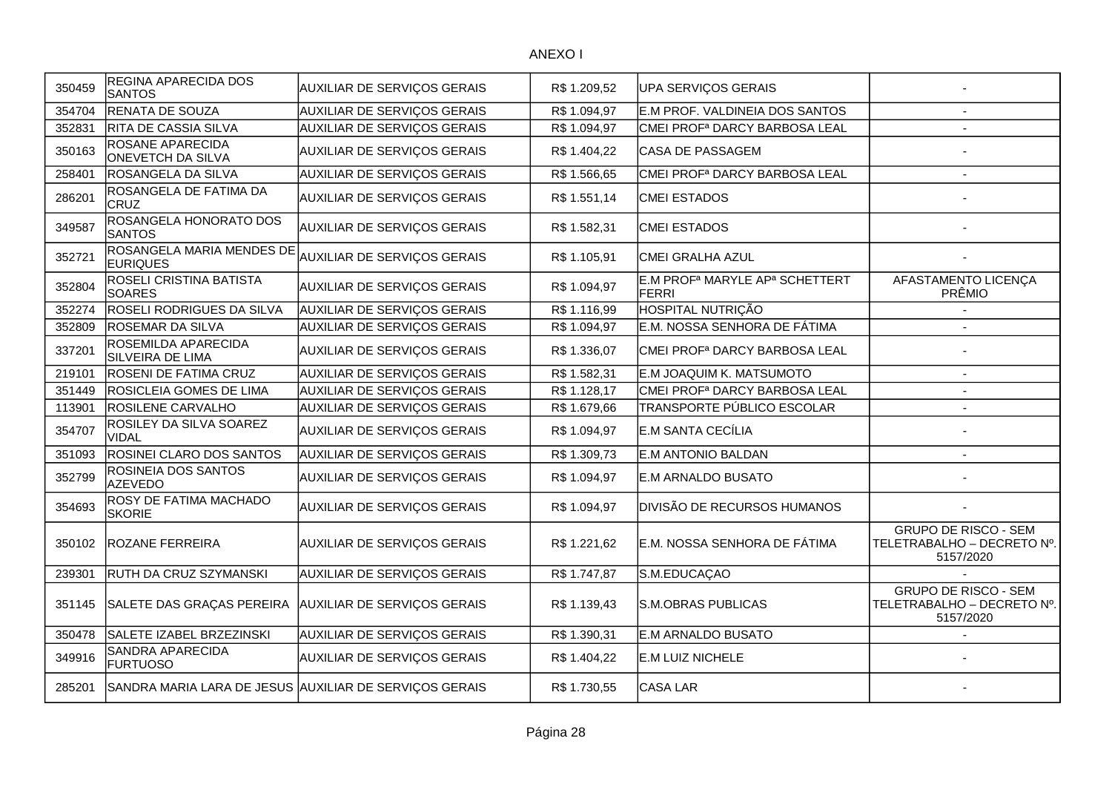| 350459 | <b>REGINA APARECIDA DOS</b><br><b>SANTOS</b>           | <b>AUXILIAR DE SERVIÇOS GERAIS</b> | R\$ 1.209,52 | UPA SERVIÇOS GERAIS                                             |                                                                        |
|--------|--------------------------------------------------------|------------------------------------|--------------|-----------------------------------------------------------------|------------------------------------------------------------------------|
| 354704 | RENATA DE SOUZA                                        | <b>AUXILIAR DE SERVIÇOS GERAIS</b> | R\$1.094,97  | E.M PROF. VALDINEIA DOS SANTOS                                  |                                                                        |
| 352831 | RITA DE CASSIA SILVA                                   | AUXILIAR DE SERVIÇOS GERAIS        | R\$ 1.094,97 | CMEI PROF <sup>a</sup> DARCY BARBOSA LEAL                       |                                                                        |
| 350163 | ROSANE APARECIDA<br><b>ONEVETCH DA SILVA</b>           | <b>AUXILIAR DE SERVIÇOS GERAIS</b> | R\$ 1.404,22 | CASA DE PASSAGEM                                                |                                                                        |
| 258401 | ROSANGELA DA SILVA                                     | AUXILIAR DE SERVIÇOS GERAIS        | R\$ 1.566,65 | CMEI PROF <sup>a</sup> DARCY BARBOSA LEAL                       |                                                                        |
| 286201 | ROSANGELA DE FATIMA DA<br><b>CRUZ</b>                  | <b>AUXILIAR DE SERVIÇOS GERAIS</b> | R\$ 1.551,14 | <b>CMEI ESTADOS</b>                                             |                                                                        |
| 349587 | ROSANGELA HONORATO DOS<br><b>SANTOS</b>                | AUXILIAR DE SERVIÇOS GERAIS        | R\$ 1.582,31 | CMEI ESTADOS                                                    |                                                                        |
| 352721 | ROSANGELA MARIA MENDES DE<br><b>EURIQUES</b>           | AUXILIAR DE SERVIÇOS GERAIS        | R\$ 1.105,91 | CMEI GRALHA AZUL                                                |                                                                        |
| 352804 | <b>ROSELI CRISTINA BATISTA</b><br><b>SOARES</b>        | AUXILIAR DE SERVIÇOS GERAIS        | R\$ 1.094,97 | E.M PROF <sup>a</sup> MARYLE AP <sup>a</sup> SCHETTERT<br>FERRI | AFASTAMENTO LICENÇA<br>PRÊMIO                                          |
| 352274 | <b>ROSELI RODRIGUES DA SILVA</b>                       | AUXILIAR DE SERVIÇOS GERAIS        | R\$ 1.116,99 | HOSPITAL NUTRIÇÃO                                               |                                                                        |
| 352809 | <b>ROSEMAR DA SILVA</b>                                | AUXILIAR DE SERVIÇOS GERAIS        | R\$ 1.094,97 | E.M. NOSSA SENHORA DE FÁTIMA                                    |                                                                        |
| 337201 | ROSEMILDA APARECIDA<br>SILVEIRA DE LIMA                | AUXILIAR DE SERVIÇOS GERAIS        | R\$ 1.336,07 | CMEI PROF <sup>a</sup> DARCY BARBOSA LEAL                       |                                                                        |
| 219101 | <b>ROSENI DE FATIMA CRUZ</b>                           | <b>AUXILIAR DE SERVIÇOS GERAIS</b> | R\$ 1.582,31 | E.M JOAQUIM K. MATSUMOTO                                        |                                                                        |
| 351449 | <b>ROSICLEIA GOMES DE LIMA</b>                         | <b>AUXILIAR DE SERVIÇOS GERAIS</b> | R\$ 1.128,17 | CMEI PROF <sup>a</sup> DARCY BARBOSA LEAL                       |                                                                        |
| 113901 | <b>ROSILENE CARVALHO</b>                               | <b>AUXILIAR DE SERVIÇOS GERAIS</b> | R\$ 1.679,66 | TRANSPORTE PÚBLICO ESCOLAR                                      |                                                                        |
| 354707 | <b>ROSILEY DA SILVA SOAREZ</b><br>VIDAL                | AUXILIAR DE SERVIÇOS GERAIS        | R\$ 1.094,97 | E.M SANTA CECÍLIA                                               |                                                                        |
| 351093 | ROSINEI CLARO DOS SANTOS                               | AUXILIAR DE SERVIÇOS GERAIS        | R\$ 1.309,73 | <b>E.M ANTONIO BALDAN</b>                                       | $\sim$                                                                 |
| 352799 | ROSINEIA DOS SANTOS<br><b>AZEVEDO</b>                  | AUXILIAR DE SERVIÇOS GERAIS        | R\$ 1.094,97 | E.M ARNALDO BUSATO                                              |                                                                        |
| 354693 | <b>ROSY DE FATIMA MACHADO</b><br><b>SKORIE</b>         | AUXILIAR DE SERVIÇOS GERAIS        | R\$ 1.094,97 | DIVISÃO DE RECURSOS HUMANOS                                     |                                                                        |
| 350102 | <b>ROZANE FERREIRA</b>                                 | <b>AUXILIAR DE SERVIÇOS GERAIS</b> | R\$ 1.221,62 | E.M. NOSSA SENHORA DE FÁTIMA                                    | <b>GRUPO DE RISCO - SEM</b><br>TELETRABALHO - DECRETO Nº.<br>5157/2020 |
| 239301 | RUTH DA CRUZ SZYMANSKI                                 | <b>AUXILIAR DE SERVIÇOS GERAIS</b> | R\$ 1.747,87 | S.M.EDUCAÇAO                                                    |                                                                        |
| 351145 | SALETE DAS GRAÇAS PEREIRA AUXILIAR DE SERVIÇOS GERAIS  |                                    | R\$ 1.139,43 | S.M.OBRAS PUBLICAS                                              | <b>GRUPO DE RISCO - SEM</b><br>TELETRABALHO - DECRETO Nº.<br>5157/2020 |
| 350478 | SALETE IZABEL BRZEZINSKI                               | AUXILIAR DE SERVIÇOS GERAIS        | R\$ 1.390,31 | E.M ARNALDO BUSATO                                              |                                                                        |
| 349916 | SANDRA APARECIDA<br><b>FURTUOSO</b>                    | <b>AUXILIAR DE SERVIÇOS GERAIS</b> | R\$ 1.404,22 | <b>E.M LUIZ NICHELE</b>                                         |                                                                        |
| 285201 | SANDRA MARIA LARA DE JESUS AUXILIAR DE SERVIÇOS GERAIS |                                    | R\$ 1.730,55 | CASA LAR                                                        |                                                                        |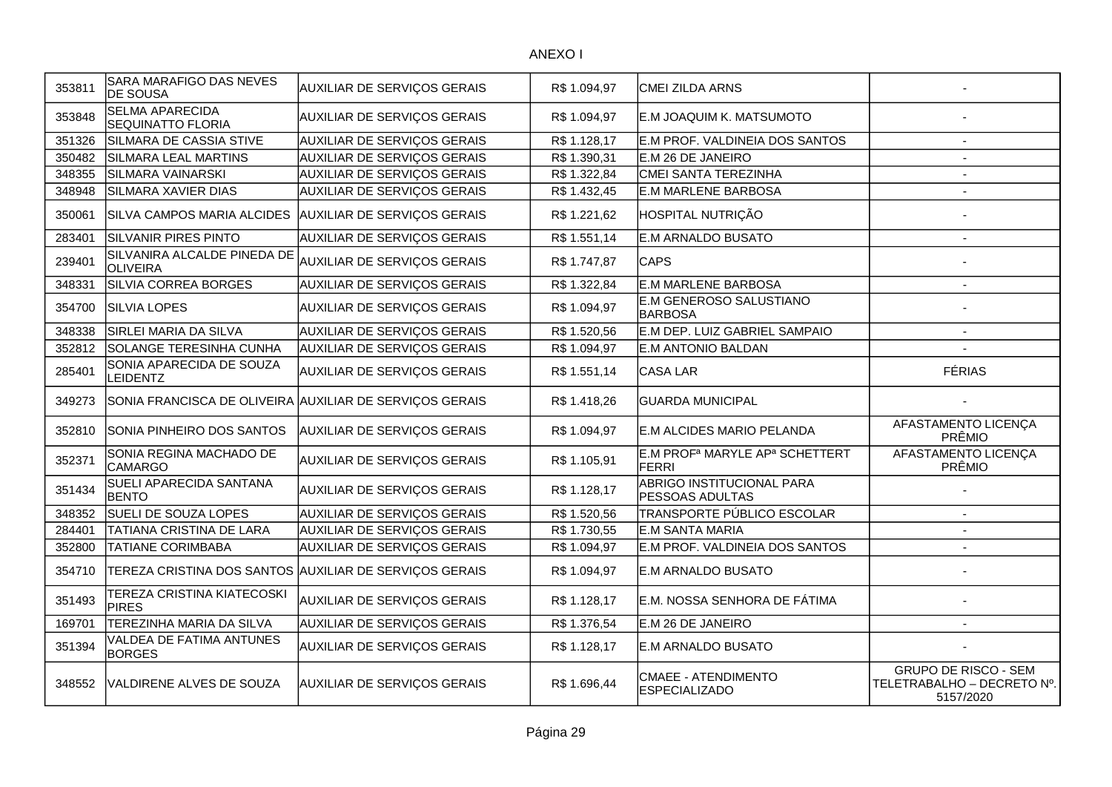| 353811 | SARA MARAFIGO DAS NEVES<br><b>DE SOUSA</b>              | AUXILIAR DE SERVIÇOS GERAIS                            | R\$ 1.094,97 | CMEI ZILDA ARNS                                                        |                                                                        |
|--------|---------------------------------------------------------|--------------------------------------------------------|--------------|------------------------------------------------------------------------|------------------------------------------------------------------------|
| 353848 | <b>SELMA APARECIDA</b><br><b>SEQUINATTO FLORIA</b>      | <b>AUXILIAR DE SERVIÇOS GERAIS</b>                     | R\$ 1.094,97 | E.M JOAQUIM K. MATSUMOTO                                               |                                                                        |
| 351326 | SILMARA DE CASSIA STIVE                                 | <b>AUXILIAR DE SERVIÇOS GERAIS</b>                     | R\$ 1.128,17 | E.M PROF. VALDINEIA DOS SANTOS                                         | $\overline{\phantom{a}}$                                               |
| 350482 | <b>SILMARA LEAL MARTINS</b>                             | <b>AUXILIAR DE SERVIÇOS GERAIS</b>                     | R\$ 1.390,31 | E.M 26 DE JANEIRO                                                      | $\overline{a}$                                                         |
| 348355 | <b>SILMARA VAINARSKI</b>                                | <b>AUXILIAR DE SERVIÇOS GERAIS</b>                     | R\$ 1.322,84 | CMEI SANTA TEREZINHA                                                   | $\overline{\phantom{a}}$                                               |
| 348948 | SILMARA XAVIER DIAS                                     | AUXILIAR DE SERVIÇOS GERAIS                            | R\$ 1.432,45 | E.M MARLENE BARBOSA                                                    |                                                                        |
| 350061 | SILVA CAMPOS MARIA ALCIDES AUXILIAR DE SERVIÇOS GERAIS  |                                                        | R\$ 1.221,62 | HOSPITAL NUTRIÇÃO                                                      |                                                                        |
| 283401 | <b>SILVANIR PIRES PINTO</b>                             | <b>AUXILIAR DE SERVIÇOS GERAIS</b>                     | R\$ 1.551,14 | E.M ARNALDO BUSATO                                                     |                                                                        |
| 239401 | SILVANIRA ALCALDE PINEDA DE<br>OLIVEIRA                 | AUXILIAR DE SERVIÇOS GERAIS                            | R\$ 1.747,87 | <b>CAPS</b>                                                            |                                                                        |
| 348331 | SILVIA CORREA BORGES                                    | AUXILIAR DE SERVIÇOS GERAIS                            | R\$ 1.322,84 | <b>E.M MARLENE BARBOSA</b>                                             |                                                                        |
| 354700 | <b>SILVIA LOPES</b>                                     | <b>AUXILIAR DE SERVIÇOS GERAIS</b>                     | R\$1.094,97  | E.M GENEROSO SALUSTIANO<br><b>BARBOSA</b>                              |                                                                        |
| 348338 | SIRLEI MARIA DA SILVA                                   | <b>AUXILIAR DE SERVIÇOS GERAIS</b>                     | R\$ 1.520,56 | E.M DEP. LUIZ GABRIEL SAMPAIO                                          |                                                                        |
| 352812 | SOLANGE TERESINHA CUNHA                                 | <b>AUXILIAR DE SERVIÇOS GERAIS</b>                     | R\$ 1.094,97 | E.M ANTONIO BALDAN                                                     |                                                                        |
| 285401 | SONIA APARECIDA DE SOUZA<br><b>LEIDENTZ</b>             | AUXILIAR DE SERVIÇOS GERAIS                            | R\$ 1.551,14 | CASA LAR                                                               | <b>FÉRIAS</b>                                                          |
| 349273 | SONIA FRANCISCA DE OLIVEIRA AUXILIAR DE SERVIÇOS GERAIS |                                                        | R\$ 1.418,26 | <b>GUARDA MUNICIPAL</b>                                                |                                                                        |
| 352810 | SONIA PINHEIRO DOS SANTOS                               | <b>AUXILIAR DE SERVIÇOS GERAIS</b>                     | R\$ 1.094,97 | E.M ALCIDES MARIO PELANDA                                              | AFASTAMENTO LICENÇA<br>PRÊMIO                                          |
| 352371 | SONIA REGINA MACHADO DE<br><b>CAMARGO</b>               | <b>AUXILIAR DE SERVIÇOS GERAIS</b>                     | R\$ 1.105,91 | E.M PROF <sup>a</sup> MARYLE AP <sup>a</sup> SCHETTERT<br><b>FERRI</b> | AFASTAMENTO LICENÇA<br>PRÊMIO                                          |
| 351434 | SUELI APARECIDA SANTANA<br><b>BENTO</b>                 | <b>AUXILIAR DE SERVIÇOS GERAIS</b>                     | R\$ 1.128,17 | ABRIGO INSTITUCIONAL PARA<br><b>PESSOAS ADULTAS</b>                    |                                                                        |
| 348352 | SUELI DE SOUZA LOPES                                    | AUXILIAR DE SERVIÇOS GERAIS                            | R\$ 1.520,56 | TRANSPORTE PÚBLICO ESCOLAR                                             | $\sim$                                                                 |
| 284401 | TATIANA CRISTINA DE LARA                                | AUXILIAR DE SERVIÇOS GERAIS                            | R\$ 1.730,55 | E.M SANTA MARIA                                                        | $\overline{\phantom{a}}$                                               |
| 352800 | TATIANE CORIMBABA                                       | AUXILIAR DE SERVIÇOS GERAIS                            | R\$ 1.094,97 | E.M PROF. VALDINEIA DOS SANTOS                                         |                                                                        |
| 354710 |                                                         | TEREZA CRISTINA DOS SANTOS AUXILIAR DE SERVIÇOS GERAIS | R\$ 1.094,97 | E.M ARNALDO BUSATO                                                     |                                                                        |
| 351493 | TEREZA CRISTINA KIATECOSKI<br><b>PIRES</b>              | <b>AUXILIAR DE SERVIÇOS GERAIS</b>                     | R\$ 1.128,17 | E.M. NOSSA SENHORA DE FÁTIMA                                           |                                                                        |
| 169701 | TEREZINHA MARIA DA SILVA                                | <b>AUXILIAR DE SERVIÇOS GERAIS</b>                     | R\$ 1.376,54 | E.M 26 DE JANEIRO                                                      |                                                                        |
| 351394 | <b>VALDEA DE FATIMA ANTUNES</b><br><b>BORGES</b>        | AUXILIAR DE SERVIÇOS GERAIS                            | R\$ 1.128,17 | E.M ARNALDO BUSATO                                                     |                                                                        |
| 348552 | VALDIRENE ALVES DE SOUZA                                | <b>AUXILIAR DE SERVIÇOS GERAIS</b>                     | R\$ 1.696,44 | CMAEE - ATENDIMENTO<br><b>ESPECIALIZADO</b>                            | <b>GRUPO DE RISCO - SEM</b><br>TELETRABALHO - DECRETO Nº.<br>5157/2020 |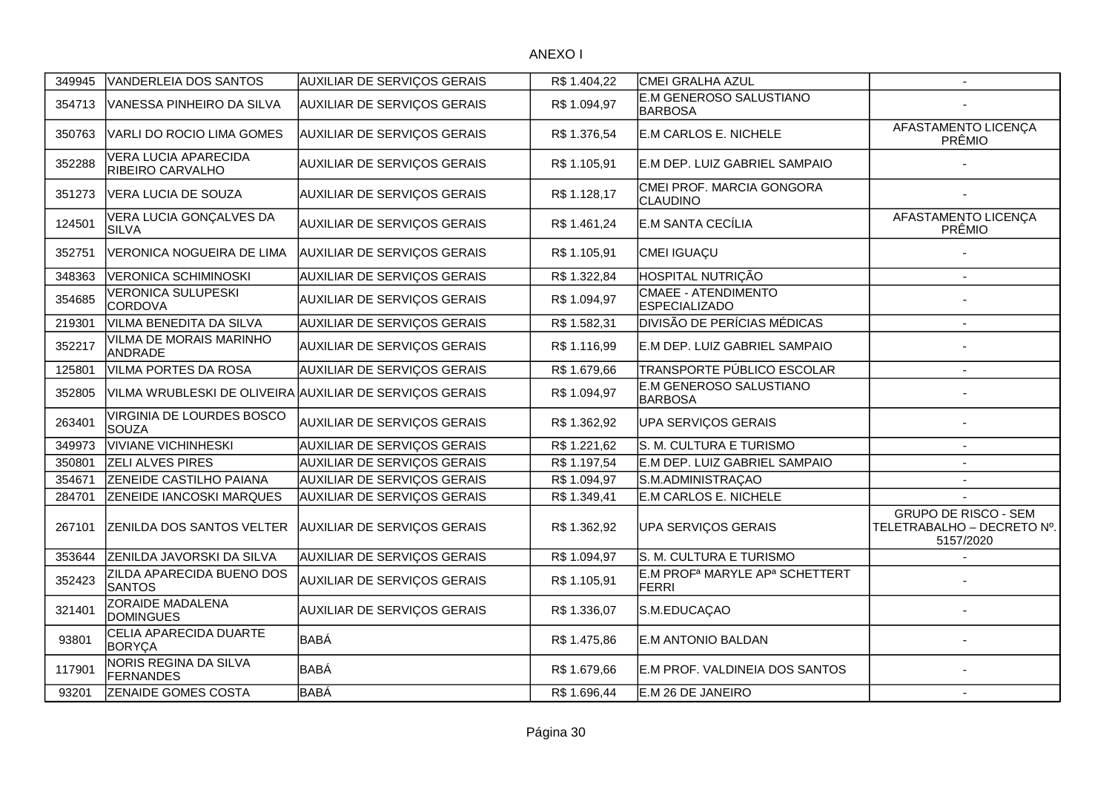| 349945 | <b>VANDERLEIA DOS SANTOS</b>                | AUXILIAR DE SERVIÇOS GERAIS                             | R\$ 1.404,22 | CMEI GRALHA AZUL                                                       |                                                                        |
|--------|---------------------------------------------|---------------------------------------------------------|--------------|------------------------------------------------------------------------|------------------------------------------------------------------------|
| 354713 | IVANESSA PINHEIRO DA SILVA                  | <b>AUXILIAR DE SERVIÇOS GERAIS</b>                      | R\$ 1.094,97 | E.M GENEROSO SALUSTIANO<br><b>BARBOSA</b>                              |                                                                        |
| 350763 | VARLI DO ROCIO LIMA GOMES                   | <b>AUXILIAR DE SERVIÇOS GERAIS</b>                      | R\$ 1.376,54 | E.M CARLOS E. NICHELE                                                  | AFASTAMENTO LICENÇA<br>PRÊMIO                                          |
| 352288 | VERA LUCIA APARECIDA<br>RIBEIRO CARVALHO    | AUXILIAR DE SERVIÇOS GERAIS                             | R\$ 1.105,91 | E.M DEP. LUIZ GABRIEL SAMPAIO                                          |                                                                        |
| 351273 | VERA LUCIA DE SOUZA                         | <b>AUXILIAR DE SERVIÇOS GERAIS</b>                      | R\$ 1.128,17 | CMEI PROF. MARCIA GONGORA<br>CLAUDINO                                  |                                                                        |
| 124501 | VERA LUCIA GONÇALVES DA<br><b>SILVA</b>     | <b>AUXILIAR DE SERVIÇOS GERAIS</b>                      | R\$ 1.461,24 | E.M SANTA CECÍLIA                                                      | AFASTAMENTO LICENÇA<br>PRÊMIO                                          |
| 352751 | VERONICA NOGUEIRA DE LIMA                   | <b>AUXILIAR DE SERVIÇOS GERAIS</b>                      | R\$ 1.105,91 | CMEI IGUAÇU                                                            |                                                                        |
| 348363 | <b>VERONICA SCHIMINOSKI</b>                 | AUXILIAR DE SERVIÇOS GERAIS                             | R\$ 1.322,84 | <b>HOSPITAL NUTRIÇÃO</b>                                               | $\overline{\phantom{a}}$                                               |
| 354685 | <b>VERONICA SULUPESKI</b><br><b>CORDOVA</b> | <b>AUXILIAR DE SERVIÇOS GERAIS</b>                      | R\$ 1.094,97 | CMAEE - ATENDIMENTO<br><b>ESPECIALIZADO</b>                            |                                                                        |
| 219301 | VILMA BENEDITA DA SILVA                     | <b>AUXILIAR DE SERVIÇOS GERAIS</b>                      | R\$ 1.582,31 | <b>DIVISÃO DE PERÍCIAS MÉDICAS</b>                                     |                                                                        |
| 352217 | VILMA DE MORAIS MARINHO<br><b>ANDRADE</b>   | <b>AUXILIAR DE SERVIÇOS GERAIS</b>                      | R\$ 1.116,99 | E.M DEP. LUIZ GABRIEL SAMPAIO                                          |                                                                        |
| 125801 | <b>VILMA PORTES DA ROSA</b>                 | AUXILIAR DE SERVIÇOS GERAIS                             | R\$ 1.679,66 | TRANSPORTE PÚBLICO ESCOLAR                                             | $\overline{\phantom{a}}$                                               |
| 352805 |                                             | VILMA WRUBLESKI DE OLIVEIRA AUXILIAR DE SERVIÇOS GERAIS | R\$ 1.094,97 | E.M GENEROSO SALUSTIANO<br><b>BARBOSA</b>                              |                                                                        |
| 263401 | VIRGINIA DE LOURDES BOSCO<br>SOUZA          | <b>AUXILIAR DE SERVIÇOS GERAIS</b>                      | R\$ 1.362,92 | UPA SERVIÇOS GERAIS                                                    |                                                                        |
| 349973 | <b>VIVIANE VICHINHESKI</b>                  | AUXILIAR DE SERVIÇOS GERAIS                             | R\$ 1.221,62 | S. M. CULTURA E TURISMO                                                | $\blacksquare$                                                         |
| 350801 | <b>ZELI ALVES PIRES</b>                     | AUXILIAR DE SERVIÇOS GERAIS                             | R\$ 1.197,54 | E.M DEP. LUIZ GABRIEL SAMPAIO                                          | $\overline{\phantom{a}}$                                               |
| 354671 | ZENEIDE CASTILHO PAIANA                     | AUXILIAR DE SERVIÇOS GERAIS                             | R\$ 1.094,97 | S.M.ADMINISTRAÇAO                                                      | $\overline{\phantom{a}}$                                               |
| 284701 | ZENEIDE IANCOSKI MARQUES                    | <b>AUXILIAR DE SERVIÇOS GERAIS</b>                      | R\$ 1.349,41 | E.M CARLOS E. NICHELE                                                  | $\overline{a}$                                                         |
| 267101 | ZENILDA DOS SANTOS VELTER                   | <b>AUXILIAR DE SERVIÇOS GERAIS</b>                      | R\$ 1.362,92 | <b>UPA SERVIÇOS GERAIS</b>                                             | <b>GRUPO DE RISCO - SEM</b><br>TELETRABALHO - DECRETO Nº.<br>5157/2020 |
| 353644 | ZENILDA JAVORSKI DA SILVA                   | AUXILIAR DE SERVIÇOS GERAIS                             | R\$ 1.094,97 | S. M. CULTURA E TURISMO                                                |                                                                        |
| 352423 | ZILDA APARECIDA BUENO DOS<br><b>SANTOS</b>  | <b>AUXILIAR DE SERVIÇOS GERAIS</b>                      | R\$ 1.105,91 | E.M PROF <sup>a</sup> MARYLE AP <sup>a</sup> SCHETTERT<br><b>FERRI</b> |                                                                        |
| 321401 | ZORAIDE MADALENA<br><b>DOMINGUES</b>        | <b>AUXILIAR DE SERVIÇOS GERAIS</b>                      | R\$ 1.336,07 | S.M.EDUCAÇAO                                                           |                                                                        |
| 93801  | CELIA APARECIDA DUARTE<br><b>BORYCA</b>     | <b>BABÁ</b>                                             | R\$ 1.475,86 | E.M ANTONIO BALDAN                                                     |                                                                        |
| 117901 | NORIS REGINA DA SILVA<br><b>FERNANDES</b>   | <b>BABÁ</b>                                             | R\$ 1.679,66 | E.M PROF. VALDINEIA DOS SANTOS                                         |                                                                        |
| 93201  | ZENAIDE GOMES COSTA                         | <b>BABÁ</b>                                             | R\$ 1.696,44 | E.M 26 DE JANEIRO                                                      | $\blacksquare$                                                         |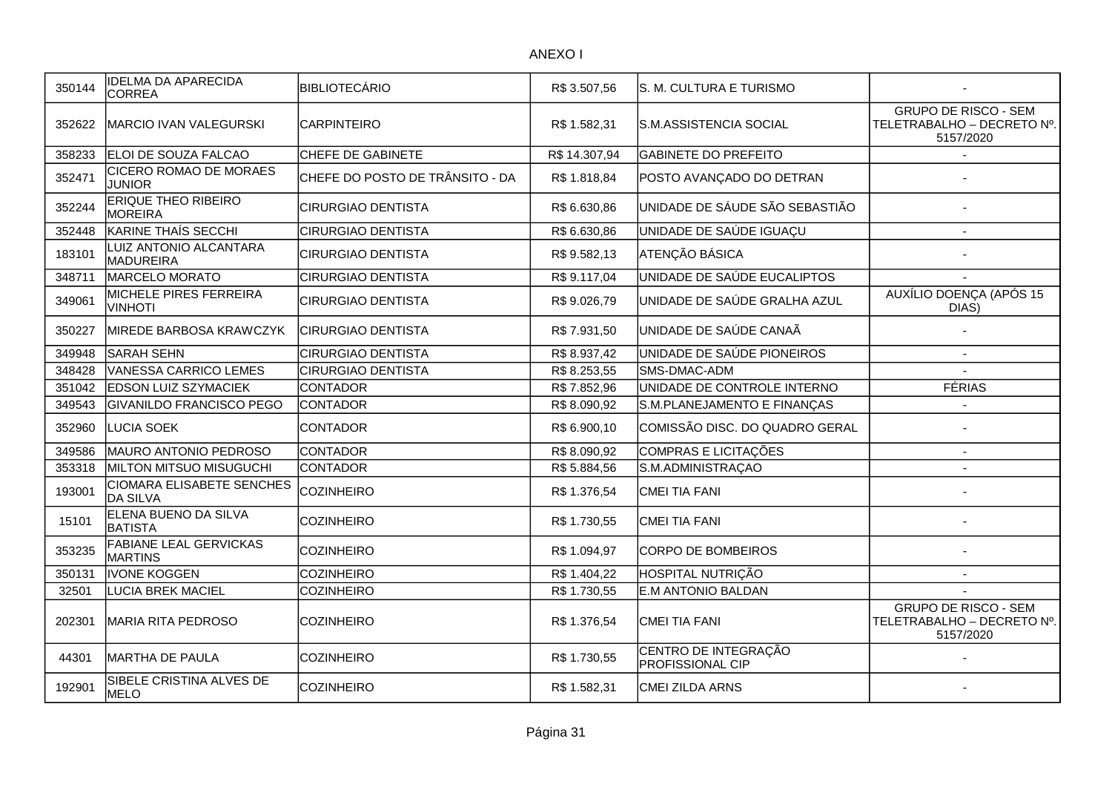| 350144 | <b>IDELMA DA APARECIDA</b><br><b>CORREA</b>     | <b>BIBLIOTECÁRIO</b>            | R\$ 3.507,56  | S. M. CULTURA E TURISMO                         |                                                                        |
|--------|-------------------------------------------------|---------------------------------|---------------|-------------------------------------------------|------------------------------------------------------------------------|
| 352622 | <b>MARCIO IVAN VALEGURSKI</b>                   | <b>CARPINTEIRO</b>              | R\$ 1.582,31  | S.M.ASSISTENCIA SOCIAL                          | <b>GRUPO DE RISCO - SEM</b><br>TELETRABALHO - DECRETO Nº.<br>5157/2020 |
| 358233 | ELOI DE SOUZA FALCAO                            | CHEFE DE GABINETE               | R\$ 14.307,94 | <b>GABINETE DO PREFEITO</b>                     |                                                                        |
| 352471 | <b>CICERO ROMAO DE MORAES</b><br><b>JUNIOR</b>  | CHEFE DO POSTO DE TRÂNSITO - DA | R\$ 1.818,84  | POSTO AVANÇADO DO DETRAN                        |                                                                        |
| 352244 | <b>ERIQUE THEO RIBEIRO</b><br><b>MOREIRA</b>    | <b>CIRURGIAO DENTISTA</b>       | R\$ 6.630,86  | UNIDADE DE SÁUDE SÃO SEBASTIÃO                  |                                                                        |
| 352448 | KARINE THAÍS SECCHI                             | <b>CIRURGIAO DENTISTA</b>       | R\$ 6.630,86  | UNIDADE DE SAÚDE IGUAÇU                         | $\overline{\phantom{a}}$                                               |
| 183101 | LUIZ ANTONIO ALCANTARA<br><b>MADUREIRA</b>      | <b>CIRURGIAO DENTISTA</b>       | R\$ 9.582,13  | ATENÇÃO BÁSICA                                  |                                                                        |
| 348711 | MARCELO MORATO                                  | <b>CIRURGIAO DENTISTA</b>       | R\$ 9.117,04  | UNIDADE DE SAÚDE EUCALIPTOS                     |                                                                        |
| 349061 | MICHELE PIRES FERREIRA<br><b>VINHOTI</b>        | CIRURGIAO DENTISTA              | R\$ 9.026,79  | UNIDADE DE SAÚDE GRALHA AZUL                    | AUXÍLIO DOENÇA (APÓS 15<br>DIAS)                                       |
| 350227 | MIREDE BARBOSA KRAWCZYK                         | <b>CIRURGIAO DENTISTA</b>       | R\$7.931,50   | UNIDADE DE SAÚDE CANAÃ                          |                                                                        |
| 349948 | SARAH SEHN                                      | <b>CIRURGIAO DENTISTA</b>       | R\$8.937,42   | UNIDADE DE SAÚDE PIONEIROS                      | $\overline{\phantom{a}}$                                               |
| 348428 | <b>VANESSA CARRICO LEMES</b>                    | <b>CIRURGIAO DENTISTA</b>       | R\$ 8.253,55  | SMS-DMAC-ADM                                    |                                                                        |
| 351042 | <b>EDSON LUIZ SZYMACIEK</b>                     | <b>CONTADOR</b>                 | R\$7.852,96   | UNIDADE DE CONTROLE INTERNO                     | <b>FÉRIAS</b>                                                          |
| 349543 | <b>GIVANILDO FRANCISCO PEGO</b>                 | <b>CONTADOR</b>                 | R\$8.090,92   | S.M.PLANEJAMENTO E FINANÇAS                     |                                                                        |
| 352960 | <b>LUCIA SOEK</b>                               | <b>CONTADOR</b>                 | R\$ 6.900,10  | COMISSÃO DISC. DO QUADRO GERAL                  |                                                                        |
| 349586 | MAURO ANTONIO PEDROSO                           | <b>CONTADOR</b>                 | R\$8.090,92   | COMPRAS E LICITAÇÕES                            | $\blacksquare$                                                         |
| 353318 | <b>MILTON MITSUO MISUGUCHI</b>                  | <b>CONTADOR</b>                 | R\$ 5.884,56  | S.M.ADMINISTRAÇAO                               | $\blacksquare$                                                         |
| 193001 | <b>CIOMARA ELISABETE SENCHES</b><br>DA SILVA    | <b>COZINHEIRO</b>               | R\$ 1.376,54  | CMEI TIA FANI                                   |                                                                        |
| 15101  | ELENA BUENO DA SILVA<br><b>BATISTA</b>          | <b>COZINHEIRO</b>               | R\$ 1.730,55  | CMEI TIA FANI                                   |                                                                        |
| 353235 | <b>FABIANE LEAL GERVICKAS</b><br><b>MARTINS</b> | <b>COZINHEIRO</b>               | R\$ 1.094,97  | CORPO DE BOMBEIROS                              |                                                                        |
| 350131 | IVONE KOGGEN                                    | <b>COZINHEIRO</b>               | R\$ 1.404,22  | HOSPITAL NUTRIÇÃO                               | $\blacksquare$                                                         |
| 32501  | <b>LUCIA BREK MACIEL</b>                        | <b>COZINHEIRO</b>               | R\$ 1.730,55  | <b>E.M ANTONIO BALDAN</b>                       |                                                                        |
| 202301 | <b>MARIA RITA PEDROSO</b>                       | <b>COZINHEIRO</b>               | R\$ 1.376,54  | <b>CMEI TIA FANI</b>                            | <b>GRUPO DE RISCO - SEM</b><br>TELETRABALHO - DECRETO Nº.<br>5157/2020 |
| 44301  | MARTHA DE PAULA                                 | <b>COZINHEIRO</b>               | R\$ 1.730,55  | CENTRO DE INTEGRAÇÃO<br><b>PROFISSIONAL CIP</b> |                                                                        |
| 192901 | SIBELE CRISTINA ALVES DE<br><b>MELO</b>         | <b>COZINHEIRO</b>               | R\$ 1.582,31  | <b>CMEI ZILDA ARNS</b>                          |                                                                        |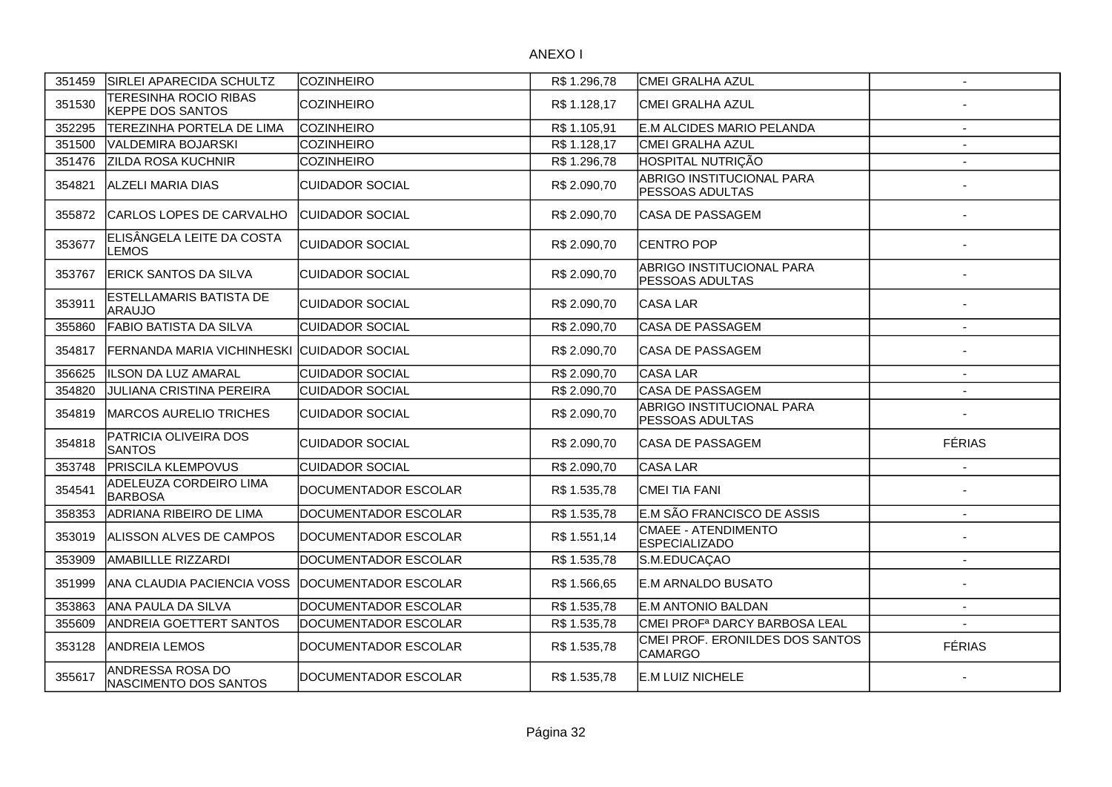| 351459 | SIRLEI APARECIDA SCHULTZ                         | <b>COZINHEIRO</b>      | R\$ 1.296,78 | <b>CMEI GRALHA AZUL</b>                             | $\sim$                   |
|--------|--------------------------------------------------|------------------------|--------------|-----------------------------------------------------|--------------------------|
| 351530 | TERESINHA ROCIO RIBAS<br><b>KEPPE DOS SANTOS</b> | <b>COZINHEIRO</b>      | R\$ 1.128,17 | CMEI GRALHA AZUL                                    |                          |
| 352295 | TEREZINHA PORTELA DE LIMA                        | COZINHEIRO             | R\$ 1.105,91 | E.M ALCIDES MARIO PELANDA                           |                          |
| 351500 | VALDEMIRA BOJARSKI                               | <b>COZINHEIRO</b>      | R\$1.128,17  | <b>CMEI GRALHA AZUL</b>                             |                          |
| 351476 | <b>ZILDA ROSA KUCHNIR</b>                        | <b>COZINHEIRO</b>      | R\$ 1.296,78 | HOSPITAL NUTRIÇÃO                                   | $\overline{a}$           |
| 354821 | <b>ALZELI MARIA DIAS</b>                         | <b>CUIDADOR SOCIAL</b> | R\$ 2.090,70 | ABRIGO INSTITUCIONAL PARA<br><b>PESSOAS ADULTAS</b> |                          |
| 355872 | CARLOS LOPES DE CARVALHO                         | <b>CUIDADOR SOCIAL</b> | R\$ 2.090,70 | CASA DE PASSAGEM                                    |                          |
| 353677 | ELISÂNGELA LEITE DA COSTA<br>LEMOS               | CUIDADOR SOCIAL        | R\$ 2.090,70 | <b>CENTRO POP</b>                                   |                          |
| 353767 | ERICK SANTOS DA SILVA                            | ICUIDADOR SOCIAL       | R\$ 2.090,70 | ABRIGO INSTITUCIONAL PARA<br><b>PESSOAS ADULTAS</b> |                          |
| 353911 | ESTELLAMARIS BATISTA DE<br><b>ARAUJO</b>         | ICUIDADOR SOCIAL       | R\$ 2.090,70 | lCASA LAR                                           |                          |
| 355860 | <b>FABIO BATISTA DA SILVA</b>                    | <b>CUIDADOR SOCIAL</b> | R\$ 2.090,70 | <b>CASA DE PASSAGEM</b>                             | $\overline{\phantom{a}}$ |
| 354817 | FERNANDA MARIA VICHINHESKI CUIDADOR SOCIAL       |                        | R\$ 2.090,70 | CASA DE PASSAGEM                                    |                          |
| 356625 | <b>ILSON DA LUZ AMARAL</b>                       | <b>CUIDADOR SOCIAL</b> | R\$ 2.090,70 | CASA LAR                                            | $\overline{\phantom{a}}$ |
| 354820 | <b>JULIANA CRISTINA PEREIRA</b>                  | <b>CUIDADOR SOCIAL</b> | R\$ 2.090,70 | <b>CASA DE PASSAGEM</b>                             | $\overline{\phantom{a}}$ |
| 354819 | <b>MARCOS AURELIO TRICHES</b>                    | <b>CUIDADOR SOCIAL</b> | R\$ 2.090,70 | ABRIGO INSTITUCIONAL PARA<br><b>PESSOAS ADULTAS</b> |                          |
| 354818 | PATRICIA OLIVEIRA DOS<br><b>SANTOS</b>           | <b>CUIDADOR SOCIAL</b> | R\$ 2.090,70 | ICASA DE PASSAGEM                                   | <b>FÉRIAS</b>            |
| 353748 | <b>PRISCILA KLEMPOVUS</b>                        | <b>CUIDADOR SOCIAL</b> | R\$ 2.090,70 | CASA LAR                                            | $\overline{a}$           |
| 354541 | ADELEUZA CORDEIRO LIMA<br><b>BARBOSA</b>         | DOCUMENTADOR ESCOLAR   | R\$ 1.535,78 | İCMEI TIA FANI                                      |                          |
| 358353 | ADRIANA RIBEIRO DE LIMA                          | DOCUMENTADOR ESCOLAR   | R\$ 1.535,78 | E.M SÃO FRANCISCO DE ASSIS                          | $\sim$                   |
| 353019 | <b>ALISSON ALVES DE CAMPOS</b>                   | DOCUMENTADOR ESCOLAR   | R\$ 1.551,14 | CMAEE - ATENDIMENTO<br><b>ESPECIALIZADO</b>         |                          |
| 353909 | <b>AMABILLLE RIZZARDI</b>                        | DOCUMENTADOR ESCOLAR   | R\$ 1.535,78 | S.M.EDUCAÇAO                                        | $\sim$                   |
| 351999 | ANA CLAUDIA PACIENCIA VOSS                       | DOCUMENTADOR ESCOLAR   | R\$ 1.566,65 | E.M ARNALDO BUSATO                                  |                          |
| 353863 | ANA PAULA DA SILVA                               | DOCUMENTADOR ESCOLAR   | R\$ 1.535,78 | IE.M ANTONIO BALDAN                                 | $\sim$                   |
| 355609 | <b>ANDREIA GOETTERT SANTOS</b>                   | DOCUMENTADOR ESCOLAR   | R\$ 1.535,78 | CMEI PROF <sup>a</sup> DARCY BARBOSA LEAL           | $\overline{\phantom{a}}$ |
| 353128 | <b>ANDREIA LEMOS</b>                             | DOCUMENTADOR ESCOLAR   | R\$ 1.535,78 | CMEI PROF. ERONILDES DOS SANTOS<br><b>CAMARGO</b>   | <b>FÉRIAS</b>            |
| 355617 | ANDRESSA ROSA DO<br>NASCIMENTO DOS SANTOS        | DOCUMENTADOR ESCOLAR   | R\$ 1.535,78 | IE.M LUIZ NICHELE                                   |                          |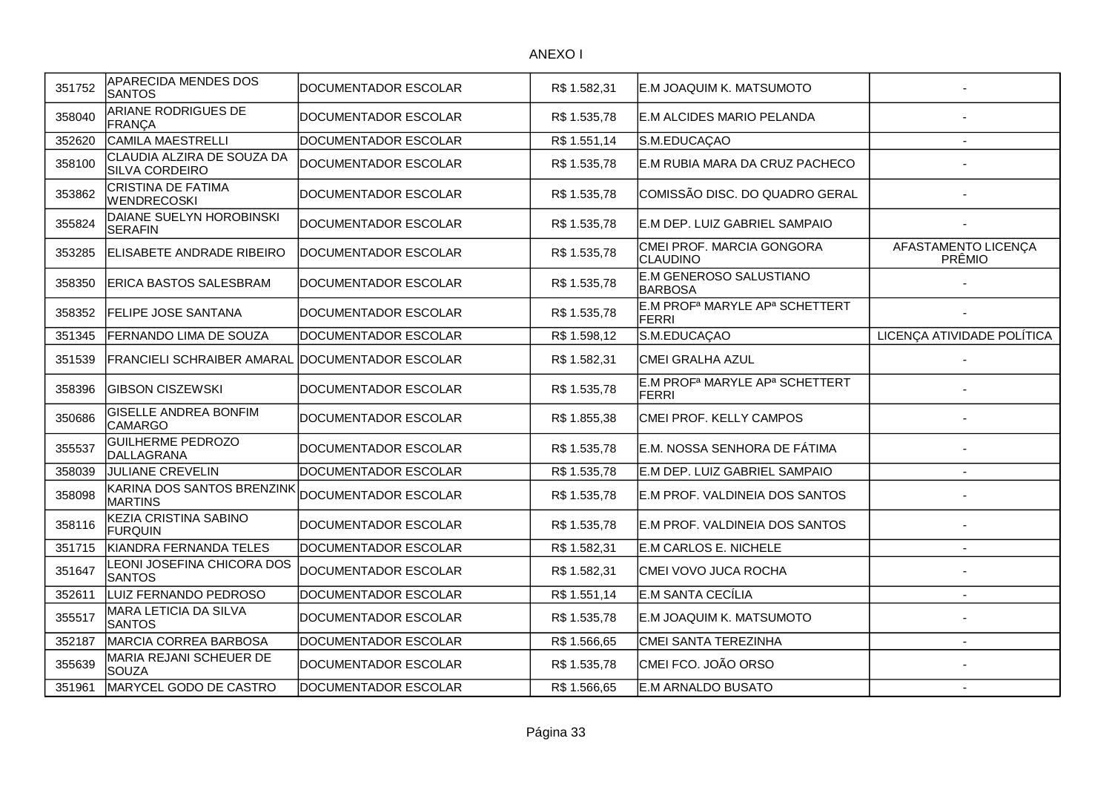| 351752 | <b>APARECIDA MENDES DOS</b><br><b>SANTOS</b>      | DOCUMENTADOR ESCOLAR        | R\$ 1.582,31 | E.M JOAQUIM K. MATSUMOTO                                               |                               |
|--------|---------------------------------------------------|-----------------------------|--------------|------------------------------------------------------------------------|-------------------------------|
| 358040 | ARIANE RODRIGUES DE<br><b>FRANÇA</b>              | DOCUMENTADOR ESCOLAR        | R\$ 1.535,78 | E.M ALCIDES MARIO PELANDA                                              |                               |
| 352620 | <b>CAMILA MAESTRELLI</b>                          | <b>DOCUMENTADOR ESCOLAR</b> | R\$ 1.551,14 | S.M.EDUCAÇAO                                                           | $\blacksquare$                |
| 358100 | CLAUDIA ALZIRA DE SOUZA DA<br>SILVA CORDEIRO      | DOCUMENTADOR ESCOLAR        | R\$ 1.535,78 | E.M RUBIA MARA DA CRUZ PACHECO                                         |                               |
| 353862 | CRISTINA DE FATIMA<br><b>WENDRECOSKI</b>          | DOCUMENTADOR ESCOLAR        | R\$ 1.535,78 | COMISSÃO DISC. DO QUADRO GERAL                                         |                               |
| 355824 | DAIANE SUELYN HOROBINSKI<br><b>SERAFIN</b>        | DOCUMENTADOR ESCOLAR        | R\$ 1.535,78 | E.M DEP. LUIZ GABRIEL SAMPAIO                                          |                               |
| 353285 | ELISABETE ANDRADE RIBEIRO                         | DOCUMENTADOR ESCOLAR        | R\$ 1.535,78 | CMEI PROF. MARCIA GONGORA<br>CLAUDINO                                  | AFASTAMENTO LICENÇA<br>PRÊMIO |
| 358350 | ERICA BASTOS SALESBRAM                            | DOCUMENTADOR ESCOLAR        | R\$ 1.535,78 | E.M GENEROSO SALUSTIANO<br><b>BARBOSA</b>                              |                               |
| 358352 | <b>FELIPE JOSE SANTANA</b>                        | DOCUMENTADOR ESCOLAR        | R\$ 1.535,78 | E.M PROF <sup>a</sup> MARYLE AP <sup>a</sup> SCHETTERT<br><b>FERRI</b> |                               |
| 351345 | FERNANDO LIMA DE SOUZA                            | DOCUMENTADOR ESCOLAR        | R\$ 1.598,12 | S.M.EDUCAÇAO                                                           | LICENÇA ATIVIDADE POLÍTICA    |
| 351539 | <b>FRANCIELI SCHRAIBER AMARAL</b>                 | DOCUMENTADOR ESCOLAR        | R\$ 1.582,31 | CMEI GRALHA AZUL                                                       |                               |
| 358396 | <b>GIBSON CISZEWSKI</b>                           | DOCUMENTADOR ESCOLAR        | R\$ 1.535,78 | E.M PROF <sup>a</sup> MARYLE AP <sup>a</sup> SCHETTERT<br><b>FERRI</b> |                               |
| 350686 | <b>GISELLE ANDREA BONFIM</b><br><b>CAMARGO</b>    | DOCUMENTADOR ESCOLAR        | R\$ 1.855,38 | CMEI PROF. KELLY CAMPOS                                                |                               |
| 355537 | <b>GUILHERME PEDROZO</b><br>DALLAGRANA            | DOCUMENTADOR ESCOLAR        | R\$ 1.535,78 | E.M. NOSSA SENHORA DE FÁTIMA                                           |                               |
| 358039 | JULIANE CREVELIN                                  | DOCUMENTADOR ESCOLAR        | R\$ 1.535,78 | E.M DEP. LUIZ GABRIEL SAMPAIO                                          |                               |
| 358098 | KARINA DOS SANTOS BRENZINK<br><b>MARTINS</b>      | DOCUMENTADOR ESCOLAR        | R\$ 1.535,78 | E.M PROF. VALDINEIA DOS SANTOS                                         |                               |
| 358116 | KEZIA CRISTINA SABINO<br><b>FURQUIN</b>           | DOCUMENTADOR ESCOLAR        | R\$ 1.535,78 | E.M PROF. VALDINEIA DOS SANTOS                                         |                               |
| 351715 | KIANDRA FERNANDA TELES                            | DOCUMENTADOR ESCOLAR        | R\$ 1.582,31 | E.M CARLOS E. NICHELE                                                  | $\overline{a}$                |
| 351647 | <b>EONI JOSEFINA CHICORA DOS</b><br><b>SANTOS</b> | DOCUMENTADOR ESCOLAR        | R\$ 1.582,31 | CMEI VOVO JUCA ROCHA                                                   |                               |
| 352611 | LUIZ FERNANDO PEDROSO                             | DOCUMENTADOR ESCOLAR        | R\$ 1.551,14 | E.M SANTA CECÍLIA                                                      | $\overline{\phantom{a}}$      |
| 355517 | MARA LETICIA DA SILVA<br><b>SANTOS</b>            | DOCUMENTADOR ESCOLAR        | R\$ 1.535,78 | E.M JOAQUIM K. MATSUMOTO                                               |                               |
| 352187 | MARCIA CORREA BARBOSA                             | DOCUMENTADOR ESCOLAR        | R\$ 1.566,65 | CMEI SANTA TEREZINHA                                                   |                               |
| 355639 | MARIA REJANI SCHEUER DE<br><b>SOUZA</b>           | DOCUMENTADOR ESCOLAR        | R\$ 1.535,78 | CMEI FCO. JOÃO ORSO                                                    |                               |
| 351961 | MARYCEL GODO DE CASTRO                            | DOCUMENTADOR ESCOLAR        | R\$ 1.566,65 | E.M ARNALDO BUSATO                                                     | $\overline{a}$                |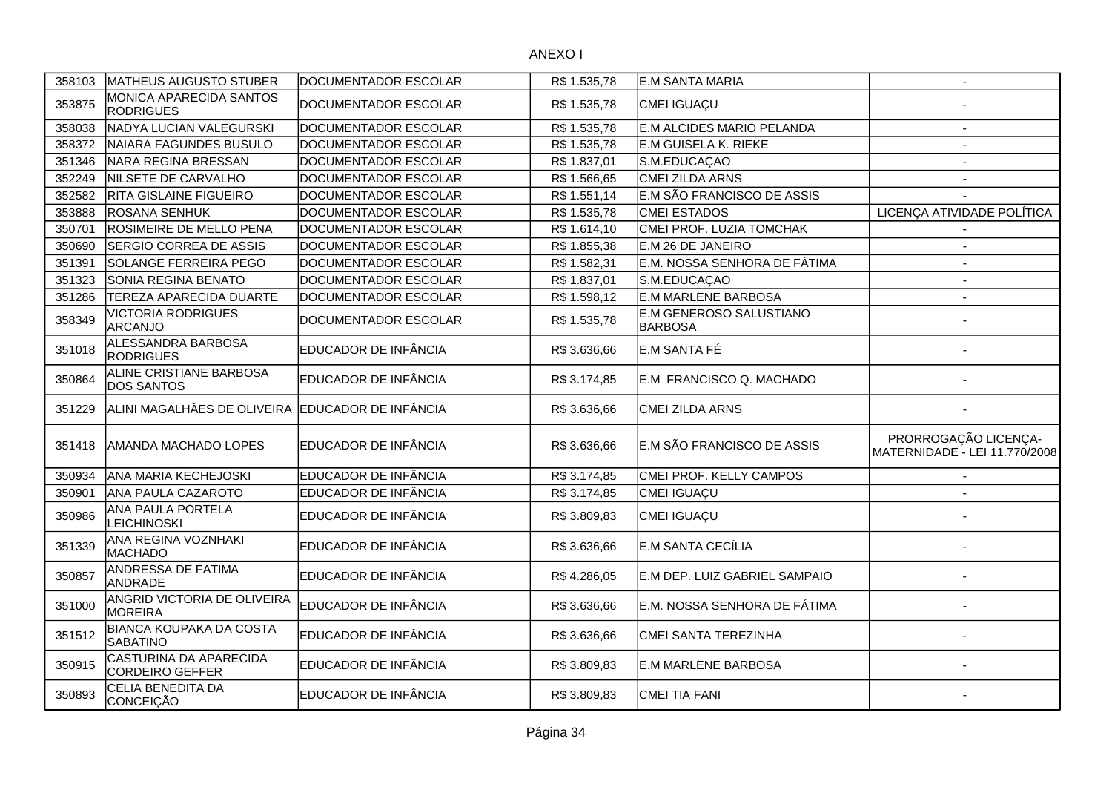| 358103 | MATHEUS AUGUSTO STUBER                            | DOCUMENTADOR ESCOLAR | R\$ 1.535,78 | E.M SANTA MARIA                           | $\overline{\phantom{a}}$                              |
|--------|---------------------------------------------------|----------------------|--------------|-------------------------------------------|-------------------------------------------------------|
| 353875 | MONICA APARECIDA SANTOS<br><b>RODRIGUES</b>       | DOCUMENTADOR ESCOLAR | R\$ 1.535,78 | CMEI IGUAÇU                               |                                                       |
| 358038 | NADYA LUCIAN VALEGURSKI                           | DOCUMENTADOR ESCOLAR | R\$ 1.535,78 | E.M ALCIDES MARIO PELANDA                 | $\mathbf{r}$                                          |
| 358372 | NAIARA FAGUNDES BUSULO                            | DOCUMENTADOR ESCOLAR | R\$ 1.535,78 | <b>E.M GUISELA K. RIEKE</b>               | $\blacksquare$                                        |
| 351346 | NARA REGINA BRESSAN                               | DOCUMENTADOR ESCOLAR | R\$ 1.837,01 | S.M.EDUCAÇAO                              | $\sim$                                                |
| 352249 | NILSETE DE CARVALHO                               | DOCUMENTADOR ESCOLAR | R\$ 1.566,65 | CMEI ZILDA ARNS                           | $\sim$                                                |
| 352582 | RITA GISLAINE FIGUEIRO                            | DOCUMENTADOR ESCOLAR | R\$ 1.551,14 | E.M SÃO FRANCISCO DE ASSIS                |                                                       |
| 353888 | ROSANA SENHUK                                     | DOCUMENTADOR ESCOLAR | R\$ 1.535,78 | <b>CMEI ESTADOS</b>                       | LICENÇA ATIVIDADE POLÍTICA                            |
| 350701 | ROSIMEIRE DE MELLO PENA                           | DOCUMENTADOR ESCOLAR | R\$1.614,10  | CMEI PROF. LUZIA TOMCHAK                  |                                                       |
| 350690 | SERGIO CORREA DE ASSIS                            | DOCUMENTADOR ESCOLAR | R\$ 1.855,38 | E.M 26 DE JANEIRO                         | $\overline{\phantom{a}}$                              |
| 351391 | SOLANGE FERREIRA PEGO                             | DOCUMENTADOR ESCOLAR | R\$ 1.582,31 | E.M. NOSSA SENHORA DE FÁTIMA              | $\blacksquare$                                        |
| 351323 | SONIA REGINA BENATO                               | DOCUMENTADOR ESCOLAR | R\$ 1.837,01 | S.M.EDUCAÇAO                              | $\sim$                                                |
| 351286 | <b>TEREZA APARECIDA DUARTE</b>                    | DOCUMENTADOR ESCOLAR | R\$ 1.598,12 | <b>E.M MARLENE BARBOSA</b>                | $\blacksquare$                                        |
| 358349 | <b>VICTORIA RODRIGUES</b><br><b>ARCANJO</b>       | DOCUMENTADOR ESCOLAR | R\$ 1.535,78 | E.M GENEROSO SALUSTIANO<br><b>BARBOSA</b> |                                                       |
| 351018 | ALESSANDRA BARBOSA<br><b>RODRIGUES</b>            | EDUCADOR DE INFÂNCIA | R\$ 3.636,66 | E.M SANTA FÉ                              |                                                       |
| 350864 | ALINE CRISTIANE BARBOSA<br><b>DOS SANTOS</b>      | EDUCADOR DE INFÂNCIA | R\$ 3.174,85 | E.M FRANCISCO Q. MACHADO                  |                                                       |
| 351229 | ALINI MAGALHÃES DE OLIVEIRA EDUCADOR DE INFÂNCIA  |                      | R\$ 3.636,66 | CMEI ZILDA ARNS                           |                                                       |
| 351418 | AMANDA MACHADO LOPES                              | EDUCADOR DE INFÂNCIA | R\$ 3.636,66 | E.M SÃO FRANCISCO DE ASSIS                | PRORROGAÇÃO LICENÇA-<br>MATERNIDADE - LEI 11.770/2008 |
| 350934 | <b>ANA MARIA KECHEJOSKI</b>                       | EDUCADOR DE INFÂNCIA | R\$ 3.174,85 | CMEI PROF. KELLY CAMPOS                   | $\overline{\phantom{a}}$                              |
| 350901 | ANA PAULA CAZAROTO                                | EDUCADOR DE INFÂNCIA | R\$ 3.174,85 | CMEI IGUAÇU                               | $\overline{\phantom{a}}$                              |
| 350986 | ANA PAULA PORTELA<br><b>LEICHINOSKI</b>           | EDUCADOR DE INFÂNCIA | R\$ 3.809,83 | CMEI IGUAÇU                               |                                                       |
| 351339 | ANA REGINA VOZNHAKI<br><b>MACHADO</b>             | EDUCADOR DE INFÂNCIA | R\$ 3.636,66 | E.M SANTA CECÍLIA                         |                                                       |
| 350857 | ANDRESSA DE FATIMA<br><b>ANDRADE</b>              | EDUCADOR DE INFÂNCIA | R\$4.286,05  | E.M DEP. LUIZ GABRIEL SAMPAIO             |                                                       |
| 351000 | ANGRID VICTORIA DE OLIVEIRA<br><b>MOREIRA</b>     | EDUCADOR DE INFÂNCIA | R\$ 3.636,66 | E.M. NOSSA SENHORA DE FÁTIMA              |                                                       |
| 351512 | <b>BIANCA KOUPAKA DA COSTA</b><br><b>SABATINO</b> | EDUCADOR DE INFÂNCIA | R\$ 3.636,66 | CMEI SANTA TEREZINHA                      |                                                       |
| 350915 | CASTURINA DA APARECIDA<br><b>CORDEIRO GEFFER</b>  | EDUCADOR DE INFÂNCIA | R\$ 3.809,83 | <b>E.M MARLENE BARBOSA</b>                |                                                       |
| 350893 | CELIA BENEDITA DA<br>CONCEIÇÃO                    | EDUCADOR DE INFÂNCIA | R\$ 3.809,83 | CMEI TIA FANI                             |                                                       |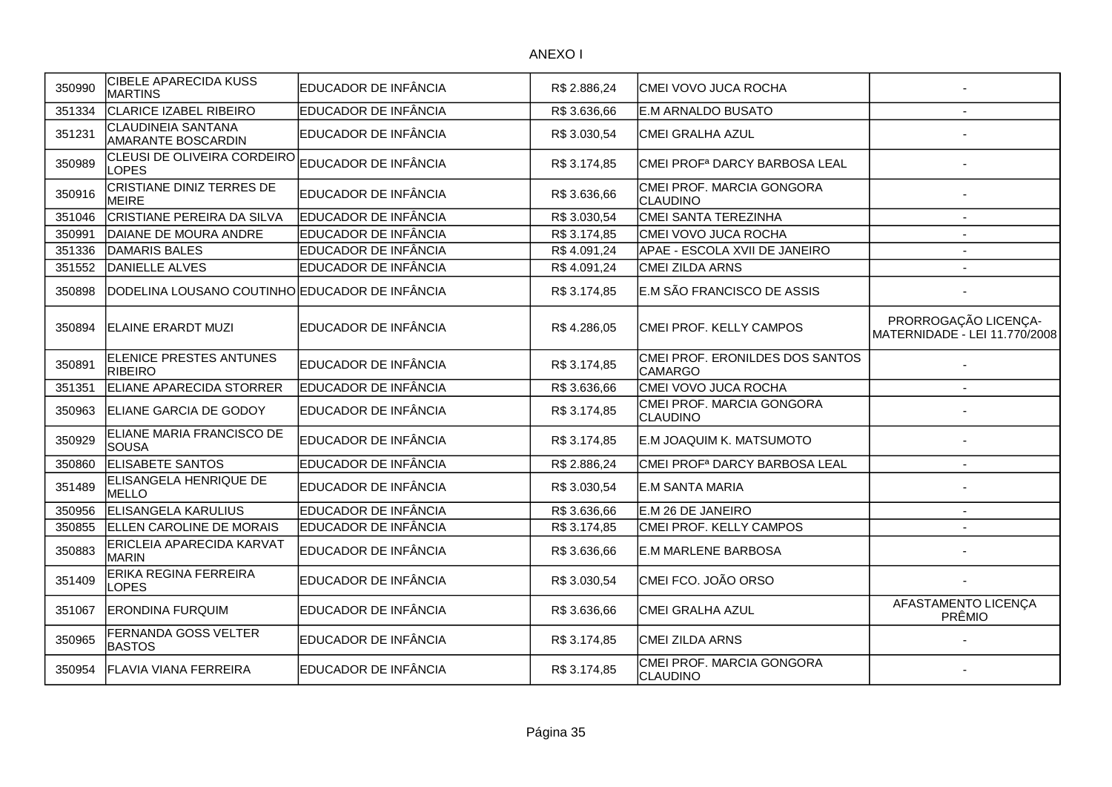| 350990 | <b>CIBELE APARECIDA KUSS</b><br><b>MARTINS</b>  | EDUCADOR DE INFÂNCIA | R\$ 2.886,24 | CMEI VOVO JUCA ROCHA                              |                                                       |
|--------|-------------------------------------------------|----------------------|--------------|---------------------------------------------------|-------------------------------------------------------|
| 351334 | <b>CLARICE IZABEL RIBEIRO</b>                   | EDUCADOR DE INFÂNCIA | R\$ 3.636,66 | <b>IE.M ARNALDO BUSATO</b>                        |                                                       |
| 351231 | CLAUDINEIA SANTANA<br><b>AMARANTE BOSCARDIN</b> | EDUCADOR DE INFÂNCIA | R\$ 3.030,54 | CMEI GRALHA AZUL                                  |                                                       |
| 350989 | CLEUSI DE OLIVEIRA CORDEIRO<br>LOPES            | EDUCADOR DE INFÂNCIA | R\$ 3.174,85 | CMEI PROF <sup>a</sup> DARCY BARBOSA LEAL         |                                                       |
| 350916 | CRISTIANE DINIZ TERRES DE<br><b>MEIRE</b>       | EDUCADOR DE INFÂNCIA | R\$ 3.636,66 | CMEI PROF. MARCIA GONGORA<br><b>CLAUDINO</b>      |                                                       |
| 351046 | <b>CRISTIANE PEREIRA DA SILVA</b>               | EDUCADOR DE INFÂNCIA | R\$ 3.030,54 | CMEI SANTA TEREZINHA                              |                                                       |
| 350991 | DAIANE DE MOURA ANDRE                           | EDUCADOR DE INFÂNCIA | R\$ 3.174,85 | CMEI VOVO JUCA ROCHA                              |                                                       |
| 351336 | DAMARIS BALES                                   | EDUCADOR DE INFÂNCIA | R\$4.091,24  | APAE - ESCOLA XVII DE JANEIRO                     | $\overline{\phantom{a}}$                              |
| 351552 | <b>DANIELLE ALVES</b>                           | EDUCADOR DE INFÂNCIA | R\$4.091,24  | <b>CMEI ZILDA ARNS</b>                            |                                                       |
| 350898 | DODELINA LOUSANO COUTINHO EDUCADOR DE INFÂNCIA  |                      | R\$ 3.174,85 | E.M SÃO FRANCISCO DE ASSIS                        |                                                       |
| 350894 | <b>ELAINE ERARDT MUZI</b>                       | EDUCADOR DE INFÂNCIA | R\$4.286,05  | CMEI PROF. KELLY CAMPOS                           | PRORROGAÇÃO LICENÇA-<br>MATERNIDADE - LEI 11.770/2008 |
| 350891 | <b>ELENICE PRESTES ANTUNES</b><br>RIBEIRO       | EDUCADOR DE INFÂNCIA | R\$ 3.174,85 | CMEI PROF. ERONILDES DOS SANTOS<br><b>CAMARGO</b> |                                                       |
| 351351 | ELIANE APARECIDA STORRER                        | EDUCADOR DE INFÂNCIA | R\$ 3.636,66 | CMEI VOVO JUCA ROCHA                              |                                                       |
| 350963 | ELIANE GARCIA DE GODOY                          | EDUCADOR DE INFÂNCIA | R\$ 3.174,85 | CMEI PROF. MARCIA GONGORA<br><b>CLAUDINO</b>      |                                                       |
| 350929 | ELIANE MARIA FRANCISCO DE<br><b>SOUSA</b>       | EDUCADOR DE INFÂNCIA | R\$ 3.174,85 | E.M JOAQUIM K. MATSUMOTO                          |                                                       |
| 350860 | <b>ELISABETE SANTOS</b>                         | EDUCADOR DE INFÂNCIA | R\$ 2.886,24 | CMEI PROF <sup>a</sup> DARCY BARBOSA LEAL         |                                                       |
| 351489 | ELISANGELA HENRIQUE DE<br><b>MELLO</b>          | EDUCADOR DE INFÂNCIA | R\$ 3.030,54 | E.M SANTA MARIA                                   |                                                       |
| 350956 | <b>ELISANGELA KARULIUS</b>                      | EDUCADOR DE INFÂNCIA | R\$ 3.636,66 | E.M 26 DE JANEIRO                                 | $\overline{\phantom{a}}$                              |
| 350855 | ELLEN CAROLINE DE MORAIS                        | EDUCADOR DE INFÂNCIA | R\$ 3.174,85 | CMEI PROF. KELLY CAMPOS                           |                                                       |
| 350883 | ERICLEIA APARECIDA KARVAT<br>MARIN              | EDUCADOR DE INFÂNCIA | R\$ 3.636,66 | <b>E.M MARLENE BARBOSA</b>                        |                                                       |
| 351409 | ERIKA REGINA FERREIRA<br>LOPES                  | EDUCADOR DE INFÂNCIA | R\$ 3.030,54 | CMEI FCO. JOÃO ORSO                               |                                                       |
| 351067 | <b>ERONDINA FURQUIM</b>                         | EDUCADOR DE INFÂNCIA | R\$ 3.636,66 | CMEI GRALHA AZUL                                  | AFASTAMENTO LICENÇA<br>PRÊMIO                         |
| 350965 | <b>FERNANDA GOSS VELTER</b><br><b>BASTOS</b>    | EDUCADOR DE INFÂNCIA | R\$ 3.174,85 | <b>CMEI ZILDA ARNS</b>                            |                                                       |
| 350954 | <b>FLAVIA VIANA FERREIRA</b>                    | EDUCADOR DE INFÂNCIA | R\$ 3.174,85 | CMEI PROF. MARCIA GONGORA<br><b>CLAUDINO</b>      |                                                       |
|        |                                                 |                      |              |                                                   |                                                       |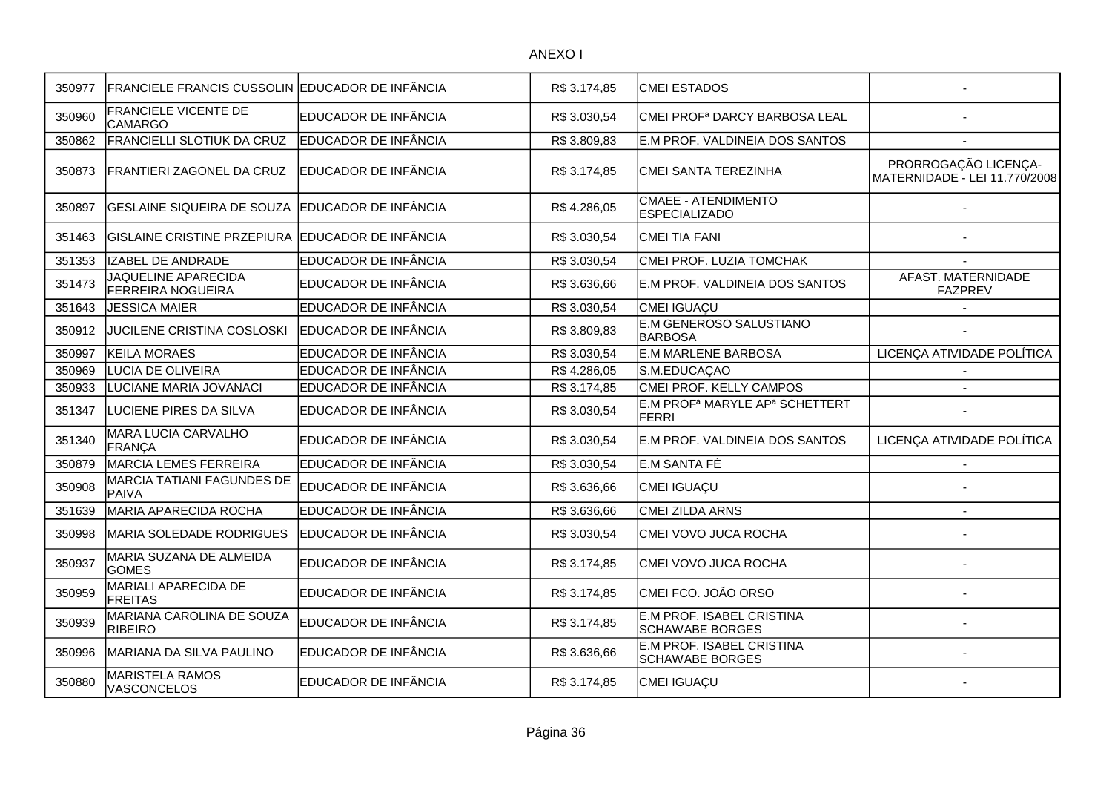| 350977 | FRANCIELE FRANCIS CUSSOLIN EDUCADOR DE INFÂNCIA  |                      | R\$ 3.174,85 | <b>CMEI ESTADOS</b>                                                    |                                                       |
|--------|--------------------------------------------------|----------------------|--------------|------------------------------------------------------------------------|-------------------------------------------------------|
| 350960 | FRANCIELE VICENTE DE<br><b>CAMARGO</b>           | EDUCADOR DE INFÂNCIA | R\$ 3.030,54 | CMEI PROF <sup>a</sup> DARCY BARBOSA LEAL                              |                                                       |
| 350862 | FRANCIELLI SLOTIUK DA CRUZ                       | EDUCADOR DE INFÂNCIA | R\$ 3.809,83 | E.M PROF. VALDINEIA DOS SANTOS                                         |                                                       |
| 350873 | FRANTIERI ZAGONEL DA CRUZ                        | EDUCADOR DE INFÂNCIA | R\$ 3.174,85 | CMEI SANTA TEREZINHA                                                   | PRORROGAÇÃO LICENÇA-<br>MATERNIDADE - LEI 11.770/2008 |
| 350897 | <b>GESLAINE SIQUEIRA DE SOUZA</b>                | EDUCADOR DE INFÂNCIA | R\$4.286,05  | <b>CMAEE - ATENDIMENTO</b><br><b>ESPECIALIZADO</b>                     |                                                       |
| 351463 | GISLAINE CRISTINE PRZEPIURA EDUCADOR DE INFÂNCIA |                      | R\$ 3.030,54 | CMEI TIA FANI                                                          |                                                       |
| 351353 | <b>IZABEL DE ANDRADE</b>                         | EDUCADOR DE INFÂNCIA | R\$ 3.030,54 | CMEI PROF. LUZIA TOMCHAK                                               |                                                       |
| 351473 | JAQUELINE APARECIDA<br><b>FERREIRA NOGUEIRA</b>  | EDUCADOR DE INFÂNCIA | R\$ 3.636,66 | E.M PROF. VALDINEIA DOS SANTOS                                         | AFAST. MATERNIDADE<br><b>FAZPREV</b>                  |
| 351643 | <b>JESSICA MAIER</b>                             | EDUCADOR DE INFÂNCIA | R\$ 3.030,54 | CMEI IGUAÇU                                                            |                                                       |
| 350912 | JUCILENE CRISTINA COSLOSKI                       | EDUCADOR DE INFÂNCIA | R\$ 3.809,83 | E.M GENEROSO SALUSTIANO<br><b>BARBOSA</b>                              |                                                       |
| 350997 | <b>KEILA MORAES</b>                              | EDUCADOR DE INFÂNCIA | R\$ 3.030,54 | <b>E.M MARLENE BARBOSA</b>                                             | LICENÇA ATIVIDADE POLÍTICA                            |
| 350969 | LUCIA DE OLIVEIRA                                | EDUCADOR DE INFÂNCIA | R\$4.286,05  | S.M.EDUCAÇAO                                                           |                                                       |
| 350933 | LUCIANE MARIA JOVANACI                           | EDUCADOR DE INFÂNCIA | R\$ 3.174,85 | CMEI PROF. KELLY CAMPOS                                                | $\overline{a}$                                        |
| 351347 | LUCIENE PIRES DA SILVA                           | EDUCADOR DE INFÂNCIA | R\$ 3.030,54 | E.M PROF <sup>a</sup> MARYLE AP <sup>a</sup> SCHETTERT<br><b>FERRI</b> |                                                       |
| 351340 | MARA LUCIA CARVALHO<br><b>FRANÇA</b>             | EDUCADOR DE INFÂNCIA | R\$ 3.030,54 | E.M PROF. VALDINEIA DOS SANTOS                                         | LICENÇA ATIVIDADE POLÍTICA                            |
| 350879 | <b>MARCIA LEMES FERREIRA</b>                     | EDUCADOR DE INFÂNCIA | R\$ 3.030,54 | E.M SANTA FÉ                                                           |                                                       |
| 350908 | MARCIA TATIANI FAGUNDES DE<br>PAIVA              | EDUCADOR DE INFÂNCIA | R\$ 3.636,66 | CMEI IGUAÇU                                                            |                                                       |
| 351639 | MARIA APARECIDA ROCHA                            | EDUCADOR DE INFÂNCIA | R\$ 3.636,66 | CMEI ZILDA ARNS                                                        |                                                       |
| 350998 | MARIA SOLEDADE RODRIGUES                         | EDUCADOR DE INFÂNCIA | R\$ 3.030,54 | CMEI VOVO JUCA ROCHA                                                   |                                                       |
| 350937 | MARIA SUZANA DE ALMEIDA<br><b>GOMES</b>          | EDUCADOR DE INFÂNCIA | R\$ 3.174,85 | CMEI VOVO JUCA ROCHA                                                   |                                                       |
| 350959 | MARIALI APARECIDA DE<br><b>FREITAS</b>           | EDUCADOR DE INFÂNCIA | R\$ 3.174,85 | CMEI FCO. JOÃO ORSO                                                    |                                                       |
| 350939 | MARIANA CAROLINA DE SOUZA<br><b>RIBEIRO</b>      | EDUCADOR DE INFÂNCIA | R\$ 3.174,85 | E.M PROF. ISABEL CRISTINA<br>SCHAWABE BORGES                           |                                                       |
| 350996 | MARIANA DA SILVA PAULINO                         | EDUCADOR DE INFÂNCIA | R\$ 3.636,66 | E.M PROF. ISABEL CRISTINA<br><b>SCHAWABE BORGES</b>                    |                                                       |
| 350880 | <b>MARISTELA RAMOS</b><br><b>VASCONCELOS</b>     | EDUCADOR DE INFÂNCIA | R\$ 3.174,85 | CMEI IGUAÇU                                                            |                                                       |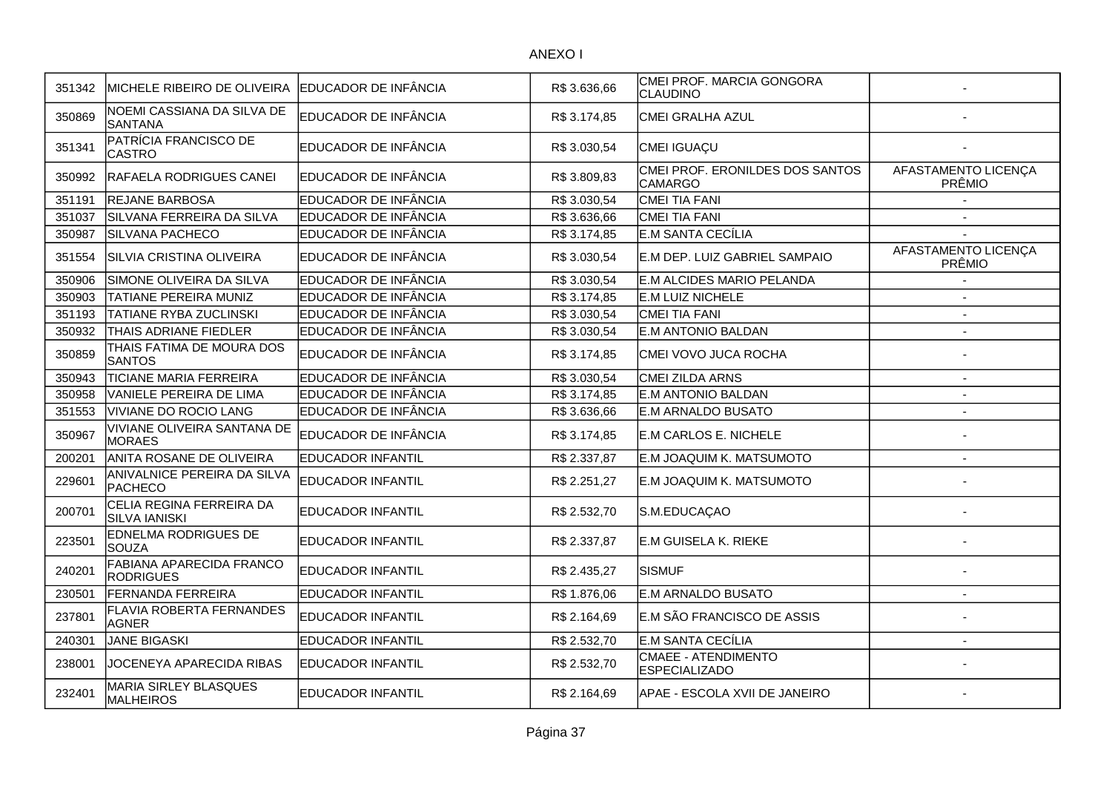| 351342 | MICHELE RIBEIRO DE OLIVEIRA                      | EDUCADOR DE INFÂNCIA     | R\$ 3.636,66 | CMEI PROF. MARCIA GONGORA<br>CLAUDINO       |                               |
|--------|--------------------------------------------------|--------------------------|--------------|---------------------------------------------|-------------------------------|
| 350869 | NOEMI CASSIANA DA SILVA DE<br>SANTANA            | EDUCADOR DE INFÂNCIA     | R\$ 3.174,85 | CMEI GRALHA AZUL                            |                               |
| 351341 | PATRÍCIA FRANCISCO DE<br><b>CASTRO</b>           | EDUCADOR DE INFÂNCIA     | R\$ 3.030,54 | CMEI IGUAÇU                                 |                               |
| 350992 | <b>IRAFAELA RODRIGUES CANEI</b>                  | EDUCADOR DE INFÂNCIA     | R\$ 3.809,83 | CMEI PROF. ERONILDES DOS SANTOS<br>CAMARGO  | AFASTAMENTO LICENÇA<br>PRÊMIO |
| 351191 | <b>REJANE BARBOSA</b>                            | EDUCADOR DE INFÂNCIA     | R\$ 3.030,54 | CMEI TIA FANI                               |                               |
| 351037 | SILVANA FERREIRA DA SILVA                        | EDUCADOR DE INFÂNCIA     | R\$ 3.636,66 | CMEI TIA FANI                               |                               |
| 350987 | SILVANA PACHECO                                  | EDUCADOR DE INFÂNCIA     | R\$ 3.174,85 | E.M SANTA CECÍLIA                           |                               |
| 351554 | SILVIA CRISTINA OLIVEIRA                         | EDUCADOR DE INFÂNCIA     | R\$ 3.030,54 | E.M DEP. LUIZ GABRIEL SAMPAIO               | AFASTAMENTO LICENÇA<br>PRÊMIO |
| 350906 | SIMONE OLIVEIRA DA SILVA                         | EDUCADOR DE INFÂNCIA     | R\$ 3.030,54 | E.M ALCIDES MARIO PELANDA                   |                               |
| 350903 | <b>TATIANE PEREIRA MUNIZ</b>                     | EDUCADOR DE INFÂNCIA     | R\$ 3.174,85 | E.M LUIZ NICHELE                            |                               |
| 351193 | <b>TATIANE RYBA ZUCLINSKI</b>                    | EDUCADOR DE INFÂNCIA     | R\$ 3.030,54 | CMEI TIA FANI                               | $\overline{\phantom{a}}$      |
| 350932 | THAIS ADRIANE FIEDLER                            | EDUCADOR DE INFÂNCIA     | R\$ 3.030,54 | E.M ANTONIO BALDAN                          | $\overline{a}$                |
| 350859 | THAIS FATIMA DE MOURA DOS<br><b>SANTOS</b>       | EDUCADOR DE INFÂNCIA     | R\$ 3.174,85 | CMEI VOVO JUCA ROCHA                        |                               |
| 350943 | <b>TICIANE MARIA FERREIRA</b>                    | EDUCADOR DE INFÂNCIA     | R\$ 3.030,54 | CMEI ZILDA ARNS                             |                               |
| 350958 | VANIELE PEREIRA DE LIMA                          | EDUCADOR DE INFÂNCIA     | R\$ 3.174,85 | <b>E.M ANTONIO BALDAN</b>                   | $\overline{\phantom{a}}$      |
| 351553 | VIVIANE DO ROCIO LANG                            | EDUCADOR DE INFÂNCIA     | R\$ 3.636,66 | E.M ARNALDO BUSATO                          |                               |
| 350967 | VIVIANE OLIVEIRA SANTANA DE<br><b>IMORAES</b>    | EDUCADOR DE INFÂNCIA     | R\$ 3.174,85 | E.M CARLOS E. NICHELE                       |                               |
| 200201 | ANITA ROSANE DE OLIVEIRA                         | <b>EDUCADOR INFANTIL</b> | R\$ 2.337,87 | E.M JOAQUIM K. MATSUMOTO                    |                               |
| 229601 | ANIVALNICE PEREIRA DA SILVA<br>PACHECO           | <b>EDUCADOR INFANTIL</b> | R\$ 2.251,27 | E.M JOAQUIM K. MATSUMOTO                    |                               |
| 200701 | CELIA REGINA FERREIRA DA<br><b>SILVA IANISKI</b> | <b>EDUCADOR INFANTIL</b> | R\$ 2.532,70 | S.M.EDUCAÇAO                                |                               |
| 223501 | EDNELMA RODRIGUES DE<br>SOUZA                    | <b>EDUCADOR INFANTIL</b> | R\$ 2.337,87 | E.M GUISELA K. RIEKE                        |                               |
| 240201 | FABIANA APARECIDA FRANCO<br><b>RODRIGUES</b>     | <b>EDUCADOR INFANTIL</b> | R\$ 2.435,27 | <b>SISMUF</b>                               |                               |
| 230501 | <b>FERNANDA FERREIRA</b>                         | <b>EDUCADOR INFANTIL</b> | R\$1.876,06  | E.M ARNALDO BUSATO                          | $\sim$                        |
| 237801 | <b>FLAVIA ROBERTA FERNANDES</b><br><b>AGNER</b>  | EDUCADOR INFANTIL        | R\$ 2.164,69 | E.M SÃO FRANCISCO DE ASSIS                  |                               |
| 240301 | <b>JANE BIGASKI</b>                              | <b>EDUCADOR INFANTIL</b> | R\$ 2.532,70 | E.M SANTA CECÍLIA                           | $\overline{a}$                |
| 238001 | JOCENEYA APARECIDA RIBAS                         | EDUCADOR INFANTIL        | R\$ 2.532,70 | CMAEE - ATENDIMENTO<br><b>ESPECIALIZADO</b> |                               |
| 232401 | MARIA SIRLEY BLASQUES<br>MALHEIROS               | EDUCADOR INFANTIL        | R\$ 2.164,69 | APAE - ESCOLA XVII DE JANEIRO               |                               |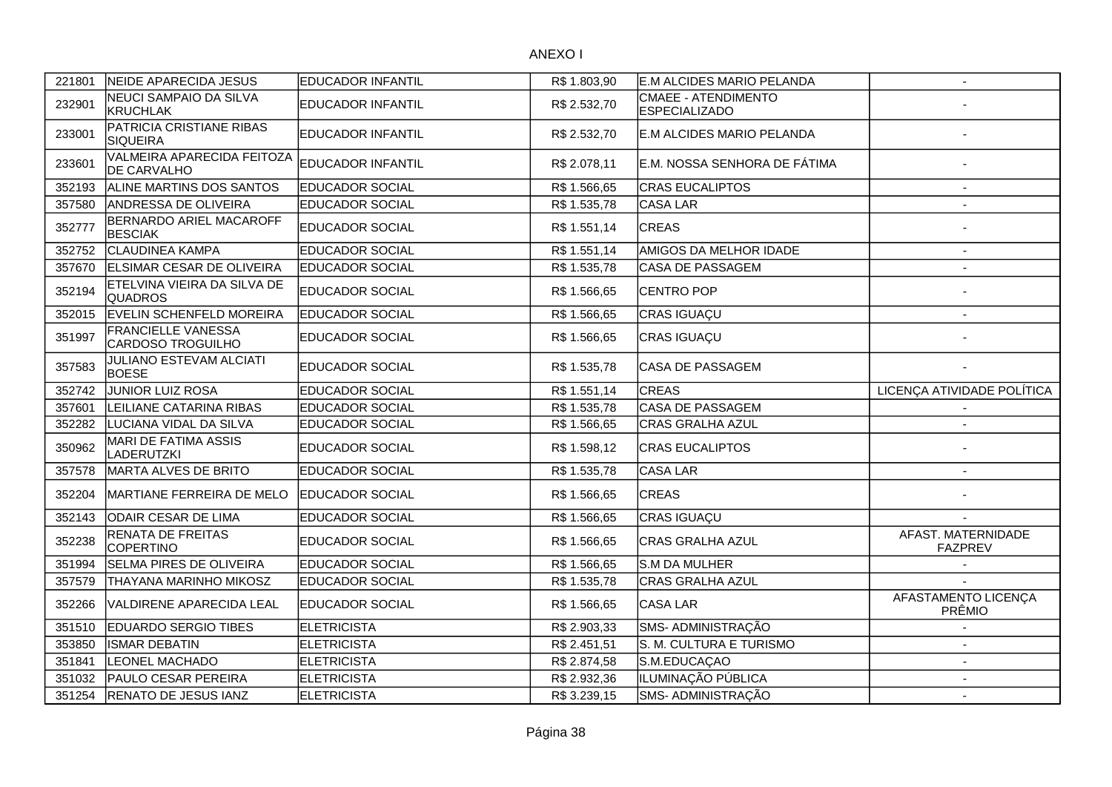| 221801 | <b>NEIDE APARECIDA JESUS</b>                     | <b>EDUCADOR INFANTIL</b> | R\$1.803,90  | E.M ALCIDES MARIO PELANDA                   | $\overline{\phantom{a}}$             |
|--------|--------------------------------------------------|--------------------------|--------------|---------------------------------------------|--------------------------------------|
| 232901 | NEUCI SAMPAIO DA SILVA<br><b>KRUCHLAK</b>        | EDUCADOR INFANTIL        | R\$ 2.532,70 | CMAEE - ATENDIMENTO<br><b>ESPECIALIZADO</b> |                                      |
| 233001 | PATRICIA CRISTIANE RIBAS<br><b>SIQUEIRA</b>      | <b>EDUCADOR INFANTIL</b> | R\$ 2.532,70 | E.M ALCIDES MARIO PELANDA                   |                                      |
| 233601 | VALMEIRA APARECIDA FEITOZA<br><b>DE CARVALHO</b> | <b>EDUCADOR INFANTIL</b> | R\$ 2.078,11 | E.M. NOSSA SENHORA DE FÁTIMA                |                                      |
| 352193 | <b>ALINE MARTINS DOS SANTOS</b>                  | <b>EDUCADOR SOCIAL</b>   | R\$ 1.566,65 | <b>CRAS EUCALIPTOS</b>                      |                                      |
| 357580 | <b>ANDRESSA DE OLIVEIRA</b>                      | <b>EDUCADOR SOCIAL</b>   | R\$ 1.535,78 | CASA LAR                                    |                                      |
| 352777 | BERNARDO ARIEL MACAROFF<br><b>BESCIAK</b>        | EDUCADOR SOCIAL          | R\$ 1.551,14 | <b>CREAS</b>                                |                                      |
| 352752 | <b>CLAUDINEA KAMPA</b>                           | <b>EDUCADOR SOCIAL</b>   | R\$ 1.551,14 | AMIGOS DA MELHOR IDADE                      | $\overline{\phantom{a}}$             |
| 357670 | ELSIMAR CESAR DE OLIVEIRA                        | <b>EDUCADOR SOCIAL</b>   | R\$ 1.535,78 | CASA DE PASSAGEM                            |                                      |
| 352194 | ETELVINA VIEIRA DA SILVA DE<br><b>QUADROS</b>    | EDUCADOR SOCIAL          | R\$ 1.566,65 | CENTRO POP                                  |                                      |
| 352015 | EVELIN SCHENFELD MOREIRA                         | <b>EDUCADOR SOCIAL</b>   | R\$ 1.566,65 | CRAS IGUAÇU                                 |                                      |
| 351997 | FRANCIELLE VANESSA<br><b>CARDOSO TROGUILHO</b>   | EDUCADOR SOCIAL          | R\$ 1.566,65 | CRAS IGUAÇU                                 |                                      |
| 357583 | <b>JULIANO ESTEVAM ALCIATI</b><br><b>BOESE</b>   | <b>EDUCADOR SOCIAL</b>   | R\$ 1.535,78 | <b>CASA DE PASSAGEM</b>                     |                                      |
| 352742 | JUNIOR LUIZ ROSA                                 | <b>EDUCADOR SOCIAL</b>   | R\$ 1.551,14 | <b>CREAS</b>                                | LICENÇA ATIVIDADE POLÍTICA           |
| 357601 | LEILIANE CATARINA RIBAS                          | <b>EDUCADOR SOCIAL</b>   | R\$ 1.535,78 | CASA DE PASSAGEM                            |                                      |
| 352282 | LUCIANA VIDAL DA SILVA                           | EDUCADOR SOCIAL          | R\$ 1.566,65 | CRAS GRALHA AZUL                            |                                      |
| 350962 | <b>MARI DE FATIMA ASSIS</b><br><b>LADERUTZKI</b> | EDUCADOR SOCIAL          | R\$ 1.598,12 | <b>CRAS EUCALIPTOS</b>                      |                                      |
| 357578 | MARTA ALVES DE BRITO                             | EDUCADOR SOCIAL          | R\$ 1.535,78 | CASA LAR                                    |                                      |
| 352204 | MARTIANE FERREIRA DE MELO                        | <b>EDUCADOR SOCIAL</b>   | R\$ 1.566,65 | <b>CREAS</b>                                |                                      |
| 352143 | ODAIR CESAR DE LIMA                              | <b>EDUCADOR SOCIAL</b>   | R\$ 1.566,65 | CRAS IGUAÇU                                 |                                      |
| 352238 | RENATA DE FREITAS<br><b>COPERTINO</b>            | EDUCADOR SOCIAL          | R\$ 1.566,65 | <b>CRAS GRALHA AZUL</b>                     | AFAST. MATERNIDADE<br><b>FAZPREV</b> |
| 351994 | SELMA PIRES DE OLIVEIRA                          | EDUCADOR SOCIAL          | R\$ 1.566,65 | S.M DA MULHER                               |                                      |
| 357579 | THAYANA MARINHO MIKOSZ                           | EDUCADOR SOCIAL          | R\$ 1.535,78 | CRAS GRALHA AZUL                            |                                      |
| 352266 | VALDIRENE APARECIDA LEAL                         | EDUCADOR SOCIAL          | R\$ 1.566,65 | CASA LAR                                    | AFASTAMENTO LICENÇA<br>PRÊMIO        |
| 351510 | <b>EDUARDO SERGIO TIBES</b>                      | <b>ELETRICISTA</b>       | R\$ 2.903,33 | SMS- ADMINISTRAÇÃO                          |                                      |
| 353850 | <b>ISMAR DEBATIN</b>                             | <b>ELETRICISTA</b>       | R\$ 2.451,51 | S. M. CULTURA E TURISMO                     |                                      |
| 351841 | <b>LEONEL MACHADO</b>                            | <b>ELETRICISTA</b>       | R\$ 2.874,58 | S.M.EDUCAÇAO                                | $\sim$                               |
| 351032 | PAULO CESAR PEREIRA                              | <b>ELETRICISTA</b>       | R\$ 2.932,36 | ILUMINAÇÃO PÚBLICA                          | $\overline{\phantom{a}}$             |
| 351254 | RENATO DE JESUS IANZ                             | <b>ELETRICISTA</b>       | R\$ 3.239,15 | SMS- ADMINISTRAÇÃO                          | $\overline{\phantom{a}}$             |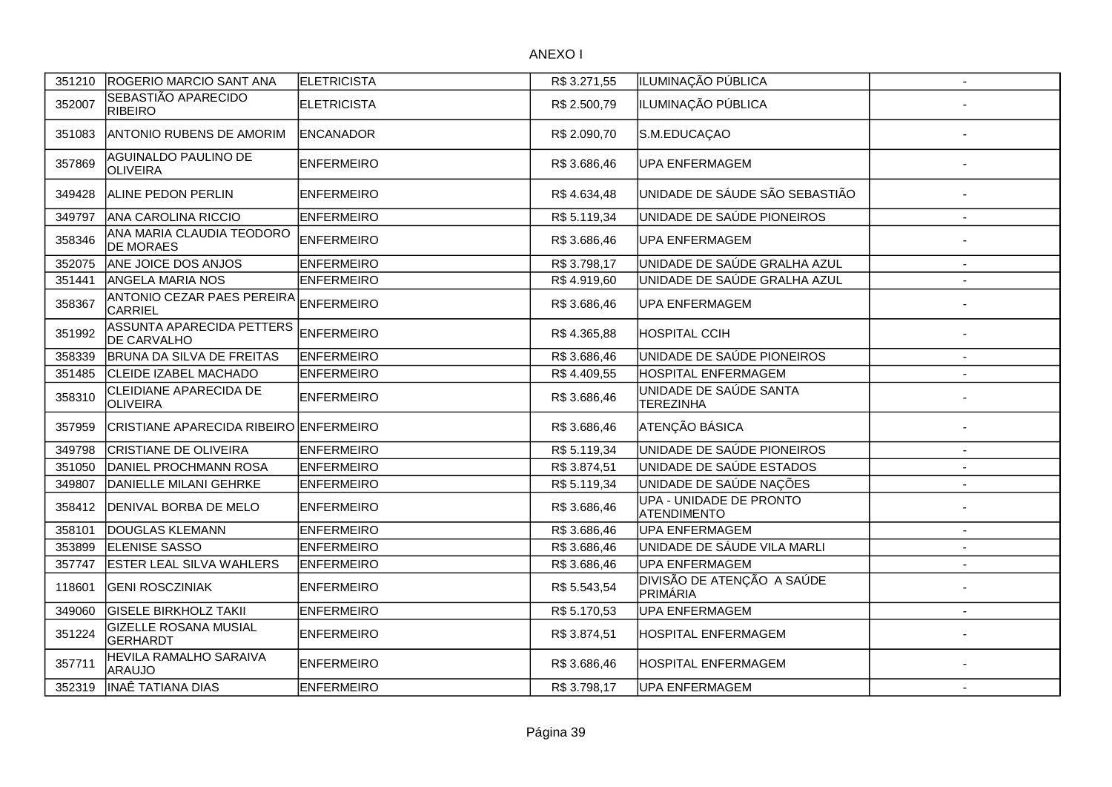| 351210 | ROGERIO MARCIO SANT ANA                          | <b>ELETRICISTA</b> | R\$ 3.271,55 | ILUMINAÇÃO PÚBLICA                            | $\overline{\phantom{a}}$ |
|--------|--------------------------------------------------|--------------------|--------------|-----------------------------------------------|--------------------------|
| 352007 | SEBASTIÃO APARECIDO<br><b>RIBEIRO</b>            | <b>ELETRICISTA</b> | R\$ 2.500,79 | ILUMINAÇÃO PÚBLICA                            |                          |
| 351083 | ANTONIO RUBENS DE AMORIM                         | <b>ENCANADOR</b>   | R\$ 2.090,70 | S.M.EDUCAÇAO                                  |                          |
| 357869 | AGUINALDO PAULINO DE<br><b>OLIVEIRA</b>          | <b>ENFERMEIRO</b>  | R\$ 3.686,46 | UPA ENFERMAGEM                                |                          |
| 349428 | <b>ALINE PEDON PERLIN</b>                        | <b>ENFERMEIRO</b>  | R\$4.634,48  | UNIDADE DE SÁUDE SÃO SEBASTIÃO                |                          |
| 349797 | <b>ANA CAROLINA RICCIO</b>                       | <b>ENFERMEIRO</b>  | R\$5.119,34  | UNIDADE DE SAÚDE PIONEIROS                    | $\sim$                   |
| 358346 | ANA MARIA CLAUDIA TEODORO<br><b>DE MORAES</b>    | <b>ENFERMEIRO</b>  | R\$ 3.686,46 | <b>UPA ENFERMAGEM</b>                         |                          |
| 352075 | ANE JOICE DOS ANJOS                              | <b>ENFERMEIRO</b>  | R\$3.798,17  | UNIDADE DE SAÚDE GRALHA AZUL                  | $\blacksquare$           |
| 351441 | <b>ANGELA MARIA NOS</b>                          | <b>ENFERMEIRO</b>  | R\$4.919,60  | UNIDADE DE SAÚDE GRALHA AZUL                  | $\blacksquare$           |
| 358367 | ANTONIO CEZAR PAES PEREIRA<br>CARRIEL            | <b>ENFERMEIRO</b>  | R\$ 3.686,46 | <b>UPA ENFERMAGEM</b>                         |                          |
| 351992 | ASSUNTA APARECIDA PETTERS<br><b>DE CARVALHO</b>  | <b>ENFERMEIRO</b>  | R\$4.365,88  | <b>HOSPITAL CCIH</b>                          |                          |
| 358339 | BRUNA DA SILVA DE FREITAS                        | <b>ENFERMEIRO</b>  | R\$ 3.686,46 | UNIDADE DE SAÚDE PIONEIROS                    | $\overline{\phantom{a}}$ |
| 351485 | CLEIDE IZABEL MACHADO                            | <b>ENFERMEIRO</b>  | R\$4.409,55  | HOSPITAL ENFERMAGEM                           |                          |
| 358310 | <b>CLEIDIANE APARECIDA DE</b><br><b>OLIVEIRA</b> | <b>ENFERMEIRO</b>  | R\$ 3.686,46 | UNIDADE DE SAÚDE SANTA<br><b>TEREZINHA</b>    |                          |
| 357959 | CRISTIANE APARECIDA RIBEIRO ENFERMEIRO           |                    | R\$3.686,46  | ATENÇÃO BÁSICA                                |                          |
| 349798 | <b>CRISTIANE DE OLIVEIRA</b>                     | <b>ENFERMEIRO</b>  | R\$5.119,34  | UNIDADE DE SAÚDE PIONEIROS                    | $\blacksquare$           |
| 351050 | DANIEL PROCHMANN ROSA                            | <b>ENFERMEIRO</b>  | R\$ 3.874,51 | UNIDADE DE SAÚDE ESTADOS                      | $\overline{\phantom{a}}$ |
| 349807 | DANIELLE MILANI GEHRKE                           | <b>ENFERMEIRO</b>  | R\$5.119,34  | UNIDADE DE SAÚDE NAÇÕES                       | $\overline{\phantom{a}}$ |
| 358412 | <b>DENIVAL BORBA DE MELO</b>                     | <b>ENFERMEIRO</b>  | R\$ 3.686,46 | UPA - UNIDADE DE PRONTO<br><b>ATENDIMENTO</b> | Ĭ.                       |
| 358101 | <b>DOUGLAS KLEMANN</b>                           | <b>ENFERMEIRO</b>  | R\$ 3.686,46 | <b>UPA ENFERMAGEM</b>                         | $\overline{\phantom{a}}$ |
| 353899 | <b>ELENISE SASSO</b>                             | <b>ENFERMEIRO</b>  | R\$3.686,46  | UNIDADE DE SÁUDE VILA MARLI                   |                          |
| 357747 | <b>ESTER LEAL SILVA WAHLERS</b>                  | <b>ENFERMEIRO</b>  | R\$ 3.686,46 | <b>UPA ENFERMAGEM</b>                         | $\blacksquare$           |
| 118601 | <b>GENI ROSCZINIAK</b>                           | <b>ENFERMEIRO</b>  | R\$ 5.543,54 | DIVISÃO DE ATENÇÃO A SAÚDE<br>PRIMÁRIA        |                          |
| 349060 | <b>GISELE BIRKHOLZ TAKII</b>                     | <b>ENFERMEIRO</b>  | R\$5.170,53  | <b>UPA ENFERMAGEM</b>                         | $\overline{\phantom{a}}$ |
| 351224 | <b>GIZELLE ROSANA MUSIAL</b><br>GERHARDT         | <b>ENFERMEIRO</b>  | R\$ 3.874,51 | HOSPITAL ENFERMAGEM                           |                          |
| 357711 | HEVILA RAMALHO SARAIVA<br><b>ARAUJO</b>          | <b>ENFERMEIRO</b>  | R\$ 3.686,46 | HOSPITAL ENFERMAGEM                           |                          |
| 352319 | <b>INAÊ TATIANA DIAS</b>                         | <b>ENFERMEIRO</b>  | R\$ 3.798,17 | <b>UPA ENFERMAGEM</b>                         | $\overline{\phantom{a}}$ |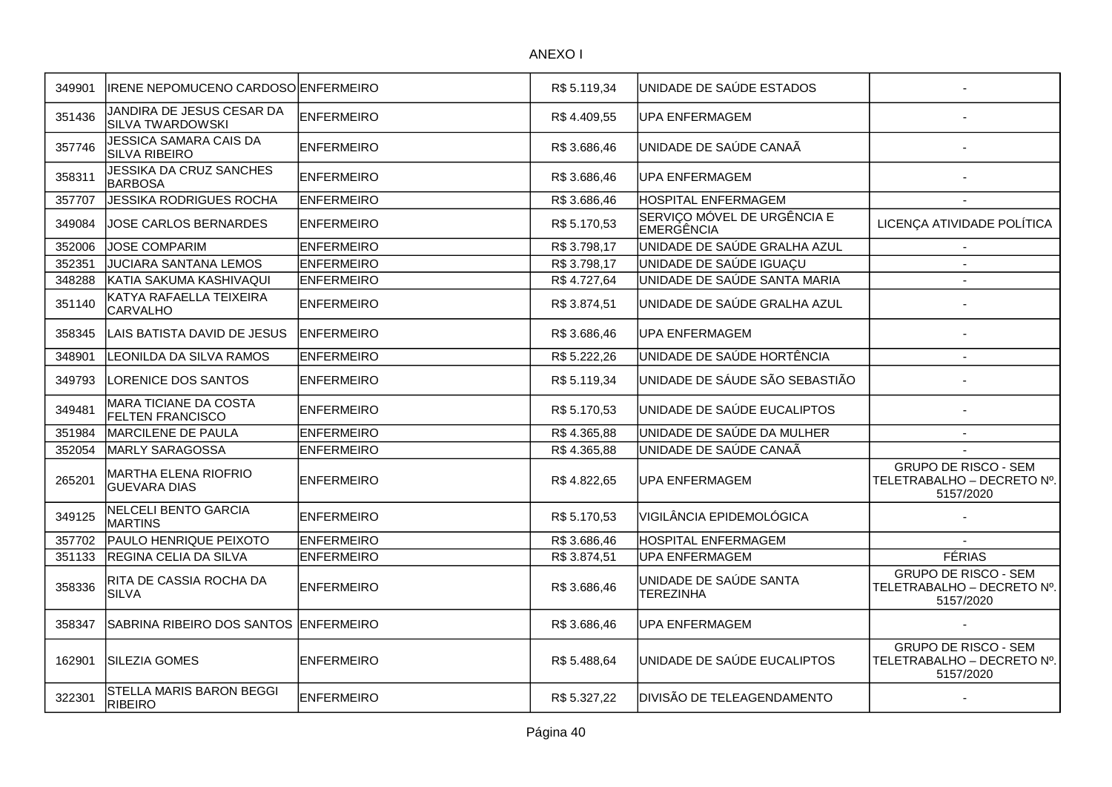| 349901 | <b>IRENE NEPOMUCENO CARDOSO ENFERMEIRO</b>              |                   | R\$5.119,34  | UNIDADE DE SAÚDE ESTADOS                   |                                                                        |
|--------|---------------------------------------------------------|-------------------|--------------|--------------------------------------------|------------------------------------------------------------------------|
| 351436 | JANDIRA DE JESUS CESAR DA<br><b>SILVA TWARDOWSKI</b>    | <b>ENFERMEIRO</b> | R\$4.409,55  | <b>UPA ENFERMAGEM</b>                      |                                                                        |
| 357746 | JESSICA SAMARA CAIS DA<br><b>SILVA RIBEIRO</b>          | ENFERMEIRO        | R\$ 3.686,46 | UNIDADE DE SAÚDE CANAÃ                     |                                                                        |
| 358311 | JESSIKA DA CRUZ SANCHES<br><b>BARBOSA</b>               | <b>ENFERMEIRO</b> | R\$ 3.686,46 | <b>UPA ENFERMAGEM</b>                      |                                                                        |
| 357707 | <b>JESSIKA RODRIGUES ROCHA</b>                          | <b>ENFERMEIRO</b> | R\$3.686,46  | <b>HOSPITAL ENFERMAGEM</b>                 |                                                                        |
| 349084 | JOSE CARLOS BERNARDES                                   | <b>ENFERMEIRO</b> | R\$5.170,53  | SERVIÇO MÓVEL DE URGÊNCIA E<br>EMERGÊNCIA  | LICENÇA ATIVIDADE POLÍTICA                                             |
| 352006 | <b>JOSE COMPARIM</b>                                    | <b>ENFERMEIRO</b> | R\$ 3.798,17 | UNIDADE DE SAÚDE GRALHA AZUL               | $\blacksquare$                                                         |
| 352351 | <b>JUCIARA SANTANA LEMOS</b>                            | <b>ENFERMEIRO</b> | R\$3.798,17  | UNIDADE DE SAÚDE IGUAÇU                    |                                                                        |
| 348288 | KATIA SAKUMA KASHIVAQUI                                 | <b>ENFERMEIRO</b> | R\$4.727,64  | UNIDADE DE SAÚDE SANTA MARIA               |                                                                        |
| 351140 | KATYA RAFAELLA TEIXEIRA<br><b>CARVALHO</b>              | <b>ENFERMEIRO</b> | R\$ 3.874,51 | UNIDADE DE SAÚDE GRALHA AZUL               |                                                                        |
| 358345 | LAIS BATISTA DAVID DE JESUS                             | <b>ENFERMEIRO</b> | R\$ 3.686,46 | <b>UPA ENFERMAGEM</b>                      |                                                                        |
| 348901 | LEONILDA DA SILVA RAMOS                                 | <b>ENFERMEIRO</b> | R\$5.222,26  | UNIDADE DE SAÚDE HORTÊNCIA                 |                                                                        |
| 349793 | LORENICE DOS SANTOS                                     | <b>ENFERMEIRO</b> | R\$5.119,34  | UNIDADE DE SÁUDE SÃO SEBASTIÃO             |                                                                        |
| 349481 | <b>MARA TICIANE DA COSTA</b><br><b>FELTEN FRANCISCO</b> | <b>ENFERMEIRO</b> | R\$ 5.170,53 | UNIDADE DE SAÚDE EUCALIPTOS                |                                                                        |
| 351984 | MARCILENE DE PAULA                                      | <b>ENFERMEIRO</b> | R\$4.365,88  | UNIDADE DE SAÚDE DA MULHER                 | $\overline{\phantom{a}}$                                               |
| 352054 | <b>MARLY SARAGOSSA</b>                                  | <b>ENFERMEIRO</b> | R\$4.365,88  | UNIDADE DE SAÚDE CANAÃ                     |                                                                        |
| 265201 | MARTHA ELENA RIOFRIO<br><b>GUEVARA DIAS</b>             | <b>ENFERMEIRO</b> | R\$4.822,65  | <b>UPA ENFERMAGEM</b>                      | <b>GRUPO DE RISCO - SEM</b><br>TELETRABALHO - DECRETO Nº.<br>5157/2020 |
| 349125 | <b>NELCELI BENTO GARCIA</b><br><b>MARTINS</b>           | <b>ENFERMEIRO</b> | R\$ 5.170,53 | VIGILÂNCIA EPIDEMOLÓGICA                   |                                                                        |
| 357702 | PAULO HENRIQUE PEIXOTO                                  | <b>ENFERMEIRO</b> | R\$3.686,46  | <b>HOSPITAL ENFERMAGEM</b>                 |                                                                        |
| 351133 | REGINA CELIA DA SILVA                                   | <b>ENFERMEIRO</b> | R\$3.874,51  | UPA ENFERMAGEM                             | <b>FÉRIAS</b>                                                          |
| 358336 | RITA DE CASSIA ROCHA DA<br><b>SILVA</b>                 | <b>ENFERMEIRO</b> | R\$ 3.686,46 | UNIDADE DE SAÚDE SANTA<br><b>TEREZINHA</b> | <b>GRUPO DE RISCO - SEM</b><br>TELETRABALHO - DECRETO Nº.<br>5157/2020 |
| 358347 | SABRINA RIBEIRO DOS SANTOS                              | <b>ENFERMEIRO</b> | R\$3.686,46  | UPA ENFERMAGEM                             |                                                                        |
| 162901 | <b>SILEZIA GOMES</b>                                    | ENFERMEIRO        | R\$ 5.488,64 | UNIDADE DE SAÚDE EUCALIPTOS                | <b>GRUPO DE RISCO - SEM</b><br>TELETRABALHO - DECRETO Nº.<br>5157/2020 |
| 322301 | STELLA MARIS BARON BEGGI<br><b>RIBEIRO</b>              | <b>ENFERMEIRO</b> | R\$ 5.327,22 | DIVISÃO DE TELEAGENDAMENTO                 |                                                                        |
|        |                                                         |                   |              |                                            |                                                                        |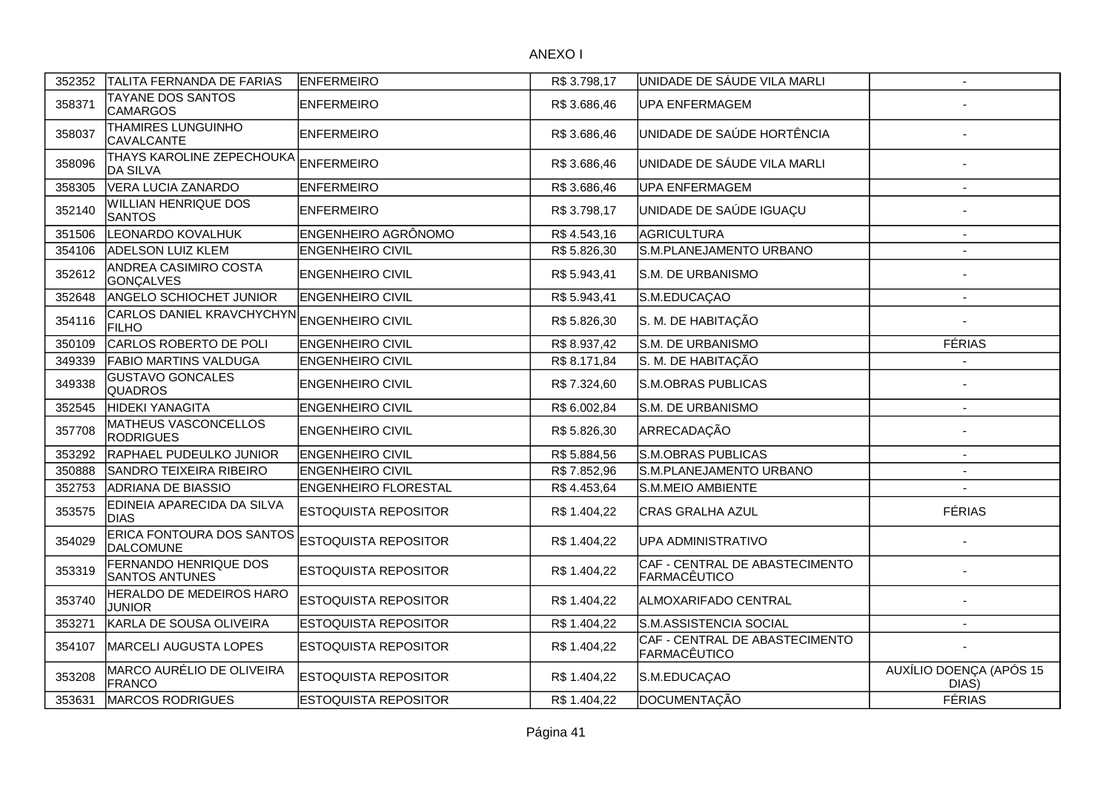| 352352 | TALITA FERNANDA DE FARIAS                        | <b>IENFERMEIRO</b>          | R\$ 3.798,17 | UNIDADE DE SÁUDE VILA MARLI                    | $\overline{\phantom{a}}$         |
|--------|--------------------------------------------------|-----------------------------|--------------|------------------------------------------------|----------------------------------|
| 358371 | TAYANE DOS SANTOS<br><b>CAMARGOS</b>             | <b>ENFERMEIRO</b>           | R\$ 3.686,46 | <b>UPA ENFERMAGEM</b>                          |                                  |
| 358037 | THAMIRES LUNGUINHO<br><b>CAVALCANTE</b>          | <b>ENFERMEIRO</b>           | R\$ 3.686,46 | UNIDADE DE SAÚDE HORTÊNCIA                     |                                  |
| 358096 | THAYS KAROLINE ZEPECHOUKA<br><b>DA SILVA</b>     | <b>ENFERMEIRO</b>           | R\$ 3.686,46 | UNIDADE DE SÁUDE VILA MARLI                    |                                  |
| 358305 | VERA LUCIA ZANARDO                               | <b>ENFERMEIRO</b>           | R\$ 3.686,46 | UPA ENFERMAGEM                                 |                                  |
| 352140 | <b>WILLIAN HENRIQUE DOS</b><br><b>SANTOS</b>     | <b>IENFERMEIRO</b>          | R\$ 3.798,17 | UNIDADE DE SAÚDE IGUAÇU                        |                                  |
| 351506 | LEONARDO KOVALHUK                                | <b>ENGENHEIRO AGRÔNOMO</b>  | R\$4.543,16  | AGRICULTURA                                    | $\sim$                           |
| 354106 | <b>ADELSON LUIZ KLEM</b>                         | <b>ENGENHEIRO CIVIL</b>     | R\$5.826,30  | S.M.PLANEJAMENTO URBANO                        |                                  |
| 352612 | ANDREA CASIMIRO COSTA<br><b>GONÇALVES</b>        | <b>ENGENHEIRO CIVIL</b>     | R\$ 5.943,41 | S.M. DE URBANISMO                              |                                  |
| 352648 | ANGELO SCHIOCHET JUNIOR                          | <b>ENGENHEIRO CIVIL</b>     | R\$5.943,41  | S.M.EDUCAÇAO                                   | $\blacksquare$                   |
| 354116 | <b>CARLOS DANIEL KRAVCHYCHYN</b><br><b>FILHO</b> | <b>ENGENHEIRO CIVIL</b>     | R\$5.826,30  | S. M. DE HABITAÇÃO                             |                                  |
| 350109 | CARLOS ROBERTO DE POLI                           | <b>ENGENHEIRO CIVIL</b>     | R\$ 8.937,42 | S.M. DE URBANISMO                              | <b>FÉRIAS</b>                    |
| 349339 | <b>FABIO MARTINS VALDUGA</b>                     | <b>ENGENHEIRO CIVIL</b>     | R\$ 8.171,84 | S. M. DE HABITAÇÃO                             |                                  |
| 349338 | <b>GUSTAVO GONCALES</b><br><b>QUADROS</b>        | <b>ENGENHEIRO CIVIL</b>     | R\$ 7.324,60 | S.M.OBRAS PUBLICAS                             |                                  |
| 352545 | <b>HIDEKI YANAGITA</b>                           | <b>ENGENHEIRO CIVIL</b>     | R\$ 6.002,84 | S.M. DE URBANISMO                              | $\overline{\phantom{a}}$         |
| 357708 | MATHEUS VASCONCELLOS<br><b>RODRIGUES</b>         | <b>ENGENHEIRO CIVIL</b>     | R\$ 5.826,30 | ARRECADAÇÃO                                    |                                  |
| 353292 | RAPHAEL PUDEULKO JUNIOR                          | <b>ENGENHEIRO CIVIL</b>     | R\$5.884,56  | S.M.OBRAS PUBLICAS                             |                                  |
| 350888 | <b>SANDRO TEIXEIRA RIBEIRO</b>                   | <b>ENGENHEIRO CIVIL</b>     | R\$ 7.852,96 | S.M.PLANEJAMENTO URBANO                        |                                  |
| 352753 | <b>ADRIANA DE BIASSIO</b>                        | <b>ENGENHEIRO FLORESTAL</b> | R\$4.453,64  | S.M.MEIO AMBIENTE                              |                                  |
| 353575 | EDINEIA APARECIDA DA SILVA<br><b>DIAS</b>        | <b>ESTOQUISTA REPOSITOR</b> | R\$ 1.404,22 | <b>CRAS GRALHA AZUL</b>                        | <b>FÉRIAS</b>                    |
| 354029 | ERICA FONTOURA DOS SANTOS<br><b>DALCOMUNE</b>    | <b>ESTOQUISTA REPOSITOR</b> | R\$ 1.404,22 | UPA ADMINISTRATIVO                             |                                  |
| 353319 | FERNANDO HENRIQUE DOS<br><b>SANTOS ANTUNES</b>   | <b>ESTOQUISTA REPOSITOR</b> | R\$ 1.404,22 | CAF - CENTRAL DE ABASTECIMENTO<br>FARMACÊUTICO |                                  |
| 353740 | HERALDO DE MEDEIROS HARO<br><b>JUNIOR</b>        | <b>ESTOQUISTA REPOSITOR</b> | R\$ 1.404,22 | ALMOXARIFADO CENTRAL                           |                                  |
| 353271 | KARLA DE SOUSA OLIVEIRA                          | <b>ESTOQUISTA REPOSITOR</b> | R\$ 1.404,22 | S.M.ASSISTENCIA SOCIAL                         | $\overline{\phantom{a}}$         |
| 354107 | <b>MARCELI AUGUSTA LOPES</b>                     | <b>ESTOQUISTA REPOSITOR</b> | R\$ 1.404,22 | CAF - CENTRAL DE ABASTECIMENTO<br>FARMACÊUTICO |                                  |
| 353208 | MARCO AURÉLIO DE OLIVEIRA<br><b>FRANCO</b>       | <b>ESTOQUISTA REPOSITOR</b> | R\$ 1.404,22 | S.M.EDUCAÇAO                                   | AUXÍLIO DOENÇA (APÓS 15<br>DIAS) |
| 353631 | <b>MARCOS RODRIGUES</b>                          | <b>ESTOQUISTA REPOSITOR</b> | R\$ 1.404,22 | DOCUMENTAÇÃO                                   | <b>FÉRIAS</b>                    |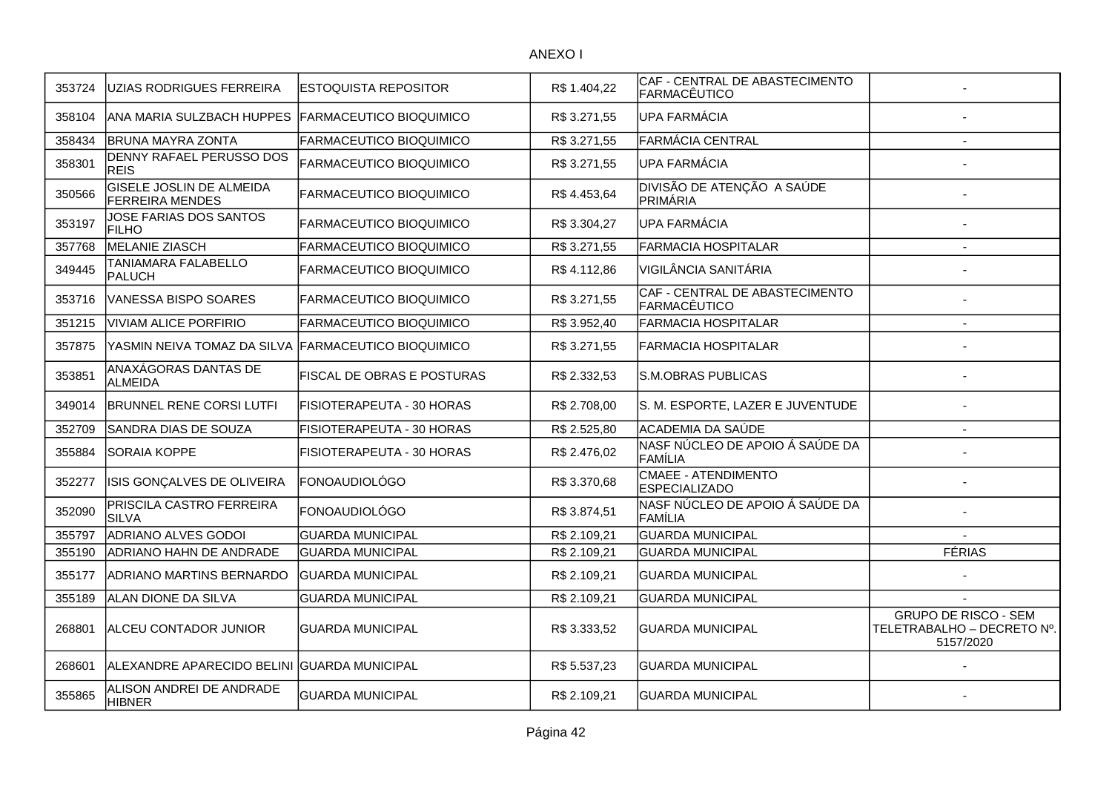| 353724 | UZIAS RODRIGUES FERREIRA                                  | ESTOQUISTA REPOSITOR           | R\$ 1.404,22 | CAF - CENTRAL DE ABASTECIMENTO<br>FARMACÊUTICO |                                                                        |
|--------|-----------------------------------------------------------|--------------------------------|--------------|------------------------------------------------|------------------------------------------------------------------------|
| 358104 | <b>ANA MARIA SULZBACH HUPPES</b>                          | <b>FARMACEUTICO BIOQUIMICO</b> | R\$ 3.271,55 | UPA FARMÁCIA                                   |                                                                        |
| 358434 | <b>BRUNA MAYRA ZONTA</b>                                  | FARMACEUTICO BIOQUIMICO        | R\$ 3.271,55 | FARMÁCIA CENTRAL                               | $\overline{\phantom{a}}$                                               |
| 358301 | <b>DENNY RAFAEL PERUSSO DOS</b><br><b>REIS</b>            | FARMACEUTICO BIOQUIMICO        | R\$ 3.271,55 | <b>UPA FARMÁCIA</b>                            |                                                                        |
| 350566 | <b>GISELE JOSLIN DE ALMEIDA</b><br><b>FERREIRA MENDES</b> | FARMACEUTICO BIOQUIMICO        | R\$4.453,64  | DIVISÃO DE ATENÇÃO A SAÚDE<br>PRIMÁRIA         |                                                                        |
| 353197 | JOSE FARIAS DOS SANTOS<br><b>FILHO</b>                    | FARMACEUTICO BIOQUIMICO        | R\$ 3.304,27 | <b>UPA FARMÁCIA</b>                            |                                                                        |
| 357768 | MELANIE ZIASCH                                            | FARMACEUTICO BIOQUIMICO        | R\$ 3.271,55 | <b>FARMACIA HOSPITALAR</b>                     | $\overline{\phantom{a}}$                                               |
| 349445 | TANIAMARA FALABELLO<br>PALUCH                             | FARMACEUTICO BIOQUIMICO        | R\$4.112,86  | <b>VIGILÂNCIA SANITÁRIA</b>                    |                                                                        |
| 353716 | VANESSA BISPO SOARES                                      | FARMACEUTICO BIOQUIMICO        | R\$ 3.271,55 | CAF - CENTRAL DE ABASTECIMENTO<br>FARMACÊUTICO |                                                                        |
| 351215 | <b>VIVIAM ALICE PORFIRIO</b>                              | FARMACEUTICO BIOQUIMICO        | R\$ 3.952,40 | <b>FARMACIA HOSPITALAR</b>                     | $\overline{\phantom{a}}$                                               |
| 357875 | YASMIN NEIVA TOMAZ DA SILVA FARMACEUTICO BIOQUIMICO       |                                | R\$ 3.271,55 | <b>FARMACIA HOSPITALAR</b>                     |                                                                        |
| 353851 | ANAXÁGORAS DANTAS DE<br>ALMEIDA                           | FISCAL DE OBRAS E POSTURAS     | R\$ 2.332,53 | S.M.OBRAS PUBLICAS                             |                                                                        |
| 349014 | <b>BRUNNEL RENE CORSI LUTFI</b>                           | FISIOTERAPEUTA - 30 HORAS      | R\$ 2.708,00 | S. M. ESPORTE, LAZER E JUVENTUDE               |                                                                        |
| 352709 | SANDRA DIAS DE SOUZA                                      | FISIOTERAPEUTA - 30 HORAS      | R\$ 2.525,80 | ACADEMIA DA SAÚDE                              |                                                                        |
| 355884 | <b>SORAIA KOPPE</b>                                       | FISIOTERAPEUTA - 30 HORAS      | R\$ 2.476,02 | NASF NÚCLEO DE APOIO Á SAÚDE DA<br>FAMÍLIA     |                                                                        |
| 352277 | ISIS GONÇALVES DE OLIVEIRA                                | FONOAUDIOLÓGO                  | R\$ 3.370,68 | CMAEE - ATENDIMENTO<br><b>ESPECIALIZADO</b>    |                                                                        |
| 352090 | PRISCILA CASTRO FERREIRA<br><b>SILVA</b>                  | FONOAUDIOLÓGO                  | R\$ 3.874,51 | NASF NÚCLEO DE APOIO Á SAÚDE DA<br>FAMÍLIA     |                                                                        |
| 355797 | <b>ADRIANO ALVES GODOI</b>                                | <b>GUARDA MUNICIPAL</b>        | R\$ 2.109,21 | <b>GUARDA MUNICIPAL</b>                        |                                                                        |
| 355190 | <b>ADRIANO HAHN DE ANDRADE</b>                            | <b>GUARDA MUNICIPAL</b>        | R\$ 2.109,21 | <b>GUARDA MUNICIPAL</b>                        | <b>FÉRIAS</b>                                                          |
| 355177 | <b>ADRIANO MARTINS BERNARDO</b>                           | GUARDA MUNICIPAL               | R\$ 2.109,21 | <b>GUARDA MUNICIPAL</b>                        |                                                                        |
| 355189 | ALAN DIONE DA SILVA                                       | <b>GUARDA MUNICIPAL</b>        | R\$ 2.109,21 | <b>GUARDA MUNICIPAL</b>                        |                                                                        |
| 268801 | <b>ALCEU CONTADOR JUNIOR</b>                              | <b>GUARDA MUNICIPAL</b>        | R\$ 3.333,52 | <b>GUARDA MUNICIPAL</b>                        | <b>GRUPO DE RISCO - SEM</b><br>TELETRABALHO - DECRETO Nº.<br>5157/2020 |
| 268601 | ALEXANDRE APARECIDO BELINI GUARDA MUNICIPAL               |                                | R\$ 5.537,23 | <b>GUARDA MUNICIPAL</b>                        |                                                                        |
| 355865 | ALISON ANDREI DE ANDRADE<br><b>HIBNER</b>                 | <b>GUARDA MUNICIPAL</b>        | R\$ 2.109,21 | <b>GUARDA MUNICIPAL</b>                        |                                                                        |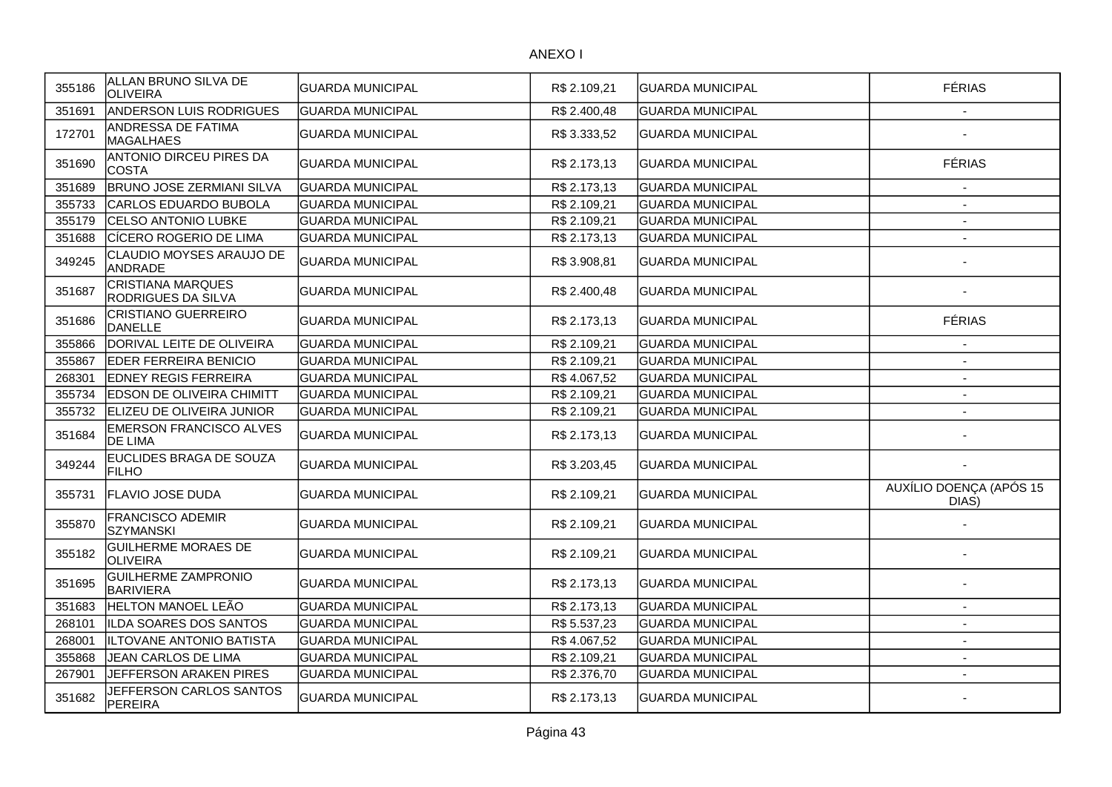| 355186 | ALLAN BRUNO SILVA DE<br><b>OLIVEIRA</b>          | GUARDA MUNICIPAL        | R\$ 2.109,21 | GUARDA MUNICIPAL        | <b>FÉRIAS</b>                    |
|--------|--------------------------------------------------|-------------------------|--------------|-------------------------|----------------------------------|
| 351691 | ANDERSON LUIS RODRIGUES                          | <b>GUARDA MUNICIPAL</b> | R\$ 2.400,48 | <b>GUARDA MUNICIPAL</b> | $\overline{\phantom{a}}$         |
| 172701 | ANDRESSA DE FATIMA<br><b>MAGALHAES</b>           | GUARDA MUNICIPAL        | R\$ 3.333,52 | <b>GUARDA MUNICIPAL</b> |                                  |
| 351690 | ANTONIO DIRCEU PIRES DA<br><b>COSTA</b>          | GUARDA MUNICIPAL        | R\$ 2.173,13 | IGUARDA MUNICIPAL       | <b>FÉRIAS</b>                    |
| 351689 | <b>BRUNO JOSE ZERMIANI SILVA</b>                 | <b>GUARDA MUNICIPAL</b> | R\$ 2.173,13 | <b>GUARDA MUNICIPAL</b> | $\overline{\phantom{a}}$         |
| 355733 | CARLOS EDUARDO BUBOLA                            | <b>GUARDA MUNICIPAL</b> | R\$ 2.109,21 | <b>GUARDA MUNICIPAL</b> |                                  |
| 355179 | <b>CELSO ANTONIO LUBKE</b>                       | <b>GUARDA MUNICIPAL</b> | R\$ 2.109,21 | <b>GUARDA MUNICIPAL</b> | $\overline{\phantom{a}}$         |
| 351688 | CÍCERO ROGERIO DE LIMA                           | <b>GUARDA MUNICIPAL</b> | R\$ 2.173,13 | <b>GUARDA MUNICIPAL</b> | $\overline{\phantom{a}}$         |
| 349245 | CLAUDIO MOYSES ARAUJO DE<br><b>ANDRADE</b>       | <b>GUARDA MUNICIPAL</b> | R\$ 3.908,81 | <b>GUARDA MUNICIPAL</b> |                                  |
| 351687 | <b>CRISTIANA MARQUES</b><br>RODRIGUES DA SILVA   | GUARDA MUNICIPAL        | R\$ 2.400,48 | <b>GUARDA MUNICIPAL</b> |                                  |
| 351686 | <b>CRISTIANO GUERREIRO</b><br><b>DANELLE</b>     | GUARDA MUNICIPAL        | R\$ 2.173,13 | IGUARDA MUNICIPAL       | <b>FÉRIAS</b>                    |
| 355866 | DORIVAL LEITE DE OLIVEIRA                        | <b>GUARDA MUNICIPAL</b> | R\$ 2.109,21 | <b>GUARDA MUNICIPAL</b> |                                  |
| 355867 | EDER FERREIRA BENICIO                            | <b>GUARDA MUNICIPAL</b> | R\$ 2.109,21 | <b>GUARDA MUNICIPAL</b> |                                  |
| 268301 | <b>EDNEY REGIS FERREIRA</b>                      | <b>GUARDA MUNICIPAL</b> | R\$4.067,52  | <b>GUARDA MUNICIPAL</b> | $\sim$                           |
| 355734 | <b>EDSON DE OLIVEIRA CHIMITT</b>                 | <b>GUARDA MUNICIPAL</b> | R\$ 2.109,21 | <b>GUARDA MUNICIPAL</b> | $\overline{\phantom{a}}$         |
| 355732 | ELIZEU DE OLIVEIRA JUNIOR                        | <b>GUARDA MUNICIPAL</b> | R\$ 2.109,21 | <b>GUARDA MUNICIPAL</b> |                                  |
| 351684 | <b>EMERSON FRANCISCO ALVES</b><br><b>DE LIMA</b> | GUARDA MUNICIPAL        | R\$ 2.173,13 | <b>GUARDA MUNICIPAL</b> |                                  |
| 349244 | EUCLIDES BRAGA DE SOUZA<br>FILHO                 | <b>GUARDA MUNICIPAL</b> | R\$ 3.203,45 | <b>GUARDA MUNICIPAL</b> |                                  |
| 355731 | FLAVIO JOSE DUDA                                 | GUARDA MUNICIPAL        | R\$ 2.109,21 | <b>GUARDA MUNICIPAL</b> | AUXÍLIO DOENÇA (APÓS 15<br>DIAS) |
| 355870 | FRANCISCO ADEMIR<br><b>SZYMANSKI</b>             | GUARDA MUNICIPAL        | R\$ 2.109,21 | <b>GUARDA MUNICIPAL</b> |                                  |
| 355182 | <b>GUILHERME MORAES DE</b><br><b>OLIVEIRA</b>    | GUARDA MUNICIPAL        | R\$ 2.109,21 | <b>GUARDA MUNICIPAL</b> |                                  |
| 351695 | <b>GUILHERME ZAMPRONIO</b><br><b>BARIVIERA</b>   | <b>GUARDA MUNICIPAL</b> | R\$ 2.173,13 | IGUARDA MUNICIPAL       |                                  |
| 351683 | HELTON MANOEL LEÃO                               | <b>GUARDA MUNICIPAL</b> | R\$ 2.173,13 | <b>GUARDA MUNICIPAL</b> | $\overline{\phantom{a}}$         |
| 268101 | ILDA SOARES DOS SANTOS                           | GUARDA MUNICIPAL        | R\$ 5.537,23 | <b>GUARDA MUNICIPAL</b> | $\overline{\phantom{a}}$         |
| 268001 | ILTOVANE ANTONIO BATISTA                         | <b>GUARDA MUNICIPAL</b> | R\$4.067,52  | <b>GUARDA MUNICIPAL</b> | $\sim$                           |
| 355868 | JEAN CARLOS DE LIMA                              | <b>GUARDA MUNICIPAL</b> | R\$ 2.109,21 | <b>GUARDA MUNICIPAL</b> | $\overline{\phantom{a}}$         |
| 267901 | JEFFERSON ARAKEN PIRES                           | <b>GUARDA MUNICIPAL</b> | R\$ 2.376,70 | <b>GUARDA MUNICIPAL</b> |                                  |
| 351682 | JEFFERSON CARLOS SANTOS<br><b>PEREIRA</b>        | GUARDA MUNICIPAL        | R\$ 2.173,13 | IGUARDA MUNICIPAL       |                                  |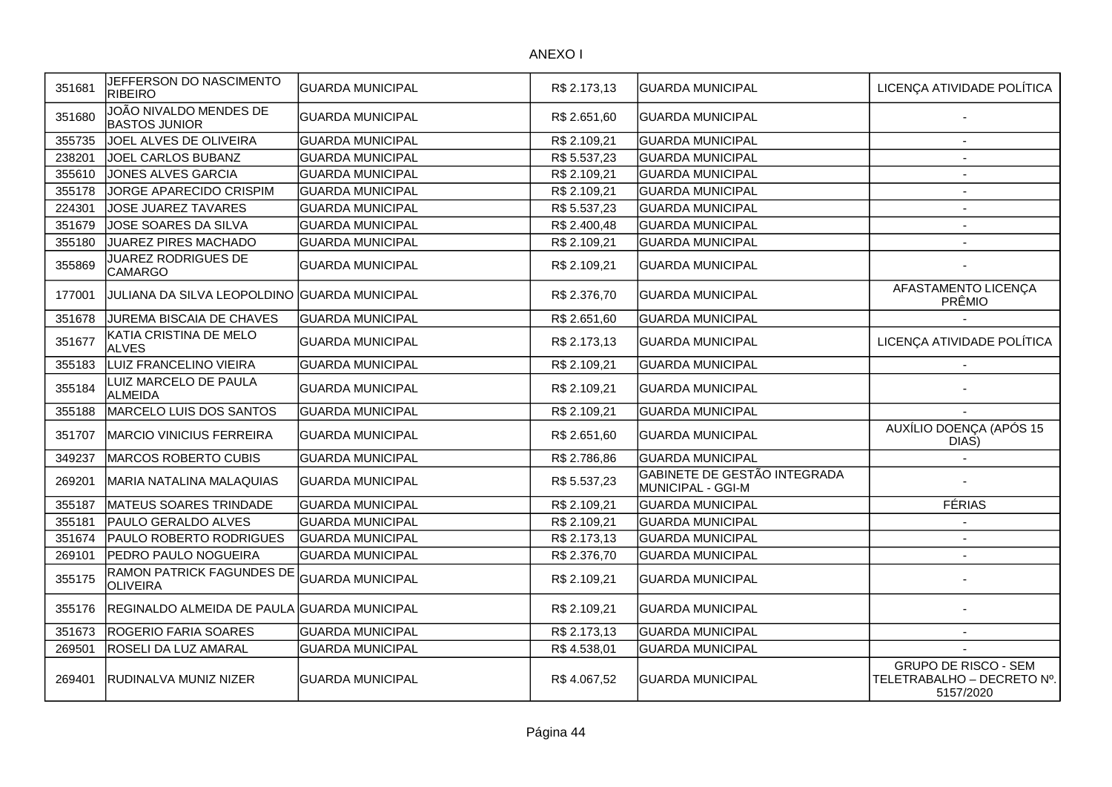| 351681 | JEFFERSON DO NASCIMENTO<br><b>RIBEIRO</b>           | <b>GUARDA MUNICIPAL</b> | R\$ 2.173,13 | <b>GUARDA MUNICIPAL</b>                           | LICENÇA ATIVIDADE POLÍTICA                                             |
|--------|-----------------------------------------------------|-------------------------|--------------|---------------------------------------------------|------------------------------------------------------------------------|
| 351680 | JOÃO NIVALDO MENDES DE<br><b>BASTOS JUNIOR</b>      | <b>GUARDA MUNICIPAL</b> | R\$ 2.651,60 | <b>GUARDA MUNICIPAL</b>                           |                                                                        |
| 355735 | JOEL ALVES DE OLIVEIRA                              | <b>GUARDA MUNICIPAL</b> | R\$ 2.109,21 | <b>GUARDA MUNICIPAL</b>                           |                                                                        |
| 238201 | JOEL CARLOS BUBANZ                                  | <b>GUARDA MUNICIPAL</b> | R\$ 5.537,23 | <b>GUARDA MUNICIPAL</b>                           | $\sim$                                                                 |
| 355610 | JONES ALVES GARCIA                                  | <b>GUARDA MUNICIPAL</b> | R\$ 2.109,21 | <b>GUARDA MUNICIPAL</b>                           | $\sim$                                                                 |
| 355178 | JORGE APARECIDO CRISPIM                             | <b>GUARDA MUNICIPAL</b> | R\$ 2.109,21 | <b>GUARDA MUNICIPAL</b>                           | $\overline{\phantom{a}}$                                               |
| 224301 | JOSE JUAREZ TAVARES                                 | <b>GUARDA MUNICIPAL</b> | R\$ 5.537,23 | <b>GUARDA MUNICIPAL</b>                           | $\overline{\phantom{a}}$                                               |
| 351679 | JOSE SOARES DA SILVA                                | <b>GUARDA MUNICIPAL</b> | R\$ 2.400,48 | <b>GUARDA MUNICIPAL</b>                           | $\overline{\phantom{a}}$                                               |
| 355180 | JUAREZ PIRES MACHADO                                | <b>GUARDA MUNICIPAL</b> | R\$ 2.109,21 | <b>GUARDA MUNICIPAL</b>                           | $\blacksquare$                                                         |
| 355869 | <b>JUAREZ RODRIGUES DE</b><br><b>CAMARGO</b>        | GUARDA MUNICIPAL        | R\$ 2.109,21 | <b>GUARDA MUNICIPAL</b>                           |                                                                        |
| 177001 | JULIANA DA SILVA LEOPOLDINO GUARDA MUNICIPAL        |                         | R\$ 2.376,70 | <b>GUARDA MUNICIPAL</b>                           | AFASTAMENTO LICENÇA<br>PRÊMIO                                          |
| 351678 | JUREMA BISCAIA DE CHAVES                            | GUARDA MUNICIPAL        | R\$ 2.651,60 | <b>GUARDA MUNICIPAL</b>                           |                                                                        |
| 351677 | KATIA CRISTINA DE MELO<br><b>ALVES</b>              | <b>GUARDA MUNICIPAL</b> | R\$ 2.173,13 | <b>GUARDA MUNICIPAL</b>                           | LICENÇA ATIVIDADE POLÍTICA                                             |
| 355183 | LUIZ FRANCELINO VIEIRA                              | <b>GUARDA MUNICIPAL</b> | R\$ 2.109,21 | <b>GUARDA MUNICIPAL</b>                           |                                                                        |
| 355184 | LUIZ MARCELO DE PAULA<br><b>ALMEIDA</b>             | <b>GUARDA MUNICIPAL</b> | R\$ 2.109,21 | <b>GUARDA MUNICIPAL</b>                           |                                                                        |
| 355188 | MARCELO LUIS DOS SANTOS                             | <b>GUARDA MUNICIPAL</b> | R\$ 2.109,21 | <b>GUARDA MUNICIPAL</b>                           |                                                                        |
| 351707 | <b>MARCIO VINICIUS FERREIRA</b>                     | <b>GUARDA MUNICIPAL</b> | R\$ 2.651,60 | <b>GUARDA MUNICIPAL</b>                           | AUXÍLIO DOENÇA (APÓS 15<br>DIAS)                                       |
| 349237 | MARCOS ROBERTO CUBIS                                | <b>GUARDA MUNICIPAL</b> | R\$ 2.786,86 | <b>GUARDA MUNICIPAL</b>                           |                                                                        |
| 269201 | MARIA NATALINA MALAQUIAS                            | <b>GUARDA MUNICIPAL</b> | R\$ 5.537,23 | GABINETE DE GESTÃO INTEGRADA<br>MUNICIPAL - GGI-M |                                                                        |
| 355187 | MATEUS SOARES TRINDADE                              | <b>GUARDA MUNICIPAL</b> | R\$ 2.109,21 | <b>GUARDA MUNICIPAL</b>                           | <b>FÉRIAS</b>                                                          |
| 355181 | PAULO GERALDO ALVES                                 | <b>GUARDA MUNICIPAL</b> | R\$ 2.109,21 | <b>GUARDA MUNICIPAL</b>                           |                                                                        |
| 351674 | <b>PAULO ROBERTO RODRIGUES</b>                      | <b>GUARDA MUNICIPAL</b> | R\$ 2.173,13 | <b>GUARDA MUNICIPAL</b>                           | $\overline{\phantom{a}}$                                               |
| 269101 | PEDRO PAULO NOGUEIRA                                | <b>GUARDA MUNICIPAL</b> | R\$ 2.376,70 | <b>GUARDA MUNICIPAL</b>                           | $\overline{\phantom{a}}$                                               |
| 355175 | <b>RAMON PATRICK FAGUNDES DE</b><br><b>OLIVEIRA</b> | <b>GUARDA MUNICIPAL</b> | R\$ 2.109,21 | <b>GUARDA MUNICIPAL</b>                           |                                                                        |
| 355176 | REGINALDO ALMEIDA DE PAULA GUARDA MUNICIPAL         |                         | R\$ 2.109,21 | <b>GUARDA MUNICIPAL</b>                           |                                                                        |
| 351673 | <b>ROGERIO FARIA SOARES</b>                         | <b>GUARDA MUNICIPAL</b> | R\$ 2.173,13 | <b>GUARDA MUNICIPAL</b>                           | $\overline{\phantom{a}}$                                               |
| 269501 | <b>ROSELI DA LUZ AMARAL</b>                         | <b>GUARDA MUNICIPAL</b> | R\$4.538,01  | <b>GUARDA MUNICIPAL</b>                           |                                                                        |
| 269401 | <b>RUDINALVA MUNIZ NIZER</b>                        | <b>GUARDA MUNICIPAL</b> | R\$4.067,52  | <b>GUARDA MUNICIPAL</b>                           | <b>GRUPO DE RISCO - SEM</b><br>TELETRABALHO - DECRETO Nº.<br>5157/2020 |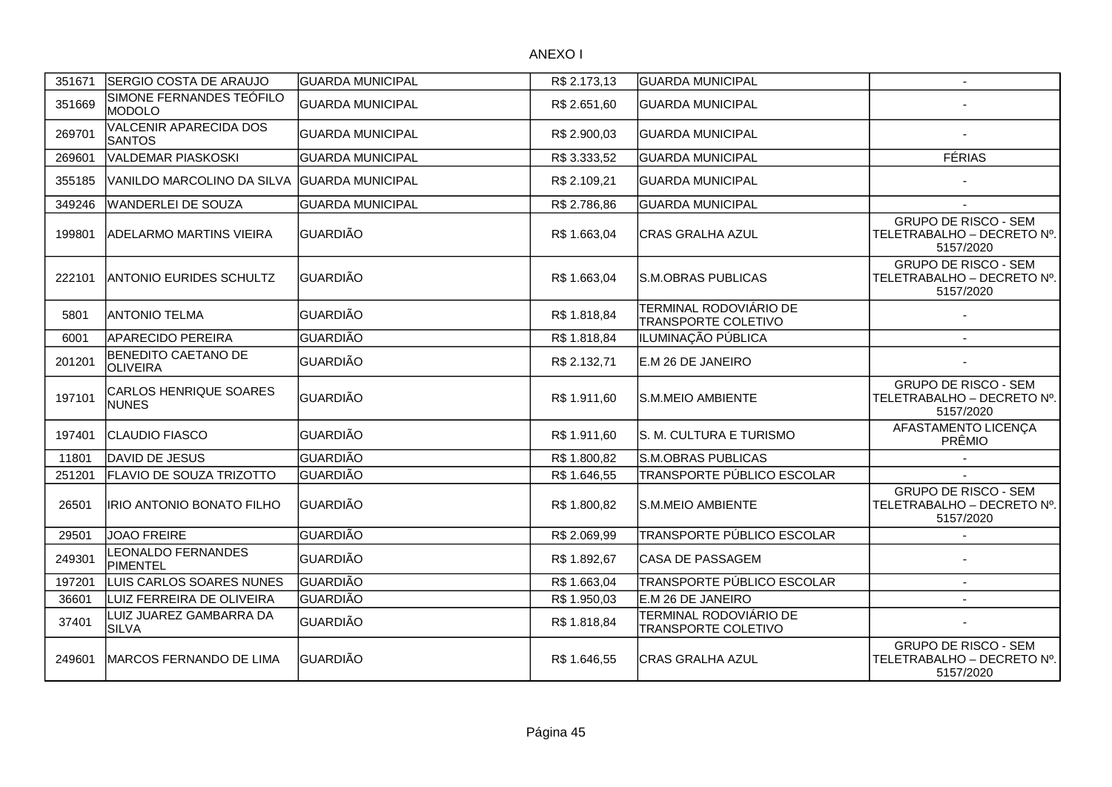| 351671 | SERGIO COSTA DE ARAUJO                        | GUARDA MUNICIPAL         | R\$ 2.173,13 | <b>GUARDA MUNICIPAL</b>                                     | $\mathbf{r}$                                                           |
|--------|-----------------------------------------------|--------------------------|--------------|-------------------------------------------------------------|------------------------------------------------------------------------|
| 351669 | SIMONE FERNANDES TEÓFILO<br><b>MODOLO</b>     | <b>GUARDA MUNICIPAL</b>  | R\$ 2.651,60 | <b>GUARDA MUNICIPAL</b>                                     |                                                                        |
| 269701 | VALCENIR APARECIDA DOS<br><b>SANTOS</b>       | <b>GUARDA MUNICIPAL</b>  | R\$ 2.900,03 | <b>GUARDA MUNICIPAL</b>                                     |                                                                        |
| 269601 | <b>VALDEMAR PIASKOSKI</b>                     | <b>GUARDA MUNICIPAL</b>  | R\$ 3.333,52 | <b>GUARDA MUNICIPAL</b>                                     | <b>FÉRIAS</b>                                                          |
| 355185 | VANILDO MARCOLINO DA SILVA                    | <b>IGUARDA MUNICIPAL</b> | R\$ 2.109,21 | <b>IGUARDA MUNICIPAL</b>                                    |                                                                        |
| 349246 | <b>WANDERLEI DE SOUZA</b>                     | <b>GUARDA MUNICIPAL</b>  | R\$ 2.786,86 | <b>GUARDA MUNICIPAL</b>                                     |                                                                        |
| 199801 | <b>ADELARMO MARTINS VIEIRA</b>                | <b>GUARDIÃO</b>          | R\$ 1.663,04 | <b>CRAS GRALHA AZUL</b>                                     | <b>GRUPO DE RISCO - SEM</b><br>TELETRABALHO - DECRETO Nº.<br>5157/2020 |
| 222101 | <b>ANTONIO EURIDES SCHULTZ</b>                | GUARDIÃO                 | R\$ 1.663,04 | S.M.OBRAS PUBLICAS                                          | <b>GRUPO DE RISCO - SEM</b><br>TELETRABALHO - DECRETO Nº.<br>5157/2020 |
| 5801   | <b>ANTONIO TELMA</b>                          | <b>GUARDIÃO</b>          | R\$ 1.818,84 | <b>TERMINAL RODOVIÁRIO DE</b><br><b>TRANSPORTE COLETIVO</b> |                                                                        |
| 6001   | <b>APARECIDO PEREIRA</b>                      | <b>GUARDIÃO</b>          | R\$ 1.818,84 | ILUMINAÇÃO PÚBLICA                                          | $\mathbf{r}$                                                           |
| 201201 | <b>BENEDITO CAETANO DE</b><br><b>OLIVEIRA</b> | GUARDIÃO                 | R\$ 2.132,71 | E.M 26 DE JANEIRO                                           |                                                                        |
| 197101 | CARLOS HENRIQUE SOARES<br><b>NUNES</b>        | <b>GUARDIÃO</b>          | R\$ 1.911,60 | lS.M.MEIO AMBIENTE                                          | <b>GRUPO DE RISCO - SEM</b><br>TELETRABALHO - DECRETO Nº.<br>5157/2020 |
| 197401 | <b>CLAUDIO FIASCO</b>                         | <b>GUARDIÃO</b>          | R\$ 1.911,60 | S. M. CULTURA E TURISMO                                     | AFASTAMENTO LICENÇA<br>PRÊMIO                                          |
| 11801  | DAVID DE JESUS                                | <b>GUARDIÃO</b>          | R\$ 1.800,82 | S.M.OBRAS PUBLICAS                                          |                                                                        |
| 251201 | FLAVIO DE SOUZA TRIZOTTO                      | GUARDIÃO                 | R\$ 1.646,55 | TRANSPORTE PÚBLICO ESCOLAR                                  |                                                                        |
| 26501  | IRIO ANTONIO BONATO FILHO                     | <b>I</b> GUARDIÃO        | R\$ 1.800,82 | lS.M.MEIO AMBIENTE                                          | <b>GRUPO DE RISCO - SEM</b><br>TELETRABALHO - DECRETO Nº.<br>5157/2020 |
| 29501  | <b>JOAO FREIRE</b>                            | <b>GUARDIÃO</b>          | R\$ 2.069,99 | TRANSPORTE PÚBLICO ESCOLAR                                  |                                                                        |
| 249301 | LEONALDO FERNANDES<br>PIMENTEL                | <b>GUARDIÃO</b>          | R\$ 1.892,67 | ICASA DE PASSAGEM                                           |                                                                        |
| 197201 | LUIS CARLOS SOARES NUNES                      | GUARDIÃO                 | R\$1.663,04  | TRANSPORTE PÚBLICO ESCOLAR                                  | $\sim$                                                                 |
| 36601  | LUIZ FERREIRA DE OLIVEIRA                     | <b>GUARDIÃO</b>          | R\$ 1.950,03 | E.M 26 DE JANEIRO                                           | $\blacksquare$                                                         |
| 37401  | LUIZ JUAREZ GAMBARRA DA<br><b>SILVA</b>       | <b>GUARDIÃO</b>          | R\$ 1.818,84 | TERMINAL RODOVIÁRIO DE<br><b>TRANSPORTE COLETIVO</b>        |                                                                        |
| 249601 | MARCOS FERNANDO DE LIMA                       | GUARDIÃO                 | R\$ 1.646,55 | CRAS GRALHA AZUL                                            | <b>GRUPO DE RISCO - SEM</b><br>TELETRABALHO - DECRETO Nº.<br>5157/2020 |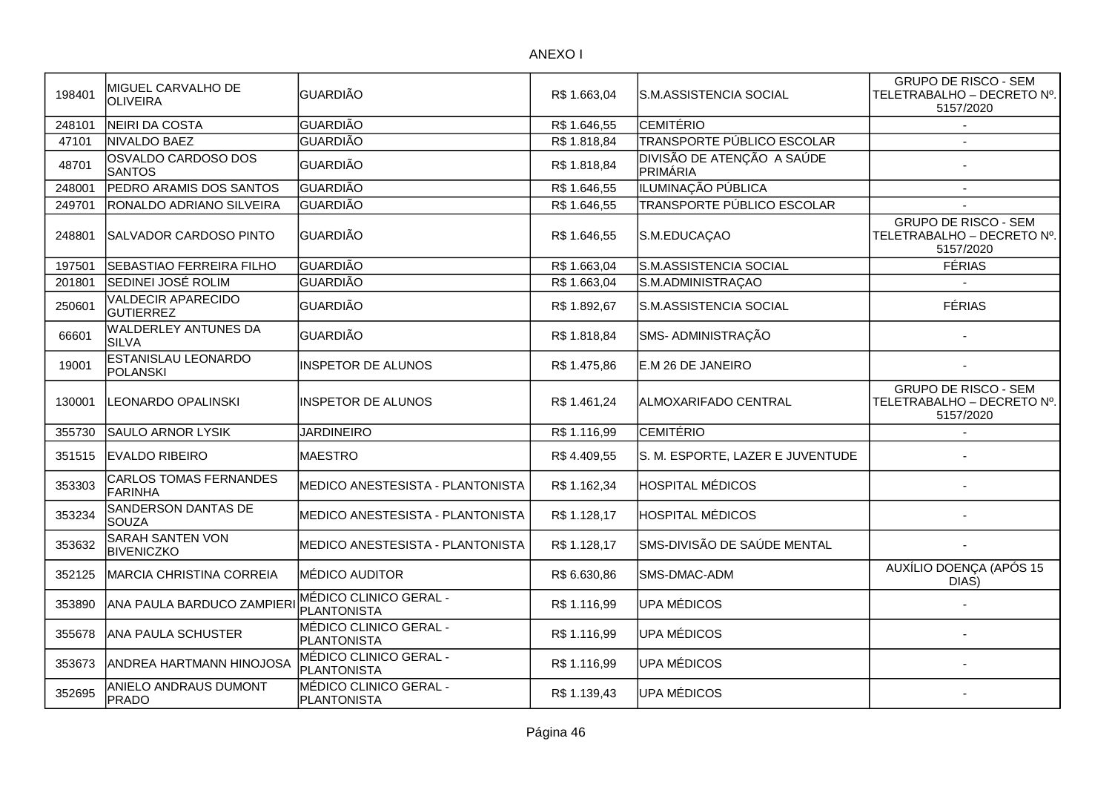| 198401 | MIGUEL CARVALHO DE<br><b>OLIVEIRA</b>       | <b>GUARDIÃO</b>                              | R\$ 1.663,04 | lS.M.ASSISTENCIA SOCIAL                | <b>GRUPO DE RISCO - SEM</b><br>TELETRABALHO - DECRETO Nº.<br>5157/2020 |
|--------|---------------------------------------------|----------------------------------------------|--------------|----------------------------------------|------------------------------------------------------------------------|
| 248101 | NEIRI DA COSTA                              | <b>GUARDIÃO</b>                              | R\$ 1.646,55 | <b>CEMITÉRIO</b>                       |                                                                        |
| 47101  | NIVALDO BAEZ                                | <b>GUARDIÃO</b>                              | R\$ 1.818,84 | TRANSPORTE PÚBLICO ESCOLAR             |                                                                        |
| 48701  | OSVALDO CARDOSO DOS<br><b>SANTOS</b>        | <b>GUARDIÃO</b>                              | R\$ 1.818,84 | DIVISÃO DE ATENÇÃO A SAÚDE<br>PRIMÁRIA |                                                                        |
| 248001 | PEDRO ARAMIS DOS SANTOS                     | <b>GUARDIÃO</b>                              | R\$ 1.646,55 | ILUMINAÇÃO PÚBLICA                     |                                                                        |
| 249701 | RONALDO ADRIANO SILVEIRA                    | <b>GUARDIÃO</b>                              | R\$ 1.646,55 | TRANSPORTE PÚBLICO ESCOLAR             |                                                                        |
| 248801 | <b>SALVADOR CARDOSO PINTO</b>               | <b>GUARDIÃO</b>                              | R\$ 1.646,55 | S.M.EDUCAÇAO                           | <b>GRUPO DE RISCO - SEM</b><br>TELETRABALHO - DECRETO Nº.<br>5157/2020 |
| 197501 | <b>SEBASTIAO FERREIRA FILHO</b>             | GUARDIÃO                                     | R\$1.663,04  | S.M.ASSISTENCIA SOCIAL                 | <b>FÉRIAS</b>                                                          |
| 201801 | SEDINEI JOSÉ ROLIM                          | <b>GUARDIÃO</b>                              | R\$ 1.663,04 | S.M.ADMINISTRAÇAO                      |                                                                        |
| 250601 | VALDECIR APARECIDO<br><b>GUTIERREZ</b>      | <b>GUARDIÃO</b>                              | R\$ 1.892,67 | S.M.ASSISTENCIA SOCIAL                 | <b>FÉRIAS</b>                                                          |
| 66601  | <b>WALDERLEY ANTUNES DA</b><br><b>SILVA</b> | <b>GUARDIÃO</b>                              | R\$ 1.818,84 | SMS- ADMINISTRAÇÃO                     |                                                                        |
| 19001  | <b>ESTANISLAU LEONARDO</b><br>POLANSKI      | <b>INSPETOR DE ALUNOS</b>                    | R\$ 1.475,86 | E.M 26 DE JANEIRO                      |                                                                        |
| 130001 | <b>LEONARDO OPALINSKI</b>                   | <b>INSPETOR DE ALUNOS</b>                    | R\$ 1.461,24 | ALMOXARIFADO CENTRAL                   | <b>GRUPO DE RISCO - SEM</b><br>TELETRABALHO - DECRETO Nº.<br>5157/2020 |
| 355730 | SAULO ARNOR LYSIK                           | <b>JARDINEIRO</b>                            | R\$ 1.116,99 | <b>CEMITÉRIO</b>                       |                                                                        |
| 351515 | <b>IEVALDO RIBEIRO</b>                      | MAESTRO                                      | R\$4.409,55  | S. M. ESPORTE, LAZER E JUVENTUDE       |                                                                        |
| 353303 | <b>CARLOS TOMAS FERNANDES</b><br>FARINHA    | MEDICO ANESTESISTA - PLANTONISTA             | R\$ 1.162,34 | <b>HOSPITAL MÉDICOS</b>                |                                                                        |
| 353234 | SANDERSON DANTAS DE<br><b>SOUZA</b>         | MEDICO ANESTESISTA - PLANTONISTA             | R\$ 1.128,17 | <b>HOSPITAL MÉDICOS</b>                |                                                                        |
| 353632 | SARAH SANTEN VON<br><b>BIVENICZKO</b>       | MEDICO ANESTESISTA - PLANTONISTA             | R\$ 1.128,17 | SMS-DIVISÃO DE SAÚDE MENTAL            |                                                                        |
| 352125 | MARCIA CHRISTINA CORREIA                    | <b>MÉDICO AUDITOR</b>                        | R\$ 6.630,86 | SMS-DMAC-ADM                           | AUXÍLIO DOENÇA (APÓS 15<br>DIAS)                                       |
| 353890 | ANA PAULA BARDUCO ZAMPIERI                  | MÉDICO CLINICO GERAL -<br><b>PLANTONISTA</b> | R\$ 1.116,99 | UPA MÉDICOS                            |                                                                        |
| 355678 | ANA PAULA SCHUSTER                          | MÉDICO CLINICO GERAL -<br><b>PLANTONISTA</b> | R\$ 1.116,99 | UPA MÉDICOS                            |                                                                        |
| 353673 | ANDREA HARTMANN HINOJOSA                    | MÉDICO CLINICO GERAL -<br><b>PLANTONISTA</b> | R\$ 1.116,99 | UPA MÉDICOS                            |                                                                        |
| 352695 | ANIELO ANDRAUS DUMONT<br>PRADO              | MÉDICO CLINICO GERAL -<br><b>PLANTONISTA</b> | R\$1.139,43  | UPA MÉDICOS                            |                                                                        |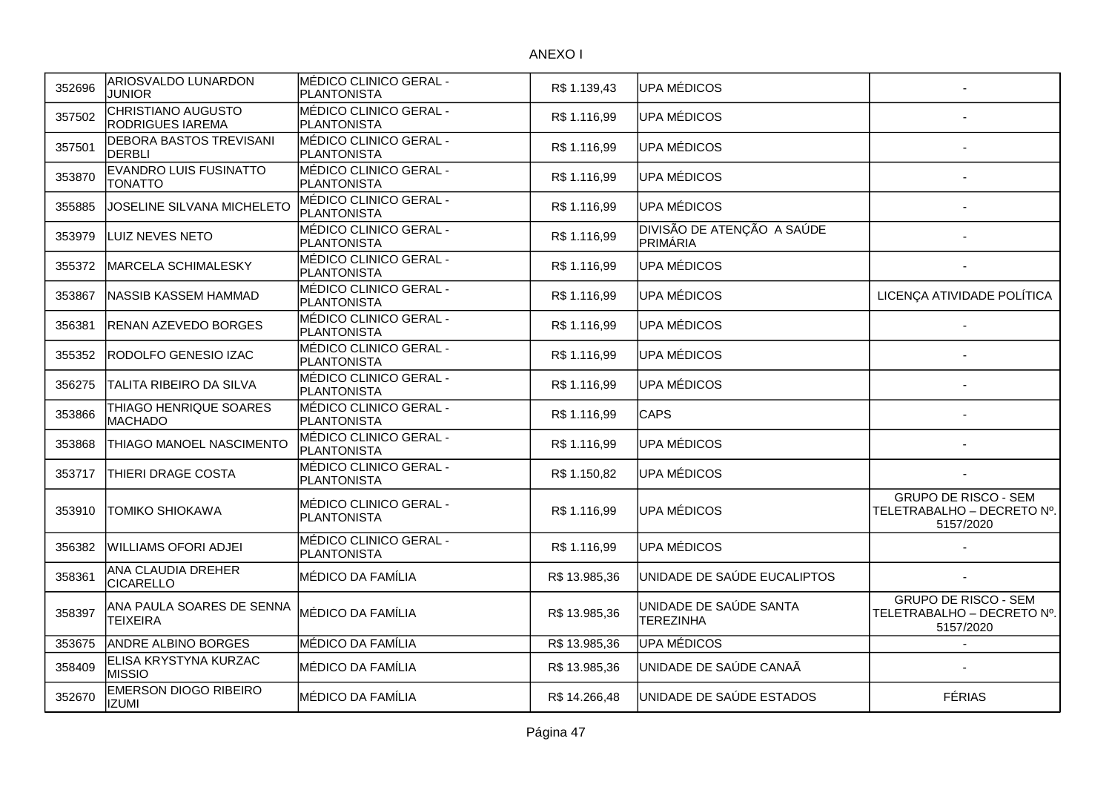| 352696 | <b>ARIOSVALDO LUNARDON</b><br><b>JUNIOR</b>     | IMÉDICO CLINICO GERAL -<br>PLANTONISTA       | R\$1.139,43   | UPA MÉDICOS                                |                                                                        |
|--------|-------------------------------------------------|----------------------------------------------|---------------|--------------------------------------------|------------------------------------------------------------------------|
| 357502 | CHRISTIANO AUGUSTO<br><b>RODRIGUES IAREMA</b>   | MÉDICO CLINICO GERAL -<br>PLANTONISTA        | R\$1.116,99   | UPA MÉDICOS                                |                                                                        |
| 357501 | <b>DEBORA BASTOS TREVISANI</b><br><b>DERBLI</b> | MÉDICO CLINICO GERAL -<br>PLANTONISTA        | R\$1.116,99   | UPA MÉDICOS                                |                                                                        |
| 353870 | <b>EVANDRO LUIS FUSINATTO</b><br>TONATTO        | MÉDICO CLINICO GERAL -<br>PLANTONISTA        | R\$1.116,99   | UPA MÉDICOS                                |                                                                        |
| 355885 | JOSELINE SILVANA MICHELETO                      | MÉDICO CLINICO GERAL -<br>PLANTONISTA        | R\$ 1.116,99  | UPA MÉDICOS                                |                                                                        |
| 353979 | LUIZ NEVES NETO                                 | MÉDICO CLINICO GERAL -<br>PLANTONISTA        | R\$ 1.116,99  | DIVISÃO DE ATENÇÃO A SAÚDE<br>PRIMÁRIA     |                                                                        |
| 355372 | <b>MARCELA SCHIMALESKY</b>                      | MÉDICO CLINICO GERAL -<br>PLANTONISTA        | R\$ 1.116,99  | UPA MÉDICOS                                |                                                                        |
| 353867 | <b>NASSIB KASSEM HAMMAD</b>                     | MÉDICO CLINICO GERAL -<br>PLANTONISTA        | R\$ 1.116,99  | UPA MÉDICOS                                | LICENÇA ATIVIDADE POLÍTICA                                             |
| 356381 | <b>RENAN AZEVEDO BORGES</b>                     | MÉDICO CLINICO GERAL -<br>PLANTONISTA        | R\$ 1.116,99  | UPA MÉDICOS                                |                                                                        |
| 355352 | RODOLFO GENESIO IZAC                            | MÉDICO CLINICO GERAL -<br><b>PLANTONISTA</b> | R\$ 1.116,99  | UPA MÉDICOS                                |                                                                        |
| 356275 | TALITA RIBEIRO DA SILVA                         | MÉDICO CLINICO GERAL -<br>PLANTONISTA        | R\$ 1.116,99  | UPA MÉDICOS                                |                                                                        |
| 353866 | THIAGO HENRIQUE SOARES<br><b>MACHADO</b>        | MÉDICO CLINICO GERAL -<br>PLANTONISTA        | R\$1.116,99   | <b>CAPS</b>                                |                                                                        |
| 353868 | THIAGO MANOEL NASCIMENTO                        | MÉDICO CLINICO GERAL -<br>PLANTONISTA        | R\$ 1.116,99  | UPA MÉDICOS                                |                                                                        |
| 353717 | THIERI DRAGE COSTA                              | MÉDICO CLINICO GERAL -<br><b>PLANTONISTA</b> | R\$ 1.150,82  | UPA MÉDICOS                                |                                                                        |
| 353910 | <b>TOMIKO SHIOKAWA</b>                          | MÉDICO CLINICO GERAL -<br>PLANTONISTA        | R\$ 1.116,99  | UPA MÉDICOS                                | <b>GRUPO DE RISCO - SEM</b><br>TELETRABALHO - DECRETO Nº.<br>5157/2020 |
| 356382 | lWILLIAMS OFORI ADJEI                           | MÉDICO CLINICO GERAL -<br>PLANTONISTA        | R\$ 1.116,99  | UPA MÉDICOS                                |                                                                        |
| 358361 | ANA CLAUDIA DREHER<br><b>CICARELLO</b>          | MÉDICO DA FAMÍLIA                            | R\$13.985,36  | UNIDADE DE SAÚDE EUCALIPTOS                |                                                                        |
| 358397 | ANA PAULA SOARES DE SENNA<br><b>TEIXEIRA</b>    | MÉDICO DA FAMÍLIA                            | R\$13.985,36  | UNIDADE DE SAÚDE SANTA<br><b>TEREZINHA</b> | <b>GRUPO DE RISCO - SEM</b><br>TELETRABALHO - DECRETO Nº.<br>5157/2020 |
| 353675 | ANDRE ALBINO BORGES                             | MÉDICO DA FAMÍLIA                            | R\$13.985,36  | UPA MÉDICOS                                |                                                                        |
| 358409 | ELISA KRYSTYNA KURZAC<br><b>MISSIO</b>          | MÉDICO DA FAMÍLIA                            | R\$13.985,36  | UNIDADE DE SAÚDE CANAÃ                     |                                                                        |
| 352670 | <b>EMERSON DIOGO RIBEIRO</b><br><b>IZUMI</b>    | MÉDICO DA FAMÍLIA                            | R\$ 14.266,48 | UNIDADE DE SAÚDE ESTADOS                   | <b>FÉRIAS</b>                                                          |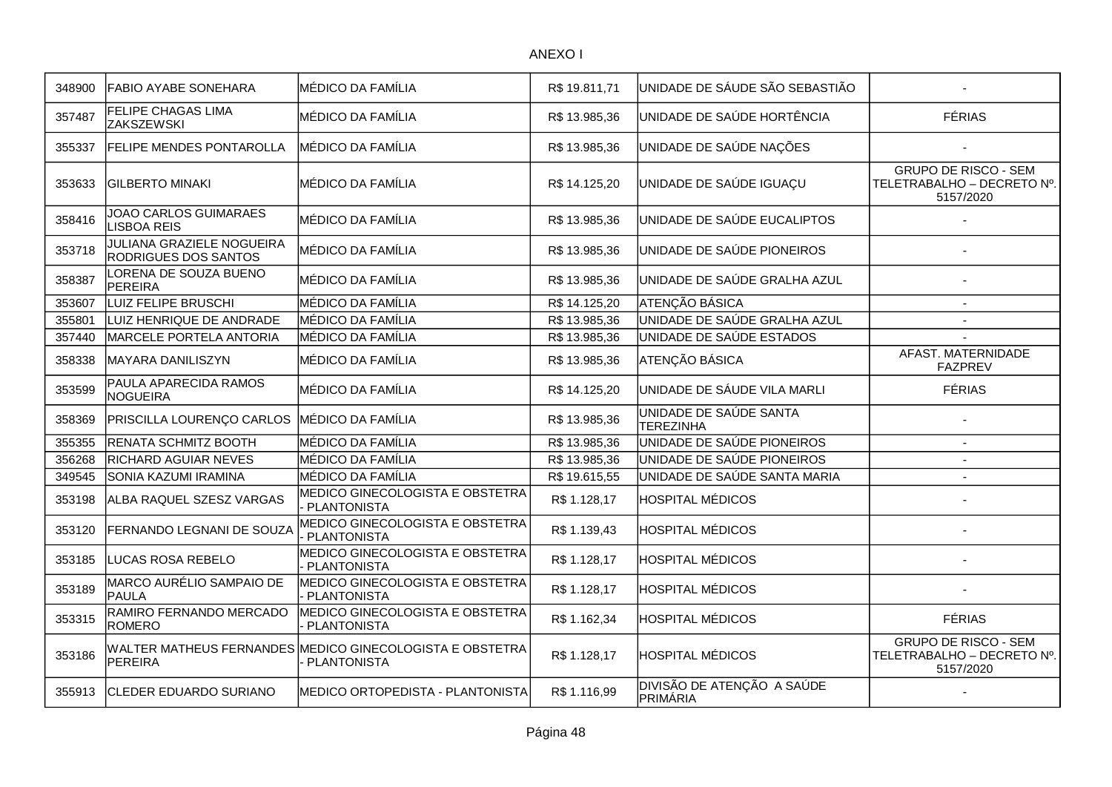| 348900 | FABIO AYABE SONEHARA                                     | MÉDICO DA FAMÍLIA                                                       | R\$19.811,71  | UNIDADE DE SÁUDE SÃO SEBASTIÃO             |                                                                        |
|--------|----------------------------------------------------------|-------------------------------------------------------------------------|---------------|--------------------------------------------|------------------------------------------------------------------------|
| 357487 | FELIPE CHAGAS LIMA<br><b>ZAKSZEWSKI</b>                  | MÉDICO DA FAMÍLIA                                                       | R\$13.985,36  | UNIDADE DE SAÚDE HORTÊNCIA                 | <b>FÉRIAS</b>                                                          |
| 355337 | <b>FELIPE MENDES PONTAROLLA</b>                          | <b>MÉDICO DA FAMÍLIA</b>                                                | R\$13.985,36  | UNIDADE DE SAÚDE NAÇÕES                    |                                                                        |
| 353633 | <b>GILBERTO MINAKI</b>                                   | <b>MÉDICO DA FAMÍLIA</b>                                                | R\$14.125,20  | UNIDADE DE SAÚDE IGUAÇU                    | <b>GRUPO DE RISCO - SEM</b><br>TELETRABALHO - DECRETO Nº.<br>5157/2020 |
| 358416 | JOAO CARLOS GUIMARAES<br><b>LISBOA REIS</b>              | <b>MÉDICO DA FAMÍLIA</b>                                                | R\$13.985,36  | UNIDADE DE SAÚDE EUCALIPTOS                |                                                                        |
| 353718 | <b>JULIANA GRAZIELE NOGUEIRA</b><br>RODRIGUES DOS SANTOS | MÉDICO DA FAMÍLIA                                                       | R\$ 13.985,36 | UNIDADE DE SAÚDE PIONEIROS                 |                                                                        |
| 358387 | LORENA DE SOUZA BUENO<br><b>PEREIRA</b>                  | MÉDICO DA FAMÍLIA                                                       | R\$13.985,36  | UNIDADE DE SAÚDE GRALHA AZUL               |                                                                        |
| 353607 | LUIZ FELIPE BRUSCHI                                      | MÉDICO DA FAMÍLIA                                                       | R\$ 14.125,20 | <b>ATENÇÃO BÁSICA</b>                      | $\overline{\phantom{a}}$                                               |
| 355801 | LUIZ HENRIQUE DE ANDRADE                                 | MÉDICO DA FAMÍLIA                                                       | R\$13.985,36  | UNIDADE DE SAÚDE GRALHA AZUL               | $\overline{\phantom{a}}$                                               |
| 357440 | MARCELE PORTELA ANTORIA                                  | MÉDICO DA FAMÍLIA                                                       | R\$13.985,36  | UNIDADE DE SAÚDE ESTADOS                   |                                                                        |
| 358338 | MAYARA DANILISZYN                                        | MÉDICO DA FAMÍLIA                                                       | R\$13.985,36  | ATENÇÃO BÁSICA                             | AFAST. MATERNIDADE<br><b>FAZPREV</b>                                   |
| 353599 | PAULA APARECIDA RAMOS<br><b>NOGUEIRA</b>                 | MÉDICO DA FAMÍLIA                                                       | R\$ 14.125,20 | UNIDADE DE SÁUDE VILA MARLI                | <b>FÉRIAS</b>                                                          |
| 358369 | <b>PRISCILLA LOURENÇO CARLOS</b>                         | MÉDICO DA FAMÍLIA                                                       | R\$ 13.985,36 | UNIDADE DE SAÚDE SANTA<br><b>TEREZINHA</b> |                                                                        |
| 355355 | RENATA SCHMITZ BOOTH                                     | MÉDICO DA FAMÍLIA                                                       | R\$ 13.985,36 | UNIDADE DE SAÚDE PIONEIROS                 | $\overline{a}$                                                         |
| 356268 | <b>RICHARD AGUIAR NEVES</b>                              | MÉDICO DA FAMÍLIA                                                       | R\$ 13.985,36 | UNIDADE DE SAÚDE PIONEIROS                 | $\overline{a}$                                                         |
| 349545 | SONIA KAZUMI IRAMINA                                     | MÉDICO DA FAMÍLIA                                                       | R\$19.615,55  | UNIDADE DE SAÚDE SANTA MARIA               | $\blacksquare$                                                         |
| 353198 | ALBA RAQUEL SZESZ VARGAS                                 | MEDICO GINECOLOGISTA E OBSTETRA<br><b>PLANTONISTA</b>                   | R\$ 1.128,17  | <b>HOSPITAL MÉDICOS</b>                    |                                                                        |
| 353120 | FERNANDO LEGNANI DE SOUZA                                | MEDICO GINECOLOGISTA E OBSTETRA<br><b>PLANTONISTA</b>                   | R\$ 1.139,43  | <b>HOSPITAL MÉDICOS</b>                    |                                                                        |
| 353185 | LUCAS ROSA REBELO                                        | MEDICO GINECOLOGISTA E OBSTETRA<br><b>PLANTONISTA</b>                   | R\$ 1.128,17  | <b>HOSPITAL MÉDICOS</b>                    |                                                                        |
| 353189 | MARCO AURÉLIO SAMPAIO DE<br>PAULA                        | MEDICO GINECOLOGISTA E OBSTETRA<br><b>PLANTONISTA</b>                   | R\$1.128,17   | <b>HOSPITAL MÉDICOS</b>                    |                                                                        |
| 353315 | RAMIRO FERNANDO MERCADO<br><b>ROMERO</b>                 | MEDICO GINECOLOGISTA E OBSTETRA<br><b>PLANTONISTA</b>                   | R\$1.162,34   | <b>HOSPITAL MÉDICOS</b>                    | <b>FÉRIAS</b>                                                          |
| 353186 | <b>PEREIRA</b>                                           | WALTER MATHEUS FERNANDES MEDICO GINECOLOGISTA E OBSTETRA<br>PLANTONISTA | R\$ 1.128,17  | <b>HOSPITAL MÉDICOS</b>                    | <b>GRUPO DE RISCO - SEM</b><br>TELETRABALHO - DECRETO Nº.<br>5157/2020 |
| 355913 | <b>CLEDER EDUARDO SURIANO</b>                            | MEDICO ORTOPEDISTA - PLANTONISTA                                        | R\$ 1.116,99  | DIVISÃO DE ATENÇÃO A SAÚDE<br>PRIMÁRIA     |                                                                        |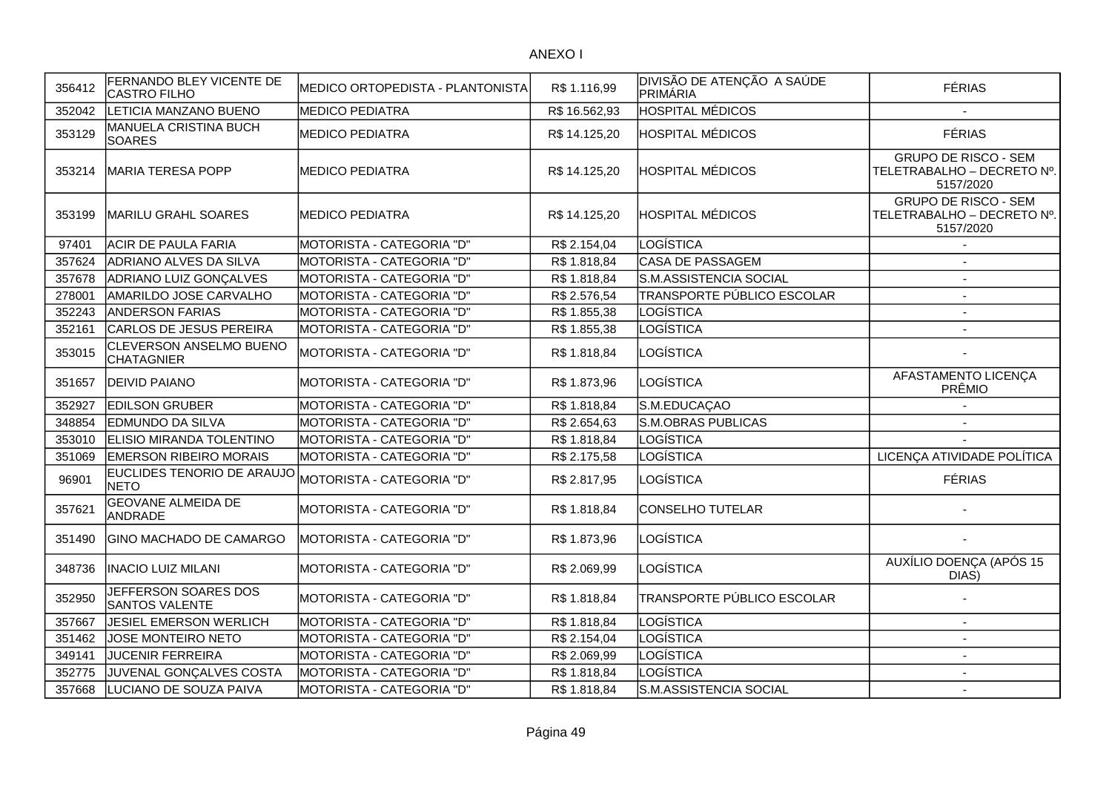| 356412 | FERNANDO BLEY VICENTE DE<br><b>CASTRO FILHO</b> | MEDICO ORTOPEDISTA - PLANTONISTA | R\$ 1.116,99  | <b>DIVISÃO DE ATENÇÃO A SAÚDE</b><br>PRIMÁRIA | <b>FÉRIAS</b>                                                          |
|--------|-------------------------------------------------|----------------------------------|---------------|-----------------------------------------------|------------------------------------------------------------------------|
| 352042 | LETICIA MANZANO BUENO                           | <b>MEDICO PEDIATRA</b>           | R\$ 16.562,93 | <b>HOSPITAL MÉDICOS</b>                       | $\mathbf{r}$                                                           |
| 353129 | MANUELA CRISTINA BUCH<br><b>SOARES</b>          | MEDICO PEDIATRA                  | R\$ 14.125,20 | <b>HOSPITAL MÉDICOS</b>                       | <b>FÉRIAS</b>                                                          |
| 353214 | MARIA TERESA POPP                               | <b>MEDICO PEDIATRA</b>           | R\$ 14.125,20 | <b>HOSPITAL MÉDICOS</b>                       | <b>GRUPO DE RISCO - SEM</b><br>TELETRABALHO - DECRETO Nº.<br>5157/2020 |
| 353199 | MARILU GRAHL SOARES                             | <b>MEDICO PEDIATRA</b>           | R\$ 14.125,20 | <b>HOSPITAL MÉDICOS</b>                       | <b>GRUPO DE RISCO - SEM</b><br>TELETRABALHO - DECRETO Nº.<br>5157/2020 |
| 97401  | <b>ACIR DE PAULA FARIA</b>                      | MOTORISTA - CATEGORIA "D"        | R\$ 2.154,04  | LOGÍSTICA                                     |                                                                        |
| 357624 | ADRIANO ALVES DA SILVA                          | MOTORISTA - CATEGORIA "D"        | R\$ 1.818,84  | CASA DE PASSAGEM                              |                                                                        |
| 357678 | ADRIANO LUIZ GONÇALVES                          | MOTORISTA - CATEGORIA "D"        | R\$1.818,84   | S.M.ASSISTENCIA SOCIAL                        | $\blacksquare$                                                         |
| 278001 | AMARILDO JOSE CARVALHO                          | MOTORISTA - CATEGORIA "D"        | R\$ 2.576,54  | TRANSPORTE PÚBLICO ESCOLAR                    | $\sim$                                                                 |
| 352243 | <b>ANDERSON FARIAS</b>                          | MOTORISTA - CATEGORIA "D"        | R\$ 1.855,38  | LOGÍSTICA                                     | $\overline{\phantom{a}}$                                               |
| 352161 | CARLOS DE JESUS PEREIRA                         | MOTORISTA - CATEGORIA "D"        | R\$ 1.855,38  | LOGÍSTICA                                     |                                                                        |
| 353015 | CLEVERSON ANSELMO BUENO<br><b>CHATAGNIER</b>    | MOTORISTA - CATEGORIA "D"        | R\$ 1.818,84  | LOGÍSTICA                                     |                                                                        |
| 351657 | <b>DEIVID PAIANO</b>                            | <b>MOTORISTA - CATEGORIA "D"</b> | R\$ 1.873,96  | LOGÍSTICA                                     | AFASTAMENTO LICENÇA<br>PRÊMIO                                          |
| 352927 | <b>EDILSON GRUBER</b>                           | MOTORISTA - CATEGORIA "D"        | R\$ 1.818,84  | S.M.EDUCAÇAO                                  |                                                                        |
| 348854 | <b>EDMUNDO DA SILVA</b>                         | MOTORISTA - CATEGORIA "D"        | R\$ 2.654,63  | S.M.OBRAS PUBLICAS                            |                                                                        |
| 353010 | <b>ELISIO MIRANDA TOLENTINO</b>                 | MOTORISTA - CATEGORIA "D"        | R\$ 1.818,84  | <b>LOGÍSTICA</b>                              |                                                                        |
| 351069 | <b>EMERSON RIBEIRO MORAIS</b>                   | MOTORISTA - CATEGORIA "D"        | R\$ 2.175,58  | <b>LOGÍSTICA</b>                              | LICENÇA ATIVIDADE POLÍTICA                                             |
| 96901  | EUCLIDES TENORIO DE ARAUJO<br><b>NETO</b>       | MOTORISTA - CATEGORIA "D"        | R\$ 2.817,95  | LOGÍSTICA                                     | <b>FÉRIAS</b>                                                          |
| 357621 | <b>GEOVANE ALMEIDA DE</b><br>ANDRADE            | MOTORISTA - CATEGORIA "D"        | R\$ 1.818,84  | <b>CONSELHO TUTELAR</b>                       |                                                                        |
| 351490 | <b>GINO MACHADO DE CAMARGO</b>                  | MOTORISTA - CATEGORIA "D"        | R\$ 1.873,96  | LOGÍSTICA                                     |                                                                        |
| 348736 | <b>INACIO LUIZ MILANI</b>                       | MOTORISTA - CATEGORIA "D"        | R\$ 2.069,99  | LOGÍSTICA                                     | AUXÍLIO DOENÇA (APÓS 15<br>DIAS)                                       |
| 352950 | JEFFERSON SOARES DOS<br><b>SANTOS VALENTE</b>   | <b>MOTORISTA - CATEGORIA "D"</b> | R\$1.818,84   | TRANSPORTE PÚBLICO ESCOLAR                    |                                                                        |
| 357667 | <b>JESIEL EMERSON WERLICH</b>                   | MOTORISTA - CATEGORIA "D"        | R\$ 1.818,84  | LOGÍSTICA                                     |                                                                        |
| 351462 | JOSE MONTEIRO NETO                              | MOTORISTA - CATEGORIA "D"        | R\$ 2.154,04  | LOGÍSTICA                                     |                                                                        |
| 349141 | <b>JUCENIR FERREIRA</b>                         | MOTORISTA - CATEGORIA "D"        | R\$ 2.069,99  | <b>LOGÍSTICA</b>                              | $\sim$                                                                 |
| 352775 | JUVENAL GONÇALVES COSTA                         | MOTORISTA - CATEGORIA "D"        | R\$ 1.818,84  | LOGÍSTICA                                     |                                                                        |
| 357668 | LUCIANO DE SOUZA PAIVA                          | MOTORISTA - CATEGORIA "D"        | R\$ 1.818,84  | S.M.ASSISTENCIA SOCIAL                        |                                                                        |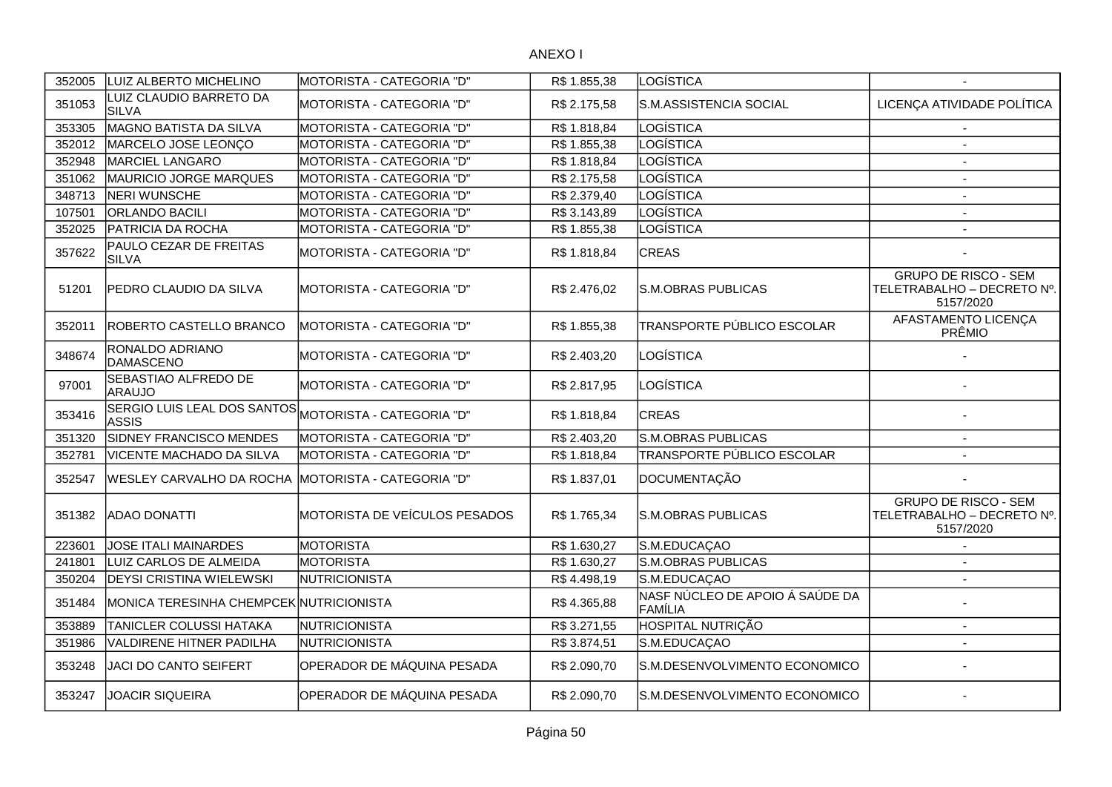| 352005 | LUIZ ALBERTO MICHELINO                  | MOTORISTA - CATEGORIA "D"     | R\$ 1.855,38 | LOGÍSTICA                                  |                                                                        |
|--------|-----------------------------------------|-------------------------------|--------------|--------------------------------------------|------------------------------------------------------------------------|
| 351053 | LUIZ CLAUDIO BARRETO DA<br><b>SILVA</b> | MOTORISTA - CATEGORIA "D"     | R\$ 2.175,58 | S.M.ASSISTENCIA SOCIAL                     | LICENÇA ATIVIDADE POLÍTICA                                             |
| 353305 | MAGNO BATISTA DA SILVA                  | MOTORISTA - CATEGORIA "D"     | R\$ 1.818,84 | LOGÍSTICA                                  |                                                                        |
| 352012 | MARCELO JOSE LEONÇO                     | MOTORISTA - CATEGORIA "D"     | R\$ 1.855,38 | LOGÍSTICA                                  | $\overline{a}$                                                         |
| 352948 | MARCIEL LANGARO                         | MOTORISTA - CATEGORIA "D"     | R\$ 1.818,84 | LOGÍSTICA                                  | $\overline{a}$                                                         |
| 351062 | MAURICIO JORGE MARQUES                  | MOTORISTA - CATEGORIA "D"     | R\$ 2.175,58 | LOGÍSTICA                                  | $\sim$                                                                 |
| 348713 | NERI WUNSCHE                            | MOTORISTA - CATEGORIA "D"     | R\$ 2.379,40 | LOGÍSTICA                                  | $\overline{\phantom{a}}$                                               |
| 107501 | <b>ORLANDO BACILI</b>                   | MOTORISTA - CATEGORIA "D"     | R\$ 3.143,89 | LOGÍSTICA                                  | $\overline{\phantom{a}}$                                               |
| 352025 | PATRICIA DA ROCHA                       | MOTORISTA - CATEGORIA "D"     | R\$ 1.855,38 | LOGÍSTICA                                  |                                                                        |
| 357622 | PAULO CEZAR DE FREITAS<br><b>SILVA</b>  | MOTORISTA - CATEGORIA "D"     | R\$1.818,84  | <b>CREAS</b>                               |                                                                        |
| 51201  | <b>PEDRO CLAUDIO DA SILVA</b>           | MOTORISTA - CATEGORIA "D"     | R\$ 2.476,02 | S.M.OBRAS PUBLICAS                         | <b>GRUPO DE RISCO - SEM</b><br>TELETRABALHO - DECRETO Nº.<br>5157/2020 |
| 352011 | <b>IROBERTO CASTELLO BRANCO</b>         | MOTORISTA - CATEGORIA "D"     | R\$ 1.855,38 | TRANSPORTE PÚBLICO ESCOLAR                 | AFASTAMENTO LICENÇA<br>PRÊMIO                                          |
| 348674 | RONALDO ADRIANO<br>DAMASCENO            | MOTORISTA - CATEGORIA "D"     | R\$ 2.403,20 | LOGÍSTICA                                  |                                                                        |
| 97001  | SEBASTIAO ALFREDO DE<br><b>ARAUJO</b>   | MOTORISTA - CATEGORIA "D"     | R\$ 2.817,95 | LOGÍSTICA                                  |                                                                        |
| 353416 | SERGIO LUIS LEAL DOS SANTOS<br>ASSIS    | MOTORISTA - CATEGORIA "D"     | R\$ 1.818,84 | <b>CREAS</b>                               |                                                                        |
| 351320 | SIDNEY FRANCISCO MENDES                 | MOTORISTA - CATEGORIA "D"     | R\$ 2.403,20 | S.M.OBRAS PUBLICAS                         |                                                                        |
| 352781 | VICENTE MACHADO DA SILVA                | MOTORISTA - CATEGORIA "D"     | R\$1.818,84  | TRANSPORTE PÚBLICO ESCOLAR                 |                                                                        |
| 352547 | <b>WESLEY CARVALHO DA ROCHA</b>         | MOTORISTA - CATEGORIA "D"     | R\$ 1.837,01 | DOCUMENTAÇÃO                               |                                                                        |
| 351382 | <b>ADAO DONATTI</b>                     | MOTORISTA DE VEÍCULOS PESADOS | R\$ 1.765,34 | S.M.OBRAS PUBLICAS                         | <b>GRUPO DE RISCO - SEM</b><br>TELETRABALHO - DECRETO Nº.<br>5157/2020 |
| 223601 | <b>JOSE ITALI MAINARDES</b>             | <b>MOTORISTA</b>              | R\$1.630,27  | S.M.EDUCAÇAO                               |                                                                        |
| 241801 | LUIZ CARLOS DE ALMEIDA                  | <b>MOTORISTA</b>              | R\$ 1.630,27 | S.M.OBRAS PUBLICAS                         |                                                                        |
| 350204 | <b>DEYSI CRISTINA WIELEWSKI</b>         | NUTRICIONISTA                 | R\$4.498,19  | S.M.EDUCAÇAO                               | $\overline{a}$                                                         |
| 351484 | MONICA TERESINHA CHEMPCEK NUTRICIONISTA |                               | R\$4.365,88  | NASF NÚCLEO DE APOIO Á SAÚDE DA<br>FAMÍLIA |                                                                        |
| 353889 | TANICLER COLUSSI HATAKA                 | NUTRICIONISTA                 | R\$ 3.271,55 | HOSPITAL NUTRIÇÃO                          |                                                                        |
| 351986 | <b>VALDIRENE HITNER PADILHA</b>         | NUTRICIONISTA                 | R\$ 3.874,51 | S.M.EDUCAÇAO                               |                                                                        |
| 353248 | JACI DO CANTO SEIFERT                   | OPERADOR DE MÁQUINA PESADA    | R\$ 2.090,70 | S.M.DESENVOLVIMENTO ECONOMICO              |                                                                        |
| 353247 | <b>JOACIR SIQUEIRA</b>                  | OPERADOR DE MÁQUINA PESADA    | R\$ 2.090,70 | S.M.DESENVOLVIMENTO ECONOMICO              |                                                                        |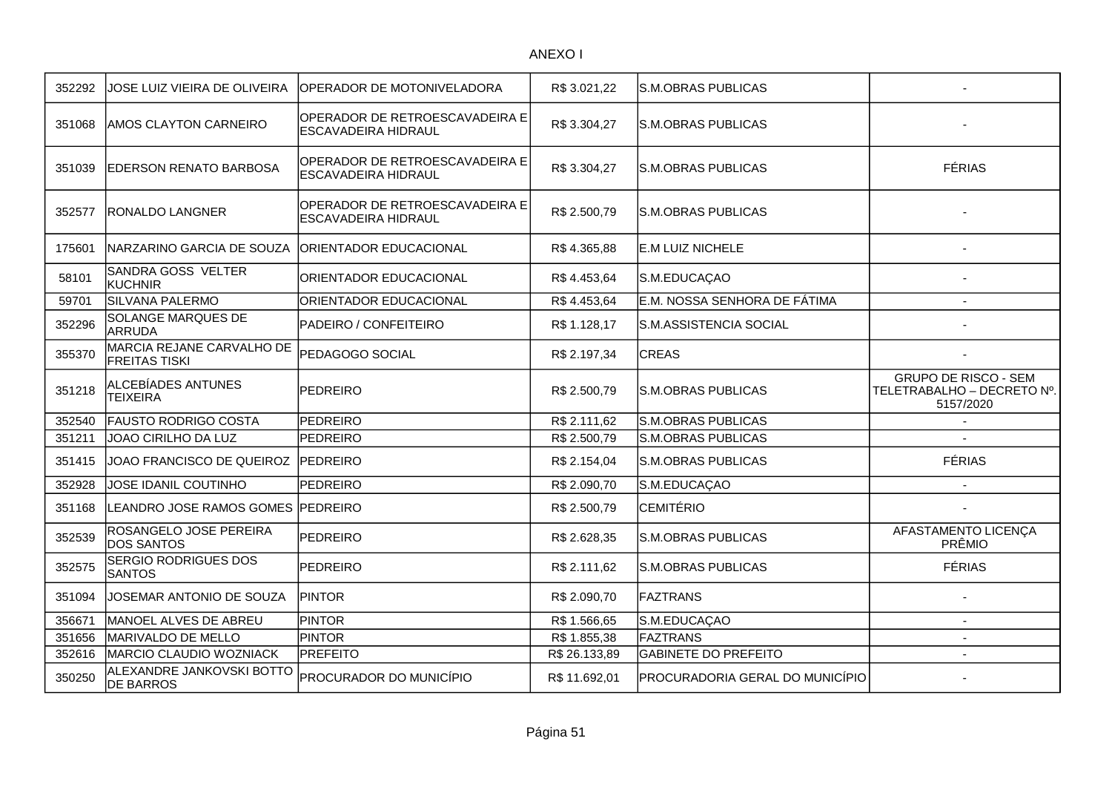| 352292 | JOSE LUIZ VIEIRA DE OLIVEIRA                      | OPERADOR DE MOTONIVELADORA                                   | R\$ 3.021,22  | <b>S.M.OBRAS PUBLICAS</b>       |                                                                        |
|--------|---------------------------------------------------|--------------------------------------------------------------|---------------|---------------------------------|------------------------------------------------------------------------|
| 351068 | <b>AMOS CLAYTON CARNEIRO</b>                      | OPERADOR DE RETROESCAVADEIRA E<br>ESCAVADEIRA HIDRAUL        | R\$ 3.304,27  | <b>S.M.OBRAS PUBLICAS</b>       |                                                                        |
| 351039 | <b>EDERSON RENATO BARBOSA</b>                     | OPERADOR DE RETROESCAVADEIRA E<br><b>ESCAVADEIRA HIDRAUL</b> | R\$ 3.304,27  | <b>S.M.OBRAS PUBLICAS</b>       | <b>FÉRIAS</b>                                                          |
| 352577 | <b>RONALDO LANGNER</b>                            | OPERADOR DE RETROESCAVADEIRA E<br>ESCAVADEIRA HIDRAUL        | R\$ 2.500,79  | S.M.OBRAS PUBLICAS              |                                                                        |
| 175601 | NARZARINO GARCIA DE SOUZA                         | <b>ORIENTADOR EDUCACIONAL</b>                                | R\$4.365,88   | <b>E.M LUIZ NICHELE</b>         |                                                                        |
| 58101  | SANDRA GOSS VELTER<br><b>KUCHNIR</b>              | ORIENTADOR EDUCACIONAL                                       | R\$4.453,64   | S.M.EDUCAÇAO                    |                                                                        |
| 59701  | SILVANA PALERMO                                   | ORIENTADOR EDUCACIONAL                                       | R\$4.453,64   | E.M. NOSSA SENHORA DE FÁTIMA    |                                                                        |
| 352296 | SOLANGE MARQUES DE<br><b>ARRUDA</b>               | PADEIRO / CONFEITEIRO                                        | R\$ 1.128,17  | S.M.ASSISTENCIA SOCIAL          |                                                                        |
| 355370 | MARCIA REJANE CARVALHO DE<br><b>FREITAS TISKI</b> | PEDAGOGO SOCIAL                                              | R\$ 2.197,34  | <b>CREAS</b>                    |                                                                        |
| 351218 | ALCEBÍADES ANTUNES<br><b>TEIXEIRA</b>             | PEDREIRO                                                     | R\$ 2.500,79  | <b>S.M.OBRAS PUBLICAS</b>       | <b>GRUPO DE RISCO - SEM</b><br>TELETRABALHO - DECRETO Nº.<br>5157/2020 |
| 352540 | <b>FAUSTO RODRIGO COSTA</b>                       | <b>PEDREIRO</b>                                              | R\$ 2.111,62  | <b>S.M.OBRAS PUBLICAS</b>       |                                                                        |
| 351211 | JOAO CIRILHO DA LUZ                               | <b>PEDREIRO</b>                                              | R\$ 2.500,79  | <b>S.M.OBRAS PUBLICAS</b>       |                                                                        |
| 351415 | JOAO FRANCISCO DE QUEIROZ                         | <b>IPEDREIRO</b>                                             | R\$ 2.154,04  | <b>S.M.OBRAS PUBLICAS</b>       | <b>FÉRIAS</b>                                                          |
| 352928 | JOSE IDANIL COUTINHO                              | <b>PEDREIRO</b>                                              | R\$ 2.090,70  | S.M.EDUCAÇAO                    |                                                                        |
| 351168 | LEANDRO JOSE RAMOS GOMES                          | PEDREIRO                                                     | R\$ 2.500,79  | <b>CEMITÉRIO</b>                |                                                                        |
| 352539 | ROSANGELO JOSE PEREIRA<br><b>DOS SANTOS</b>       | <b>PEDREIRO</b>                                              | R\$ 2.628,35  | <b>S.M.OBRAS PUBLICAS</b>       | AFASTAMENTO LICENÇA<br>PRÊMIO                                          |
| 352575 | SERGIO RODRIGUES DOS<br><b>SANTOS</b>             | <b>PEDREIRO</b>                                              | R\$ 2.111,62  | <b>S.M.OBRAS PUBLICAS</b>       | <b>FÉRIAS</b>                                                          |
| 351094 | JOSEMAR ANTONIO DE SOUZA                          | <b>IPINTOR</b>                                               | R\$ 2.090,70  | <b>FAZTRANS</b>                 |                                                                        |
| 356671 | MANOEL ALVES DE ABREU                             | <b>PINTOR</b>                                                | R\$ 1.566,65  | S.M.EDUCAÇAO                    | $\blacksquare$                                                         |
| 351656 | MARIVALDO DE MELLO                                | <b>PINTOR</b>                                                | R\$ 1.855,38  | <b>FAZTRANS</b>                 | $\overline{a}$                                                         |
| 352616 | MARCIO CLAUDIO WOZNIACK                           | <b>PREFEITO</b>                                              | R\$ 26.133,89 | <b>GABINETE DO PREFEITO</b>     | $\blacksquare$                                                         |
| 350250 | ALEXANDRE JANKOVSKI BOTTO<br><b>DE BARROS</b>     | <b>PROCURADOR DO MUNICÍPIO</b>                               | R\$ 11.692,01 | PROCURADORIA GERAL DO MUNICÍPIO |                                                                        |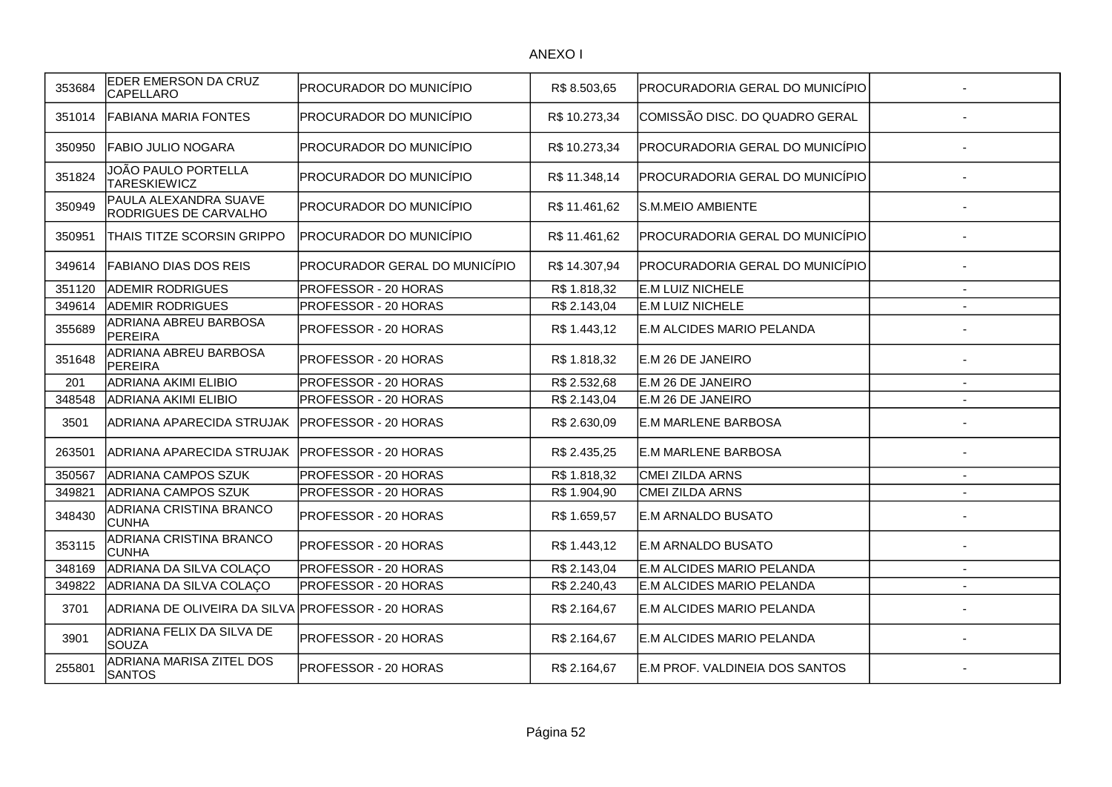| 353684 | EDER EMERSON DA CRUZ<br><b>CAPELLARO</b>              | PROCURADOR DO MUNICÍPIO       | R\$ 8.503.65  | PROCURADORIA GERAL DO MUNICÍPIO |                          |
|--------|-------------------------------------------------------|-------------------------------|---------------|---------------------------------|--------------------------|
| 351014 | <b>FABIANA MARIA FONTES</b>                           | PROCURADOR DO MUNICÍPIO       | R\$ 10.273,34 | COMISSÃO DISC. DO QUADRO GERAL  |                          |
| 350950 | FABIO JULIO NOGARA                                    | PROCURADOR DO MUNICÍPIO       | R\$10.273,34  | PROCURADORIA GERAL DO MUNICÍPIO |                          |
| 351824 | JOÃO PAULO PORTELLA<br><b>TARESKIEWICZ</b>            | PROCURADOR DO MUNICÍPIO       | R\$ 11.348,14 | PROCURADORIA GERAL DO MUNICÍPIO |                          |
| 350949 | PAULA ALEXANDRA SUAVE<br><b>RODRIGUES DE CARVALHO</b> | PROCURADOR DO MUNICÍPIO       | R\$ 11.461,62 | S.M.MEIO AMBIENTE               |                          |
| 350951 | THAIS TITZE SCORSIN GRIPPO                            | PROCURADOR DO MUNICÍPIO       | R\$ 11.461,62 | PROCURADORIA GERAL DO MUNICÍPIO |                          |
| 349614 | <b>FABIANO DIAS DOS REIS</b>                          | PROCURADOR GERAL DO MUNICÍPIO | R\$ 14.307,94 | PROCURADORIA GERAL DO MUNICÍPIO |                          |
| 351120 | <b>ADEMIR RODRIGUES</b>                               | PROFESSOR - 20 HORAS          | R\$ 1.818,32  | E.M LUIZ NICHELE                |                          |
| 349614 | <b>ADEMIR RODRIGUES</b>                               | PROFESSOR - 20 HORAS          | R\$ 2.143,04  | E.M LUIZ NICHELE                |                          |
| 355689 | ADRIANA ABREU BARBOSA<br><b>PEREIRA</b>               | PROFESSOR - 20 HORAS          | R\$ 1.443,12  | E.M ALCIDES MARIO PELANDA       |                          |
| 351648 | ADRIANA ABREU BARBOSA<br>PEREIRA                      | PROFESSOR - 20 HORAS          | R\$ 1.818,32  | E.M 26 DE JANEIRO               |                          |
| 201    | <b>ADRIANA AKIMI ELIBIO</b>                           | PROFESSOR - 20 HORAS          | R\$ 2.532,68  | E.M 26 DE JANEIRO               |                          |
| 348548 | <b>ADRIANA AKIMI ELIBIO</b>                           | PROFESSOR - 20 HORAS          | R\$ 2.143,04  | E.M 26 DE JANEIRO               |                          |
| 3501   | ADRIANA APARECIDA STRUJAK                             | <b>PROFESSOR - 20 HORAS</b>   | R\$ 2.630,09  | <b>E.M MARLENE BARBOSA</b>      |                          |
| 263501 | ADRIANA APARECIDA STRUJAK                             | <b>PROFESSOR - 20 HORAS</b>   | R\$ 2.435,25  | <b>E.M MARLENE BARBOSA</b>      |                          |
| 350567 | <b>ADRIANA CAMPOS SZUK</b>                            | PROFESSOR - 20 HORAS          | R\$ 1.818,32  | CMEI ZILDA ARNS                 | $\overline{\phantom{a}}$ |
| 349821 | <b>ADRIANA CAMPOS SZUK</b>                            | PROFESSOR - 20 HORAS          | R\$ 1.904,90  | <b>CMEI ZILDA ARNS</b>          |                          |
| 348430 | ADRIANA CRISTINA BRANCO<br><b>CUNHA</b>               | PROFESSOR - 20 HORAS          | R\$ 1.659,57  | E.M ARNALDO BUSATO              |                          |
| 353115 | ADRIANA CRISTINA BRANCO<br><b>CUNHA</b>               | PROFESSOR - 20 HORAS          | R\$ 1.443,12  | E.M ARNALDO BUSATO              |                          |
| 348169 | ADRIANA DA SILVA COLAÇO                               | PROFESSOR - 20 HORAS          | R\$ 2.143,04  | E.M ALCIDES MARIO PELANDA       | $\overline{\phantom{0}}$ |
| 349822 | ADRIANA DA SILVA COLAÇO                               | PROFESSOR - 20 HORAS          | R\$ 2.240,43  | E.M ALCIDES MARIO PELANDA       | ÷.                       |
| 3701   | ADRIANA DE OLIVEIRA DA SILVA PROFESSOR - 20 HORAS     |                               | R\$ 2.164,67  | E.M ALCIDES MARIO PELANDA       |                          |
| 3901   | ADRIANA FELIX DA SILVA DE<br><b>SOUZA</b>             | PROFESSOR - 20 HORAS          | R\$ 2.164,67  | E.M ALCIDES MARIO PELANDA       |                          |
| 255801 | ADRIANA MARISA ZITEL DOS<br><b>SANTOS</b>             | PROFESSOR - 20 HORAS          | R\$ 2.164,67  | E.M PROF. VALDINEIA DOS SANTOS  |                          |
|        |                                                       |                               |               |                                 |                          |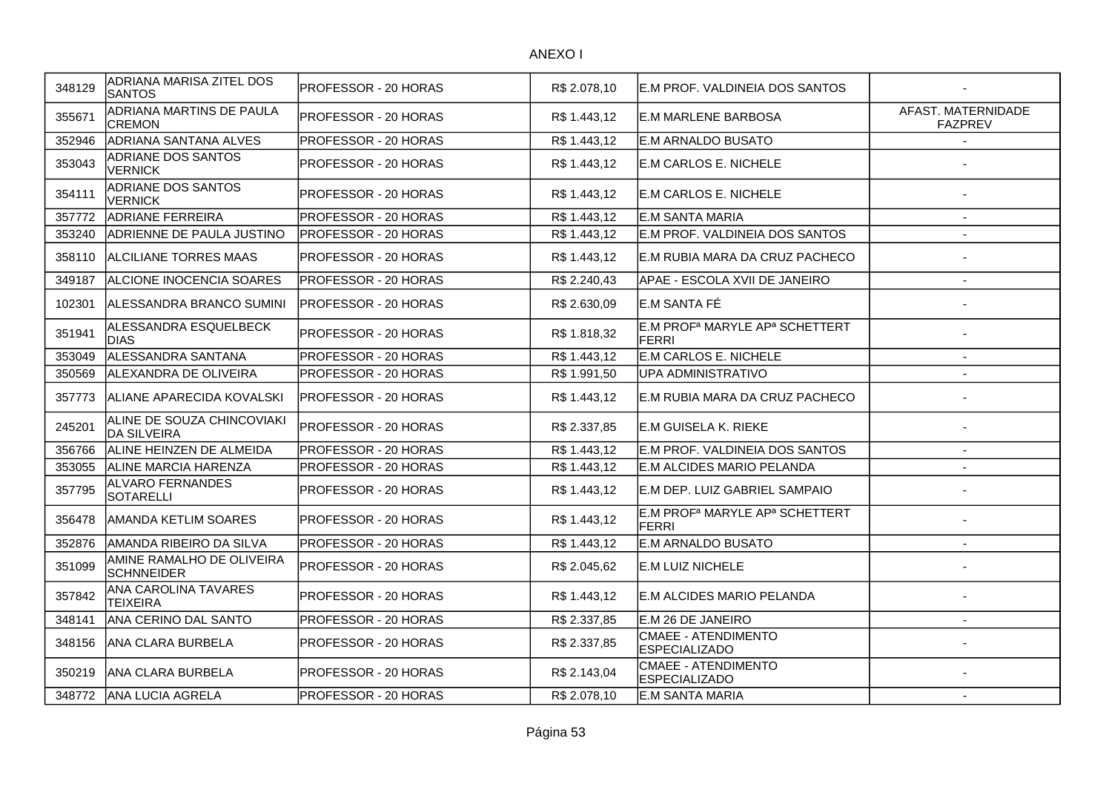| 348129 | ADRIANA MARISA ZITEL DOS<br><b>SANTOS</b>        | PROFESSOR - 20 HORAS        | R\$ 2.078,10 | E.M PROF. VALDINEIA DOS SANTOS                                         |                                      |
|--------|--------------------------------------------------|-----------------------------|--------------|------------------------------------------------------------------------|--------------------------------------|
| 355671 | ADRIANA MARTINS DE PAULA<br><b>CREMON</b>        | PROFESSOR - 20 HORAS        | R\$ 1.443,12 | <b>E.M MARLENE BARBOSA</b>                                             | AFAST. MATERNIDADE<br><b>FAZPREV</b> |
| 352946 | ADRIANA SANTANA ALVES                            | PROFESSOR - 20 HORAS        | R\$ 1.443,12 | E.M ARNALDO BUSATO                                                     | $\overline{\phantom{a}}$             |
| 353043 | ADRIANE DOS SANTOS<br><b>VERNICK</b>             | PROFESSOR - 20 HORAS        | R\$ 1.443,12 | E.M CARLOS E. NICHELE                                                  |                                      |
| 354111 | ADRIANE DOS SANTOS<br><b>VERNICK</b>             | PROFESSOR - 20 HORAS        | R\$ 1.443,12 | <b>E.M CARLOS E. NICHELE</b>                                           |                                      |
| 357772 | <b>ADRIANE FERREIRA</b>                          | PROFESSOR - 20 HORAS        | R\$ 1.443,12 | IE.M SANTA MARIA                                                       | $\sim$                               |
| 353240 | ADRIENNE DE PAULA JUSTINO                        | PROFESSOR - 20 HORAS        | R\$1.443,12  | E.M PROF. VALDINEIA DOS SANTOS                                         | $\sim$                               |
| 358110 | <b>ALCILIANE TORRES MAAS</b>                     | <b>PROFESSOR - 20 HORAS</b> | R\$ 1.443,12 | E.M RUBIA MARA DA CRUZ PACHECO                                         |                                      |
| 349187 | ALCIONE INOCENCIA SOARES                         | <b>PROFESSOR - 20 HORAS</b> | R\$ 2.240,43 | APAE - ESCOLA XVII DE JANEIRO                                          | $\overline{\phantom{a}}$             |
| 102301 | ALESSANDRA BRANCO SUMINI                         | <b>PROFESSOR - 20 HORAS</b> | R\$ 2.630,09 | E.M SANTA FÉ                                                           |                                      |
| 351941 | ALESSANDRA ESQUELBECK<br><b>DIAS</b>             | PROFESSOR - 20 HORAS        | R\$ 1.818,32 | E.M PROF <sup>a</sup> MARYLE AP <sup>a</sup> SCHETTERT<br><b>FERRI</b> |                                      |
| 353049 | <b>IALESSANDRA SANTANA</b>                       | PROFESSOR - 20 HORAS        | R\$ 1.443,12 | <b>E.M CARLOS E. NICHELE</b>                                           |                                      |
| 350569 | <b>IALEXANDRA DE OLIVEIRA</b>                    | PROFESSOR - 20 HORAS        | R\$ 1.991,50 | UPA ADMINISTRATIVO                                                     |                                      |
| 357773 | ALIANE APARECIDA KOVALSKI                        | IPROFESSOR - 20 HORAS       | R\$ 1.443,12 | E.M RUBIA MARA DA CRUZ PACHECO                                         |                                      |
| 245201 | ALINE DE SOUZA CHINCOVIAKI<br><b>DA SILVEIRA</b> | <b>PROFESSOR - 20 HORAS</b> | R\$ 2.337,85 | E.M GUISELA K. RIEKE                                                   |                                      |
| 356766 | ALINE HEINZEN DE ALMEIDA                         | PROFESSOR - 20 HORAS        | R\$ 1.443,12 | E.M PROF. VALDINEIA DOS SANTOS                                         | $\blacksquare$                       |
| 353055 | <b>JALINE MARCIA HARENZA</b>                     | PROFESSOR - 20 HORAS        | R\$1.443,12  | IE.M ALCIDES MARIO PELANDA                                             | $\overline{\phantom{a}}$             |
| 357795 | <b>ALVARO FERNANDES</b><br><b>SOTARELLI</b>      | PROFESSOR - 20 HORAS        | R\$ 1.443,12 | E.M DEP. LUIZ GABRIEL SAMPAIO                                          |                                      |
| 356478 | AMANDA KETLIM SOARES                             | PROFESSOR - 20 HORAS        | R\$ 1.443,12 | E.M PROFª MARYLE APª SCHETTERT<br><b>FERRI</b>                         |                                      |
| 352876 | AMANDA RIBEIRO DA SILVA                          | PROFESSOR - 20 HORAS        | R\$1.443,12  | E.M ARNALDO BUSATO                                                     |                                      |
| 351099 | AMINE RAMALHO DE OLIVEIRA<br><b>SCHNNEIDER</b>   | PROFESSOR - 20 HORAS        | R\$ 2.045,62 | E.M LUIZ NICHELE                                                       |                                      |
| 357842 | <b>ANA CAROLINA TAVARES</b><br><b>TEIXEIRA</b>   | PROFESSOR - 20 HORAS        | R\$ 1.443,12 | E.M ALCIDES MARIO PELANDA                                              |                                      |
| 348141 | ANA CERINO DAL SANTO                             | PROFESSOR - 20 HORAS        | R\$ 2.337,85 | E.M 26 DE JANEIRO                                                      | $\sim$                               |
| 348156 | ANA CLARA BURBELA                                | PROFESSOR - 20 HORAS        | R\$ 2.337,85 | CMAEE - ATENDIMENTO<br><b>ESPECIALIZADO</b>                            |                                      |
| 350219 | <b>ANA CLARA BURBELA</b>                         | PROFESSOR - 20 HORAS        | R\$ 2.143,04 | CMAEE - ATENDIMENTO<br><b>ESPECIALIZADO</b>                            |                                      |
| 348772 | <b>JANA LUCIA AGRELA</b>                         | PROFESSOR - 20 HORAS        | R\$ 2.078,10 | <b>E.M SANTA MARIA</b>                                                 |                                      |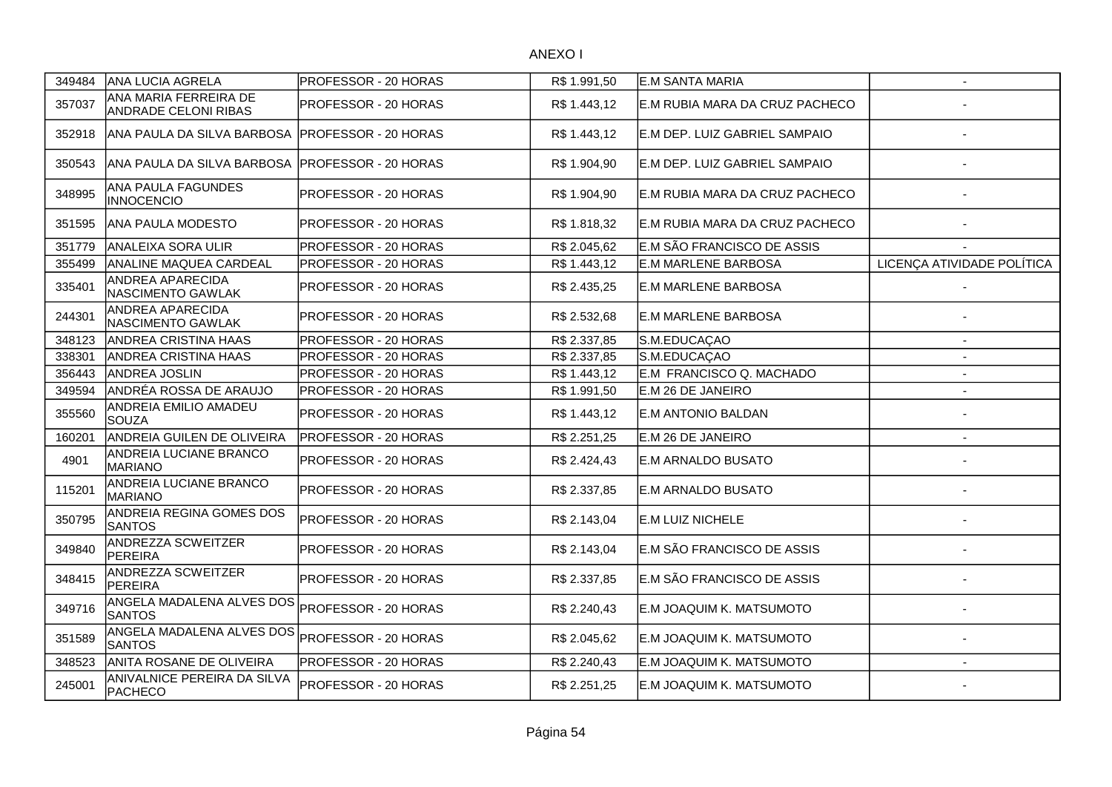| 349484 | ANA LUCIA AGRELA                                     | PROFESSOR - 20 HORAS        | R\$ 1.991,50 | <b>E.M SANTA MARIA</b>         | $\sim$                     |
|--------|------------------------------------------------------|-----------------------------|--------------|--------------------------------|----------------------------|
| 357037 | ANA MARIA FERREIRA DE<br><b>ANDRADE CELONI RIBAS</b> | PROFESSOR - 20 HORAS        | R\$ 1.443,12 | E.M RUBIA MARA DA CRUZ PACHECO |                            |
| 352918 | ANA PAULA DA SILVA BARBOSA                           | <b>PROFESSOR - 20 HORAS</b> | R\$ 1.443,12 | E.M DEP. LUIZ GABRIEL SAMPAIO  |                            |
| 350543 | ANA PAULA DA SILVA BARBOSA                           | <b>PROFESSOR - 20 HORAS</b> | R\$ 1.904,90 | E.M DEP. LUIZ GABRIEL SAMPAIO  |                            |
| 348995 | ANA PAULA FAGUNDES<br><b>INNOCENCIO</b>              | PROFESSOR - 20 HORAS        | R\$ 1.904,90 | E.M RUBIA MARA DA CRUZ PACHECO |                            |
| 351595 | <b>ANA PAULA MODESTO</b>                             | PROFESSOR - 20 HORAS        | R\$ 1.818,32 | E.M RUBIA MARA DA CRUZ PACHECO |                            |
| 351779 | <b>ANALEIXA SORA ULIR</b>                            | PROFESSOR - 20 HORAS        | R\$ 2.045,62 | E.M SÃO FRANCISCO DE ASSIS     |                            |
| 355499 | ANALINE MAQUEA CARDEAL                               | PROFESSOR - 20 HORAS        | R\$1.443,12  | <b>E.M MARLENE BARBOSA</b>     | LICENÇA ATIVIDADE POLÍTICA |
| 335401 | ANDREA APARECIDA<br>NASCIMENTO GAWLAK                | PROFESSOR - 20 HORAS        | R\$ 2.435,25 | <b>E.M MARLENE BARBOSA</b>     |                            |
| 244301 | ANDREA APARECIDA<br>NASCIMENTO GAWLAK                | PROFESSOR - 20 HORAS        | R\$ 2.532,68 | E.M MARLENE BARBOSA            |                            |
| 348123 | <b>ANDREA CRISTINA HAAS</b>                          | PROFESSOR - 20 HORAS        | R\$ 2.337,85 | S.M.EDUCAÇAO                   | $\overline{\phantom{a}}$   |
| 338301 | <b>ANDREA CRISTINA HAAS</b>                          | PROFESSOR - 20 HORAS        | R\$ 2.337,85 | S.M.EDUCAÇAO                   | $\overline{a}$             |
| 356443 | <b>ANDREA JOSLIN</b>                                 | PROFESSOR - 20 HORAS        | R\$ 1.443,12 | E.M FRANCISCO Q. MACHADO       | $\blacksquare$             |
| 349594 | ANDRÉA ROSSA DE ARAUJO                               | PROFESSOR - 20 HORAS        | R\$1.991,50  | E.M 26 DE JANEIRO              | $\blacksquare$             |
| 355560 | ANDREIA EMILIO AMADEU<br><b>SOUZA</b>                | PROFESSOR - 20 HORAS        | R\$ 1.443,12 | E.M ANTONIO BALDAN             |                            |
| 160201 | ANDREIA GUILEN DE OLIVEIRA                           | PROFESSOR - 20 HORAS        | R\$ 2.251,25 | E.M 26 DE JANEIRO              | $\overline{\phantom{a}}$   |
| 4901   | <b>ANDREIA LUCIANE BRANCO</b><br>MARIANO             | PROFESSOR - 20 HORAS        | R\$ 2.424,43 | E.M ARNALDO BUSATO             |                            |
| 115201 | ANDREIA LUCIANE BRANCO<br>MARIANO                    | PROFESSOR - 20 HORAS        | R\$ 2.337,85 | <b>E.M ARNALDO BUSATO</b>      |                            |
| 350795 | ANDREIA REGINA GOMES DOS<br><b>SANTOS</b>            | PROFESSOR - 20 HORAS        | R\$ 2.143,04 | E.M LUIZ NICHELE               |                            |
| 349840 | ANDREZZA SCWEITZER<br><b>PEREIRA</b>                 | PROFESSOR - 20 HORAS        | R\$ 2.143,04 | E.M SÃO FRANCISCO DE ASSIS     |                            |
| 348415 | <b>ANDREZZA SCWEITZER</b><br>PEREIRA                 | PROFESSOR - 20 HORAS        | R\$ 2.337,85 | E.M SÃO FRANCISCO DE ASSIS     |                            |
| 349716 | ANGELA MADALENA ALVES DOS<br><b>SANTOS</b>           | PROFESSOR - 20 HORAS        | R\$ 2.240,43 | E.M JOAQUIM K. MATSUMOTO       |                            |
| 351589 | ANGELA MADALENA ALVES DOS<br><b>SANTOS</b>           | PROFESSOR - 20 HORAS        | R\$ 2.045,62 | E.M JOAQUIM K. MATSUMOTO       |                            |
| 348523 | ANITA ROSANE DE OLIVEIRA                             | PROFESSOR - 20 HORAS        | R\$ 2.240,43 | E.M JOAQUIM K. MATSUMOTO       | $\blacksquare$             |
| 245001 | ANIVALNICE PEREIRA DA SILVA<br><b>PACHECO</b>        | PROFESSOR - 20 HORAS        | R\$ 2.251,25 | E.M JOAQUIM K. MATSUMOTO       |                            |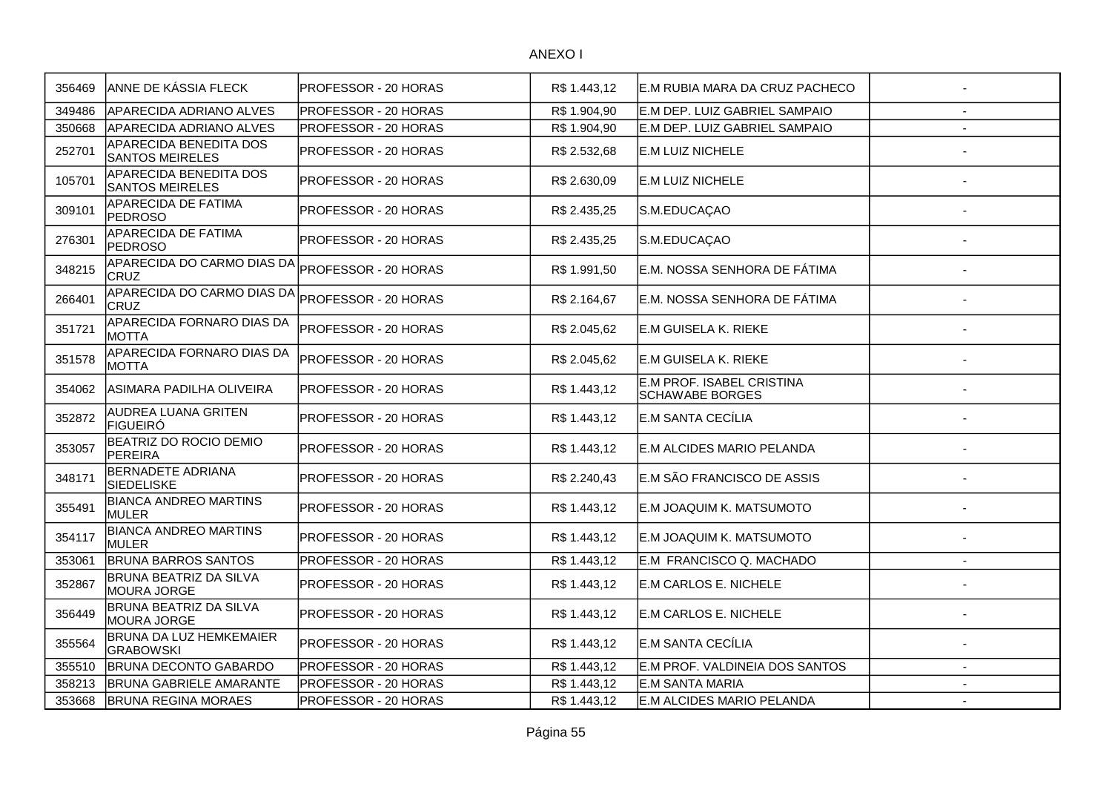| 356469 | ANNE DE KÁSSIA FLECK                                    | PROFESSOR - 20 HORAS | R\$ 1.443.12 | IE.M RUBIA MARA DA CRUZ PACHECO              |                          |
|--------|---------------------------------------------------------|----------------------|--------------|----------------------------------------------|--------------------------|
| 349486 | <b>APARECIDA ADRIANO ALVES</b>                          | PROFESSOR - 20 HORAS | R\$ 1.904,90 | E.M DEP. LUIZ GABRIEL SAMPAIO                |                          |
| 350668 | <b>APARECIDA ADRIANO ALVES</b>                          | PROFESSOR - 20 HORAS | R\$ 1.904,90 | E.M DEP. LUIZ GABRIEL SAMPAIO                |                          |
| 252701 | <b>APARECIDA BENEDITA DOS</b><br><b>SANTOS MEIRELES</b> | PROFESSOR - 20 HORAS | R\$ 2.532,68 | E.M LUIZ NICHELE                             |                          |
| 105701 | APARECIDA BENEDITA DOS<br><b>SANTOS MEIRELES</b>        | PROFESSOR - 20 HORAS | R\$ 2.630,09 | <b>E.M LUIZ NICHELE</b>                      |                          |
| 309101 | APARECIDA DE FATIMA<br><b>PEDROSO</b>                   | PROFESSOR - 20 HORAS | R\$ 2.435,25 | S.M.EDUCAÇAO                                 |                          |
| 276301 | APARECIDA DE FATIMA<br><b>PEDROSO</b>                   | PROFESSOR - 20 HORAS | R\$ 2.435,25 | S.M.EDUCAÇAO                                 |                          |
| 348215 | APARECIDA DO CARMO DIAS DA<br><b>CRUZ</b>               | PROFESSOR - 20 HORAS | R\$ 1.991,50 | E.M. NOSSA SENHORA DE FÁTIMA                 |                          |
| 266401 | APARECIDA DO CARMO DIAS DA<br><b>CRUZ</b>               | PROFESSOR - 20 HORAS | R\$ 2.164,67 | E.M. NOSSA SENHORA DE FÁTIMA                 |                          |
| 351721 | APARECIDA FORNARO DIAS DA<br><b>MOTTA</b>               | PROFESSOR - 20 HORAS | R\$ 2.045,62 | E.M GUISELA K. RIEKE                         |                          |
| 351578 | APARECIDA FORNARO DIAS DA<br><b>MOTTA</b>               | PROFESSOR - 20 HORAS | R\$ 2.045,62 | IE.M GUISELA K. RIEKE                        |                          |
| 354062 | ASIMARA PADILHA OLIVEIRA                                | PROFESSOR - 20 HORAS | R\$1.443,12  | E.M PROF. ISABEL CRISTINA<br>SCHAWABE BORGES |                          |
| 352872 | <b>AUDREA LUANA GRITEN</b><br>FIGUEIRÓ                  | PROFESSOR - 20 HORAS | R\$ 1.443,12 | E.M SANTA CECÍLIA                            |                          |
| 353057 | BEATRIZ DO ROCIO DEMIO<br><b>PEREIRA</b>                | PROFESSOR - 20 HORAS | R\$ 1.443,12 | E.M ALCIDES MARIO PELANDA                    |                          |
| 348171 | <b>BERNADETE ADRIANA</b><br><b>SIEDELISKE</b>           | PROFESSOR - 20 HORAS | R\$ 2.240,43 | E.M SÃO FRANCISCO DE ASSIS                   |                          |
| 355491 | <b>BIANCA ANDREO MARTINS</b><br><b>MULER</b>            | PROFESSOR - 20 HORAS | R\$ 1.443,12 | E.M JOAQUIM K. MATSUMOTO                     |                          |
| 354117 | <b>BIANCA ANDREO MARTINS</b><br><b>MULER</b>            | PROFESSOR - 20 HORAS | R\$ 1.443,12 | E.M JOAQUIM K. MATSUMOTO                     |                          |
| 353061 | <b>BRUNA BARROS SANTOS</b>                              | PROFESSOR - 20 HORAS | R\$ 1.443,12 | E.M FRANCISCO Q. MACHADO                     |                          |
| 352867 | BRUNA BEATRIZ DA SILVA<br>MOURA JORGE                   | PROFESSOR - 20 HORAS | R\$ 1.443,12 | E.M CARLOS E. NICHELE                        |                          |
| 356449 | BRUNA BEATRIZ DA SILVA<br>MOURA JORGE                   | PROFESSOR - 20 HORAS | R\$ 1.443,12 | E.M CARLOS E. NICHELE                        |                          |
| 355564 | <b>BRUNA DA LUZ HEMKEMAIER</b><br><b>GRABOWSKI</b>      | PROFESSOR - 20 HORAS | R\$ 1.443,12 | E.M SANTA CECÍLIA                            |                          |
| 355510 | <b>BRUNA DECONTO GABARDO</b>                            | PROFESSOR - 20 HORAS | R\$1.443,12  | E.M PROF. VALDINEIA DOS SANTOS               |                          |
| 358213 | <b>BRUNA GABRIELE AMARANTE</b>                          | PROFESSOR - 20 HORAS | R\$1.443,12  | <b>E.M SANTA MARIA</b>                       |                          |
| 353668 | <b>BRUNA REGINA MORAES</b>                              | PROFESSOR - 20 HORAS | R\$ 1.443,12 | E.M ALCIDES MARIO PELANDA                    | $\overline{\phantom{a}}$ |
|        |                                                         |                      |              |                                              |                          |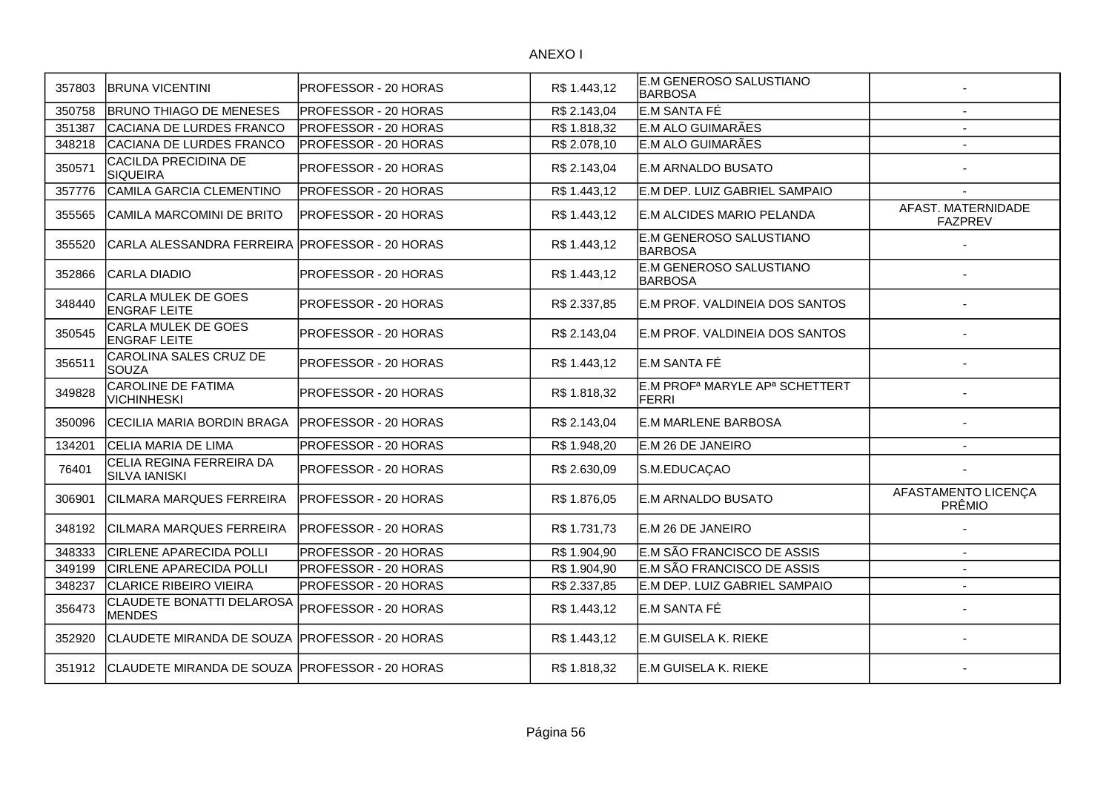| 357803 | <b>BRUNA VICENTINI</b>                           | <b>PROFESSOR - 20 HORAS</b>  | R\$ 1.443,12 | E.M GENEROSO SALUSTIANO<br><b>IBARBOSA</b>                             |                                      |
|--------|--------------------------------------------------|------------------------------|--------------|------------------------------------------------------------------------|--------------------------------------|
| 350758 | <b>BRUNO THIAGO DE MENESES</b>                   | PROFESSOR - 20 HORAS         | R\$ 2.143,04 | E.M SANTA FÉ                                                           |                                      |
| 351387 | CACIANA DE LURDES FRANCO                         | <b>PROFESSOR - 20 HORAS</b>  | R\$ 1.818,32 | E.M ALO GUIMARÃES                                                      |                                      |
| 348218 | CACIANA DE LURDES FRANCO                         | PROFESSOR - 20 HORAS         | R\$ 2.078,10 | E.M ALO GUIMARÃES                                                      |                                      |
| 350571 | CACILDA PRECIDINA DE<br>SIQUEIRA                 | PROFESSOR - 20 HORAS         | R\$ 2.143,04 | E.M ARNALDO BUSATO                                                     |                                      |
| 357776 | CAMILA GARCIA CLEMENTINO                         | PROFESSOR - 20 HORAS         | R\$1.443,12  | E.M DEP. LUIZ GABRIEL SAMPAIO                                          |                                      |
| 355565 | CAMILA MARCOMINI DE BRITO                        | PROFESSOR - 20 HORAS         | R\$ 1.443,12 | E.M ALCIDES MARIO PELANDA                                              | AFAST. MATERNIDADE<br><b>FAZPREV</b> |
| 355520 | CARLA ALESSANDRA FERREIRA PROFESSOR - 20 HORAS   |                              | R\$ 1.443,12 | E.M GENEROSO SALUSTIANO<br><b>BARBOSA</b>                              |                                      |
| 352866 | CARLA DIADIO                                     | PROFESSOR - 20 HORAS         | R\$ 1.443,12 | E.M GENEROSO SALUSTIANO<br><b>BARBOSA</b>                              |                                      |
| 348440 | CARLA MULEK DE GOES<br><b>ENGRAF LEITE</b>       | PROFESSOR - 20 HORAS         | R\$ 2.337,85 | E.M PROF. VALDINEIA DOS SANTOS                                         |                                      |
| 350545 | CARLA MULEK DE GOES<br><b>ENGRAF LEITE</b>       | PROFESSOR - 20 HORAS         | R\$ 2.143,04 | E.M PROF. VALDINEIA DOS SANTOS                                         |                                      |
| 356511 | CAROLINA SALES CRUZ DE<br><b>SOUZA</b>           | <b>PROFESSOR - 20 HORAS</b>  | R\$ 1.443,12 | E.M SANTA FÉ                                                           |                                      |
| 349828 | <b>CAROLINE DE FATIMA</b><br><b>VICHINHESKI</b>  | <b>PROFESSOR - 20 HORAS</b>  | R\$ 1.818,32 | E.M PROF <sup>a</sup> MARYLE AP <sup>a</sup> SCHETTERT<br><b>FERRI</b> |                                      |
| 350096 | <b>CECILIA MARIA BORDIN BRAGA</b>                | <b>IPROFESSOR - 20 HORAS</b> | R\$ 2.143,04 | <b>IE.M MARLENE BARBOSA</b>                                            |                                      |
| 134201 | CELIA MARIA DE LIMA                              | PROFESSOR - 20 HORAS         | R\$ 1.948,20 | E.M 26 DE JANEIRO                                                      | $\overline{a}$                       |
| 76401  | CELIA REGINA FERREIRA DA<br><b>SILVA IANISKI</b> | PROFESSOR - 20 HORAS         | R\$ 2.630,09 | S.M.EDUCAÇAO                                                           |                                      |
| 306901 | <b>CILMARA MARQUES FERREIRA</b>                  | <b>PROFESSOR - 20 HORAS</b>  | R\$ 1.876,05 | E.M ARNALDO BUSATO                                                     | AFASTAMENTO LICENÇA<br>PRÊMIO        |
| 348192 | CILMARA MARQUES FERREIRA                         | <b>PROFESSOR - 20 HORAS</b>  | R\$ 1.731,73 | E.M 26 DE JANEIRO                                                      |                                      |
| 348333 | <b>CIRLENE APARECIDA POLLI</b>                   | PROFESSOR - 20 HORAS         | R\$ 1.904,90 | E.M SÃO FRANCISCO DE ASSIS                                             | $\overline{a}$                       |
| 349199 | <b>CIRLENE APARECIDA POLLI</b>                   | PROFESSOR - 20 HORAS         | R\$ 1.904,90 | E.M SÃO FRANCISCO DE ASSIS                                             |                                      |
| 348237 | <b>CLARICE RIBEIRO VIEIRA</b>                    | PROFESSOR - 20 HORAS         | R\$ 2.337,85 | E.M DEP. LUIZ GABRIEL SAMPAIO                                          | $\sim$                               |
| 356473 | CLAUDETE BONATTI DELAROSA<br><b>MENDES</b>       | PROFESSOR - 20 HORAS         | R\$1.443,12  | E.M SANTA FÉ                                                           |                                      |
| 352920 | CLAUDETE MIRANDA DE SOUZA PROFESSOR - 20 HORAS   |                              | R\$1.443,12  | E.M GUISELA K. RIEKE                                                   |                                      |
| 351912 | CLAUDETE MIRANDA DE SOUZA PROFESSOR - 20 HORAS   |                              | R\$1.818,32  | E.M GUISELA K. RIEKE                                                   |                                      |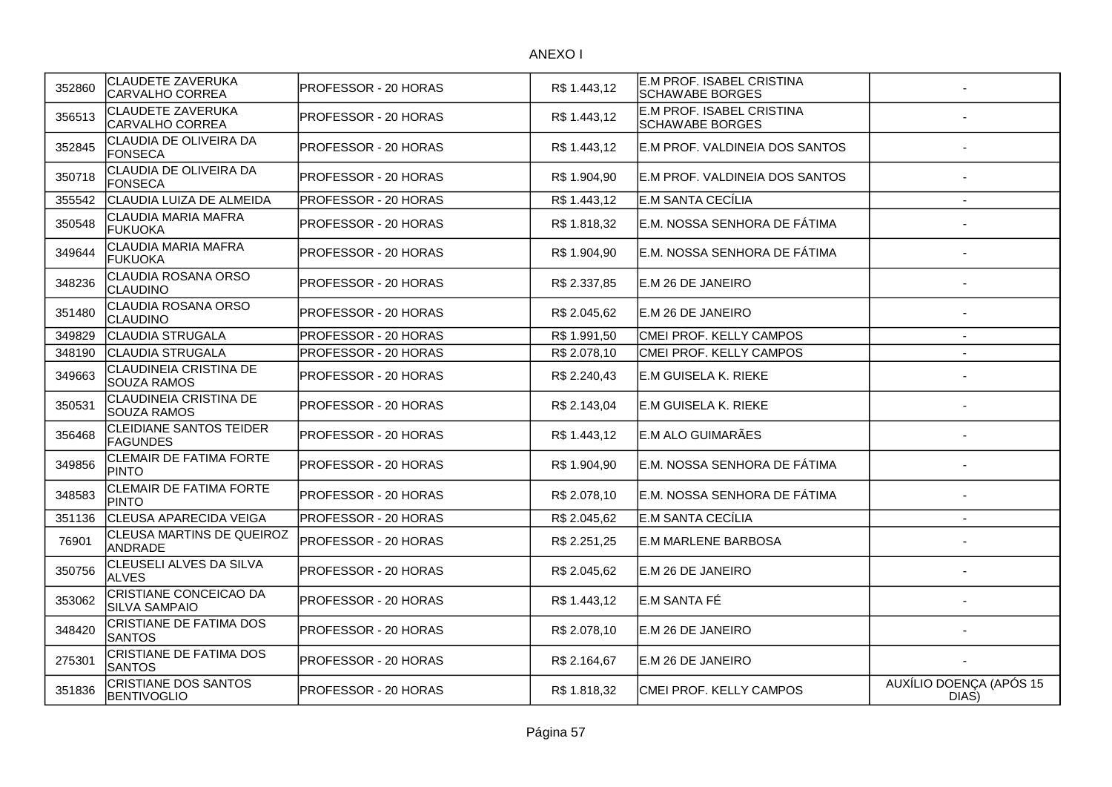| 352860 | <b>CLAUDETE ZAVERUKA</b><br>CARVALHO CORREA         | PROFESSOR - 20 HORAS | R\$ 1.443,12 | E.M PROF. ISABEL CRISTINA<br><b>SCHAWABE BORGES</b> |                                  |
|--------|-----------------------------------------------------|----------------------|--------------|-----------------------------------------------------|----------------------------------|
| 356513 | CLAUDETE ZAVERUKA<br>CARVALHO CORREA                | PROFESSOR - 20 HORAS | R\$ 1.443,12 | E.M PROF. ISABEL CRISTINA<br><b>SCHAWABE BORGES</b> |                                  |
| 352845 | CLAUDIA DE OLIVEIRA DA<br>FONSECA                   | PROFESSOR - 20 HORAS | R\$ 1.443,12 | E.M PROF. VALDINEIA DOS SANTOS                      |                                  |
| 350718 | CLAUDIA DE OLIVEIRA DA<br>FONSECA                   | PROFESSOR - 20 HORAS | R\$ 1.904,90 | E.M PROF. VALDINEIA DOS SANTOS                      |                                  |
| 355542 | CLAUDIA LUIZA DE ALMEIDA                            | PROFESSOR - 20 HORAS | R\$1.443,12  | E.M SANTA CECÍLIA                                   | $\overline{\phantom{a}}$         |
| 350548 | CLAUDIA MARIA MAFRA<br><b>FUKUOKA</b>               | PROFESSOR - 20 HORAS | R\$ 1.818,32 | E.M. NOSSA SENHORA DE FÁTIMA                        |                                  |
| 349644 | CLAUDIA MARIA MAFRA<br>lfukuoka                     | PROFESSOR - 20 HORAS | R\$ 1.904,90 | E.M. NOSSA SENHORA DE FÁTIMA                        |                                  |
| 348236 | CLAUDIA ROSANA ORSO<br><b>CLAUDINO</b>              | PROFESSOR - 20 HORAS | R\$ 2.337,85 | E.M 26 DE JANEIRO                                   |                                  |
| 351480 | CLAUDIA ROSANA ORSO<br>CLAUDINO                     | PROFESSOR - 20 HORAS | R\$ 2.045,62 | E.M 26 DE JANEIRO                                   |                                  |
| 349829 | CLAUDIA STRUGALA                                    | PROFESSOR - 20 HORAS | R\$ 1.991,50 | CMEI PROF. KELLY CAMPOS                             | $\overline{\phantom{a}}$         |
| 348190 | <b>CLAUDIA STRUGALA</b>                             | PROFESSOR - 20 HORAS | R\$ 2.078,10 | CMEI PROF. KELLY CAMPOS                             | $\sim$                           |
| 349663 | CLAUDINEIA CRISTINA DE<br><b>SOUZA RAMOS</b>        | PROFESSOR - 20 HORAS | R\$ 2.240,43 | <b>E.M GUISELA K. RIEKE</b>                         |                                  |
| 350531 | <b>CLAUDINEIA CRISTINA DE</b><br><b>SOUZA RAMOS</b> | PROFESSOR - 20 HORAS | R\$ 2.143,04 | E.M GUISELA K. RIEKE                                |                                  |
| 356468 | CLEIDIANE SANTOS TEIDER<br><b>FAGUNDES</b>          | PROFESSOR - 20 HORAS | R\$ 1.443,12 | E.M ALO GUIMARÃES                                   |                                  |
| 349856 | <b>CLEMAIR DE FATIMA FORTE</b><br><b>PINTO</b>      | PROFESSOR - 20 HORAS | R\$ 1.904,90 | E.M. NOSSA SENHORA DE FÁTIMA                        |                                  |
| 348583 | CLEMAIR DE FATIMA FORTE<br><b>PINTO</b>             | PROFESSOR - 20 HORAS | R\$ 2.078,10 | E.M. NOSSA SENHORA DE FÁTIMA                        |                                  |
| 351136 | CLEUSA APARECIDA VEIGA                              | PROFESSOR - 20 HORAS | R\$ 2.045,62 | E.M SANTA CECÍLIA                                   | $\sim$                           |
| 76901  | CLEUSA MARTINS DE QUEIROZ<br>ANDRADE                | PROFESSOR - 20 HORAS | R\$ 2.251,25 | <b>E.M MARLENE BARBOSA</b>                          |                                  |
| 350756 | CLEUSELI ALVES DA SILVA<br><b>ALVES</b>             | PROFESSOR - 20 HORAS | R\$ 2.045,62 | E.M 26 DE JANEIRO                                   |                                  |
| 353062 | CRISTIANE CONCEICAO DA<br><b>SILVA SAMPAIO</b>      | PROFESSOR - 20 HORAS | R\$ 1.443,12 | E.M SANTA FÉ                                        |                                  |
| 348420 | CRISTIANE DE FATIMA DOS<br><b>SANTOS</b>            | PROFESSOR - 20 HORAS | R\$ 2.078,10 | E.M 26 DE JANEIRO                                   |                                  |
| 275301 | CRISTIANE DE FATIMA DOS<br><b>SANTOS</b>            | PROFESSOR - 20 HORAS | R\$ 2.164,67 | E.M 26 DE JANEIRO                                   |                                  |
| 351836 | <b>CRISTIANE DOS SANTOS</b><br><b>BENTIVOGLIO</b>   | PROFESSOR - 20 HORAS | R\$ 1.818,32 | CMEI PROF. KELLY CAMPOS                             | AUXÍLIO DOENÇA (APÓS 15<br>DIAS) |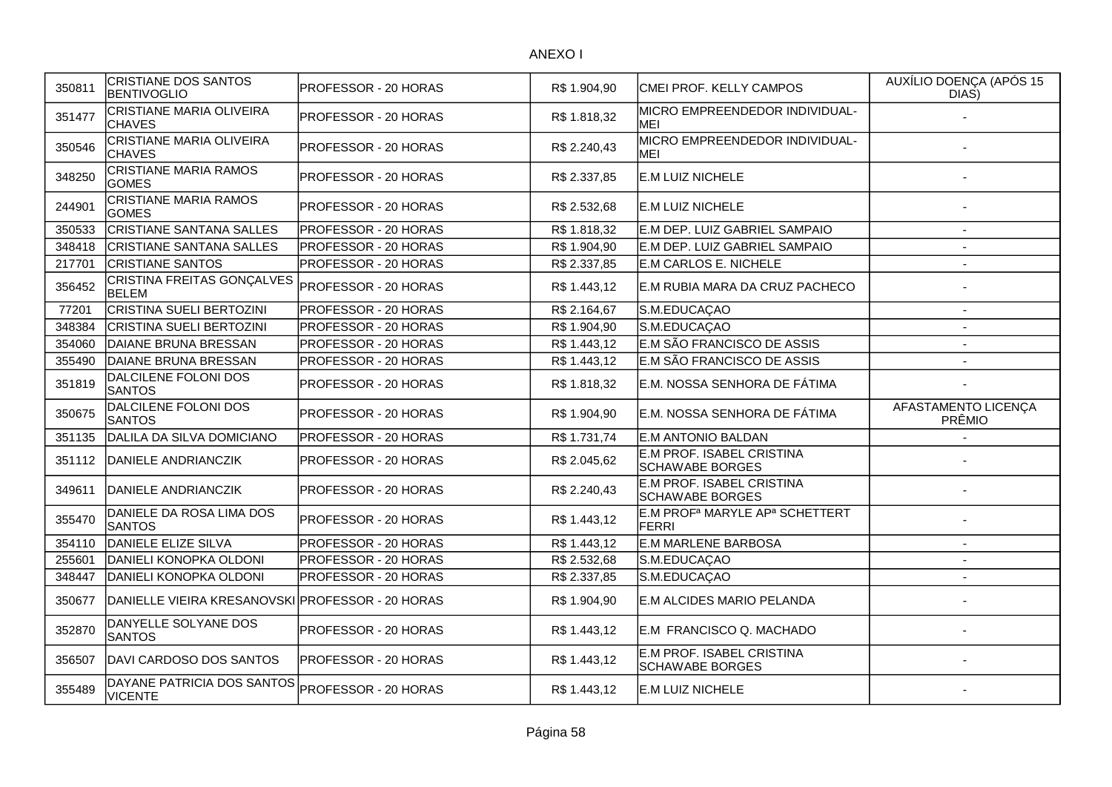| 350811 | <b>CRISTIANE DOS SANTOS</b><br><b>BENTIVOGLIO</b> | PROFESSOR - 20 HORAS        | R\$ 1.904,90 | CMEI PROF. KELLY CAMPOS                                                | AUXÍLIO DOENÇA (APÓS 15<br>DIAS) |
|--------|---------------------------------------------------|-----------------------------|--------------|------------------------------------------------------------------------|----------------------------------|
| 351477 | <b>CRISTIANE MARIA OLIVEIRA</b><br><b>CHAVES</b>  | <b>PROFESSOR - 20 HORAS</b> | R\$ 1.818,32 | MICRO EMPREENDEDOR INDIVIDUAL-<br>MEI                                  |                                  |
| 350546 | CRISTIANE MARIA OLIVEIRA<br><b>CHAVES</b>         | PROFESSOR - 20 HORAS        | R\$ 2.240,43 | MICRO EMPREENDEDOR INDIVIDUAL-<br>MEI                                  |                                  |
| 348250 | <b>CRISTIANE MARIA RAMOS</b><br><b>GOMES</b>      | <b>PROFESSOR - 20 HORAS</b> | R\$ 2.337,85 | E.M LUIZ NICHELE                                                       |                                  |
| 244901 | CRISTIANE MARIA RAMOS<br><b>GOMES</b>             | <b>PROFESSOR - 20 HORAS</b> | R\$ 2.532,68 | E.M LUIZ NICHELE                                                       |                                  |
| 350533 | <b>CRISTIANE SANTANA SALLES</b>                   | <b>PROFESSOR - 20 HORAS</b> | R\$ 1.818,32 | E.M DEP. LUIZ GABRIEL SAMPAIO                                          | $\blacksquare$                   |
| 348418 | <b>CRISTIANE SANTANA SALLES</b>                   | <b>PROFESSOR - 20 HORAS</b> | R\$ 1.904,90 | E.M DEP. LUIZ GABRIEL SAMPAIO                                          | $\overline{a}$                   |
| 217701 | <b>CRISTIANE SANTOS</b>                           | PROFESSOR - 20 HORAS        | R\$ 2.337,85 | <b>E.M CARLOS E. NICHELE</b>                                           | $\overline{a}$                   |
| 356452 | CRISTINA FREITAS GONÇALVES<br><b>BELEM</b>        | PROFESSOR - 20 HORAS        | R\$ 1.443,12 | E.M RUBIA MARA DA CRUZ PACHECO                                         |                                  |
| 77201  | CRISTINA SUELI BERTOZINI                          | <b>PROFESSOR - 20 HORAS</b> | R\$ 2.164,67 | S.M.EDUCAÇAO                                                           | $\blacksquare$                   |
| 348384 | <b>CRISTINA SUELI BERTOZINI</b>                   | <b>PROFESSOR - 20 HORAS</b> | R\$ 1.904,90 | S.M.EDUCAÇAO                                                           | $\blacksquare$                   |
| 354060 | DAIANE BRUNA BRESSAN                              | PROFESSOR - 20 HORAS        | R\$ 1.443,12 | E.M SÃO FRANCISCO DE ASSIS                                             | $\overline{a}$                   |
| 355490 | DAIANE BRUNA BRESSAN                              | PROFESSOR - 20 HORAS        | R\$ 1.443,12 | E.M SÃO FRANCISCO DE ASSIS                                             | $\overline{a}$                   |
| 351819 | DALCILENE FOLONI DOS<br><b>SANTOS</b>             | <b>PROFESSOR - 20 HORAS</b> | R\$ 1.818,32 | E.M. NOSSA SENHORA DE FÁTIMA                                           |                                  |
| 350675 | DALCILENE FOLONI DOS<br><b>SANTOS</b>             | PROFESSOR - 20 HORAS        | R\$ 1.904,90 | E.M. NOSSA SENHORA DE FÁTIMA                                           | AFASTAMENTO LICENÇA<br>PRÊMIO    |
| 351135 | DALILA DA SILVA DOMICIANO                         | <b>PROFESSOR - 20 HORAS</b> | R\$ 1.731,74 | E.M ANTONIO BALDAN                                                     |                                  |
| 351112 | DANIELE ANDRIANCZIK                               | PROFESSOR - 20 HORAS        | R\$ 2.045,62 | E.M PROF. ISABEL CRISTINA<br><b>SCHAWABE BORGES</b>                    |                                  |
| 349611 | DANIELE ANDRIANCZIK                               | PROFESSOR - 20 HORAS        | R\$ 2.240,43 | E.M PROF. ISABEL CRISTINA<br><b>SCHAWABE BORGES</b>                    |                                  |
| 355470 | DANIELE DA ROSA LIMA DOS<br><b>SANTOS</b>         | PROFESSOR - 20 HORAS        | R\$ 1.443,12 | E.M PROF <sup>a</sup> MARYLE AP <sup>a</sup> SCHETTERT<br><b>FERRI</b> |                                  |
| 354110 | DANIELE ELIZE SILVA                               | PROFESSOR - 20 HORAS        | R\$ 1.443,12 | <b>E.M MARLENE BARBOSA</b>                                             |                                  |
| 255601 | DANIELI KONOPKA OLDONI                            | PROFESSOR - 20 HORAS        | R\$ 2.532,68 | S.M.EDUCAÇAO                                                           |                                  |
| 348447 | DANIELI KONOPKA OLDONI                            | PROFESSOR - 20 HORAS        | R\$ 2.337,85 | S.M.EDUCAÇAO                                                           |                                  |
| 350677 | DANIELLE VIEIRA KRESANOVSKI PROFESSOR - 20 HORAS  |                             | R\$ 1.904,90 | E.M ALCIDES MARIO PELANDA                                              |                                  |
| 352870 | DANYELLE SOLYANE DOS<br><b>SANTOS</b>             | PROFESSOR - 20 HORAS        | R\$ 1.443,12 | E.M FRANCISCO Q. MACHADO                                               |                                  |
| 356507 | DAVI CARDOSO DOS SANTOS                           | <b>PROFESSOR - 20 HORAS</b> | R\$1.443,12  | E.M PROF. ISABEL CRISTINA<br><b>SCHAWABE BORGES</b>                    |                                  |
| 355489 | DAYANE PATRICIA DOS SANTOS<br><b>VICENTE</b>      | PROFESSOR - 20 HORAS        | R\$ 1.443,12 | E.M LUIZ NICHELE                                                       |                                  |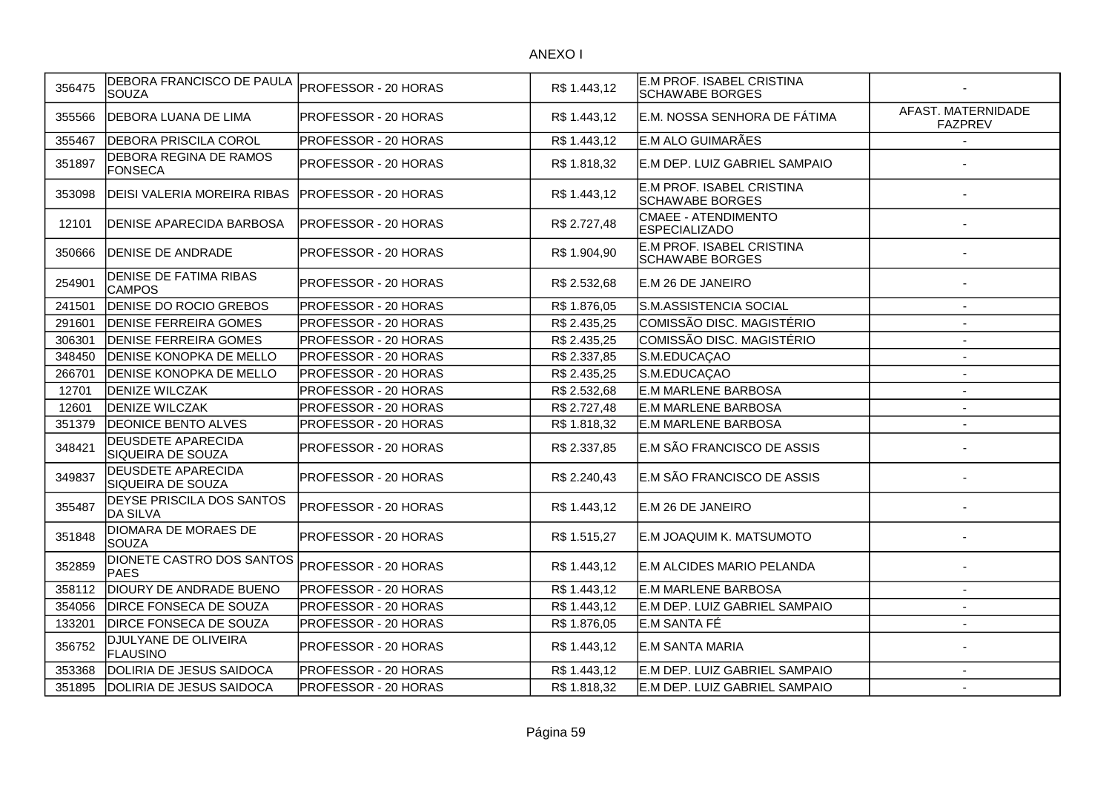| 356475 | DEBORA FRANCISCO DE PAULA<br>SOUZA             | PROFESSOR - 20 HORAS | R\$ 1.443,12 | E.M PROF. ISABEL CRISTINA<br><b>SCHAWABE BORGES</b> |                                      |
|--------|------------------------------------------------|----------------------|--------------|-----------------------------------------------------|--------------------------------------|
| 355566 | DEBORA LUANA DE LIMA                           | PROFESSOR - 20 HORAS | R\$ 1.443,12 | E.M. NOSSA SENHORA DE FÁTIMA                        | AFAST. MATERNIDADE<br><b>FAZPREV</b> |
| 355467 | <b>DEBORA PRISCILA COROL</b>                   | PROFESSOR - 20 HORAS | R\$ 1.443,12 | E.M ALO GUIMARÃES                                   |                                      |
| 351897 | DEBORA REGINA DE RAMOS<br><b>FONSECA</b>       | PROFESSOR - 20 HORAS | R\$ 1.818,32 | E.M DEP. LUIZ GABRIEL SAMPAIO                       |                                      |
| 353098 | <b>DEISI VALERIA MOREIRA RIBAS</b>             | PROFESSOR - 20 HORAS | R\$1.443,12  | E.M PROF. ISABEL CRISTINA<br><b>SCHAWABE BORGES</b> |                                      |
| 12101  | DENISE APARECIDA BARBOSA                       | PROFESSOR - 20 HORAS | R\$ 2.727,48 | <b>CMAEE - ATENDIMENTO</b><br><b>ESPECIALIZADO</b>  |                                      |
| 350666 | <b>IDENISE DE ANDRADE</b>                      | PROFESSOR - 20 HORAS | R\$ 1.904,90 | E.M PROF. ISABEL CRISTINA<br><b>SCHAWABE BORGES</b> |                                      |
| 254901 | <b>DENISE DE FATIMA RIBAS</b><br><b>CAMPOS</b> | PROFESSOR - 20 HORAS | R\$ 2.532,68 | E.M 26 DE JANEIRO                                   |                                      |
| 241501 | DENISE DO ROCIO GREBOS                         | PROFESSOR - 20 HORAS | R\$ 1.876,05 | S.M.ASSISTENCIA SOCIAL                              |                                      |
| 291601 | <b>DENISE FERREIRA GOMES</b>                   | PROFESSOR - 20 HORAS | R\$ 2.435,25 | COMISSÃO DISC. MAGISTÉRIO                           | $\overline{a}$                       |
| 306301 | <b>DENISE FERREIRA GOMES</b>                   | PROFESSOR - 20 HORAS | R\$ 2.435,25 | COMISSÃO DISC. MAGISTÉRIO                           | $\blacksquare$                       |
| 348450 | DENISE KONOPKA DE MELLO                        | PROFESSOR - 20 HORAS | R\$ 2.337,85 | S.M.EDUCAÇAO                                        | $\blacksquare$                       |
| 266701 | DENISE KONOPKA DE MELLO                        | PROFESSOR - 20 HORAS | R\$ 2.435,25 | S.M.EDUCAÇAO                                        | $\blacksquare$                       |
| 12701  | <b>DENIZE WILCZAK</b>                          | PROFESSOR - 20 HORAS | R\$ 2.532,68 | <b>E.M MARLENE BARBOSA</b>                          | $\overline{a}$                       |
| 12601  | <b>DENIZE WILCZAK</b>                          | PROFESSOR - 20 HORAS | R\$ 2.727,48 | <b>E.M MARLENE BARBOSA</b>                          | $\overline{a}$                       |
| 351379 | <b>DEONICE BENTO ALVES</b>                     | PROFESSOR - 20 HORAS | R\$ 1.818,32 | <b>E.M MARLENE BARBOSA</b>                          |                                      |
| 348421 | DEUSDETE APARECIDA<br>SIQUEIRA DE SOUZA        | PROFESSOR - 20 HORAS | R\$ 2.337,85 | E.M SÃO FRANCISCO DE ASSIS                          |                                      |
| 349837 | <b>DEUSDETE APARECIDA</b><br>SIQUEIRA DE SOUZA | PROFESSOR - 20 HORAS | R\$ 2.240,43 | E.M SÃO FRANCISCO DE ASSIS                          |                                      |
| 355487 | DEYSE PRISCILA DOS SANTOS<br>DA SILVA          | PROFESSOR - 20 HORAS | R\$ 1.443,12 | E.M 26 DE JANEIRO                                   |                                      |
| 351848 | DIOMARA DE MORAES DE<br><b>SOUZA</b>           | PROFESSOR - 20 HORAS | R\$ 1.515,27 | E.M JOAQUIM K. MATSUMOTO                            |                                      |
| 352859 | DIONETE CASTRO DOS SANTOS<br><b>PAES</b>       | PROFESSOR - 20 HORAS | R\$ 1.443,12 | E.M ALCIDES MARIO PELANDA                           |                                      |
| 358112 | DIOURY DE ANDRADE BUENO                        | PROFESSOR - 20 HORAS | R\$ 1.443,12 | <b>E.M MARLENE BARBOSA</b>                          | $\sim$                               |
| 354056 | <b>DIRCE FONSECA DE SOUZA</b>                  | PROFESSOR - 20 HORAS | R\$ 1.443,12 | E.M DEP. LUIZ GABRIEL SAMPAIO                       | $\overline{\phantom{0}}$             |
| 133201 | <b>DIRCE FONSECA DE SOUZA</b>                  | PROFESSOR - 20 HORAS | R\$ 1.876,05 | E.M SANTA FÉ                                        |                                      |
| 356752 | DJULYANE DE OLIVEIRA<br><b>FLAUSINO</b>        | PROFESSOR - 20 HORAS | R\$ 1.443,12 | E.M SANTA MARIA                                     |                                      |
| 353368 | DOLIRIA DE JESUS SAIDOCA                       | PROFESSOR - 20 HORAS | R\$ 1.443,12 | E.M DEP. LUIZ GABRIEL SAMPAIO                       |                                      |
| 351895 | DOLIRIA DE JESUS SAIDOCA                       | PROFESSOR - 20 HORAS | R\$ 1.818,32 | E.M DEP. LUIZ GABRIEL SAMPAIO                       | $\overline{\phantom{a}}$             |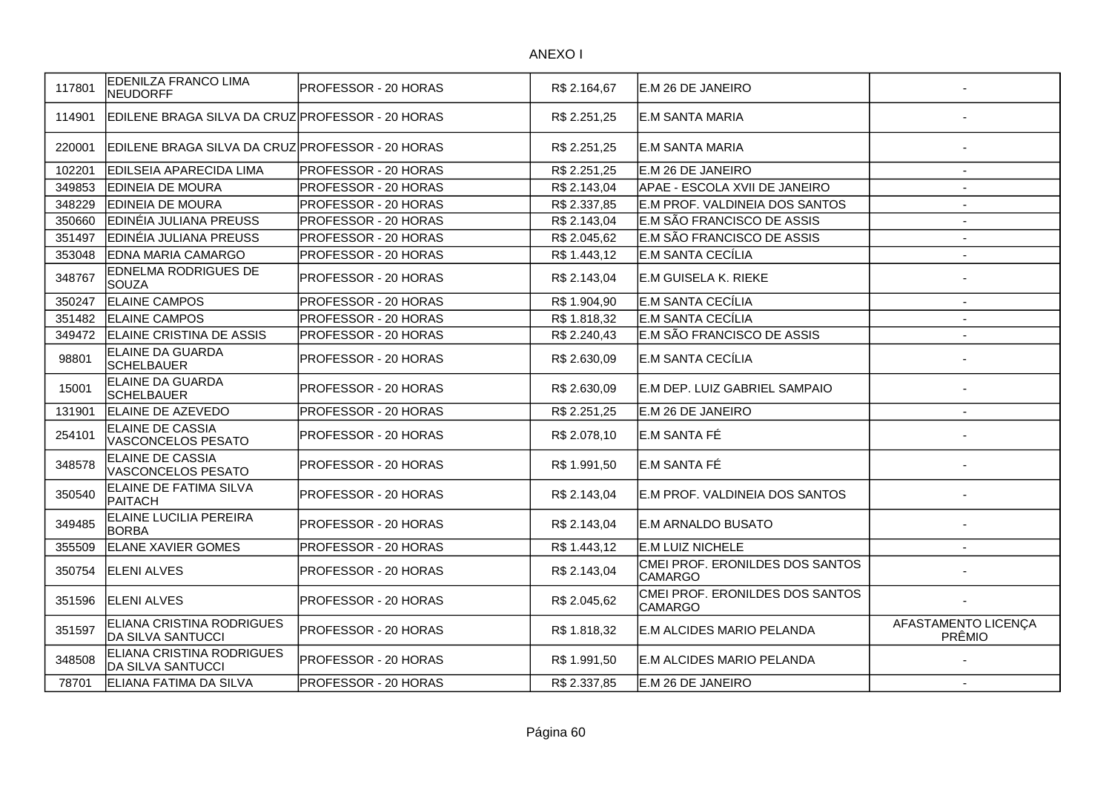| 117801 | <b>EDENILZA FRANCO LIMA</b><br><b>NEUDORFF</b>               | <b>PROFESSOR - 20 HORAS</b> | R\$ 2.164,67 | E.M 26 DE JANEIRO                                 |                               |
|--------|--------------------------------------------------------------|-----------------------------|--------------|---------------------------------------------------|-------------------------------|
| 114901 | EDILENE BRAGA SILVA DA CRUZ PROFESSOR - 20 HORAS             |                             | R\$ 2.251,25 | E.M SANTA MARIA                                   |                               |
| 220001 | EDILENE BRAGA SILVA DA CRUZIPROFESSOR - 20 HORAS             |                             | R\$ 2.251,25 | IE.M SANTA MARIA                                  |                               |
| 102201 | <b>EDILSEIA APARECIDA LIMA</b>                               | <b>PROFESSOR - 20 HORAS</b> | R\$ 2.251,25 | E.M 26 DE JANEIRO                                 | $\overline{a}$                |
| 349853 | <b>EDINEIA DE MOURA</b>                                      | <b>PROFESSOR - 20 HORAS</b> | R\$ 2.143,04 | APAE - ESCOLA XVII DE JANEIRO                     | $\blacksquare$                |
| 348229 | <b>EDINEIA DE MOURA</b>                                      | <b>PROFESSOR - 20 HORAS</b> | R\$ 2.337,85 | E.M PROF. VALDINEIA DOS SANTOS                    | $\overline{\phantom{a}}$      |
| 350660 | EDINÉIA JULIANA PREUSS                                       | PROFESSOR - 20 HORAS        | R\$ 2.143,04 | E.M SÃO FRANCISCO DE ASSIS                        | $\blacksquare$                |
| 351497 | <b>EDINÉIA JULIANA PREUSS</b>                                | <b>PROFESSOR - 20 HORAS</b> | R\$ 2.045,62 | E.M SÃO FRANCISCO DE ASSIS                        | $\blacksquare$                |
| 353048 | <b>EDNA MARIA CAMARGO</b>                                    | PROFESSOR - 20 HORAS        | R\$ 1.443,12 | E.M SANTA CECÍLIA                                 | $\blacksquare$                |
| 348767 | <b>EDNELMA RODRIGUES DE</b><br><b>SOUZA</b>                  | <b>PROFESSOR - 20 HORAS</b> | R\$ 2.143,04 | E.M GUISELA K. RIEKE                              |                               |
| 350247 | <b>ELAINE CAMPOS</b>                                         | PROFESSOR - 20 HORAS        | R\$ 1.904,90 | E.M SANTA CECÍLIA                                 |                               |
| 351482 | <b>ELAINE CAMPOS</b>                                         | <b>PROFESSOR - 20 HORAS</b> | R\$ 1.818,32 | E.M SANTA CECÍLIA                                 |                               |
| 349472 | <b>ELAINE CRISTINA DE ASSIS</b>                              | <b>PROFESSOR - 20 HORAS</b> | R\$ 2.240,43 | E.M SÃO FRANCISCO DE ASSIS                        |                               |
| 98801  | <b>ELAINE DA GUARDA</b><br>SCHELBAUER                        | <b>PROFESSOR - 20 HORAS</b> | R\$ 2.630,09 | E.M SANTA CECÍLIA                                 |                               |
| 15001  | <b>ELAINE DA GUARDA</b><br><b>SCHELBAUER</b>                 | PROFESSOR - 20 HORAS        | R\$ 2.630,09 | E.M DEP. LUIZ GABRIEL SAMPAIO                     |                               |
| 131901 | <b>ELAINE DE AZEVEDO</b>                                     | <b>PROFESSOR - 20 HORAS</b> | R\$ 2.251,25 | E.M 26 DE JANEIRO                                 | $\blacksquare$                |
| 254101 | ELAINE DE CASSIA<br>VASCONCELOS PESATO                       | PROFESSOR - 20 HORAS        | R\$ 2.078,10 | E.M SANTA FÉ                                      |                               |
| 348578 | ELAINE DE CASSIA<br>VASCONCELOS PESATO                       | PROFESSOR - 20 HORAS        | R\$ 1.991,50 | E.M SANTA FÉ                                      |                               |
| 350540 | ELAINE DE FATIMA SILVA<br><b>PAITACH</b>                     | PROFESSOR - 20 HORAS        | R\$ 2.143,04 | E.M PROF. VALDINEIA DOS SANTOS                    |                               |
| 349485 | <b>ELAINE LUCILIA PEREIRA</b><br><b>BORBA</b>                | PROFESSOR - 20 HORAS        | R\$ 2.143,04 | E.M ARNALDO BUSATO                                |                               |
| 355509 | <b>ELANE XAVIER GOMES</b>                                    | PROFESSOR - 20 HORAS        | R\$ 1.443,12 | E.M LUIZ NICHELE                                  | $\overline{\phantom{a}}$      |
| 350754 | <b>IELENI ALVES</b>                                          | PROFESSOR - 20 HORAS        | R\$ 2.143,04 | CMEI PROF. ERONILDES DOS SANTOS<br><b>CAMARGO</b> |                               |
| 351596 | <b>ELENI ALVES</b>                                           | PROFESSOR - 20 HORAS        | R\$ 2.045,62 | CMEI PROF. ERONILDES DOS SANTOS<br><b>CAMARGO</b> |                               |
| 351597 | <b>ELIANA CRISTINA RODRIGUES</b><br><b>DA SILVA SANTUCCI</b> | <b>PROFESSOR - 20 HORAS</b> | R\$ 1.818,32 | E.M ALCIDES MARIO PELANDA                         | AFASTAMENTO LICENÇA<br>PRÊMIO |
| 348508 | <b>ELIANA CRISTINA RODRIGUES</b><br><b>DA SILVA SANTUCCI</b> | <b>PROFESSOR - 20 HORAS</b> | R\$ 1.991,50 | IE.M ALCIDES MARIO PELANDA                        |                               |
| 78701  | ELIANA FATIMA DA SILVA                                       | <b>PROFESSOR - 20 HORAS</b> | R\$ 2.337,85 | E.M 26 DE JANEIRO                                 |                               |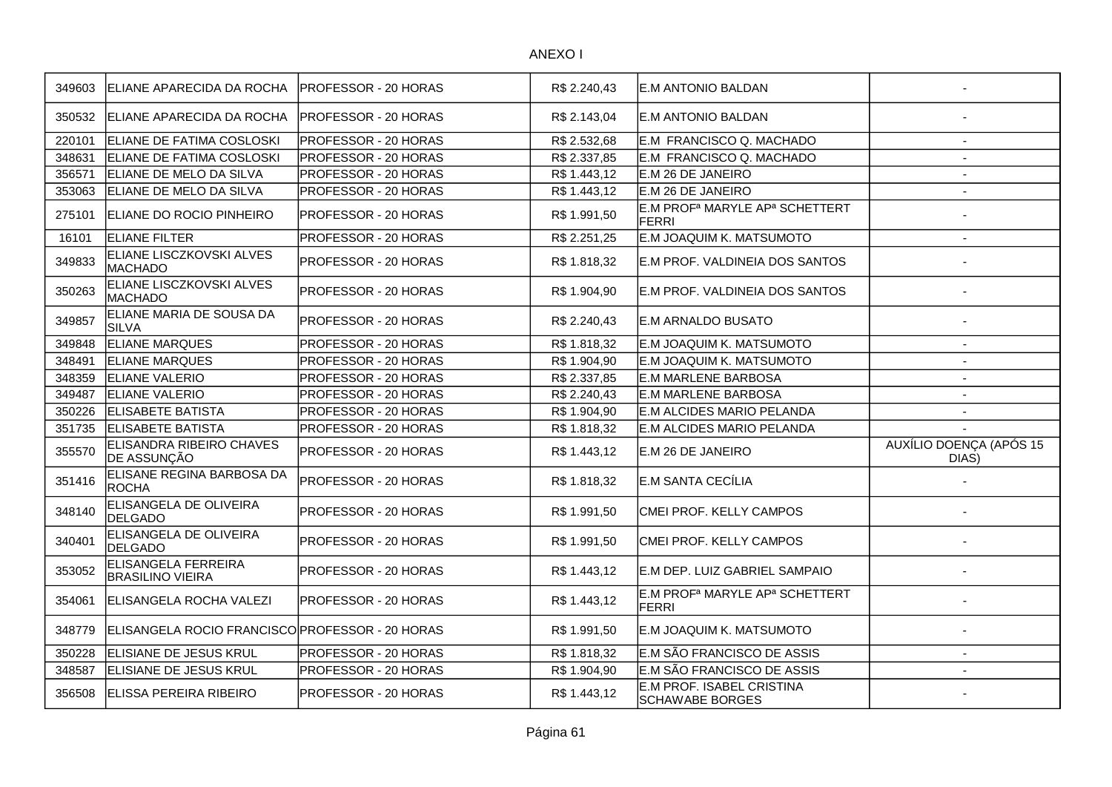| 349603 | ELIANE APARECIDA DA ROCHA                             | PROFESSOR - 20 HORAS        | R\$ 2.240,43 | <b>E.M ANTONIO BALDAN</b>                                              |                                  |
|--------|-------------------------------------------------------|-----------------------------|--------------|------------------------------------------------------------------------|----------------------------------|
| 350532 | ELIANE APARECIDA DA ROCHA                             | <b>PROFESSOR - 20 HORAS</b> | R\$ 2.143,04 | E.M ANTONIO BALDAN                                                     |                                  |
| 220101 | ELIANE DE FATIMA COSLOSKI                             | PROFESSOR - 20 HORAS        | R\$ 2.532,68 | E.M FRANCISCO Q. MACHADO                                               | $\overline{\phantom{a}}$         |
| 348631 | ELIANE DE FATIMA COSLOSKI                             | PROFESSOR - 20 HORAS        | R\$ 2.337,85 | E.M FRANCISCO Q. MACHADO                                               | $\overline{\phantom{a}}$         |
| 356571 | ELIANE DE MELO DA SILVA                               | PROFESSOR - 20 HORAS        | R\$ 1.443,12 | E.M 26 DE JANEIRO                                                      | $\sim$                           |
| 353063 | ELIANE DE MELO DA SILVA                               | PROFESSOR - 20 HORAS        | R\$1.443,12  | E.M 26 DE JANEIRO                                                      | $\overline{a}$                   |
| 275101 | ELIANE DO ROCIO PINHEIRO                              | <b>PROFESSOR - 20 HORAS</b> | R\$ 1.991,50 | E.M PROF <sup>a</sup> MARYLE AP <sup>a</sup> SCHETTERT<br><b>FERRI</b> |                                  |
| 16101  | <b>ELIANE FILTER</b>                                  | PROFESSOR - 20 HORAS        | R\$ 2.251,25 | E.M JOAQUIM K. MATSUMOTO                                               | $\sim$                           |
| 349833 | ELIANE LISCZKOVSKI ALVES<br><b>MACHADO</b>            | PROFESSOR - 20 HORAS        | R\$ 1.818,32 | E.M PROF. VALDINEIA DOS SANTOS                                         | $\overline{\phantom{a}}$         |
| 350263 | ELIANE LISCZKOVSKI ALVES<br>MACHADO                   | PROFESSOR - 20 HORAS        | R\$ 1.904,90 | E.M PROF. VALDINEIA DOS SANTOS                                         |                                  |
| 349857 | ELIANE MARIA DE SOUSA DA<br><b>SILVA</b>              | PROFESSOR - 20 HORAS        | R\$ 2.240,43 | <b>E.M ARNALDO BUSATO</b>                                              |                                  |
| 349848 | <b>ELIANE MARQUES</b>                                 | PROFESSOR - 20 HORAS        | R\$ 1.818,32 | E.M JOAQUIM K. MATSUMOTO                                               | $\overline{\phantom{a}}$         |
| 348491 | <b>ELIANE MARQUES</b>                                 | PROFESSOR - 20 HORAS        | R\$ 1.904,90 | E.M JOAQUIM K. MATSUMOTO                                               | $\blacksquare$                   |
| 348359 | <b>ELIANE VALERIO</b>                                 | PROFESSOR - 20 HORAS        | R\$ 2.337,85 | E.M MARLENE BARBOSA                                                    | $\overline{a}$                   |
| 349487 | <b>ELIANE VALERIO</b>                                 | PROFESSOR - 20 HORAS        | R\$ 2.240,43 | E.M MARLENE BARBOSA                                                    | $\overline{a}$                   |
| 350226 | <b>ELISABETE BATISTA</b>                              | PROFESSOR - 20 HORAS        | R\$ 1.904,90 | E.M ALCIDES MARIO PELANDA                                              | $\overline{\phantom{a}}$         |
| 351735 | <b>ELISABETE BATISTA</b>                              | PROFESSOR - 20 HORAS        | R\$ 1.818,32 | E.M ALCIDES MARIO PELANDA                                              |                                  |
| 355570 | <b>ELISANDRA RIBEIRO CHAVES</b><br><b>DE ASSUNÇÃO</b> | PROFESSOR - 20 HORAS        | R\$ 1.443,12 | E.M 26 DE JANEIRO                                                      | AUXÍLIO DOENÇA (APÓS 15<br>DIAS) |
| 351416 | ELISANE REGINA BARBOSA DA<br><b>ROCHA</b>             | PROFESSOR - 20 HORAS        | R\$ 1.818,32 | E.M SANTA CECÍLIA                                                      |                                  |
| 348140 | ELISANGELA DE OLIVEIRA<br>DELGADO                     | PROFESSOR - 20 HORAS        | R\$ 1.991,50 | CMEI PROF. KELLY CAMPOS                                                |                                  |
| 340401 | ELISANGELA DE OLIVEIRA<br>DELGADO                     | PROFESSOR - 20 HORAS        | R\$ 1.991,50 | CMEI PROF. KELLY CAMPOS                                                |                                  |
| 353052 | <b>ELISANGELA FERREIRA</b><br>BRASILINO VIEIRA        | PROFESSOR - 20 HORAS        | R\$ 1.443,12 | E.M DEP. LUIZ GABRIEL SAMPAIO                                          |                                  |
| 354061 | <b>ELISANGELA ROCHA VALEZI</b>                        | PROFESSOR - 20 HORAS        | R\$ 1.443,12 | E.M PROF <sup>a</sup> MARYLE AP <sup>a</sup> SCHETTERT<br>FERRI        |                                  |
| 348779 | ELISANGELA ROCIO FRANCISCO PROFESSOR - 20 HORAS       |                             | R\$ 1.991,50 | E.M JOAQUIM K. MATSUMOTO                                               |                                  |
| 350228 | <b>ELISIANE DE JESUS KRUL</b>                         | PROFESSOR - 20 HORAS        | R\$ 1.818,32 | E.M SÃO FRANCISCO DE ASSIS                                             | $\blacksquare$                   |
| 348587 | <b>ELISIANE DE JESUS KRUL</b>                         | PROFESSOR - 20 HORAS        | R\$ 1.904,90 | E.M SÃO FRANCISCO DE ASSIS                                             | $\overline{\phantom{a}}$         |
| 356508 | <b>IELISSA PEREIRA RIBEIRO</b>                        | PROFESSOR - 20 HORAS        | R\$ 1.443.12 | E.M PROF. ISABEL CRISTINA<br><b>SCHAWABE BORGES</b>                    |                                  |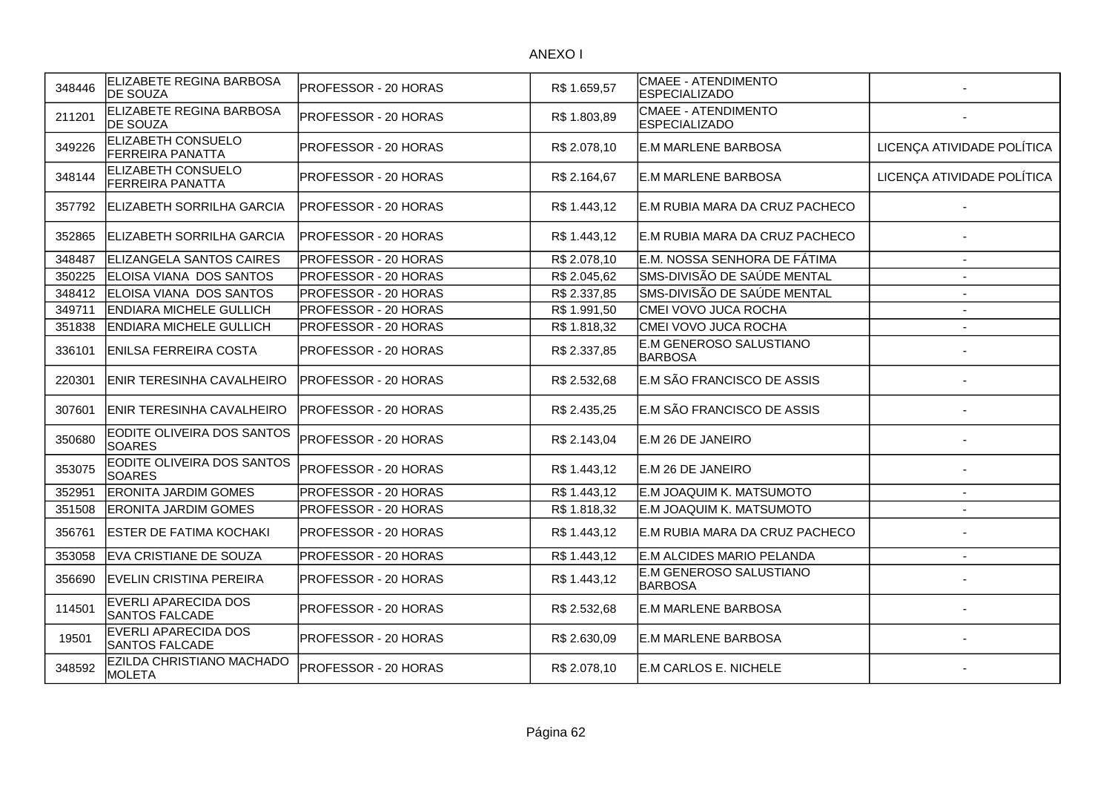| 348446 | ELIZABETE REGINA BARBOSA<br><b>DE SOUZA</b>   | PROFESSOR - 20 HORAS        | R\$ 1.659,57 | CMAEE - ATENDIMENTO<br><b>ESPECIALIZADO</b> |                            |
|--------|-----------------------------------------------|-----------------------------|--------------|---------------------------------------------|----------------------------|
| 211201 | ELIZABETE REGINA BARBOSA<br><b>DE SOUZA</b>   | PROFESSOR - 20 HORAS        | R\$ 1.803,89 | CMAEE - ATENDIMENTO<br><b>ESPECIALIZADO</b> |                            |
| 349226 | ELIZABETH CONSUELO<br><b>FERREIRA PANATTA</b> | PROFESSOR - 20 HORAS        | R\$ 2.078,10 | <b>E.M MARLENE BARBOSA</b>                  | LICENÇA ATIVIDADE POLÍTICA |
| 348144 | ELIZABETH CONSUELO<br><b>FERREIRA PANATTA</b> | PROFESSOR - 20 HORAS        | R\$ 2.164,67 | E.M MARLENE BARBOSA                         | LICENÇA ATIVIDADE POLÍTICA |
| 357792 | <b>ELIZABETH SORRILHA GARCIA</b>              | PROFESSOR - 20 HORAS        | R\$ 1.443,12 | E.M RUBIA MARA DA CRUZ PACHECO              |                            |
| 352865 | ELIZABETH SORRILHA GARCIA                     | PROFESSOR - 20 HORAS        | R\$ 1.443,12 | E.M RUBIA MARA DA CRUZ PACHECO              |                            |
| 348487 | ELIZANGELA SANTOS CAIRES                      | PROFESSOR - 20 HORAS        | R\$ 2.078,10 | E.M. NOSSA SENHORA DE FÁTIMA                |                            |
| 350225 | ELOISA VIANA DOS SANTOS                       | PROFESSOR - 20 HORAS        | R\$ 2.045,62 | SMS-DIVISÃO DE SAÚDE MENTAL                 |                            |
| 348412 | ELOISA VIANA DOS SANTOS                       | PROFESSOR - 20 HORAS        | R\$ 2.337,85 | SMS-DIVISÃO DE SAÚDE MENTAL                 |                            |
| 349711 | <b>ENDIARA MICHELE GULLICH</b>                | PROFESSOR - 20 HORAS        | R\$ 1.991,50 | CMEI VOVO JUCA ROCHA                        |                            |
| 351838 | <b>ENDIARA MICHELE GULLICH</b>                | PROFESSOR - 20 HORAS        | R\$ 1.818,32 | CMEI VOVO JUCA ROCHA                        |                            |
| 336101 | <b>ENILSA FERREIRA COSTA</b>                  | PROFESSOR - 20 HORAS        | R\$ 2.337,85 | E.M GENEROSO SALUSTIANO<br><b>BARBOSA</b>   |                            |
| 220301 | ENIR TERESINHA CAVALHEIRO                     | PROFESSOR - 20 HORAS        | R\$ 2.532,68 | E.M SÃO FRANCISCO DE ASSIS                  |                            |
| 307601 | <b>IENIR TERESINHA CAVALHEIRO</b>             | <b>PROFESSOR - 20 HORAS</b> | R\$ 2.435,25 | E.M SÃO FRANCISCO DE ASSIS                  |                            |
| 350680 | EODITE OLIVEIRA DOS SANTOS<br><b>SOARES</b>   | PROFESSOR - 20 HORAS        | R\$ 2.143,04 | E.M 26 DE JANEIRO                           |                            |
| 353075 | EODITE OLIVEIRA DOS SANTOS<br><b>SOARES</b>   | PROFESSOR - 20 HORAS        | R\$ 1.443,12 | E.M 26 DE JANEIRO                           |                            |
| 352951 | <b>ERONITA JARDIM GOMES</b>                   | PROFESSOR - 20 HORAS        | R\$ 1.443,12 | E.M JOAQUIM K. MATSUMOTO                    | $\overline{\phantom{a}}$   |
| 351508 | <b>ERONITA JARDIM GOMES</b>                   | PROFESSOR - 20 HORAS        | R\$ 1.818,32 | E.M JOAQUIM K. MATSUMOTO                    |                            |
| 356761 | <b>ESTER DE FATIMA KOCHAKI</b>                | PROFESSOR - 20 HORAS        | R\$ 1.443,12 | E.M RUBIA MARA DA CRUZ PACHECO              |                            |
| 353058 | <b>EVA CRISTIANE DE SOUZA</b>                 | PROFESSOR - 20 HORAS        | R\$ 1.443,12 | E.M ALCIDES MARIO PELANDA                   |                            |
| 356690 | <b>IEVELIN CRISTINA PEREIRA</b>               | PROFESSOR - 20 HORAS        | R\$1.443,12  | E.M GENEROSO SALUSTIANO<br>BARBOSA          |                            |
| 114501 | EVERLI APARECIDA DOS<br><b>SANTOS FALCADE</b> | PROFESSOR - 20 HORAS        | R\$ 2.532,68 | <b>E.M MARLENE BARBOSA</b>                  |                            |
| 19501  | EVERLI APARECIDA DOS<br><b>SANTOS FALCADE</b> | PROFESSOR - 20 HORAS        | R\$ 2.630,09 | E.M MARLENE BARBOSA                         |                            |
| 348592 | EZILDA CHRISTIANO MACHADO<br><b>MOLETA</b>    | PROFESSOR - 20 HORAS        | R\$ 2.078,10 | E.M CARLOS E. NICHELE                       |                            |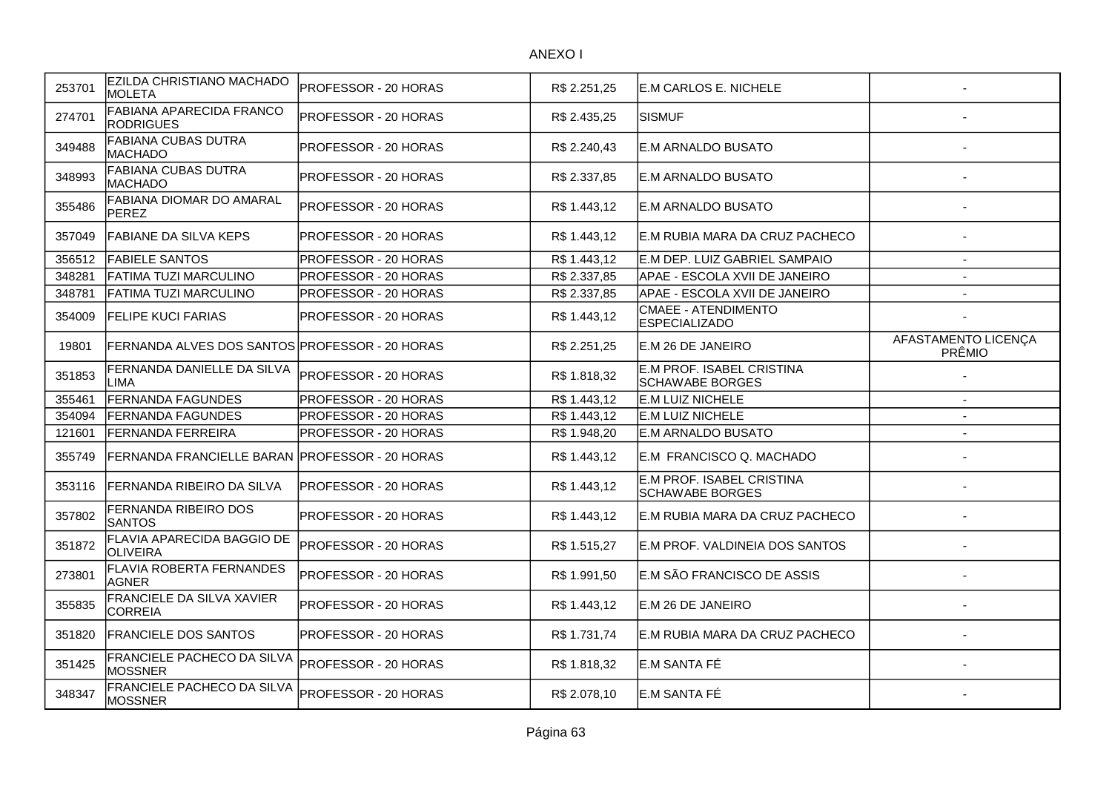| 253701 | <b>EZILDA CHRISTIANO MACHADO</b><br><b>MOLETA</b>  | PROFESSOR - 20 HORAS        | R\$ 2.251,25 | E.M CARLOS E. NICHELE                               |                               |
|--------|----------------------------------------------------|-----------------------------|--------------|-----------------------------------------------------|-------------------------------|
| 274701 | FABIANA APARECIDA FRANCO<br><b>RODRIGUES</b>       | <b>PROFESSOR - 20 HORAS</b> | R\$ 2.435,25 | <b>SISMUF</b>                                       |                               |
| 349488 | FABIANA CUBAS DUTRA<br><b>MACHADO</b>              | PROFESSOR - 20 HORAS        | R\$ 2.240,43 | IE.M ARNALDO BUSATO                                 |                               |
| 348993 | FABIANA CUBAS DUTRA<br>MACHADO                     | <b>PROFESSOR - 20 HORAS</b> | R\$ 2.337,85 | E.M ARNALDO BUSATO                                  |                               |
| 355486 | <b>FABIANA DIOMAR DO AMARAL</b><br><b>PEREZ</b>    | PROFESSOR - 20 HORAS        | R\$ 1.443,12 | E.M ARNALDO BUSATO                                  |                               |
| 357049 | FABIANE DA SILVA KEPS                              | PROFESSOR - 20 HORAS        | R\$ 1.443,12 | E.M RUBIA MARA DA CRUZ PACHECO                      |                               |
| 356512 | <b>FABIELE SANTOS</b>                              | <b>PROFESSOR - 20 HORAS</b> | R\$ 1.443,12 | E.M DEP. LUIZ GABRIEL SAMPAIO                       | $\overline{\phantom{a}}$      |
| 348281 | FATIMA TUZI MARCULINO                              | PROFESSOR - 20 HORAS        | R\$ 2.337,85 | APAE - ESCOLA XVII DE JANEIRO                       | $\overline{a}$                |
| 348781 | FATIMA TUZI MARCULINO                              | PROFESSOR - 20 HORAS        | R\$ 2.337,85 | APAE - ESCOLA XVII DE JANEIRO                       | ÷.                            |
| 354009 | <b>FELIPE KUCI FARIAS</b>                          | PROFESSOR - 20 HORAS        | R\$ 1.443,12 | <b>CMAEE - ATENDIMENTO</b><br><b>ESPECIALIZADO</b>  |                               |
| 19801  | FERNANDA ALVES DOS SANTOS PROFESSOR - 20 HORAS     |                             | R\$ 2.251,25 | E.M 26 DE JANEIRO                                   | AFASTAMENTO LICENÇA<br>PRÊMIO |
| 351853 | FERNANDA DANIELLE DA SILVA<br>LIMA                 | PROFESSOR - 20 HORAS        | R\$ 1.818,32 | E.M PROF. ISABEL CRISTINA<br>SCHAWABE BORGES        |                               |
| 355461 | <b>FERNANDA FAGUNDES</b>                           | PROFESSOR - 20 HORAS        | R\$ 1.443.12 | E.M LUIZ NICHELE                                    | $\sim$                        |
| 354094 | <b>FERNANDA FAGUNDES</b>                           | PROFESSOR - 20 HORAS        | R\$ 1.443,12 | E.M LUIZ NICHELE                                    | $\sim$                        |
| 121601 | <b>FERNANDA FERREIRA</b>                           | PROFESSOR - 20 HORAS        | R\$ 1.948,20 | E.M ARNALDO BUSATO                                  | $\overline{\phantom{a}}$      |
| 355749 | FERNANDA FRANCIELLE BARAN  PROFESSOR - 20 HORAS    |                             | R\$ 1.443,12 | E.M FRANCISCO Q. MACHADO                            |                               |
| 353116 | IFERNANDA RIBEIRO DA SILVA                         | IPROFESSOR - 20 HORAS       | R\$ 1.443,12 | E.M PROF. ISABEL CRISTINA<br><b>SCHAWABE BORGES</b> |                               |
| 357802 | <b>FERNANDA RIBEIRO DOS</b><br><b>SANTOS</b>       | PROFESSOR - 20 HORAS        | R\$ 1.443,12 | E.M RUBIA MARA DA CRUZ PACHECO                      |                               |
| 351872 | <b>FLAVIA APARECIDA BAGGIO DE</b><br>OLIVEIRA      | PROFESSOR - 20 HORAS        | R\$ 1.515,27 | E.M PROF. VALDINEIA DOS SANTOS                      |                               |
| 273801 | <b>FLAVIA ROBERTA FERNANDES</b><br><b>AGNER</b>    | PROFESSOR - 20 HORAS        | R\$ 1.991,50 | E.M SÃO FRANCISCO DE ASSIS                          |                               |
| 355835 | <b>FRANCIELE DA SILVA XAVIER</b><br><b>CORREIA</b> | PROFESSOR - 20 HORAS        | R\$ 1.443,12 | E.M 26 DE JANEIRO                                   |                               |
| 351820 | <b>FRANCIELE DOS SANTOS</b>                        | PROFESSOR - 20 HORAS        | R\$1.731,74  | E.M RUBIA MARA DA CRUZ PACHECO                      |                               |
| 351425 | <b>FRANCIELE PACHECO DA SILVA</b><br>MOSSNER       | PROFESSOR - 20 HORAS        | R\$ 1.818,32 | E.M SANTA FÉ                                        |                               |
| 348347 | FRANCIELE PACHECO DA SILVA<br>MOSSNER              | PROFESSOR - 20 HORAS        | R\$ 2.078,10 | E.M SANTA FÉ                                        |                               |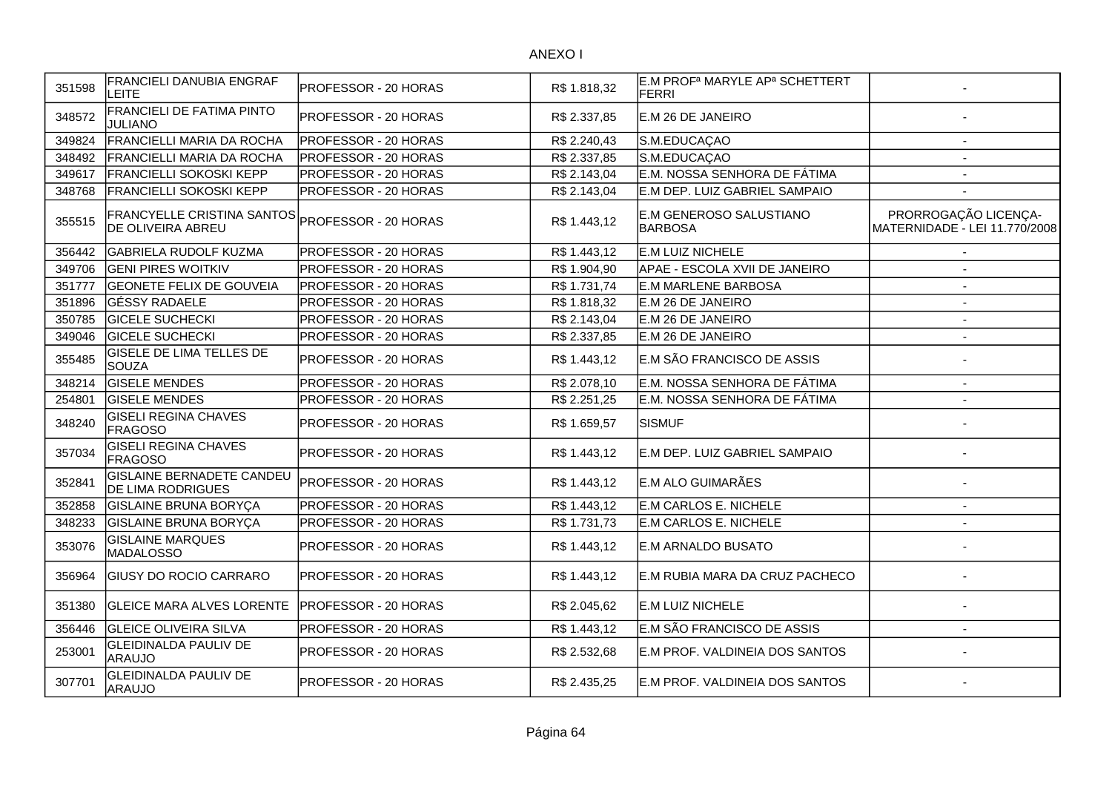| 351598 | <b>FRANCIELI DANUBIA ENGRAF</b><br>LEITE                                    | IPROFESSOR - 20 HORAS       | R\$ 1.818,32 | E.M PROF <sup>a</sup> MARYLE AP <sup>a</sup> SCHETTERT<br><b>FERRI</b> |                                                       |
|--------|-----------------------------------------------------------------------------|-----------------------------|--------------|------------------------------------------------------------------------|-------------------------------------------------------|
| 348572 | <b>FRANCIELI DE FATIMA PINTO</b><br><b>JULIANO</b>                          | <b>PROFESSOR - 20 HORAS</b> | R\$ 2.337,85 | E.M 26 DE JANEIRO                                                      |                                                       |
| 349824 | FRANCIELLI MARIA DA ROCHA                                                   | <b>PROFESSOR - 20 HORAS</b> | R\$ 2.240,43 | S.M.EDUCAÇAO                                                           | $\overline{\phantom{a}}$                              |
| 348492 | FRANCIELLI MARIA DA ROCHA                                                   | <b>PROFESSOR - 20 HORAS</b> | R\$ 2.337,85 | S.M.EDUCAÇAO                                                           | $\overline{\phantom{a}}$                              |
| 349617 | <b>FRANCIELLI SOKOSKI KEPP</b>                                              | <b>PROFESSOR - 20 HORAS</b> | R\$ 2.143,04 | E.M. NOSSA SENHORA DE FÁTIMA                                           | $\overline{\phantom{a}}$                              |
| 348768 | <b>FRANCIELLI SOKOSKI KEPP</b>                                              | PROFESSOR - 20 HORAS        | R\$ 2.143,04 | E.M DEP. LUIZ GABRIEL SAMPAIO                                          | $\overline{\phantom{a}}$                              |
| 355515 | FRANCYELLE CRISTINA SANTOS PROFESSOR - 20 HORAS<br><b>DE OLIVEIRA ABREU</b> |                             | R\$ 1.443,12 | E.M GENEROSO SALUSTIANO<br><b>BARBOSA</b>                              | PRORROGAÇÃO LICENÇA-<br>MATERNIDADE - LEI 11.770/2008 |
| 356442 | <b>GABRIELA RUDOLF KUZMA</b>                                                | <b>PROFESSOR - 20 HORAS</b> | R\$1.443,12  | E.M LUIZ NICHELE                                                       |                                                       |
| 349706 | <b>GENI PIRES WOITKIV</b>                                                   | PROFESSOR - 20 HORAS        | R\$1.904,90  | APAE - ESCOLA XVII DE JANEIRO                                          | $\blacksquare$                                        |
| 351777 | <b>GEONETE FELIX DE GOUVEIA</b>                                             | PROFESSOR - 20 HORAS        | R\$1.731,74  | <b>E.M MARLENE BARBOSA</b>                                             | $\blacksquare$                                        |
| 351896 | <b>GÉSSY RADAELE</b>                                                        | <b>PROFESSOR - 20 HORAS</b> | R\$1.818,32  | E.M 26 DE JANEIRO                                                      | $\blacksquare$                                        |
| 350785 | <b>GICELE SUCHECKI</b>                                                      | PROFESSOR - 20 HORAS        | R\$ 2.143,04 | E.M 26 DE JANEIRO                                                      |                                                       |
| 349046 | <b>GICELE SUCHECKI</b>                                                      | PROFESSOR - 20 HORAS        | R\$ 2.337,85 | E.M 26 DE JANEIRO                                                      | $\overline{a}$                                        |
| 355485 | <b>GISELE DE LIMA TELLES DE</b><br><b>SOUZA</b>                             | PROFESSOR - 20 HORAS        | R\$ 1.443,12 | E.M SÃO FRANCISCO DE ASSIS                                             | $\overline{\phantom{a}}$                              |
| 348214 | <b>GISELE MENDES</b>                                                        | PROFESSOR - 20 HORAS        | R\$ 2.078,10 | E.M. NOSSA SENHORA DE FÁTIMA                                           | $\overline{\phantom{a}}$                              |
| 254801 | <b>GISELE MENDES</b>                                                        | PROFESSOR - 20 HORAS        | R\$ 2.251,25 | E.M. NOSSA SENHORA DE FÁTIMA                                           | $\overline{\phantom{a}}$                              |
| 348240 | <b>GISELI REGINA CHAVES</b><br><b>FRAGOSO</b>                               | PROFESSOR - 20 HORAS        | R\$ 1.659,57 | <b>SISMUF</b>                                                          |                                                       |
| 357034 | <b>GISELI REGINA CHAVES</b><br><b>FRAGOSO</b>                               | <b>PROFESSOR - 20 HORAS</b> | R\$ 1.443,12 | E.M DEP. LUIZ GABRIEL SAMPAIO                                          |                                                       |
| 352841 | <b>GISLAINE BERNADETE CANDEU</b><br><b>DE LIMA RODRIGUES</b>                | <b>PROFESSOR - 20 HORAS</b> | R\$ 1.443,12 | E.M ALO GUIMARÃES                                                      |                                                       |
| 352858 | <b>GISLAINE BRUNA BORYÇA</b>                                                | PROFESSOR - 20 HORAS        | R\$ 1.443,12 | E.M CARLOS E. NICHELE                                                  |                                                       |
| 348233 | <b>GISLAINE BRUNA BORYÇA</b>                                                | PROFESSOR - 20 HORAS        | R\$ 1.731,73 | E.M CARLOS E. NICHELE                                                  | $\overline{\phantom{a}}$                              |
| 353076 | <b>GISLAINE MARQUES</b><br>MADALOSSO                                        | PROFESSOR - 20 HORAS        | R\$ 1.443,12 | E.M ARNALDO BUSATO                                                     |                                                       |
| 356964 | <b>GIUSY DO ROCIO CARRARO</b>                                               | <b>PROFESSOR - 20 HORAS</b> | R\$1.443,12  | E.M RUBIA MARA DA CRUZ PACHECO                                         |                                                       |
| 351380 | <b>GLEICE MARA ALVES LORENTE</b>                                            | <b>PROFESSOR - 20 HORAS</b> | R\$ 2.045,62 | E.M LUIZ NICHELE                                                       |                                                       |
| 356446 | <b>GLEICE OLIVEIRA SILVA</b>                                                | PROFESSOR - 20 HORAS        | R\$ 1.443,12 | E.M SÃO FRANCISCO DE ASSIS                                             | $\blacksquare$                                        |
| 253001 | <b>GLEIDINALDA PAULIV DE</b><br>ARAUJO                                      | PROFESSOR - 20 HORAS        | R\$ 2.532,68 | E.M PROF. VALDINEIA DOS SANTOS                                         |                                                       |
| 307701 | <b>GLEIDINALDA PAULIV DE</b><br>ARAUJO                                      | PROFESSOR - 20 HORAS        | R\$ 2.435,25 | E.M PROF. VALDINEIA DOS SANTOS                                         |                                                       |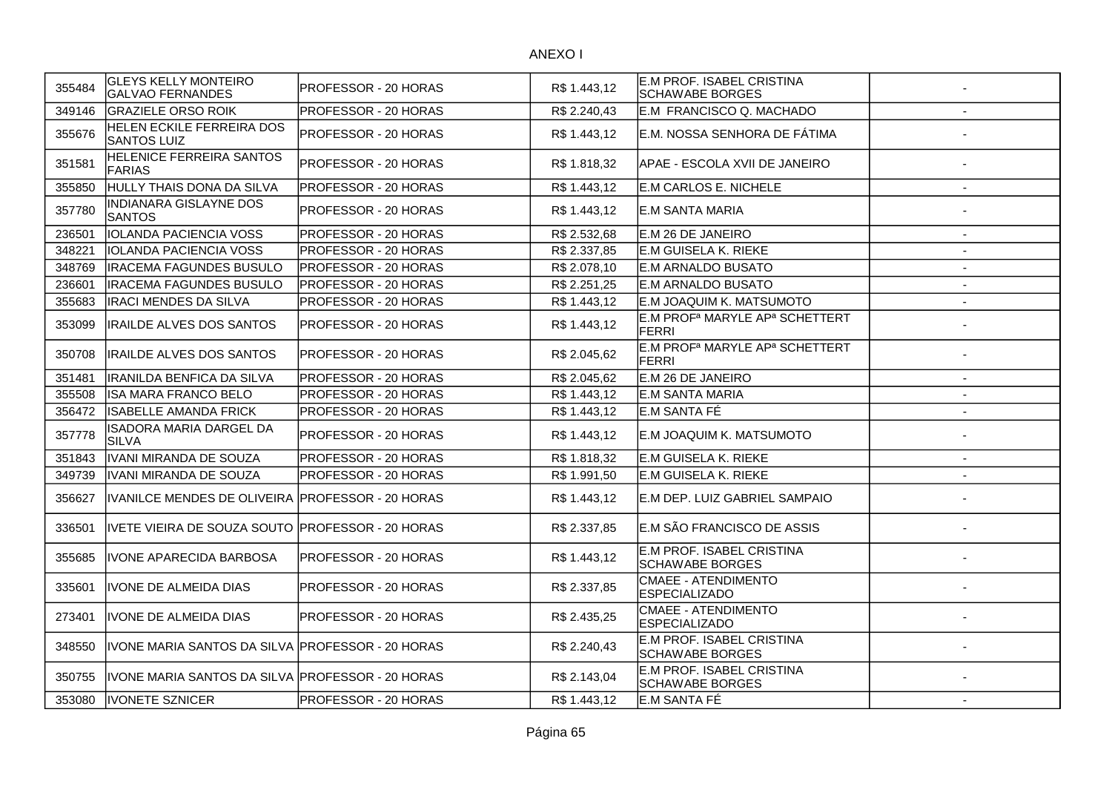| 355484 | <b>GLEYS KELLY MONTEIRO</b><br><b>GALVAO FERNANDES</b> | PROFESSOR - 20 HORAS | R\$ 1.443,12 | E.M PROF. ISABEL CRISTINA<br><b>SCHAWABE BORGES</b>                    |                          |
|--------|--------------------------------------------------------|----------------------|--------------|------------------------------------------------------------------------|--------------------------|
| 349146 | <b>GRAZIELE ORSO ROIK</b>                              | PROFESSOR - 20 HORAS | R\$ 2.240,43 | E.M FRANCISCO Q. MACHADO                                               | $\overline{a}$           |
| 355676 | <b>HELEN ECKILE FERREIRA DOS</b><br><b>SANTOS LUIZ</b> | PROFESSOR - 20 HORAS | R\$ 1.443,12 | E.M. NOSSA SENHORA DE FÁTIMA                                           |                          |
| 351581 | <b>HELENICE FERREIRA SANTOS</b><br>FARIAS              | PROFESSOR - 20 HORAS | R\$ 1.818,32 | APAE - ESCOLA XVII DE JANEIRO                                          |                          |
| 355850 | HULLY THAIS DONA DA SILVA                              | PROFESSOR - 20 HORAS | R\$ 1.443,12 | E.M CARLOS E. NICHELE                                                  | $\overline{\phantom{a}}$ |
| 357780 | <b>INDIANARA GISLAYNE DOS</b><br><b>SANTOS</b>         | PROFESSOR - 20 HORAS | R\$ 1.443,12 | E.M SANTA MARIA                                                        |                          |
| 236501 | IOLANDA PACIENCIA VOSS                                 | PROFESSOR - 20 HORAS | R\$ 2.532,68 | E.M 26 DE JANEIRO                                                      | $\blacksquare$           |
| 348221 | <b>IOLANDA PACIENCIA VOSS</b>                          | PROFESSOR - 20 HORAS | R\$ 2.337,85 | E.M GUISELA K. RIEKE                                                   | $\blacksquare$           |
| 348769 | <b>IRACEMA FAGUNDES BUSULO</b>                         | PROFESSOR - 20 HORAS | R\$ 2.078,10 | E.M ARNALDO BUSATO                                                     | $\sim$                   |
| 236601 | <b>IRACEMA FAGUNDES BUSULO</b>                         | PROFESSOR - 20 HORAS | R\$ 2.251,25 | E.M ARNALDO BUSATO                                                     | $\overline{\phantom{a}}$ |
| 355683 | <b>IRACI MENDES DA SILVA</b>                           | PROFESSOR - 20 HORAS | R\$ 1.443,12 | E.M JOAQUIM K. MATSUMOTO                                               | $\sim$                   |
| 353099 | <b>IRAILDE ALVES DOS SANTOS</b>                        | PROFESSOR - 20 HORAS | R\$ 1.443,12 | E.M PROF <sup>a</sup> MARYLE AP <sup>a</sup> SCHETTERT<br><b>FERRI</b> |                          |
| 350708 | <b>IRAILDE ALVES DOS SANTOS</b>                        | PROFESSOR - 20 HORAS | R\$ 2.045,62 | E.M PROF <sup>a</sup> MARYLE AP <sup>a</sup> SCHETTERT<br><b>FERRI</b> |                          |
| 351481 | <b>IRANILDA BENFICA DA SILVA</b>                       | PROFESSOR - 20 HORAS | R\$ 2.045,62 | E.M 26 DE JANEIRO                                                      | $\blacksquare$           |
| 355508 | <b>ISA MARA FRANCO BELO</b>                            | PROFESSOR - 20 HORAS | R\$ 1.443,12 | E.M SANTA MARIA                                                        | $\overline{\phantom{a}}$ |
| 356472 | <b>ISABELLE AMANDA FRICK</b>                           | PROFESSOR - 20 HORAS | R\$ 1.443,12 | E.M SANTA FÉ                                                           | $\overline{\phantom{a}}$ |
| 357778 | ISADORA MARIA DARGEL DA<br><b>SILVA</b>                | PROFESSOR - 20 HORAS | R\$ 1.443,12 | E.M JOAQUIM K. MATSUMOTO                                               |                          |
| 351843 | IVANI MIRANDA DE SOUZA                                 | PROFESSOR - 20 HORAS | R\$ 1.818,32 | E.M GUISELA K. RIEKE                                                   | $\overline{\phantom{a}}$ |
| 349739 | IVANI MIRANDA DE SOUZA                                 | PROFESSOR - 20 HORAS | R\$ 1.991,50 | <b>E.M GUISELA K. RIEKE</b>                                            | $\overline{\phantom{a}}$ |
| 356627 | IVANILCE MENDES DE OLIVEIRA PROFESSOR - 20 HORAS       |                      | R\$ 1.443,12 | E.M DEP. LUIZ GABRIEL SAMPAIO                                          | ٠                        |
| 336501 | IVETE VIEIRA DE SOUZA SOUTO PROFESSOR - 20 HORAS       |                      | R\$ 2.337,85 | E.M SÃO FRANCISCO DE ASSIS                                             |                          |
| 355685 | <b>IVONE APARECIDA BARBOSA</b>                         | PROFESSOR - 20 HORAS | R\$1.443,12  | E.M PROF. ISABEL CRISTINA<br><b>SCHAWABE BORGES</b>                    |                          |
| 335601 | <b>IVONE DE ALMEIDA DIAS</b>                           | PROFESSOR - 20 HORAS | R\$ 2.337,85 | <b>CMAEE - ATENDIMENTO</b><br><b>ESPECIALIZADO</b>                     |                          |
| 273401 | <b>IVONE DE ALMEIDA DIAS</b>                           | PROFESSOR - 20 HORAS | R\$ 2.435,25 | <b>CMAEE - ATENDIMENTO</b><br><b>ESPECIALIZADO</b>                     |                          |
| 348550 | IVONE MARIA SANTOS DA SILVA PROFESSOR - 20 HORAS       |                      | R\$ 2.240,43 | E.M PROF. ISABEL CRISTINA<br><b>SCHAWABE BORGES</b>                    |                          |
| 350755 | IVONE MARIA SANTOS DA SILVA PROFESSOR - 20 HORAS       |                      | R\$ 2.143,04 | E.M PROF. ISABEL CRISTINA<br><b>SCHAWABE BORGES</b>                    |                          |
| 353080 | <b>IVONETE SZNICER</b>                                 | PROFESSOR - 20 HORAS | R\$1.443,12  | E.M SANTA FÉ                                                           |                          |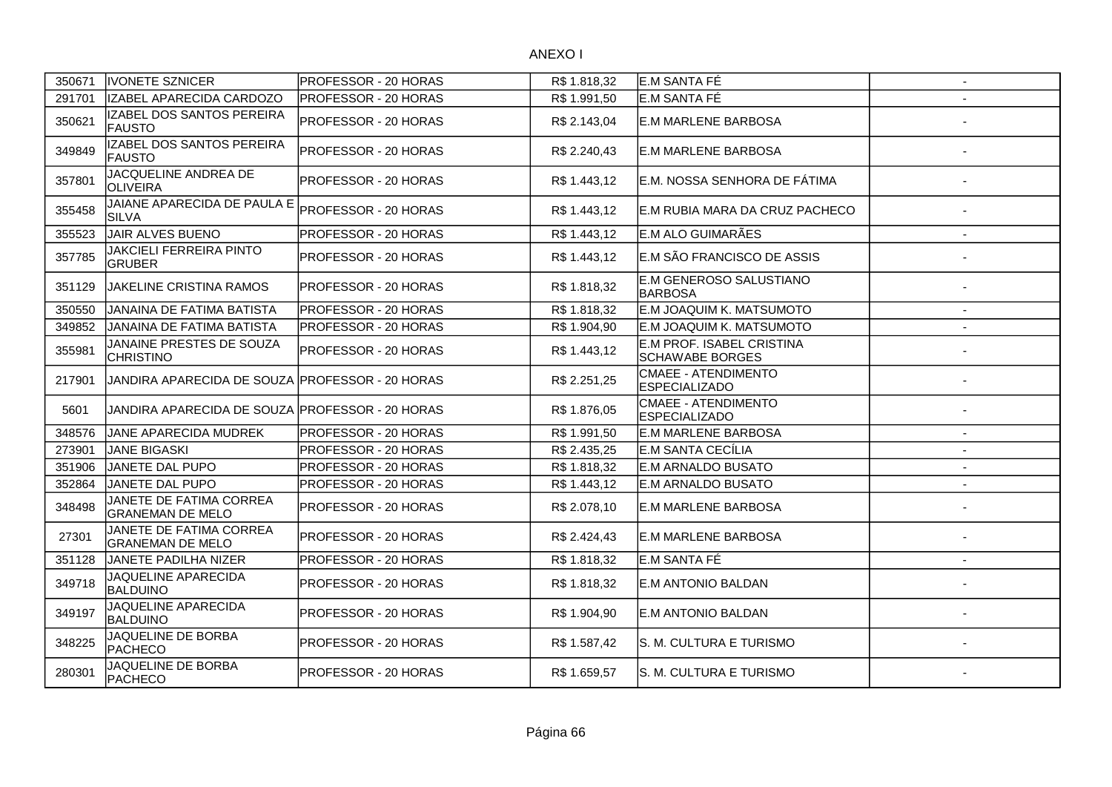| 350671 | <b>IVONETE SZNICER</b>                             | PROFESSOR - 20 HORAS        | R\$1.818,32  | E.M SANTA FÉ                                        | $\overline{\phantom{a}}$ |
|--------|----------------------------------------------------|-----------------------------|--------------|-----------------------------------------------------|--------------------------|
| 291701 | IZABEL APARECIDA CARDOZO                           | PROFESSOR - 20 HORAS        | R\$ 1.991,50 | E.M SANTA FÉ                                        |                          |
| 350621 | IZABEL DOS SANTOS PEREIRA<br><b>FAUSTO</b>         | PROFESSOR - 20 HORAS        | R\$ 2.143,04 | <b>E.M MARLENE BARBOSA</b>                          |                          |
| 349849 | IZABEL DOS SANTOS PEREIRA<br><b>FAUSTO</b>         | PROFESSOR - 20 HORAS        | R\$ 2.240,43 | <b>IE.M MARLENE BARBOSA</b>                         |                          |
| 357801 | JACQUELINE ANDREA DE<br><b>OLIVEIRA</b>            | PROFESSOR - 20 HORAS        | R\$ 1.443,12 | E.M. NOSSA SENHORA DE FÁTIMA                        |                          |
| 355458 | JAIANE APARECIDA DE PAULA E<br><b>SILVA</b>        | PROFESSOR - 20 HORAS        | R\$ 1.443,12 | E.M RUBIA MARA DA CRUZ PACHECO                      |                          |
| 355523 | JAIR ALVES BUENO                                   | PROFESSOR - 20 HORAS        | R\$ 1.443,12 | E.M ALO GUIMARÃES                                   |                          |
| 357785 | <b>JAKCIELI FERREIRA PINTO</b><br><b>GRUBER</b>    | PROFESSOR - 20 HORAS        | R\$ 1.443,12 | E.M SÃO FRANCISCO DE ASSIS                          |                          |
| 351129 | JAKELINE CRISTINA RAMOS                            | PROFESSOR - 20 HORAS        | R\$ 1.818,32 | <b>E.M GENEROSO SALUSTIANO</b><br>BARBOSA           |                          |
| 350550 | JANAINA DE FATIMA BATISTA                          | PROFESSOR - 20 HORAS        | R\$ 1.818,32 | E.M JOAQUIM K. MATSUMOTO                            | $\overline{a}$           |
| 349852 | JANAINA DE FATIMA BATISTA                          | PROFESSOR - 20 HORAS        | R\$ 1.904,90 | E.M JOAQUIM K. MATSUMOTO                            | $\blacksquare$           |
| 355981 | JANAINE PRESTES DE SOUZA<br><b>CHRISTINO</b>       | PROFESSOR - 20 HORAS        | R\$ 1.443,12 | E.M PROF. ISABEL CRISTINA<br><b>SCHAWABE BORGES</b> |                          |
| 217901 | JANDIRA APARECIDA DE SOUZA PROFESSOR - 20 HORAS    |                             | R\$ 2.251,25 | CMAEE - ATENDIMENTO<br><b>ESPECIALIZADO</b>         |                          |
| 5601   | JANDIRA APARECIDA DE SOUZA PROFESSOR - 20 HORAS    |                             | R\$ 1.876,05 | <b>CMAEE - ATENDIMENTO</b><br><b>ESPECIALIZADO</b>  |                          |
| 348576 | JANE APARECIDA MUDREK                              | PROFESSOR - 20 HORAS        | R\$ 1.991,50 | <b>E.M MARLENE BARBOSA</b>                          |                          |
| 273901 | JANE BIGASKI                                       | PROFESSOR - 20 HORAS        | R\$ 2.435,25 | E.M SANTA CECÍLIA                                   |                          |
| 351906 | JANETE DAL PUPO                                    | PROFESSOR - 20 HORAS        | R\$ 1.818,32 | E.M ARNALDO BUSATO                                  |                          |
| 352864 | JANETE DAL PUPO                                    | PROFESSOR - 20 HORAS        | R\$ 1.443,12 | E.M ARNALDO BUSATO                                  | $\overline{a}$           |
| 348498 | JANETE DE FATIMA CORREA<br><b>GRANEMAN DE MELO</b> | <b>PROFESSOR - 20 HORAS</b> | R\$ 2.078,10 | <b>IE.M MARLENE BARBOSA</b>                         |                          |
| 27301  | JANETE DE FATIMA CORREA<br><b>GRANEMAN DE MELO</b> | PROFESSOR - 20 HORAS        | R\$ 2.424,43 | <b>E.M MARLENE BARBOSA</b>                          |                          |
| 351128 | JANETE PADILHA NIZER                               | PROFESSOR - 20 HORAS        | R\$ 1.818,32 | E.M SANTA FÉ                                        |                          |
| 349718 | JAQUELINE APARECIDA<br><b>BALDUINO</b>             | PROFESSOR - 20 HORAS        | R\$ 1.818,32 | <b>E.M ANTONIO BALDAN</b>                           |                          |
| 349197 | JAQUELINE APARECIDA<br>BALDUINO                    | PROFESSOR - 20 HORAS        | R\$ 1.904,90 | E.M ANTONIO BALDAN                                  |                          |
| 348225 | JAQUELINE DE BORBA<br><b>PACHECO</b>               | PROFESSOR - 20 HORAS        | R\$ 1.587,42 | S. M. CULTURA E TURISMO                             |                          |
| 280301 | JAQUELINE DE BORBA<br><b>PACHECO</b>               | PROFESSOR - 20 HORAS        | R\$ 1.659,57 | S. M. CULTURA E TURISMO                             |                          |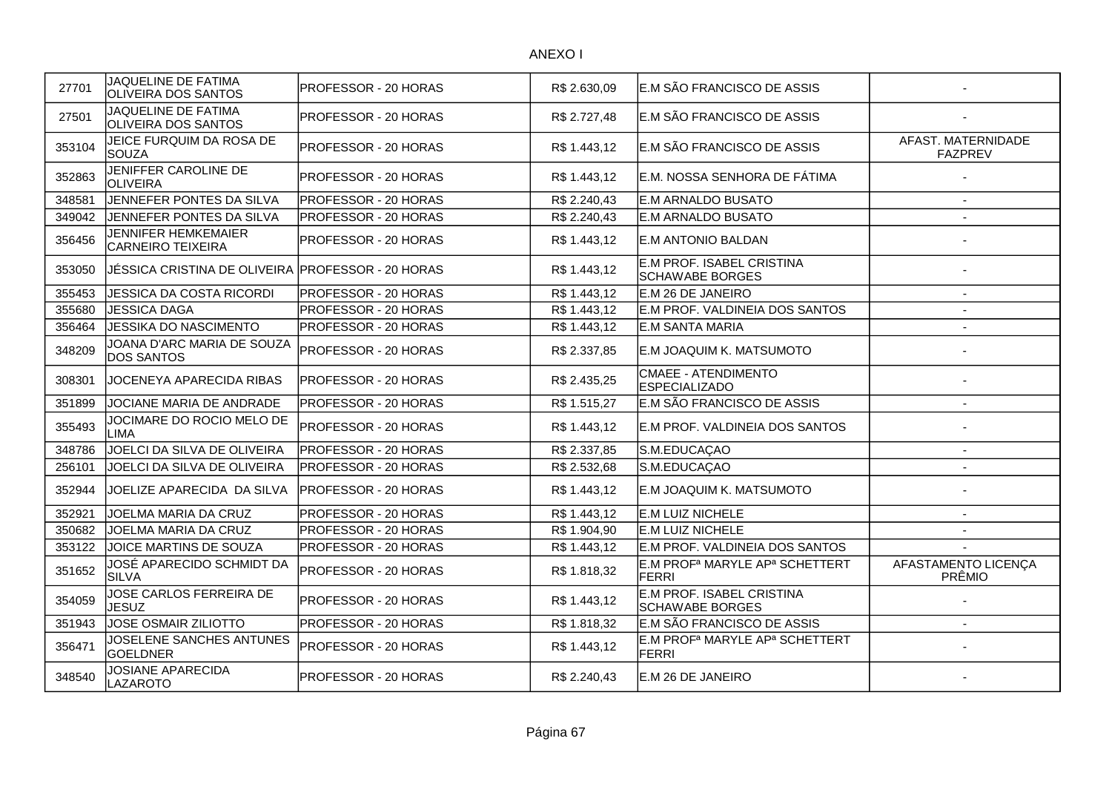| 27701  | JAQUELINE DE FATIMA<br>OLIVEIRA DOS SANTOS             | PROFESSOR - 20 HORAS | R\$ 2.630,09 | E.M SÃO FRANCISCO DE ASSIS                                             |                                      |
|--------|--------------------------------------------------------|----------------------|--------------|------------------------------------------------------------------------|--------------------------------------|
| 27501  | JAQUELINE DE FATIMA<br>OLIVEIRA DOS SANTOS             | PROFESSOR - 20 HORAS | R\$ 2.727,48 | E.M SÃO FRANCISCO DE ASSIS                                             |                                      |
| 353104 | JEICE FURQUIM DA ROSA DE<br><b>SOUZA</b>               | PROFESSOR - 20 HORAS | R\$ 1.443,12 | E.M SÃO FRANCISCO DE ASSIS                                             | AFAST. MATERNIDADE<br><b>FAZPREV</b> |
| 352863 | JENIFFER CAROLINE DE<br><b>OLIVEIRA</b>                | PROFESSOR - 20 HORAS | R\$ 1.443,12 | E.M. NOSSA SENHORA DE FÁTIMA                                           |                                      |
| 348581 | JENNEFER PONTES DA SILVA                               | PROFESSOR - 20 HORAS | R\$ 2.240,43 | <b>E.M ARNALDO BUSATO</b>                                              |                                      |
| 349042 | JENNEFER PONTES DA SILVA                               | PROFESSOR - 20 HORAS | R\$ 2.240,43 | <b>E.M ARNALDO BUSATO</b>                                              |                                      |
| 356456 | <b>JENNIFER HEMKEMAIER</b><br><b>CARNEIRO TEIXEIRA</b> | PROFESSOR - 20 HORAS | R\$ 1.443,12 | <b>E.M ANTONIO BALDAN</b>                                              |                                      |
| 353050 | JÉSSICA CRISTINA DE OLIVEIRA PROFESSOR - 20 HORAS      |                      | R\$ 1.443,12 | E.M PROF. ISABEL CRISTINA<br><b>SCHAWABE BORGES</b>                    |                                      |
| 355453 | JESSICA DA COSTA RICORDI                               | PROFESSOR - 20 HORAS | R\$ 1.443,12 | E.M 26 DE JANEIRO                                                      |                                      |
| 355680 | JESSICA DAGA                                           | PROFESSOR - 20 HORAS | R\$ 1.443,12 | E.M PROF. VALDINEIA DOS SANTOS                                         |                                      |
| 356464 | JESSIKA DO NASCIMENTO                                  | PROFESSOR - 20 HORAS | R\$ 1.443,12 | E.M SANTA MARIA                                                        | $\blacksquare$                       |
| 348209 | JOANA D'ARC MARIA DE SOUZA<br><b>DOS SANTOS</b>        | PROFESSOR - 20 HORAS | R\$ 2.337,85 | E.M JOAQUIM K. MATSUMOTO                                               |                                      |
| 308301 | JOCENEYA APARECIDA RIBAS                               | PROFESSOR - 20 HORAS | R\$ 2.435,25 | CMAEE - ATENDIMENTO<br><b>ESPECIALIZADO</b>                            |                                      |
| 351899 | JOCIANE MARIA DE ANDRADE                               | PROFESSOR - 20 HORAS | R\$1.515,27  | E.M SÃO FRANCISCO DE ASSIS                                             |                                      |
| 355493 | JOCIMARE DO ROCIO MELO DE<br>LIMA                      | PROFESSOR - 20 HORAS | R\$ 1.443,12 | E.M PROF. VALDINEIA DOS SANTOS                                         |                                      |
| 348786 | JOELCI DA SILVA DE OLIVEIRA                            | PROFESSOR - 20 HORAS | R\$ 2.337,85 | S.M.EDUCAÇAO                                                           | $\blacksquare$                       |
| 256101 | JOELCI DA SILVA DE OLIVEIRA                            | PROFESSOR - 20 HORAS | R\$ 2.532,68 | S.M.EDUCAÇAO                                                           | $\overline{a}$                       |
| 352944 | JOELIZE APARECIDA DA SILVA                             | PROFESSOR - 20 HORAS | R\$ 1.443,12 | E.M JOAQUIM K. MATSUMOTO                                               |                                      |
| 352921 | JOELMA MARIA DA CRUZ                                   | PROFESSOR - 20 HORAS | R\$1.443,12  | E.M LUIZ NICHELE                                                       | $\overline{a}$                       |
| 350682 | JOELMA MARIA DA CRUZ                                   | PROFESSOR - 20 HORAS | R\$ 1.904,90 | E.M LUIZ NICHELE                                                       | $\overline{\phantom{a}}$             |
| 353122 | JOICE MARTINS DE SOUZA                                 | PROFESSOR - 20 HORAS | R\$1.443,12  | E.M PROF. VALDINEIA DOS SANTOS                                         |                                      |
| 351652 | JOSÉ APARECIDO SCHMIDT DA<br><b>SILVA</b>              | PROFESSOR - 20 HORAS | R\$ 1.818,32 | E.M PROF <sup>a</sup> MARYLE AP <sup>a</sup> SCHETTERT<br><b>FERRI</b> | AFASTAMENTO LICENÇA<br>PRÊMIO        |
| 354059 | JOSE CARLOS FERREIRA DE<br>JESUZ                       | PROFESSOR - 20 HORAS | R\$ 1.443,12 | E.M PROF. ISABEL CRISTINA<br><b>SCHAWABE BORGES</b>                    |                                      |
| 351943 | <b>JOSE OSMAIR ZILIOTTO</b>                            | PROFESSOR - 20 HORAS | R\$ 1.818,32 | E.M SÃO FRANCISCO DE ASSIS                                             | $\blacksquare$                       |
| 356471 | JOSELENE SANCHES ANTUNES<br><b>GOELDNER</b>            | PROFESSOR - 20 HORAS | R\$ 1.443,12 | E.M PROF <sup>a</sup> MARYLE AP <sup>a</sup> SCHETTERT<br><b>FERRI</b> |                                      |
| 348540 | JOSIANE APARECIDA<br>LAZAROTO                          | PROFESSOR - 20 HORAS | R\$ 2.240,43 | E.M 26 DE JANEIRO                                                      |                                      |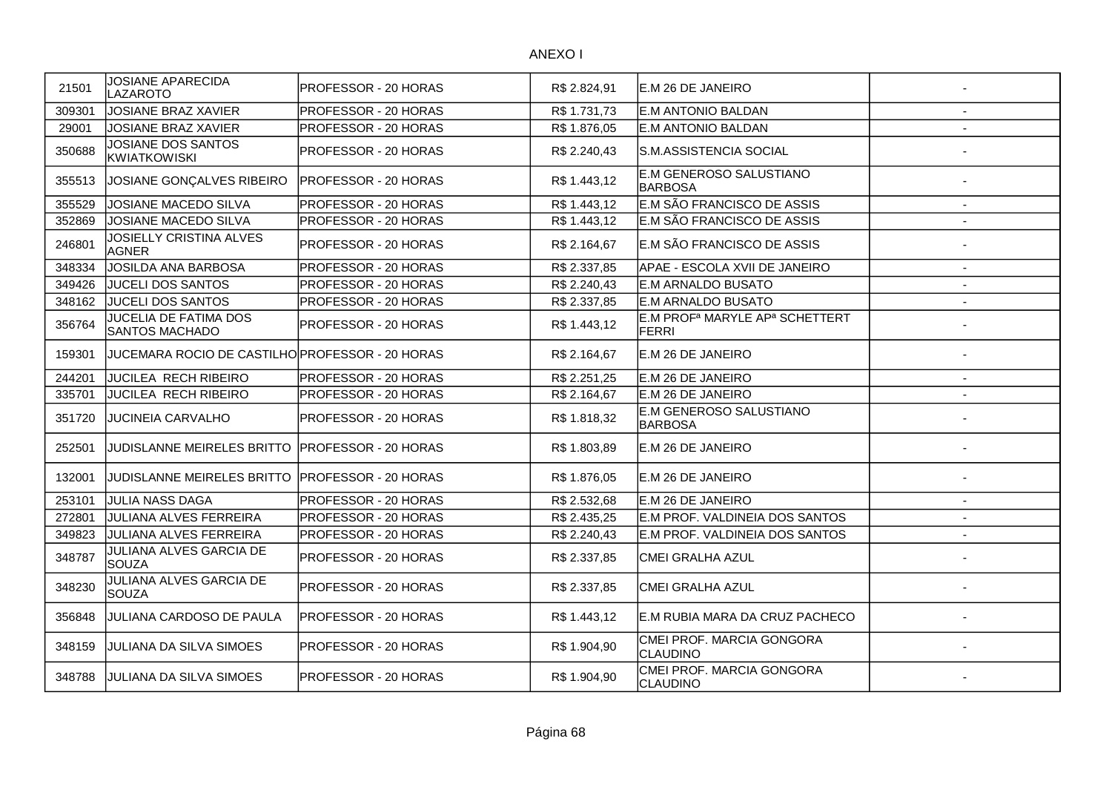| 21501  | <b>JOSIANE APARECIDA</b><br>LAZAROTO            | PROFESSOR - 20 HORAS        | R\$ 2.824,91 | E.M 26 DE JANEIRO                                               |                          |
|--------|-------------------------------------------------|-----------------------------|--------------|-----------------------------------------------------------------|--------------------------|
| 309301 | <b>JOSIANE BRAZ XAVIER</b>                      | <b>PROFESSOR - 20 HORAS</b> | R\$ 1.731,73 | E.M ANTONIO BALDAN                                              |                          |
| 29001  | JOSIANE BRAZ XAVIER                             | PROFESSOR - 20 HORAS        | R\$1.876,05  | E.M ANTONIO BALDAN                                              |                          |
| 350688 | JOSIANE DOS SANTOS<br><b>KWIATKOWISKI</b>       | PROFESSOR - 20 HORAS        | R\$ 2.240,43 | S.M.ASSISTENCIA SOCIAL                                          |                          |
| 355513 | JOSIANE GONÇALVES RIBEIRO                       | PROFESSOR - 20 HORAS        | R\$1.443,12  | E.M GENEROSO SALUSTIANO<br><b>BARBOSA</b>                       |                          |
| 355529 | JOSIANE MACEDO SILVA                            | PROFESSOR - 20 HORAS        | R\$1.443,12  | E.M SÃO FRANCISCO DE ASSIS                                      | $\overline{\phantom{a}}$ |
| 352869 | JOSIANE MACEDO SILVA                            | PROFESSOR - 20 HORAS        | R\$ 1.443,12 | E.M SÃO FRANCISCO DE ASSIS                                      |                          |
| 246801 | <b>JOSIELLY CRISTINA ALVES</b><br><b>AGNER</b>  | PROFESSOR - 20 HORAS        | R\$ 2.164,67 | E.M SÃO FRANCISCO DE ASSIS                                      |                          |
| 348334 | JOSILDA ANA BARBOSA                             | PROFESSOR - 20 HORAS        | R\$ 2.337,85 | APAE - ESCOLA XVII DE JANEIRO                                   | $\blacksquare$           |
| 349426 | <b>JUCELI DOS SANTOS</b>                        | PROFESSOR - 20 HORAS        | R\$ 2.240,43 | E.M ARNALDO BUSATO                                              | $\blacksquare$           |
| 348162 | JUCELI DOS SANTOS                               | PROFESSOR - 20 HORAS        | R\$ 2.337,85 | E.M ARNALDO BUSATO                                              | $\overline{\phantom{a}}$ |
| 356764 | JUCELIA DE FATIMA DOS<br>SANTOS MACHADO         | PROFESSOR - 20 HORAS        | R\$ 1.443,12 | E.M PROF <sup>a</sup> MARYLE AP <sup>a</sup> SCHETTERT<br>FERRI |                          |
| 159301 | JUCEMARA ROCIO DE CASTILHO PROFESSOR - 20 HORAS |                             | R\$ 2.164,67 | E.M 26 DE JANEIRO                                               |                          |
| 244201 | JUCILEA RECH RIBEIRO                            | PROFESSOR - 20 HORAS        | R\$ 2.251,25 | E.M 26 DE JANEIRO                                               | $\overline{a}$           |
| 335701 | JUCILEA RECH RIBEIRO                            | PROFESSOR - 20 HORAS        | R\$ 2.164,67 | E.M 26 DE JANEIRO                                               |                          |
| 351720 | <b>JUCINEIA CARVALHO</b>                        | PROFESSOR - 20 HORAS        | R\$ 1.818,32 | E.M GENEROSO SALUSTIANO<br><b>BARBOSA</b>                       |                          |
| 252501 | JUDISLANNE MEIRELES BRITTO                      | <b>PROFESSOR - 20 HORAS</b> | R\$1.803,89  | E.M 26 DE JANEIRO                                               |                          |
| 132001 | JUDISLANNE MEIRELES BRITTO                      | <b>PROFESSOR - 20 HORAS</b> | R\$1.876,05  | E.M 26 DE JANEIRO                                               |                          |
| 253101 | JULIA NASS DAGA                                 | PROFESSOR - 20 HORAS        | R\$ 2.532,68 | E.M 26 DE JANEIRO                                               |                          |
| 272801 | JULIANA ALVES FERREIRA                          | PROFESSOR - 20 HORAS        | R\$ 2.435,25 | E.M PROF. VALDINEIA DOS SANTOS                                  |                          |
| 349823 | JULIANA ALVES FERREIRA                          | PROFESSOR - 20 HORAS        | R\$ 2.240,43 | E.M PROF. VALDINEIA DOS SANTOS                                  | $\overline{a}$           |
| 348787 | JULIANA ALVES GARCIA DE<br><b>ISOUZA</b>        | PROFESSOR - 20 HORAS        | R\$ 2.337,85 | <b>CMEI GRALHA AZUL</b>                                         |                          |
| 348230 | JULIANA ALVES GARCIA DE<br><b>SOUZA</b>         | PROFESSOR - 20 HORAS        | R\$ 2.337,85 | CMEI GRALHA AZUL                                                |                          |
| 356848 | JULIANA CARDOSO DE PAULA                        | <b>PROFESSOR - 20 HORAS</b> | R\$1.443,12  | E.M RUBIA MARA DA CRUZ PACHECO                                  |                          |
| 348159 | JULIANA DA SILVA SIMOES                         | PROFESSOR - 20 HORAS        | R\$1.904,90  | CMEI PROF. MARCIA GONGORA<br>CLAUDINO                           |                          |
| 348788 | <b>JULIANA DA SILVA SIMOES</b>                  | <b>PROFESSOR - 20 HORAS</b> | R\$ 1.904,90 | CMEI PROF. MARCIA GONGORA<br><b>CLAUDINO</b>                    |                          |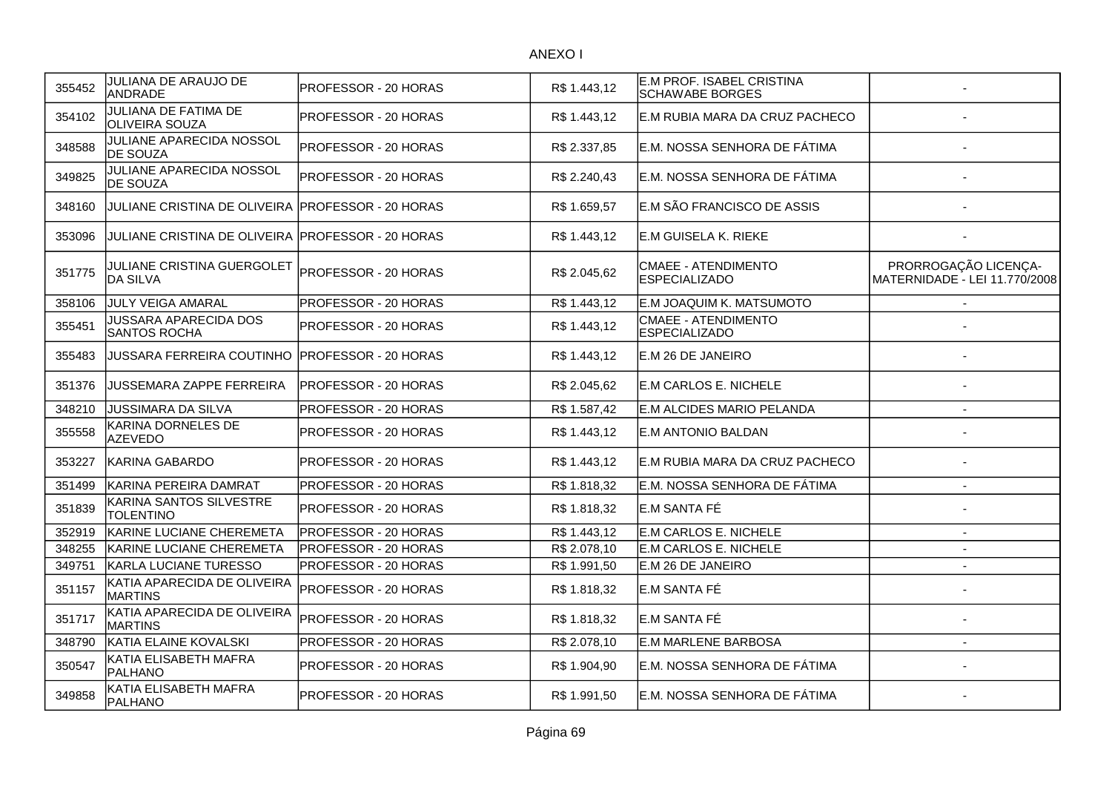| 355452 | JULIANA DE ARAUJO DE<br><b>ANDRADE</b>              | PROFESSOR - 20 HORAS | R\$ 1.443,12 | E.M PROF. ISABEL CRISTINA<br><b>SCHAWABE BORGES</b> |                                                       |
|--------|-----------------------------------------------------|----------------------|--------------|-----------------------------------------------------|-------------------------------------------------------|
| 354102 | JULIANA DE FATIMA DE<br><b>OLIVEIRA SOUZA</b>       | PROFESSOR - 20 HORAS | R\$ 1.443,12 | E.M RUBIA MARA DA CRUZ PACHECO                      |                                                       |
| 348588 | JULIANE APARECIDA NOSSOL<br>DE SOUZA                | PROFESSOR - 20 HORAS | R\$ 2.337,85 | E.M. NOSSA SENHORA DE FÁTIMA                        |                                                       |
| 349825 | JULIANE APARECIDA NOSSOL<br><b>DE SOUZA</b>         | PROFESSOR - 20 HORAS | R\$ 2.240,43 | lE.M. NOSSA SENHORA DE FÁTIMA                       |                                                       |
| 348160 | JULIANE CRISTINA DE OLIVEIRA PROFESSOR - 20 HORAS   |                      | R\$ 1.659,57 | E.M SÃO FRANCISCO DE ASSIS                          |                                                       |
| 353096 | JULIANE CRISTINA DE OLIVEIRA PROFESSOR - 20 HORAS   |                      | R\$ 1.443,12 | E.M GUISELA K. RIEKE                                |                                                       |
| 351775 | JULIANE CRISTINA GUERGOLET<br><b>DA SILVA</b>       | PROFESSOR - 20 HORAS | R\$ 2.045,62 | CMAEE - ATENDIMENTO<br><b>ESPECIALIZADO</b>         | PRORROGAÇÃO LICENÇA-<br>MATERNIDADE - LEI 11.770/2008 |
| 358106 | <b>JULY VEIGA AMARAL</b>                            | PROFESSOR - 20 HORAS | R\$ 1.443,12 | E.M JOAQUIM K. MATSUMOTO                            |                                                       |
| 355451 | <b>JUSSARA APARECIDA DOS</b><br><b>SANTOS ROCHA</b> | PROFESSOR - 20 HORAS | R\$ 1.443,12 | CMAEE - ATENDIMENTO<br><b>ESPECIALIZADO</b>         |                                                       |
| 355483 | JUSSARA FERREIRA COUTINHO                           | PROFESSOR - 20 HORAS | R\$ 1.443,12 | IE.M 26 DE JANEIRO                                  |                                                       |
| 351376 | JUSSEMARA ZAPPE FERREIRA                            | PROFESSOR - 20 HORAS | R\$ 2.045,62 | E.M CARLOS E. NICHELE                               |                                                       |
| 348210 | <b>JUSSIMARA DA SILVA</b>                           | PROFESSOR - 20 HORAS | R\$ 1.587,42 | E.M ALCIDES MARIO PELANDA                           | $\sim$                                                |
| 355558 | KARINA DORNELES DE<br><b>AZEVEDO</b>                | PROFESSOR - 20 HORAS | R\$ 1.443,12 | E.M ANTONIO BALDAN                                  |                                                       |
| 353227 | <b>KARINA GABARDO</b>                               | PROFESSOR - 20 HORAS | R\$1.443,12  | E.M RUBIA MARA DA CRUZ PACHECO                      |                                                       |
| 351499 | KARINA PEREIRA DAMRAT                               | PROFESSOR - 20 HORAS | R\$1.818,32  | E.M. NOSSA SENHORA DE FÁTIMA                        | $\overline{\phantom{a}}$                              |
| 351839 | KARINA SANTOS SILVESTRE<br><b>TOLENTINO</b>         | PROFESSOR - 20 HORAS | R\$ 1.818,32 | lE.M SANTA FÉ                                       |                                                       |
| 352919 | KARINE LUCIANE CHEREMETA                            | PROFESSOR - 20 HORAS | R\$ 1.443,12 | E.M CARLOS E. NICHELE                               |                                                       |
| 348255 | KARINE LUCIANE CHEREMETA                            | PROFESSOR - 20 HORAS | R\$ 2.078,10 | E.M CARLOS E. NICHELE                               | $\sim$                                                |
| 349751 | KARLA LUCIANE TURESSO                               | PROFESSOR - 20 HORAS | R\$ 1.991,50 | E.M 26 DE JANEIRO                                   |                                                       |
| 351157 | KATIA APARECIDA DE OLIVEIRA<br><b>MARTINS</b>       | PROFESSOR - 20 HORAS | R\$ 1.818,32 | E.M SANTA FÉ                                        |                                                       |
| 351717 | KATIA APARECIDA DE OLIVEIRA<br><b>MARTINS</b>       | PROFESSOR - 20 HORAS | R\$ 1.818,32 | E.M SANTA FÉ                                        |                                                       |
| 348790 | KATIA ELAINE KOVALSKI                               | PROFESSOR - 20 HORAS | R\$ 2.078,10 | <b>E.M MARLENE BARBOSA</b>                          | $\overline{\phantom{a}}$                              |
| 350547 | KATIA ELISABETH MAFRA<br>PALHANO                    | PROFESSOR - 20 HORAS | R\$ 1.904,90 | E.M. NOSSA SENHORA DE FÁTIMA                        |                                                       |
| 349858 | KATIA ELISABETH MAFRA<br><b>PALHANO</b>             | PROFESSOR - 20 HORAS | R\$ 1.991.50 | E.M. NOSSA SENHORA DE FÁTIMA                        |                                                       |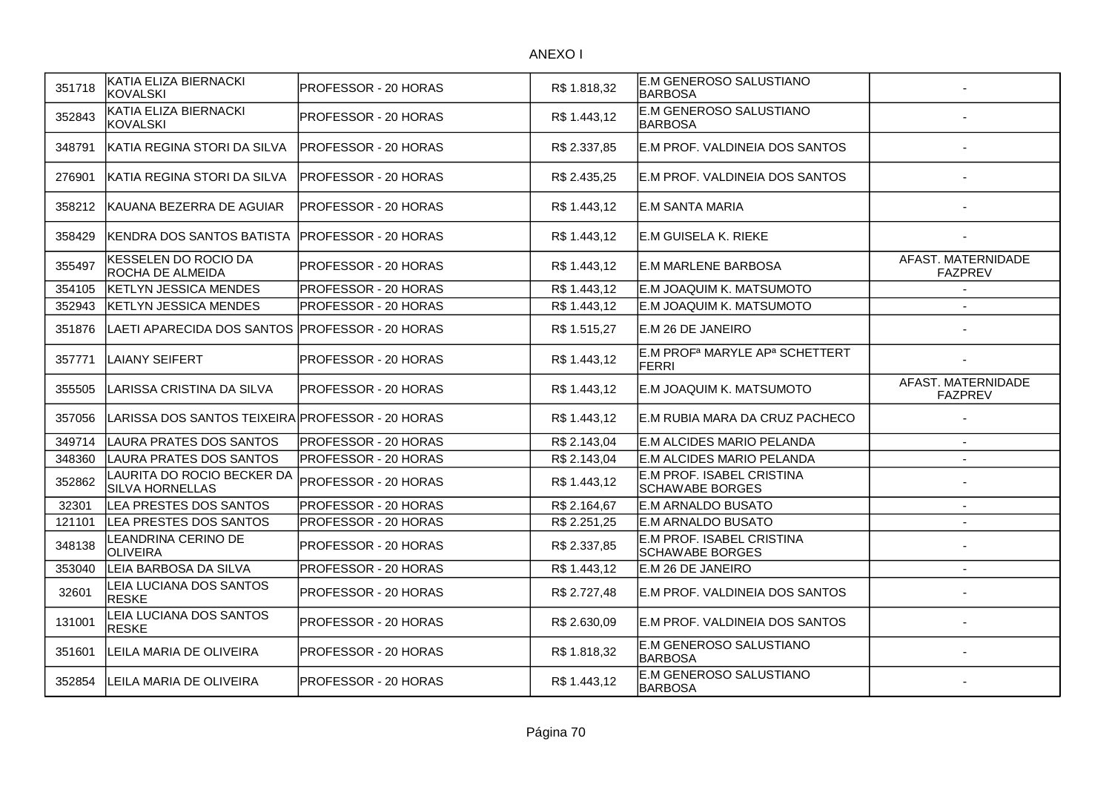| 351718 | KATIA ELIZA BIERNACKI<br>KOVALSKI                    | PROFESSOR - 20 HORAS        | R\$ 1.818,32 | E.M GENEROSO SALUSTIANO<br><b>BARBOSA</b>           |                                      |
|--------|------------------------------------------------------|-----------------------------|--------------|-----------------------------------------------------|--------------------------------------|
| 352843 | KATIA ELIZA BIERNACKI<br><b>KOVALSKI</b>             | PROFESSOR - 20 HORAS        | R\$ 1.443,12 | E.M GENEROSO SALUSTIANO<br><b>BARBOSA</b>           |                                      |
| 348791 | KATIA REGINA STORI DA SILVA                          | PROFESSOR - 20 HORAS        | R\$ 2.337,85 | E.M PROF. VALDINEIA DOS SANTOS                      |                                      |
| 276901 | KATIA REGINA STORI DA SILVA                          | <b>PROFESSOR - 20 HORAS</b> | R\$ 2.435,25 | IE.M PROF. VALDINEIA DOS SANTOS                     |                                      |
| 358212 | KAUANA BEZERRA DE AGUIAR                             | IPROFESSOR - 20 HORAS       | R\$ 1.443,12 | E.M SANTA MARIA                                     |                                      |
| 358429 | KENDRA DOS SANTOS BATISTA                            | <b>PROFESSOR - 20 HORAS</b> | R\$ 1.443,12 | E.M GUISELA K. RIEKE                                |                                      |
| 355497 | KESSELEN DO ROCIO DA<br>ROCHA DE ALMEIDA             | PROFESSOR - 20 HORAS        | R\$ 1.443,12 | E.M MARLENE BARBOSA                                 | AFAST. MATERNIDADE<br><b>FAZPREV</b> |
| 354105 | <b>KETLYN JESSICA MENDES</b>                         | PROFESSOR - 20 HORAS        | R\$ 1.443,12 | E.M JOAQUIM K. MATSUMOTO                            |                                      |
| 352943 | <b>KETLYN JESSICA MENDES</b>                         | PROFESSOR - 20 HORAS        | R\$ 1.443,12 | E.M JOAQUIM K. MATSUMOTO                            |                                      |
| 351876 | LAETI APARECIDA DOS SANTOS PROFESSOR - 20 HORAS      |                             | R\$ 1.515,27 | E.M 26 DE JANEIRO                                   |                                      |
| 357771 | LAIANY SEIFERT                                       | PROFESSOR - 20 HORAS        | R\$ 1.443,12 | E.M PROFª MARYLE APª SCHETTERT<br><b>FERRI</b>      |                                      |
| 355505 | LARISSA CRISTINA DA SILVA                            | PROFESSOR - 20 HORAS        | R\$ 1.443,12 | E.M JOAQUIM K. MATSUMOTO                            | AFAST. MATERNIDADE<br><b>FAZPREV</b> |
| 357056 | LARISSA DOS SANTOS TEIXEIRA PROFESSOR - 20 HORAS     |                             | R\$1.443,12  | E.M RUBIA MARA DA CRUZ PACHECO                      |                                      |
| 349714 | LAURA PRATES DOS SANTOS                              | <b>PROFESSOR - 20 HORAS</b> | R\$ 2.143,04 | E.M ALCIDES MARIO PELANDA                           | $\sim$                               |
| 348360 | LAURA PRATES DOS SANTOS                              | PROFESSOR - 20 HORAS        | R\$ 2.143,04 | E.M ALCIDES MARIO PELANDA                           | $\blacksquare$                       |
| 352862 | LAURITA DO ROCIO BECKER DA<br><b>SILVA HORNELLAS</b> | PROFESSOR - 20 HORAS        | R\$ 1.443,12 | E.M PROF. ISABEL CRISTINA<br><b>SCHAWABE BORGES</b> |                                      |
| 32301  | LEA PRESTES DOS SANTOS                               | PROFESSOR - 20 HORAS        | R\$ 2.164,67 | E.M ARNALDO BUSATO                                  |                                      |
| 121101 | LEA PRESTES DOS SANTOS                               | PROFESSOR - 20 HORAS        | R\$ 2.251,25 | E.M ARNALDO BUSATO                                  |                                      |
| 348138 | LEANDRINA CERINO DE<br><b>OLIVEIRA</b>               | PROFESSOR - 20 HORAS        | R\$ 2.337,85 | E.M PROF. ISABEL CRISTINA<br><b>SCHAWABE BORGES</b> |                                      |
| 353040 | LEIA BARBOSA DA SILVA                                | PROFESSOR - 20 HORAS        | R\$ 1.443,12 | E.M 26 DE JANEIRO                                   | $\overline{\phantom{a}}$             |
| 32601  | LEIA LUCIANA DOS SANTOS<br><b>RESKE</b>              | PROFESSOR - 20 HORAS        | R\$ 2.727,48 | E.M PROF. VALDINEIA DOS SANTOS                      |                                      |
| 131001 | LEIA LUCIANA DOS SANTOS<br><b>RESKE</b>              | PROFESSOR - 20 HORAS        | R\$ 2.630,09 | E.M PROF. VALDINEIA DOS SANTOS                      |                                      |
| 351601 | LEILA MARIA DE OLIVEIRA                              | PROFESSOR - 20 HORAS        | R\$1.818,32  | E.M GENEROSO SALUSTIANO<br><b>BARBOSA</b>           |                                      |
| 352854 | LEILA MARIA DE OLIVEIRA                              | PROFESSOR - 20 HORAS        | R\$1.443,12  | E.M GENEROSO SALUSTIANO<br><b>BARBOSA</b>           |                                      |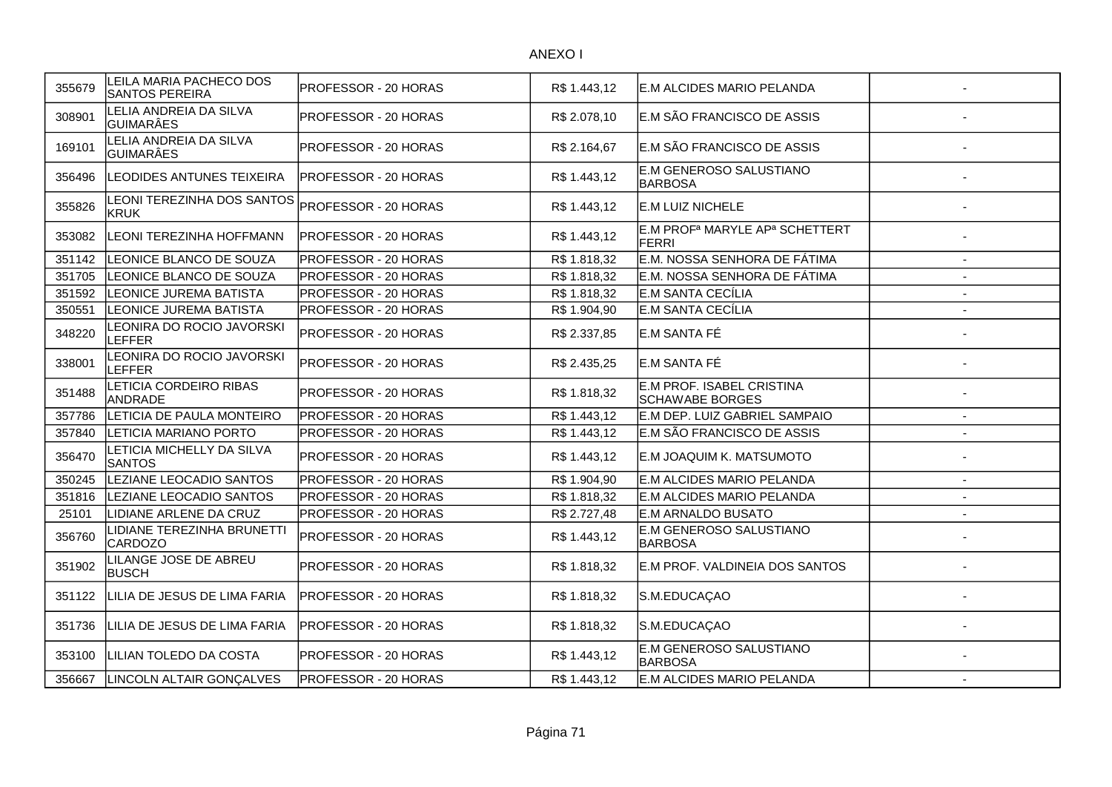| 355679 | LEILA MARIA PACHECO DOS<br><b>SANTOS PEREIRA</b> | <b>PROFESSOR - 20 HORAS</b> | R\$ 1.443,12 | <b>E.M ALCIDES MARIO PELANDA</b>                                       |                |
|--------|--------------------------------------------------|-----------------------------|--------------|------------------------------------------------------------------------|----------------|
| 308901 | ELIA ANDREIA DA SILVA<br><b>GUIMARÂES</b>        | PROFESSOR - 20 HORAS        | R\$ 2.078,10 | E.M SÃO FRANCISCO DE ASSIS                                             |                |
| 169101 | LELIA ANDREIA DA SILVA<br><b>GUIMARÂES</b>       | PROFESSOR - 20 HORAS        | R\$ 2.164,67 | E.M SÃO FRANCISCO DE ASSIS                                             |                |
| 356496 | LEODIDES ANTUNES TEIXEIRA                        | PROFESSOR - 20 HORAS        | R\$ 1.443,12 | E.M GENEROSO SALUSTIANO<br><b>BARBOSA</b>                              |                |
| 355826 | <b>EONI TEREZINHA DOS SANTOS</b><br><b>KRUK</b>  | PROFESSOR - 20 HORAS        | R\$ 1.443,12 | E.M LUIZ NICHELE                                                       |                |
| 353082 | <b>LEONI TEREZINHA HOFFMANN</b>                  | PROFESSOR - 20 HORAS        | R\$1.443,12  | E.M PROF <sup>a</sup> MARYLE AP <sup>a</sup> SCHETTERT<br><b>FERRI</b> |                |
| 351142 | LEONICE BLANCO DE SOUZA                          | PROFESSOR - 20 HORAS        | R\$ 1.818,32 | E.M. NOSSA SENHORA DE FÁTIMA                                           |                |
| 351705 | LEONICE BLANCO DE SOUZA                          | PROFESSOR - 20 HORAS        | R\$ 1.818,32 | E.M. NOSSA SENHORA DE FÁTIMA                                           |                |
| 351592 | LEONICE JUREMA BATISTA                           | PROFESSOR - 20 HORAS        | R\$ 1.818,32 | E.M SANTA CECÍLIA                                                      | $\overline{a}$ |
| 350551 | <b>LEONICE JUREMA BATISTA</b>                    | PROFESSOR - 20 HORAS        | R\$ 1.904,90 | E.M SANTA CECÍLIA                                                      |                |
| 348220 | EONIRA DO ROCIO JAVORSKI<br>LEFFER               | PROFESSOR - 20 HORAS        | R\$ 2.337,85 | E.M SANTA FÉ                                                           |                |
| 338001 | <b>EONIRA DO ROCIO JAVORSKI</b><br>LEFFER        | PROFESSOR - 20 HORAS        | R\$ 2.435,25 | E.M SANTA FÉ                                                           |                |
| 351488 | LETICIA CORDEIRO RIBAS<br><b>ANDRADE</b>         | PROFESSOR - 20 HORAS        | R\$ 1.818,32 | E.M PROF. ISABEL CRISTINA<br><b>SCHAWABE BORGES</b>                    |                |
| 357786 | LETICIA DE PAULA MONTEIRO                        | PROFESSOR - 20 HORAS        | R\$1.443,12  | E.M DEP. LUIZ GABRIEL SAMPAIO                                          |                |
| 357840 | LETICIA MARIANO PORTO                            | PROFESSOR - 20 HORAS        | R\$ 1.443,12 | E.M SÃO FRANCISCO DE ASSIS                                             |                |
| 356470 | ETICIA MICHELLY DA SILVA<br><b>SANTOS</b>        | PROFESSOR - 20 HORAS        | R\$ 1.443,12 | E.M JOAQUIM K. MATSUMOTO                                               |                |
| 350245 | LEZIANE LEOCADIO SANTOS                          | PROFESSOR - 20 HORAS        | R\$ 1.904,90 | E.M ALCIDES MARIO PELANDA                                              | $\overline{a}$ |
| 351816 | LEZIANE LEOCADIO SANTOS                          | PROFESSOR - 20 HORAS        | R\$ 1.818,32 | E.M ALCIDES MARIO PELANDA                                              | $\blacksquare$ |
| 25101  | LIDIANE ARLENE DA CRUZ                           | PROFESSOR - 20 HORAS        | R\$ 2.727,48 | <b>E.M ARNALDO BUSATO</b>                                              | $\overline{a}$ |
| 356760 | LIDIANE TEREZINHA BRUNETTI<br><b>CARDOZO</b>     | PROFESSOR - 20 HORAS        | R\$ 1.443,12 | <b>E.M GENEROSO SALUSTIANO</b><br><b>BARBOSA</b>                       |                |
| 351902 | LILANGE JOSE DE ABREU<br><b>BUSCH</b>            | PROFESSOR - 20 HORAS        | R\$ 1.818,32 | E.M PROF. VALDINEIA DOS SANTOS                                         |                |
| 351122 | LILIA DE JESUS DE LIMA FARIA                     | PROFESSOR - 20 HORAS        | R\$1.818,32  | S.M.EDUCAÇAO                                                           |                |
| 351736 | LILIA DE JESUS DE LIMA FARIA                     | PROFESSOR - 20 HORAS        | R\$ 1.818,32 | S.M.EDUCAÇAO                                                           |                |
| 353100 | LILIAN TOLEDO DA COSTA                           | PROFESSOR - 20 HORAS        | R\$ 1.443,12 | E.M GENEROSO SALUSTIANO<br><b>BARBOSA</b>                              |                |
| 356667 | LINCOLN ALTAIR GONÇALVES                         | PROFESSOR - 20 HORAS        | R\$ 1.443,12 | E.M ALCIDES MARIO PELANDA                                              | $\blacksquare$ |
|        |                                                  |                             |              |                                                                        |                |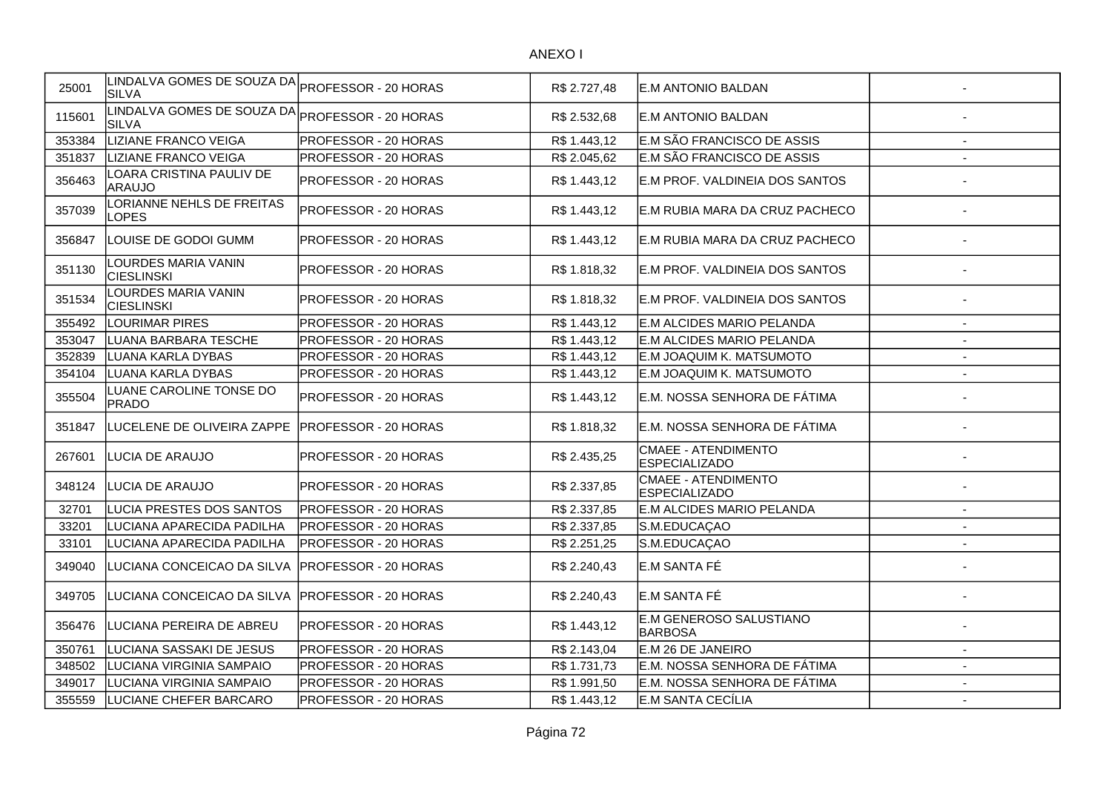| 25001  | LINDALVA GOMES DE SOUZA DA<br><b>SILVA</b> | PROFESSOR - 20 HORAS        | R\$ 2.727,48 | E.M ANTONIO BALDAN                                 |                          |
|--------|--------------------------------------------|-----------------------------|--------------|----------------------------------------------------|--------------------------|
| 115601 | LINDALVA GOMES DE SOUZA DA<br><b>SILVA</b> | PROFESSOR - 20 HORAS        | R\$ 2.532,68 | E.M ANTONIO BALDAN                                 |                          |
| 353384 | <b>LIZIANE FRANCO VEIGA</b>                | PROFESSOR - 20 HORAS        | R\$ 1.443,12 | E.M SÃO FRANCISCO DE ASSIS                         | $\overline{\phantom{a}}$ |
| 351837 | LIZIANE FRANCO VEIGA                       | PROFESSOR - 20 HORAS        | R\$ 2.045,62 | E.M SÃO FRANCISCO DE ASSIS                         | $\overline{\phantom{a}}$ |
| 356463 | LOARA CRISTINA PAULIV DE<br>ARAUJO         | PROFESSOR - 20 HORAS        | R\$ 1.443,12 | E.M PROF. VALDINEIA DOS SANTOS                     |                          |
| 357039 | LORIANNE NEHLS DE FREITAS<br>LOPES         | PROFESSOR - 20 HORAS        | R\$ 1.443,12 | E.M RUBIA MARA DA CRUZ PACHECO                     |                          |
| 356847 | llouise de Godoi Gumm                      | PROFESSOR - 20 HORAS        | R\$ 1.443,12 | E.M RUBIA MARA DA CRUZ PACHECO                     |                          |
| 351130 | LOURDES MARIA VANIN<br><b>CIESLINSKI</b>   | PROFESSOR - 20 HORAS        | R\$ 1.818,32 | E.M PROF. VALDINEIA DOS SANTOS                     |                          |
| 351534 | LOURDES MARIA VANIN<br><b>CIESLINSKI</b>   | PROFESSOR - 20 HORAS        | R\$ 1.818,32 | E.M PROF. VALDINEIA DOS SANTOS                     |                          |
| 355492 | <b>LOURIMAR PIRES</b>                      | PROFESSOR - 20 HORAS        | R\$ 1.443,12 | E.M ALCIDES MARIO PELANDA                          | $\blacksquare$           |
| 353047 | LUANA BARBARA TESCHE                       | PROFESSOR - 20 HORAS        | R\$ 1.443.12 | E.M ALCIDES MARIO PELANDA                          | $\blacksquare$           |
| 352839 | LUANA KARLA DYBAS                          | PROFESSOR - 20 HORAS        | R\$1.443,12  | E.M JOAQUIM K. MATSUMOTO                           | $\blacksquare$           |
| 354104 | LUANA KARLA DYBAS                          | PROFESSOR - 20 HORAS        | R\$1.443,12  | E.M JOAQUIM K. MATSUMOTO                           | $\overline{\phantom{a}}$ |
| 355504 | LUANE CAROLINE TONSE DO<br><b>PRADO</b>    | PROFESSOR - 20 HORAS        | R\$ 1.443,12 | E.M. NOSSA SENHORA DE FÁTIMA                       | $\overline{\phantom{a}}$ |
| 351847 | LUCELENE DE OLIVEIRA ZAPPE                 | <b>PROFESSOR - 20 HORAS</b> | R\$ 1.818,32 | E.M. NOSSA SENHORA DE FÁTIMA                       |                          |
| 267601 | LUCIA DE ARAUJO                            | PROFESSOR - 20 HORAS        | R\$ 2.435,25 | <b>CMAEE - ATENDIMENTO</b><br><b>ESPECIALIZADO</b> |                          |
| 348124 | <b>ILUCIA DE ARAUJO</b>                    | PROFESSOR - 20 HORAS        | R\$ 2.337,85 | <b>CMAEE - ATENDIMENTO</b><br><b>ESPECIALIZADO</b> |                          |
| 32701  | LUCIA PRESTES DOS SANTOS                   | PROFESSOR - 20 HORAS        | R\$ 2.337,85 | E.M ALCIDES MARIO PELANDA                          | $\sim$                   |
| 33201  | ILUCIANA APARECIDA PADILHA                 | PROFESSOR - 20 HORAS        | R\$ 2.337,85 | S.M.EDUCAÇAO                                       | $\overline{\phantom{a}}$ |
| 33101  | LUCIANA APARECIDA PADILHA                  | PROFESSOR - 20 HORAS        | R\$ 2.251,25 | S.M.EDUCAÇAO                                       | $\overline{\phantom{a}}$ |
| 349040 | LUCIANA CONCEICAO DA SILVA                 | <b>PROFESSOR - 20 HORAS</b> | R\$ 2.240,43 | E.M SANTA FÉ                                       |                          |
| 349705 | LUCIANA CONCEICAO DA SILVA                 | PROFESSOR - 20 HORAS        | R\$ 2.240,43 | E.M SANTA FÉ                                       |                          |
| 356476 | LUCIANA PEREIRA DE ABREU                   | PROFESSOR - 20 HORAS        | R\$ 1.443,12 | E.M GENEROSO SALUSTIANO<br><b>BARBOSA</b>          |                          |
| 350761 | LUCIANA SASSAKI DE JESUS                   | PROFESSOR - 20 HORAS        | R\$ 2.143,04 | E.M 26 DE JANEIRO                                  | $\overline{\phantom{a}}$ |
| 348502 | LUCIANA VIRGINIA SAMPAIO                   | PROFESSOR - 20 HORAS        | R\$1.731,73  | E.M. NOSSA SENHORA DE FÁTIMA                       | $\blacksquare$           |
| 349017 | LUCIANA VIRGINIA SAMPAIO                   | PROFESSOR - 20 HORAS        | R\$1.991,50  | E.M. NOSSA SENHORA DE FÁTIMA                       | $\overline{\phantom{a}}$ |
| 355559 | LUCIANE CHEFER BARCARO                     | PROFESSOR - 20 HORAS        | R\$ 1.443,12 | E.M SANTA CECÍLIA                                  | $\overline{\phantom{a}}$ |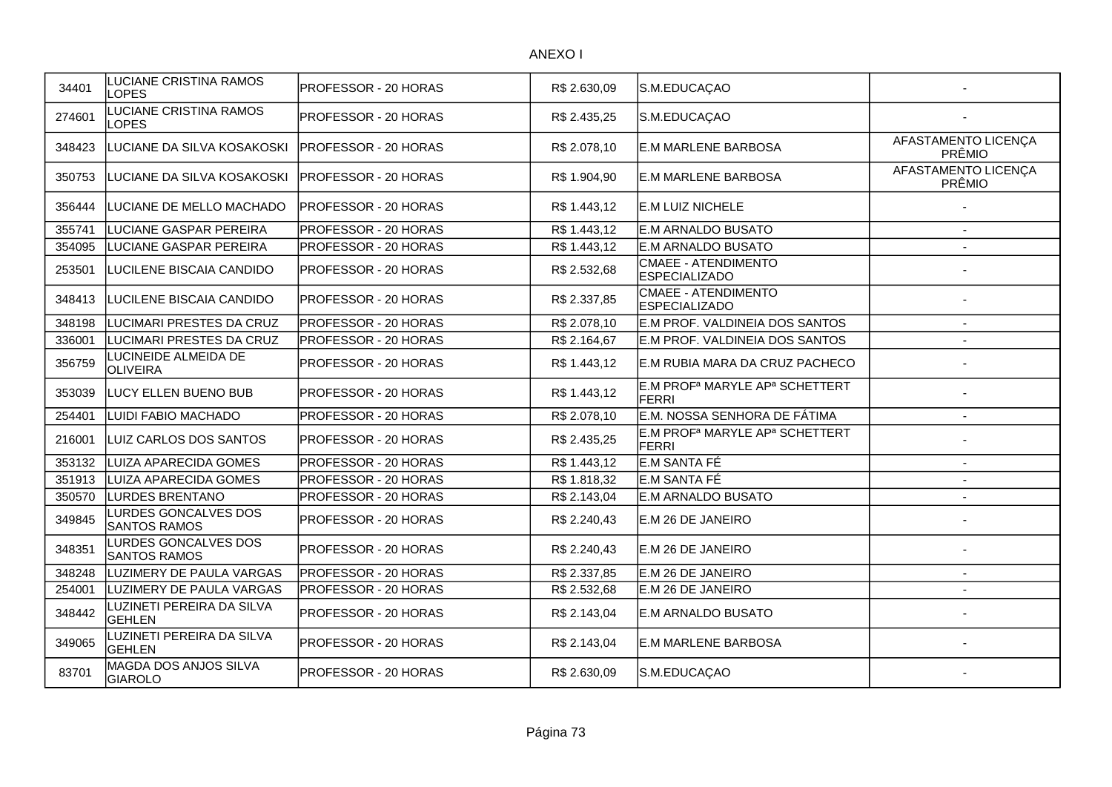| 34401  | LUCIANE CRISTINA RAMOS<br><b>LOPES</b>       | PROFESSOR - 20 HORAS | R\$ 2.630,09 | S.M.EDUCAÇAO                                                           |                               |
|--------|----------------------------------------------|----------------------|--------------|------------------------------------------------------------------------|-------------------------------|
| 274601 | <b>UCIANE CRISTINA RAMOS</b><br><b>LOPES</b> | PROFESSOR - 20 HORAS | R\$ 2.435,25 | S.M.EDUCAÇAO                                                           |                               |
| 348423 | LUCIANE DA SILVA KOSAKOSKI                   | PROFESSOR - 20 HORAS | R\$ 2.078,10 | <b>E.M MARLENE BARBOSA</b>                                             | AFASTAMENTO LICENÇA<br>PRÊMIO |
| 350753 | LUCIANE DA SILVA KOSAKOSKI                   | PROFESSOR - 20 HORAS | R\$ 1.904,90 | <b>E.M MARLENE BARBOSA</b>                                             | AFASTAMENTO LICENÇA<br>PRÊMIO |
| 356444 | LUCIANE DE MELLO MACHADO                     | PROFESSOR - 20 HORAS | R\$ 1.443,12 | <b>E.M LUIZ NICHELE</b>                                                |                               |
| 355741 | LUCIANE GASPAR PEREIRA                       | PROFESSOR - 20 HORAS | R\$1.443,12  | <b>E.M ARNALDO BUSATO</b>                                              | $\sim$                        |
| 354095 | LUCIANE GASPAR PEREIRA                       | PROFESSOR - 20 HORAS | R\$ 1.443,12 | E.M ARNALDO BUSATO                                                     | $\overline{a}$                |
| 253501 | LUCILENE BISCAIA CANDIDO                     | PROFESSOR - 20 HORAS | R\$ 2.532,68 | <b>CMAEE - ATENDIMENTO</b><br><b>ESPECIALIZADO</b>                     |                               |
| 348413 | LUCILENE BISCAIA CANDIDO                     | PROFESSOR - 20 HORAS | R\$ 2.337,85 | <b>CMAEE - ATENDIMENTO</b><br><b>ESPECIALIZADO</b>                     |                               |
| 348198 | LUCIMARI PRESTES DA CRUZ                     | PROFESSOR - 20 HORAS | R\$ 2.078,10 | E.M PROF. VALDINEIA DOS SANTOS                                         | $\blacksquare$                |
| 336001 | LUCIMARI PRESTES DA CRUZ                     | PROFESSOR - 20 HORAS | R\$ 2.164,67 | E.M PROF. VALDINEIA DOS SANTOS                                         |                               |
| 356759 | LUCINEIDE ALMEIDA DE<br>OLIVEIRA             | PROFESSOR - 20 HORAS | R\$ 1.443,12 | E.M RUBIA MARA DA CRUZ PACHECO                                         |                               |
| 353039 | LUCY ELLEN BUENO BUB                         | PROFESSOR - 20 HORAS | R\$ 1.443,12 | E.M PROF <sup>a</sup> MARYLE AP <sup>a</sup> SCHETTERT<br><b>FERRI</b> |                               |
| 254401 | LUIDI FABIO MACHADO                          | PROFESSOR - 20 HORAS | R\$ 2.078,10 | E.M. NOSSA SENHORA DE FÁTIMA                                           |                               |
| 216001 | LUIZ CARLOS DOS SANTOS                       | PROFESSOR - 20 HORAS | R\$ 2.435,25 | E.M PROF <sup>a</sup> MARYLE AP <sup>a</sup> SCHETTERT<br>FERRI        |                               |
| 353132 | LUIZA APARECIDA GOMES                        | PROFESSOR - 20 HORAS | R\$1.443,12  | E.M SANTA FÉ                                                           | $\overline{\phantom{a}}$      |
| 351913 | <b>LUIZA APARECIDA GOMES</b>                 | PROFESSOR - 20 HORAS | R\$ 1.818,32 | E.M SANTA FÉ                                                           | $\blacksquare$                |
| 350570 | <b>LURDES BRENTANO</b>                       | PROFESSOR - 20 HORAS | R\$ 2.143,04 | E.M ARNALDO BUSATO                                                     | $\blacksquare$                |
| 349845 | LURDES GONCALVES DOS<br><b>SANTOS RAMOS</b>  | PROFESSOR - 20 HORAS | R\$ 2.240,43 | E.M 26 DE JANEIRO                                                      |                               |
| 348351 | LURDES GONCALVES DOS<br><b>SANTOS RAMOS</b>  | PROFESSOR - 20 HORAS | R\$ 2.240,43 | <b>IE.M 26 DE JANEIRO</b>                                              |                               |
| 348248 | LUZIMERY DE PAULA VARGAS                     | PROFESSOR - 20 HORAS | R\$ 2.337,85 | E.M 26 DE JANEIRO                                                      | $\overline{a}$                |
| 254001 | LUZIMERY DE PAULA VARGAS                     | PROFESSOR - 20 HORAS | R\$ 2.532,68 | E.M 26 DE JANEIRO                                                      | $\blacksquare$                |
| 348442 | LUZINETI PEREIRA DA SILVA<br>GEHLEN          | PROFESSOR - 20 HORAS | R\$ 2.143,04 | <b>E.M ARNALDO BUSATO</b>                                              |                               |
| 349065 | LUZINETI PEREIRA DA SILVA<br><b>GEHLEN</b>   | PROFESSOR - 20 HORAS | R\$ 2.143,04 | <b>E.M MARLENE BARBOSA</b>                                             |                               |
| 83701  | MAGDA DOS ANJOS SILVA<br><b>GIAROLO</b>      | PROFESSOR - 20 HORAS | R\$ 2.630,09 | S.M.EDUCAÇAO                                                           |                               |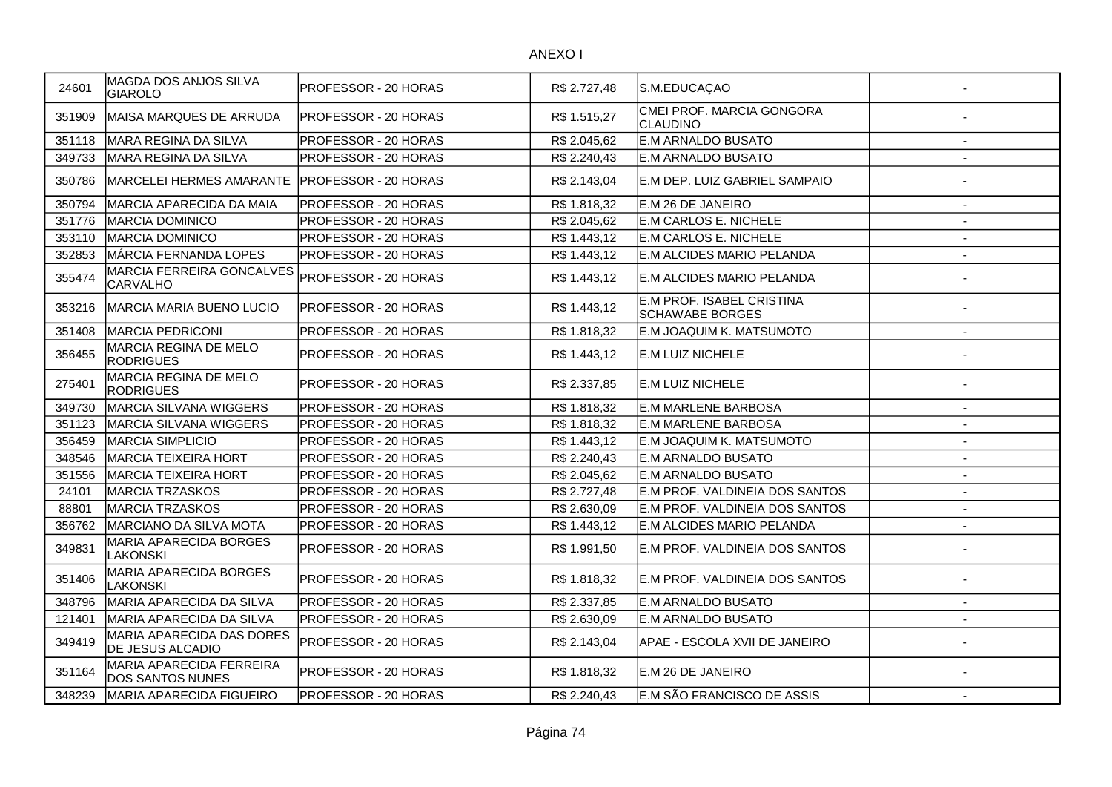| 24601  | MAGDA DOS ANJOS SILVA<br><b>GIAROLO</b>              | PROFESSOR - 20 HORAS         | R\$ 2.727,48 | S.M.EDUCAÇAO                                        |                          |
|--------|------------------------------------------------------|------------------------------|--------------|-----------------------------------------------------|--------------------------|
| 351909 | MAISA MARQUES DE ARRUDA                              | <b>PROFESSOR - 20 HORAS</b>  | R\$ 1.515,27 | CMEI PROF. MARCIA GONGORA<br>CLAUDINO               |                          |
| 351118 | MARA REGINA DA SILVA                                 | PROFESSOR - 20 HORAS         | R\$ 2.045,62 | <b>E.M ARNALDO BUSATO</b>                           | $\sim$                   |
| 349733 | MARA REGINA DA SILVA                                 | PROFESSOR - 20 HORAS         | R\$ 2.240,43 | <b>E.M ARNALDO BUSATO</b>                           | $\overline{\phantom{a}}$ |
| 350786 | MARCELEI HERMES AMARANTE                             | <b>PROFESSOR - 20 HORAS</b>  | R\$ 2.143,04 | E.M DEP. LUIZ GABRIEL SAMPAIO                       |                          |
| 350794 | MARCIA APARECIDA DA MAIA                             | <b>PROFESSOR - 20 HORAS</b>  | R\$ 1.818,32 | E.M 26 DE JANEIRO                                   |                          |
| 351776 | <b>MARCIA DOMINICO</b>                               | <b>PROFESSOR - 20 HORAS</b>  | R\$ 2.045,62 | E.M CARLOS E. NICHELE                               |                          |
| 353110 | <b>MARCIA DOMINICO</b>                               | PROFESSOR - 20 HORAS         | R\$ 1.443,12 | E.M CARLOS E. NICHELE                               |                          |
| 352853 | MÁRCIA FERNANDA LOPES                                | PROFESSOR - 20 HORAS         | R\$ 1.443,12 | E.M ALCIDES MARIO PELANDA                           |                          |
| 355474 | MARCIA FERREIRA GONCALVES<br><b>CARVALHO</b>         | <b>PROFESSOR - 20 HORAS</b>  | R\$ 1.443,12 | E.M ALCIDES MARIO PELANDA                           |                          |
| 353216 | <b>MARCIA MARIA BUENO LUCIO</b>                      | <b>IPROFESSOR - 20 HORAS</b> | R\$ 1.443,12 | E.M PROF. ISABEL CRISTINA<br><b>SCHAWABE BORGES</b> |                          |
| 351408 | <b>MARCIA PEDRICONI</b>                              | PROFESSOR - 20 HORAS         | R\$1.818,32  | E.M JOAQUIM K. MATSUMOTO                            |                          |
| 356455 | MARCIA REGINA DE MELO<br><b>RODRIGUES</b>            | PROFESSOR - 20 HORAS         | R\$ 1.443,12 | E.M LUIZ NICHELE                                    |                          |
| 275401 | MARCIA REGINA DE MELO<br><b>RODRIGUES</b>            | PROFESSOR - 20 HORAS         | R\$ 2.337,85 | E.M LUIZ NICHELE                                    |                          |
| 349730 | <b>MARCIA SILVANA WIGGERS</b>                        | <b>PROFESSOR - 20 HORAS</b>  | R\$ 1.818,32 | <b>E.M MARLENE BARBOSA</b>                          |                          |
| 351123 | <b>MARCIA SILVANA WIGGERS</b>                        | <b>PROFESSOR - 20 HORAS</b>  | R\$ 1.818,32 | <b>E.M MARLENE BARBOSA</b>                          |                          |
| 356459 | <b>MARCIA SIMPLICIO</b>                              | PROFESSOR - 20 HORAS         | R\$1.443,12  | E.M JOAQUIM K. MATSUMOTO                            |                          |
| 348546 | MARCIA TEIXEIRA HORT                                 | PROFESSOR - 20 HORAS         | R\$ 2.240,43 | E.M ARNALDO BUSATO                                  |                          |
| 351556 | <b>MARCIA TEIXEIRA HORT</b>                          | PROFESSOR - 20 HORAS         | R\$ 2.045,62 | E.M ARNALDO BUSATO                                  |                          |
| 24101  | <b>MARCIA TRZASKOS</b>                               | PROFESSOR - 20 HORAS         | R\$ 2.727,48 | E.M PROF. VALDINEIA DOS SANTOS                      |                          |
| 88801  | <b>MARCIA TRZASKOS</b>                               | PROFESSOR - 20 HORAS         | R\$ 2.630,09 | E.M PROF. VALDINEIA DOS SANTOS                      |                          |
| 356762 | <b>MARCIANO DA SILVA MOTA</b>                        | <b>PROFESSOR - 20 HORAS</b>  | R\$ 1.443,12 | E.M ALCIDES MARIO PELANDA                           |                          |
| 349831 | MARIA APARECIDA BORGES<br>LAKONSKI                   | IPROFESSOR - 20 HORAS        | R\$ 1.991,50 | IE.M PROF. VALDINEIA DOS SANTOS                     |                          |
| 351406 | MARIA APARECIDA BORGES<br>LAKONSKI                   | PROFESSOR - 20 HORAS         | R\$ 1.818,32 | E.M PROF. VALDINEIA DOS SANTOS                      |                          |
| 348796 | MARIA APARECIDA DA SILVA                             | <b>PROFESSOR - 20 HORAS</b>  | R\$ 2.337,85 | E.M ARNALDO BUSATO                                  |                          |
| 121401 | MARIA APARECIDA DA SILVA                             | <b>PROFESSOR - 20 HORAS</b>  | R\$ 2.630,09 | IE.M ARNALDO BUSATO                                 |                          |
| 349419 | MARIA APARECIDA DAS DORES<br><b>DE JESUS ALCADIO</b> | PROFESSOR - 20 HORAS         | R\$ 2.143,04 | APAE - ESCOLA XVII DE JANEIRO                       |                          |
| 351164 | MARIA APARECIDA FERREIRA<br>DOS SANTOS NUNES         | PROFESSOR - 20 HORAS         | R\$ 1.818,32 | E.M 26 DE JANEIRO                                   |                          |
| 348239 | <b>MARIA APARECIDA FIGUEIRO</b>                      | <b>PROFESSOR - 20 HORAS</b>  | R\$ 2.240,43 | E.M SÃO FRANCISCO DE ASSIS                          |                          |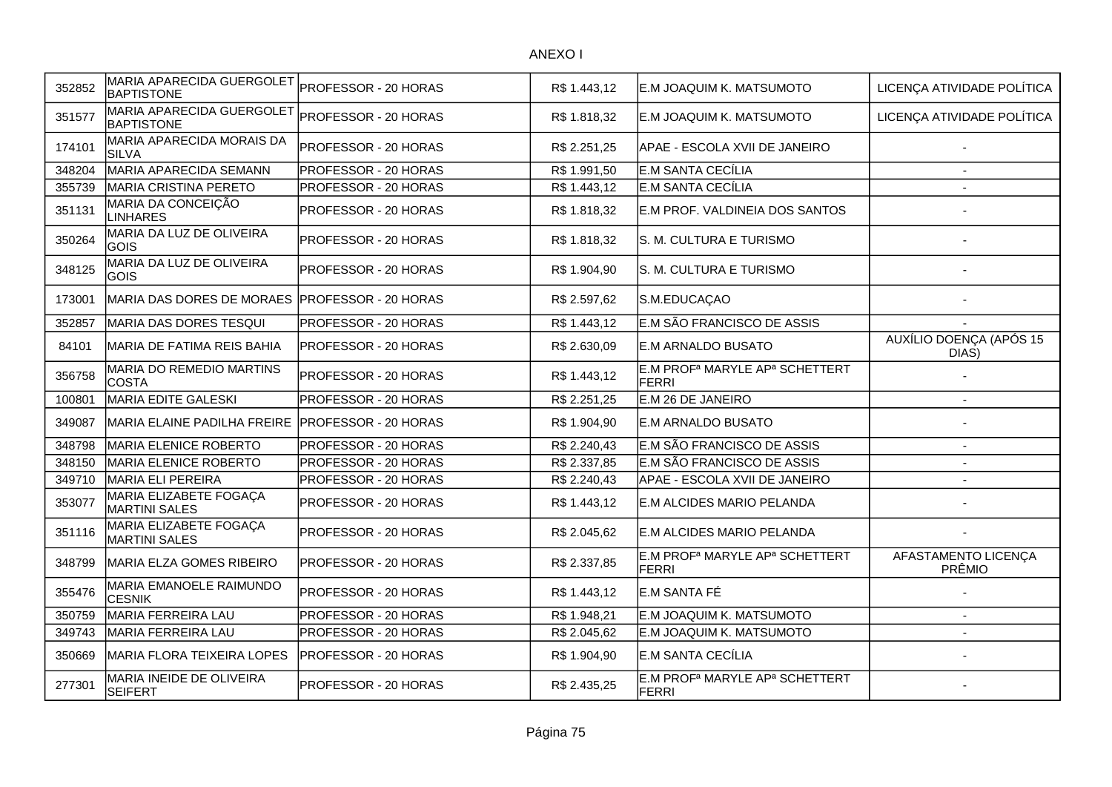| 352852 | MARIA APARECIDA GUERGOLET<br><b>BAPTISTONE</b> | PROFESSOR - 20 HORAS        | R\$ 1.443,12 | E.M JOAQUIM K. MATSUMOTO                                               | LICENÇA ATIVIDADE POLÍTICA       |
|--------|------------------------------------------------|-----------------------------|--------------|------------------------------------------------------------------------|----------------------------------|
| 351577 | MARIA APARECIDA GUERGOLET<br><b>BAPTISTONE</b> | PROFESSOR - 20 HORAS        | R\$ 1.818,32 | E.M JOAQUIM K. MATSUMOTO                                               | LICENÇA ATIVIDADE POLÍTICA       |
| 174101 | MARIA APARECIDA MORAIS DA<br><b>SILVA</b>      | PROFESSOR - 20 HORAS        | R\$ 2.251,25 | APAE - ESCOLA XVII DE JANEIRO                                          |                                  |
| 348204 | MARIA APARECIDA SEMANN                         | PROFESSOR - 20 HORAS        | R\$ 1.991,50 | E.M SANTA CECÍLIA                                                      |                                  |
| 355739 | <b>MARIA CRISTINA PERETO</b>                   | PROFESSOR - 20 HORAS        | R\$ 1.443,12 | E.M SANTA CECÍLIA                                                      |                                  |
| 351131 | MARIA DA CONCEIÇÃO<br><b>LINHARES</b>          | PROFESSOR - 20 HORAS        | R\$ 1.818,32 | E.M PROF. VALDINEIA DOS SANTOS                                         |                                  |
| 350264 | MARIA DA LUZ DE OLIVEIRA<br><b>GOIS</b>        | PROFESSOR - 20 HORAS        | R\$ 1.818,32 | S. M. CULTURA E TURISMO                                                |                                  |
| 348125 | MARIA DA LUZ DE OLIVEIRA<br>GOIS               | PROFESSOR - 20 HORAS        | R\$ 1.904,90 | S. M. CULTURA E TURISMO                                                |                                  |
| 173001 | MARIA DAS DORES DE MORAES                      | <b>PROFESSOR - 20 HORAS</b> | R\$ 2.597,62 | S.M.EDUCAÇAO                                                           |                                  |
| 352857 | MARIA DAS DORES TESQUI                         | PROFESSOR - 20 HORAS        | R\$ 1.443,12 | E.M SÃO FRANCISCO DE ASSIS                                             |                                  |
| 84101  | MARIA DE FATIMA REIS BAHIA                     | PROFESSOR - 20 HORAS        | R\$ 2.630,09 | E.M ARNALDO BUSATO                                                     | AUXÍLIO DOENÇA (APÓS 15<br>DIAS) |
| 356758 | MARIA DO REMEDIO MARTINS<br><b>COSTA</b>       | PROFESSOR - 20 HORAS        | R\$ 1.443,12 | E.M PROF <sup>a</sup> MARYLE AP <sup>a</sup> SCHETTERT<br>FERRI        |                                  |
| 100801 | <b>MARIA EDITE GALESKI</b>                     | PROFESSOR - 20 HORAS        | R\$ 2.251,25 | E.M 26 DE JANEIRO                                                      |                                  |
| 349087 | MARIA ELAINE PADILHA FREIRE                    | <b>PROFESSOR - 20 HORAS</b> | R\$ 1.904,90 | E.M ARNALDO BUSATO                                                     |                                  |
| 348798 | <b>MARIA ELENICE ROBERTO</b>                   | PROFESSOR - 20 HORAS        | R\$ 2.240,43 | E.M SÃO FRANCISCO DE ASSIS                                             | $\overline{\phantom{a}}$         |
| 348150 | MARIA ELENICE ROBERTO                          | PROFESSOR - 20 HORAS        | R\$ 2.337,85 | E.M SÃO FRANCISCO DE ASSIS                                             | $\sim$                           |
| 349710 | <b>MARIA ELI PEREIRA</b>                       | PROFESSOR - 20 HORAS        | R\$ 2.240,43 | APAE - ESCOLA XVII DE JANEIRO                                          |                                  |
| 353077 | MARIA ELIZABETE FOGAÇA<br><b>MARTINI SALES</b> | PROFESSOR - 20 HORAS        | R\$ 1.443,12 | E.M ALCIDES MARIO PELANDA                                              |                                  |
| 351116 | MARIA ELIZABETE FOGAÇA<br><b>MARTINI SALES</b> | PROFESSOR - 20 HORAS        | R\$ 2.045,62 | E.M ALCIDES MARIO PELANDA                                              |                                  |
| 348799 | MARIA ELZA GOMES RIBEIRO                       | PROFESSOR - 20 HORAS        | R\$ 2.337,85 | E.M PROF <sup>a</sup> MARYLE AP <sup>a</sup> SCHETTERT<br>FERRI        | AFASTAMENTO LICENÇA<br>PRÊMIO    |
| 355476 | MARIA EMANOELE RAIMUNDO<br><b>CESNIK</b>       | PROFESSOR - 20 HORAS        | R\$ 1.443,12 | E.M SANTA FÉ                                                           |                                  |
| 350759 | <b>MARIA FERREIRA LAU</b>                      | PROFESSOR - 20 HORAS        | R\$1.948,21  | E.M JOAQUIM K. MATSUMOTO                                               | $\blacksquare$                   |
| 349743 | <b>MARIA FERREIRA LAU</b>                      | PROFESSOR - 20 HORAS        | R\$ 2.045,62 | E.M JOAQUIM K. MATSUMOTO                                               |                                  |
| 350669 | MARIA FLORA TEIXEIRA LOPES                     | PROFESSOR - 20 HORAS        | R\$ 1.904,90 | E.M SANTA CECÍLIA                                                      |                                  |
| 277301 | MARIA INEIDE DE OLIVEIRA<br><b>SEIFERT</b>     | PROFESSOR - 20 HORAS        | R\$ 2.435,25 | E.M PROF <sup>a</sup> MARYLE AP <sup>a</sup> SCHETTERT<br><b>FERRI</b> |                                  |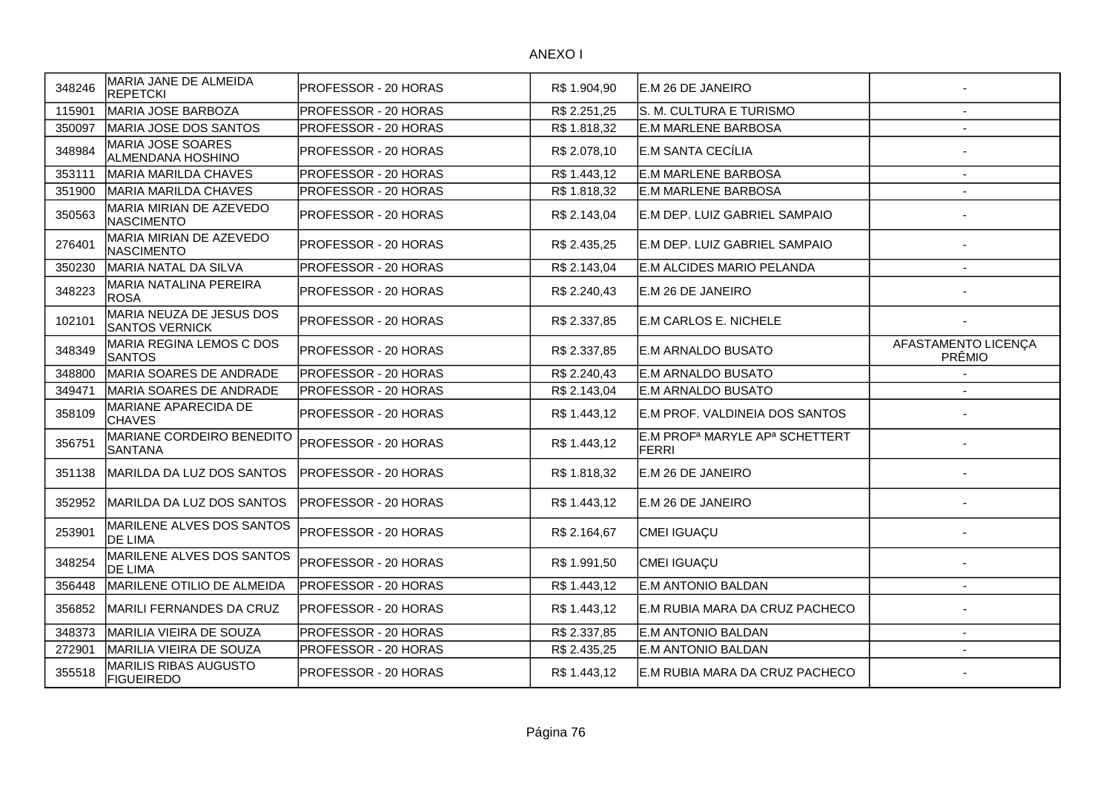| 348246 | MARIA JANE DE ALMEIDA<br><b>REPETCKI</b>           | PROFESSOR - 20 HORAS         | R\$ 1.904,90 | IE.M 26 DE JANEIRO                                              |                               |
|--------|----------------------------------------------------|------------------------------|--------------|-----------------------------------------------------------------|-------------------------------|
| 115901 | MARIA JOSE BARBOZA                                 | <b>PROFESSOR - 20 HORAS</b>  | R\$ 2.251,25 | S. M. CULTURA E TURISMO                                         |                               |
| 350097 | MARIA JOSE DOS SANTOS                              | <b>PROFESSOR - 20 HORAS</b>  | R\$ 1.818,32 | <b>E.M MARLENE BARBOSA</b>                                      |                               |
| 348984 | <b>MARIA JOSE SOARES</b><br>ALMENDANA HOSHINO      | PROFESSOR - 20 HORAS         | R\$ 2.078,10 | E.M SANTA CECÍLIA                                               |                               |
| 353111 | MARIA MARILDA CHAVES                               | PROFESSOR - 20 HORAS         | R\$ 1.443,12 | <b>E.M MARLENE BARBOSA</b>                                      | $\overline{a}$                |
| 351900 | <b>MARIA MARILDA CHAVES</b>                        | PROFESSOR - 20 HORAS         | R\$ 1.818,32 | <b>E.M MARLENE BARBOSA</b>                                      |                               |
| 350563 | MARIA MIRIAN DE AZEVEDO<br><b>NASCIMENTO</b>       | <b>PROFESSOR - 20 HORAS</b>  | R\$ 2.143,04 | E.M DEP. LUIZ GABRIEL SAMPAIO                                   |                               |
| 276401 | MARIA MIRIAN DE AZEVEDO<br>NASCIMENTO              | <b>PROFESSOR - 20 HORAS</b>  | R\$ 2.435,25 | E.M DEP. LUIZ GABRIEL SAMPAIO                                   |                               |
| 350230 | MARIA NATAL DA SILVA                               | PROFESSOR - 20 HORAS         | R\$ 2.143,04 | E.M ALCIDES MARIO PELANDA                                       | $\overline{\phantom{a}}$      |
| 348223 | MARIA NATALINA PEREIRA<br><b>ROSA</b>              | <b>PROFESSOR - 20 HORAS</b>  | R\$ 2.240,43 | E.M 26 DE JANEIRO                                               |                               |
| 102101 | MARIA NEUZA DE JESUS DOS<br>SANTOS VERNICK         | PROFESSOR - 20 HORAS         | R\$ 2.337,85 | <b>E.M CARLOS E. NICHELE</b>                                    |                               |
| 348349 | MARIA REGINA LEMOS C DOS<br><b>SANTOS</b>          | <b>IPROFESSOR - 20 HORAS</b> | R\$ 2.337,85 | <b>IE.M ARNALDO BUSATO</b>                                      | AFASTAMENTO LICENÇA<br>PRÊMIO |
| 348800 | MARIA SOARES DE ANDRADE                            | <b>PROFESSOR - 20 HORAS</b>  | R\$ 2.240,43 | <b>E.M ARNALDO BUSATO</b>                                       |                               |
| 349471 | MARIA SOARES DE ANDRADE                            | <b>PROFESSOR - 20 HORAS</b>  | R\$ 2.143,04 | IE.M ARNALDO BUSATO                                             |                               |
| 358109 | MARIANE APARECIDA DE<br><b>CHAVES</b>              | PROFESSOR - 20 HORAS         | R\$1.443,12  | E.M PROF. VALDINEIA DOS SANTOS                                  |                               |
| 356751 | <b>MARIANE CORDEIRO BENEDITO</b><br>SANTANA        | PROFESSOR - 20 HORAS         | R\$ 1.443,12 | E.M PROF <sup>a</sup> MARYLE AP <sup>a</sup> SCHETTERT<br>FERRI |                               |
| 351138 | IMARILDA DA LUZ DOS SANTOS                         | IPROFESSOR - 20 HORAS        | R\$ 1.818,32 | E.M 26 DE JANEIRO                                               |                               |
| 352952 | MARILDA DA LUZ DOS SANTOS                          | <b>PROFESSOR - 20 HORAS</b>  | R\$ 1.443,12 | E.M 26 DE JANEIRO                                               |                               |
| 253901 | <b>MARILENE ALVES DOS SANTOS</b><br><b>DE LIMA</b> | PROFESSOR - 20 HORAS         | R\$ 2.164,67 | CMEI IGUAÇU                                                     |                               |
| 348254 | MARILENE ALVES DOS SANTOS<br>DE LIMA               | PROFESSOR - 20 HORAS         | R\$ 1.991,50 | CMEI IGUAÇU                                                     |                               |
| 356448 | <b>MARILENE OTILIO DE ALMEIDA</b>                  | PROFESSOR - 20 HORAS         | R\$ 1.443,12 | E.M ANTONIO BALDAN                                              | $\overline{\phantom{a}}$      |
| 356852 | <b>MARILI FERNANDES DA CRUZ</b>                    | <b>PROFESSOR - 20 HORAS</b>  | R\$1.443,12  | E.M RUBIA MARA DA CRUZ PACHECO                                  |                               |
| 348373 | MARILIA VIEIRA DE SOUZA                            | PROFESSOR - 20 HORAS         | R\$ 2.337,85 | E.M ANTONIO BALDAN                                              |                               |
| 272901 | MARILIA VIEIRA DE SOUZA                            | <b>PROFESSOR - 20 HORAS</b>  | R\$ 2.435,25 | E.M ANTONIO BALDAN                                              | $\overline{a}$                |
| 355518 | <b>MARILIS RIBAS AUGUSTO</b><br><b>FIGUEIREDO</b>  | <b>IPROFESSOR - 20 HORAS</b> | R\$1.443,12  | E.M RUBIA MARA DA CRUZ PACHECO                                  |                               |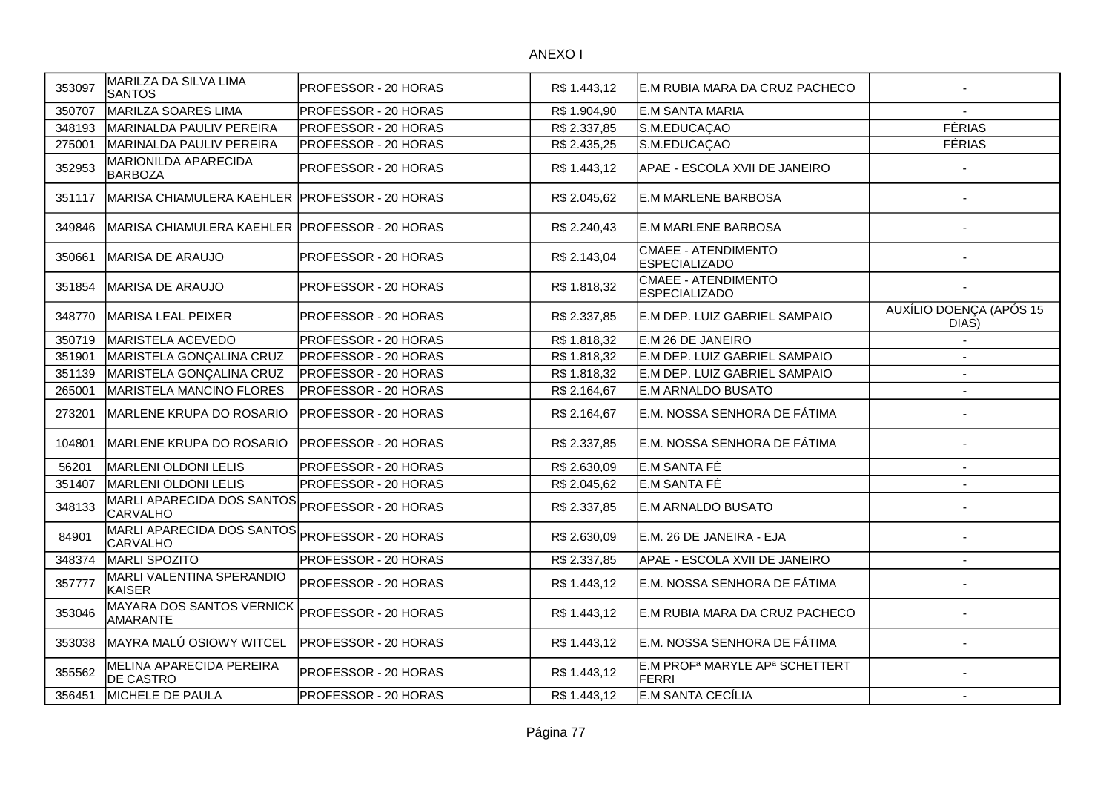| 353097 | MARILZA DA SILVA LIMA<br><b>SANTOS</b>                             | <b>PROFESSOR - 20 HORAS</b> | R\$ 1.443,12 | E.M RUBIA MARA DA CRUZ PACHECO                                         |                                  |
|--------|--------------------------------------------------------------------|-----------------------------|--------------|------------------------------------------------------------------------|----------------------------------|
| 350707 | MARILZA SOARES LIMA                                                | <b>PROFESSOR - 20 HORAS</b> | R\$ 1.904,90 | E.M SANTA MARIA                                                        |                                  |
| 348193 | MARINALDA PAULIV PEREIRA                                           | <b>PROFESSOR - 20 HORAS</b> | R\$ 2.337,85 | S.M.EDUCAÇAO                                                           | <b>FÉRIAS</b>                    |
| 275001 | MARINALDA PAULIV PEREIRA                                           | <b>PROFESSOR - 20 HORAS</b> | R\$ 2.435,25 | S.M.EDUCAÇAO                                                           | <b>FÉRIAS</b>                    |
| 352953 | <b>MARIONILDA APARECIDA</b><br><b>BARBOZA</b>                      | PROFESSOR - 20 HORAS        | R\$ 1.443,12 | APAE - ESCOLA XVII DE JANEIRO                                          |                                  |
| 351117 | MARISA CHIAMULERA KAEHLER PROFESSOR - 20 HORAS                     |                             | R\$ 2.045,62 | <b>E.M MARLENE BARBOSA</b>                                             |                                  |
| 349846 | MARISA CHIAMULERA KAEHLER PROFESSOR - 20 HORAS                     |                             | R\$ 2.240,43 | E.M MARLENE BARBOSA                                                    |                                  |
| 350661 | MARISA DE ARAUJO                                                   | PROFESSOR - 20 HORAS        | R\$ 2.143,04 | <b>CMAEE - ATENDIMENTO</b><br><b>ESPECIALIZADO</b>                     |                                  |
| 351854 | MARISA DE ARAUJO                                                   | PROFESSOR - 20 HORAS        | R\$ 1.818,32 | CMAEE - ATENDIMENTO<br><b>ESPECIALIZADO</b>                            |                                  |
| 348770 | İMARISA LEAL PEIXER                                                | <b>PROFESSOR - 20 HORAS</b> | R\$ 2.337,85 | E.M DEP. LUIZ GABRIEL SAMPAIO                                          | AUXÍLIO DOENÇA (APÓS 15<br>DIAS) |
| 350719 | MARISTELA ACEVEDO                                                  | PROFESSOR - 20 HORAS        | R\$1.818,32  | E.M 26 DE JANEIRO                                                      |                                  |
| 351901 | MARISTELA GONÇALINA CRUZ                                           | PROFESSOR - 20 HORAS        | R\$ 1.818,32 | E.M DEP. LUIZ GABRIEL SAMPAIO                                          |                                  |
| 351139 | MARISTELA GONÇALINA CRUZ                                           | PROFESSOR - 20 HORAS        | R\$ 1.818,32 | E.M DEP. LUIZ GABRIEL SAMPAIO                                          | $\mathbf{r}$                     |
| 265001 | MARISTELA MANCINO FLORES                                           | PROFESSOR - 20 HORAS        | R\$ 2.164,67 | E.M ARNALDO BUSATO                                                     |                                  |
| 273201 | MARLENE KRUPA DO ROSARIO                                           | PROFESSOR - 20 HORAS        | R\$ 2.164,67 | E.M. NOSSA SENHORA DE FÁTIMA                                           |                                  |
| 104801 | MARLENE KRUPA DO ROSARIO                                           | PROFESSOR - 20 HORAS        | R\$ 2.337,85 | E.M. NOSSA SENHORA DE FÁTIMA                                           |                                  |
| 56201  | <b>MARLENI OLDONI LELIS</b>                                        | PROFESSOR - 20 HORAS        | R\$ 2.630,09 | E.M SANTA FÉ                                                           | $\sim$                           |
| 351407 | <b>MARLENI OLDONI LELIS</b>                                        | PROFESSOR - 20 HORAS        | R\$ 2.045,62 | E.M SANTA FÉ                                                           |                                  |
| 348133 | MARLI APARECIDA DOS SANTOS PROFESSOR - 20 HORAS<br>CARVALHO        |                             | R\$ 2.337,85 | E.M ARNALDO BUSATO                                                     |                                  |
| 84901  | MARLI APARECIDA DOS SANTOS PROFESSOR - 20 HORAS<br><b>CARVALHO</b> |                             | R\$ 2.630,09 | E.M. 26 DE JANEIRA - EJA                                               |                                  |
| 348374 | MARLI SPOZITO                                                      | PROFESSOR - 20 HORAS        | R\$ 2.337,85 | APAE - ESCOLA XVII DE JANEIRO                                          |                                  |
| 357777 | MARLI VALENTINA SPERANDIO<br>KAISER                                | <b>PROFESSOR - 20 HORAS</b> | R\$ 1.443,12 | E.M. NOSSA SENHORA DE FÁTIMA                                           |                                  |
| 353046 | MAYARA DOS SANTOS VERNICK<br>AMARANTE                              | PROFESSOR - 20 HORAS        | R\$ 1.443,12 | E.M RUBIA MARA DA CRUZ PACHECO                                         |                                  |
| 353038 | MAYRA MALÚ OSIOWY WITCEL                                           | PROFESSOR - 20 HORAS        | R\$ 1.443,12 | E.M. NOSSA SENHORA DE FÁTIMA                                           |                                  |
| 355562 | MELINA APARECIDA PEREIRA<br><b>DE CASTRO</b>                       | PROFESSOR - 20 HORAS        | R\$ 1.443,12 | E.M PROF <sup>a</sup> MARYLE AP <sup>a</sup> SCHETTERT<br><b>FERRI</b> |                                  |
| 356451 | MICHELE DE PAULA                                                   | PROFESSOR - 20 HORAS        | R\$ 1.443,12 | E.M SANTA CECÍLIA                                                      | $\overline{\phantom{a}}$         |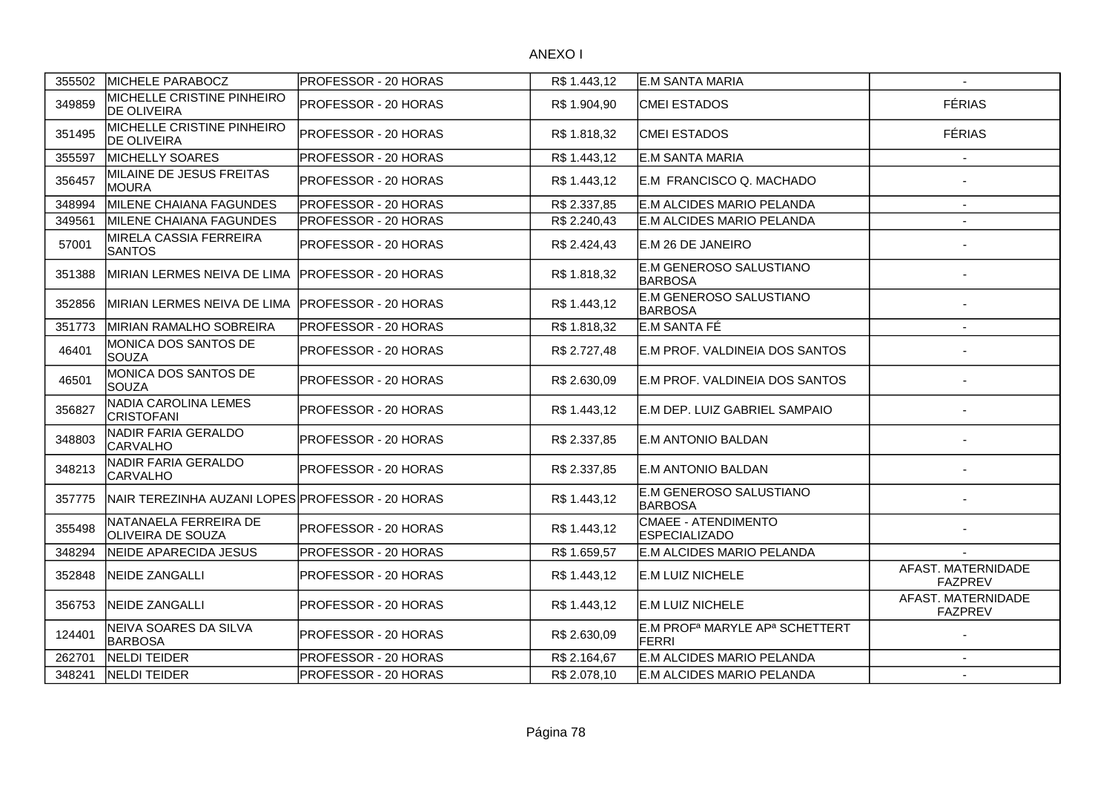| 355502 | MICHELE PARABOCZ                                  | <b>PROFESSOR - 20 HORAS</b>  | R\$ 1.443,12 | <b>E.M SANTA MARIA</b>                                          | $\sim$                               |
|--------|---------------------------------------------------|------------------------------|--------------|-----------------------------------------------------------------|--------------------------------------|
| 349859 | MICHELLE CRISTINE PINHEIRO<br><b>DE OLIVEIRA</b>  | <b>PROFESSOR - 20 HORAS</b>  | R\$ 1.904,90 | <b>CMEI ESTADOS</b>                                             | <b>FÉRIAS</b>                        |
| 351495 | MICHELLE CRISTINE PINHEIRO<br><b>DE OLIVEIRA</b>  | PROFESSOR - 20 HORAS         | R\$ 1.818,32 | <b>CMEI ESTADOS</b>                                             | <b>FÉRIAS</b>                        |
| 355597 | MICHELLY SOARES                                   | PROFESSOR - 20 HORAS         | R\$ 1.443,12 | E.M SANTA MARIA                                                 | $\overline{\phantom{a}}$             |
| 356457 | MILAINE DE JESUS FREITAS<br>MOURA                 | PROFESSOR - 20 HORAS         | R\$ 1.443,12 | E.M FRANCISCO Q. MACHADO                                        |                                      |
| 348994 | MILENE CHAIANA FAGUNDES                           | <b>PROFESSOR - 20 HORAS</b>  | R\$ 2.337,85 | E.M ALCIDES MARIO PELANDA                                       | $\sim$                               |
| 349561 | MILENE CHAIANA FAGUNDES                           | <b>PROFESSOR - 20 HORAS</b>  | R\$ 2.240,43 | E.M ALCIDES MARIO PELANDA                                       | $\overline{a}$                       |
| 57001  | MIRELA CASSIA FERREIRA<br><b>SANTOS</b>           | PROFESSOR - 20 HORAS         | R\$ 2.424,43 | E.M 26 DE JANEIRO                                               |                                      |
| 351388 | MIRIAN LERMES NEIVA DE LIMA                       | <b>PROFESSOR - 20 HORAS</b>  | R\$ 1.818,32 | E.M GENEROSO SALUSTIANO<br><b>IBARBOSA</b>                      |                                      |
| 352856 | MIRIAN LERMES NEIVA DE LIMA                       | <b>IPROFESSOR - 20 HORAS</b> | R\$ 1.443,12 | E.M GENEROSO SALUSTIANO<br><b>BARBOSA</b>                       |                                      |
| 351773 | IMIRIAN RAMALHO SOBREIRA                          | <b>PROFESSOR - 20 HORAS</b>  | R\$ 1.818,32 | E.M SANTA FÉ                                                    | $\sim$                               |
| 46401  | MONICA DOS SANTOS DE<br>SOUZA                     | <b>PROFESSOR - 20 HORAS</b>  | R\$ 2.727,48 | E.M PROF. VALDINEIA DOS SANTOS                                  |                                      |
| 46501  | MONICA DOS SANTOS DE<br>SOUZA                     | PROFESSOR - 20 HORAS         | R\$ 2.630,09 | E.M PROF. VALDINEIA DOS SANTOS                                  |                                      |
| 356827 | NADIA CAROLINA LEMES<br><b>CRISTOFANI</b>         | PROFESSOR - 20 HORAS         | R\$ 1.443,12 | E.M DEP. LUIZ GABRIEL SAMPAIO                                   |                                      |
| 348803 | NADIR FARIA GERALDO<br>CARVALHO                   | PROFESSOR - 20 HORAS         | R\$ 2.337,85 | E.M ANTONIO BALDAN                                              |                                      |
| 348213 | NADIR FARIA GERALDO<br><b>CARVALHO</b>            | <b>PROFESSOR - 20 HORAS</b>  | R\$ 2.337,85 | IE.M ANTONIO BALDAN                                             |                                      |
| 357775 | NAIR TEREZINHA AUZANI LOPES PROFESSOR - 20 HORAS  |                              | R\$ 1.443,12 | E.M GENEROSO SALUSTIANO<br><b>BARBOSA</b>                       |                                      |
| 355498 | NATANAELA FERREIRA DE<br><b>OLIVEIRA DE SOUZA</b> | <b>IPROFESSOR - 20 HORAS</b> | R\$ 1.443,12 | CMAEE - ATENDIMENTO<br><b>ESPECIALIZADO</b>                     |                                      |
| 348294 | NEIDE APARECIDA JESUS                             | <b>PROFESSOR - 20 HORAS</b>  | R\$ 1.659,57 | E.M ALCIDES MARIO PELANDA                                       |                                      |
| 352848 | NEIDE ZANGALLI                                    | PROFESSOR - 20 HORAS         | R\$ 1.443,12 | <b>E.M LUIZ NICHELE</b>                                         | AFAST. MATERNIDADE<br><b>FAZPREV</b> |
| 356753 | INEIDE ZANGALLI                                   | <b>IPROFESSOR - 20 HORAS</b> | R\$ 1.443,12 | <b>E.M LUIZ NICHELE</b>                                         | AFAST. MATERNIDADE<br><b>FAZPREV</b> |
| 124401 | NEIVA SOARES DA SILVA<br><b>BARBOSA</b>           | <b>PROFESSOR - 20 HORAS</b>  | R\$ 2.630,09 | E.M PROF <sup>a</sup> MARYLE AP <sup>a</sup> SCHETTERT<br>FERRI |                                      |
| 262701 | NELDI TEIDER                                      | PROFESSOR - 20 HORAS         | R\$ 2.164,67 | E.M ALCIDES MARIO PELANDA                                       | $\blacksquare$                       |
| 348241 | NELDI TEIDER                                      | PROFESSOR - 20 HORAS         | R\$ 2.078,10 | E.M ALCIDES MARIO PELANDA                                       | $\blacksquare$                       |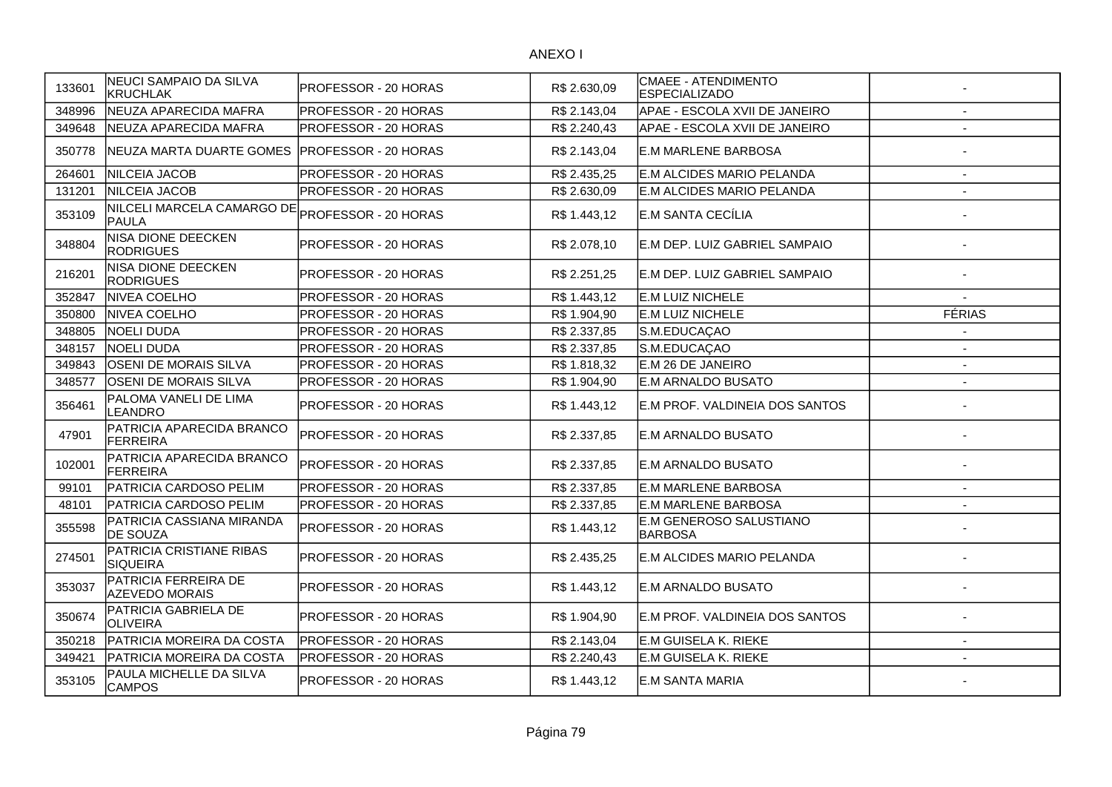| 133601 | NEUCI SAMPAIO DA SILVA<br><b>KRUCHLAK</b>     | PROFESSOR - 20 HORAS        | R\$ 2.630,09 | CMAEE - ATENDIMENTO<br><b>ESPECIALIZADO</b> |                          |
|--------|-----------------------------------------------|-----------------------------|--------------|---------------------------------------------|--------------------------|
| 348996 | NEUZA APARECIDA MAFRA                         | PROFESSOR - 20 HORAS        | R\$ 2.143,04 | APAE - ESCOLA XVII DE JANEIRO               | $\overline{\phantom{a}}$ |
| 349648 | NEUZA APARECIDA MAFRA                         | PROFESSOR - 20 HORAS        | R\$ 2.240,43 | APAE - ESCOLA XVII DE JANEIRO               | $\overline{\phantom{a}}$ |
| 350778 | NEUZA MARTA DUARTE GOMES                      | PROFESSOR - 20 HORAS        | R\$ 2.143,04 | E.M MARLENE BARBOSA                         |                          |
| 264601 | NILCEIA JACOB                                 | PROFESSOR - 20 HORAS        | R\$ 2.435,25 | E.M ALCIDES MARIO PELANDA                   | $\sim$                   |
| 131201 | NILCEIA JACOB                                 | PROFESSOR - 20 HORAS        | R\$ 2.630,09 | E.M ALCIDES MARIO PELANDA                   | $\overline{\phantom{a}}$ |
| 353109 | NILCELI MARCELA CAMARGO DE<br><b>PAULA</b>    | PROFESSOR - 20 HORAS        | R\$ 1.443,12 | E.M SANTA CECÍLIA                           |                          |
| 348804 | NISA DIONE DEECKEN<br><b>RODRIGUES</b>        | PROFESSOR - 20 HORAS        | R\$ 2.078,10 | E.M DEP. LUIZ GABRIEL SAMPAIO               |                          |
| 216201 | NISA DIONE DEECKEN<br><b>RODRIGUES</b>        | PROFESSOR - 20 HORAS        | R\$ 2.251,25 | E.M DEP. LUIZ GABRIEL SAMPAIO               |                          |
| 352847 | <b>NIVEA COELHO</b>                           | PROFESSOR - 20 HORAS        | R\$ 1.443,12 | <b>E.M LUIZ NICHELE</b>                     |                          |
| 350800 | NIVEA COELHO                                  | PROFESSOR - 20 HORAS        | R\$ 1.904,90 | E.M LUIZ NICHELE                            | <b>FÉRIAS</b>            |
| 348805 | <b>NOELI DUDA</b>                             | PROFESSOR - 20 HORAS        | R\$ 2.337,85 | S.M.EDUCAÇAO                                |                          |
| 348157 | NOELI DUDA                                    | PROFESSOR - 20 HORAS        | R\$ 2.337,85 | S.M.EDUCAÇAO                                |                          |
| 349843 | <b>OSENI DE MORAIS SILVA</b>                  | PROFESSOR - 20 HORAS        | R\$ 1.818,32 | E.M 26 DE JANEIRO                           | $\blacksquare$           |
| 348577 | <b>OSENI DE MORAIS SILVA</b>                  | PROFESSOR - 20 HORAS        | R\$ 1.904,90 | E.M ARNALDO BUSATO                          | $\overline{\phantom{a}}$ |
| 356461 | PALOMA VANELI DE LIMA<br>LEANDRO              | PROFESSOR - 20 HORAS        | R\$ 1.443,12 | E.M PROF. VALDINEIA DOS SANTOS              |                          |
| 47901  | PATRICIA APARECIDA BRANCO<br><b>FERREIRA</b>  | PROFESSOR - 20 HORAS        | R\$ 2.337,85 | <b>E.M ARNALDO BUSATO</b>                   |                          |
| 102001 | PATRICIA APARECIDA BRANCO<br>FERREIRA         | PROFESSOR - 20 HORAS        | R\$ 2.337,85 | IE.M ARNALDO BUSATO                         |                          |
| 99101  | PATRICIA CARDOSO PELIM                        | PROFESSOR - 20 HORAS        | R\$ 2.337,85 | E.M MARLENE BARBOSA                         |                          |
| 48101  | PATRICIA CARDOSO PELIM                        | PROFESSOR - 20 HORAS        | R\$ 2.337,85 | E.M MARLENE BARBOSA                         |                          |
| 355598 | PATRICIA CASSIANA MIRANDA<br><b>DE SOUZA</b>  | <b>PROFESSOR - 20 HORAS</b> | R\$ 1.443,12 | E.M GENEROSO SALUSTIANO<br><b>BARBOSA</b>   |                          |
| 274501 | PATRICIA CRISTIANE RIBAS<br><b>SIQUEIRA</b>   | PROFESSOR - 20 HORAS        | R\$ 2.435,25 | E.M ALCIDES MARIO PELANDA                   |                          |
| 353037 | PATRICIA FERREIRA DE<br><b>AZEVEDO MORAIS</b> | PROFESSOR - 20 HORAS        | R\$ 1.443,12 | E.M ARNALDO BUSATO                          |                          |
| 350674 | PATRICIA GABRIELA DE<br><b>OLIVEIRA</b>       | PROFESSOR - 20 HORAS        | R\$ 1.904,90 | E.M PROF. VALDINEIA DOS SANTOS              |                          |
| 350218 | PATRICIA MOREIRA DA COSTA                     | PROFESSOR - 20 HORAS        | R\$ 2.143,04 | E.M GUISELA K. RIEKE                        |                          |
| 349421 | PATRICIA MOREIRA DA COSTA                     | PROFESSOR - 20 HORAS        | R\$ 2.240,43 | E.M GUISELA K. RIEKE                        | $\sim$                   |
| 353105 | PAULA MICHELLE DA SILVA<br><b>CAMPOS</b>      | PROFESSOR - 20 HORAS        | R\$ 1.443,12 | <b>E.M SANTA MARIA</b>                      |                          |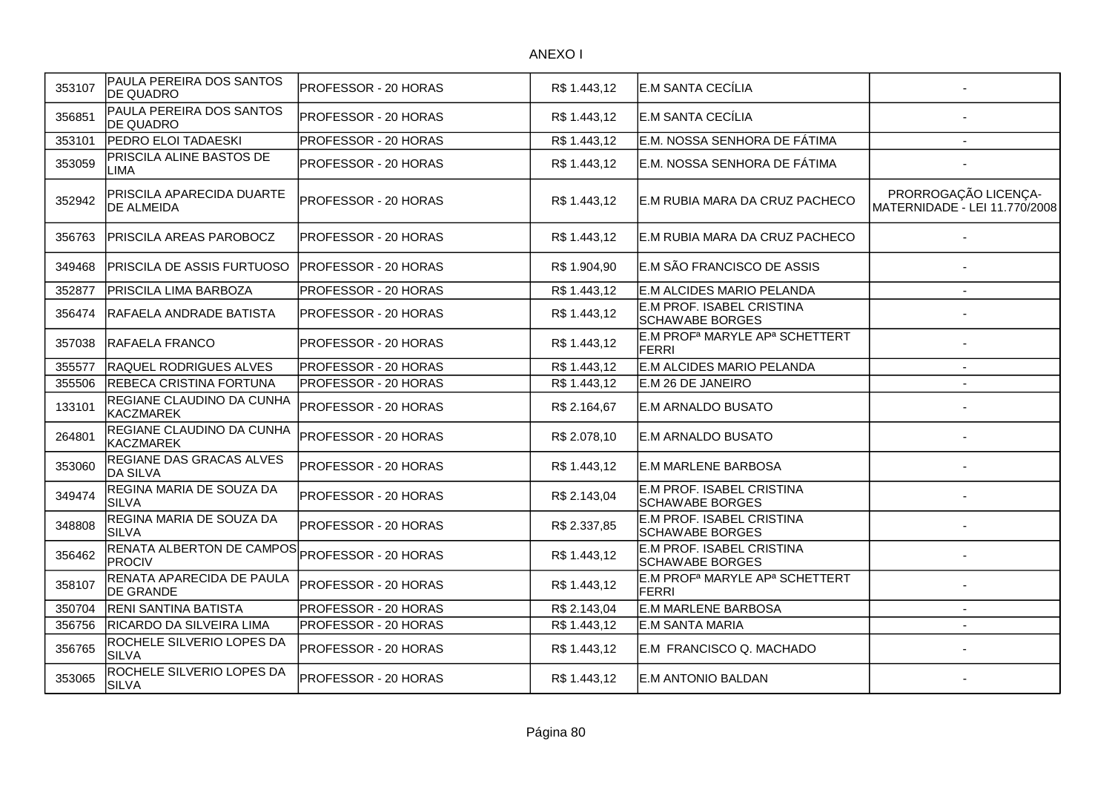| 353107 | PAULA PEREIRA DOS SANTOS<br><b>DE QUADRO</b>   | PROFESSOR - 20 HORAS | R\$ 1.443,12 | E.M SANTA CECÍLIA                                                      |                                                       |
|--------|------------------------------------------------|----------------------|--------------|------------------------------------------------------------------------|-------------------------------------------------------|
| 356851 | PAULA PEREIRA DOS SANTOS<br><b>DE QUADRO</b>   | PROFESSOR - 20 HORAS | R\$ 1.443,12 | E.M SANTA CECÍLIA                                                      |                                                       |
| 353101 | PEDRO ELOI TADAESKI                            | PROFESSOR - 20 HORAS | R\$ 1.443,12 | E.M. NOSSA SENHORA DE FÁTIMA                                           | $\overline{\phantom{a}}$                              |
| 353059 | PRISCILA ALINE BASTOS DE<br>LIMA               | PROFESSOR - 20 HORAS | R\$ 1.443,12 | E.M. NOSSA SENHORA DE FÁTIMA                                           |                                                       |
| 352942 | PRISCILA APARECIDA DUARTE<br><b>DE ALMEIDA</b> | PROFESSOR - 20 HORAS | R\$ 1.443,12 | E.M RUBIA MARA DA CRUZ PACHECO                                         | PRORROGAÇÃO LICENÇA-<br>MATERNIDADE - LEI 11.770/2008 |
| 356763 | PRISCILA AREAS PAROBOCZ                        | PROFESSOR - 20 HORAS | R\$1.443,12  | E.M RUBIA MARA DA CRUZ PACHECO                                         |                                                       |
| 349468 | PRISCILA DE ASSIS FURTUOSO                     | PROFESSOR - 20 HORAS | R\$ 1.904,90 | E.M SÃO FRANCISCO DE ASSIS                                             |                                                       |
| 352877 | PRISCILA LIMA BARBOZA                          | PROFESSOR - 20 HORAS | R\$1.443,12  | E.M ALCIDES MARIO PELANDA                                              | $\overline{\phantom{a}}$                              |
| 356474 | RAFAELA ANDRADE BATISTA                        | PROFESSOR - 20 HORAS | R\$ 1.443,12 | E.M PROF. ISABEL CRISTINA<br><b>SCHAWABE BORGES</b>                    |                                                       |
| 357038 | RAFAELA FRANCO                                 | PROFESSOR - 20 HORAS | R\$ 1.443,12 | E.M PROF <sup>a</sup> MARYLE AP <sup>a</sup> SCHETTERT<br><b>FERRI</b> |                                                       |
| 355577 | <b>RAQUEL RODRIGUES ALVES</b>                  | PROFESSOR - 20 HORAS | R\$ 1.443,12 | E.M ALCIDES MARIO PELANDA                                              | $\overline{\phantom{a}}$                              |
| 355506 | REBECA CRISTINA FORTUNA                        | PROFESSOR - 20 HORAS | R\$1.443,12  | E.M 26 DE JANEIRO                                                      | $\overline{a}$                                        |
| 133101 | REGIANE CLAUDINO DA CUNHA<br><b>KACZMAREK</b>  | PROFESSOR - 20 HORAS | R\$ 2.164,67 | E.M ARNALDO BUSATO                                                     |                                                       |
| 264801 | REGIANE CLAUDINO DA CUNHA<br><b>KACZMAREK</b>  | PROFESSOR - 20 HORAS | R\$ 2.078,10 | E.M ARNALDO BUSATO                                                     |                                                       |
| 353060 | REGIANE DAS GRACAS ALVES<br><b>DA SILVA</b>    | PROFESSOR - 20 HORAS | R\$ 1.443,12 | <b>E.M MARLENE BARBOSA</b>                                             |                                                       |
| 349474 | REGINA MARIA DE SOUZA DA<br><b>SILVA</b>       | PROFESSOR - 20 HORAS | R\$ 2.143,04 | E.M PROF. ISABEL CRISTINA<br>SCHAWABE BORGES                           |                                                       |
| 348808 | REGINA MARIA DE SOUZA DA<br><b>SILVA</b>       | PROFESSOR - 20 HORAS | R\$ 2.337,85 | E.M PROF. ISABEL CRISTINA<br><b>SCHAWABE BORGES</b>                    |                                                       |
| 356462 | RENATA ALBERTON DE CAMPOS<br><b>PROCIV</b>     | PROFESSOR - 20 HORAS | R\$ 1.443,12 | E.M PROF. ISABEL CRISTINA<br><b>SCHAWABE BORGES</b>                    |                                                       |
| 358107 | RENATA APARECIDA DE PAULA<br><b>DE GRANDE</b>  | PROFESSOR - 20 HORAS | R\$ 1.443,12 | E.M PROF <sup>a</sup> MARYLE AP <sup>a</sup> SCHETTERT<br><b>FERRI</b> |                                                       |
| 350704 | <b>RENI SANTINA BATISTA</b>                    | PROFESSOR - 20 HORAS | R\$ 2.143,04 | <b>E.M MARLENE BARBOSA</b>                                             | $\sim$                                                |
| 356756 | RICARDO DA SILVEIRA LIMA                       | PROFESSOR - 20 HORAS | R\$1.443,12  | E.M SANTA MARIA                                                        | $\overline{\phantom{a}}$                              |
| 356765 | ROCHELE SILVERIO LOPES DA<br><b>SILVA</b>      | PROFESSOR - 20 HORAS | R\$ 1.443,12 | E.M FRANCISCO Q. MACHADO                                               |                                                       |
| 353065 | ROCHELE SILVERIO LOPES DA<br><b>SILVA</b>      | PROFESSOR - 20 HORAS | R\$ 1.443,12 | IE.M ANTONIO BALDAN                                                    |                                                       |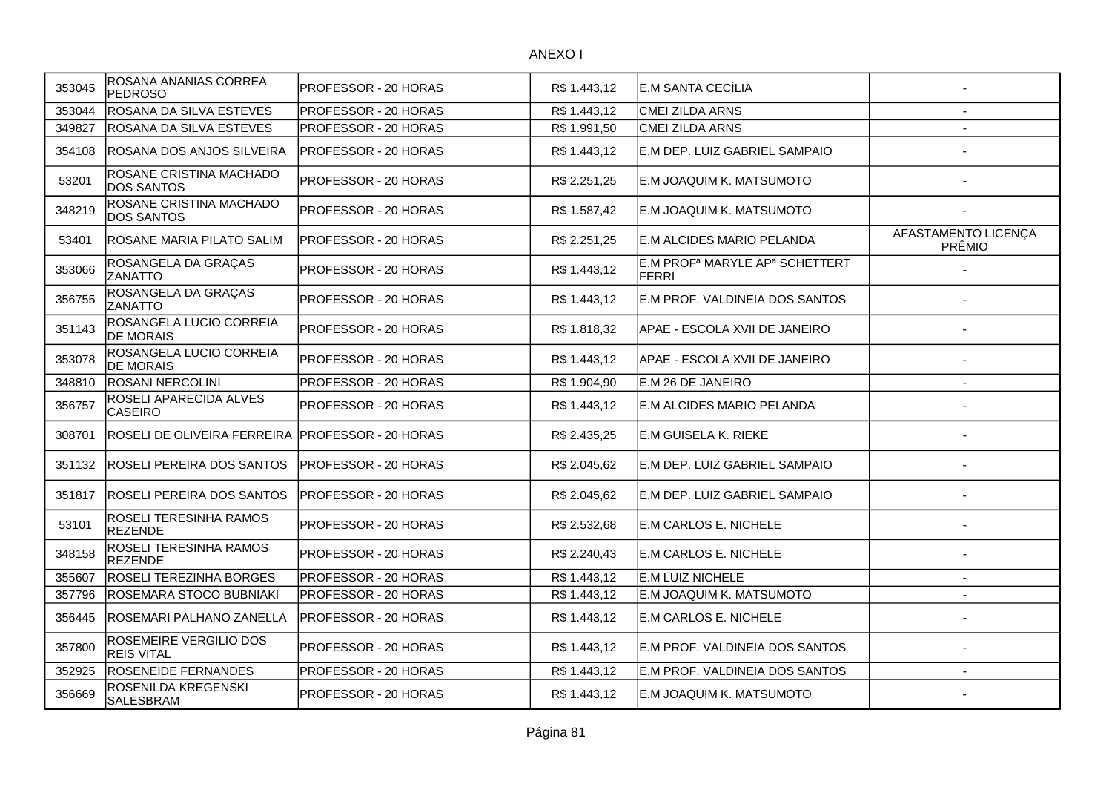| 353045 | <b>ROSANA ANANIAS CORREA</b><br><b>PEDROSO</b>  | <b>PROFESSOR - 20 HORAS</b> | R\$ 1.443,12 | E.M SANTA CECÍLIA                                                      |                               |
|--------|-------------------------------------------------|-----------------------------|--------------|------------------------------------------------------------------------|-------------------------------|
| 353044 | ROSANA DA SILVA ESTEVES                         | <b>PROFESSOR - 20 HORAS</b> | R\$1.443,12  | <b>CMEI ZILDA ARNS</b>                                                 |                               |
| 349827 | <b>ROSANA DA SILVA ESTEVES</b>                  | PROFESSOR - 20 HORAS        | R\$1.991,50  | CMEI ZILDA ARNS                                                        |                               |
| 354108 | ROSANA DOS ANJOS SILVEIRA                       | PROFESSOR - 20 HORAS        | R\$1.443,12  | E.M DEP. LUIZ GABRIEL SAMPAIO                                          |                               |
| 53201  | ROSANE CRISTINA MACHADO<br>DOS SANTOS           | PROFESSOR - 20 HORAS        | R\$ 2.251,25 | E.M JOAQUIM K. MATSUMOTO                                               |                               |
| 348219 | ROSANE CRISTINA MACHADO<br>DOS SANTOS           | PROFESSOR - 20 HORAS        | R\$ 1.587,42 | E.M JOAQUIM K. MATSUMOTO                                               |                               |
| 53401  | <b>ROSANE MARIA PILATO SALIM</b>                | PROFESSOR - 20 HORAS        | R\$ 2.251,25 | E.M ALCIDES MARIO PELANDA                                              | AFASTAMENTO LICENÇA<br>PRÊMIO |
| 353066 | ROSANGELA DA GRAÇAS<br>ZANATTO                  | PROFESSOR - 20 HORAS        | R\$ 1.443,12 | E.M PROF <sup>a</sup> MARYLE AP <sup>a</sup> SCHETTERT<br><b>FERRI</b> |                               |
| 356755 | ROSANGELA DA GRAÇAS<br><b>ZANATTO</b>           | PROFESSOR - 20 HORAS        | R\$1.443,12  | E.M PROF. VALDINEIA DOS SANTOS                                         |                               |
| 351143 | ROSANGELA LUCIO CORREIA<br><b>DE MORAIS</b>     | PROFESSOR - 20 HORAS        | R\$ 1.818,32 | APAE - ESCOLA XVII DE JANEIRO                                          |                               |
| 353078 | ROSANGELA LUCIO CORREIA<br><b>DE MORAIS</b>     | PROFESSOR - 20 HORAS        | R\$ 1.443,12 | APAE - ESCOLA XVII DE JANEIRO                                          |                               |
| 348810 | ROSANI NERCOLINI                                | PROFESSOR - 20 HORAS        | R\$ 1.904,90 | E.M 26 DE JANEIRO                                                      | $\overline{\phantom{a}}$      |
| 356757 | ROSELI APARECIDA ALVES<br><b>CASEIRO</b>        | PROFESSOR - 20 HORAS        | R\$ 1.443,12 | E.M ALCIDES MARIO PELANDA                                              |                               |
| 308701 | <b>ROSELI DE OLIVEIRA FERREIRA</b>              | <b>PROFESSOR - 20 HORAS</b> | R\$ 2.435,25 | <b>E.M GUISELA K. RIEKE</b>                                            |                               |
| 351132 | <b>ROSELI PEREIRA DOS SANTOS</b>                | <b>PROFESSOR - 20 HORAS</b> | R\$ 2.045,62 | E.M DEP. LUIZ GABRIEL SAMPAIO                                          |                               |
| 351817 | <b>ROSELI PEREIRA DOS SANTOS</b>                | <b>PROFESSOR - 20 HORAS</b> | R\$ 2.045,62 | E.M DEP. LUIZ GABRIEL SAMPAIO                                          |                               |
| 53101  | <b>ROSELI TERESINHA RAMOS</b><br>REZENDE        | PROFESSOR - 20 HORAS        | R\$ 2.532,68 | E.M CARLOS E. NICHELE                                                  |                               |
| 348158 | <b>ROSELI TERESINHA RAMOS</b><br><b>REZENDE</b> | PROFESSOR - 20 HORAS        | R\$ 2.240,43 | IE.M CARLOS E. NICHELE                                                 |                               |
| 355607 | <b>ROSELI TEREZINHA BORGES</b>                  | <b>PROFESSOR - 20 HORAS</b> | R\$1.443,12  | E.M LUIZ NICHELE                                                       | $\overline{\phantom{a}}$      |
| 357796 | ROSEMARA STOCO BUBNIAKI                         | PROFESSOR - 20 HORAS        | R\$ 1.443,12 | E.M JOAQUIM K. MATSUMOTO                                               | $\overline{\phantom{a}}$      |
| 356445 | ROSEMARI PALHANO ZANELLA                        | <b>PROFESSOR - 20 HORAS</b> | R\$1.443,12  | E.M CARLOS E. NICHELE                                                  |                               |
| 357800 | ROSEMEIRE VERGILIO DOS<br><b>REIS VITAL</b>     | PROFESSOR - 20 HORAS        | R\$ 1.443,12 | E.M PROF. VALDINEIA DOS SANTOS                                         |                               |
| 352925 | ROSENEIDE FERNANDES                             | PROFESSOR - 20 HORAS        | R\$ 1.443,12 | E.M PROF. VALDINEIA DOS SANTOS                                         | $\blacksquare$                |
| 356669 | <b>ROSENILDA KREGENSKI</b><br>SALESBRAM         | PROFESSOR - 20 HORAS        | R\$ 1.443,12 | E.M JOAQUIM K. MATSUMOTO                                               |                               |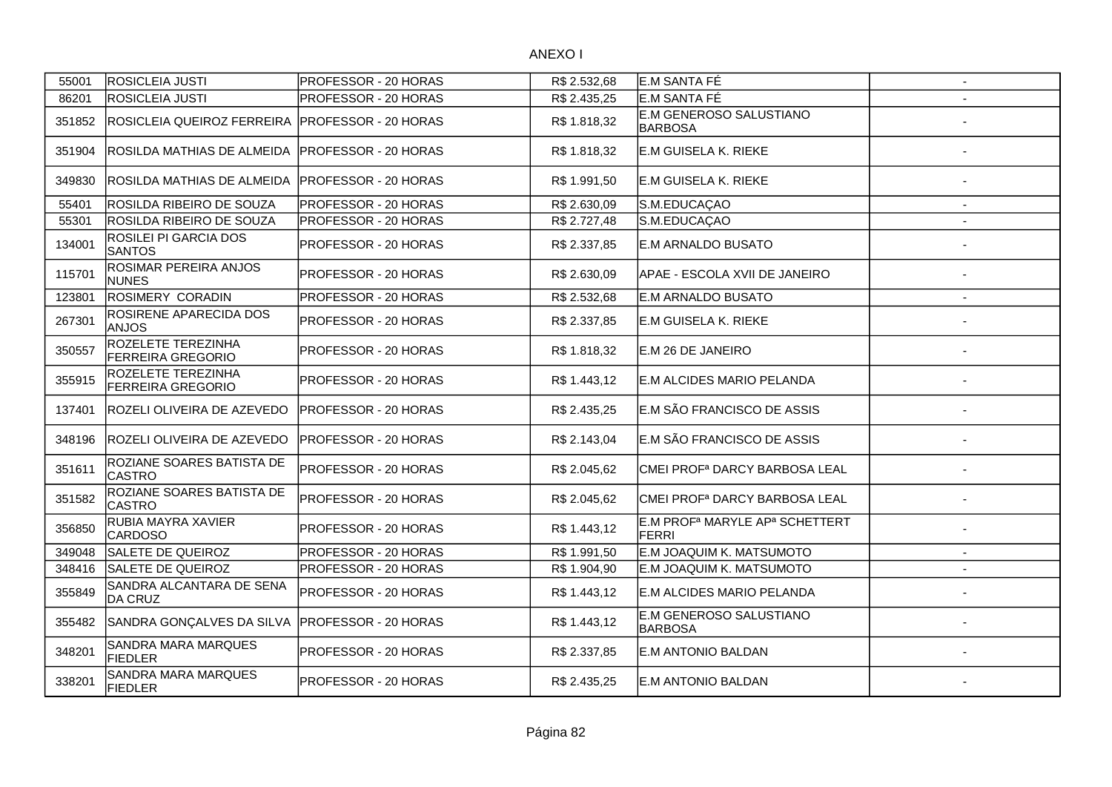| 55001  | <b>ROSICLEIA JUSTI</b>                         | PROFESSOR - 20 HORAS         | R\$ 2.532,68 | E.M SANTA FÉ                                                    | $\sim$                   |
|--------|------------------------------------------------|------------------------------|--------------|-----------------------------------------------------------------|--------------------------|
| 86201  | <b>ROSICLEIA JUSTI</b>                         | PROFESSOR - 20 HORAS         | R\$ 2.435,25 | E.M SANTA FÉ                                                    |                          |
| 351852 | ROSICLEIA QUEIROZ FERREIRA                     | <b>PROFESSOR - 20 HORAS</b>  | R\$ 1.818,32 | E.M GENEROSO SALUSTIANO<br><b>BARBOSA</b>                       |                          |
| 351904 | ROSILDA MATHIAS DE ALMEIDA                     | <b>PROFESSOR - 20 HORAS</b>  | R\$ 1.818,32 | E.M GUISELA K. RIEKE                                            |                          |
| 349830 | ROSILDA MATHIAS DE ALMEIDA                     | <b>IPROFESSOR - 20 HORAS</b> | R\$ 1.991,50 | E.M GUISELA K. RIEKE                                            |                          |
| 55401  | ROSILDA RIBEIRO DE SOUZA                       | <b>PROFESSOR - 20 HORAS</b>  | R\$ 2.630,09 | S.M.EDUCAÇAO                                                    | $\blacksquare$           |
| 55301  | ROSILDA RIBEIRO DE SOUZA                       | PROFESSOR - 20 HORAS         | R\$ 2.727,48 | S.M.EDUCAÇAO                                                    |                          |
| 134001 | <b>ROSILEI PI GARCIA DOS</b><br><b>SANTOS</b>  | PROFESSOR - 20 HORAS         | R\$ 2.337,85 | E.M ARNALDO BUSATO                                              |                          |
| 115701 | ROSIMAR PEREIRA ANJOS<br><b>NUNES</b>          | PROFESSOR - 20 HORAS         | R\$ 2.630,09 | APAE - ESCOLA XVII DE JANEIRO                                   |                          |
| 123801 | ROSIMERY CORADIN                               | PROFESSOR - 20 HORAS         | R\$ 2.532,68 | <b>E.M ARNALDO BUSATO</b>                                       |                          |
| 267301 | <b>ROSIRENE APARECIDA DOS</b><br><b>ANJOS</b>  | PROFESSOR - 20 HORAS         | R\$ 2.337,85 | E.M GUISELA K. RIEKE                                            |                          |
| 350557 | ROZELETE TEREZINHA<br><b>FERREIRA GREGORIO</b> | PROFESSOR - 20 HORAS         | R\$ 1.818,32 | E.M 26 DE JANEIRO                                               |                          |
| 355915 | ROZELETE TEREZINHA<br><b>FERREIRA GREGORIO</b> | PROFESSOR - 20 HORAS         | R\$ 1.443,12 | E.M ALCIDES MARIO PELANDA                                       |                          |
| 137401 | ROZELI OLIVEIRA DE AZEVEDO                     | IPROFESSOR - 20 HORAS        | R\$ 2.435,25 | E.M SÃO FRANCISCO DE ASSIS                                      |                          |
| 348196 | ROZELI OLIVEIRA DE AZEVEDO                     | PROFESSOR - 20 HORAS         | R\$ 2.143,04 | E.M SÃO FRANCISCO DE ASSIS                                      |                          |
| 351611 | ROZIANE SOARES BATISTA DE<br><b>CASTRO</b>     | <b>PROFESSOR - 20 HORAS</b>  | R\$ 2.045,62 | CMEI PROF <sup>a</sup> DARCY BARBOSA LEAL                       |                          |
| 351582 | ROZIANE SOARES BATISTA DE<br><b>CASTRO</b>     | <b>PROFESSOR - 20 HORAS</b>  | R\$ 2.045,62 | CMEI PROF <sup>a</sup> DARCY BARBOSA LEAL                       |                          |
| 356850 | RUBIA MAYRA XAVIER<br><b>CARDOSO</b>           | PROFESSOR - 20 HORAS         | R\$ 1.443,12 | E.M PROF <sup>a</sup> MARYLE AP <sup>a</sup> SCHETTERT<br>FERRI |                          |
| 349048 | SALETE DE QUEIROZ                              | PROFESSOR - 20 HORAS         | R\$ 1.991,50 | E.M JOAQUIM K. MATSUMOTO                                        | $\overline{\phantom{a}}$ |
| 348416 | SALETE DE QUEIROZ                              | PROFESSOR - 20 HORAS         | R\$ 1.904,90 | E.M JOAQUIM K. MATSUMOTO                                        | $\sim$                   |
| 355849 | SANDRA ALCANTARA DE SENA<br>DA CRUZ            | PROFESSOR - 20 HORAS         | R\$ 1.443,12 | E.M ALCIDES MARIO PELANDA                                       |                          |
| 355482 | SANDRA GONÇALVES DA SILVA                      | <b>PROFESSOR - 20 HORAS</b>  | R\$ 1.443,12 | E.M GENEROSO SALUSTIANO<br>BARBOSA                              |                          |
| 348201 | SANDRA MARA MARQUES<br><b>FIEDLER</b>          | PROFESSOR - 20 HORAS         | R\$ 2.337,85 | E.M ANTONIO BALDAN                                              |                          |
| 338201 | SANDRA MARA MARQUES<br><b>FIEDLER</b>          | <b>PROFESSOR - 20 HORAS</b>  | R\$ 2.435,25 | IE.M ANTONIO BALDAN                                             |                          |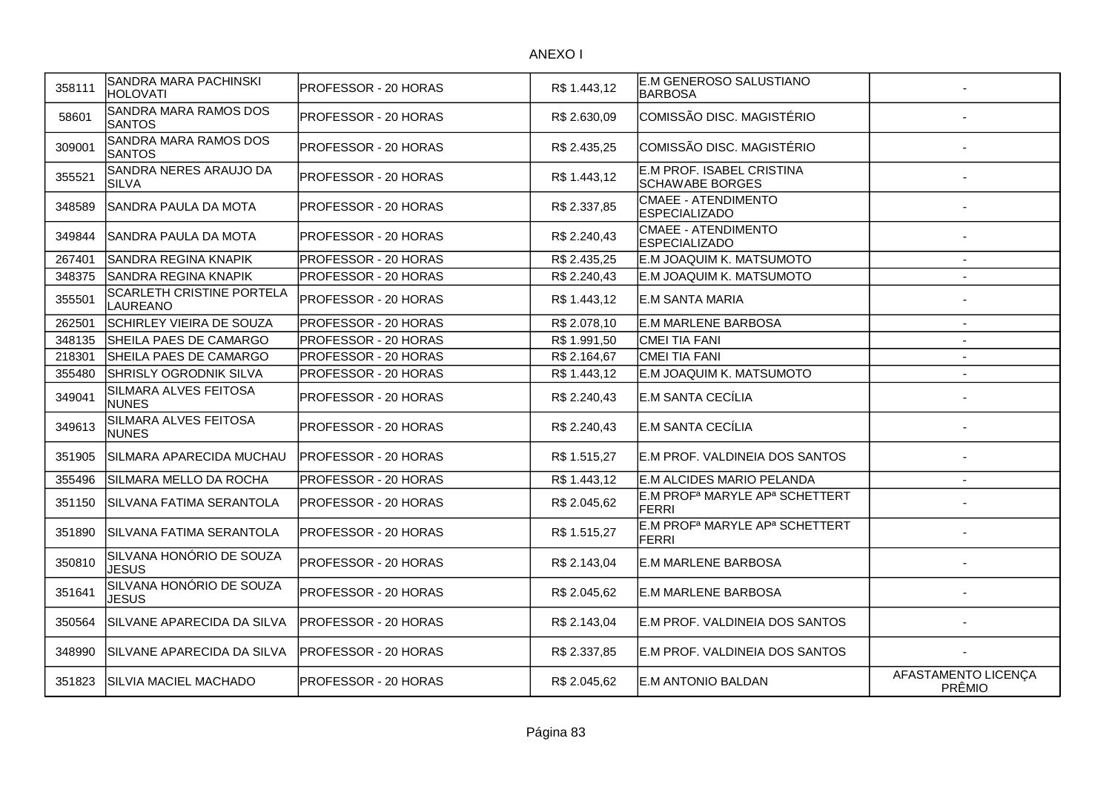| 358111 | SANDRA MARA PACHINSKI<br><b>HOLOVATI</b>     | PROFESSOR - 20 HORAS | R\$ 1.443,12 | <b>E.M GENEROSO SALUSTIANO</b><br><b>BARBOSA</b>                       |                               |
|--------|----------------------------------------------|----------------------|--------------|------------------------------------------------------------------------|-------------------------------|
| 58601  | SANDRA MARA RAMOS DOS<br><b>SANTOS</b>       | PROFESSOR - 20 HORAS | R\$ 2.630,09 | COMISSÃO DISC. MAGISTÉRIO                                              |                               |
| 309001 | SANDRA MARA RAMOS DOS<br><b>SANTOS</b>       | PROFESSOR - 20 HORAS | R\$ 2.435,25 | COMISSÃO DISC. MAGISTÉRIO                                              |                               |
| 355521 | SANDRA NERES ARAUJO DA<br><b>SILVA</b>       | PROFESSOR - 20 HORAS | R\$1.443,12  | E.M PROF. ISABEL CRISTINA<br><b>SCHAWABE BORGES</b>                    |                               |
| 348589 | SANDRA PAULA DA MOTA                         | PROFESSOR - 20 HORAS | R\$ 2.337,85 | <b>CMAEE - ATENDIMENTO</b><br><b>ESPECIALIZADO</b>                     |                               |
| 349844 | SANDRA PAULA DA MOTA                         | PROFESSOR - 20 HORAS | R\$ 2.240,43 | <b>CMAEE - ATENDIMENTO</b><br><b>ESPECIALIZADO</b>                     |                               |
| 267401 | SANDRA REGINA KNAPIK                         | PROFESSOR - 20 HORAS | R\$ 2.435,25 | E.M JOAQUIM K. MATSUMOTO                                               | $\overline{\phantom{a}}$      |
| 348375 | SANDRA REGINA KNAPIK                         | PROFESSOR - 20 HORAS | R\$ 2.240,43 | E.M JOAQUIM K. MATSUMOTO                                               | $\overline{a}$                |
| 355501 | <b>SCARLETH CRISTINE PORTELA</b><br>LAUREANO | PROFESSOR - 20 HORAS | R\$ 1.443,12 | <b>E.M SANTA MARIA</b>                                                 |                               |
| 262501 | SCHIRLEY VIEIRA DE SOUZA                     | PROFESSOR - 20 HORAS | R\$ 2.078,10 | E.M MARLENE BARBOSA                                                    | $\blacksquare$                |
| 348135 | SHEILA PAES DE CAMARGO                       | PROFESSOR - 20 HORAS | R\$ 1.991,50 | <b>CMEI TIA FANI</b>                                                   | $\blacksquare$                |
| 218301 | SHEILA PAES DE CAMARGO                       | PROFESSOR - 20 HORAS | R\$ 2.164,67 | <b>CMEI TIA FANI</b>                                                   | $\blacksquare$                |
| 355480 | SHRISLY OGRODNIK SILVA                       | PROFESSOR - 20 HORAS | R\$ 1.443,12 | E.M JOAQUIM K. MATSUMOTO                                               | Ĭ.                            |
| 349041 | SILMARA ALVES FEITOSA<br><b>NUNES</b>        | PROFESSOR - 20 HORAS | R\$ 2.240,43 | E.M SANTA CECÍLIA                                                      |                               |
| 349613 | SILMARA ALVES FEITOSA<br><b>NUNES</b>        | PROFESSOR - 20 HORAS | R\$ 2.240,43 | E.M SANTA CECÍLIA                                                      |                               |
| 351905 | SILMARA APARECIDA MUCHAU                     | PROFESSOR - 20 HORAS | R\$ 1.515,27 | E.M PROF. VALDINEIA DOS SANTOS                                         |                               |
| 355496 | SILMARA MELLO DA ROCHA                       | PROFESSOR - 20 HORAS | R\$ 1.443,12 | E.M ALCIDES MARIO PELANDA                                              | $\overline{a}$                |
| 351150 | SILVANA FATIMA SERANTOLA                     | PROFESSOR - 20 HORAS | R\$ 2.045,62 | E.M PROF <sup>a</sup> MARYLE AP <sup>a</sup> SCHETTERT<br><b>FERRI</b> |                               |
| 351890 | SILVANA FATIMA SERANTOLA                     | PROFESSOR - 20 HORAS | R\$ 1.515,27 | E.M PROF <sup>a</sup> MARYLE AP <sup>a</sup> SCHETTERT<br><b>FERRI</b> |                               |
| 350810 | SILVANA HONÓRIO DE SOUZA<br><b>JESUS</b>     | PROFESSOR - 20 HORAS | R\$ 2.143,04 | <b>E.M MARLENE BARBOSA</b>                                             |                               |
| 351641 | SILVANA HONÓRIO DE SOUZA<br><b>JESUS</b>     | PROFESSOR - 20 HORAS | R\$ 2.045,62 | <b>E.M MARLENE BARBOSA</b>                                             |                               |
| 350564 | SILVANE APARECIDA DA SILVA                   | PROFESSOR - 20 HORAS | R\$ 2.143,04 | E.M PROF. VALDINEIA DOS SANTOS                                         |                               |
| 348990 | SILVANE APARECIDA DA SILVA                   | PROFESSOR - 20 HORAS | R\$ 2.337,85 | E.M PROF. VALDINEIA DOS SANTOS                                         |                               |
| 351823 | ISILVIA MACIEL MACHADO                       | PROFESSOR - 20 HORAS | R\$ 2.045,62 | IE.M ANTONIO BALDAN                                                    | AFASTAMENTO LICENÇA<br>PRÊMIO |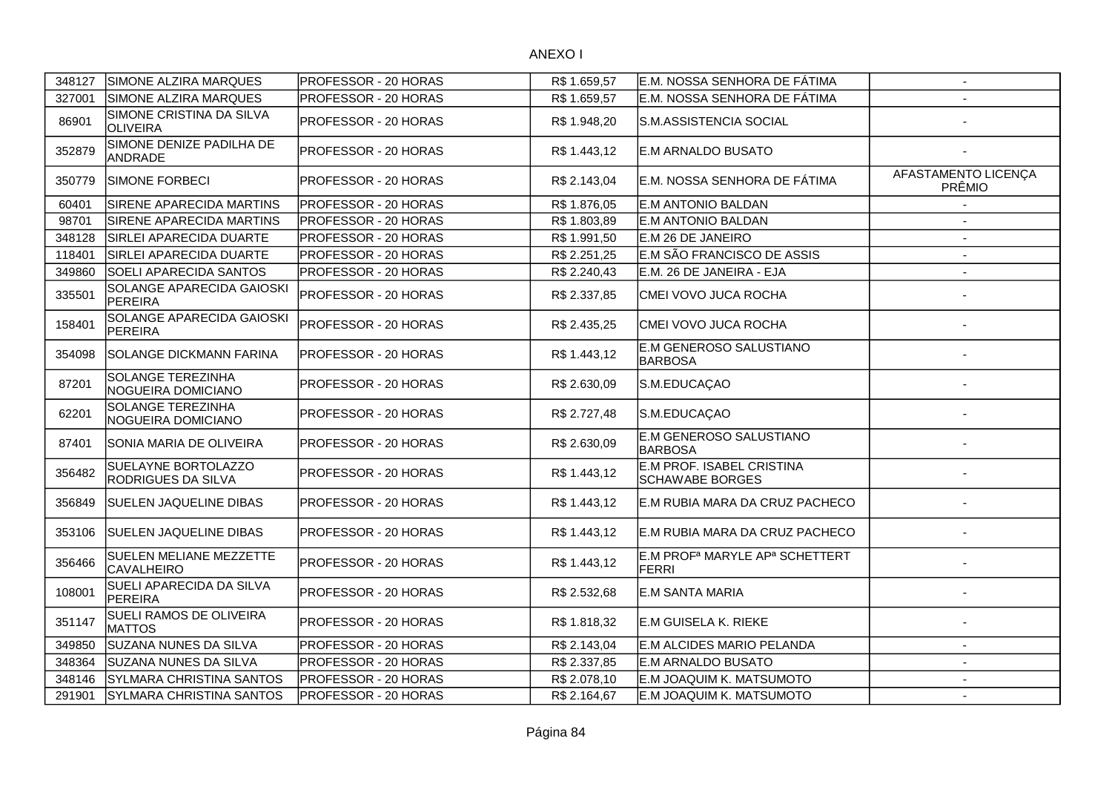| 348127 | SIMONE ALZIRA MARQUES                            | <b>PROFESSOR - 20 HORAS</b> | R\$1.659,57  | E.M. NOSSA SENHORA DE FÁTIMA                                           | $\sim$                               |
|--------|--------------------------------------------------|-----------------------------|--------------|------------------------------------------------------------------------|--------------------------------------|
| 327001 | SIMONE ALZIRA MARQUES                            | <b>PROFESSOR - 20 HORAS</b> | R\$1.659,57  | E.M. NOSSA SENHORA DE FÁTIMA                                           |                                      |
| 86901  | SIMONE CRISTINA DA SILVA<br>OLIVEIRA             | <b>PROFESSOR - 20 HORAS</b> | R\$ 1.948,20 | S.M.ASSISTENCIA SOCIAL                                                 |                                      |
| 352879 | SIMONE DENIZE PADILHA DE<br>ANDRADE              | <b>PROFESSOR - 20 HORAS</b> | R\$ 1.443,12 | <b>E.M ARNALDO BUSATO</b>                                              |                                      |
| 350779 | SIMONE FORBECI                                   | PROFESSOR - 20 HORAS        | R\$ 2.143,04 | E.M. NOSSA SENHORA DE FÁTIMA                                           | AFASTAMENTO LICENÇA<br><b>PRÊMIO</b> |
| 60401  | SIRENE APARECIDA MARTINS                         | <b>PROFESSOR - 20 HORAS</b> | R\$ 1.876,05 | E.M ANTONIO BALDAN                                                     |                                      |
| 98701  | <b>SIRENE APARECIDA MARTINS</b>                  | <b>PROFESSOR - 20 HORAS</b> | R\$ 1.803,89 | E.M ANTONIO BALDAN                                                     |                                      |
| 348128 | SIRLEI APARECIDA DUARTE                          | PROFESSOR - 20 HORAS        | R\$ 1.991,50 | E.M 26 DE JANEIRO                                                      |                                      |
| 118401 | SIRLEI APARECIDA DUARTE                          | PROFESSOR - 20 HORAS        | R\$ 2.251,25 | E.M SÃO FRANCISCO DE ASSIS                                             |                                      |
| 349860 | <b>SOELI APARECIDA SANTOS</b>                    | PROFESSOR - 20 HORAS        | R\$ 2.240,43 | E.M. 26 DE JANEIRA - EJA                                               |                                      |
| 335501 | SOLANGE APARECIDA GAIOSKI<br>PEREIRA             | PROFESSOR - 20 HORAS        | R\$ 2.337,85 | CMEI VOVO JUCA ROCHA                                                   |                                      |
| 158401 | SOLANGE APARECIDA GAIOSKI<br>PEREIRA             | <b>PROFESSOR - 20 HORAS</b> | R\$ 2.435,25 | CMEI VOVO JUCA ROCHA                                                   |                                      |
| 354098 | <b>SOLANGE DICKMANN FARINA</b>                   | PROFESSOR - 20 HORAS        | R\$1.443,12  | E.M GENEROSO SALUSTIANO<br><b>BARBOSA</b>                              |                                      |
| 87201  | SOLANGE TEREZINHA<br>NOGUEIRA DOMICIANO          | PROFESSOR - 20 HORAS        | R\$ 2.630,09 | S.M.EDUCAÇAO                                                           |                                      |
| 62201  | SOLANGE TEREZINHA<br>NOGUEIRA DOMICIANO          | PROFESSOR - 20 HORAS        | R\$ 2.727,48 | S.M.EDUCAÇAO                                                           |                                      |
| 87401  | ISONIA MARIA DE OLIVEIRA                         | PROFESSOR - 20 HORAS        | R\$ 2.630,09 | E.M GENEROSO SALUSTIANO<br><b>BARBOSA</b>                              |                                      |
| 356482 | SUELAYNE BORTOLAZZO<br><b>RODRIGUES DA SILVA</b> | PROFESSOR - 20 HORAS        | R\$ 1.443,12 | E.M PROF. ISABEL CRISTINA<br><b>SCHAWABE BORGES</b>                    |                                      |
| 356849 | SUELEN JAQUELINE DIBAS                           | <b>PROFESSOR - 20 HORAS</b> | R\$ 1.443,12 | E.M RUBIA MARA DA CRUZ PACHECO                                         |                                      |
| 353106 | SUELEN JAQUELINE DIBAS                           | PROFESSOR - 20 HORAS        | R\$ 1.443,12 | E.M RUBIA MARA DA CRUZ PACHECO                                         |                                      |
| 356466 | SUELEN MELIANE MEZZETTE<br><b>CAVALHEIRO</b>     | PROFESSOR - 20 HORAS        | R\$ 1.443,12 | E.M PROF <sup>a</sup> MARYLE AP <sup>a</sup> SCHETTERT<br><b>FERRI</b> |                                      |
| 108001 | SUELI APARECIDA DA SILVA<br>PEREIRA              | PROFESSOR - 20 HORAS        | R\$ 2.532,68 | <b>E.M SANTA MARIA</b>                                                 |                                      |
| 351147 | SUELI RAMOS DE OLIVEIRA<br><b>MATTOS</b>         | PROFESSOR - 20 HORAS        | R\$ 1.818,32 | <b>E.M GUISELA K. RIEKE</b>                                            |                                      |
| 349850 | SUZANA NUNES DA SILVA                            | PROFESSOR - 20 HORAS        | R\$ 2.143,04 | E.M ALCIDES MARIO PELANDA                                              |                                      |
| 348364 | SUZANA NUNES DA SILVA                            | PROFESSOR - 20 HORAS        | R\$ 2.337,85 | E.M ARNALDO BUSATO                                                     | $\blacksquare$                       |
| 348146 | <b>SYLMARA CHRISTINA SANTOS</b>                  | <b>PROFESSOR - 20 HORAS</b> | R\$ 2.078,10 | E.M JOAQUIM K. MATSUMOTO                                               | $\blacksquare$                       |
| 291901 | SYLMARA CHRISTINA SANTOS                         | PROFESSOR - 20 HORAS        | R\$ 2.164,67 | E.M JOAQUIM K. MATSUMOTO                                               | $\overline{\phantom{a}}$             |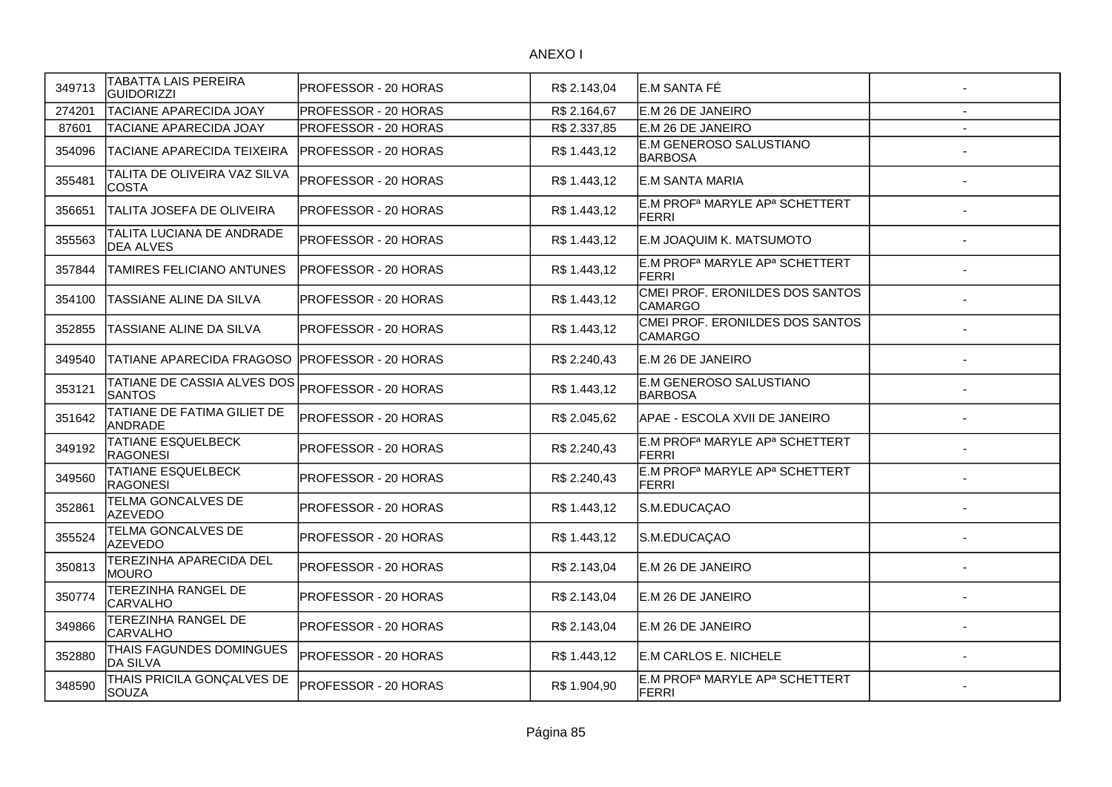| 349713 | TABATTA LAIS PEREIRA<br><b>GUIDORIZZI</b>     | PROFESSOR - 20 HORAS | R\$ 2.143,04 | IE.M SANTA FÉ                                                          |  |
|--------|-----------------------------------------------|----------------------|--------------|------------------------------------------------------------------------|--|
| 274201 | <b>TACIANE APARECIDA JOAY</b>                 | PROFESSOR - 20 HORAS | R\$ 2.164,67 | E.M 26 DE JANEIRO                                                      |  |
| 87601  | <b>TACIANE APARECIDA JOAY</b>                 | PROFESSOR - 20 HORAS | R\$ 2.337,85 | E.M 26 DE JANEIRO                                                      |  |
| 354096 | <b>TACIANE APARECIDA TEIXEIRA</b>             | PROFESSOR - 20 HORAS | R\$ 1.443,12 | E.M GENEROSO SALUSTIANO<br><b>BARBOSA</b>                              |  |
| 355481 | TALITA DE OLIVEIRA VAZ SILVA<br><b>COSTA</b>  | PROFESSOR - 20 HORAS | R\$ 1.443,12 | <b>E.M SANTA MARIA</b>                                                 |  |
| 356651 | TALITA JOSEFA DE OLIVEIRA                     | PROFESSOR - 20 HORAS | R\$ 1.443,12 | E.M PROF <sup>a</sup> MARYLE AP <sup>a</sup> SCHETTERT<br><b>FERRI</b> |  |
| 355563 | TALITA LUCIANA DE ANDRADE<br><b>DEA ALVES</b> | PROFESSOR - 20 HORAS | R\$ 1.443,12 | E.M JOAQUIM K. MATSUMOTO                                               |  |
| 357844 | TAMIRES FELICIANO ANTUNES                     | PROFESSOR - 20 HORAS | R\$ 1.443,12 | E.M PROF <sup>a</sup> MARYLE AP <sup>a</sup> SCHETTERT<br>FERRI        |  |
| 354100 | TASSIANE ALINE DA SILVA                       | PROFESSOR - 20 HORAS | R\$ 1.443,12 | CMEI PROF. ERONILDES DOS SANTOS<br><b>CAMARGO</b>                      |  |
| 352855 | TASSIANE ALINE DA SILVA                       | PROFESSOR - 20 HORAS | R\$ 1.443,12 | CMEI PROF. ERONILDES DOS SANTOS<br><b>CAMARGO</b>                      |  |
| 349540 | <b>TATIANE APARECIDA FRAGOSO</b>              | PROFESSOR - 20 HORAS | R\$ 2.240,43 | IE.M 26 DE JANEIRO                                                     |  |
| 353121 | TATIANE DE CASSIA ALVES DOS<br><b>SANTOS</b>  | PROFESSOR - 20 HORAS | R\$ 1.443,12 | E.M GENEROSO SALUSTIANO<br><b>BARBOSA</b>                              |  |
| 351642 | TATIANE DE FATIMA GILIET DE<br><b>ANDRADE</b> | PROFESSOR - 20 HORAS | R\$ 2.045,62 | APAE - ESCOLA XVII DE JANEIRO                                          |  |
| 349192 | <b>TATIANE ESQUELBECK</b><br><b>RAGONESI</b>  | PROFESSOR - 20 HORAS | R\$ 2.240,43 | E.M PROF <sup>a</sup> MARYLE AP <sup>a</sup> SCHETTERT<br><b>FERRI</b> |  |
| 349560 | <b>TATIANE ESQUELBECK</b><br><b>RAGONESI</b>  | PROFESSOR - 20 HORAS | R\$ 2.240,43 | E.M PROF <sup>a</sup> MARYLE AP <sup>a</sup> SCHETTERT<br><b>FERRI</b> |  |
| 352861 | TELMA GONCALVES DE<br><b>AZEVEDO</b>          | PROFESSOR - 20 HORAS | R\$ 1.443,12 | S.M.EDUCAÇAO                                                           |  |
| 355524 | TELMA GONCALVES DE<br><b>AZEVEDO</b>          | PROFESSOR - 20 HORAS | R\$ 1.443,12 | S.M.EDUCAÇAO                                                           |  |
| 350813 | TEREZINHA APARECIDA DEL<br><b>MOURO</b>       | PROFESSOR - 20 HORAS | R\$ 2.143,04 | E.M 26 DE JANEIRO                                                      |  |
| 350774 | TEREZINHA RANGEL DE<br><b>CARVALHO</b>        | PROFESSOR - 20 HORAS | R\$ 2.143,04 | E.M 26 DE JANEIRO                                                      |  |
| 349866 | <b>TEREZINHA RANGEL DE</b><br><b>CARVALHO</b> | PROFESSOR - 20 HORAS | R\$ 2.143,04 | E.M 26 DE JANEIRO                                                      |  |
| 352880 | THAIS FAGUNDES DOMINGUES<br><b>DA SILVA</b>   | PROFESSOR - 20 HORAS | R\$ 1.443,12 | E.M CARLOS E. NICHELE                                                  |  |
| 348590 | THAIS PRICILA GONÇALVES DE<br><b>SOUZA</b>    | PROFESSOR - 20 HORAS | R\$ 1.904,90 | E.M PROF <sup>a</sup> MARYLE AP <sup>a</sup> SCHETTERT<br>FERRI        |  |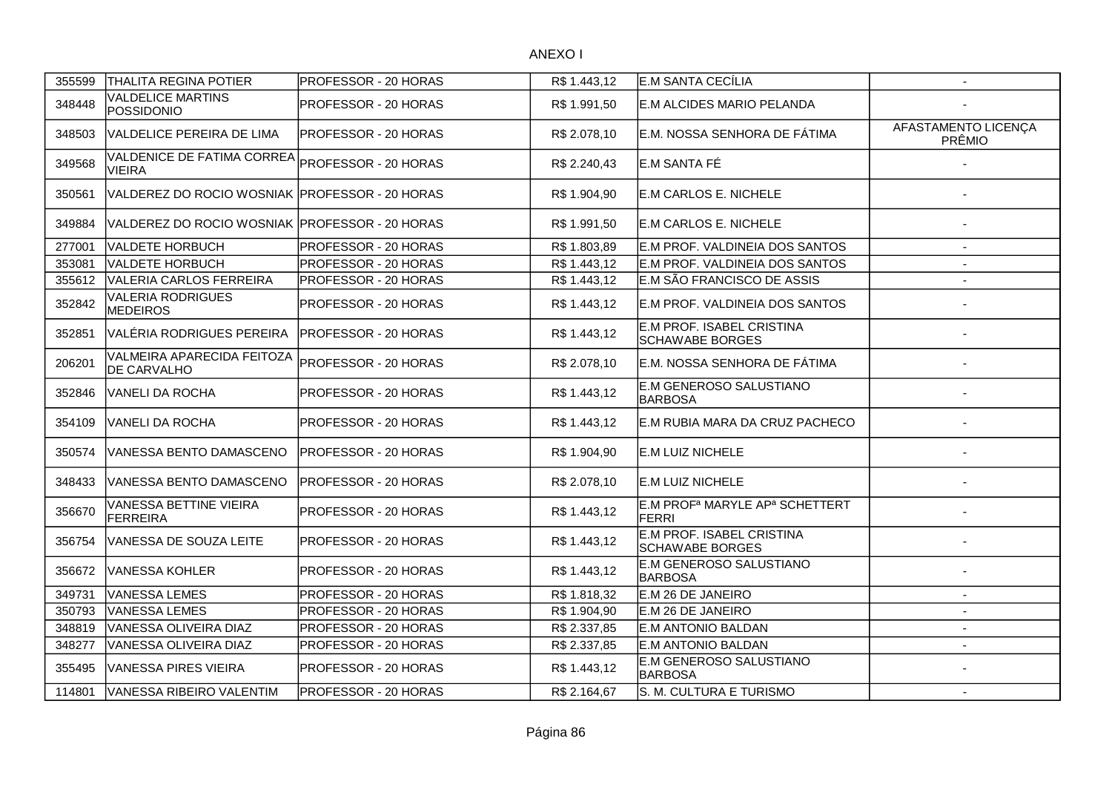| 355599 | <b>THALITA REGINA POTIER</b>                     | <b>PROFESSOR - 20 HORAS</b> | R\$1.443,12  | E.M SANTA CECÍLIA                                               | $\sim$                        |
|--------|--------------------------------------------------|-----------------------------|--------------|-----------------------------------------------------------------|-------------------------------|
| 348448 | <b>VALDELICE MARTINS</b><br>POSSIDONIO           | <b>PROFESSOR - 20 HORAS</b> | R\$ 1.991,50 | E.M ALCIDES MARIO PELANDA                                       |                               |
| 348503 | VALDELICE PEREIRA DE LIMA                        | <b>PROFESSOR - 20 HORAS</b> | R\$ 2.078,10 | E.M. NOSSA SENHORA DE FÁTIMA                                    | AFASTAMENTO LICENÇA<br>PRÊMIO |
| 349568 | VALDENICE DE FATIMA CORREA<br><b>VIEIRA</b>      | PROFESSOR - 20 HORAS        | R\$ 2.240,43 | E.M SANTA FÉ                                                    |                               |
| 350561 | VALDEREZ DO ROCIO WOSNIAK PROFESSOR - 20 HORAS   |                             | R\$ 1.904,90 | E.M CARLOS E. NICHELE                                           |                               |
| 349884 | VALDEREZ DO ROCIO WOSNIAK PROFESSOR - 20 HORAS   |                             | R\$ 1.991,50 | E.M CARLOS E. NICHELE                                           |                               |
| 277001 | VALDETE HORBUCH                                  | <b>PROFESSOR - 20 HORAS</b> | R\$ 1.803,89 | E.M PROF. VALDINEIA DOS SANTOS                                  |                               |
| 353081 | VALDETE HORBUCH                                  | <b>PROFESSOR - 20 HORAS</b> | R\$ 1.443,12 | E.M PROF. VALDINEIA DOS SANTOS                                  |                               |
| 355612 | VALERIA CARLOS FERREIRA                          | <b>PROFESSOR - 20 HORAS</b> | R\$ 1.443,12 | E.M SÃO FRANCISCO DE ASSIS                                      | $\blacksquare$                |
| 352842 | VALERIA RODRIGUES<br>MEDEIROS                    | PROFESSOR - 20 HORAS        | R\$ 1.443,12 | E.M PROF. VALDINEIA DOS SANTOS                                  |                               |
| 352851 | VALÉRIA RODRIGUES PEREIRA                        | <b>PROFESSOR - 20 HORAS</b> | R\$ 1.443,12 | E.M PROF. ISABEL CRISTINA<br><b>SCHAWABE BORGES</b>             |                               |
| 206201 | VALMEIRA APARECIDA FEITOZA<br><b>DE CARVALHO</b> | PROFESSOR - 20 HORAS        | R\$ 2.078,10 | E.M. NOSSA SENHORA DE FÁTIMA                                    |                               |
| 352846 | <b>VANELI DA ROCHA</b>                           | PROFESSOR - 20 HORAS        | R\$1.443,12  | E.M GENEROSO SALUSTIANO<br><b>BARBOSA</b>                       | $\blacksquare$                |
| 354109 | VANELI DA ROCHA                                  | <b>PROFESSOR - 20 HORAS</b> | R\$1.443,12  | E.M RUBIA MARA DA CRUZ PACHECO                                  |                               |
| 350574 | VANESSA BENTO DAMASCENO                          | PROFESSOR - 20 HORAS        | R\$ 1.904,90 | E.M LUIZ NICHELE                                                |                               |
| 348433 | VANESSA BENTO DAMASCENO                          | PROFESSOR - 20 HORAS        | R\$ 2.078,10 | E.M LUIZ NICHELE                                                |                               |
| 356670 | <b>VANESSA BETTINE VIEIRA</b><br>FERREIRA        | PROFESSOR - 20 HORAS        | R\$ 1.443,12 | E.M PROF <sup>a</sup> MARYLE AP <sup>a</sup> SCHETTERT<br>FERRI |                               |
| 356754 | VANESSA DE SOUZA LEITE                           | <b>PROFESSOR - 20 HORAS</b> | R\$ 1.443,12 | E.M PROF. ISABEL CRISTINA<br><b>SCHAWABE BORGES</b>             |                               |
| 356672 | lVANESSA KOHLER                                  | PROFESSOR - 20 HORAS        | R\$ 1.443,12 | E.M GENEROSO SALUSTIANO<br><b>BARBOSA</b>                       |                               |
| 349731 | VANESSA LEMES                                    | PROFESSOR - 20 HORAS        | R\$ 1.818,32 | E.M 26 DE JANEIRO                                               | $\overline{\phantom{a}}$      |
| 350793 | VANESSA LEMES                                    | PROFESSOR - 20 HORAS        | R\$ 1.904,90 | E.M 26 DE JANEIRO                                               | $\blacksquare$                |
| 348819 | VANESSA OLIVEIRA DIAZ                            | PROFESSOR - 20 HORAS        | R\$ 2.337,85 | IE.M ANTONIO BALDAN                                             | $\mathbf{r}$                  |
| 348277 | VANESSA OLIVEIRA DIAZ                            | PROFESSOR - 20 HORAS        | R\$ 2.337,85 | IE.M ANTONIO BALDAN                                             | $\sim$                        |
| 355495 | lVANESSA PIRES VIEIRA                            | PROFESSOR - 20 HORAS        | R\$ 1.443,12 | E.M GENEROSO SALUSTIANO<br><b>IBARBOSA</b>                      |                               |
| 114801 | VANESSA RIBEIRO VALENTIM                         | <b>PROFESSOR - 20 HORAS</b> | R\$ 2.164,67 | S. M. CULTURA E TURISMO                                         |                               |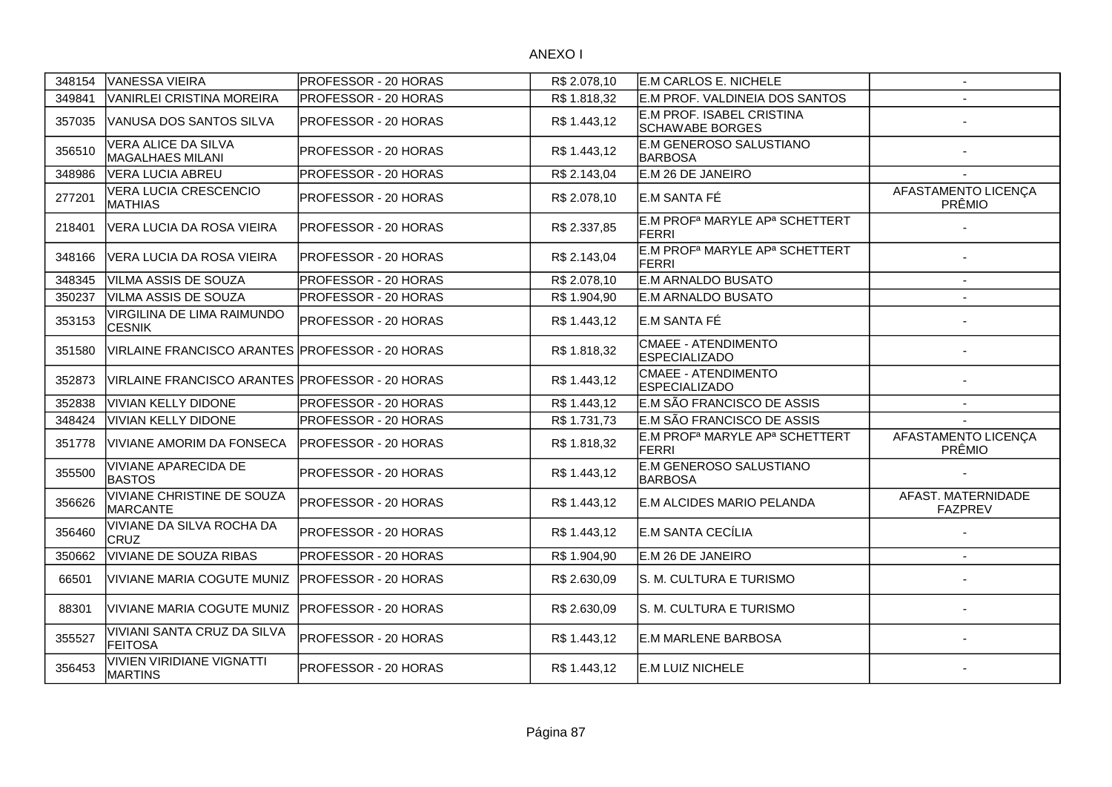| 348154 | <b>VANESSA VIEIRA</b>                            | PROFESSOR - 20 HORAS         | R\$ 2.078,10 | E.M CARLOS E. NICHELE                                                  | $\sim$                               |
|--------|--------------------------------------------------|------------------------------|--------------|------------------------------------------------------------------------|--------------------------------------|
| 349841 | VANIRLEI CRISTINA MOREIRA                        | PROFESSOR - 20 HORAS         | R\$ 1.818,32 | E.M PROF. VALDINEIA DOS SANTOS                                         |                                      |
| 357035 | VANUSA DOS SANTOS SILVA                          | PROFESSOR - 20 HORAS         | R\$1.443,12  | E.M PROF. ISABEL CRISTINA<br><b>SCHAWABE BORGES</b>                    |                                      |
| 356510 | VERA ALICE DA SILVA<br><b>MAGALHAES MILANI</b>   | <b>PROFESSOR - 20 HORAS</b>  | R\$ 1.443.12 | E.M GENEROSO SALUSTIANO<br><b>BARBOSA</b>                              |                                      |
| 348986 | <b>VERA LUCIA ABREU</b>                          | PROFESSOR - 20 HORAS         | R\$ 2.143,04 | E.M 26 DE JANEIRO                                                      |                                      |
| 277201 | VERA LUCIA CRESCENCIO<br><b>MATHIAS</b>          | PROFESSOR - 20 HORAS         | R\$ 2.078,10 | E.M SANTA FÉ                                                           | AFASTAMENTO LICENÇA<br>PRÊMIO        |
| 218401 | VERA LUCIA DA ROSA VIEIRA                        | PROFESSOR - 20 HORAS         | R\$ 2.337,85 | E.M PROF <sup>a</sup> MARYLE AP <sup>a</sup> SCHETTERT<br><b>FERRI</b> |                                      |
| 348166 | VERA LUCIA DA ROSA VIEIRA                        | PROFESSOR - 20 HORAS         | R\$ 2.143,04 | E.M PROF <sup>a</sup> MARYLE AP <sup>a</sup> SCHETTERT<br><b>FERRI</b> |                                      |
| 348345 | VILMA ASSIS DE SOUZA                             | PROFESSOR - 20 HORAS         | R\$ 2.078,10 | <b>E.M ARNALDO BUSATO</b>                                              |                                      |
| 350237 | VILMA ASSIS DE SOUZA                             | PROFESSOR - 20 HORAS         | R\$ 1.904,90 | <b>E.M ARNALDO BUSATO</b>                                              |                                      |
| 353153 | VIRGILINA DE LIMA RAIMUNDO<br><b>CESNIK</b>      | <b>PROFESSOR - 20 HORAS</b>  | R\$1.443,12  | E.M SANTA FÉ                                                           |                                      |
| 351580 | VIRLAINE FRANCISCO ARANTES PROFESSOR - 20 HORAS  |                              | R\$ 1.818,32 | <b>CMAEE - ATENDIMENTO</b><br><b>ESPECIALIZADO</b>                     |                                      |
| 352873 | VIRLAINE FRANCISCO ARANTES IPROFESSOR - 20 HORAS |                              | R\$ 1.443,12 | <b>CMAEE - ATENDIMENTO</b><br><b>ESPECIALIZADO</b>                     |                                      |
| 352838 | <b>VIVIAN KELLY DIDONE</b>                       | PROFESSOR - 20 HORAS         | R\$ 1.443.12 | E.M SÃO FRANCISCO DE ASSIS                                             | $\overline{\phantom{a}}$             |
| 348424 | <b>VIVIAN KELLY DIDONE</b>                       | PROFESSOR - 20 HORAS         | R\$ 1.731,73 | E.M SÃO FRANCISCO DE ASSIS                                             | $\overline{\phantom{a}}$             |
| 351778 | VIVIANE AMORIM DA FONSECA                        | PROFESSOR - 20 HORAS         | R\$ 1.818,32 | E.M PROF <sup>a</sup> MARYLE AP <sup>a</sup> SCHETTERT<br><b>FERRI</b> | AFASTAMENTO LICENÇA<br>PRÊMIO        |
| 355500 | <b>VIVIANE APARECIDA DE</b><br><b>BASTOS</b>     | PROFESSOR - 20 HORAS         | R\$1.443,12  | E.M GENEROSO SALUSTIANO<br><b>BARBOSA</b>                              |                                      |
| 356626 | VIVIANE CHRISTINE DE SOUZA<br><b>MARCANTE</b>    | <b>IPROFESSOR - 20 HORAS</b> | R\$ 1.443,12 | E.M ALCIDES MARIO PELANDA                                              | AFAST. MATERNIDADE<br><b>FAZPREV</b> |
| 356460 | VIVIANE DA SILVA ROCHA DA<br>CRUZ                | PROFESSOR - 20 HORAS         | R\$ 1.443,12 | E.M SANTA CECÍLIA                                                      |                                      |
| 350662 | VIVIANE DE SOUZA RIBAS                           | PROFESSOR - 20 HORAS         | R\$ 1.904,90 | E.M 26 DE JANEIRO                                                      |                                      |
| 66501  | <b>VIVIANE MARIA COGUTE MUNIZ</b>                | <b>IPROFESSOR - 20 HORAS</b> | R\$ 2.630,09 | S. M. CULTURA E TURISMO                                                |                                      |
| 88301  | VIVIANE MARIA COGUTE MUNIZ                       | PROFESSOR - 20 HORAS         | R\$ 2.630,09 | S. M. CULTURA E TURISMO                                                |                                      |
| 355527 | VIVIANI SANTA CRUZ DA SILVA<br><b>FEITOSA</b>    | PROFESSOR - 20 HORAS         | R\$1.443,12  | <b>E.M MARLENE BARBOSA</b>                                             |                                      |
| 356453 | VIVIEN VIRIDIANE VIGNATTI<br><b>MARTINS</b>      | PROFESSOR - 20 HORAS         | R\$ 1.443,12 | E.M LUIZ NICHELE                                                       |                                      |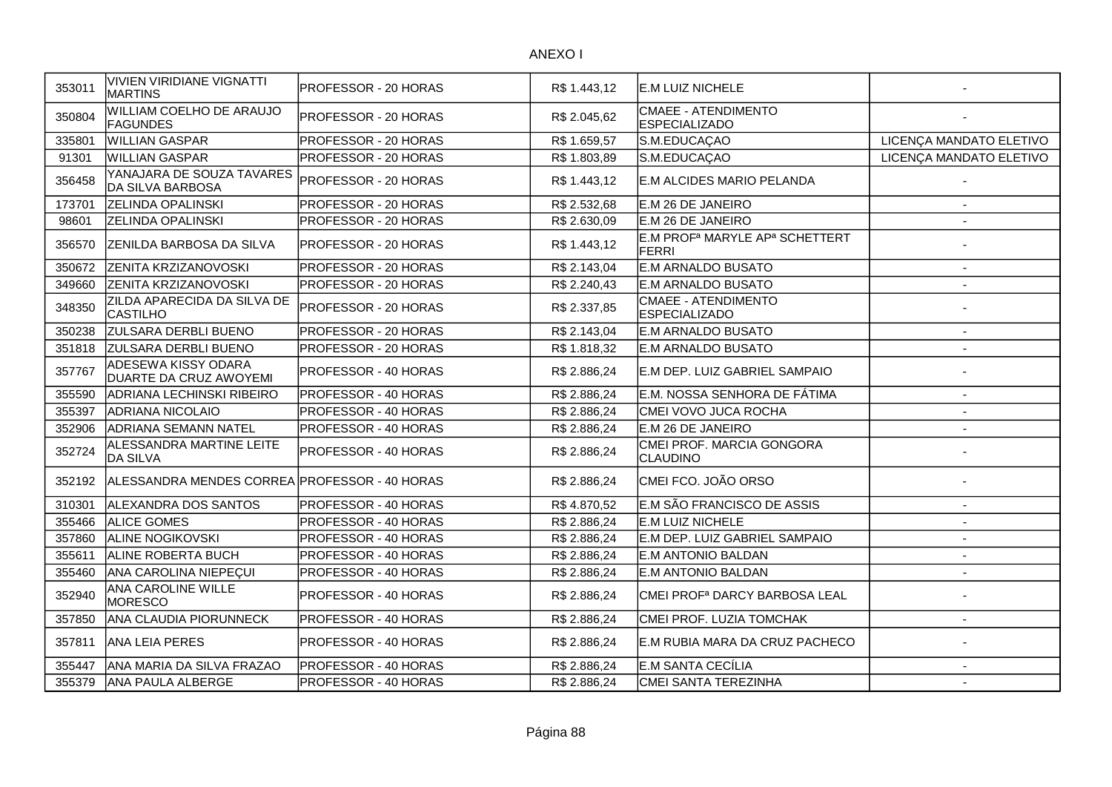| 353011 | VIVIEN VIRIDIANE VIGNATTI<br><b>MARTINS</b>    | PROFESSOR - 20 HORAS        | R\$ 1.443,12 | E.M LUIZ NICHELE                                                       |                          |
|--------|------------------------------------------------|-----------------------------|--------------|------------------------------------------------------------------------|--------------------------|
| 350804 | WILLIAM COELHO DE ARAUJO<br>FAGUNDES           | PROFESSOR - 20 HORAS        | R\$ 2.045,62 | <b>CMAEE - ATENDIMENTO</b><br><b>ESPECIALIZADO</b>                     |                          |
| 335801 | <b>WILLIAN GASPAR</b>                          | PROFESSOR - 20 HORAS        | R\$ 1.659,57 | S.M.EDUCAÇAO                                                           | LICENÇA MANDATO ELETIVO  |
| 91301  | <b>WILLIAN GASPAR</b>                          | <b>PROFESSOR - 20 HORAS</b> | R\$ 1.803.89 | S.M.EDUCAÇAO                                                           | LICENÇA MANDATO ELETIVO  |
| 356458 | YANAJARA DE SOUZA TAVARES<br>DA SILVA BARBOSA  | PROFESSOR - 20 HORAS        | R\$ 1.443,12 | E.M ALCIDES MARIO PELANDA                                              |                          |
| 173701 | <b>ZELINDA OPALINSKI</b>                       | PROFESSOR - 20 HORAS        | R\$ 2.532,68 | E.M 26 DE JANEIRO                                                      |                          |
| 98601  | <b>ZELINDA OPALINSKI</b>                       | PROFESSOR - 20 HORAS        | R\$ 2.630,09 | E.M 26 DE JANEIRO                                                      |                          |
| 356570 | <b>ZENILDA BARBOSA DA SILVA</b>                | PROFESSOR - 20 HORAS        | R\$ 1.443,12 | E.M PROF <sup>a</sup> MARYLE AP <sup>a</sup> SCHETTERT<br><b>FERRI</b> |                          |
| 350672 | <b>ZENITA KRZIZANOVOSKI</b>                    | PROFESSOR - 20 HORAS        | R\$ 2.143,04 | <b>E.M ARNALDO BUSATO</b>                                              | $\mathbf{r}$             |
| 349660 | <b>ZENITA KRZIZANOVOSKI</b>                    | PROFESSOR - 20 HORAS        | R\$ 2.240,43 | <b>E.M ARNALDO BUSATO</b>                                              |                          |
| 348350 | ZILDA APARECIDA DA SILVA DE<br><b>CASTILHO</b> | PROFESSOR - 20 HORAS        | R\$ 2.337,85 | <b>CMAEE - ATENDIMENTO</b><br><b>ESPECIALIZADO</b>                     |                          |
| 350238 | <b>ZULSARA DERBLI BUENO</b>                    | PROFESSOR - 20 HORAS        | R\$ 2.143,04 | <b>E.M ARNALDO BUSATO</b>                                              | $\overline{\phantom{a}}$ |
| 351818 | <b>ZULSARA DERBLI BUENO</b>                    | PROFESSOR - 20 HORAS        | R\$ 1.818,32 | <b>E.M ARNALDO BUSATO</b>                                              | $\blacksquare$           |
| 357767 | ADESEWA KISSY ODARA<br>DUARTE DA CRUZ AWOYEMI  | PROFESSOR - 40 HORAS        | R\$ 2.886,24 | E.M DEP. LUIZ GABRIEL SAMPAIO                                          |                          |
| 355590 | ADRIANA LECHINSKI RIBEIRO                      | PROFESSOR - 40 HORAS        | R\$ 2.886,24 | E.M. NOSSA SENHORA DE FÁTIMA                                           | $\overline{a}$           |
| 355397 | <b>ADRIANA NICOLAIO</b>                        | PROFESSOR - 40 HORAS        | R\$ 2.886,24 | CMEI VOVO JUCA ROCHA                                                   |                          |
| 352906 | <b>ADRIANA SEMANN NATEL</b>                    | PROFESSOR - 40 HORAS        | R\$ 2.886,24 | E.M 26 DE JANEIRO                                                      |                          |
| 352724 | ALESSANDRA MARTINE LEITE<br><b>DA SILVA</b>    | PROFESSOR - 40 HORAS        | R\$ 2.886,24 | CMEI PROF. MARCIA GONGORA<br>CLAUDINO                                  |                          |
| 352192 | ALESSANDRA MENDES CORREA PROFESSOR - 40 HORAS  |                             | R\$ 2.886,24 | CMEI FCO. JOÃO ORSO                                                    |                          |
| 310301 | <b>ALEXANDRA DOS SANTOS</b>                    | PROFESSOR - 40 HORAS        | R\$4.870,52  | E.M SÃO FRANCISCO DE ASSIS                                             | $\overline{\phantom{a}}$ |
| 355466 | <b>ALICE GOMES</b>                             | <b>PROFESSOR - 40 HORAS</b> | R\$ 2.886,24 | E.M LUIZ NICHELE                                                       | $\overline{\phantom{a}}$ |
| 357860 | <b>ALINE NOGIKOVSKI</b>                        | PROFESSOR - 40 HORAS        | R\$ 2.886,24 | E.M DEP. LUIZ GABRIEL SAMPAIO                                          | $\overline{\phantom{a}}$ |
| 355611 | <b>ALINE ROBERTA BUCH</b>                      | PROFESSOR - 40 HORAS        | R\$ 2.886,24 | E.M ANTONIO BALDAN                                                     | $\overline{\phantom{a}}$ |
| 355460 | ANA CAROLINA NIEPECUI                          | PROFESSOR - 40 HORAS        | R\$ 2.886,24 | <b>E.M ANTONIO BALDAN</b>                                              | $\sim$                   |
| 352940 | ANA CAROLINE WILLE<br>MORESCO                  | PROFESSOR - 40 HORAS        | R\$ 2.886,24 | CMEI PROF <sup>a</sup> DARCY BARBOSA LEAL                              |                          |
| 357850 | <b>ANA CLAUDIA PIORUNNECK</b>                  | PROFESSOR - 40 HORAS        | R\$ 2.886,24 | CMEI PROF. LUZIA TOMCHAK                                               | $\blacksquare$           |
| 357811 | IANA LEIA PERES                                | PROFESSOR - 40 HORAS        | R\$ 2.886,24 | E.M RUBIA MARA DA CRUZ PACHECO                                         |                          |
| 355447 | ANA MARIA DA SILVA FRAZAO                      | PROFESSOR - 40 HORAS        | R\$ 2.886,24 | E.M SANTA CECÍLIA                                                      | $\overline{a}$           |
| 355379 | ANA PAULA ALBERGE                              | PROFESSOR - 40 HORAS        | R\$ 2.886,24 | CMEI SANTA TEREZINHA                                                   | $\blacksquare$           |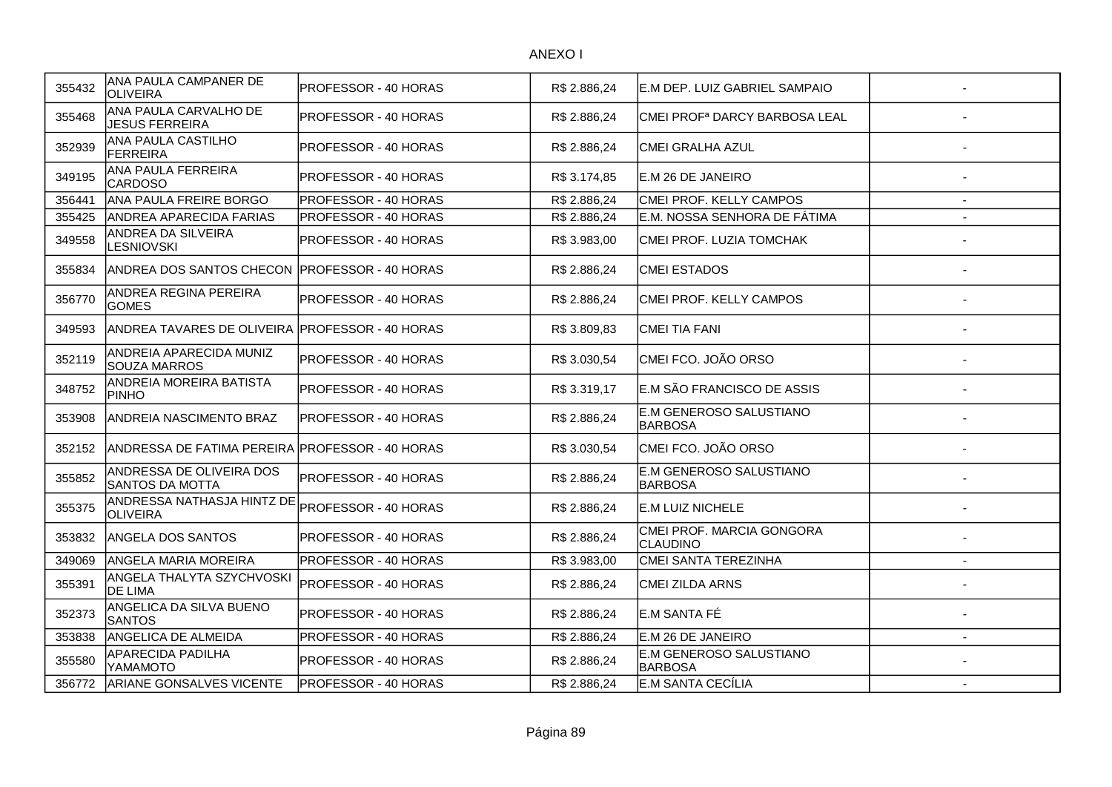| 355432 | ANA PAULA CAMPANER DE<br><b>OLIVEIRA</b>           | PROFESSOR - 40 HORAS        | R\$ 2.886,24 | E.M DEP. LUIZ GABRIEL SAMPAIO                |                |
|--------|----------------------------------------------------|-----------------------------|--------------|----------------------------------------------|----------------|
| 355468 | ANA PAULA CARVALHO DE<br><b>JESUS FERREIRA</b>     | PROFESSOR - 40 HORAS        | R\$ 2.886,24 | CMEI PROF <sup>a</sup> DARCY BARBOSA LEAL    |                |
| 352939 | ANA PAULA CASTILHO<br><b>FERREIRA</b>              | PROFESSOR - 40 HORAS        | R\$ 2.886,24 | <b>CMEI GRALHA AZUL</b>                      |                |
| 349195 | <b>ANA PAULA FERREIRA</b><br><b>CARDOSO</b>        | PROFESSOR - 40 HORAS        | R\$ 3.174,85 | E.M 26 DE JANEIRO                            |                |
| 356441 | <b>ANA PAULA FREIRE BORGO</b>                      | PROFESSOR - 40 HORAS        | R\$ 2.886,24 | CMEI PROF. KELLY CAMPOS                      |                |
| 355425 | <b>ANDREA APARECIDA FARIAS</b>                     | PROFESSOR - 40 HORAS        | R\$ 2.886,24 | E.M. NOSSA SENHORA DE FÁTIMA                 |                |
| 349558 | ANDREA DA SILVEIRA<br>LESNIOVSKI                   | PROFESSOR - 40 HORAS        | R\$ 3.983,00 | CMEI PROF. LUZIA TOMCHAK                     |                |
| 355834 | IANDREA DOS SANTOS CHECON IPROFESSOR - 40 HORAS    |                             | R\$ 2.886,24 | <b>CMEI ESTADOS</b>                          |                |
| 356770 | ANDREA REGINA PEREIRA<br><b>GOMES</b>              | PROFESSOR - 40 HORAS        | R\$ 2.886,24 | CMEI PROF. KELLY CAMPOS                      |                |
| 349593 | ANDREA TAVARES DE OLIVEIRA IPROFESSOR - 40 HORAS   |                             | R\$ 3.809,83 | <b>CMEI TIA FANI</b>                         |                |
| 352119 | ANDREIA APARECIDA MUNIZ<br><b>SOUZA MARROS</b>     | PROFESSOR - 40 HORAS        | R\$ 3.030,54 | CMEI FCO. JOÃO ORSO                          |                |
| 348752 | ANDREIA MOREIRA BATISTA<br><b>PINHO</b>            | PROFESSOR - 40 HORAS        | R\$ 3.319,17 | E.M SÃO FRANCISCO DE ASSIS                   |                |
| 353908 | <b>ANDREIA NASCIMENTO BRAZ</b>                     | PROFESSOR - 40 HORAS        | R\$ 2.886,24 | E.M GENEROSO SALUSTIANO<br><b>BARBOSA</b>    |                |
| 352152 | ANDRESSA DE FATIMA PEREIRA PROFESSOR - 40 HORAS    |                             | R\$ 3.030,54 | CMEI FCO. JOÃO ORSO                          |                |
| 355852 | ANDRESSA DE OLIVEIRA DOS<br><b>SANTOS DA MOTTA</b> | <b>PROFESSOR - 40 HORAS</b> | R\$ 2.886,24 | E.M GENEROSO SALUSTIANO<br><b>BARBOSA</b>    |                |
| 355375 | ANDRESSA NATHASJA HINTZ DE<br><b>OLIVEIRA</b>      | PROFESSOR - 40 HORAS        | R\$ 2.886,24 | E.M LUIZ NICHELE                             |                |
| 353832 | <b>ANGELA DOS SANTOS</b>                           | PROFESSOR - 40 HORAS        | R\$ 2.886,24 | CMEI PROF. MARCIA GONGORA<br><b>CLAUDINO</b> |                |
| 349069 | ANGELA MARIA MOREIRA                               | PROFESSOR - 40 HORAS        | R\$ 3.983,00 | CMEI SANTA TEREZINHA                         | $\blacksquare$ |
| 355391 | ANGELA THALYTA SZYCHVOSKI<br>DE LIMA               | PROFESSOR - 40 HORAS        | R\$ 2.886,24 | <b>CMEI ZILDA ARNS</b>                       |                |
| 352373 | ANGELICA DA SILVA BUENO<br><b>SANTOS</b>           | PROFESSOR - 40 HORAS        | R\$ 2.886,24 | E.M SANTA FÉ                                 |                |
| 353838 | ANGELICA DE ALMEIDA                                | PROFESSOR - 40 HORAS        | R\$ 2.886,24 | E.M 26 DE JANEIRO                            |                |
| 355580 | APARECIDA PADILHA<br>YAMAMOTO                      | PROFESSOR - 40 HORAS        | R\$ 2.886,24 | E.M GENEROSO SALUSTIANO<br><b>BARBOSA</b>    |                |
| 356772 | <b>ARIANE GONSALVES VICENTE</b>                    | <b>PROFESSOR - 40 HORAS</b> | R\$ 2.886,24 | E.M SANTA CECÍLIA                            | $\sim$         |
|        |                                                    |                             |              |                                              |                |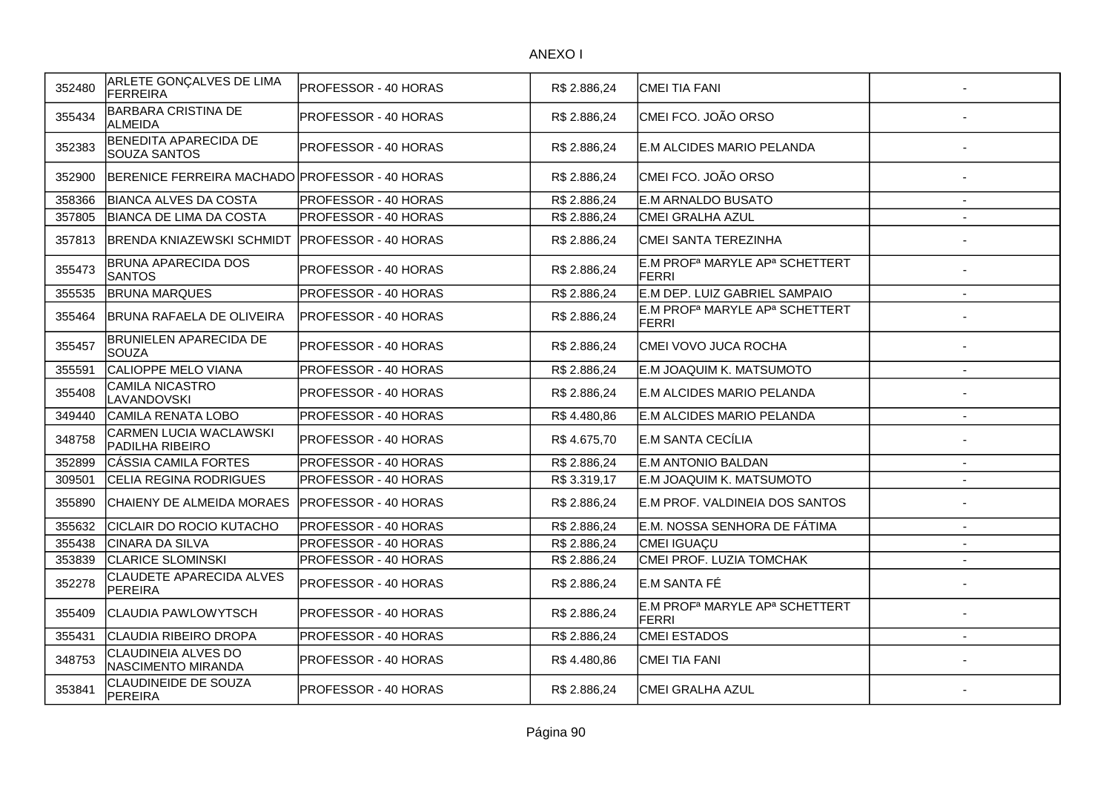| 352480 | ARLETE GONÇALVES DE LIMA<br>FERREIRA              | PROFESSOR - 40 HORAS         | R\$ 2.886,24 | CMEI TIA FANI                                                          |                          |
|--------|---------------------------------------------------|------------------------------|--------------|------------------------------------------------------------------------|--------------------------|
| 355434 | <b>BARBARA CRISTINA DE</b><br><b>ALMEIDA</b>      | PROFESSOR - 40 HORAS         | R\$ 2.886,24 | CMEI FCO. JOÃO ORSO                                                    |                          |
| 352383 | BENEDITA APARECIDA DE<br><b>SOUZA SANTOS</b>      | PROFESSOR - 40 HORAS         | R\$ 2.886,24 | E.M ALCIDES MARIO PELANDA                                              |                          |
| 352900 | BERENICE FERREIRA MACHADO PROFESSOR - 40 HORAS    |                              | R\$ 2.886,24 | CMEI FCO. JOÃO ORSO                                                    |                          |
| 358366 | <b>BIANCA ALVES DA COSTA</b>                      | PROFESSOR - 40 HORAS         | R\$ 2.886,24 | E.M ARNALDO BUSATO                                                     | $\overline{\phantom{a}}$ |
| 357805 | <b>BIANCA DE LIMA DA COSTA</b>                    | PROFESSOR - 40 HORAS         | R\$ 2.886,24 | <b>CMEI GRALHA AZUL</b>                                                |                          |
| 357813 | <b>BRENDA KNIAZEWSKI SCHMIDT</b>                  | <b>IPROFESSOR - 40 HORAS</b> | R\$ 2.886,24 | CMEI SANTA TEREZINHA                                                   |                          |
| 355473 | <b>BRUNA APARECIDA DOS</b><br><b>SANTOS</b>       | PROFESSOR - 40 HORAS         | R\$ 2.886,24 | E.M PROF <sup>a</sup> MARYLE AP <sup>a</sup> SCHETTERT<br><b>FERRI</b> |                          |
| 355535 | <b>BRUNA MARQUES</b>                              | PROFESSOR - 40 HORAS         | R\$ 2.886,24 | E.M DEP. LUIZ GABRIEL SAMPAIO                                          | $\sim$                   |
| 355464 | IBRUNA RAFAELA DE OLIVEIRA                        | PROFESSOR - 40 HORAS         | R\$ 2.886,24 | E.M PROF <sup>a</sup> MARYLE AP <sup>a</sup> SCHETTERT<br>FERRI        |                          |
| 355457 | <b>BRUNIELEN APARECIDA DE</b><br>SOUZA            | PROFESSOR - 40 HORAS         | R\$ 2.886.24 | CMEI VOVO JUCA ROCHA                                                   |                          |
| 355591 | CALIOPPE MELO VIANA                               | PROFESSOR - 40 HORAS         | R\$ 2.886,24 | E.M JOAQUIM K. MATSUMOTO                                               | $\overline{\phantom{a}}$ |
| 355408 | CAMILA NICASTRO<br>LAVANDOVSKI                    | PROFESSOR - 40 HORAS         | R\$ 2.886,24 | E.M ALCIDES MARIO PELANDA                                              |                          |
| 349440 | CAMILA RENATA LOBO                                | PROFESSOR - 40 HORAS         | R\$4.480,86  | E.M ALCIDES MARIO PELANDA                                              |                          |
| 348758 | <b>CARMEN LUCIA WACLAWSKI</b><br>PADILHA RIBEIRO  | PROFESSOR - 40 HORAS         | R\$4.675,70  | E.M SANTA CECÍLIA                                                      |                          |
| 352899 | CÁSSIA CAMILA FORTES                              | PROFESSOR - 40 HORAS         | R\$ 2.886,24 | <b>E.M ANTONIO BALDAN</b>                                              | $\mathbf{r}$             |
| 309501 | CELIA REGINA RODRIGUES                            | PROFESSOR - 40 HORAS         | R\$ 3.319,17 | E.M JOAQUIM K. MATSUMOTO                                               | $\overline{a}$           |
| 355890 | CHAIENY DE ALMEIDA MORAES                         | PROFESSOR - 40 HORAS         | R\$ 2.886,24 | E.M PROF. VALDINEIA DOS SANTOS                                         |                          |
| 355632 | CICLAIR DO ROCIO KUTACHO                          | PROFESSOR - 40 HORAS         | R\$ 2.886,24 | E.M. NOSSA SENHORA DE FÁTIMA                                           |                          |
| 355438 | CINARA DA SILVA                                   | PROFESSOR - 40 HORAS         | R\$ 2.886,24 | CMEI IGUAÇU                                                            |                          |
| 353839 | <b>CLARICE SLOMINSKI</b>                          | PROFESSOR - 40 HORAS         | R\$ 2.886,24 | CMEI PROF. LUZIA TOMCHAK                                               | $\blacksquare$           |
| 352278 | <b>CLAUDETE APARECIDA ALVES</b><br><b>PEREIRA</b> | PROFESSOR - 40 HORAS         | R\$ 2.886,24 | E.M SANTA FÉ                                                           |                          |
| 355409 | CLAUDIA PAWLOWYTSCH                               | PROFESSOR - 40 HORAS         | R\$ 2.886,24 | E.M PROF <sup>a</sup> MARYLE AP <sup>a</sup> SCHETTERT<br><b>FERRI</b> |                          |
| 355431 | CLAUDIA RIBEIRO DROPA                             | PROFESSOR - 40 HORAS         | R\$ 2.886,24 | <b>CMEI ESTADOS</b>                                                    | $\blacksquare$           |
| 348753 | CLAUDINEIA ALVES DO<br>NASCIMENTO MIRANDA         | PROFESSOR - 40 HORAS         | R\$4.480,86  | CMEI TIA FANI                                                          |                          |
| 353841 | CLAUDINEIDE DE SOUZA<br><b>PEREIRA</b>            | PROFESSOR - 40 HORAS         | R\$ 2.886,24 | CMEI GRALHA AZUL                                                       |                          |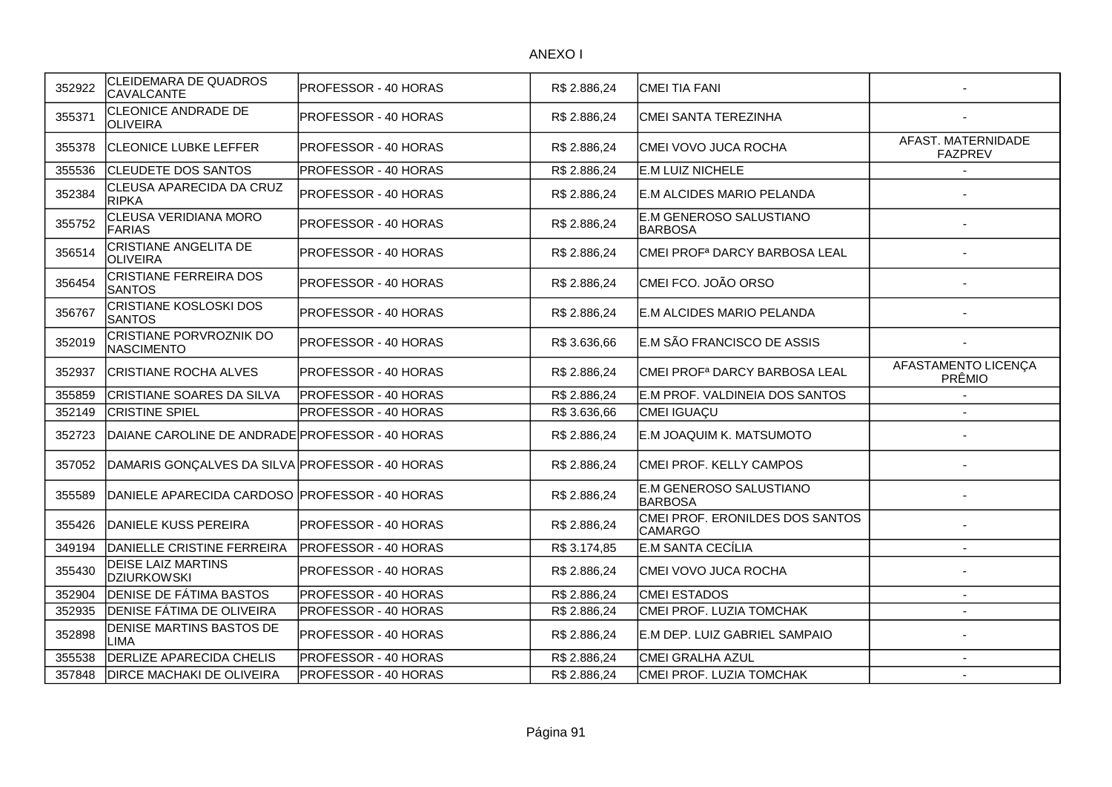| 352922 | CLEIDEMARA DE QUADROS<br>CAVALCANTE             | PROFESSOR - 40 HORAS | R\$ 2.886,24 | <b>CMEI TIA FANI</b>                              |                                      |
|--------|-------------------------------------------------|----------------------|--------------|---------------------------------------------------|--------------------------------------|
| 355371 | CLEONICE ANDRADE DE<br><b>OLIVEIRA</b>          | PROFESSOR - 40 HORAS | R\$ 2.886,24 | CMEI SANTA TEREZINHA                              |                                      |
| 355378 | <b>CLEONICE LUBKE LEFFER</b>                    | PROFESSOR - 40 HORAS | R\$ 2.886,24 | ICMEI VOVO JUCA ROCHA                             | AFAST. MATERNIDADE<br><b>FAZPREV</b> |
| 355536 | <b>CLEUDETE DOS SANTOS</b>                      | PROFESSOR - 40 HORAS | R\$ 2.886,24 | E.M LUIZ NICHELE                                  |                                      |
| 352384 | CLEUSA APARECIDA DA CRUZ<br><b>RIPKA</b>        | PROFESSOR - 40 HORAS | R\$ 2.886,24 | E.M ALCIDES MARIO PELANDA                         |                                      |
| 355752 | CLEUSA VERIDIANA MORO<br>FARIAS                 | PROFESSOR - 40 HORAS | R\$ 2.886,24 | E.M GENEROSO SALUSTIANO<br><b>BARBOSA</b>         |                                      |
| 356514 | CRISTIANE ANGELITA DE<br>OLIVEIRA               | PROFESSOR - 40 HORAS | R\$ 2.886,24 | CMEI PROF <sup>a</sup> DARCY BARBOSA LEAL         |                                      |
| 356454 | <b>CRISTIANE FERREIRA DOS</b><br><b>SANTOS</b>  | PROFESSOR - 40 HORAS | R\$ 2.886,24 | CMEI FCO. JOÃO ORSO                               |                                      |
| 356767 | <b>CRISTIANE KOSLOSKI DOS</b><br><b>SANTOS</b>  | PROFESSOR - 40 HORAS | R\$ 2.886,24 | E.M ALCIDES MARIO PELANDA                         |                                      |
| 352019 | CRISTIANE PORVROZNIK DO<br><b>NASCIMENTO</b>    | PROFESSOR - 40 HORAS | R\$ 3.636,66 | E.M SÃO FRANCISCO DE ASSIS                        |                                      |
| 352937 | ICRISTIANE ROCHA ALVES                          | PROFESSOR - 40 HORAS | R\$ 2.886,24 | İCMEI PROFª DARCY BARBOSA LEAL                    | AFASTAMENTO LICENÇA<br>PRÊMIO        |
| 355859 | CRISTIANE SOARES DA SILVA                       | PROFESSOR - 40 HORAS | R\$ 2.886,24 | E.M PROF. VALDINEIA DOS SANTOS                    |                                      |
| 352149 | <b>CRISTINE SPIEL</b>                           | PROFESSOR - 40 HORAS | R\$ 3.636,66 | CMEI IGUAÇU                                       |                                      |
| 352723 | DAIANE CAROLINE DE ANDRADE PROFESSOR - 40 HORAS |                      | R\$ 2.886,24 | E.M JOAQUIM K. MATSUMOTO                          |                                      |
| 357052 | DAMARIS GONÇALVES DA SILVA PROFESSOR - 40 HORAS |                      | R\$ 2.886,24 | CMEI PROF. KELLY CAMPOS                           |                                      |
| 355589 | DANIELE APARECIDA CARDOSO PROFESSOR - 40 HORAS  |                      | R\$ 2.886,24 | E.M GENEROSO SALUSTIANO<br>BARBOSA                |                                      |
| 355426 | DANIELE KUSS PEREIRA                            | PROFESSOR - 40 HORAS | R\$ 2.886,24 | CMEI PROF. ERONILDES DOS SANTOS<br><b>CAMARGO</b> |                                      |
| 349194 | DANIELLE CRISTINE FERREIRA                      | PROFESSOR - 40 HORAS | R\$ 3.174,85 | E.M SANTA CECÍLIA                                 |                                      |
| 355430 | <b>DEISE LAIZ MARTINS</b><br><b>DZIURKOWSKI</b> | PROFESSOR - 40 HORAS | R\$ 2.886,24 | CMEI VOVO JUCA ROCHA                              |                                      |
| 352904 | <b>DENISE DE FÁTIMA BASTOS</b>                  | PROFESSOR - 40 HORAS | R\$ 2.886,24 | <b>CMEI ESTADOS</b>                               |                                      |
| 352935 | <b>DENISE FÁTIMA DE OLIVEIRA</b>                | PROFESSOR - 40 HORAS | R\$ 2.886,24 | CMEI PROF. LUZIA TOMCHAK                          |                                      |
| 352898 | DENISE MARTINS BASTOS DE<br>LIMA                | PROFESSOR - 40 HORAS | R\$ 2.886,24 | E.M DEP. LUIZ GABRIEL SAMPAIO                     |                                      |
| 355538 | <b>DERLIZE APARECIDA CHELIS</b>                 | PROFESSOR - 40 HORAS | R\$ 2.886,24 | CMEI GRALHA AZUL                                  | $\sim$                               |
| 357848 | <b>DIRCE MACHAKI DE OLIVEIRA</b>                | PROFESSOR - 40 HORAS | R\$ 2.886,24 | CMEI PROF. LUZIA TOMCHAK                          | $\sim$                               |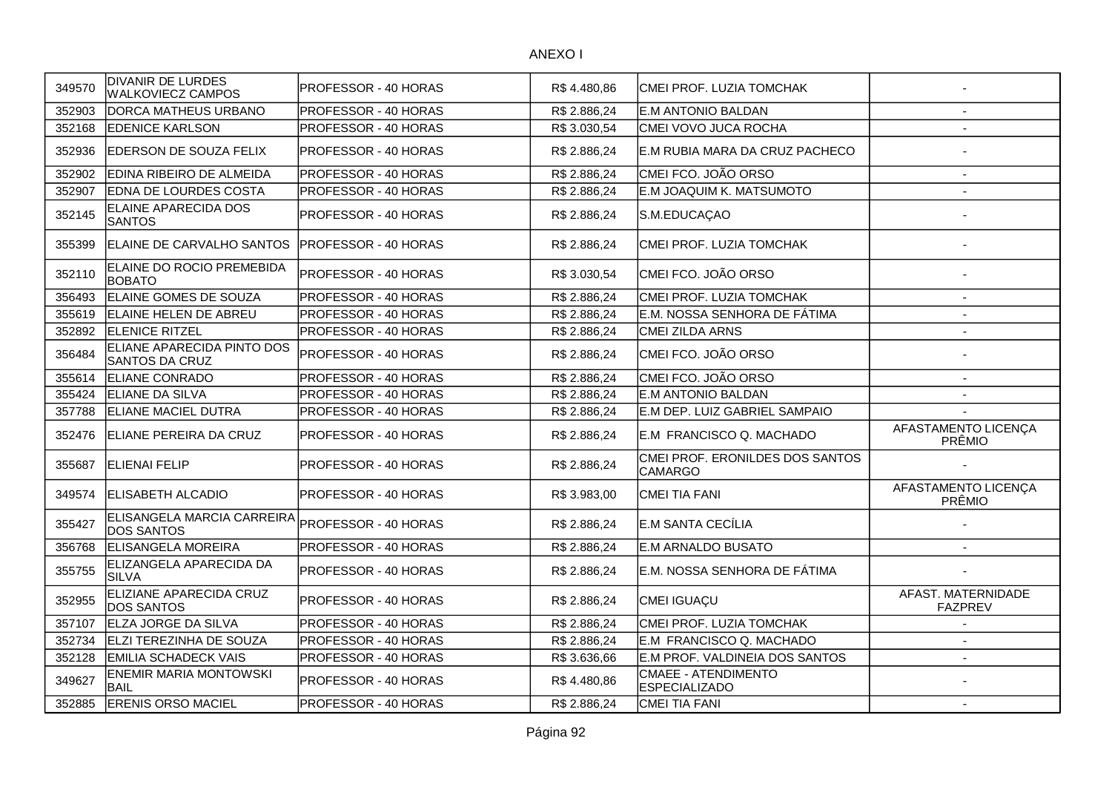| 349570 | <b>DIVANIR DE LURDES</b><br><b>WALKOVIECZ CAMPOS</b>                 | PROFESSOR - 40 HORAS         | R\$4.480,86  | CMEI PROF. LUZIA TOMCHAK                          |                                      |
|--------|----------------------------------------------------------------------|------------------------------|--------------|---------------------------------------------------|--------------------------------------|
| 352903 | <b>IDORCA MATHEUS URBANO</b>                                         | IPROFESSOR - 40 HORAS        | R\$ 2.886,24 | IE.M ANTONIO BALDAN                               |                                      |
| 352168 | <b>EDENICE KARLSON</b>                                               | <b>PROFESSOR - 40 HORAS</b>  | R\$3.030,54  | CMEI VOVO JUCA ROCHA                              |                                      |
| 352936 | IEDERSON DE SOUZA FELIX                                              | PROFESSOR - 40 HORAS         | R\$ 2.886,24 | IE.M RUBIA MARA DA CRUZ PACHECO                   |                                      |
| 352902 | EDINA RIBEIRO DE ALMEIDA                                             | PROFESSOR - 40 HORAS         | R\$ 2.886,24 | CMEI FCO. JOÃO ORSO                               | $\sim$                               |
| 352907 | <b>EDNA DE LOURDES COSTA</b>                                         | PROFESSOR - 40 HORAS         | R\$ 2.886,24 | E.M JOAQUIM K. MATSUMOTO                          | $\overline{\phantom{a}}$             |
| 352145 | ELAINE APARECIDA DOS<br><b>SANTOS</b>                                | <b>PROFESSOR - 40 HORAS</b>  | R\$ 2.886,24 | S.M.EDUCAÇAO                                      |                                      |
| 355399 | IELAINE DE CARVALHO SANTOS                                           | <b>IPROFESSOR - 40 HORAS</b> | R\$ 2.886,24 | CMEI PROF. LUZIA TOMCHAK                          |                                      |
| 352110 | ELAINE DO ROCIO PREMEBIDA<br><b>BOBATO</b>                           | PROFESSOR - 40 HORAS         | R\$ 3.030,54 | CMEI FCO. JOÃO ORSO                               |                                      |
| 356493 | ELAINE GOMES DE SOUZA                                                | PROFESSOR - 40 HORAS         | R\$ 2.886,24 | CMEI PROF. LUZIA TOMCHAK                          | $\overline{\phantom{a}}$             |
| 355619 | <b>ELAINE HELEN DE ABREU</b>                                         | <b>PROFESSOR - 40 HORAS</b>  | R\$ 2.886,24 | E.M. NOSSA SENHORA DE FÁTIMA                      | $\sim$                               |
| 352892 | <b>ELENICE RITZEL</b>                                                | <b>PROFESSOR - 40 HORAS</b>  | R\$ 2.886,24 | CMEI ZILDA ARNS                                   | $\overline{\phantom{a}}$             |
| 356484 | ELIANE APARECIDA PINTO DOS<br>SANTOS DA CRUZ                         | <b>PROFESSOR - 40 HORAS</b>  | R\$ 2.886,24 | CMEI FCO. JOÃO ORSO                               |                                      |
| 355614 | <b>ELIANE CONRADO</b>                                                | PROFESSOR - 40 HORAS         | R\$ 2.886,24 | CMEI FCO. JOÃO ORSO                               |                                      |
| 355424 | <b>ELIANE DA SILVA</b>                                               | PROFESSOR - 40 HORAS         | R\$ 2.886,24 | IE.M ANTONIO BALDAN                               | $\overline{a}$                       |
| 357788 | <b>ELIANE MACIEL DUTRA</b>                                           | PROFESSOR - 40 HORAS         | R\$ 2.886,24 | E.M DEP. LUIZ GABRIEL SAMPAIO                     |                                      |
| 352476 | ELIANE PEREIRA DA CRUZ                                               | PROFESSOR - 40 HORAS         | R\$ 2.886,24 | E.M FRANCISCO Q. MACHADO                          | AFASTAMENTO LICENÇA<br>PRÊMIO        |
| 355687 | <b>ELIENAI FELIP</b>                                                 | <b>PROFESSOR - 40 HORAS</b>  | R\$ 2.886,24 | CMEI PROF. ERONILDES DOS SANTOS<br><b>CAMARGO</b> |                                      |
| 349574 | <b>IELISABETH ALCADIO</b>                                            | <b>PROFESSOR - 40 HORAS</b>  | R\$ 3.983,00 | <b>CMEI TIA FANI</b>                              | AFASTAMENTO LICENÇA<br>PRÊMIO        |
| 355427 | ELISANGELA MARCIA CARREIRA PROFESSOR - 40 HORAS<br><b>DOS SANTOS</b> |                              | R\$ 2.886,24 | E.M SANTA CECÍLIA                                 |                                      |
| 356768 | <b>ELISANGELA MOREIRA</b>                                            | <b>PROFESSOR - 40 HORAS</b>  | R\$ 2.886,24 | <b>E.M ARNALDO BUSATO</b>                         | $\overline{a}$                       |
| 355755 | ELIZANGELA APARECIDA DA<br><b>SILVA</b>                              | PROFESSOR - 40 HORAS         | R\$ 2.886,24 | E.M. NOSSA SENHORA DE FÁTIMA                      |                                      |
| 352955 | ELIZIANE APARECIDA CRUZ<br><b>DOS SANTOS</b>                         | <b>PROFESSOR - 40 HORAS</b>  | R\$ 2.886,24 | CMEI IGUAÇU                                       | AFAST. MATERNIDADE<br><b>FAZPREV</b> |
| 357107 | ELZA JORGE DA SILVA                                                  | PROFESSOR - 40 HORAS         | R\$ 2.886,24 | CMEI PROF. LUZIA TOMCHAK                          | $\overline{\phantom{a}}$             |
| 352734 | ELZI TEREZINHA DE SOUZA                                              | PROFESSOR - 40 HORAS         | R\$ 2.886,24 | E.M FRANCISCO Q. MACHADO                          | $\overline{\phantom{a}}$             |
| 352128 | <b>IEMILIA SCHADECK VAIS</b>                                         | PROFESSOR - 40 HORAS         | R\$ 3.636,66 | E.M PROF. VALDINEIA DOS SANTOS                    | $\overline{\phantom{a}}$             |
| 349627 | ENEMIR MARIA MONTOWSKI<br>BAIL                                       | PROFESSOR - 40 HORAS         | R\$4.480,86  | CMAEE - ATENDIMENTO<br><b>ESPECIALIZADO</b>       |                                      |
| 352885 | <b>ERENIS ORSO MACIEL</b>                                            | PROFESSOR - 40 HORAS         | R\$ 2.886,24 | CMEI TIA FANI                                     |                                      |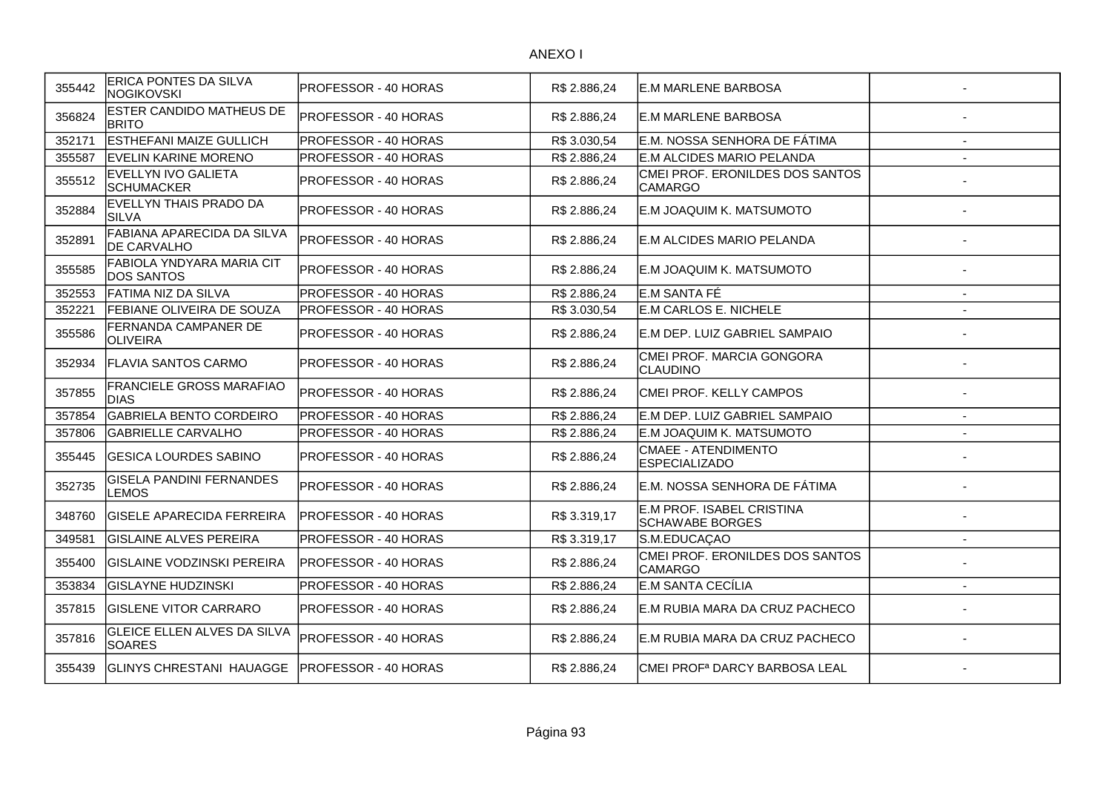| 355442 | ERICA PONTES DA SILVA<br>NOGIKOVSKI                 | IPROFESSOR - 40 HORAS        | R\$ 2.886,24 | E.M MARLENE BARBOSA                                 |                |
|--------|-----------------------------------------------------|------------------------------|--------------|-----------------------------------------------------|----------------|
| 356824 | ESTER CANDIDO MATHEUS DE<br><b>BRITO</b>            | <b>IPROFESSOR - 40 HORAS</b> | R\$ 2.886,24 | <b>IE.M MARLENE BARBOSA</b>                         |                |
| 352171 | ESTHEFANI MAIZE GULLICH                             | PROFESSOR - 40 HORAS         | R\$ 3.030,54 | E.M. NOSSA SENHORA DE FÁTIMA                        | $\overline{a}$ |
| 355587 | <b>EVELIN KARINE MORENO</b>                         | PROFESSOR - 40 HORAS         | R\$ 2.886,24 | E.M ALCIDES MARIO PELANDA                           |                |
| 355512 | EVELLYN IVO GALIETA<br><b>SCHUMACKER</b>            | PROFESSOR - 40 HORAS         | R\$ 2.886,24 | CMEI PROF. ERONILDES DOS SANTOS<br><b>CAMARGO</b>   |                |
| 352884 | EVELLYN THAIS PRADO DA<br><b>SILVA</b>              | PROFESSOR - 40 HORAS         | R\$ 2.886,24 | E.M JOAQUIM K. MATSUMOTO                            |                |
| 352891 | FABIANA APARECIDA DA SILVA<br><b>DE CARVALHO</b>    | PROFESSOR - 40 HORAS         | R\$ 2.886,24 | <b>IE.M ALCIDES MARIO PELANDA</b>                   |                |
| 355585 | FABIOLA YNDYARA MARIA CIT<br><b>DOS SANTOS</b>      | PROFESSOR - 40 HORAS         | R\$ 2.886,24 | E.M JOAQUIM K. MATSUMOTO                            |                |
| 352553 | FATIMA NIZ DA SILVA                                 | <b>PROFESSOR - 40 HORAS</b>  | R\$ 2.886,24 | E.M SANTA FÉ                                        |                |
| 352221 | FEBIANE OLIVEIRA DE SOUZA                           | PROFESSOR - 40 HORAS         | R\$ 3.030,54 | E.M CARLOS E. NICHELE                               |                |
| 355586 | FERNANDA CAMPANER DE<br><b>OLIVEIRA</b>             | PROFESSOR - 40 HORAS         | R\$ 2.886,24 | E.M DEP. LUIZ GABRIEL SAMPAIO                       |                |
| 352934 | <b>IFLAVIA SANTOS CARMO</b>                         | <b>IPROFESSOR - 40 HORAS</b> | R\$ 2.886,24 | CMEI PROF. MARCIA GONGORA<br>CLAUDINO               |                |
| 357855 | FRANCIELE GROSS MARAFIAO<br><b>DIAS</b>             | <b>IPROFESSOR - 40 HORAS</b> | R\$ 2.886.24 | CMEI PROF. KELLY CAMPOS                             |                |
| 357854 | <b>GABRIELA BENTO CORDEIRO</b>                      | <b>PROFESSOR - 40 HORAS</b>  | R\$ 2.886,24 | E.M DEP. LUIZ GABRIEL SAMPAIO                       |                |
| 357806 | <b>GABRIELLE CARVALHO</b>                           | PROFESSOR - 40 HORAS         | R\$ 2.886,24 | E.M JOAQUIM K. MATSUMOTO                            |                |
| 355445 | <b>GESICA LOURDES SABINO</b>                        | PROFESSOR - 40 HORAS         | R\$ 2.886,24 | CMAEE - ATENDIMENTO<br><b>ESPECIALIZADO</b>         |                |
| 352735 | <b>GISELA PANDINI FERNANDES</b><br><b>LEMOS</b>     | PROFESSOR - 40 HORAS         | R\$ 2.886,24 | IE.M. NOSSA SENHORA DE FÁTIMA                       |                |
| 348760 | <b>GISELE APARECIDA FERREIRA</b>                    | <b>IPROFESSOR - 40 HORAS</b> | R\$ 3.319,17 | E.M PROF. ISABEL CRISTINA<br><b>SCHAWABE BORGES</b> |                |
| 349581 | <b>GISLAINE ALVES PEREIRA</b>                       | <b>PROFESSOR - 40 HORAS</b>  | R\$ 3.319,17 | S.M.EDUCAÇAO                                        |                |
| 355400 | <b>GISLAINE VODZINSKI PEREIRA</b>                   | <b>PROFESSOR - 40 HORAS</b>  | R\$ 2.886,24 | CMEI PROF. ERONILDES DOS SANTOS<br><b>CAMARGO</b>   |                |
| 353834 | <b>GISLAYNE HUDZINSKI</b>                           | PROFESSOR - 40 HORAS         | R\$ 2.886,24 | E.M SANTA CECÍLIA                                   |                |
| 357815 | <b>GISLENE VITOR CARRARO</b>                        | <b>PROFESSOR - 40 HORAS</b>  | R\$ 2.886,24 | E.M RUBIA MARA DA CRUZ PACHECO                      |                |
| 357816 | <b>GLEICE ELLEN ALVES DA SILVA</b><br><b>SOARES</b> | <b>IPROFESSOR - 40 HORAS</b> | R\$ 2.886,24 | E.M RUBIA MARA DA CRUZ PACHECO                      |                |
| 355439 | <b>GLINYS CHRESTANI HAUAGGE</b>                     | <b>PROFESSOR - 40 HORAS</b>  | R\$ 2.886,24 | CMEI PROF <sup>a</sup> DARCY BARBOSA LEAL           |                |
|        |                                                     |                              |              |                                                     |                |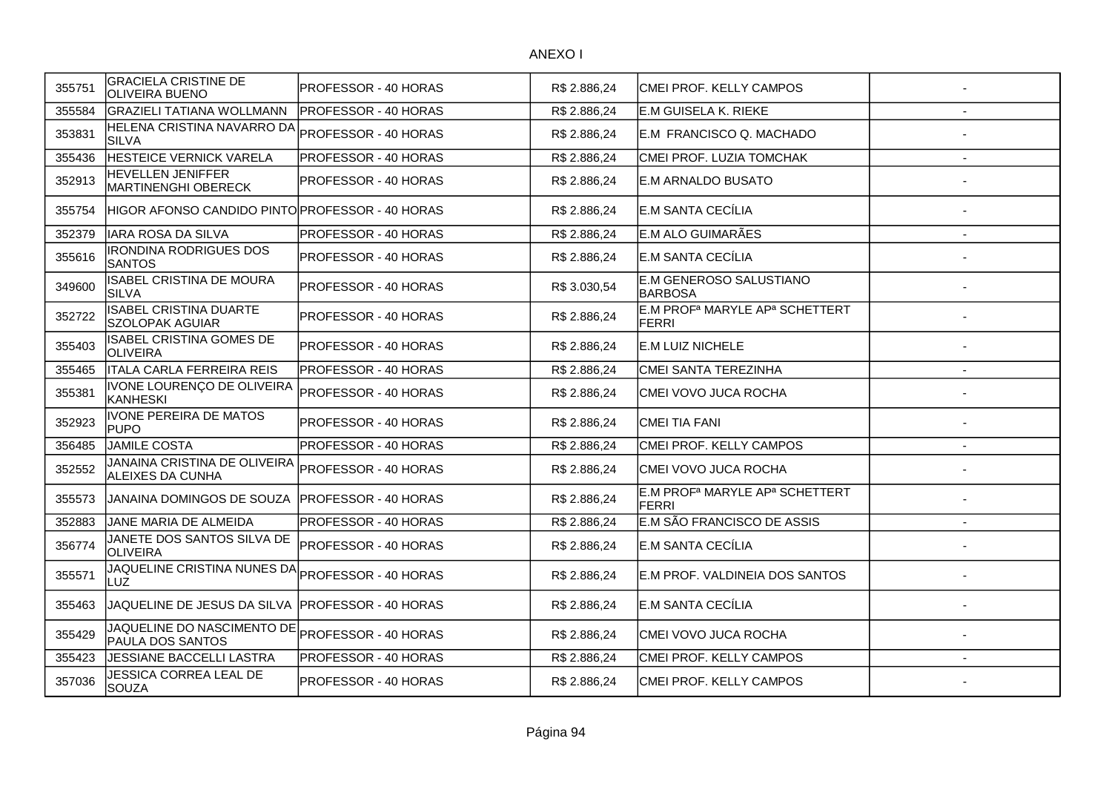| 355751 | <b>GRACIELA CRISTINE DE</b><br><b>OLIVEIRA BUENO</b>    | PROFESSOR - 40 HORAS        | R\$ 2.886,24 | CMEI PROF. KELLY CAMPOS                                                |                |
|--------|---------------------------------------------------------|-----------------------------|--------------|------------------------------------------------------------------------|----------------|
| 355584 | <b>GRAZIELI TATIANA WOLLMANN</b>                        | <b>PROFESSOR - 40 HORAS</b> | R\$ 2.886,24 | E.M GUISELA K. RIEKE                                                   |                |
| 353831 | HELENA CRISTINA NAVARRO DA<br><b>SILVA</b>              | PROFESSOR - 40 HORAS        | R\$ 2.886,24 | E.M FRANCISCO Q. MACHADO                                               |                |
| 355436 | HESTEICE VERNICK VARELA                                 | PROFESSOR - 40 HORAS        | R\$ 2.886,24 | CMEI PROF. LUZIA TOMCHAK                                               | $\overline{a}$ |
| 352913 | HEVELLEN JENIFFER<br><b>MARTINENGHI OBERECK</b>         | PROFESSOR - 40 HORAS        | R\$ 2.886,24 | E.M ARNALDO BUSATO                                                     |                |
| 355754 | HIGOR AFONSO CANDIDO PINTO PROFESSOR - 40 HORAS         |                             | R\$ 2.886,24 | E.M SANTA CECÍLIA                                                      |                |
| 352379 | <b>IARA ROSA DA SILVA</b>                               | PROFESSOR - 40 HORAS        | R\$ 2.886,24 | E.M ALO GUIMARÃES                                                      | $\blacksquare$ |
| 355616 | <b>IRONDINA RODRIGUES DOS</b><br><b>SANTOS</b>          | PROFESSOR - 40 HORAS        | R\$ 2.886,24 | E.M SANTA CECÍLIA                                                      |                |
| 349600 | <b>ISABEL CRISTINA DE MOURA</b><br><b>SILVA</b>         | PROFESSOR - 40 HORAS        | R\$ 3.030,54 | E.M GENEROSO SALUSTIANO<br><b>BARBOSA</b>                              |                |
| 352722 | <b>ISABEL CRISTINA DUARTE</b><br><b>SZOLOPAK AGUIAR</b> | PROFESSOR - 40 HORAS        | R\$ 2.886,24 | E.M PROF <sup>a</sup> MARYLE AP <sup>a</sup> SCHETTERT<br><b>FERRI</b> |                |
| 355403 | ISABEL CRISTINA GOMES DE<br><b>OLIVEIRA</b>             | PROFESSOR - 40 HORAS        | R\$ 2.886,24 | E.M LUIZ NICHELE                                                       |                |
| 355465 | <b>ITALA CARLA FERREIRA REIS</b>                        | PROFESSOR - 40 HORAS        | R\$ 2.886,24 | CMEI SANTA TEREZINHA                                                   |                |
| 355381 | IVONE LOURENÇO DE OLIVEIRA<br><b>KANHESKI</b>           | PROFESSOR - 40 HORAS        | R\$ 2.886,24 | CMEI VOVO JUCA ROCHA                                                   |                |
| 352923 | <b>IVONE PEREIRA DE MATOS</b><br><b>PUPO</b>            | PROFESSOR - 40 HORAS        | R\$ 2.886,24 | CMEI TIA FANI                                                          |                |
| 356485 | JAMILE COSTA                                            | PROFESSOR - 40 HORAS        | R\$ 2.886,24 | CMEI PROF. KELLY CAMPOS                                                |                |
| 352552 | JANAINA CRISTINA DE OLIVEIRA<br>ALEIXES DA CUNHA        | PROFESSOR - 40 HORAS        | R\$ 2.886,24 | CMEI VOVO JUCA ROCHA                                                   |                |
| 355573 | JANAINA DOMINGOS DE SOUZA                               | PROFESSOR - 40 HORAS        | R\$ 2.886,24 | E.M PROF <sup>a</sup> MARYLE AP <sup>a</sup> SCHETTERT<br><b>FERRI</b> |                |
| 352883 | JANE MARIA DE ALMEIDA                                   | PROFESSOR - 40 HORAS        | R\$ 2.886,24 | E.M SÃO FRANCISCO DE ASSIS                                             |                |
| 356774 | JANETE DOS SANTOS SILVA DE<br><b>OLIVEIRA</b>           | PROFESSOR - 40 HORAS        | R\$ 2.886,24 | E.M SANTA CECÍLIA                                                      |                |
| 355571 | JAQUELINE CRISTINA NUNES DA<br>LUZ                      | PROFESSOR - 40 HORAS        | R\$ 2.886,24 | E.M PROF. VALDINEIA DOS SANTOS                                         |                |
| 355463 | JAQUELINE DE JESUS DA SILVA                             | IPROFESSOR - 40 HORAS       | R\$ 2.886,24 | E.M SANTA CECÍLIA                                                      |                |
| 355429 | JAQUELINE DO NASCIMENTO DE<br>PAULA DOS SANTOS          | PROFESSOR - 40 HORAS        | R\$ 2.886,24 | CMEI VOVO JUCA ROCHA                                                   |                |
| 355423 | JESSIANE BACCELLI LASTRA                                | PROFESSOR - 40 HORAS        | R\$ 2.886,24 | CMEI PROF. KELLY CAMPOS                                                |                |
| 357036 | <b>JESSICA CORREA LEAL DE</b><br><b>SOUZA</b>           | PROFESSOR - 40 HORAS        | R\$ 2.886,24 | CMEI PROF. KELLY CAMPOS                                                |                |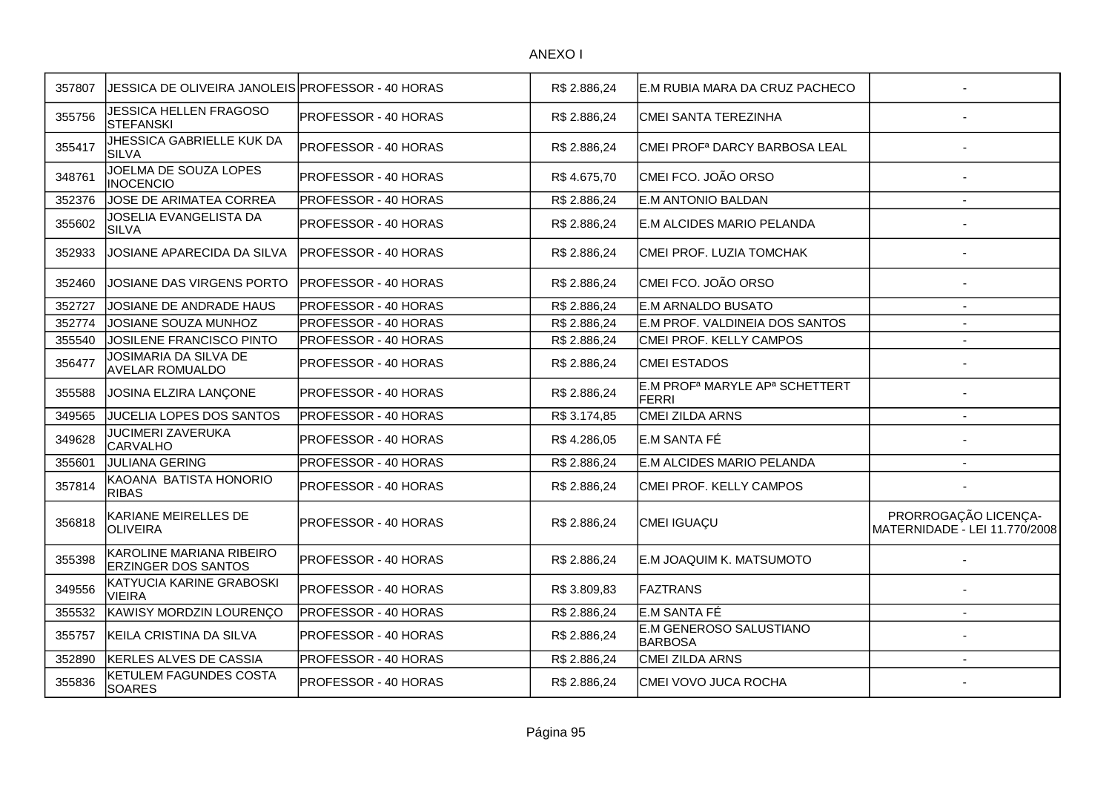| 357807 | JESSICA DE OLIVEIRA JANOLEIS PROFESSOR - 40 HORAS      |                      | R\$ 2.886,24 | E.M RUBIA MARA DA CRUZ PACHECO                                         |                                                       |
|--------|--------------------------------------------------------|----------------------|--------------|------------------------------------------------------------------------|-------------------------------------------------------|
| 355756 | <b>JESSICA HELLEN FRAGOSO</b><br><b>STEFANSKI</b>      | PROFESSOR - 40 HORAS | R\$ 2.886,24 | CMEI SANTA TEREZINHA                                                   |                                                       |
| 355417 | JHESSICA GABRIELLE KUK DA<br><b>SILVA</b>              | PROFESSOR - 40 HORAS | R\$ 2.886,24 | CMEI PROF <sup>a</sup> DARCY BARBOSA LEAL                              |                                                       |
| 348761 | JOELMA DE SOUZA LOPES<br><b>INOCENCIO</b>              | PROFESSOR - 40 HORAS | R\$4.675,70  | CMEI FCO. JOÃO ORSO                                                    |                                                       |
| 352376 | JOSE DE ARIMATEA CORREA                                | PROFESSOR - 40 HORAS | R\$ 2.886,24 | <b>E.M ANTONIO BALDAN</b>                                              | $\overline{\phantom{a}}$                              |
| 355602 | JOSELIA EVANGELISTA DA<br><b>SILVA</b>                 | PROFESSOR - 40 HORAS | R\$ 2.886,24 | E.M ALCIDES MARIO PELANDA                                              |                                                       |
| 352933 | JOSIANE APARECIDA DA SILVA                             | PROFESSOR - 40 HORAS | R\$ 2.886,24 | CMEI PROF. LUZIA TOMCHAK                                               |                                                       |
| 352460 | JOSIANE DAS VIRGENS PORTO                              | PROFESSOR - 40 HORAS | R\$ 2.886,24 | CMEI FCO. JOÃO ORSO                                                    |                                                       |
| 352727 | JOSIANE DE ANDRADE HAUS                                | PROFESSOR - 40 HORAS | R\$ 2.886,24 | E.M ARNALDO BUSATO                                                     | $\blacksquare$                                        |
| 352774 | JOSIANE SOUZA MUNHOZ                                   | PROFESSOR - 40 HORAS | R\$ 2.886,24 | E.M PROF. VALDINEIA DOS SANTOS                                         | $\blacksquare$                                        |
| 355540 | JOSILENE FRANCISCO PINTO                               | PROFESSOR - 40 HORAS | R\$ 2.886,24 | CMEI PROF. KELLY CAMPOS                                                | $\overline{a}$                                        |
| 356477 | JOSIMARIA DA SILVA DE<br><b>AVELAR ROMUALDO</b>        | PROFESSOR - 40 HORAS | R\$ 2.886,24 | <b>CMEI ESTADOS</b>                                                    |                                                       |
| 355588 | JOSINA ELZIRA LANÇONE                                  | PROFESSOR - 40 HORAS | R\$ 2.886,24 | E.M PROF <sup>a</sup> MARYLE AP <sup>a</sup> SCHETTERT<br><b>FERRI</b> |                                                       |
| 349565 | JUCELIA LOPES DOS SANTOS                               | PROFESSOR - 40 HORAS | R\$ 3.174,85 | <b>CMEI ZILDA ARNS</b>                                                 | $\overline{\phantom{a}}$                              |
| 349628 | <b>JUCIMERI ZAVERUKA</b><br><b>CARVALHO</b>            | PROFESSOR - 40 HORAS | R\$4.286,05  | E.M SANTA FÉ                                                           |                                                       |
| 355601 | <b>JULIANA GERING</b>                                  | PROFESSOR - 40 HORAS | R\$ 2.886,24 | E.M ALCIDES MARIO PELANDA                                              | $\blacksquare$                                        |
| 357814 | KAOANA BATISTA HONORIO<br><b>RIBAS</b>                 | PROFESSOR - 40 HORAS | R\$ 2.886,24 | CMEI PROF. KELLY CAMPOS                                                |                                                       |
| 356818 | KARIANE MEIRELLES DE<br>OLIVEIRA                       | PROFESSOR - 40 HORAS | R\$ 2.886,24 | CMEI IGUAÇU                                                            | PRORROGAÇÃO LICENÇA-<br>MATERNIDADE - LEI 11.770/2008 |
| 355398 | KAROLINE MARIANA RIBEIRO<br><b>ERZINGER DOS SANTOS</b> | PROFESSOR - 40 HORAS | R\$ 2.886,24 | E.M JOAQUIM K. MATSUMOTO                                               |                                                       |
| 349556 | KATYUCIA KARINE GRABOSKI<br><b>VIEIRA</b>              | PROFESSOR - 40 HORAS | R\$ 3.809,83 | FAZTRANS                                                               |                                                       |
| 355532 | KAWISY MORDZIN LOURENÇO                                | PROFESSOR - 40 HORAS | R\$ 2.886,24 | E.M SANTA FÉ                                                           | $\overline{\phantom{a}}$                              |
| 355757 | KEILA CRISTINA DA SILVA                                | PROFESSOR - 40 HORAS | R\$ 2.886,24 | <b>E.M GENEROSO SALUSTIANO</b><br><b>BARBOSA</b>                       |                                                       |
| 352890 | KERLES ALVES DE CASSIA                                 | PROFESSOR - 40 HORAS | R\$ 2.886,24 | CMEI ZILDA ARNS                                                        | $\overline{a}$                                        |
| 355836 | KETULEM FAGUNDES COSTA<br><b>SOARES</b>                | PROFESSOR - 40 HORAS | R\$ 2.886,24 | CMEI VOVO JUCA ROCHA                                                   |                                                       |
|        |                                                        |                      |              |                                                                        |                                                       |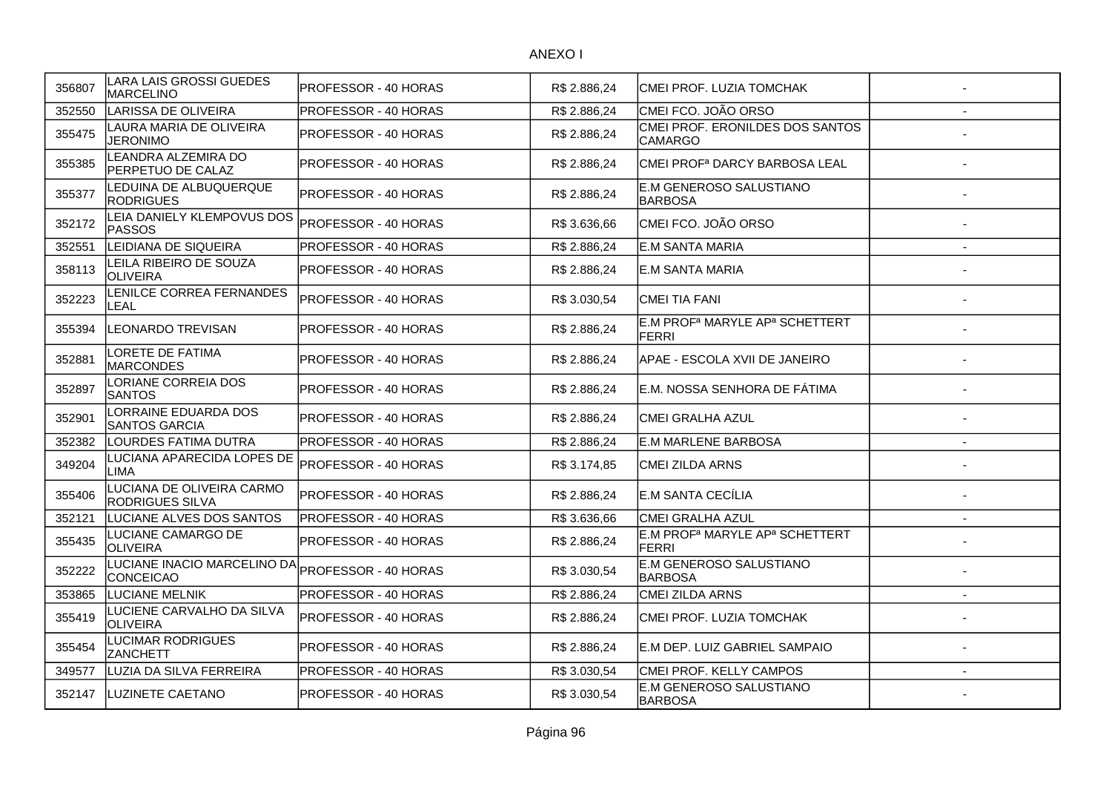| 356807 | LARA LAIS GROSSI GUEDES<br><b>MARCELINO</b>         | <b>PROFESSOR - 40 HORAS</b> | R\$ 2.886,24 | CMEI PROF. LUZIA TOMCHAK                                        |                          |
|--------|-----------------------------------------------------|-----------------------------|--------------|-----------------------------------------------------------------|--------------------------|
| 352550 | LARISSA DE OLIVEIRA                                 | PROFESSOR - 40 HORAS        | R\$ 2.886,24 | CMEI FCO. JOÃO ORSO                                             |                          |
| 355475 | LAURA MARIA DE OLIVEIRA<br><b>JERONIMO</b>          | PROFESSOR - 40 HORAS        | R\$ 2.886,24 | CMEI PROF. ERONILDES DOS SANTOS<br><b>CAMARGO</b>               |                          |
| 355385 | <b>EANDRA ALZEMIRA DO</b><br>PERPETUO DE CALAZ      | PROFESSOR - 40 HORAS        | R\$ 2.886,24 | CMEI PROF <sup>a</sup> DARCY BARBOSA LEAL                       |                          |
| 355377 | LEDUINA DE ALBUQUERQUE<br><b>RODRIGUES</b>          | PROFESSOR - 40 HORAS        | R\$ 2.886.24 | E.M GENEROSO SALUSTIANO<br><b>BARBOSA</b>                       |                          |
| 352172 | LEIA DANIELY KLEMPOVUS DOS<br><b>PASSOS</b>         | PROFESSOR - 40 HORAS        | R\$ 3.636,66 | CMEI FCO. JOÃO ORSO                                             |                          |
| 352551 | LEIDIANA DE SIQUEIRA                                | PROFESSOR - 40 HORAS        | R\$ 2.886,24 | <b>E.M SANTA MARIA</b>                                          |                          |
| 358113 | LEILA RIBEIRO DE SOUZA<br><b>OLIVEIRA</b>           | PROFESSOR - 40 HORAS        | R\$ 2.886,24 | E.M SANTA MARIA                                                 |                          |
| 352223 | <b>ENILCE CORREA FERNANDES</b><br><b>EAL</b>        | PROFESSOR - 40 HORAS        | R\$ 3.030,54 | <b>CMEI TIA FANI</b>                                            |                          |
| 355394 | <b>LEONARDO TREVISAN</b>                            | PROFESSOR - 40 HORAS        | R\$ 2.886,24 | E.M PROF <sup>a</sup> MARYLE AP <sup>a</sup> SCHETTERT<br>FERRI |                          |
| 352881 | ORETE DE FATIMA<br><b>MARCONDES</b>                 | PROFESSOR - 40 HORAS        | R\$ 2.886,24 | APAE - ESCOLA XVII DE JANEIRO                                   |                          |
| 352897 | LORIANE CORREIA DOS<br><b>SANTOS</b>                | PROFESSOR - 40 HORAS        | R\$ 2.886,24 | E.M. NOSSA SENHORA DE FÁTIMA                                    |                          |
| 352901 | ORRAINE EDUARDA DOS<br><b>SANTOS GARCIA</b>         | <b>PROFESSOR - 40 HORAS</b> | R\$ 2.886,24 | CMEI GRALHA AZUL                                                |                          |
| 352382 | LOURDES FATIMA DUTRA                                | PROFESSOR - 40 HORAS        | R\$ 2.886,24 | <b>E.M MARLENE BARBOSA</b>                                      | $\blacksquare$           |
| 349204 | LUCIANA APARECIDA LOPES DE<br>LIMA                  | PROFESSOR - 40 HORAS        | R\$ 3.174,85 | CMEI ZILDA ARNS                                                 |                          |
| 355406 | LUCIANA DE OLIVEIRA CARMO<br><b>RODRIGUES SILVA</b> | PROFESSOR - 40 HORAS        | R\$ 2.886,24 | E.M SANTA CECÍLIA                                               |                          |
| 352121 | LUCIANE ALVES DOS SANTOS                            | PROFESSOR - 40 HORAS        | R\$ 3.636,66 | CMEI GRALHA AZUL                                                | $\overline{\phantom{a}}$ |
| 355435 | <b>LUCIANE CAMARGO DE</b><br><b>OLIVEIRA</b>        | PROFESSOR - 40 HORAS        | R\$ 2.886,24 | E.M PROF <sup>a</sup> MARYLE AP <sup>a</sup> SCHETTERT<br>FERRI |                          |
| 352222 | LUCIANE INACIO MARCELINO DA<br><b>CONCEICAO</b>     | PROFESSOR - 40 HORAS        | R\$ 3.030,54 | <b>E.M GENEROSO SALUSTIANO</b><br><b>BARBOSA</b>                |                          |
| 353865 | LUCIANE MELNIK                                      | PROFESSOR - 40 HORAS        | R\$ 2.886,24 | CMEI ZILDA ARNS                                                 | $\overline{a}$           |
| 355419 | LUCIENE CARVALHO DA SILVA<br><b>OLIVEIRA</b>        | PROFESSOR - 40 HORAS        | R\$ 2.886,24 | CMEI PROF. LUZIA TOMCHAK                                        |                          |
| 355454 | LUCIMAR RODRIGUES<br><b>ZANCHETT</b>                | PROFESSOR - 40 HORAS        | R\$ 2.886,24 | E.M DEP. LUIZ GABRIEL SAMPAIO                                   |                          |
| 349577 | LUZIA DA SILVA FERREIRA                             | PROFESSOR - 40 HORAS        | R\$ 3.030,54 | CMEI PROF. KELLY CAMPOS                                         | $\blacksquare$           |
| 352147 | LUZINETE CAETANO                                    | PROFESSOR - 40 HORAS        | R\$3.030,54  | E.M GENEROSO SALUSTIANO<br><b>BARBOSA</b>                       |                          |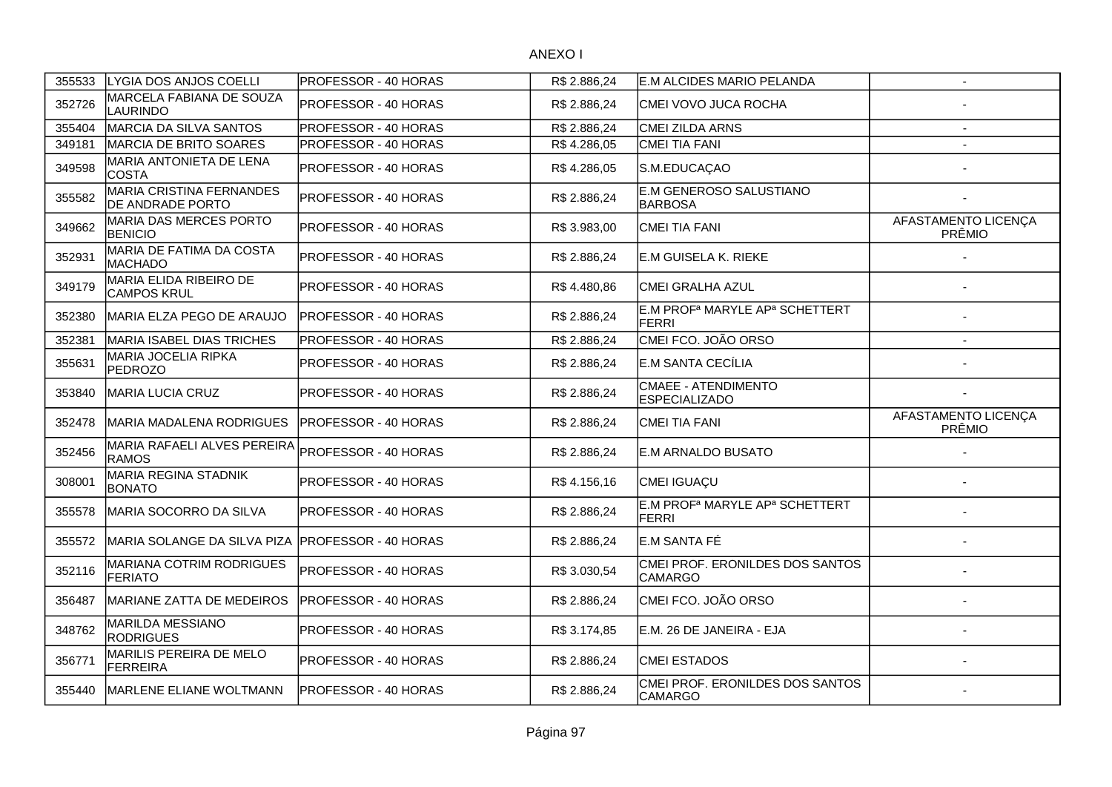| 355533 | LYGIA DOS ANJOS COELLI                                     | <b>PROFESSOR - 40 HORAS</b> | R\$ 2.886,24 | IE.M ALCIDES MARIO PELANDA                                      | $\sim$                        |
|--------|------------------------------------------------------------|-----------------------------|--------------|-----------------------------------------------------------------|-------------------------------|
| 352726 | MARCELA FABIANA DE SOUZA<br>LAURINDO                       | PROFESSOR - 40 HORAS        | R\$ 2.886,24 | CMEI VOVO JUCA ROCHA                                            |                               |
| 355404 | MARCIA DA SILVA SANTOS                                     | PROFESSOR - 40 HORAS        | R\$ 2.886,24 | CMEI ZILDA ARNS                                                 |                               |
| 349181 | MARCIA DE BRITO SOARES                                     | PROFESSOR - 40 HORAS        | R\$4.286,05  | <b>CMEI TIA FANI</b>                                            |                               |
| 349598 | MARIA ANTONIETA DE LENA<br><b>COSTA</b>                    | PROFESSOR - 40 HORAS        | R\$4.286,05  | S.M.EDUCAÇAO                                                    |                               |
| 355582 | <b>MARIA CRISTINA FERNANDES</b><br><b>DE ANDRADE PORTO</b> | PROFESSOR - 40 HORAS        | R\$ 2.886,24 | E.M GENEROSO SALUSTIANO<br><b>BARBOSA</b>                       |                               |
| 349662 | MARIA DAS MERCES PORTO<br><b>BENICIO</b>                   | <b>PROFESSOR - 40 HORAS</b> | R\$ 3.983,00 | CMEI TIA FANI                                                   | AFASTAMENTO LICENÇA<br>PRÊMIO |
| 352931 | MARIA DE FATIMA DA COSTA<br>MACHADO                        | PROFESSOR - 40 HORAS        | R\$ 2.886,24 | E.M GUISELA K. RIEKE                                            |                               |
| 349179 | MARIA ELIDA RIBEIRO DE<br>İCAMPOS KRUL                     | PROFESSOR - 40 HORAS        | R\$4.480,86  | CMEI GRALHA AZUL                                                |                               |
| 352380 | MARIA ELZA PEGO DE ARAUJO                                  | <b>PROFESSOR - 40 HORAS</b> | R\$ 2.886,24 | E.M PROF <sup>a</sup> MARYLE AP <sup>a</sup> SCHETTERT<br>FERRI |                               |
| 352381 | MARIA ISABEL DIAS TRICHES                                  | PROFESSOR - 40 HORAS        | R\$ 2.886,24 | CMEI FCO. JOÃO ORSO                                             |                               |
| 355631 | MARIA JOCELIA RIPKA<br><b>PEDROZO</b>                      | PROFESSOR - 40 HORAS        | R\$ 2.886,24 | E.M SANTA CECÍLIA                                               |                               |
| 353840 | <b>MARIA LUCIA CRUZ</b>                                    | PROFESSOR - 40 HORAS        | R\$ 2.886,24 | CMAEE - ATENDIMENTO<br><b>ESPECIALIZADO</b>                     |                               |
| 352478 | MARIA MADALENA RODRIGUES                                   | PROFESSOR - 40 HORAS        | R\$ 2.886,24 | <b>CMEI TIA FANI</b>                                            | AFASTAMENTO LICENÇA<br>PRÊMIO |
| 352456 | MARIA RAFAELI ALVES PEREIRA<br><b>RAMOS</b>                | PROFESSOR - 40 HORAS        | R\$ 2.886,24 | E.M ARNALDO BUSATO                                              |                               |
| 308001 | MARIA REGINA STADNIK<br><b>IBONATO</b>                     | <b>PROFESSOR - 40 HORAS</b> | R\$ 4.156,16 | CMEI IGUAÇU                                                     |                               |
| 355578 | IMARIA SOCORRO DA SILVA                                    | PROFESSOR - 40 HORAS        | R\$ 2.886,24 | IE.M PROFª MARYLE APª SCHETTERT<br><b>FERRI</b>                 |                               |
| 355572 | MARIA SOLANGE DA SILVA PIZA                                | <b>PROFESSOR - 40 HORAS</b> | R\$ 2.886,24 | E.M SANTA FÉ                                                    |                               |
| 352116 | <b>MARIANA COTRIM RODRIGUES</b><br><b>FERIATO</b>          | PROFESSOR - 40 HORAS        | R\$ 3.030,54 | CMEI PROF. ERONILDES DOS SANTOS<br><b>CAMARGO</b>               |                               |
| 356487 | IMARIANE ZATTA DE MEDEIROS                                 | PROFESSOR - 40 HORAS        | R\$ 2.886,24 | CMEI FCO. JOÃO ORSO                                             |                               |
| 348762 | <b>MARILDA MESSIANO</b><br><b>RODRIGUES</b>                | PROFESSOR - 40 HORAS        | R\$ 3.174,85 | E.M. 26 DE JANEIRA - EJA                                        |                               |
| 356771 | MARILIS PEREIRA DE MELO<br><b>FERREIRA</b>                 | PROFESSOR - 40 HORAS        | R\$ 2.886,24 | <b>CMEI ESTADOS</b>                                             |                               |
| 355440 | <b>IMARLENE ELIANE WOLTMANN</b>                            | IPROFESSOR - 40 HORAS       | R\$ 2.886,24 | CMEI PROF. ERONILDES DOS SANTOS<br><b>CAMARGO</b>               |                               |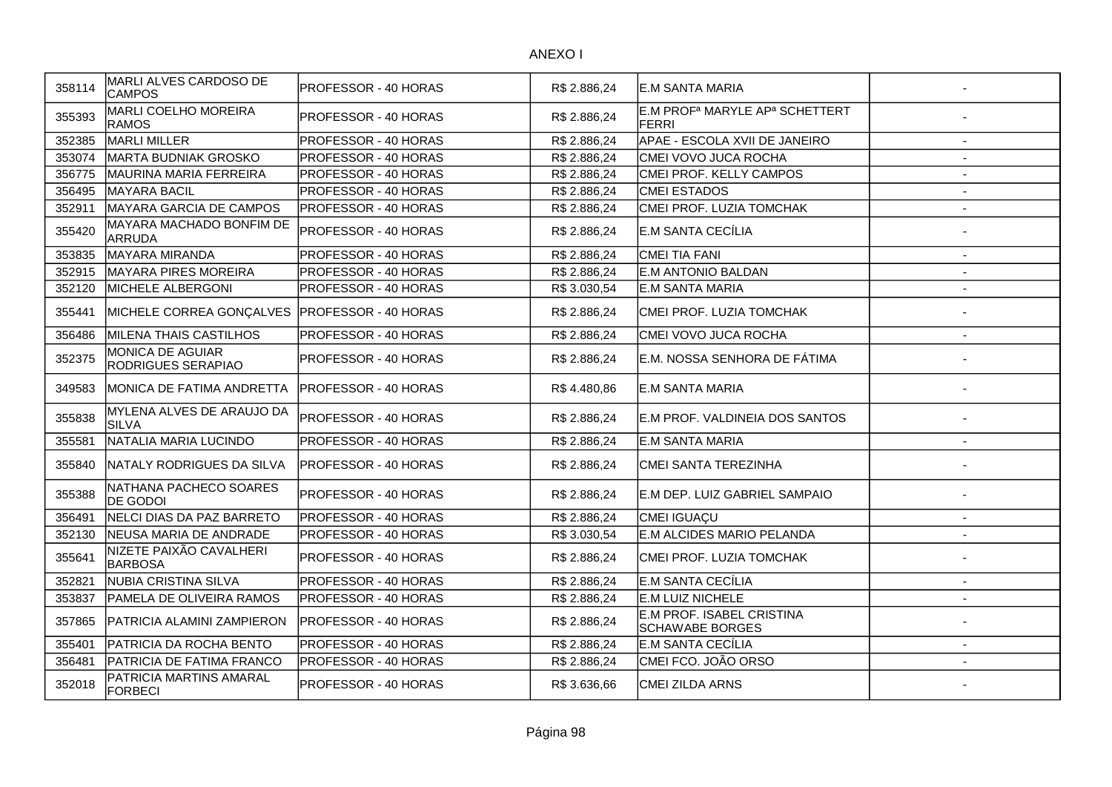| 358114 | MARLI ALVES CARDOSO DE<br>CAMPOS              | PROFESSOR - 40 HORAS        | R\$ 2.886,24 | IE.M SANTA MARIA                                                       |                          |
|--------|-----------------------------------------------|-----------------------------|--------------|------------------------------------------------------------------------|--------------------------|
| 355393 | MARLI COELHO MOREIRA<br><b>RAMOS</b>          | PROFESSOR - 40 HORAS        | R\$ 2.886,24 | E.M PROF <sup>a</sup> MARYLE AP <sup>a</sup> SCHETTERT<br><b>FERRI</b> |                          |
| 352385 | <b>MARLI MILLER</b>                           | PROFESSOR - 40 HORAS        | R\$ 2.886,24 | APAE - ESCOLA XVII DE JANEIRO                                          | $\overline{\phantom{a}}$ |
| 353074 | MARTA BUDNIAK GROSKO                          | PROFESSOR - 40 HORAS        | R\$ 2.886.24 | CMEI VOVO JUCA ROCHA                                                   | $\overline{\phantom{a}}$ |
| 356775 | MAURINA MARIA FERREIRA                        | PROFESSOR - 40 HORAS        | R\$ 2.886.24 | CMEI PROF. KELLY CAMPOS                                                | $\overline{\phantom{a}}$ |
| 356495 | <b>MAYARA BACIL</b>                           | PROFESSOR - 40 HORAS        | R\$ 2.886,24 | <b>CMEI ESTADOS</b>                                                    | $\overline{\phantom{a}}$ |
| 352911 | MAYARA GARCIA DE CAMPOS                       | PROFESSOR - 40 HORAS        | R\$ 2.886,24 | CMEI PROF. LUZIA TOMCHAK                                               | $\blacksquare$           |
| 355420 | MAYARA MACHADO BONFIM DE<br><b>ARRUDA</b>     | <b>PROFESSOR - 40 HORAS</b> | R\$ 2.886,24 | IE.M SANTA CECÍLIA                                                     |                          |
| 353835 | <b>MAYARA MIRANDA</b>                         | PROFESSOR - 40 HORAS        | R\$ 2.886,24 | CMEI TIA FANI                                                          |                          |
| 352915 | MAYARA PIRES MOREIRA                          | <b>PROFESSOR - 40 HORAS</b> | R\$ 2.886,24 | IE.M ANTONIO BALDAN                                                    |                          |
| 352120 | MICHELE ALBERGONI                             | PROFESSOR - 40 HORAS        | R\$ 3.030,54 | <b>E.M SANTA MARIA</b>                                                 |                          |
| 355441 | MICHELE CORREA GONÇALVES                      | IPROFESSOR - 40 HORAS       | R\$ 2.886,24 | CMEI PROF. LUZIA TOMCHAK                                               |                          |
| 356486 | <b>MILENA THAIS CASTILHOS</b>                 | PROFESSOR - 40 HORAS        | R\$ 2.886,24 | CMEI VOVO JUCA ROCHA                                                   | $\sim$                   |
| 352375 | <b>MONICA DE AGUIAR</b><br>RODRIGUES SERAPIAO | PROFESSOR - 40 HORAS        | R\$ 2.886,24 | E.M. NOSSA SENHORA DE FÁTIMA                                           |                          |
| 349583 | MONICA DE FATIMA ANDRETTA                     | <b>PROFESSOR - 40 HORAS</b> | R\$4.480,86  | <b>E.M SANTA MARIA</b>                                                 |                          |
| 355838 | MYLENA ALVES DE ARAUJO DA<br><b>SILVA</b>     | PROFESSOR - 40 HORAS        | R\$ 2.886,24 | IE.M PROF. VALDINEIA DOS SANTOS                                        |                          |
| 355581 | NATALIA MARIA LUCINDO                         | PROFESSOR - 40 HORAS        | R\$ 2.886,24 | <b>E.M SANTA MARIA</b>                                                 |                          |
| 355840 | INATALY RODRIGUES DA SILVA                    | IPROFESSOR - 40 HORAS       | R\$ 2.886,24 | CMEI SANTA TEREZINHA                                                   |                          |
| 355388 | NATHANA PACHECO SOARES<br><b>DE GODOI</b>     | PROFESSOR - 40 HORAS        | R\$ 2.886,24 | E.M DEP. LUIZ GABRIEL SAMPAIO                                          |                          |
| 356491 | NELCI DIAS DA PAZ BARRETO                     | <b>PROFESSOR - 40 HORAS</b> | R\$ 2.886,24 | CMEI IGUAÇU                                                            | $\overline{a}$           |
| 352130 | <b>NEUSA MARIA DE ANDRADE</b>                 | PROFESSOR - 40 HORAS        | R\$ 3.030,54 | E.M ALCIDES MARIO PELANDA                                              | $\overline{a}$           |
| 355641 | NIZETE PAIXÃO CAVALHERI<br><b>BARBOSA</b>     | PROFESSOR - 40 HORAS        | R\$ 2.886,24 | CMEI PROF. LUZIA TOMCHAK                                               |                          |
| 352821 | <b>NUBIA CRISTINA SILVA</b>                   | PROFESSOR - 40 HORAS        | R\$ 2.886,24 | E.M SANTA CECÍLIA                                                      | $\blacksquare$           |
| 353837 | PAMELA DE OLIVEIRA RAMOS                      | <b>PROFESSOR - 40 HORAS</b> | R\$ 2.886,24 | E.M LUIZ NICHELE                                                       | $\overline{\phantom{a}}$ |
| 357865 | PATRICIA ALAMINI ZAMPIERON                    | PROFESSOR - 40 HORAS        | R\$ 2.886,24 | E.M PROF. ISABEL CRISTINA<br><b>SCHAWABE BORGES</b>                    |                          |
| 355401 | PATRICIA DA ROCHA BENTO                       | PROFESSOR - 40 HORAS        | R\$ 2.886,24 | E.M SANTA CECÍLIA                                                      | $\blacksquare$           |
| 356481 | PATRICIA DE FATIMA FRANCO                     | <b>PROFESSOR - 40 HORAS</b> | R\$ 2.886,24 | CMEI FCO. JOÃO ORSO                                                    |                          |
| 352018 | PATRICIA MARTINS AMARAL<br><b>FORBECI</b>     | PROFESSOR - 40 HORAS        | R\$ 3.636,66 | <b>CMEI ZILDA ARNS</b>                                                 |                          |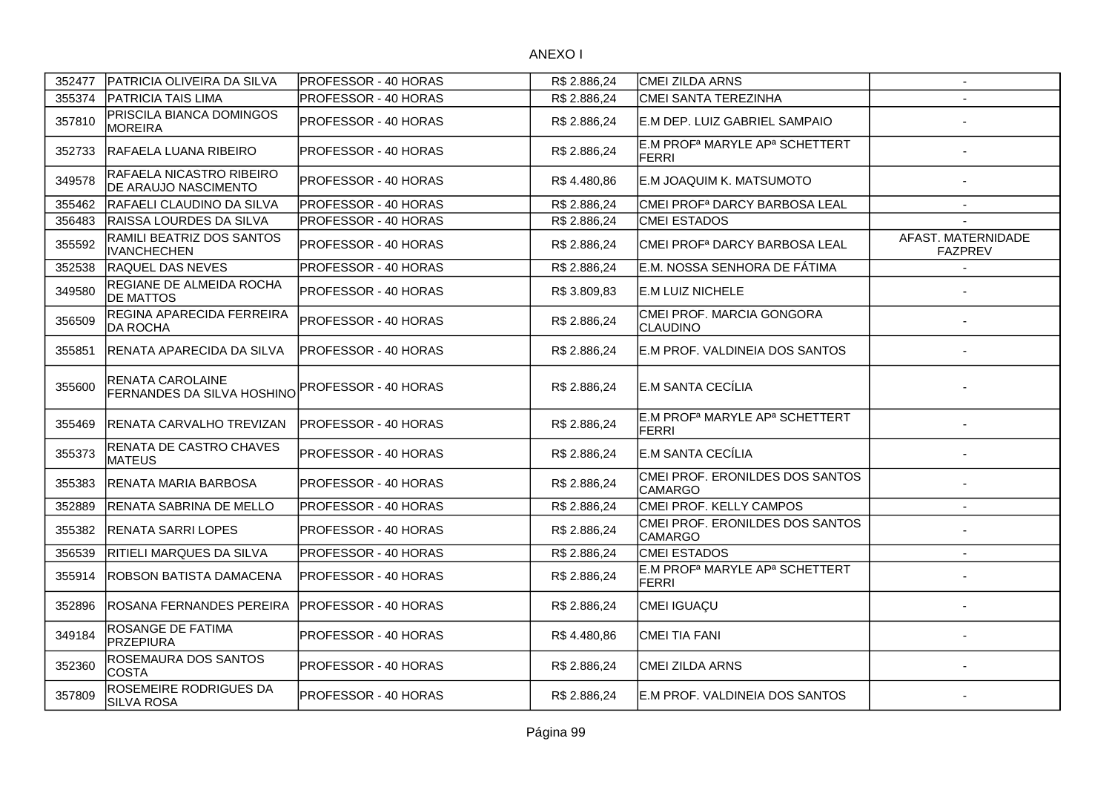| 352477 | PATRICIA OLIVEIRA DA SILVA                       | <b>PROFESSOR - 40 HORAS</b> | R\$ 2.886,24 | ICMEI ZILDA ARNS                                                       | $\overline{\phantom{a}}$             |
|--------|--------------------------------------------------|-----------------------------|--------------|------------------------------------------------------------------------|--------------------------------------|
| 355374 | PATRICIA TAIS LIMA                               | PROFESSOR - 40 HORAS        | R\$ 2.886,24 | <b>CMEI SANTA TEREZINHA</b>                                            |                                      |
| 357810 | PRISCILA BIANCA DOMINGOS<br><b>MOREIRA</b>       | PROFESSOR - 40 HORAS        | R\$ 2.886,24 | E.M DEP. LUIZ GABRIEL SAMPAIO                                          |                                      |
| 352733 | RAFAELA LUANA RIBEIRO                            | PROFESSOR - 40 HORAS        | R\$ 2.886,24 | IE.M PROFª MARYLE APª SCHETTERT<br><b>IFERRI</b>                       |                                      |
| 349578 | RAFAELA NICASTRO RIBEIRO<br>DE ARAUJO NASCIMENTO | PROFESSOR - 40 HORAS        | R\$4.480,86  | E.M JOAQUIM K. MATSUMOTO                                               |                                      |
| 355462 | RAFAELI CLAUDINO DA SILVA                        | PROFESSOR - 40 HORAS        | R\$ 2.886,24 | CMEI PROF <sup>a</sup> DARCY BARBOSA LEAL                              |                                      |
| 356483 | RAISSA LOURDES DA SILVA                          | PROFESSOR - 40 HORAS        | R\$ 2.886,24 | <b>CMEI ESTADOS</b>                                                    |                                      |
| 355592 | RAMILI BEATRIZ DOS SANTOS<br><b>IVANCHECHEN</b>  | PROFESSOR - 40 HORAS        | R\$ 2.886,24 | CMEI PROF <sup>a</sup> DARCY BARBOSA LEAL                              | AFAST. MATERNIDADE<br><b>FAZPREV</b> |
| 352538 | RAQUEL DAS NEVES                                 | PROFESSOR - 40 HORAS        | R\$ 2.886,24 | E.M. NOSSA SENHORA DE FÁTIMA                                           |                                      |
| 349580 | REGIANE DE ALMEIDA ROCHA<br><b>DE MATTOS</b>     | PROFESSOR - 40 HORAS        | R\$ 3.809,83 | <b>E.M LUIZ NICHELE</b>                                                |                                      |
| 356509 | REGINA APARECIDA FERREIRA<br><b>DA ROCHA</b>     | PROFESSOR - 40 HORAS        | R\$ 2.886,24 | CMEI PROF. MARCIA GONGORA<br>CLAUDINO                                  |                                      |
| 355851 | RENATA APARECIDA DA SILVA                        | PROFESSOR - 40 HORAS        | R\$ 2.886,24 | IE.M PROF. VALDINEIA DOS SANTOS                                        |                                      |
| 355600 | RENATA CAROLAINE<br>FERNANDES DA SILVA HOSHINO   | PROFESSOR - 40 HORAS        | R\$ 2.886,24 | E.M SANTA CECÍLIA                                                      |                                      |
| 355469 | RENATA CARVALHO TREVIZAN                         | PROFESSOR - 40 HORAS        | R\$ 2.886,24 | E.M PROF <sup>a</sup> MARYLE AP <sup>a</sup> SCHETTERT<br><b>FERRI</b> |                                      |
| 355373 | RENATA DE CASTRO CHAVES<br><b>MATEUS</b>         | PROFESSOR - 40 HORAS        | R\$ 2.886,24 | E.M SANTA CECÍLIA                                                      |                                      |
| 355383 | RENATA MARIA BARBOSA                             | PROFESSOR - 40 HORAS        | R\$ 2.886,24 | CMEI PROF. ERONILDES DOS SANTOS<br><b>CAMARGO</b>                      |                                      |
| 352889 | RENATA SABRINA DE MELLO                          | PROFESSOR - 40 HORAS        | R\$ 2.886,24 | CMEI PROF. KELLY CAMPOS                                                |                                      |
| 355382 | RENATA SARRI LOPES                               | PROFESSOR - 40 HORAS        | R\$ 2.886,24 | CMEI PROF. ERONILDES DOS SANTOS<br><b>CAMARGO</b>                      |                                      |
| 356539 | RITIELI MARQUES DA SILVA                         | PROFESSOR - 40 HORAS        | R\$ 2.886,24 | <b>CMEI ESTADOS</b>                                                    | $\blacksquare$                       |
| 355914 | ROBSON BATISTA DAMACENA                          | PROFESSOR - 40 HORAS        | R\$ 2.886,24 | E.M PROFª MARYLE APª SCHETTERT<br><b>FERRI</b>                         |                                      |
| 352896 | ROSANA FERNANDES PEREIRA                         | PROFESSOR - 40 HORAS        | R\$ 2.886,24 | CMEI IGUAÇU                                                            |                                      |
| 349184 | ROSANGE DE FATIMA<br><b>PRZEPIURA</b>            | PROFESSOR - 40 HORAS        | R\$4.480,86  | CMEI TIA FANI                                                          |                                      |
| 352360 | ROSEMAURA DOS SANTOS<br><b>COSTA</b>             | PROFESSOR - 40 HORAS        | R\$ 2.886,24 | <b>CMEI ZILDA ARNS</b>                                                 |                                      |
| 357809 | ROSEMEIRE RODRIGUES DA<br><b>SILVA ROSA</b>      | <b>PROFESSOR - 40 HORAS</b> | R\$ 2.886,24 | IE.M PROF. VALDINEIA DOS SANTOS                                        |                                      |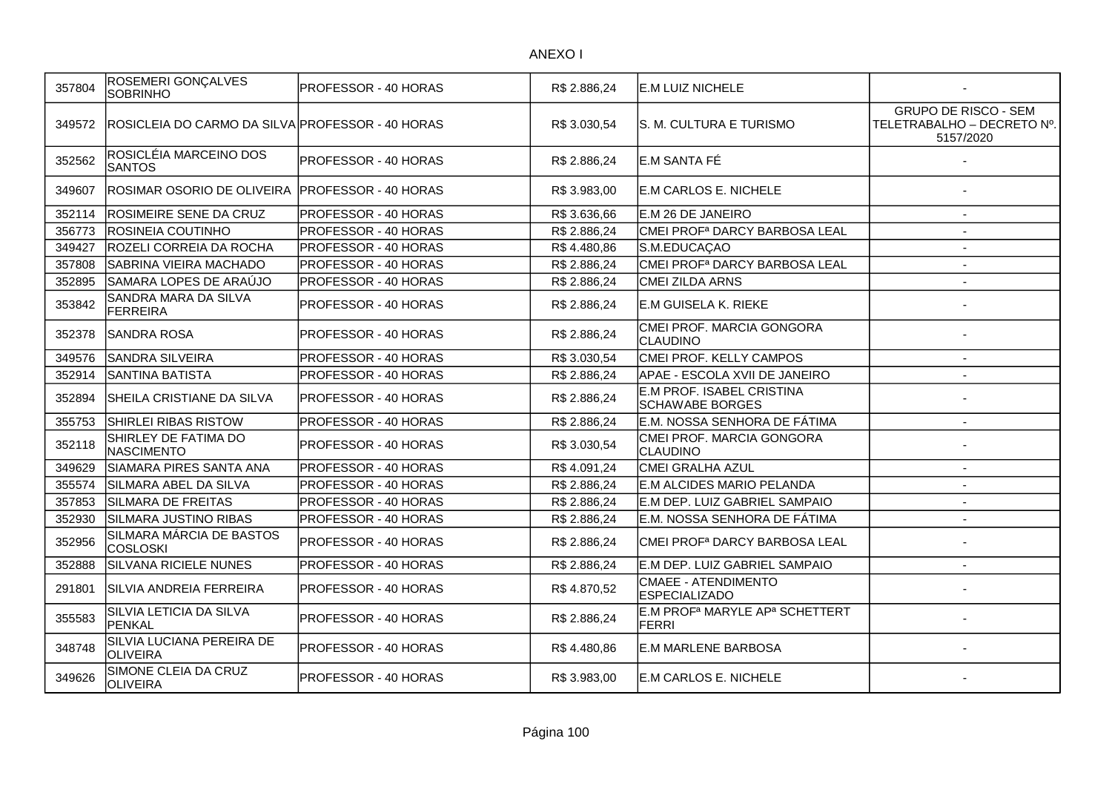| 357804 | <b>ROSEMERI GONÇALVES</b><br><b>SOBRINHO</b>     | PROFESSOR - 40 HORAS         | R\$ 2.886,24 | E.M LUIZ NICHELE                                                |                                                                        |
|--------|--------------------------------------------------|------------------------------|--------------|-----------------------------------------------------------------|------------------------------------------------------------------------|
| 349572 | ROSICLEIA DO CARMO DA SILVA PROFESSOR - 40 HORAS |                              | R\$ 3.030,54 | IS. M. CULTURA E TURISMO                                        | <b>GRUPO DE RISCO - SEM</b><br>TELETRABALHO - DECRETO Nº.<br>5157/2020 |
| 352562 | ROSICLÉIA MARCEINO DOS<br><b>SANTOS</b>          | PROFESSOR - 40 HORAS         | R\$ 2.886,24 | E.M SANTA FÉ                                                    |                                                                        |
| 349607 | IROSIMAR OSORIO DE OLIVEIRA                      | <b>IPROFESSOR - 40 HORAS</b> | R\$ 3.983,00 | E.M CARLOS E. NICHELE                                           |                                                                        |
| 352114 | <b>ROSIMEIRE SENE DA CRUZ</b>                    | <b>PROFESSOR - 40 HORAS</b>  | R\$ 3.636,66 | IE.M 26 DE JANEIRO                                              |                                                                        |
| 356773 | ROSINEIA COUTINHO                                | <b>PROFESSOR - 40 HORAS</b>  | R\$ 2.886,24 | CMEI PROF <sup>a</sup> DARCY BARBOSA LEAL                       |                                                                        |
| 349427 | ROZELI CORREIA DA ROCHA                          | PROFESSOR - 40 HORAS         | R\$4.480,86  | S.M.EDUCAÇAO                                                    |                                                                        |
| 357808 | SABRINA VIEIRA MACHADO                           | PROFESSOR - 40 HORAS         | R\$ 2.886,24 | CMEI PROF <sup>a</sup> DARCY BARBOSA LEAL                       | $\overline{a}$                                                         |
| 352895 | SAMARA LOPES DE ARAÚJO                           | PROFESSOR - 40 HORAS         | R\$ 2.886,24 | <b>CMEI ZILDA ARNS</b>                                          |                                                                        |
| 353842 | SANDRA MARA DA SILVA<br>FERREIRA                 | PROFESSOR - 40 HORAS         | R\$ 2.886,24 | E.M GUISELA K. RIEKE                                            |                                                                        |
| 352378 | ISANDRA ROSA                                     | PROFESSOR - 40 HORAS         | R\$ 2.886,24 | CMEI PROF. MARCIA GONGORA<br><b>ICLAUDINO</b>                   |                                                                        |
| 349576 | SANDRA SILVEIRA                                  | PROFESSOR - 40 HORAS         | R\$3.030,54  | CMEI PROF. KELLY CAMPOS                                         | $\overline{\phantom{a}}$                                               |
| 352914 | SANTINA BATISTA                                  | <b>PROFESSOR - 40 HORAS</b>  | R\$ 2.886,24 | APAE - ESCOLA XVII DE JANEIRO                                   | $\blacksquare$                                                         |
| 352894 | SHEILA CRISTIANE DA SILVA                        | IPROFESSOR - 40 HORAS        | R\$ 2.886,24 | <b>E.M PROF. ISABEL CRISTINA</b><br><b>SCHAWABE BORGES</b>      |                                                                        |
| 355753 | SHIRLEI RIBAS RISTOW                             | PROFESSOR - 40 HORAS         | R\$ 2.886,24 | E.M. NOSSA SENHORA DE FÁTIMA                                    | $\blacksquare$                                                         |
| 352118 | SHIRLEY DE FATIMA DO<br><b>NASCIMENTO</b>        | PROFESSOR - 40 HORAS         | R\$ 3.030,54 | CMEI PROF. MARCIA GONGORA<br><b>ICLAUDINO</b>                   |                                                                        |
| 349629 | SIAMARA PIRES SANTA ANA                          | <b>PROFESSOR - 40 HORAS</b>  | R\$4.091,24  | CMEI GRALHA AZUL                                                | $\blacksquare$                                                         |
| 355574 | SILMARA ABEL DA SILVA                            | PROFESSOR - 40 HORAS         | R\$ 2.886,24 | E.M ALCIDES MARIO PELANDA                                       | $\overline{a}$                                                         |
| 357853 | SILMARA DE FREITAS                               | PROFESSOR - 40 HORAS         | R\$ 2.886,24 | E.M DEP. LUIZ GABRIEL SAMPAIO                                   | $\overline{\phantom{a}}$                                               |
| 352930 | SILMARA JUSTINO RIBAS                            | PROFESSOR - 40 HORAS         | R\$ 2.886,24 | E.M. NOSSA SENHORA DE FÁTIMA                                    |                                                                        |
| 352956 | SILMARA MÁRCIA DE BASTOS<br><b>COSLOSKI</b>      | PROFESSOR - 40 HORAS         | R\$ 2.886,24 | CMEI PROFª DARCY BARBOSA LEAL                                   |                                                                        |
| 352888 | <b>SILVANA RICIELE NUNES</b>                     | PROFESSOR - 40 HORAS         | R\$ 2.886,24 | E.M DEP. LUIZ GABRIEL SAMPAIO                                   |                                                                        |
| 291801 | SILVIA ANDREIA FERREIRA                          | <b>PROFESSOR - 40 HORAS</b>  | R\$4.870,52  | <b>CMAEE - ATENDIMENTO</b><br><b>ESPECIALIZADO</b>              |                                                                        |
| 355583 | SILVIA LETICIA DA SILVA<br>PENKAL                | PROFESSOR - 40 HORAS         | R\$ 2.886,24 | E.M PROF <sup>a</sup> MARYLE AP <sup>a</sup> SCHETTERT<br>FERRI |                                                                        |
| 348748 | SILVIA LUCIANA PEREIRA DE<br><b>OLIVEIRA</b>     | <b>PROFESSOR - 40 HORAS</b>  | R\$4.480,86  | <b>E.M MARLENE BARBOSA</b>                                      |                                                                        |
| 349626 | SIMONE CLEIA DA CRUZ<br><b>OLIVEIRA</b>          | <b>PROFESSOR - 40 HORAS</b>  | R\$ 3.983,00 | E.M CARLOS E. NICHELE                                           |                                                                        |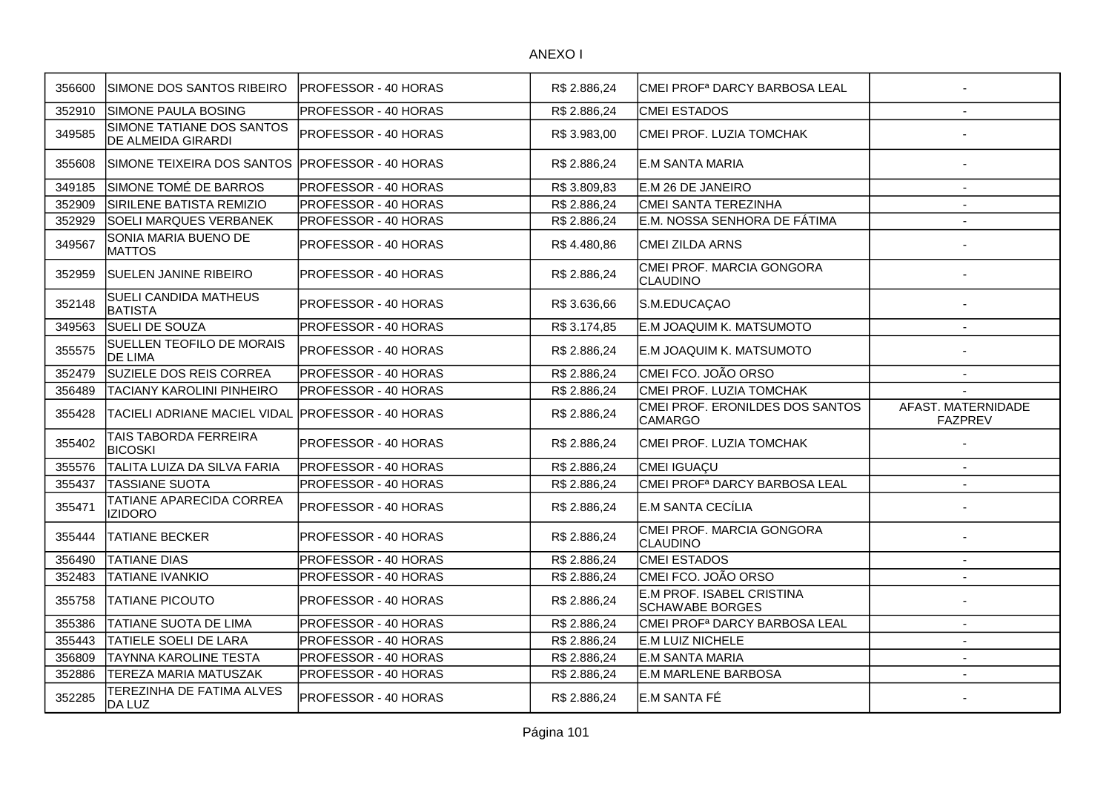| 356600 | SIMONE DOS SANTOS RIBEIRO                              | PROFESSOR - 40 HORAS        | R\$ 2.886,24 | ICMEI PROFª DARCY BARBOSA LEAL                      |                                      |
|--------|--------------------------------------------------------|-----------------------------|--------------|-----------------------------------------------------|--------------------------------------|
| 352910 | SIMONE PAULA BOSING                                    | PROFESSOR - 40 HORAS        | R\$ 2.886,24 | <b>CMEI ESTADOS</b>                                 |                                      |
| 349585 | SIMONE TATIANE DOS SANTOS<br><b>DE ALMEIDA GIRARDI</b> | PROFESSOR - 40 HORAS        | R\$ 3.983,00 | CMEI PROF. LUZIA TOMCHAK                            |                                      |
| 355608 | SIMONE TEIXEIRA DOS SANTOS PROFESSOR - 40 HORAS        |                             | R\$ 2.886,24 | IE.M SANTA MARIA                                    |                                      |
| 349185 | SIMONE TOMÉ DE BARROS                                  | PROFESSOR - 40 HORAS        | R\$ 3.809,83 | E.M 26 DE JANEIRO                                   | $\overline{\phantom{a}}$             |
| 352909 | <b>SIRILENE BATISTA REMIZIO</b>                        | PROFESSOR - 40 HORAS        | R\$ 2.886.24 | CMEI SANTA TEREZINHA                                | $\overline{a}$                       |
| 352929 | <b>SOELI MARQUES VERBANEK</b>                          | PROFESSOR - 40 HORAS        | R\$ 2.886,24 | E.M. NOSSA SENHORA DE FÁTIMA                        | $\blacksquare$                       |
| 349567 | SONIA MARIA BUENO DE<br><b>MATTOS</b>                  | PROFESSOR - 40 HORAS        | R\$4.480,86  | CMEI ZILDA ARNS                                     |                                      |
| 352959 | <b>SUELEN JANINE RIBEIRO</b>                           | PROFESSOR - 40 HORAS        | R\$ 2.886,24 | CMEI PROF. MARCIA GONGORA<br>CLAUDINO               |                                      |
| 352148 | SUELI CANDIDA MATHEUS<br><b>BATISTA</b>                | PROFESSOR - 40 HORAS        | R\$ 3.636,66 | S.M.EDUCAÇAO                                        |                                      |
| 349563 | SUELI DE SOUZA                                         | PROFESSOR - 40 HORAS        | R\$3.174,85  | E.M JOAQUIM K. MATSUMOTO                            |                                      |
| 355575 | <b>SUELLEN TEOFILO DE MORAIS</b><br><b>DE LIMA</b>     | PROFESSOR - 40 HORAS        | R\$ 2.886,24 | E.M JOAQUIM K. MATSUMOTO                            |                                      |
| 352479 | SUZIELE DOS REIS CORREA                                | PROFESSOR - 40 HORAS        | R\$ 2.886,24 | CMEI FCO. JOÃO ORSO                                 | $\overline{\phantom{a}}$             |
| 356489 | TACIANY KAROLINI PINHEIRO                              | PROFESSOR - 40 HORAS        | R\$ 2.886,24 | CMEI PROF. LUZIA TOMCHAK                            |                                      |
| 355428 | TACIELI ADRIANE MACIEL VIDAL                           | <b>PROFESSOR - 40 HORAS</b> | R\$ 2.886,24 | CMEI PROF. ERONILDES DOS SANTOS<br><b>CAMARGO</b>   | AFAST. MATERNIDADE<br><b>FAZPREV</b> |
| 355402 | TAIS TABORDA FERREIRA<br><b>BICOSKI</b>                | PROFESSOR - 40 HORAS        | R\$ 2.886,24 | CMEI PROF. LUZIA TOMCHAK                            |                                      |
| 355576 | TALITA LUIZA DA SILVA FARIA                            | PROFESSOR - 40 HORAS        | R\$ 2.886,24 | CMEI IGUAÇU                                         | $\blacksquare$                       |
| 355437 | <b>TASSIANE SUOTA</b>                                  | PROFESSOR - 40 HORAS        | R\$ 2.886,24 | CMEI PROF <sup>a</sup> DARCY BARBOSA LEAL           |                                      |
| 355471 | TATIANE APARECIDA CORREA<br><b>IZIDORO</b>             | PROFESSOR - 40 HORAS        | R\$ 2.886,24 | E.M SANTA CECÍLIA                                   |                                      |
| 355444 | TATIANE BECKER                                         | PROFESSOR - 40 HORAS        | R\$ 2.886,24 | CMEI PROF. MARCIA GONGORA<br>CLAUDINO               |                                      |
| 356490 | <b>TATIANE DIAS</b>                                    | PROFESSOR - 40 HORAS        | R\$ 2.886,24 | <b>CMEI ESTADOS</b>                                 | $\blacksquare$                       |
| 352483 | <b>TATIANE IVANKIO</b>                                 | PROFESSOR - 40 HORAS        | R\$ 2.886,24 | CMEI FCO. JOÃO ORSO                                 |                                      |
| 355758 | <b>TATIANE PICOUTO</b>                                 | PROFESSOR - 40 HORAS        | R\$ 2.886,24 | E.M PROF. ISABEL CRISTINA<br><b>SCHAWABE BORGES</b> |                                      |
| 355386 | TATIANE SUOTA DE LIMA                                  | PROFESSOR - 40 HORAS        | R\$ 2.886,24 | CMEI PROFª DARCY BARBOSA LEAL                       | $\overline{\phantom{a}}$             |
| 355443 | TATIELE SOELI DE LARA                                  | PROFESSOR - 40 HORAS        | R\$ 2.886,24 | <b>E.M LUIZ NICHELE</b>                             | $\overline{\phantom{a}}$             |
| 356809 | TAYNNA KAROLINE TESTA                                  | PROFESSOR - 40 HORAS        | R\$ 2.886,24 | <b>IE.M SANTA MARIA</b>                             | $\overline{\phantom{a}}$             |
| 352886 | TEREZA MARIA MATUSZAK                                  | PROFESSOR - 40 HORAS        | R\$ 2.886,24 | E.M MARLENE BARBOSA                                 | $\sim$                               |
| 352285 | TEREZINHA DE FATIMA ALVES<br>DA LUZ                    | PROFESSOR - 40 HORAS        | R\$ 2.886,24 | E.M SANTA FÉ                                        |                                      |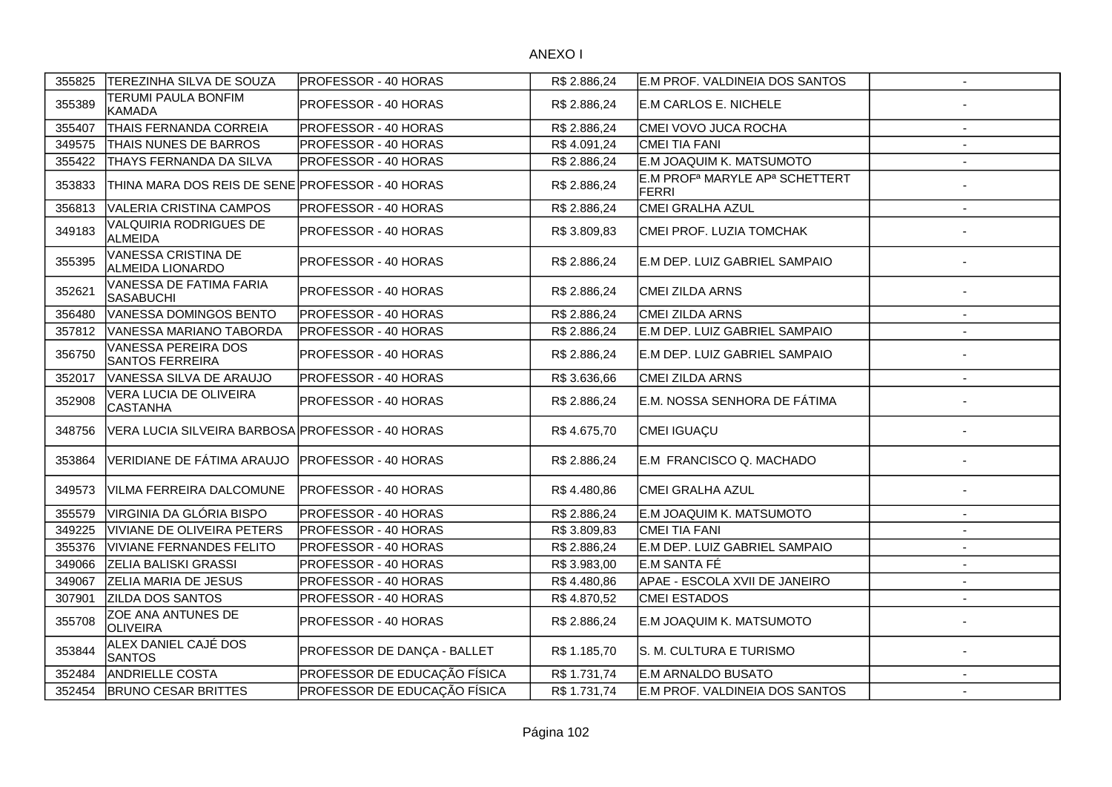| 355825 | TEREZINHA SILVA DE SOUZA                             | PROFESSOR - 40 HORAS         | R\$ 2.886,24 | E.M PROF. VALDINEIA DOS SANTOS                                          | $\sim$                   |
|--------|------------------------------------------------------|------------------------------|--------------|-------------------------------------------------------------------------|--------------------------|
| 355389 | TERUMI PAULA BONFIM<br><b>KAMADA</b>                 | PROFESSOR - 40 HORAS         | R\$ 2.886,24 | E.M CARLOS E. NICHELE                                                   |                          |
| 355407 | THAIS FERNANDA CORREIA                               | <b>PROFESSOR - 40 HORAS</b>  | R\$ 2.886,24 | CMEI VOVO JUCA ROCHA                                                    |                          |
| 349575 | THAIS NUNES DE BARROS                                | <b>PROFESSOR - 40 HORAS</b>  | R\$4.091,24  | CMEI TIA FANI                                                           |                          |
| 355422 | THAYS FERNANDA DA SILVA                              | <b>PROFESSOR - 40 HORAS</b>  | R\$ 2.886,24 | E.M JOAQUIM K. MATSUMOTO                                                | $\overline{\phantom{a}}$ |
| 353833 | THINA MARA DOS REIS DE SENE PROFESSOR - 40 HORAS     |                              | R\$ 2.886,24 | E.M PROF <sup>a</sup> MARYLE AP <sup>a</sup> SCHETTERT<br><b>IFERRI</b> |                          |
| 356813 | <b>VALERIA CRISTINA CAMPOS</b>                       | <b>PROFESSOR - 40 HORAS</b>  | R\$ 2.886,24 | CMEI GRALHA AZUL                                                        | $\overline{\phantom{a}}$ |
| 349183 | VALQUIRIA RODRIGUES DE<br>ALMEIDA                    | PROFESSOR - 40 HORAS         | R\$ 3.809,83 | CMEI PROF. LUZIA TOMCHAK                                                |                          |
| 355395 | VANESSA CRISTINA DE<br>ALMEIDA LIONARDO              | <b>PROFESSOR - 40 HORAS</b>  | R\$ 2.886,24 | E.M DEP. LUIZ GABRIEL SAMPAIO                                           |                          |
| 352621 | VANESSA DE FATIMA FARIA<br><b>SASABUCHI</b>          | <b>PROFESSOR - 40 HORAS</b>  | R\$ 2.886,24 | CMEI ZILDA ARNS                                                         |                          |
| 356480 | VANESSA DOMINGOS BENTO                               | PROFESSOR - 40 HORAS         | R\$ 2.886,24 | <b>CMEI ZILDA ARNS</b>                                                  | $\overline{\phantom{a}}$ |
| 357812 | VANESSA MARIANO TABORDA                              | PROFESSOR - 40 HORAS         | R\$ 2.886,24 | E.M DEP. LUIZ GABRIEL SAMPAIO                                           | $\overline{a}$           |
| 356750 | <b>VANESSA PEREIRA DOS</b><br><b>SANTOS FERREIRA</b> | PROFESSOR - 40 HORAS         | R\$ 2.886,24 | E.M DEP. LUIZ GABRIEL SAMPAIO                                           |                          |
| 352017 | VANESSA SILVA DE ARAUJO                              | <b>PROFESSOR - 40 HORAS</b>  | R\$ 3.636,66 | <b>CMEI ZILDA ARNS</b>                                                  | $\overline{a}$           |
| 352908 | VERA LUCIA DE OLIVEIRA<br><b>CASTANHA</b>            | PROFESSOR - 40 HORAS         | R\$ 2.886,24 | E.M. NOSSA SENHORA DE FÁTIMA                                            |                          |
| 348756 | VERA LUCIA SILVEIRA BARBOSA PROFESSOR - 40 HORAS     |                              | R\$4.675,70  | CMEI IGUAÇU                                                             |                          |
| 353864 | VERIDIANE DE FÁTIMA ARAUJO                           | <b>IPROFESSOR - 40 HORAS</b> | R\$ 2.886,24 | E.M FRANCISCO Q. MACHADO                                                |                          |
| 349573 | VILMA FERREIRA DALCOMUNE                             | PROFESSOR - 40 HORAS         | R\$4.480,86  | CMEI GRALHA AZUL                                                        |                          |
| 355579 | VIRGINIA DA GLÓRIA BISPO                             | PROFESSOR - 40 HORAS         | R\$ 2.886,24 | E.M JOAQUIM K. MATSUMOTO                                                | $\overline{\phantom{a}}$ |
| 349225 | VIVIANE DE OLIVEIRA PETERS                           | PROFESSOR - 40 HORAS         | R\$ 3.809,83 | CMEI TIA FANI                                                           | $\blacksquare$           |
| 355376 | <b>VIVIANE FERNANDES FELITO</b>                      | PROFESSOR - 40 HORAS         | R\$ 2.886,24 | E.M DEP. LUIZ GABRIEL SAMPAIO                                           | $\blacksquare$           |
| 349066 | ZELIA BALISKI GRASSI                                 | PROFESSOR - 40 HORAS         | R\$ 3.983,00 | E.M SANTA FÉ                                                            | $\blacksquare$           |
| 349067 | ZELIA MARIA DE JESUS                                 | PROFESSOR - 40 HORAS         | R\$4.480,86  | APAE - ESCOLA XVII DE JANEIRO                                           | $\blacksquare$           |
| 307901 | ZILDA DOS SANTOS                                     | PROFESSOR - 40 HORAS         | R\$4.870,52  | <b>CMEI ESTADOS</b>                                                     | $\blacksquare$           |
| 355708 | ZOE ANA ANTUNES DE<br><b>OLIVEIRA</b>                | PROFESSOR - 40 HORAS         | R\$ 2.886,24 | E.M JOAQUIM K. MATSUMOTO                                                |                          |
| 353844 | ALEX DANIEL CAJÉ DOS<br><b>SANTOS</b>                | PROFESSOR DE DANÇA - BALLET  | R\$ 1.185,70 | S. M. CULTURA E TURISMO                                                 |                          |
| 352484 | <b>ANDRIELLE COSTA</b>                               | PROFESSOR DE EDUCAÇÃO FÍSICA | R\$ 1.731,74 | E.M ARNALDO BUSATO                                                      |                          |
| 352454 | <b>BRUNO CESAR BRITTES</b>                           | PROFESSOR DE EDUCAÇÃO FÍSICA | R\$ 1.731,74 | E.M PROF. VALDINEIA DOS SANTOS                                          | $\overline{\phantom{a}}$ |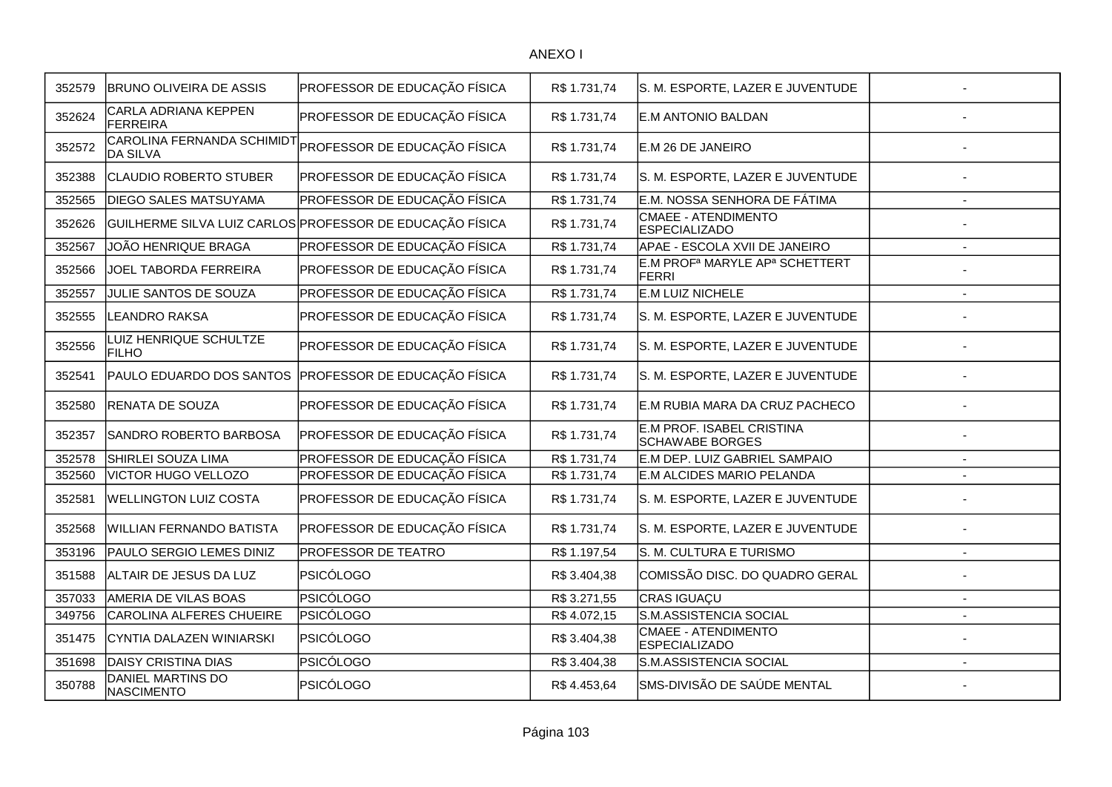| 352579 | <b>BRUNO OLIVEIRA DE ASSIS</b>                | PROFESSOR DE EDUCAÇÃO FÍSICA                             | R\$ 1.731,74 | S. M. ESPORTE, LAZER E JUVENTUDE                                |                          |
|--------|-----------------------------------------------|----------------------------------------------------------|--------------|-----------------------------------------------------------------|--------------------------|
| 352624 | <b>CARLA ADRIANA KEPPEN</b><br>FERREIRA       | PROFESSOR DE EDUCAÇÃO FÍSICA                             | R\$ 1.731,74 | E.M ANTONIO BALDAN                                              |                          |
| 352572 | CAROLINA FERNANDA SCHIMIDT<br><b>DA SILVA</b> | PROFESSOR DE EDUCAÇÃO FÍSICA                             | R\$ 1.731,74 | E.M 26 DE JANEIRO                                               |                          |
| 352388 | <b>CLAUDIO ROBERTO STUBER</b>                 | PROFESSOR DE EDUCAÇÃO FÍSICA                             | R\$ 1.731,74 | S. M. ESPORTE, LAZER E JUVENTUDE                                |                          |
| 352565 | <b>DIEGO SALES MATSUYAMA</b>                  | PROFESSOR DE EDUCAÇÃO FÍSICA                             | R\$ 1.731,74 | E.M. NOSSA SENHORA DE FÁTIMA                                    | $\overline{\phantom{a}}$ |
| 352626 |                                               | GUILHERME SILVA LUIZ CARLOS PROFESSOR DE EDUCAÇÃO FÍSICA | R\$ 1.731,74 | CMAEE - ATENDIMENTO<br><b>ESPECIALIZADO</b>                     |                          |
| 352567 | JOÃO HENRIQUE BRAGA                           | PROFESSOR DE EDUCAÇÃO FÍSICA                             | R\$ 1.731,74 | APAE - ESCOLA XVII DE JANEIRO                                   | $\overline{\phantom{a}}$ |
| 352566 | JOEL TABORDA FERREIRA                         | PROFESSOR DE EDUCAÇÃO FÍSICA                             | R\$ 1.731,74 | E.M PROF <sup>a</sup> MARYLE AP <sup>a</sup> SCHETTERT<br>FERRI |                          |
| 352557 | JULIE SANTOS DE SOUZA                         | PROFESSOR DE EDUCAÇÃO FÍSICA                             | R\$ 1.731,74 | E.M LUIZ NICHELE                                                | $\overline{\phantom{0}}$ |
| 352555 | LEANDRO RAKSA                                 | PROFESSOR DE EDUCAÇÃO FÍSICA                             | R\$ 1.731,74 | S. M. ESPORTE, LAZER E JUVENTUDE                                |                          |
| 352556 | LUIZ HENRIQUE SCHULTZE<br><b>FILHO</b>        | PROFESSOR DE EDUCAÇÃO FÍSICA                             | R\$ 1.731,74 | S. M. ESPORTE, LAZER E JUVENTUDE                                |                          |
| 352541 | PAULO EDUARDO DOS SANTOS                      | PROFESSOR DE EDUCAÇÃO FÍSICA                             | R\$ 1.731,74 | S. M. ESPORTE, LAZER E JUVENTUDE                                |                          |
| 352580 | <b>RENATA DE SOUZA</b>                        | PROFESSOR DE EDUCAÇÃO FÍSICA                             | R\$ 1.731,74 | E.M RUBIA MARA DA CRUZ PACHECO                                  |                          |
| 352357 | SANDRO ROBERTO BARBOSA                        | PROFESSOR DE EDUCAÇÃO FÍSICA                             | R\$ 1.731,74 | E.M PROF. ISABEL CRISTINA<br><b>SCHAWABE BORGES</b>             |                          |
| 352578 | SHIRLEI SOUZA LIMA                            | PROFESSOR DE EDUCAÇÃO FÍSICA                             | R\$ 1.731,74 | E.M DEP. LUIZ GABRIEL SAMPAIO                                   | $\blacksquare$           |
| 352560 | VICTOR HUGO VELLOZO                           | PROFESSOR DE EDUCAÇÃO FÍSICA                             | R\$ 1.731,74 | E.M ALCIDES MARIO PELANDA                                       |                          |
| 352581 | <b>WELLINGTON LUIZ COSTA</b>                  | PROFESSOR DE EDUCAÇÃO FÍSICA                             | R\$1.731,74  | S. M. ESPORTE, LAZER E JUVENTUDE                                |                          |
| 352568 | <b>WILLIAN FERNANDO BATISTA</b>               | PROFESSOR DE EDUCAÇÃO FÍSICA                             | R\$ 1.731,74 | S. M. ESPORTE, LAZER E JUVENTUDE                                |                          |
| 353196 | PAULO SERGIO LEMES DINIZ                      | PROFESSOR DE TEATRO                                      | R\$ 1.197,54 | S. M. CULTURA E TURISMO                                         |                          |
| 351588 | ALTAIR DE JESUS DA LUZ                        | <b>PSICÓLOGO</b>                                         | R\$ 3.404,38 | COMISSÃO DISC. DO QUADRO GERAL                                  |                          |
| 357033 | AMERIA DE VILAS BOAS                          | <b>PSICÓLOGO</b>                                         | R\$ 3.271,55 | CRAS IGUAÇU                                                     |                          |
| 349756 | CAROLINA ALFERES CHUEIRE                      | <b>PSICÓLOGO</b>                                         | R\$4.072,15  | S.M.ASSISTENCIA SOCIAL                                          |                          |
| 351475 | CYNTIA DALAZEN WINIARSKI                      | <b>PSICÓLOGO</b>                                         | R\$ 3.404,38 | CMAEE - ATENDIMENTO<br><b>ESPECIALIZADO</b>                     |                          |
| 351698 | <b>DAISY CRISTINA DIAS</b>                    | <b>PSICÓLOGO</b>                                         | R\$ 3.404,38 | S.M.ASSISTENCIA SOCIAL                                          | $\overline{\phantom{a}}$ |
| 350788 | DANIEL MARTINS DO<br>NASCIMENTO               | <b>PSICÓLOGO</b>                                         | R\$4.453,64  | SMS-DIVISÃO DE SAÚDE MENTAL                                     |                          |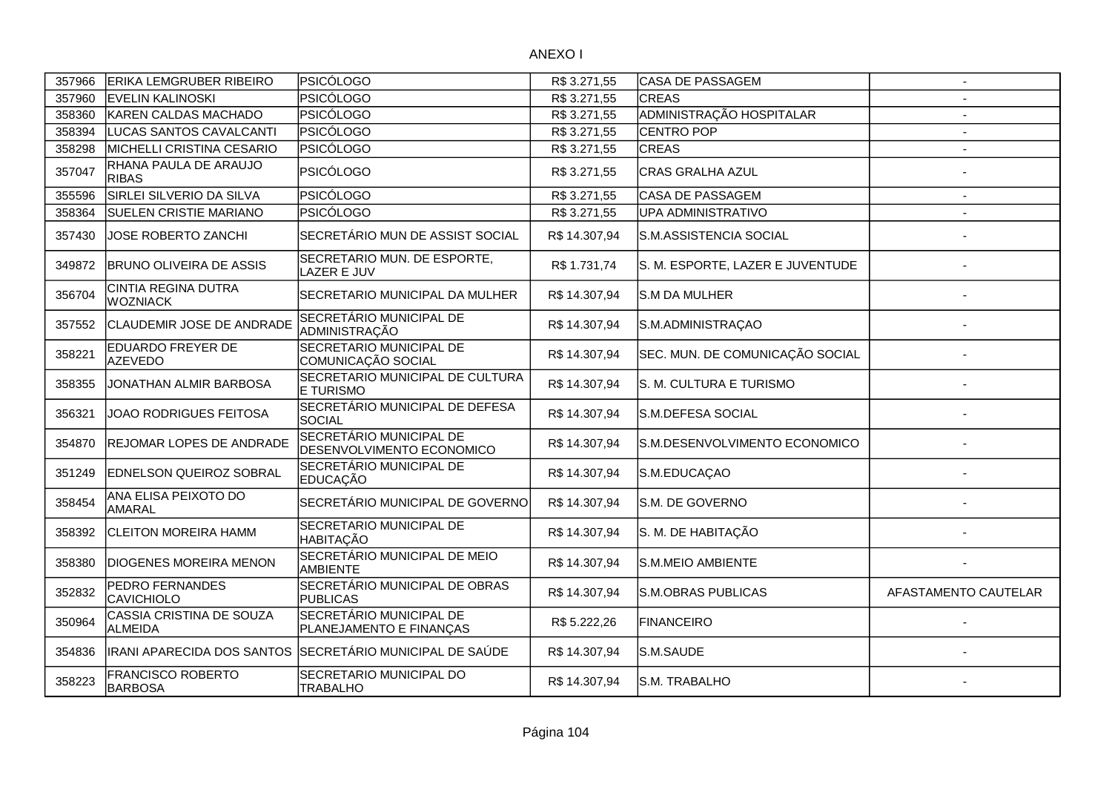| 357966 | <b>ERIKA LEMGRUBER RIBEIRO</b>                | PSICÓLOGO                                                 | R\$ 3.271,55  | <b>CASA DE PASSAGEM</b>          | $\overline{\phantom{a}}$ |
|--------|-----------------------------------------------|-----------------------------------------------------------|---------------|----------------------------------|--------------------------|
| 357960 | <b>EVELIN KALINOSKI</b>                       | PSICÓLOGO                                                 | R\$ 3.271,55  | <b>CREAS</b>                     |                          |
| 358360 | KAREN CALDAS MACHADO                          | PSICÓLOGO                                                 | R\$ 3.271,55  | ADMINISTRAÇÃO HOSPITALAR         | $\overline{\phantom{a}}$ |
| 358394 | LUCAS SANTOS CAVALCANTI                       | PSICÓLOGO                                                 | R\$ 3.271,55  | <b>CENTRO POP</b>                | $\overline{\phantom{a}}$ |
| 358298 | MICHELLI CRISTINA CESARIO                     | PSICÓLOGO                                                 | R\$ 3.271,55  | <b>CREAS</b>                     | $\overline{\phantom{a}}$ |
| 357047 | RHANA PAULA DE ARAUJO<br><b>RIBAS</b>         | PSICÓLOGO                                                 | R\$ 3.271,55  | <b>CRAS GRALHA AZUL</b>          |                          |
| 355596 | SIRLEI SILVERIO DA SILVA                      | PSICÓLOGO                                                 | R\$ 3.271,55  | CASA DE PASSAGEM                 | $\blacksquare$           |
| 358364 | <b>SUELEN CRISTIE MARIANO</b>                 | PSICÓLOGO                                                 | R\$ 3.271,55  | UPA ADMINISTRATIVO               |                          |
| 357430 | JOSE ROBERTO ZANCHI                           | SECRETÁRIO MUN DE ASSIST SOCIAL                           | R\$ 14.307,94 | S.M.ASSISTENCIA SOCIAL           |                          |
| 349872 | <b>BRUNO OLIVEIRA DE ASSIS</b>                | SECRETARIO MUN. DE ESPORTE,<br>LAZER E JUV                | R\$1.731,74   | S. M. ESPORTE, LAZER E JUVENTUDE |                          |
| 356704 | <b>CINTIA REGINA DUTRA</b><br><b>WOZNIACK</b> | SECRETARIO MUNICIPAL DA MULHER                            | R\$ 14.307,94 | S.M DA MULHER                    |                          |
| 357552 | CLAUDEMIR JOSE DE ANDRADE                     | SECRETÁRIO MUNICIPAL DE<br>ADMINISTRAÇÃO                  | R\$ 14.307,94 | S.M.ADMINISTRAÇAO                |                          |
| 358221 | EDUARDO FREYER DE<br><b>AZEVEDO</b>           | SECRETARIO MUNICIPAL DE<br>COMUNICAÇÃO SOCIAL             | R\$ 14.307,94 | SEC. MUN. DE COMUNICAÇÃO SOCIAL  |                          |
| 358355 | JONATHAN ALMIR BARBOSA                        | SECRETARIO MUNICIPAL DE CULTURA<br>E TURISMO              | R\$ 14.307,94 | S. M. CULTURA E TURISMO          |                          |
| 356321 | JOAO RODRIGUES FEITOSA                        | SECRETÁRIO MUNICIPAL DE DEFESA<br><b>SOCIAL</b>           | R\$ 14.307,94 | S.M.DEFESA SOCIAL                |                          |
| 354870 | REJOMAR LOPES DE ANDRADE                      | SECRETÁRIO MUNICIPAL DE<br>DESENVOLVIMENTO ECONOMICO      | R\$ 14.307,94 | S.M.DESENVOLVIMENTO ECONOMICO    |                          |
| 351249 | EDNELSON QUEIROZ SOBRAL                       | SECRETÁRIO MUNICIPAL DE<br><b>EDUCAÇÃO</b>                | R\$ 14.307,94 | S.M.EDUCAÇAO                     |                          |
| 358454 | ANA ELISA PEIXOTO DO<br>AMARAL                | SECRETÁRIO MUNICIPAL DE GOVERNO                           | R\$ 14.307,94 | S.M. DE GOVERNO                  |                          |
| 358392 | <b>CLEITON MOREIRA HAMM</b>                   | SECRETARIO MUNICIPAL DE<br><b>HABITAÇÃO</b>               | R\$ 14.307,94 | S. M. DE HABITAÇÃO               |                          |
| 358380 | <b>DIOGENES MOREIRA MENON</b>                 | SECRETÁRIO MUNICIPAL DE MEIO<br>AMBIENTE                  | R\$ 14.307,94 | S.M.MEIO AMBIENTE                |                          |
| 352832 | PEDRO FERNANDES<br><b>CAVICHIOLO</b>          | SECRETÁRIO MUNICIPAL DE OBRAS<br><b>PUBLICAS</b>          | R\$ 14.307,94 | S.M.OBRAS PUBLICAS               | AFASTAMENTO CAUTELAR     |
| 350964 | CASSIA CRISTINA DE SOUZA<br>ALMEIDA           | SECRETÁRIO MUNICIPAL DE<br>PLANEJAMENTO E FINANÇAS        | R\$5.222,26   | <b>FINANCEIRO</b>                |                          |
| 354836 |                                               | IRANI APARECIDA DOS SANTOS SSECRETÁRIO MUNICIPAL DE SAÚDE | R\$ 14.307,94 | S.M.SAUDE                        |                          |
| 358223 | <b>FRANCISCO ROBERTO</b><br><b>BARBOSA</b>    | SECRETARIO MUNICIPAL DO<br><b>TRABALHO</b>                | R\$ 14.307,94 | S.M. TRABALHO                    |                          |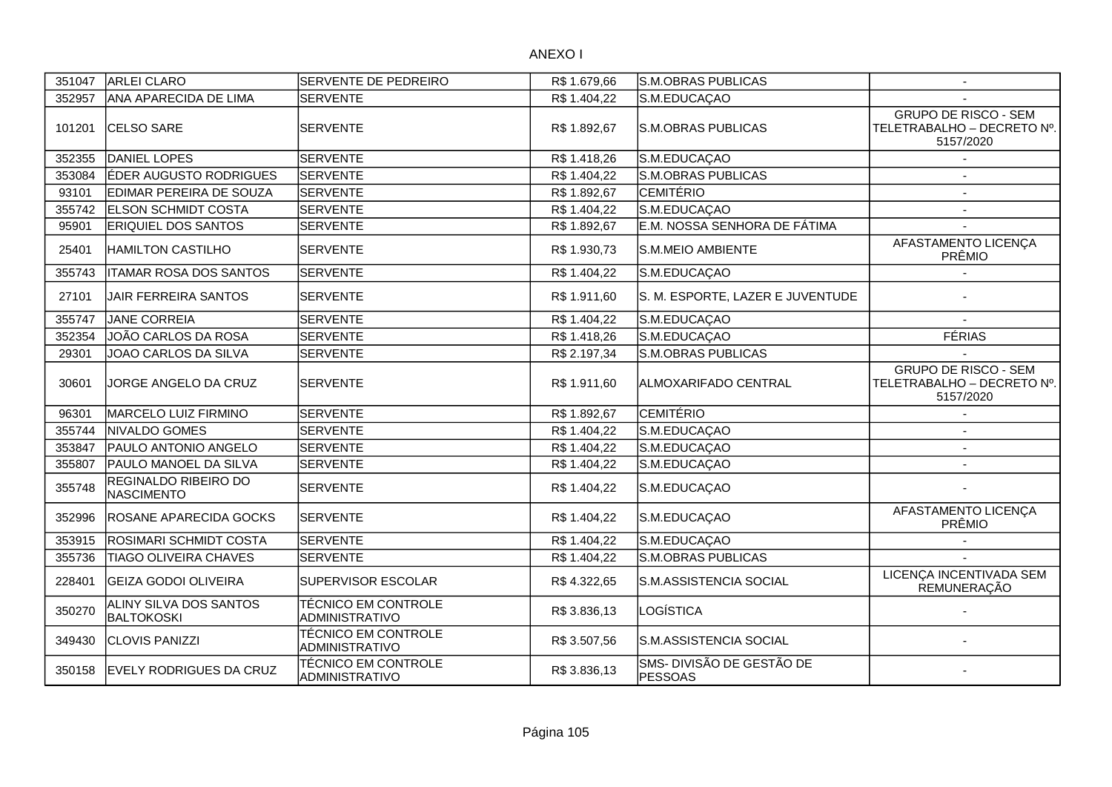| 351047 | <b>ARLEI CLARO</b>                          | <b>SERVENTE DE PEDREIRO</b>                  | R\$1.679,66  | S.M.OBRAS PUBLICAS                          | $\overline{\phantom{a}}$                                               |
|--------|---------------------------------------------|----------------------------------------------|--------------|---------------------------------------------|------------------------------------------------------------------------|
| 352957 | ANA APARECIDA DE LIMA                       | <b>SERVENTE</b>                              | R\$ 1.404,22 | S.M.EDUCAÇAO                                |                                                                        |
| 101201 | CELSO SARE                                  | <b>SERVENTE</b>                              | R\$ 1.892,67 | S.M.OBRAS PUBLICAS                          | <b>GRUPO DE RISCO - SEM</b><br>TELETRABALHO - DECRETO Nº.<br>5157/2020 |
| 352355 | DANIEL LOPES                                | <b>SERVENTE</b>                              | R\$ 1.418,26 | S.M.EDUCAÇAO                                |                                                                        |
| 353084 | ÉDER AUGUSTO RODRIGUES                      | <b>SERVENTE</b>                              | R\$ 1.404,22 | S.M.OBRAS PUBLICAS                          |                                                                        |
| 93101  | EDIMAR PEREIRA DE SOUZA                     | <b>SERVENTE</b>                              | R\$ 1.892,67 | <b>CEMITÉRIO</b>                            |                                                                        |
| 355742 | <b>ELSON SCHMIDT COSTA</b>                  | SERVENTE                                     | R\$ 1.404,22 | S.M.EDUCAÇAO                                | $\overline{\phantom{a}}$                                               |
| 95901  | ERIQUIEL DOS SANTOS                         | <b>SERVENTE</b>                              | R\$ 1.892,67 | E.M. NOSSA SENHORA DE FÁTIMA                |                                                                        |
| 25401  | <b>HAMILTON CASTILHO</b>                    | <b>SERVENTE</b>                              | R\$ 1.930,73 | S.M.MEIO AMBIENTE                           | AFASTAMENTO LICENÇA<br>PRÊMIO                                          |
| 355743 | <b>ITAMAR ROSA DOS SANTOS</b>               | <b>SERVENTE</b>                              | R\$ 1.404,22 | S.M.EDUCAÇAO                                |                                                                        |
| 27101  | <b>JAIR FERREIRA SANTOS</b>                 | <b>SERVENTE</b>                              | R\$ 1.911,60 | S. M. ESPORTE, LAZER E JUVENTUDE            |                                                                        |
| 355747 | <b>JANE CORREIA</b>                         | <b>SERVENTE</b>                              | R\$ 1.404,22 | S.M.EDUCAÇAO                                |                                                                        |
| 352354 | JOÃO CARLOS DA ROSA                         | <b>SERVENTE</b>                              | R\$ 1.418,26 | S.M.EDUCAÇAO                                | <b>FÉRIAS</b>                                                          |
| 29301  | JOAO CARLOS DA SILVA                        | <b>SERVENTE</b>                              | R\$ 2.197,34 | <b>S.M.OBRAS PUBLICAS</b>                   |                                                                        |
| 30601  | JORGE ANGELO DA CRUZ                        | <b>SERVENTE</b>                              | R\$ 1.911,60 | ALMOXARIFADO CENTRAL                        | <b>GRUPO DE RISCO - SEM</b><br>TELETRABALHO - DECRETO Nº.<br>5157/2020 |
| 96301  | MARCELO LUIZ FIRMINO                        | <b>SERVENTE</b>                              | R\$ 1.892,67 | <b>CEMITÉRIO</b>                            |                                                                        |
| 355744 | NIVALDO GOMES                               | <b>SERVENTE</b>                              | R\$ 1.404,22 | S.M.EDUCAÇAO                                |                                                                        |
| 353847 | PAULO ANTONIO ANGELO                        | <b>SERVENTE</b>                              | R\$ 1.404,22 | S.M.EDUCAÇAO                                |                                                                        |
| 355807 | PAULO MANOEL DA SILVA                       | <b>SERVENTE</b>                              | R\$ 1.404,22 | S.M.EDUCAÇAO                                |                                                                        |
| 355748 | REGINALDO RIBEIRO DO<br><b>NASCIMENTO</b>   | <b>SERVENTE</b>                              | R\$ 1.404,22 | S.M.EDUCAÇAO                                |                                                                        |
| 352996 | ROSANE APARECIDA GOCKS                      | <b>SERVENTE</b>                              | R\$ 1.404,22 | S.M.EDUCAÇAO                                | AFASTAMENTO LICENÇA<br>PRÊMIO                                          |
| 353915 | ROSIMARI SCHMIDT COSTA                      | <b>SERVENTE</b>                              | R\$ 1.404,22 | S.M.EDUCAÇAO                                |                                                                        |
| 355736 | <b>TIAGO OLIVEIRA CHAVES</b>                | <b>SERVENTE</b>                              | R\$1.404,22  | <b>S.M.OBRAS PUBLICAS</b>                   |                                                                        |
| 228401 | <b>GEIZA GODOI OLIVEIRA</b>                 | SUPERVISOR ESCOLAR                           | R\$4.322,65  | S.M.ASSISTENCIA SOCIAL                      | LICENÇA INCENTIVADA SEM<br>REMUNERAÇÃO                                 |
| 350270 | ALINY SILVA DOS SANTOS<br><b>BALTOKOSKI</b> | <b>TÉCNICO EM CONTROLE</b><br>ADMINISTRATIVO | R\$ 3.836,13 | LOGÍSTICA                                   |                                                                        |
| 349430 | <b>CLOVIS PANIZZI</b>                       | TÉCNICO EM CONTROLE<br>ADMINISTRATIVO        | R\$ 3.507,56 | S.M.ASSISTENCIA SOCIAL                      |                                                                        |
| 350158 | <b>EVELY RODRIGUES DA CRUZ</b>              | <b>TÉCNICO EM CONTROLE</b><br>ADMINISTRATIVO | R\$ 3.836,13 | SMS- DIVISÃO DE GESTÃO DE<br><b>PESSOAS</b> |                                                                        |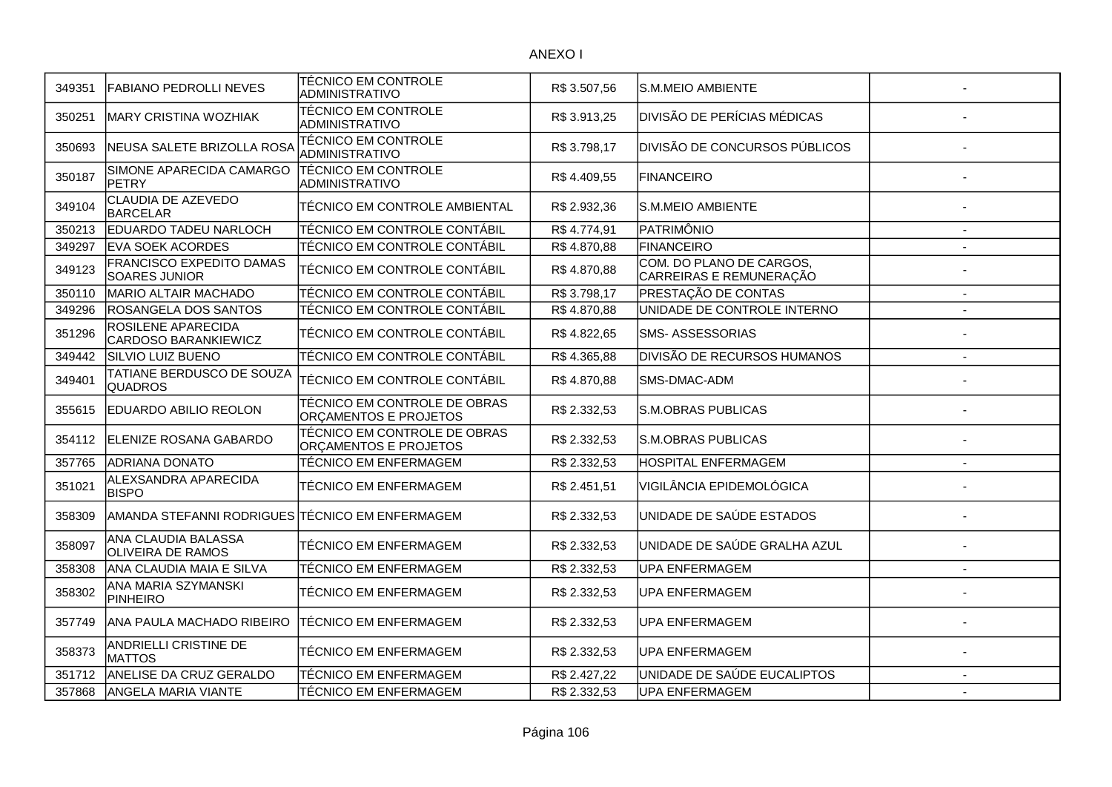| 349351 | <b>FABIANO PEDROLLI NEVES</b>                    | TÉCNICO EM CONTROLE<br><b>ADMINISTRATIVO</b>          | R\$ 3.507,56 | S.M.MEIO AMBIENTE                                   |                |
|--------|--------------------------------------------------|-------------------------------------------------------|--------------|-----------------------------------------------------|----------------|
| 350251 | <b>MARY CRISTINA WOZHIAK</b>                     | TÉCNICO EM CONTROLE<br><b>ADMINISTRATIVO</b>          | R\$ 3.913,25 | <b>DIVISÃO DE PERÍCIAS MÉDICAS</b>                  |                |
| 350693 | NEUSA SALETE BRIZOLLA ROSA                       | <b>TÉCNICO EM CONTROLE</b><br><b>ADMINISTRATIVO</b>   | R\$ 3.798,17 | DIVISÃO DE CONCURSOS PÚBLICOS                       |                |
| 350187 | SIMONE APARECIDA CAMARGO<br><b>PETRY</b>         | <b>TÉCNICO EM CONTROLE</b><br>ADMINISTRATIVO          | R\$4.409,55  | <b>FINANCEIRO</b>                                   |                |
| 349104 | CLAUDIA DE AZEVEDO<br><b>BARCELAR</b>            | TÉCNICO EM CONTROLE AMBIENTAL                         | R\$ 2.932,36 | S.M.MEIO AMBIENTE                                   |                |
| 350213 | <b>EDUARDO TADEU NARLOCH</b>                     | TÉCNICO EM CONTROLE CONTÁBIL                          | R\$4.774,91  | PATRIMÔNIO                                          |                |
| 349297 | <b>EVA SOEK ACORDES</b>                          | TÉCNICO EM CONTROLE CONTÁBIL                          | R\$4.870,88  | FINANCEIRO                                          |                |
| 349123 | FRANCISCO EXPEDITO DAMAS<br><b>SOARES JUNIOR</b> | TÉCNICO EM CONTROLE CONTÁBIL                          | R\$4.870,88  | COM. DO PLANO DE CARGOS,<br>CARREIRAS E REMUNERAÇÃO |                |
| 350110 | <b>MARIO ALTAIR MACHADO</b>                      | TÉCNICO EM CONTROLE CONTÁBIL                          | R\$3.798,17  | PRESTAÇÃO DE CONTAS                                 | $\sim$         |
| 349296 | ROSANGELA DOS SANTOS                             | TÉCNICO EM CONTROLE CONTÁBIL                          | R\$4.870,88  | UNIDADE DE CONTROLE INTERNO                         | $\blacksquare$ |
| 351296 | ROSILENE APARECIDA<br>CARDOSO BARANKIEWICZ       | TÉCNICO EM CONTROLE CONTÁBIL                          | R\$4.822,65  | <b>SMS-ASSESSORIAS</b>                              |                |
| 349442 | <b>SILVIO LUIZ BUENO</b>                         | TÉCNICO EM CONTROLE CONTÁBIL                          | R\$4.365,88  | DIVISÃO DE RECURSOS HUMANOS                         |                |
| 349401 | TATIANE BERDUSCO DE SOUZA<br><b>QUADROS</b>      | TÉCNICO EM CONTROLE CONTÁBIL                          | R\$4.870,88  | SMS-DMAC-ADM                                        |                |
| 355615 | EDUARDO ABILIO REOLON                            | TÉCNICO EM CONTROLE DE OBRAS<br>ORÇAMENTOS E PROJETOS | R\$ 2.332,53 | <b>S.M.OBRAS PUBLICAS</b>                           |                |
| 354112 | ELENIZE ROSANA GABARDO                           | TÉCNICO EM CONTROLE DE OBRAS<br>ORÇAMENTOS E PROJETOS | R\$ 2.332,53 | S.M.OBRAS PUBLICAS                                  |                |
| 357765 | <b>ADRIANA DONATO</b>                            | TÉCNICO EM ENFERMAGEM                                 | R\$ 2.332,53 | HOSPITAL ENFERMAGEM                                 | $\overline{a}$ |
| 351021 | ALEXSANDRA APARECIDA<br><b>BISPO</b>             | TÉCNICO EM ENFERMAGEM                                 | R\$ 2.451,51 | VIGILÂNCIA EPIDEMOLÓGICA                            |                |
| 358309 | IAMANDA STEFANNI RODRIGUES                       | <b>ITÉCNICO EM ENFERMAGEM</b>                         | R\$ 2.332,53 | UNIDADE DE SAÚDE ESTADOS                            |                |
| 358097 | ANA CLAUDIA BALASSA<br><b>OLIVEIRA DE RAMOS</b>  | TÉCNICO EM ENFERMAGEM                                 | R\$ 2.332,53 | UNIDADE DE SAÚDE GRALHA AZUL                        |                |
| 358308 | ANA CLAUDIA MAIA E SILVA                         | TÉCNICO EM ENFERMAGEM                                 | R\$ 2.332,53 | <b>UPA ENFERMAGEM</b>                               |                |
| 358302 | ANA MARIA SZYMANSKI<br><b>PINHEIRO</b>           | TÉCNICO EM ENFERMAGEM                                 | R\$ 2.332,53 | <b>UPA ENFERMAGEM</b>                               |                |
| 357749 | ANA PAULA MACHADO RIBEIRO                        | TÉCNICO EM ENFERMAGEM                                 | R\$ 2.332,53 | <b>UPA ENFERMAGEM</b>                               |                |
| 358373 | ANDRIELLI CRISTINE DE<br><b>MATTOS</b>           | TÉCNICO EM ENFERMAGEM                                 | R\$ 2.332,53 | <b>UPA ENFERMAGEM</b>                               |                |
| 351712 | ANELISE DA CRUZ GERALDO                          | TÉCNICO EM ENFERMAGEM                                 | R\$ 2.427,22 | UNIDADE DE SAÚDE EUCALIPTOS                         |                |
| 357868 | <b>ANGELA MARIA VIANTE</b>                       | TÉCNICO EM ENFERMAGEM                                 | R\$ 2.332,53 | <b>UPA ENFERMAGEM</b>                               | $\blacksquare$ |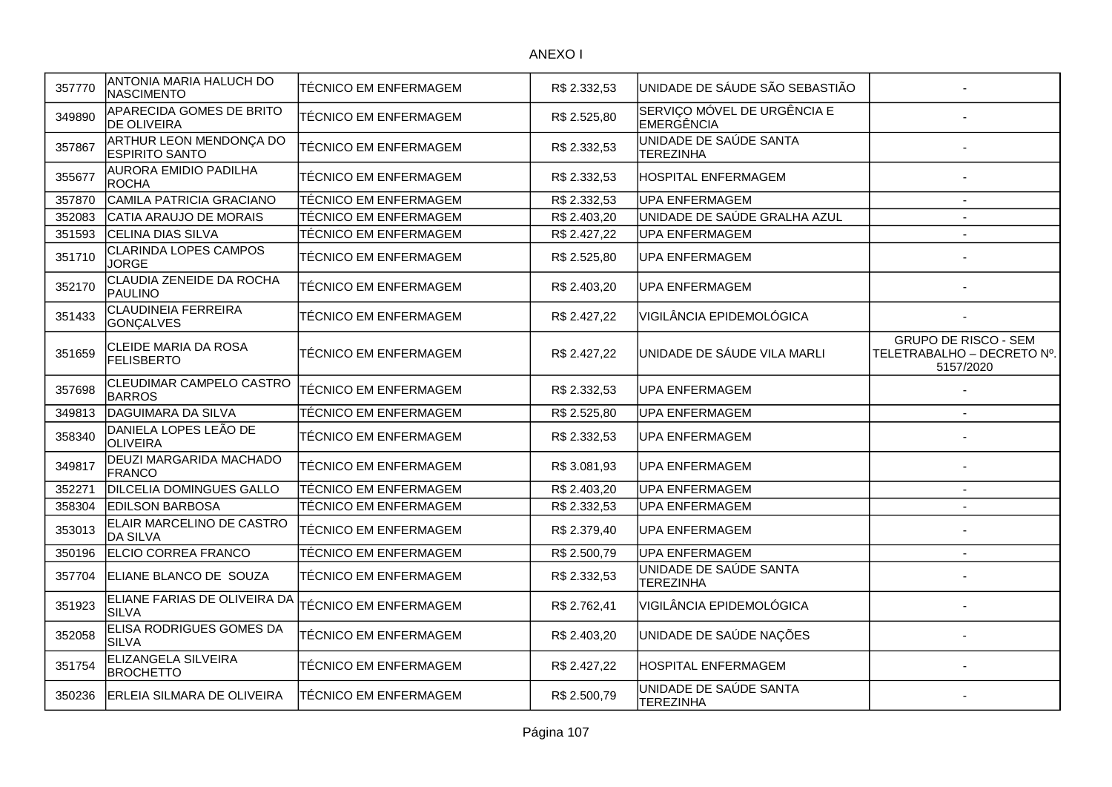| 357770 | ANTONIA MARIA HALUCH DO<br>NASCIMENTO            | TÉCNICO EM ENFERMAGEM        | R\$ 2.332,53 | UNIDADE DE SÁUDE SÃO SEBASTIÃO             |                                                                        |
|--------|--------------------------------------------------|------------------------------|--------------|--------------------------------------------|------------------------------------------------------------------------|
| 349890 | APARECIDA GOMES DE BRITO<br><b>DE OLIVEIRA</b>   | TÉCNICO EM ENFERMAGEM        | R\$ 2.525,80 | SERVIÇO MÓVEL DE URGÊNCIA E<br>EMERGÊNCIA  |                                                                        |
| 357867 | ARTHUR LEON MENDONÇA DO<br><b>ESPIRITO SANTO</b> | TÉCNICO EM ENFERMAGEM        | R\$ 2.332,53 | UNIDADE DE SAÚDE SANTA<br><b>TEREZINHA</b> |                                                                        |
| 355677 | AURORA EMIDIO PADILHA<br><b>ROCHA</b>            | TÉCNICO EM ENFERMAGEM        | R\$ 2.332,53 | HOSPITAL ENFERMAGEM                        |                                                                        |
| 357870 | CAMILA PATRICIA GRACIANO                         | TÉCNICO EM ENFERMAGEM        | R\$ 2.332,53 | <b>UPA ENFERMAGEM</b>                      | $\sim$                                                                 |
| 352083 | CATIA ARAUJO DE MORAIS                           | TÉCNICO EM ENFERMAGEM        | R\$ 2.403,20 | UNIDADE DE SAÚDE GRALHA AZUL               | $\overline{\phantom{a}}$                                               |
| 351593 | CELINA DIAS SILVA                                | TÉCNICO EM ENFERMAGEM        | R\$ 2.427,22 | <b>UPA ENFERMAGEM</b>                      | $\blacksquare$                                                         |
| 351710 | <b>CLARINDA LOPES CAMPOS</b><br><b>JORGE</b>     | <b>TÉCNICO EM ENFERMAGEM</b> | R\$ 2.525,80 | <b>UPA ENFERMAGEM</b>                      |                                                                        |
| 352170 | CLAUDIA ZENEIDE DA ROCHA<br>PAULINO              | TÉCNICO EM ENFERMAGEM        | R\$ 2.403,20 | UPA ENFERMAGEM                             |                                                                        |
| 351433 | <b>CLAUDINEIA FERREIRA</b><br><b>GONCALVES</b>   | <b>TÉCNICO EM ENFERMAGEM</b> | R\$ 2.427,22 | VIGILÂNCIA EPIDEMOLÓGICA                   |                                                                        |
| 351659 | <b>CLEIDE MARIA DA ROSA</b><br><b>FELISBERTO</b> | TÉCNICO EM ENFERMAGEM        | R\$ 2.427,22 | UNIDADE DE SÁUDE VILA MARLI                | <b>GRUPO DE RISCO - SEM</b><br>TELETRABALHO - DECRETO Nº.<br>5157/2020 |
| 357698 | <b>CLEUDIMAR CAMPELO CASTRO</b><br><b>BARROS</b> | TÉCNICO EM ENFERMAGEM        | R\$ 2.332,53 | UPA ENFERMAGEM                             |                                                                        |
| 349813 | DAGUIMARA DA SILVA                               | <b>TÉCNICO EM ENFERMAGEM</b> | R\$ 2.525,80 | <b>UPA ENFERMAGEM</b>                      |                                                                        |
| 358340 | DANIELA LOPES LEÃO DE<br>OLIVEIRA                | TÉCNICO EM ENFERMAGEM        | R\$ 2.332,53 | UPA ENFERMAGEM                             |                                                                        |
| 349817 | DEUZI MARGARIDA MACHADO<br>FRANCO                | TÉCNICO EM ENFERMAGEM        | R\$ 3.081,93 | UPA ENFERMAGEM                             |                                                                        |
| 352271 | <b>DILCELIA DOMINGUES GALLO</b>                  | <b>TÉCNICO EM ENFERMAGEM</b> | R\$ 2.403,20 | <b>UPA ENFERMAGEM</b>                      | $\blacksquare$                                                         |
| 358304 | <b>EDILSON BARBOSA</b>                           | TÉCNICO EM ENFERMAGEM        | R\$ 2.332,53 | <b>UPA ENFERMAGEM</b>                      | $\overline{\phantom{a}}$                                               |
| 353013 | ELAIR MARCELINO DE CASTRO<br>DA SILVA            | TÉCNICO EM ENFERMAGEM        | R\$ 2.379,40 | <b>UPA ENFERMAGEM</b>                      |                                                                        |
| 350196 | ELCIO CORREA FRANCO                              | TÉCNICO EM ENFERMAGEM        | R\$ 2.500,79 | <b>UPA ENFERMAGEM</b>                      | $\overline{\phantom{a}}$                                               |
| 357704 | ELIANE BLANCO DE SOUZA                           | TÉCNICO EM ENFERMAGEM        | R\$ 2.332,53 | UNIDADE DE SAÚDE SANTA<br><b>TEREZINHA</b> |                                                                        |
| 351923 | ELIANE FARIAS DE OLIVEIRA DA<br><b>SILVA</b>     | TÉCNICO EM ENFERMAGEM        | R\$ 2.762,41 | VIGILÂNCIA EPIDEMOLÓGICA                   |                                                                        |
| 352058 | ELISA RODRIGUES GOMES DA<br><b>SILVA</b>         | TÉCNICO EM ENFERMAGEM        | R\$ 2.403,20 | UNIDADE DE SAÚDE NAÇÕES                    |                                                                        |
| 351754 | ELIZANGELA SILVEIRA<br><b>BROCHETTO</b>          | TÉCNICO EM ENFERMAGEM        | R\$ 2.427,22 | <b>HOSPITAL ENFERMAGEM</b>                 |                                                                        |
| 350236 | <b>ERLEIA SILMARA DE OLIVEIRA</b>                | TÉCNICO EM ENFERMAGEM        | R\$ 2.500,79 | UNIDADE DE SAÚDE SANTA<br><b>TEREZINHA</b> |                                                                        |
|        |                                                  |                              |              |                                            |                                                                        |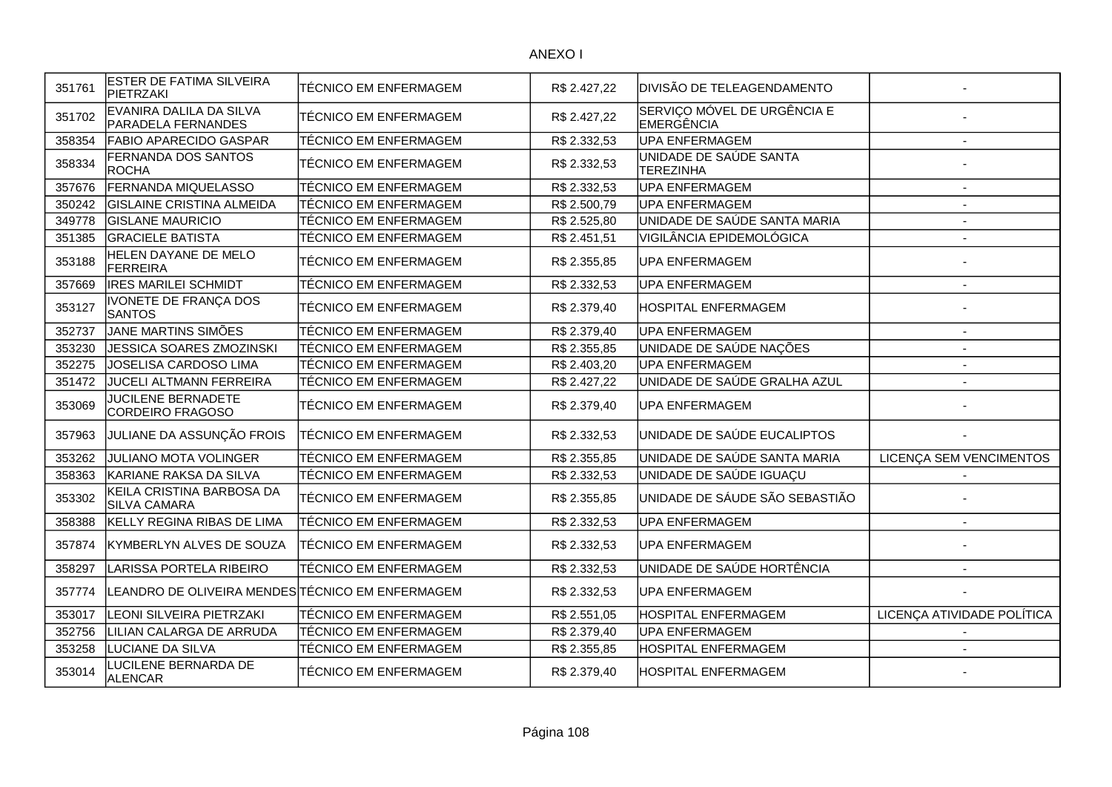| 351761 | <b>ESTER DE FATIMA SILVEIRA</b><br>PIETRZAKI         | TÉCNICO EM ENFERMAGEM        | R\$ 2.427,22 | DIVISÃO DE TELEAGENDAMENTO                 |                            |
|--------|------------------------------------------------------|------------------------------|--------------|--------------------------------------------|----------------------------|
| 351702 | EVANIRA DALILA DA SILVA<br><b>PARADELA FERNANDES</b> | <b>TÉCNICO EM ENFERMAGEM</b> | R\$ 2.427,22 | SERVIÇO MÓVEL DE URGÊNCIA E<br>EMERGÊNCIA  |                            |
| 358354 | <b>FABIO APARECIDO GASPAR</b>                        | <b>TÉCNICO EM ENFERMAGEM</b> | R\$ 2.332,53 | <b>UPA ENFERMAGEM</b>                      |                            |
| 358334 | FERNANDA DOS SANTOS<br>ROCHA                         | TÉCNICO EM ENFERMAGEM        | R\$ 2.332,53 | UNIDADE DE SAÚDE SANTA<br><b>TEREZINHA</b> |                            |
| 357676 | FERNANDA MIQUELASSO                                  | TÉCNICO EM ENFERMAGEM        | R\$ 2.332,53 | <b>UPA ENFERMAGEM</b>                      | $\overline{\phantom{a}}$   |
| 350242 | <b>GISLAINE CRISTINA ALMEIDA</b>                     | TÉCNICO EM ENFERMAGEM        | R\$ 2.500,79 | <b>UPA ENFERMAGEM</b>                      | $\overline{\phantom{a}}$   |
| 349778 | <b>GISLANE MAURICIO</b>                              | TÉCNICO EM ENFERMAGEM        | R\$ 2.525,80 | UNIDADE DE SAÚDE SANTA MARIA               | $\overline{\phantom{a}}$   |
| 351385 | <b>GRACIELE BATISTA</b>                              | TÉCNICO EM ENFERMAGEM        | R\$ 2.451,51 | VIGILÂNCIA EPIDEMOLÓGICA                   | $\blacksquare$             |
| 353188 | HELEN DAYANE DE MELO<br>FERREIRA                     | TÉCNICO EM ENFERMAGEM        | R\$ 2.355,85 | UPA ENFERMAGEM                             |                            |
| 357669 | <b>IRES MARILEI SCHMIDT</b>                          | <b>TÉCNICO EM ENFERMAGEM</b> | R\$ 2.332,53 | <b>UPA ENFERMAGEM</b>                      | $\blacksquare$             |
| 353127 | IVONETE DE FRANÇA DOS<br><b>SANTOS</b>               | TÉCNICO EM ENFERMAGEM        | R\$ 2.379,40 | <b>HOSPITAL ENFERMAGEM</b>                 |                            |
| 352737 | JANE MARTINS SIMÕES                                  | TÉCNICO EM ENFERMAGEM        | R\$ 2.379,40 | <b>UPA ENFERMAGEM</b>                      |                            |
| 353230 | <b>JESSICA SOARES ZMOZINSKI</b>                      | <b>TÉCNICO EM ENFERMAGEM</b> | R\$ 2.355,85 | UNIDADE DE SAÚDE NAÇÕES                    |                            |
| 352275 | JOSELISA CARDOSO LIMA                                | <b>TÉCNICO EM ENFERMAGEM</b> | R\$ 2.403,20 | <b>UPA ENFERMAGEM</b>                      | $\overline{\phantom{a}}$   |
| 351472 | <b>JUCELI ALTMANN FERREIRA</b>                       | TÉCNICO EM ENFERMAGEM        | R\$ 2.427,22 | UNIDADE DE SAÚDE GRALHA AZUL               |                            |
| 353069 | <b>JUCILENE BERNADETE</b><br>CORDEIRO FRAGOSO        | TÉCNICO EM ENFERMAGEM        | R\$ 2.379,40 | <b>UPA ENFERMAGEM</b>                      |                            |
| 357963 | JULIANE DA ASSUNÇÃO FROIS                            | TÉCNICO EM ENFERMAGEM        | R\$ 2.332,53 | UNIDADE DE SAÚDE EUCALIPTOS                |                            |
| 353262 | <b>JULIANO MOTA VOLINGER</b>                         | <b>TÉCNICO EM ENFERMAGEM</b> | R\$ 2.355,85 | UNIDADE DE SAÚDE SANTA MARIA               | LICENÇA SEM VENCIMENTOS    |
| 358363 | KARIANE RAKSA DA SILVA                               | <b>TÉCNICO EM ENFERMAGEM</b> | R\$ 2.332,53 | UNIDADE DE SAÚDE IGUAÇU                    |                            |
| 353302 | KEILA CRISTINA BARBOSA DA<br><b>SILVA CAMARA</b>     | TÉCNICO EM ENFERMAGEM        | R\$ 2.355,85 | UNIDADE DE SÁUDE SÃO SEBASTIÃO             |                            |
| 358388 | KELLY REGINA RIBAS DE LIMA                           | <b>TÉCNICO EM ENFERMAGEM</b> | R\$ 2.332,53 | <b>UPA ENFERMAGEM</b>                      | $\overline{a}$             |
| 357874 | KYMBERLYN ALVES DE SOUZA                             | TÉCNICO EM ENFERMAGEM        | R\$ 2.332,53 | <b>UPA ENFERMAGEM</b>                      |                            |
| 358297 | LARISSA PORTELA RIBEIRO                              | TÉCNICO EM ENFERMAGEM        | R\$ 2.332,53 | UNIDADE DE SAÚDE HORTÊNCIA                 | $\overline{\phantom{a}}$   |
| 357774 | LEANDRO DE OLIVEIRA MENDES TÉCNICO EM ENFERMAGEM     |                              | R\$ 2.332,53 | <b>UPA ENFERMAGEM</b>                      |                            |
| 353017 | LEONI SILVEIRA PIETRZAKI                             | TÉCNICO EM ENFERMAGEM        | R\$ 2.551,05 | HOSPITAL ENFERMAGEM                        | LICENÇA ATIVIDADE POLÍTICA |
| 352756 | LILIAN CALARGA DE ARRUDA                             | TÉCNICO EM ENFERMAGEM        | R\$ 2.379,40 | <b>UPA ENFERMAGEM</b>                      |                            |
| 353258 | LUCIANE DA SILVA                                     | TÉCNICO EM ENFERMAGEM        | R\$ 2.355,85 | HOSPITAL ENFERMAGEM                        |                            |
| 353014 | LUCILENE BERNARDA DE<br><b>ALENCAR</b>               | TÉCNICO EM ENFERMAGEM        | R\$ 2.379,40 | <b>HOSPITAL ENFERMAGEM</b>                 |                            |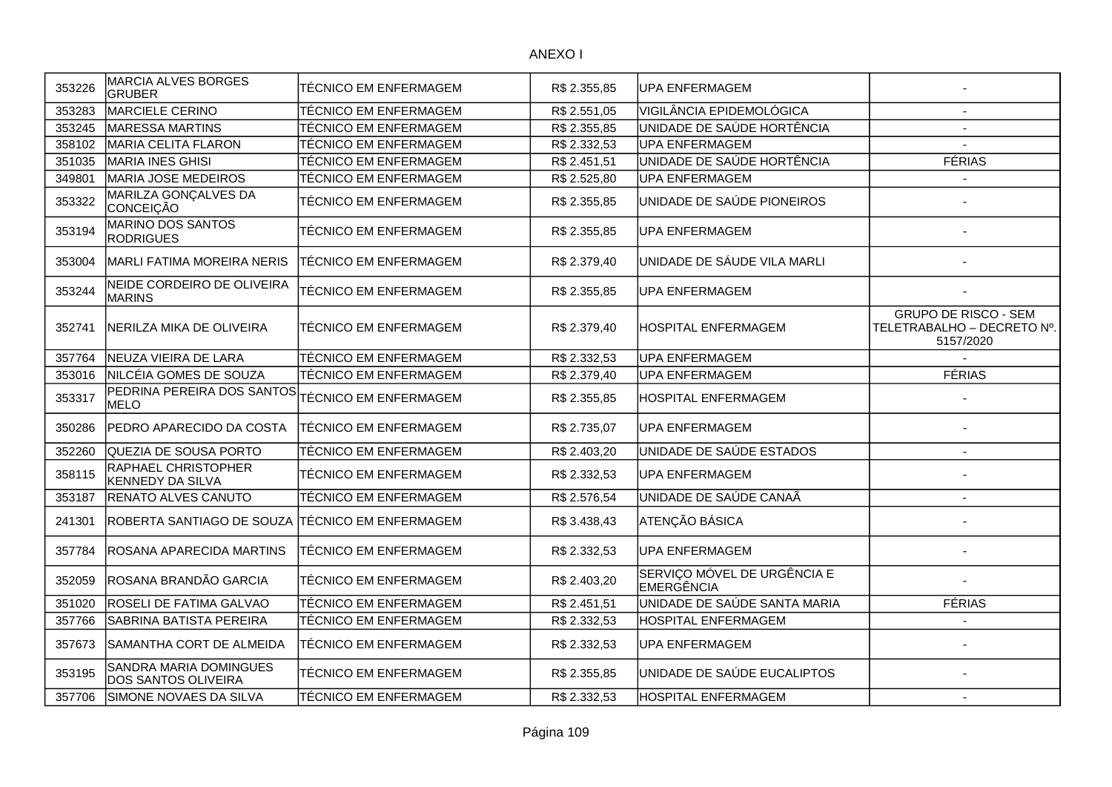ANEXO I

| 353226 | MARCIA ALVES BORGES<br><b>GRUBER</b>                  | TÉCNICO EM ENFERMAGEM        | R\$ 2.355,85 | <b>UPA ENFERMAGEM</b>                     |                                                                        |
|--------|-------------------------------------------------------|------------------------------|--------------|-------------------------------------------|------------------------------------------------------------------------|
| 353283 | MARCIELE CERINO                                       | <b>TÉCNICO EM ENFERMAGEM</b> | R\$ 2.551,05 | VIGILÂNCIA EPIDEMOLÓGICA                  |                                                                        |
| 353245 | MARESSA MARTINS                                       | TÉCNICO EM ENFERMAGEM        | R\$ 2.355,85 | UNIDADE DE SAÚDE HORTÊNCIA                |                                                                        |
| 358102 | <b>MARIA CELITA FLARON</b>                            | TÉCNICO EM ENFERMAGEM        | R\$ 2.332,53 | UPA ENFERMAGEM                            |                                                                        |
| 351035 | MARIA INES GHISI                                      | TÉCNICO EM ENFERMAGEM        | R\$ 2.451,51 | UNIDADE DE SAÚDE HORTÊNCIA                | <b>FÉRIAS</b>                                                          |
| 349801 | MARIA JOSE MEDEIROS                                   | TÉCNICO EM ENFERMAGEM        | R\$ 2.525,80 | UPA ENFERMAGEM                            |                                                                        |
| 353322 | MARILZA GONÇALVES DA<br>CONCEIÇÃO                     | TÉCNICO EM ENFERMAGEM        | R\$ 2.355,85 | UNIDADE DE SAÚDE PIONEIROS                |                                                                        |
| 353194 | MARINO DOS SANTOS<br><b>RODRIGUES</b>                 | TÉCNICO EM ENFERMAGEM        | R\$ 2.355,85 | UPA ENFERMAGEM                            |                                                                        |
| 353004 | <b>MARLI FATIMA MOREIRA NERIS</b>                     | TÉCNICO EM ENFERMAGEM        | R\$ 2.379,40 | UNIDADE DE SÁUDE VILA MARLI               |                                                                        |
| 353244 | NEIDE CORDEIRO DE OLIVEIRA<br><b>MARINS</b>           | TÉCNICO EM ENFERMAGEM        | R\$ 2.355,85 | UPA ENFERMAGEM                            |                                                                        |
| 352741 | İNERILZA MIKA DE OLIVEIRA                             | TÉCNICO EM ENFERMAGEM        | R\$ 2.379,40 | IHOSPITAL ENFERMAGEM                      | <b>GRUPO DE RISCO - SEM</b><br>TELETRABALHO - DECRETO Nº.<br>5157/2020 |
| 357764 | NEUZA VIEIRA DE LARA                                  | TÉCNICO EM ENFERMAGEM        | R\$ 2.332,53 | UPA ENFERMAGEM                            |                                                                        |
| 353016 | NILCÉIA GOMES DE SOUZA                                | TÉCNICO EM ENFERMAGEM        | R\$ 2.379,40 | UPA ENFERMAGEM                            | <b>FÉRIAS</b>                                                          |
| 353317 | PEDRINA PEREIRA DOS SANTOS<br>MELO                    | TÉCNICO EM ENFERMAGEM        | R\$ 2.355,85 | IHOSPITAL ENFERMAGEM                      |                                                                        |
| 350286 | <b>PEDRO APARECIDO DA COSTA</b>                       | TÉCNICO EM ENFERMAGEM        | R\$ 2.735,07 | UPA ENFERMAGEM                            |                                                                        |
| 352260 | QUEZIA DE SOUSA PORTO                                 | TÉCNICO EM ENFERMAGEM        | R\$ 2.403,20 | UNIDADE DE SAÚDE ESTADOS                  |                                                                        |
| 358115 | <b>RAPHAEL CHRISTOPHER</b><br><b>KENNEDY DA SILVA</b> | TÉCNICO EM ENFERMAGEM        | R\$ 2.332,53 | UPA ENFERMAGEM                            |                                                                        |
| 353187 | <b>RENATO ALVES CANUTO</b>                            | TÉCNICO EM ENFERMAGEM        | R\$ 2.576,54 | UNIDADE DE SAÚDE CANAÃ                    |                                                                        |
| 241301 | ROBERTA SANTIAGO DE SOUZA                             | ITÉCNICO EM ENFERMAGEM       | R\$ 3.438,43 | ATENÇÃO BÁSICA                            |                                                                        |
| 357784 | <b>ROSANA APARECIDA MARTINS</b>                       | TÉCNICO EM ENFERMAGEM        | R\$ 2.332,53 | UPA ENFERMAGEM                            |                                                                        |
| 352059 | ROSANA BRANDÃO GARCIA                                 | TÉCNICO EM ENFERMAGEM        | R\$ 2.403,20 | SERVIÇO MÓVEL DE URGÊNCIA E<br>EMERGÊNCIA |                                                                        |
| 351020 | <b>ROSELI DE FATIMA GALVAO</b>                        | TÉCNICO EM ENFERMAGEM        | R\$ 2.451,51 | UNIDADE DE SAÚDE SANTA MARIA              | <b>FÉRIAS</b>                                                          |
| 357766 | SABRINA BATISTA PEREIRA                               | <b>TÉCNICO EM ENFERMAGEM</b> | R\$ 2.332,53 | <b>HOSPITAL ENFERMAGEM</b>                |                                                                        |
| 357673 | SAMANTHA CORT DE ALMEIDA                              | TÉCNICO EM ENFERMAGEM        | R\$ 2.332,53 | UPA ENFERMAGEM                            |                                                                        |
| 353195 | SANDRA MARIA DOMINGUES<br><b>DOS SANTOS OLIVEIRA</b>  | TÉCNICO EM ENFERMAGEM        | R\$ 2.355,85 | UNIDADE DE SAÚDE EUCALIPTOS               |                                                                        |
| 357706 | SIMONE NOVAES DA SILVA                                | <b>TÉCNICO EM ENFERMAGEM</b> | R\$ 2.332,53 | <b>HOSPITAL ENFERMAGEM</b>                | $\sim$                                                                 |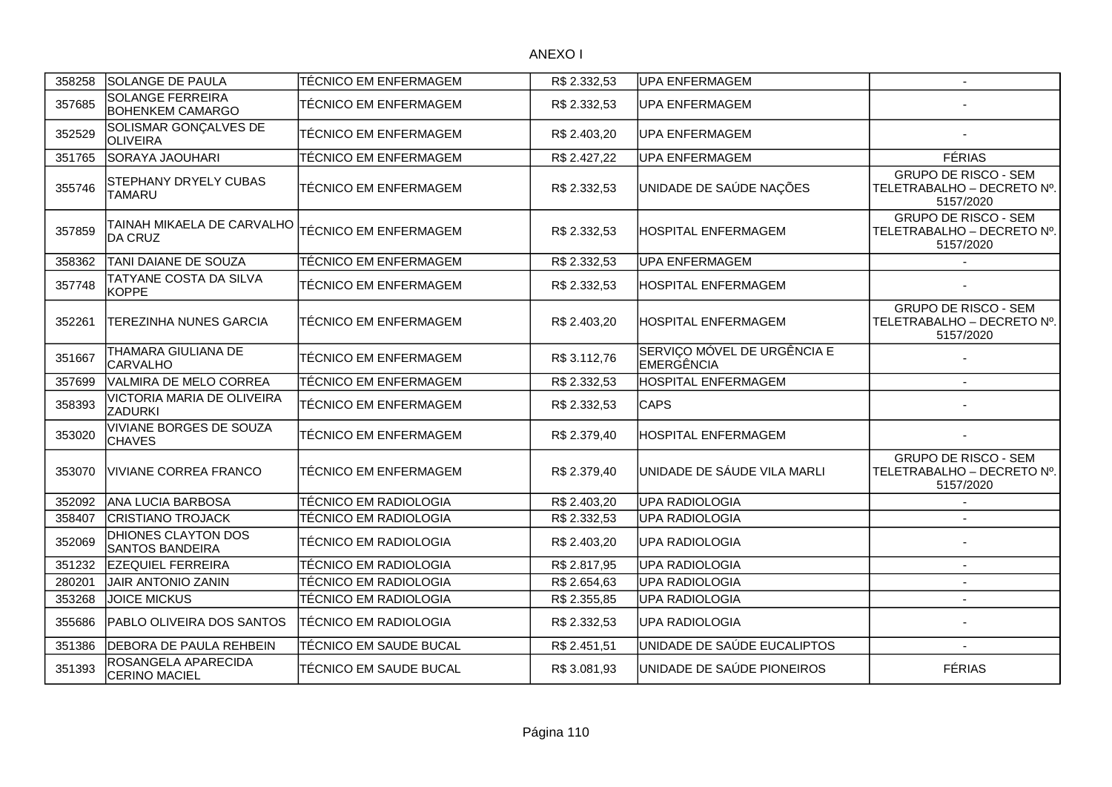## ANEXO I

| 358258 | <b>SOLANGE DE PAULA</b>                              | TÉCNICO EM ENFERMAGEM        | R\$ 2.332,53 | <b>UPA ENFERMAGEM</b>                            | $\overline{\phantom{a}}$                                               |
|--------|------------------------------------------------------|------------------------------|--------------|--------------------------------------------------|------------------------------------------------------------------------|
| 357685 | <b>SOLANGE FERREIRA</b><br><b>BOHENKEM CAMARGO</b>   | <b>TÉCNICO EM ENFERMAGEM</b> | R\$ 2.332,53 | UPA ENFERMAGEM                                   |                                                                        |
| 352529 | SOLISMAR GONÇALVES DE<br><b>OLIVEIRA</b>             | TÉCNICO EM ENFERMAGEM        | R\$ 2.403,20 | <b>UPA ENFERMAGEM</b>                            |                                                                        |
| 351765 | SORAYA JAOUHARI                                      | TÉCNICO EM ENFERMAGEM        | R\$ 2.427,22 | <b>UPA ENFERMAGEM</b>                            | <b>FÉRIAS</b>                                                          |
| 355746 | <b>STEPHANY DRYELY CUBAS</b><br><b>TAMARU</b>        | TÉCNICO EM ENFERMAGEM        | R\$ 2.332,53 | UNIDADE DE SAÚDE NAÇÕES                          | <b>GRUPO DE RISCO - SEM</b><br>TELETRABALHO - DECRETO Nº.<br>5157/2020 |
| 357859 | TAINAH MIKAELA DE CARVALHO<br><b>DA CRUZ</b>         | <b>TÉCNICO EM ENFERMAGEM</b> | R\$ 2.332,53 | HOSPITAL ENFERMAGEM                              | <b>GRUPO DE RISCO - SEM</b><br>TELETRABALHO - DECRETO Nº.<br>5157/2020 |
| 358362 | TANI DAIANE DE SOUZA                                 | TÉCNICO EM ENFERMAGEM        | R\$ 2.332,53 | <b>UPA ENFERMAGEM</b>                            |                                                                        |
| 357748 | TATYANE COSTA DA SILVA<br><b>KOPPE</b>               | TÉCNICO EM ENFERMAGEM        | R\$ 2.332,53 | HOSPITAL ENFERMAGEM                              |                                                                        |
| 352261 | TEREZINHA NUNES GARCIA                               | TÉCNICO EM ENFERMAGEM        | R\$ 2.403,20 | HOSPITAL ENFERMAGEM                              | <b>GRUPO DE RISCO - SEM</b><br>TELETRABALHO - DECRETO Nº.<br>5157/2020 |
| 351667 | THAMARA GIULIANA DE<br><b>CARVALHO</b>               | TÉCNICO EM ENFERMAGEM        | R\$ 3.112,76 | SERVIÇO MÓVEL DE URGÊNCIA E<br><b>EMERGÊNCIA</b> |                                                                        |
| 357699 | VALMIRA DE MELO CORREA                               | <b>TÉCNICO EM ENFERMAGEM</b> | R\$ 2.332,53 | HOSPITAL ENFERMAGEM                              |                                                                        |
| 358393 | VICTORIA MARIA DE OLIVEIRA<br><b>ZADURKI</b>         | <b>TÉCNICO EM ENFERMAGEM</b> | R\$ 2.332,53 | <b>CAPS</b>                                      |                                                                        |
| 353020 | <b>VIVIANE BORGES DE SOUZA</b><br><b>CHAVES</b>      | TÉCNICO EM ENFERMAGEM        | R\$ 2.379,40 | HOSPITAL ENFERMAGEM                              |                                                                        |
| 353070 | VIVIANE CORREA FRANCO                                | TÉCNICO EM ENFERMAGEM        | R\$ 2.379,40 | UNIDADE DE SÁUDE VILA MARLI                      | <b>GRUPO DE RISCO - SEM</b><br>TELETRABALHO - DECRETO Nº.<br>5157/2020 |
| 352092 | ANA LUCIA BARBOSA                                    | TÉCNICO EM RADIOLOGIA        | R\$ 2.403,20 | <b>UPA RADIOLOGIA</b>                            |                                                                        |
| 358407 | <b>CRISTIANO TROJACK</b>                             | TÉCNICO EM RADIOLOGIA        | R\$ 2.332,53 | <b>UPA RADIOLOGIA</b>                            |                                                                        |
| 352069 | <b>DHIONES CLAYTON DOS</b><br><b>SANTOS BANDEIRA</b> | TÉCNICO EM RADIOLOGIA        | R\$ 2.403,20 | <b>UPA RADIOLOGIA</b>                            |                                                                        |
| 351232 | <b>EZEQUIEL FERREIRA</b>                             | TÉCNICO EM RADIOLOGIA        | R\$ 2.817,95 | <b>UPA RADIOLOGIA</b>                            | $\sim$                                                                 |
| 280201 | <b>JAIR ANTONIO ZANIN</b>                            | TÉCNICO EM RADIOLOGIA        | R\$ 2.654,63 | UPA RADIOLOGIA                                   | $\sim$                                                                 |
| 353268 | <b>JOICE MICKUS</b>                                  | TÉCNICO EM RADIOLOGIA        | R\$ 2.355,85 | <b>UPA RADIOLOGIA</b>                            | $\blacksquare$                                                         |
| 355686 | PABLO OLIVEIRA DOS SANTOS                            | <b>TÉCNICO EM RADIOLOGIA</b> | R\$ 2.332,53 | UPA RADIOLOGIA                                   |                                                                        |
| 351386 | DEBORA DE PAULA REHBEIN                              | TÉCNICO EM SAUDE BUCAL       | R\$ 2.451,51 | UNIDADE DE SAÚDE EUCALIPTOS                      |                                                                        |
| 351393 | ROSANGELA APARECIDA<br><b>CERINO MACIEL</b>          | TÉCNICO EM SAUDE BUCAL       | R\$ 3.081,93 | UNIDADE DE SAÚDE PIONEIROS                       | <b>FÉRIAS</b>                                                          |